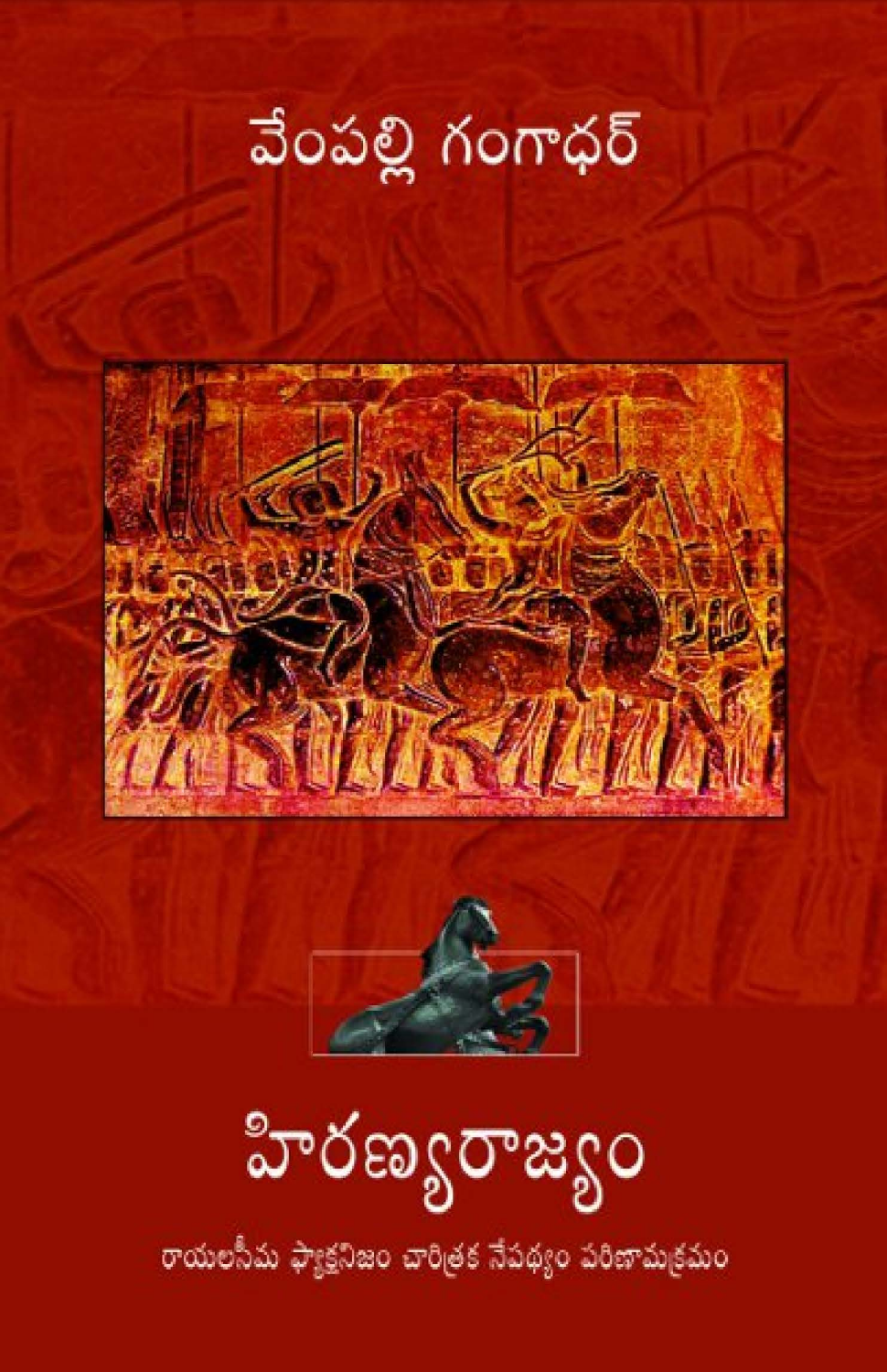# వేంపల్లి గంగాధర్





# హిరణ్యరాజ్యం రాయలసీమ ఫ్యాక్షనిజం చారిత్రక నేపథ్యం పరిణామక్రమం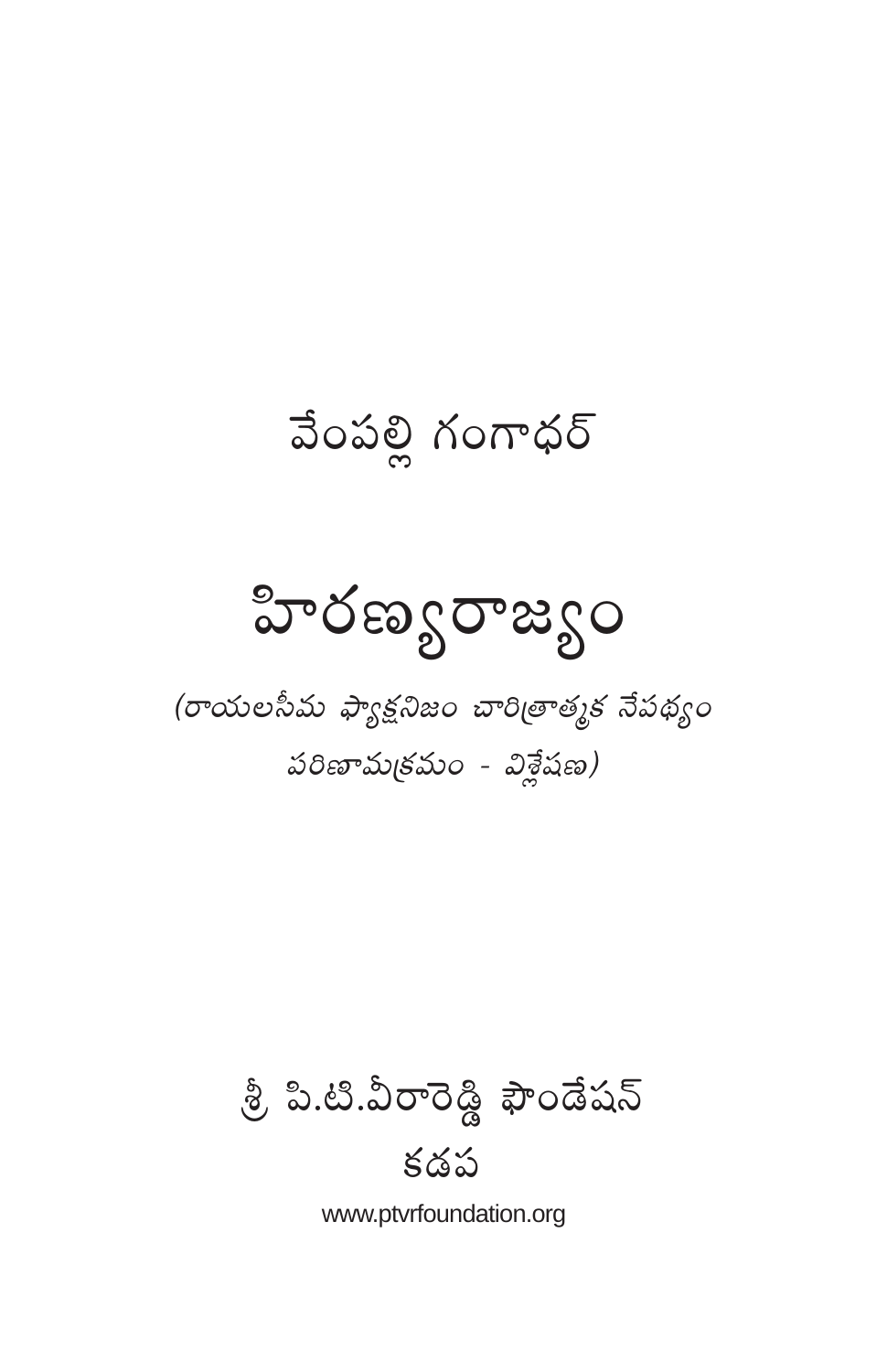# పేంపల్లి గంగాధర్

# హిరణ్యరాజ్యం

(రాయలసీమ ఫ్యాక్షనిజం చారిత్రాత్మక నేపథ్యం పరిణామ(కమం - విశ్లేషణ)



కడప

www.ptvrfoundation.org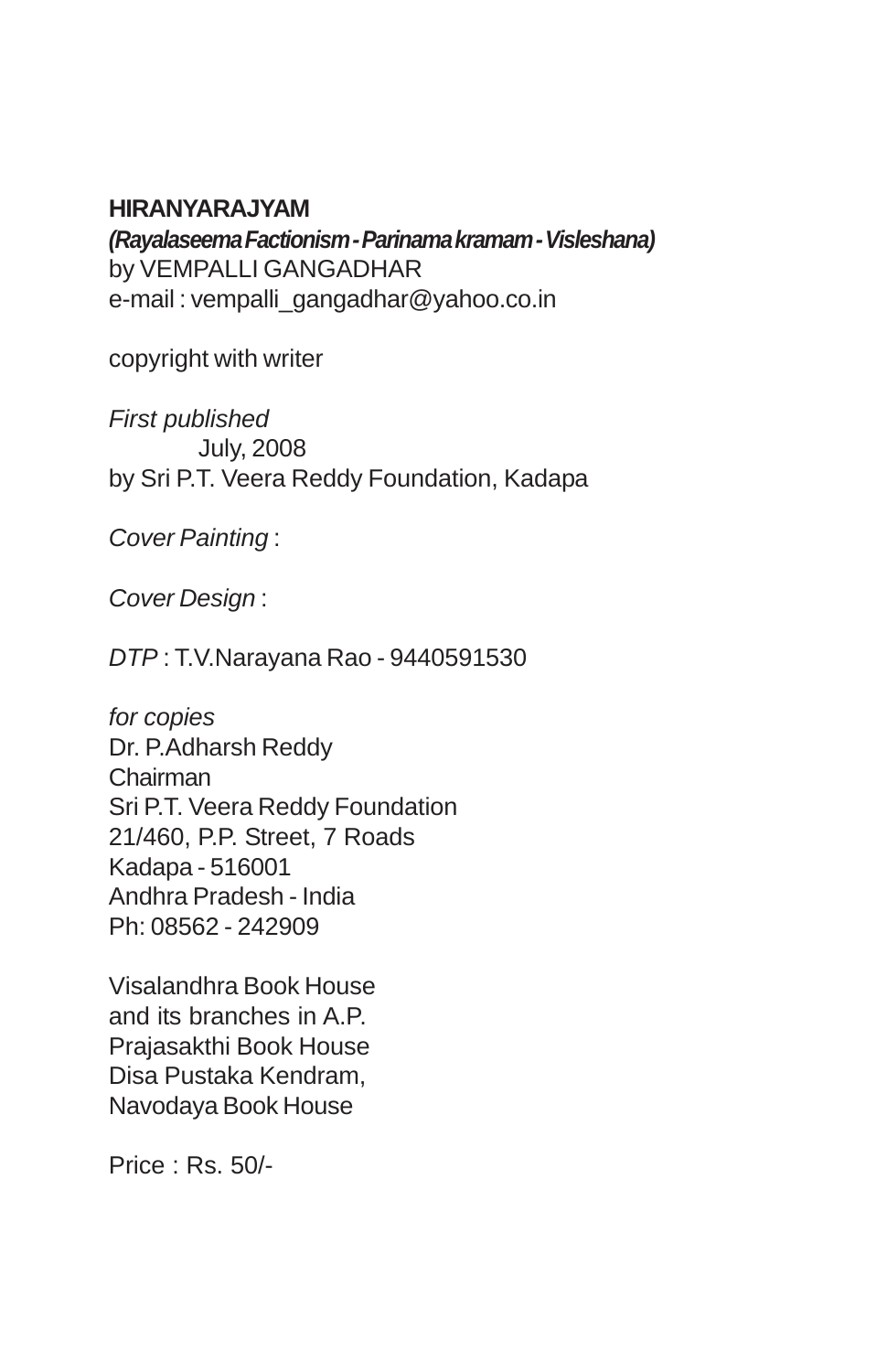#### **HIRANYARAJYAM**

*(Rayalaseema Factionism - Parinama kramam - Visleshana)* by VEMPALLI GANGADHAR e-mail : vempalli\_gangadhar@yahoo.co.in

copyright with writer

*First published* July, 2008 by Sri P.T. Veera Reddy Foundation, Kadapa

*Cover Painting* :

*Cover Design* :

*DTP* : T.V.Narayana Rao - 9440591530

*for copies* Dr. P.Adharsh Reddy Chairman Sri P.T. Veera Reddy Foundation 21/460, P.P. Street, 7 Roads Kadapa - 516001 Andhra Pradesh - India Ph: 08562 - 242909

Visalandhra Book House and its branches in A.P. Prajasakthi Book House Disa Pustaka Kendram, Navodaya Book House

Price : Rs. 50/-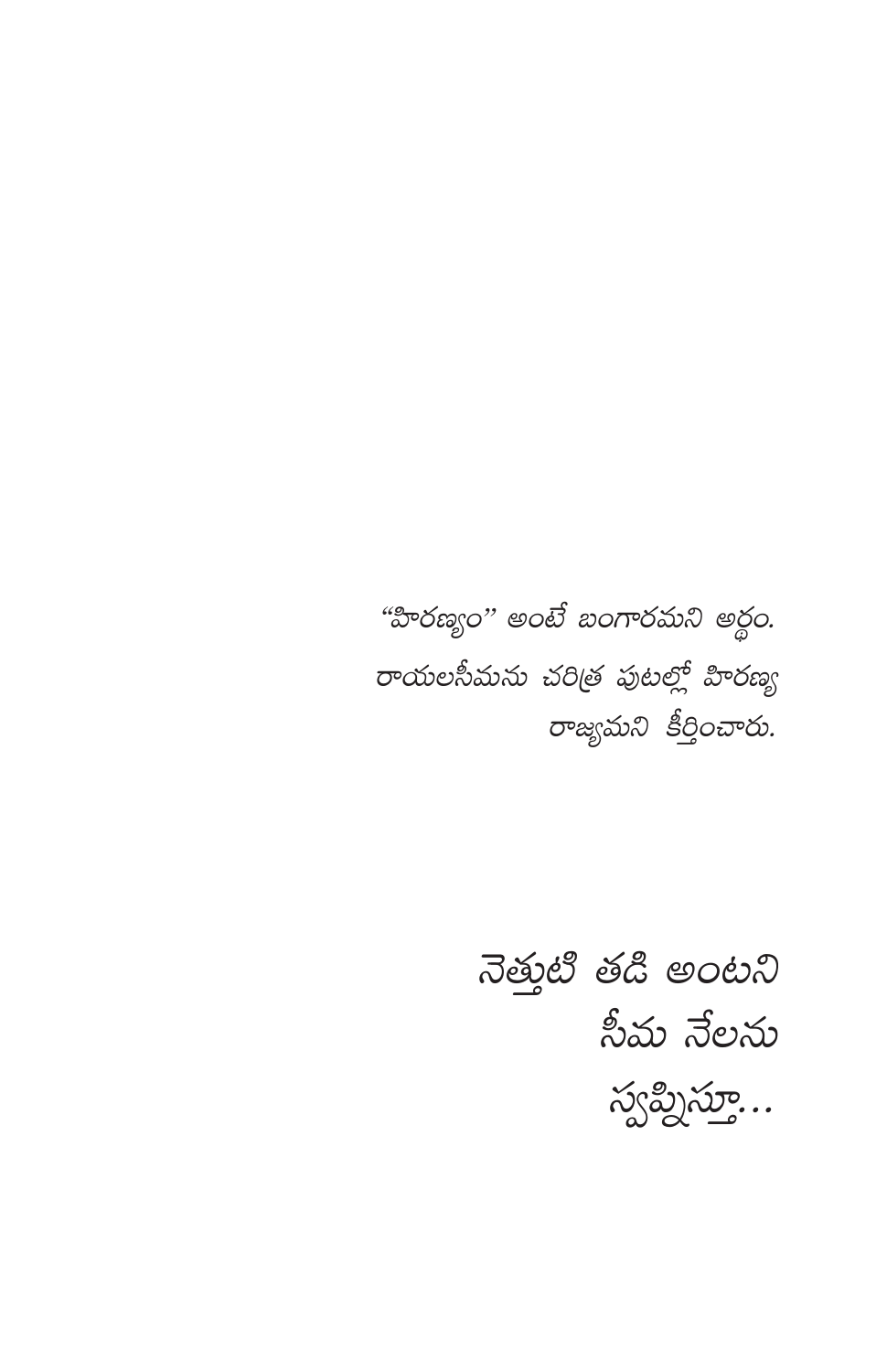"హిరణ్యం" అంటే బంగారమని అర్థం. రాయలసీమను చరిత్ర పుటల్లో హిరణ్య రాజ్యమని కీర్తించారు.

> నెత్తుటి తడి అంటని సీమ నేలను స్వప్నిస్తూ...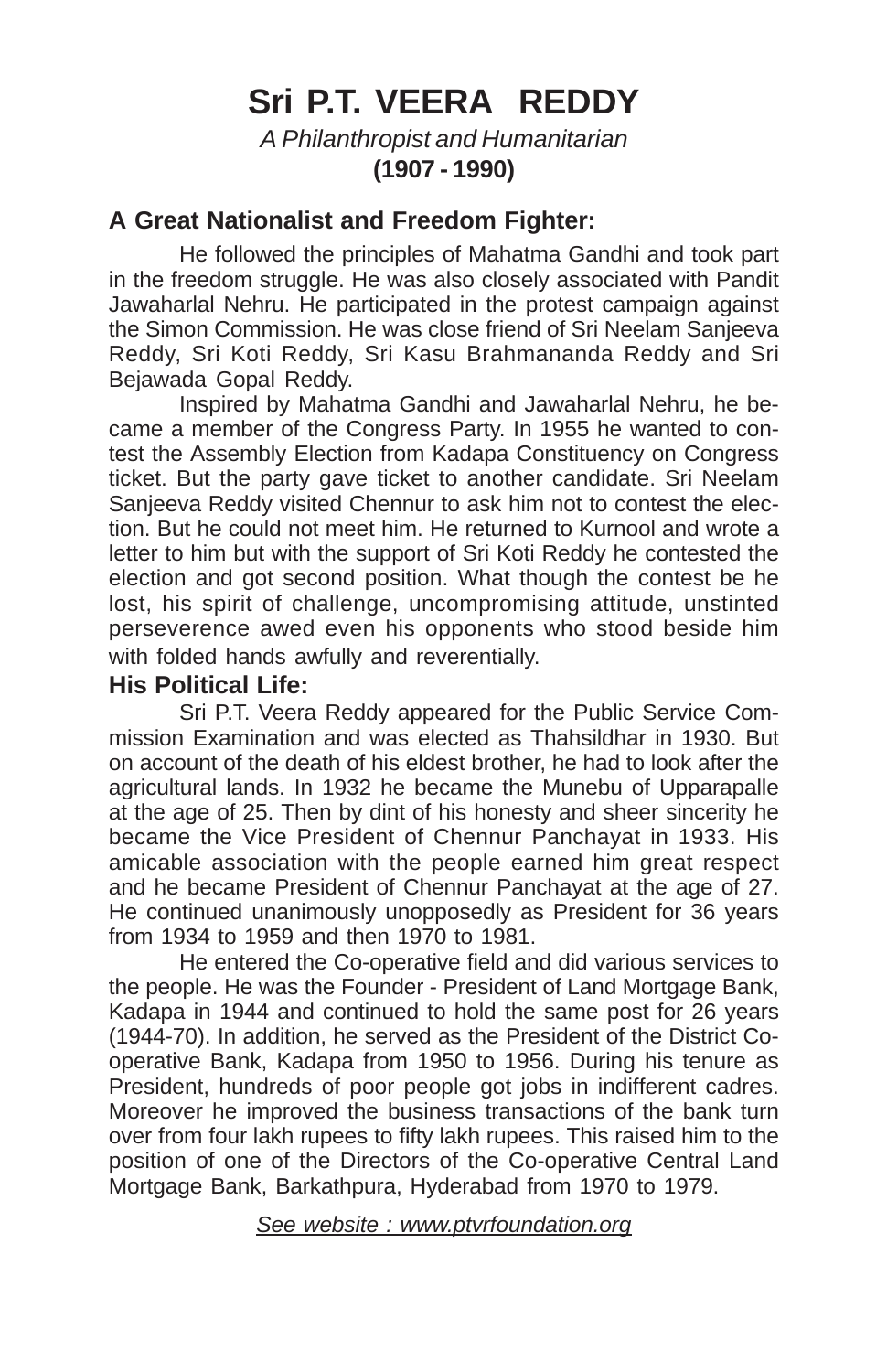## **Sri P.T. VEERA REDDY**

*A Philanthropist and Humanitarian* **(1907 - 1990)**

#### **A Great Nationalist and Freedom Fighter:**

He followed the principles of Mahatma Gandhi and took part in the freedom struggle. He was also closely associated with Pandit Jawaharlal Nehru. He participated in the protest campaign against the Simon Commission. He was close friend of Sri Neelam Sanjeeva Reddy, Sri Koti Reddy, Sri Kasu Brahmananda Reddy and Sri Bejawada Gopal Reddy.

Inspired by Mahatma Gandhi and Jawaharlal Nehru, he became a member of the Congress Party. In 1955 he wanted to contest the Assembly Election from Kadapa Constituency on Congress ticket. But the party gave ticket to another candidate. Sri Neelam Sanjeeva Reddy visited Chennur to ask him not to contest the election. But he could not meet him. He returned to Kurnool and wrote a letter to him but with the support of Sri Koti Reddy he contested the election and got second position. What though the contest be he lost, his spirit of challenge, uncompromising attitude, unstinted perseverence awed even his opponents who stood beside him with folded hands awfully and reverentially.

#### **His Political Life:**

Sri P.T. Veera Reddy appeared for the Public Service Commission Examination and was elected as Thahsildhar in 1930. But on account of the death of his eldest brother, he had to look after the agricultural lands. In 1932 he became the Munebu of Upparapalle at the age of 25. Then by dint of his honesty and sheer sincerity he became the Vice President of Chennur Panchayat in 1933. His amicable association with the people earned him great respect and he became President of Chennur Panchayat at the age of 27. He continued unanimously unopposedly as President for 36 years from 1934 to 1959 and then 1970 to 1981.

He entered the Co-operative field and did various services to the people. He was the Founder - President of Land Mortgage Bank, Kadapa in 1944 and continued to hold the same post for 26 years (1944-70). In addition, he served as the President of the District Cooperative Bank, Kadapa from 1950 to 1956. During his tenure as President, hundreds of poor people got jobs in indifferent cadres. Moreover he improved the business transactions of the bank turn over from four lakh rupees to fifty lakh rupees. This raised him to the position of one of the Directors of the Co-operative Central Land Mortgage Bank, Barkathpura, Hyderabad from 1970 to 1979.

*See website : www.ptvrfoundation.org*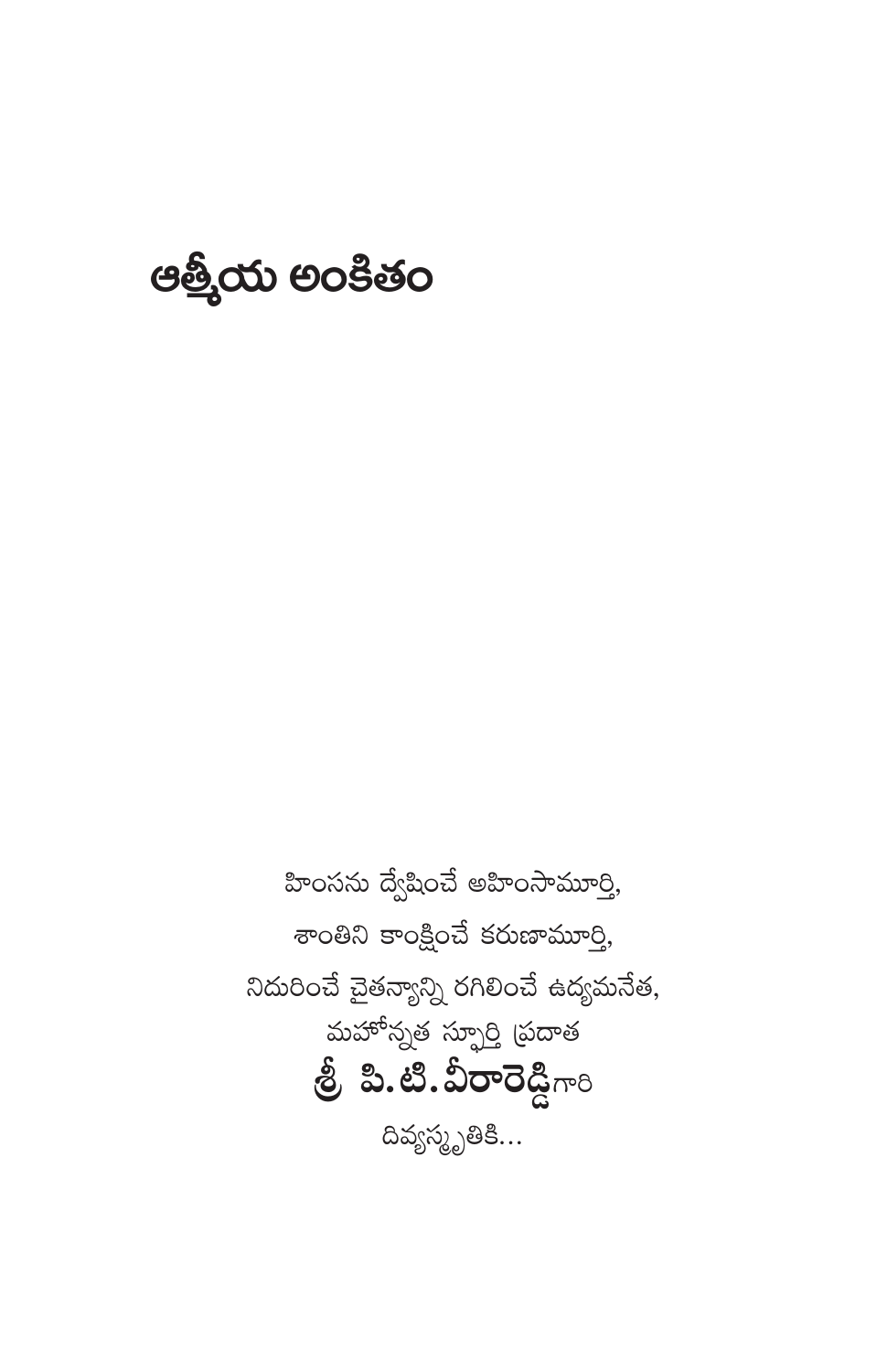ఆత్తీయ అంకితం

హింసను ద్వేషించే అహింసామూర్తి, శాంతిని కాంక్షించే కరుణామూర్తి, నిదురించే చైతన్యాన్ని రగిలించే ఉద్యమనేత, మహోన్నత స్ఫూర్తి <mark>(పదాత</mark>  $\mathring{\text{B}}$  పి.టి.వీరారెడ్డి $\mathbb{R}^6$ దివ్యస్మృతికి...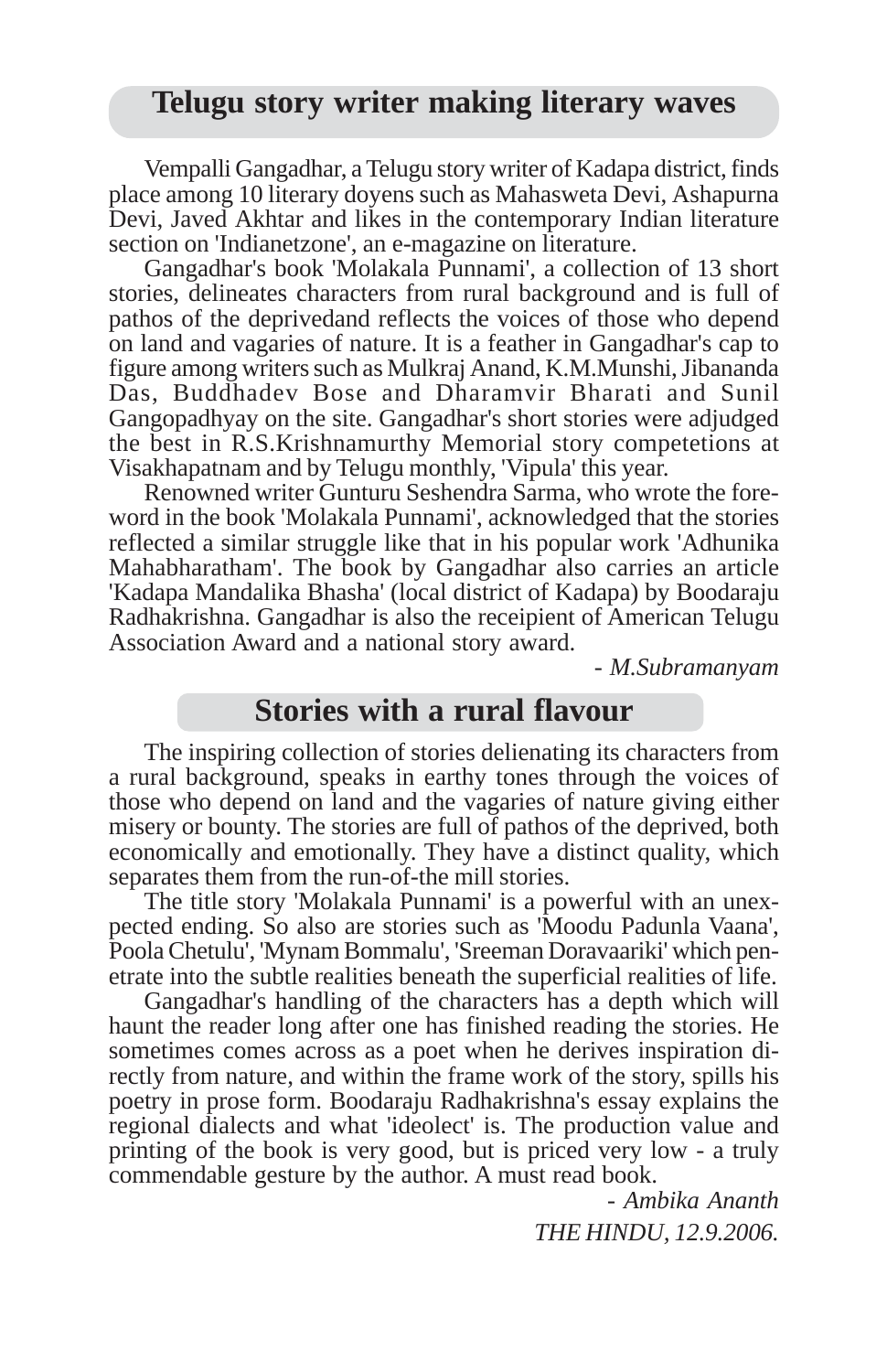#### **Telugu story writer making literary waves**

Vempalli Gangadhar, a Telugu story writer of Kadapa district, finds place among 10 literary doyens such as Mahasweta Devi, Ashapurna Devi, Javed Akhtar and likes in the contemporary Indian literature section on 'Indianetzone', an e-magazine on literature.

Gangadhar's book 'Molakala Punnami', a collection of 13 short stories, delineates characters from rural background and is full of pathos of the deprivedand reflects the voices of those who depend on land and vagaries of nature. It is a feather in Gangadhar's cap to figure among writers such as Mulkraj Anand, K.M.Munshi, Jibananda Das, Buddhadev Bose and Dharamvir Bharati and Sunil Gangopadhyay on the site. Gangadhar's short stories were adjudged the best in R.S.Krishnamurthy Memorial story competetions at Visakhapatnam and by Telugu monthly, 'Vipula' this year.

Renowned writer Gunturu Seshendra Sarma, who wrote the foreword in the book 'Molakala Punnami', acknowledged that the stories reflected a similar struggle like that in his popular work 'Adhunika Mahabharatham'. The book by Gangadhar also carries an article 'Kadapa Mandalika Bhasha' (local district of Kadapa) by Boodaraju Radhakrishna. Gangadhar is also the receipient of American Telugu Association Award and a national story award.

*- M.Subramanyam*

#### **Stories with a rural flavour**

The inspiring collection of stories delienating its characters from a rural background, speaks in earthy tones through the voices of those who depend on land and the vagaries of nature giving either misery or bounty. The stories are full of pathos of the deprived, both economically and emotionally. They have a distinct quality, which separates them from the run-of-the mill stories.

The title story 'Molakala Punnami' is a powerful with an unexpected ending. So also are stories such as 'Moodu Padunla Vaana', Poola Chetulu', 'Mynam Bommalu', 'Sreeman Doravaariki' which penetrate into the subtle realities beneath the superficial realities of life.

Gangadhar's handling of the characters has a depth which will haunt the reader long after one has finished reading the stories. He sometimes comes across as a poet when he derives inspiration directly from nature, and within the frame work of the story, spills his poetry in prose form. Boodaraju Radhakrishna's essay explains the regional dialects and what 'ideolect' is. The production value and printing of the book is very good, but is priced very low - a truly commendable gesture by the author. A must read book.

> *- Ambika Ananth THE HINDU, 12.9.2006.*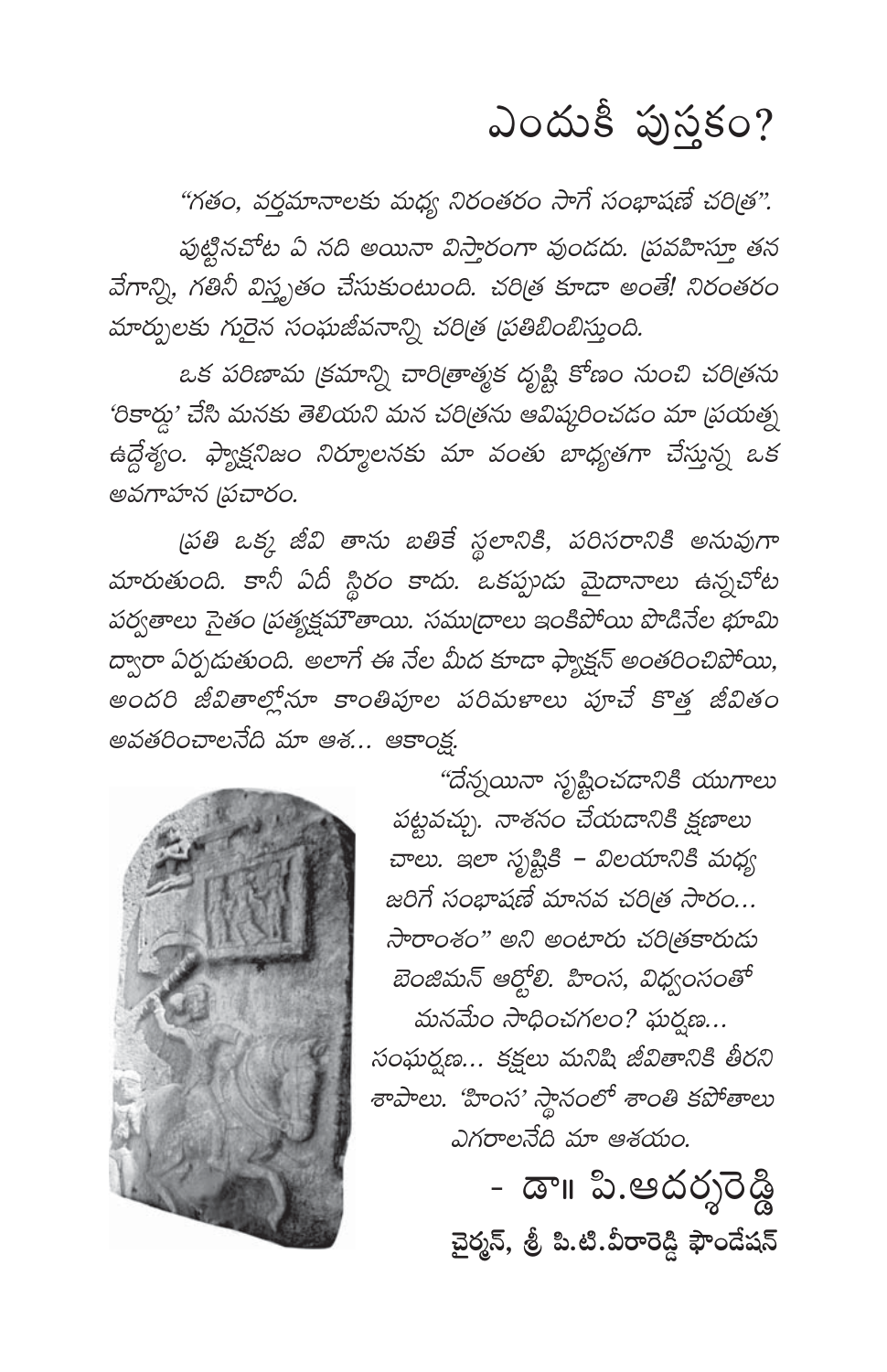# ఎందుకీ పుస్తకం?

"గతం, వర్తమానాలకు మధ్య నిరంతరం సాగే సంభాషణే చరిత్ర". పుట్టినచోట ఏ నది అయినా విస్తారంగా వుండదు. (పవహిస్తూ తన వేగాన్ని, గతినీ విస్తృతం చేసుకుంటుంది. చరిత్ర కూడా అంతే! నిరంతరం మార్పులకు గురైన సంఘజీవనాన్ని చరిత్ర (పతిబింబిస్తుంది.

ఒక పరిణామ (కమాన్ని చారి(తాత్మక దృష్టి కోణం నుంచి చరి(తను 'రికార్తు' చేసి మనకు తెలియని మన చరిత్రను ఆవిష్కరించడం మా (పయత్న ఉద్దేశ్యం. ఫ్యాక్షనిజం నిర్మూలనకు మా వంతు బాధ్యతగా చేస్తున్న ఒక అవగాహన (పచారం.

(పతి ఒక్క జీవి తాను బతికే స్థలానికి, పరిసరానికి అనువుగా మారుతుంది. కానీ ఏదీ స్థిరం కాదు. ఒకప్పుడు మైదానాలు ఉన్నచోట పర్వతాలు సైతం (పత్యక్షమౌతాయి. సముద్రాలు ఇంకిపోయి పొడినేల భూమి ద్వారా ఏర్పడుతుంది. అలాగే ఈ నేల మీద కూడా ఫ్యాక్షన్ అంతరించిపోయి, అందరి జీవితాల్లోనూ కాంతిపూల పరిమళాలు పూచే కొత్త జీవితం అవతరించాలనేది మా ఆశ... ఆకాంక్ష.



"దేన్నయినా సృష్టించడానికి యుగాలు పట్టవచ్చు. నాశనం చేయడానికి క్షణాలు చాలు. ఇలా సృష్టికి – విలయానికి మధ్య జరిగే సంభాషణే మానవ చరిత్ర సారం... సారాంశం" అని అంటారు చరిత్రకారుడు బెంజిమన్ ఆర్ట్రోలి. హింస, విధ్వంసంతో

మనమేం సాధించగలం? ఘర్షణ... సంఘర్షణ... కక్షలు మనిషి జీవితానికి తీరని శాపాలు. 'హింస' స్థానంలో శాంతి కపోతాలు ఎగరాలనేది మా ఆశయం.

> - డా။ పి.ఆదర్శరెడ్డి చైర్మన్, త్రీ పి.టి.వీరారెడ్డి ఫౌందేషన్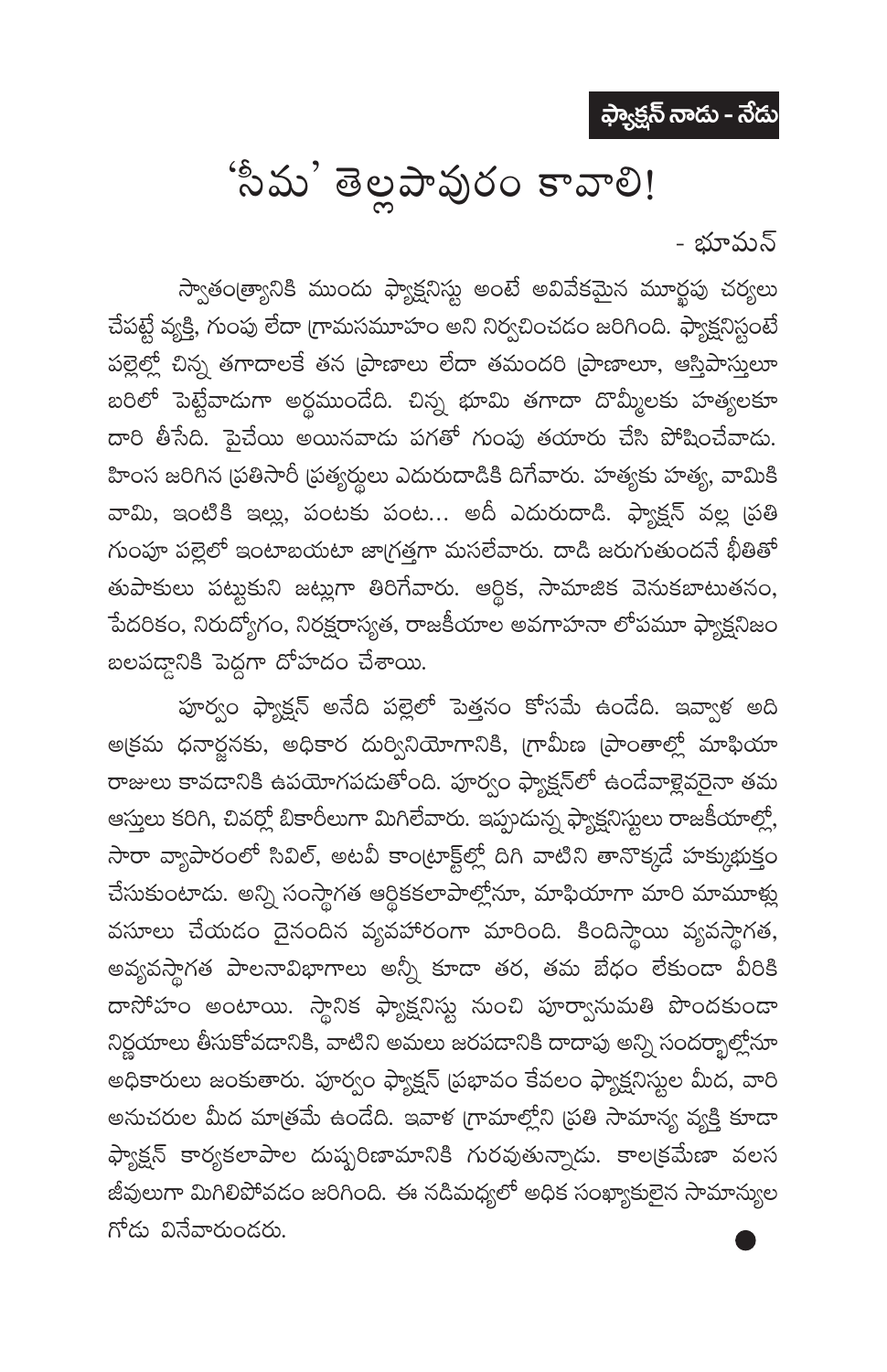

## 'సీమ' తెల్లపావురం కావాలి!

- భూమన్

స్వాతం(త్యానికి ముందు ఫ్యాక్షనిస్టు అంటే అవివేకమైన మూర్ఖపు చర్యలు చేపట్టే వ్యక్తి, గుంపు లేదా గ్రామసమూహం అని నిర్వచించడం జరిగింది. ఫ్యాక్షనిస్టంటే పల్లెల్లో చిన్న తగాదాలకే తన (ప్రాణాలు లేదా తమందరి (ప్రాణాలూ, ఆస్తిపాస్తులూ బరిలో పెట్టేవాదుగా అర్థముండేది. చిన్న భూమి తగాదా దొమ్మీలకు హత్యలకూ దారి తీసేది. పైచేయి అయినవాడు పగతో గుంపు తయారు చేసి పోషించేవాడు. హింస జరిగిన (పతిసారీ (పత్యర్శలు ఎదురుదాడికి దిగేవారు. హత్యకు హత్య, వామికి వామి, ఇంటికి ఇల్లు, పంటకు పంట... అదీ ఎదురుదాడి. ఫ్యాక్షన్ వల్ల ప్రతి గుంపూ పల్లెలో ఇంటాబయటా జాగ్రత్తగా మసలేవారు. దాడి జరుగుతుందనే భీతితో తుపాకులు పట్టుకుని జట్లుగా తిరిగేవారు. అర్థిక, సామాజిక వెనుకబాటుతనం, పేదరికం, నిరుద్యోగం, నిరక్షరాస్యత, రాజకీయాల అవగాహనా లోపమూ ఫ్యాక్షనిజ<mark>ం</mark> బలపడ్డానికి పెద్దగా దోహదం చేశాయి.

పూర్వం ఫ్యాక్షన్ అనేది పల్లెలో పెత్తనం కోసమే ఉండేది. ఇవ్వాళ అది అక్రమ ధనార్జనకు, అధికార దుర్వినియోగానికి, గ్రామీణ [పాంతాల్లో మాఫియా రాజులు కావడానికి ఉపయోగపడుతోంది. పూర్వం ఫ్యాక్షన్లో ఉండేవాళ్లెవరైనా తమ ఆసులు కరిగి, చివర్లో బికారీలుగా మిగిలేవారు. ఇప్పుడున్న ఫ్యాక్షనిస్టలు రాజకీయాల్లో, సారా వ్యాపారంలో సివిల్, అటవీ కాంట్రాక్ట్అల్లో దిగి వాటిని తానొక్కడే హక్కుభుక్తం చేసుకుంటాడు. అన్ని సంస్థాగత ఆర్థికకలాపాల్లోనూ, మాఫియాగా మారి మామూళ్లు వసూలు చేయడం దైనందిన వ్యవహారంగా మారింది. కిందిస్థాయి వ్యవస్థాగత, అవ్యవస్థాగత పాలనావిభాగాలు అన్నీ కూడా తర, తమ బేధం లేకుండా వీరికి దాసోహం అంటాయి. స్థానిక ఫ్యాక్షనిస్టు నుంచి పూర్వానుమతి పొందకుండా నిర్ణయాలు తీసుకోవడానికి, వాటిని అమలు జరపడానికి దాదాపు అన్ని సందర్భాల్లోనూ అధికారులు జంకుతారు. పూర్వం ఫ్యాక్షన్ ప్రభావం కేవలం ఫ్యాక్షనిస్టుల మీద, వారి అనుచరుల మీద మాత్రమే ఉండేది. ఇవాళ (గామాల్లోని (పతి సామాన్య వ్యక్తి కూడా ఫ్యాక్షన్ కార్యకలాపాల దుష్<mark>న</mark>రిణామానికి గురవుతున్నాదు. కాల(కమేణా వలస జీవులుగా మిగిలిపోవడం జరిగింది. ఈ నడిమధ్యలో అధిక సంఖ్యాకులైన సామాన్యుల గోడు వినేవారుండరు.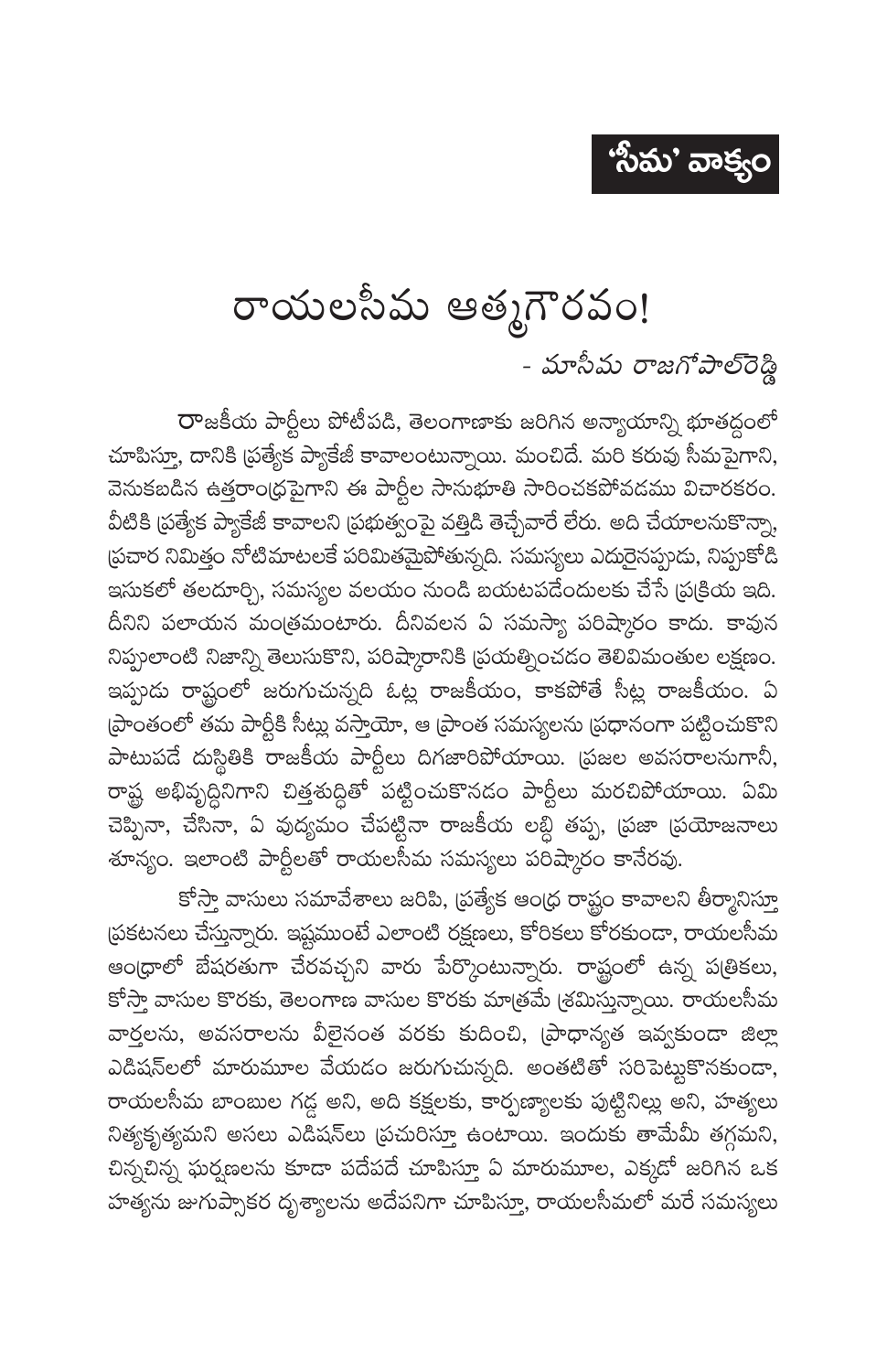## <u>'సీమ' వాక్</u>యం

# రాయలసీమ ఆత్మగౌరవం!

- మాసీమ రాజగోపాల్ంెడ్డి

రాజకీయ పార్టీలు పోటీపడి, తెలంగాణాకు జరిగిన అన్యాయాన్ని భూతద్దంలో చూపిస్తూ, దానికి ప్రత్యేక ప్యాకేజీ కావాలంటున్నాయి. మంచిదే. మరి కరువు సీమపైగాని, వెనుకబడిన ఉత్తరాంధ్రపైగాని ఈ పార్టీల సానుభూతి సారించకపోవడము విచారకరం. వీటికి ప్రత్యేక ప్యాకేజీ కావాలని ప్రభుత్వంపై వత్తిడి తెచ్చేవారే లేరు. అది చేయాలనుకొన్నా, (పచార నిమిత్తం నోటిమాటలకే పరిమితమైపోతున్నది. సమస్యలు ఎదురైనప్పుడు, నిప్పుకోడి ఇసుకలో తలదూర్చి, సమస్యల వలయం నుండి బయటపడేందులకు చేసే (ప్రక్రియ ఇది. దీనిని పలాయన మంత్రమంటారు. దీనివలన ఏ సమస్యా పరిష్కారం కాదు. కావున నిప్పులాంటి నిజాన్ని తెలుసుకొని, పరిష్కారానికి ప్రయత్నించడం తెలివిమంతుల లక్షణం. ఇప్పుడు రాష్టంలో జరుగుచున్నది ఓట్ల రాజకీయం, కాకపోతే సీట్ల రాజకీయం. ఏ [పాంతంలో తమ పార్టీకి సీట్లు వస్తాయో, ఆ [పాంత సమస్యలను [పధానంగా పట్టించుకొని పాటుపడే దుస్థితికి రాజకీయ పార్టీలు దిగజారిపోయాయి. (పజల అవసరాలనుగానీ, రాష్ట్ర అభివృద్ధినిగాని చిత్తశుద్ధితో పట్టించుకొనడం పార్టీలు మరచిపోయాయి. ఏమి చెప్పినా, చేసినా, ఏ వుద్యమం చేపట్టినా రాజకీయ లబ్ది తప్ప, (పజా (పయోజనాలు శూన్యం. ఇలాంటి పార్టీలతో రాయలసీమ సమస్యలు పరిష్కారం కానేరవు.

కోస్తా వాసులు సమావేశాలు జరిపి, (పత్యేక ఆం(ధ రాష్టం కావాలని తీర్మానిస్తూ స్టుకటనలు చేస్తున్నారు. ఇష్టముంటే ఎలాంటి రక్షణలు, కోరికలు కోరకుందా, రాయలసీమ ఆంధ్రాలో బేషరతుగా చేరవచ్చని వారు పేర్కొంటున్నారు. రాష్టంలో ఉన్న ప<mark>త్రికలు</mark>, కోస్తా వాసుల కొరకు, తెలంగాణ వాసుల కొరకు మాత్రమే (శమిస్తున్నాయి. రాయలసీమ వార్తలను, అవసరాలను వీలైనంత వరకు కుదించి, (పాధాన్యత ఇవ్వకుండా జిల్లా ఎడిషన్లలో మారుమూల వేయడం జరుగుచున్నది. అంతటితో సరిపెట్టుకొనకుండా, రాయలసీమ బాంబుల గడ్డ అని, అది కక్షలకు, కార్పణ్యాలకు పుట్టినిల్లు అని, హత్యలు నిత్యకృత్యమని అసలు ఎడిషన్లు (పచురిస్తూ ఉంటాయి. ఇందుకు తామేమీ తగ్గమని, చిన్నచిన్న ఘర్షణలను కూడా పదేపదే చూపిస్తూ ఏ మారుమూల, ఎక్కడో జరిగిన ఒక హత్యను జుగుప్పాకర దృశ్యాలను అదేపనిగా చూపిస్తూ, రాయలసీమలో మరే సమస్యలు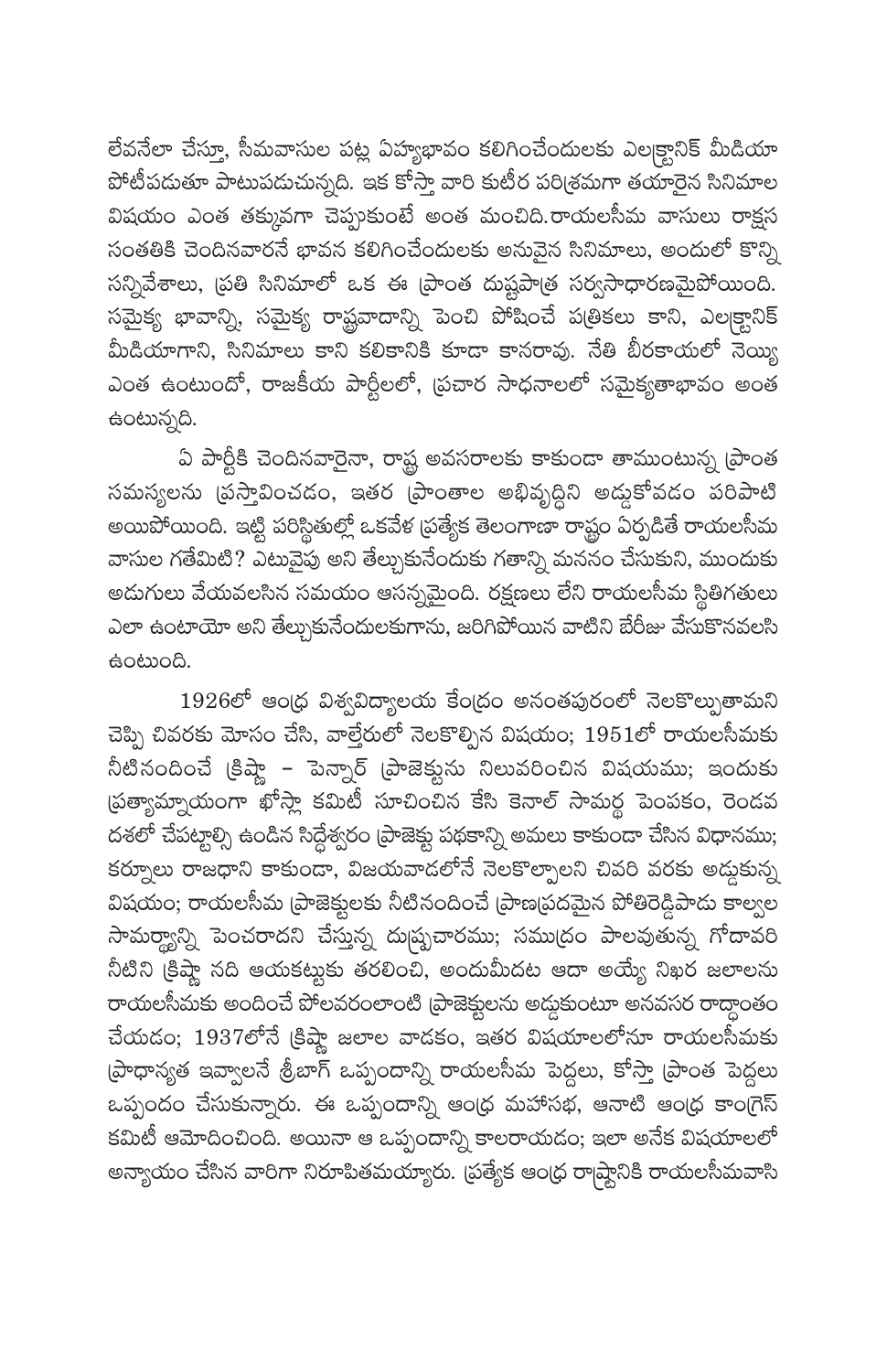లేవనేలా చేస్తూ, సీమవాసుల పట్ల ఏహ్యభావం కలిగించేందులకు ఎల|క్టానిక్ మీడియా .<br>పోటీపదుతూ పాటుపదుచున్నది. ఇక కోస్తా వారి కుటీర పరి<sub>(</sub>శమగా తయారైన సినిమాల .<br>విషయం ఎంత తక్కువగా చెప్పుకుంటే అంత మంచిది.రాయలసీమ వాసులు రాక్షస .<br>సంతతికి చెందినవారనే భావన కలిగించేందులకు అనువైన సినిమాలు, అందులో కొన్ని సన్నివేశాలు, (పతి సినిమాలో ఒక ఈ (పాంత దుష్టపా(త సర్వసాధారణమైపోయింది. సమైక్య భావాన్ని, సమైక్య రాష్టవాదాన్ని పెంచి పోషించే పత్రికలు కాని, ఎల్కక్టానిక్ మీడియాగాని, సినిమాలు కాని కలికానికి కూడా కానరావు. నేతి బీరకాయలో నెయ్యి ఎంత ఉంటుందో, రాజకీయ పార్టీలలో, (పచార సాధనాలలో సమైకృతాభావం అంత ఉంటున్నది.

ఏ పార్టీకి చెందినవారైనా, రాష్ట్ర అవసరాలకు కాకుండా తాముంటున్న [పాంత సమస్యలను బ్రస్తావించడం, ఇతర మైంతాల అభివృద్ధిని అడ్డుకోవడం పరిపాటి అయిపోయింది. ఇట్టి పరిస్థితుల్లో ఒకవేళ (పత్యేక తెలంగాణా రాష్ట్రం ఏర్పడితే రాయలసీమ వాసుల గతేమిటి? ఎటువైపు అని తేల్చుకునేందుకు గతాన్ని మననం చేసుకుని, ముందుకు అడుగులు వేయవలసిన సమయం ఆసన్నమైంది. రక్షణలు లేని రాయలసీమ స్థితిగతులు ఎలా ఉంటాయో అని తేల్చుకునేందులకుగాను, జరిగిపోయిన వాటిని బేరీజు వేసుకొనవలసి ఉంటుంది.

1926లో ఆంధ్ర విశ్వవిద్యాలయ కేంద్రం అనంతపురంలో నెలకొల్పుతామని చెప్పి చివరకు మోసం చేసి, వాల్తేరులో నెలకొల్పిన విషయం; 1951లో రాయలసీమకు నీటినందించే క్రిష్మా – పెన్నార్ (పాజెక్టును నిలువరించిన విషయము; ఇందుకు స్రత్యామ్నాయంగా ఖోస్లా కమిటీ సూచించిన కేసి కెనాల్ సామర్ధ పెంపకం, రెండవ దశలో చేపట్టాల్సి ఉండిన సిద్దేశ్వరం (పాజెక్టు పథకాన్ని అమలు కాకుందా చేసిన విధానము; కర్నూలు రాజధాని కాకుండా, విజయవాడలోనే నెలకొల్పాలని చివరి వరకు అద్దకున్న విషయం; రాయలసీమ (పాజెక్టులకు నీటినందించే (పాణ(పదమైన పోతిరెడ్డిపాడు కాల్వల సామర్థ్యాన్ని పెంచరాదని చేస్తున్న దుబ్బచారము; సముద్రం పాలవుతున్న గోదావరి నీటిని క్రిష్మా నది ఆయకట్టకు తరలించి, అందుమీదట ఆదా అయ్యే నిఖర జలాలను రాయలసీమకు అందించే పోలవరంలాంటి (పాజెక్టులను అద్దకుంటూ అనవసర రాద్ధాంతం చేయడం; 1937లోనే క్రిష్మా జలాల వాడకం, ఇతర విషయాలలోనూ రాయలసీమకు (పాధాన్యత ఇవ్వాలనే శ్రీబాగ్ ఒప్పందాన్ని రాయలసీమ పెద్దలు, కోస్తా (పాంత పెద్దలు ఒప్పందం చేసుకున్నారు. ఈ ఒప్పందాన్ని ఆంధ్ర మహాసభ, ఆనాటి ఆంధ్ర కాంగ్రెస్ కమిటీ ఆమోదించింది. అయినా ఆ ఒప్పందాన్ని కాలరాయదం; ఇలా అనేక విషయాలలో అన్యాయం చేసిన వారిగా నిరూపితమయ్యారు. (పత్యేక ఆంధ్ర రా|ష్టానికి రాయలసీమవాసి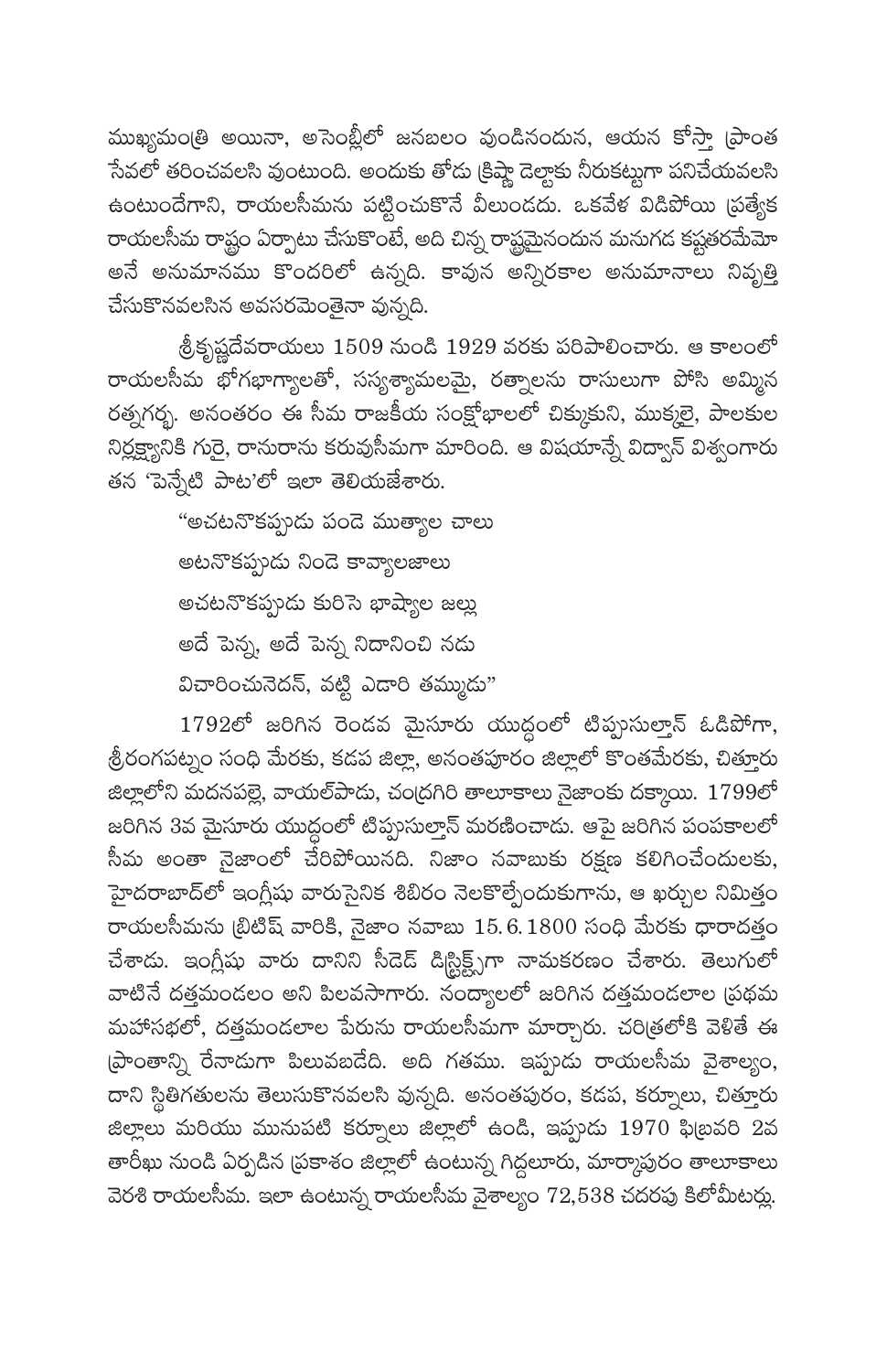ముఖ్యమంత్రి అయినా, అసెంబ్లీలో జనబలం వుండినందున, ఆయన కోస్తా [పాంత సేవలో తరించవలసి వుంటుంది. అందుకు తోడు క్రిష్మా దెల్దాకు నీరుకట్టుగా పనిచేయవలసి ఉంటుందేగాని, రాయలసీమను పట్టించుకొనే వీలుండదు. ఒకవేళ విడిపోయి (పత్యేక రాయలసీమ రాష్టం ఏర్పాటు చేసుకొంటే, అది చిన్న రాష్టమైనందున మనుగడ కష్టతరమేమో అనే అనుమానము కొందరిలో ఉన్నది. కావున అన్నిరకాల అనుమానాలు నివృత్తి చేసుకొనవలసిన అవసరమెంతైనా వున్నది.

శ్రీకృష్ణదేవరాయలు 1509 నుండి 1929 వరకు పరిపాలించారు. ఆ కాలంలో రాయలసీమ భోగభాగ్యాలతో, సస్యశ్యామలమై, రత్నాలను రాసులుగా పోసి అమ్మిన రత్నగర్భ. అనంతరం ఈ సీమ రాజకీయ సంక్షోభాలలో చిక్కుకుని, ముక్కలై, పాలకుల నిర్లక్ష్యానికి గురై, రానురాను కరువుసీమగా మారింది. ఆ విషయాన్నే విద్వాన్ విశ్వంగారు తన 'పెన్నేటి పాట'లో ఇలా తెలియజేశారు.

> "అచటనొకప్పుడు పండె ముత్యాల చాలు అటనొకప్పుడు నిండె కావ్యాలజాలు అచటనొకప్పుడు కురిసె భాష్యాల జల్లు అదే పెన్న, అదే పెన్న నిదానించి నడు విచారించునెదన్, వట్టి ఎడారి తమ్ముడు"

1792లో జరిగిన రెండవ మైసూరు యుద్ధంలో టిప్పసుల్తాన్ ఓడిపోగా, <mark>శ్రీరంగపట్నం సంధి మేరకు, కడప జిల్లా, అనంతపూరం</mark> జిల్లాలో కొంతమేరకు, చిత్తూరు జిల్లాలోని మదనపల్లె, వాయల్పాదు, చంద్రగిరి తాలూకాలు నైజాంకు దక్కాయి. 1799లో జరిగిన 3వ మైసూరు యుద్ధంలో టిప్పుసుల్తాన్ మరణించాదు. ఆపై జరిగిన పంపకాలలో సీమ అంతా నైజాంలో చేరిపోయినది. నిజాం నవాబుకు రక్షణ కలిగించేందులకు, హైదరాబాద్లో ఇంగ్లీషు వారుసైనిక శిబిరం నెలకొల్పేందుకుగాను, ఆ ఖర్చుల నిమిత్తం రాయలసీమను (బిటిష్ వారికి, నైజాం నవాబు 15.6.1800 సంధి మేరకు ధారాదత్తం చేశాదు. ఇంగ్లీషు వారు దానిని సీడెడ్ డిస్ట్రిక్ట్స్గా నామకరణం చేశారు. తెలుగులో వాటినే దత్తమండలం అని పిలవసాగారు. నంద్యాలలో జరిగిన దత్తమండలాల ప్రథమ మహాసభలో, దత్తమండలాల పేరును రాయలసీమగా మార్చారు. చరిత్రలోకి వెళితే ఈ ప్రాంతాన్ని రేనాడుగా పిలువబడేది. అది గతము. ఇప్పుడు రాయలసీమ వైశాల్యం, దాని స్థితిగతులను తెలుసుకొనవలసి వున్నది. అనంతపురం, కడప, కర్నూలు, చిత్తూరు జిల్లాలు మరియు మునుపటి కర్నూలు జిల్లాలో ఉండి, ఇప్పుడు 1970 ఫి[బవరి 2వ తారీఖు నుండి ఏర్పడిన (పకాశం జిల్లాలో ఉంటున్న గిద్దలూరు, మార్కాపురం తాలూకాలు వెరశి రాయలసీమ. ఇలా ఉంటున్న రాయలసీమ వైశాల్యం 72,538 చదరపు కిలోమీటర్లు.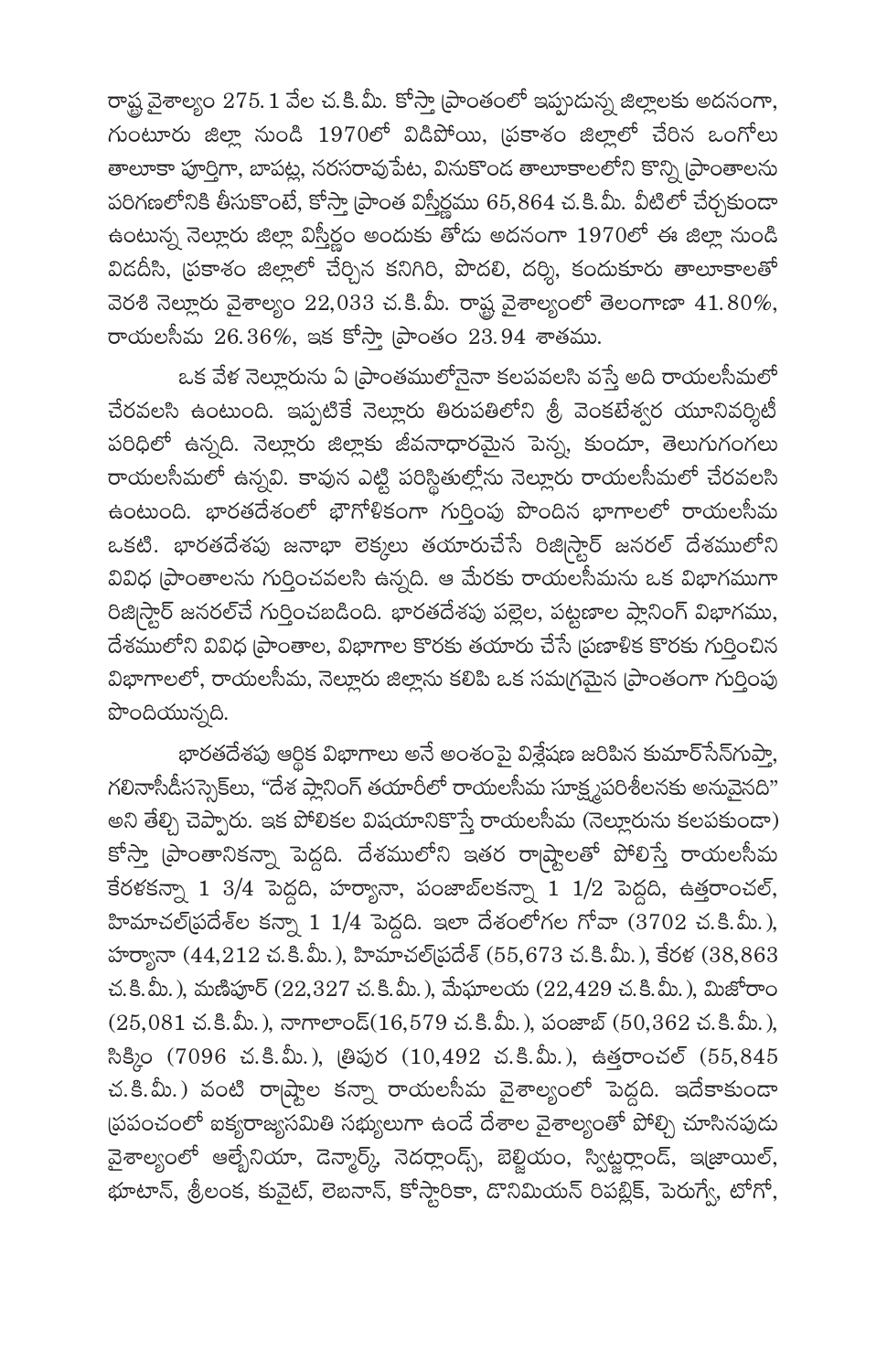రాష్ట్ర వైశాల్యం 275.1 వేల చ.కి.మీ. కోస్తా [ఫాంతంలో ఇప్పుడున్న జిల్లాలకు అదనంగా, గుంటూరు జిల్లా నుండి 1970లో విడిపోయి, (పకాశం జిల్లాలో చేరిన ఒంగోలు తాలూకా పూర్తిగా, బాపట్ల, నరసరావుపేట, వినుకొండ తాలూకాలలోని కొన్ని [పాంతాలను పరిగణలోనికి తీసుకొంటే, కోస్తా [ఫాంత విస్తీర్ణము 65,864 చ.కి.మీ. వీటిలో చేర్చకుందా ఉంటున్న నెల్లూరు జిల్లా విస్తీర్ణం అందుకు తోడు అదనంగా 1970లో ఈ జిల్లా నుండి విడదీసి, (పకాశం జిల్లాలో చేర్చిన కనిగిరి, పొదలి, దర్శి, కందుకూరు తాలూకాలతో వెరశి నెల్లూరు వైశాల్యం 22,033 చ.కి.మీ. రాష్ట్ర వైశాల్యంలో తెలంగాణా  $41.80\%$ , రాయలసీమ  $26.36\%$ , ఇక కోస్తా [పాంతం  $23.94$  శాతము.

ఒక వేళ నెల్లూరును ఏ ప్రాంతములోనైనా కలపవలసి వస్తే అది రాయలసీమలో చేరవలసి ఉంటుంది. ఇప్పటికే నెల్లూరు తిరుపతిలోని శ్రీ వెంకటేశ్వర యూనివర్శిటీ పరిధిలో ఉన్నది. నెల్లూరు జిల్లాకు జీవనాధారమైన పెన్న, కుందూ, తెలుగుగంగలు రాయలసీమలో ఉన్నవి. కావున ఎట్టి పరిస్థితుల్లోను నెల్లూరు రాయలసీమలో చేరవలసి ఉంటుంది. భారతదేశంలో భౌగోళికంగా గుర్తింపు పొందిన భాగాలలో రాయలసీమ ఒకటి. భారతదేశపు జనాభా లెక్కలు తయారుచేసే రిజి|స్తార్ జనరల్ దేశములోని వివిధ [పాంతాలను గుర్తించవలసి ఉన్నది. ఆ మేరకు రాయలసీమను ఒక విభాగముగా రిజి|స్తార్ జనరల్చే గుర్తించబడింది. భారతదేశపు పల్లెల, పట్టణాల ప్లానింగ్ విభాగము, దేశములోని వివిధ (పాంతాల, విభాగాల కొరకు తయారు చేసే (పణాళిక కొరకు గుర్తించిన విభాగాలలో, రాయలసీమ, నెల్లూరు జిల్లాను కలిపి ఒక సమగ్రమైన [పాంతంగా గుర్తింపు పొందియున్నది.

భారతదేశపు అర్ధిక విభాగాలు అనే అంశంపై విశ్లేషణ జరిపిన కుమార్సేన్గుప్తా, గలినాసీడీసస్సెక్లు, "దేశ ప్లానింగ్ తయారీలో రాయలసీమ సూక్ష్మపరిశీలనకు అనువైనది" అని తేల్చి చెప్పారు. ఇక పోలికల విషయానికొస్తే రాయలసీమ (నెల్లూరును కలపకుండా) కోస్తా ప్రాంతానికన్నా పెద్దది. దేశములోని ఇతర రాయ్ధిలతో పోలిస్తే రాయలసీమ కేరళకన్నా 1 3/4 పెద్దది, హర్యానా, పంజాబ్లకన్నా  $1$  1/2 పెద్దది, ఉత్తరాంచల్, హిమాచల్[పదేశ్ల కన్నా 1 1/4 పెద్దది. ఇలా దేశంలోగల గోవా  $(3702$  చ.కి.మీ.), హర్యానా (44,212 చ.కి.మీ.), హిమాచల్(పదేశ్ (55,673 చ.కి.మీ.), కేరళ (38,863 చ.కి.మీ.), మణిపూర్ (22,327 చ.కి.మీ.), మేఘాలయ (22,429 చ.కి.మీ.), మిజోరాం  $(25,081$  చ.కి.మీ.), నాగాలాంద్ $(16,579$  చ.కి.మీ.), పంజాబ్  $(50,362$  చ.కి.మీ.), సిక్కిం (7096 చ.కి.మీ.), త్రిపుర (10,492 చ.కి.మీ.), ఉత్తరాంచల్ (55,845 చ.కి.మీ.) వంటి రాయ్ధ్రాల కన్నా రాయలసీమ వైశాల్యంలో పెద్దది. ఇదేకాకుండా యపంచంలో ఐక్యరాజ్యసమితి సభ్యులుగా ఉండే దేశాల వైశాల్యంతో పోల్చి చూసినపుడు వైశాల్యంలో ఆల్బేనియా, డెన్మార్క్, నెదర్లాండ్స్, బెల్జియం, స్విట్జర్లాండ్, ఇజాయిల్, భూటాన్, శ్రీలంక, కువైట్, లెబనాన్, కోస్టారికా, డొనిమియన్ రిపబ్లిక్, పెరుగ్వే, టోగో,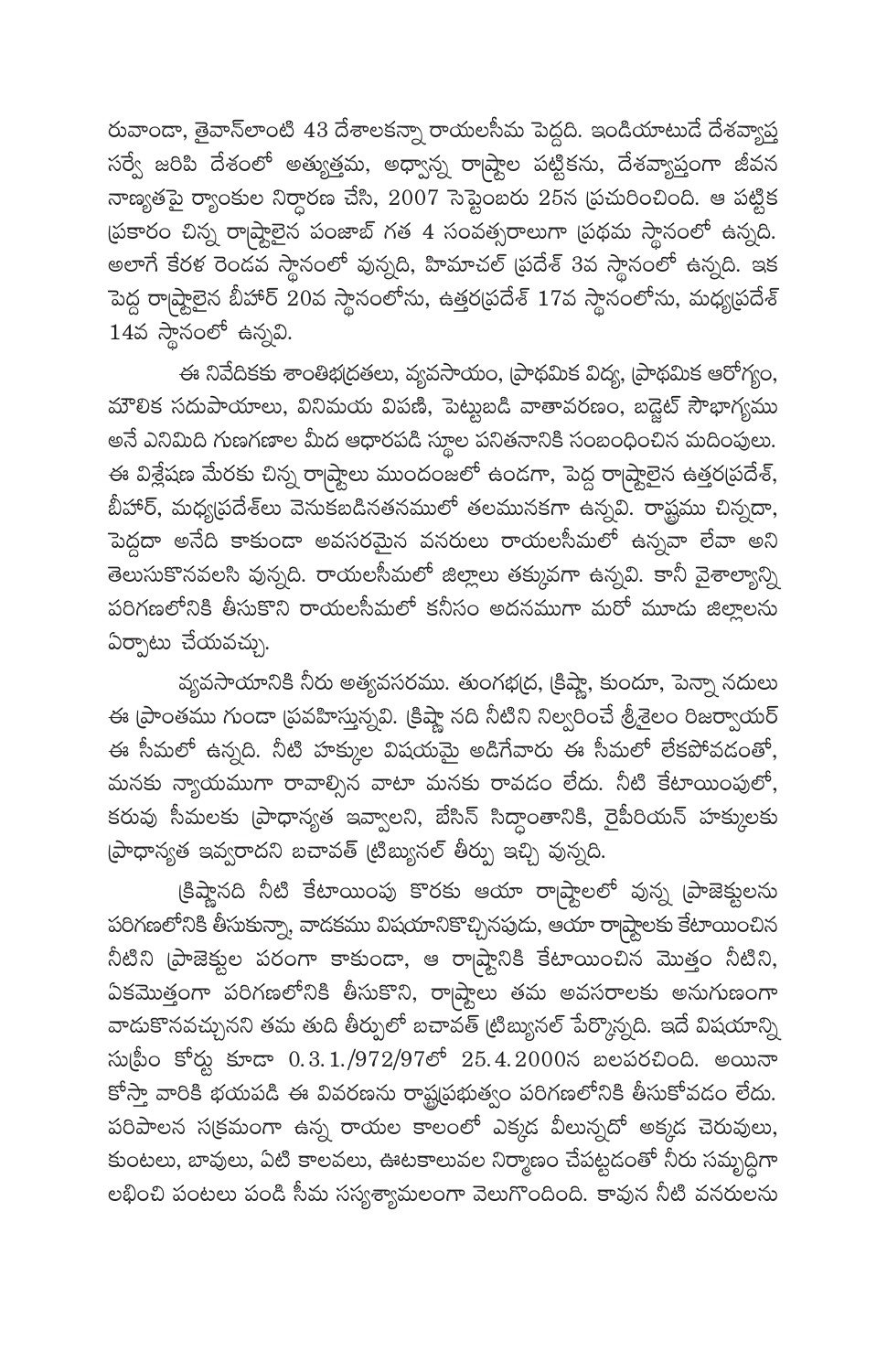రువాండా, తైవాన్లాంటి 43 దేశాలకన్నా రాయలసీమ పెద్దది. ఇండియాటుడే దేశవ్యాప్త సర్వే జరిపి దేశంలో అత్యుత్తమ, అధ్వాన్న రాయ్టైల పట్టికను, దేశవ్యాప్తంగా జీవన నాణ్యతపై ర్యాంకుల నిర్ధారణ చేసి, 2007 సెప్టెంబరు 25న (పచురించింది. ఆ పట్టిక డ్రుకారం చిన్న రాష్రాలైన పంజాబ్ గత 4 సంవత్సరాలుగా డ్రథమ స్థానంలో ఉన్నది. అలాగే కేరళ రెండవ స్థానంలో వున్నది, హిమాచల్ (పదేశ్ 3వ స్థానంలో ఉన్నది. ఇక పెద్ద రాృష్టాలైన బీహార్ 20వ స్థానంలోను, ఉత్తరప్రదేశ్ 17వ స్థానంలోను, మధ్యప్రదేశ్  $14$ వ స్థానంలో ఉన్నవి.

ఈ నివేదికకు శాంతిభద్రతలు, వ్యవసాయం, (పాథమిక విద్య, (పాథమిక ఆరోగ్యం, మౌలిక సదుపాయాలు, వినిమయ విపణి, పెట్టుబడి వాతావరణం, బడ్జెట్ సౌభాగ్యము అనే ఎనిమిది గుణగణాల మీద ఆధారపడి స్థూల పనితనానికి సంబంధించిన మదింపులు. ఈ విశ్లేషణ మేరకు చిన్న రాష్ట్రాలు ముందంజలో ఉండగా, పెద్ద రాష్ట్రాలైన ఉత్తర్మపదేశ్,<br>-,<br>బీహార్, మధ్యపదేశ్లు వెనుకబడినతనములో తలమునకగా ఉన్నవి. రాష్ట్రము చిన్నదా, పెద్దదా అనేది కాకుండా అవసరమైన వనరులు రాయలసీమలో ఉన్నవా లేవా అని తెలుసుకొనవలసి వున్నది. రాయలసీమలో జిల్లాలు తక్కువగా ఉన్నవి. కానీ వైశాల్యాన్ని .<br>పరిగణలోనికి తీసుకొని రాయలసీమలో కనీసం అదనముగా మరో మూడు జిల్లాలను ఏర్పాటు చేయవచ్చు.

వ్యవసాయానికి నీరు అత్యవసరము. తుంగభ(ద, క్రిష్ణా, కుందూ, పెన్నా నదులు ఈ [పాంతము గుండా [పవహిస్తున్నవి. [కిష్ణా నది నీటిని నిల్వరించే శ్రీశైలం రిజర్వాయర్ ఈ సీమలో ఉన్నది. నీటి హక్కుల విషయమై అడిగేవారు ఈ సీమలో లేకపోవడంతో, మనకు న్యాయముగా రావాల్సిన వాటా మనకు రావడం లేదు. నీటి కేటాయింపులో, కరువు సీమలకు (పాధాన్యత ఇవ్వాలని, బేసిన్ సిద్ధాంతానికి, రైపీరియన్ హక్కులకు (పాధాన్యత ఇవ్వరాదని బచావత్ (టిబ్యునల్ తీర్పు ఇచ్చి వున్నది.

క్రిష్ణానది నీటి కేటాయింపు కొరకు ఆయా రాయ్ట్రిలలో వున్న [పాజెక్టులను పరిగణలోనికి తీసుకున్నా, వాడకము విషయానికొచ్చినపుడు, ఆయా రాష్ట్రాలకు కేటాయించిన నీటిని (పాజెక్టుల పరంగా కాకుండా, ఆ రాష్ర్టానికి కేటాయించిన మొత్తం నీటిని, వాదుకొనవచ్చునని తమ తుది తీర్పులో బచావత్ (టిబ్యునల్ పేర్కొన్నది. ఇదే విషయాన్ని సుటీం కోర్టు కూడా 0.3.1./972/97లో 25.4.2000న ఐలపరచింది. అయినా కోస్తా వారికి భయపడి ఈ వివరణను రాష్ట్రపభుత్వం పరిగణలోనికి తీసుకోవడం లేదు. పరిపాలన స(కమంగా ఉన్న రాయల కాలంలో ఎక్కడ వీలున్నదో అక్కడ చెరువులు, కుంటలు, బావులు, ఏటి కాలవలు, ఊటకాలువల నిర్మాణం చేపట్టడంతో నీరు సమృద్ధిగా లభించి పంటలు పండి సీమ సస్యశ్యామలంగా వెలుగొందింది. కావున నీటి వనరులను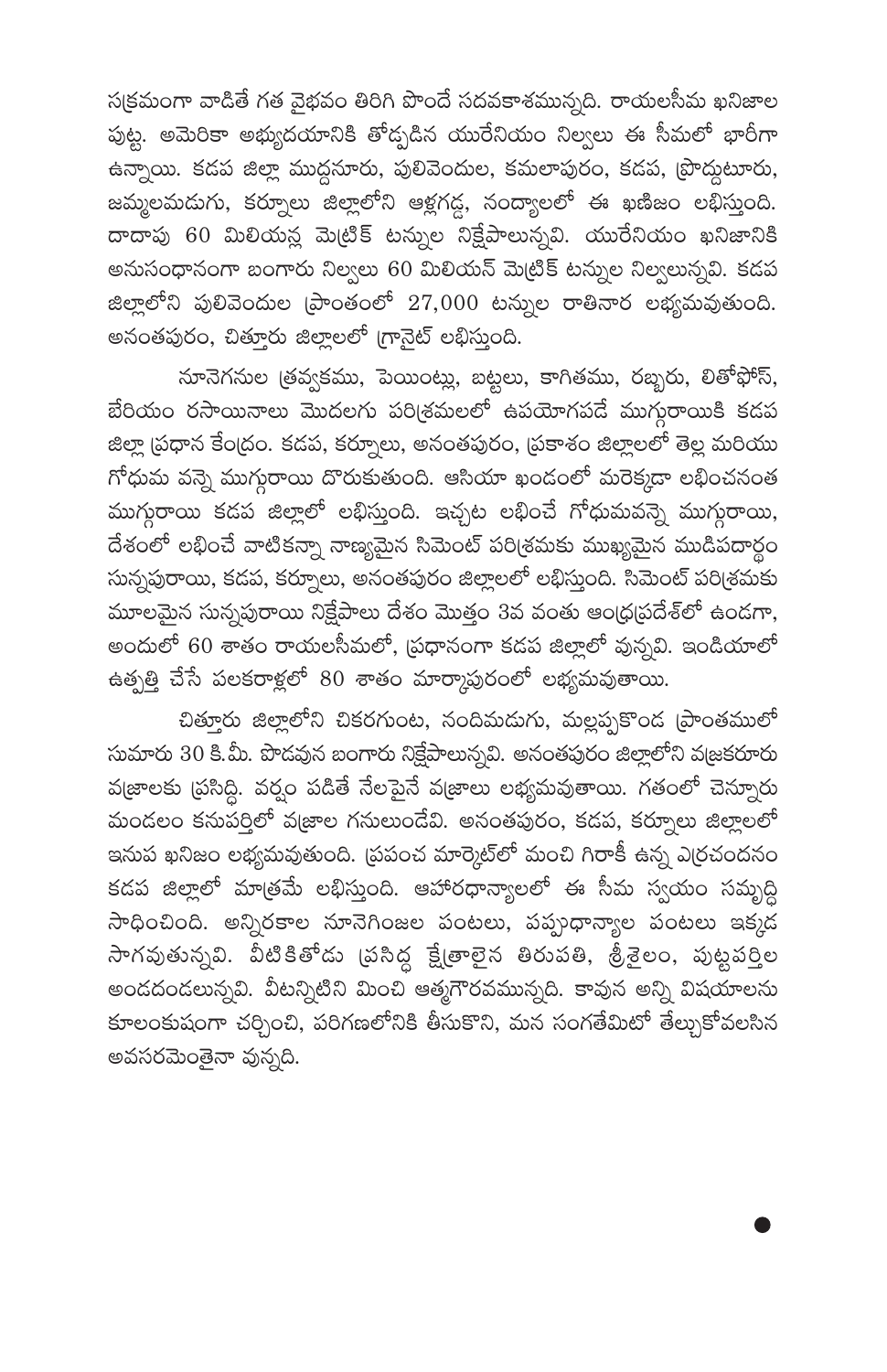స(క్రమంగా వాడితే గత వైభవం తిరిగి పొందే సదవకాశమున్నది. రాయలసీమ ఖనిజాల పుట్ట. అమెరికా అభ్యుదయానికి తోడ్పడిన యురేనియం నిల్వలు ఈ సీమలో భారీగా ఉన్నాయి. కడప జిల్లా ముద్దనూరు, పులివెందుల, కమలాపురం, కడప, [పొద్దటూరు, .<br>జమ్మలమదుగు, కర్నూలు జిల్లాలోని ఆళ్లగడ్డ, నంద్యాలలో ఈ ఖణిజం లభిస్తుంది. దాదాపు 60 మిలియన్ల మెట్రిక్ టన్నుల నిక్షేపాలున్నవి. యురేనియం ఖనిజానికి అనుసంధానంగా బంగారు నిల్వలు 60 మిలియన్ మెట్రిక్ టన్నుల నిల్వలున్నవి. కడప .<br>జిల్లాలోని పులివెందుల [పాంతంలో 27,000 టస్నుల రాతినార లభ్యమవుతుంది. అనంతపురం, చిత్తూరు జిల్లాలలో (గానైట్ లభిస్తుంది.

నూనెగనుల (తవ్వకము, పెయింట్లు, బట్టలు, కాగితము, రబ్బరు, లితోఫోస్, బేరియం రసాయినాలు మొదలగు పరి<sub>(</sub>శమలలో ఉపయోగపడే ముగ్గురాయికి కడప జిల్లా (ప్రధాన కేంద్రం. కడప, కర్నూలు, అనంతపురం, (పకాశం జిల్లాలలో తెల్ల మరియు గోధుమ వన్నె ముగ్గురాయి దొరుకుతుంది. ఆసియా ఖండంలో మరెక్కడా లభించనంత ముగ్గరాయి కడప జిల్లలో లభిస్తుంది. ఇచ్చట లభించే గోధుమవన్నె ముగ్గరాయి, దేశంలో లభించే వాటికన్నా నాణ్యమైన సిమెంట్ పరి(శమకు ముఖ్యమైన ముడిపదార్థం సున్నపురాయి, కడప, కర్నూలు, అనంతపురం జిల్లాలలో లభిస్తుంది. సిమెంట్ పరి[శమకు మూలమైన సున్నపురాయి నిక్షేపాలు దేశం మొత్తం 3వ వంతు ఆంధ్రప్రదేశ్లో ఉండగా, అందులో 60 శాతం రాయలసీమలో, (పధానంగా కడప జిల్లాలో వున్నవి. ఇండియాలో ఉత్పత్తి చేసే పలకరాళ్లలో 80 శాతం మార్కాపురంలో లభ్యమవుతాయి.

చితూరు జిల్లాలోని చికరగుంట, నందిమడుగు, మల్లప్పకొండ (పాంతములో సుమారు 30 కి.మీ. పొడవున బంగారు నిక్షేపాలున్నవి. అనంతపురం జిల్లాలోని వ్రజకరూరు వ(జాలకు (పసిద్ది. వర్షం పడితే నేలపైనే వ(జాలు లభ్యమవుతాయి. గతంలో చెన్నూరు మండలం కనుపర్తిలో వజ్రాల గనులుండేవి. అనంతపురం, కడప, కర్నూలు జిల్లాలలో ఇనుప ఖనిజం లభ్యమవుతుంది. (పపంచ మార్కెట్లో మంచి గిరాకీ ఉన్న ఎ(్రచందనం కడప జిల్లాలో మాత్రమే లభిస్తుంది. ఆహారధాన్యాలలో ఈ సీమ స్వయం సమృద్ధి సాధించింది. అన్నిరకాల నూనెగింజల పంటలు, పప్పుధాన్యాల పంటలు ఇక్కడ సాగవుతున్నవి. వీటికితోడు (పసిద్ధ క్షేత్రాలైన తిరుపతి, శ్రీశైలం, పుట్టపర్తిల అందదందలున్నవి. వీటన్నిటిని మించి ఆత్మగౌరవమున్నది. కావున అన్ని విషయాలను కూలంకుషంగా చర్చించి, పరిగణలోనికి తీసుకొని, మన సంగతేమిటో తేల్చుకోవలసిన అవసరమెంతైనా వున్నది.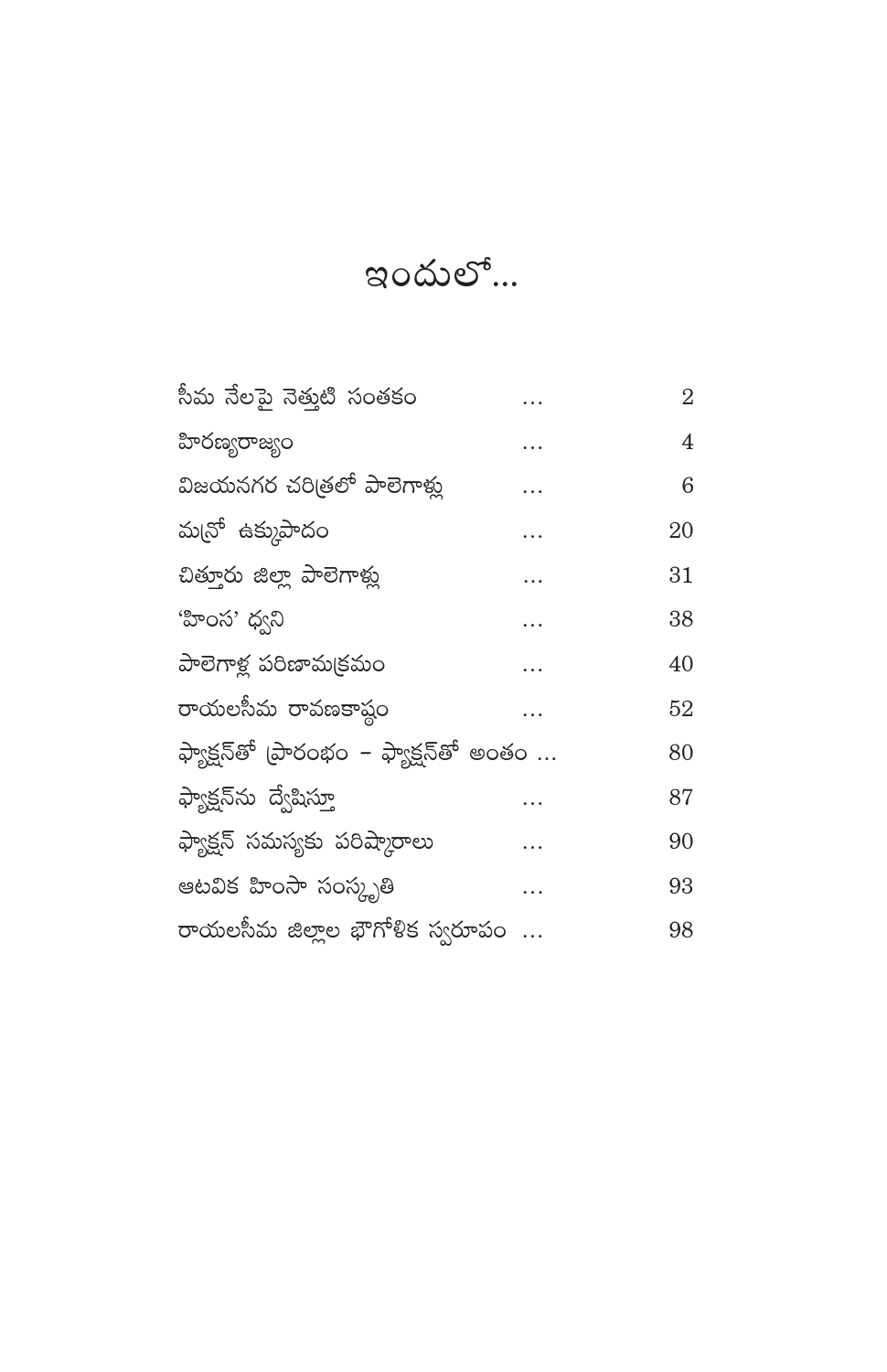ఇందులో...

| సీమ నేలపై నెత్తుటి సంతకం               |   | 2  |
|----------------------------------------|---|----|
| హిరణ్యరాజ్యం                           | . | 4  |
| విజయనగర చరిత్రలో పాలెగాళ్లు            |   | 6  |
| మ(నో ఉక్కుపాదం                         | . | 20 |
| చిత్తూరు జిల్లా పాలెగాళ్లు             |   | 31 |
| 'హింస' ధ్వని                           |   | 38 |
| పాలెగాళ్ల పరిణామక్రమం                  | . | 40 |
| రాయలసీమ రావణకాష్టం                     | . | 52 |
| ఫ్యాక్షన్తో (పారంభం – ఫ్యాక్షన్తో అంతం |   | 80 |
| ఫ్యాక్షన్సు ద్వేషిస్తూ                 |   | 87 |
| ఫ్యాక్షన్ సమస్యకు పరిష్కారాలు          |   | 90 |
| ఆటవిక హింసా సంస్కృతి                   |   | 93 |
| రాయలసీమ జిల్లాల భౌగోళిక స్వరూపం        |   | 98 |
|                                        |   |    |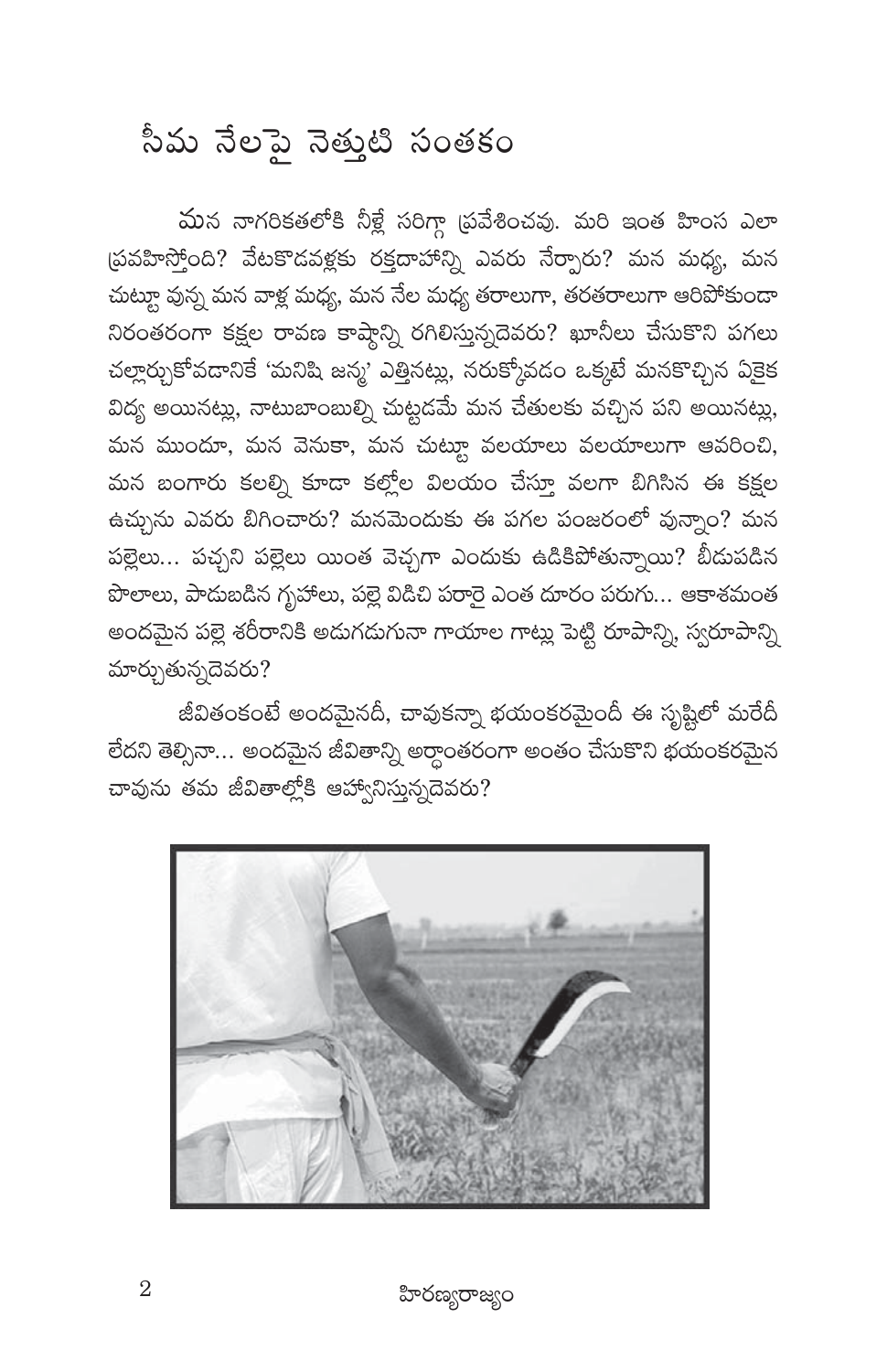## సీమ నేలపై నెత్తుటి సంతకం

మన నాగరికతలోకి నీళ్లే సరిగ్గా ప్రవేశించవు. మరి ఇంత హింస ఎలా స్రవహిస్తోంది? వేటకొడవళ్లకు రక్తదాహాన్ని ఎవరు నేర్పారు? మన మధ్య, మన చుట్టూ వున్న మన వాళ్ల మధ్య, మన నేల మధ్య తరాలుగా, తరతరాలుగా ఆరిపోకుండా నిరంతరంగా కక్షల రావణ కాష్ఠాన్ని రగిలిస్తున్నదెవరు? ఖూనీలు చేసుకొని పగలు చల్లార్చుకోవడానికే 'మనిషి జన్మ' ఎత్తినట్లు, నరుక్కోవడం ఒక్కటే మనకొచ్చిన ఏకైక విద్య అయినట్లు, నాటుబాంబుల్ని చుట్టడమే మన చేతులకు వచ్చిన పని అయినట్లు, మన ముందూ, మన వెనుకా, మన చుట్టూ వలయాలు వలయాలుగా ఆవరించి, మన బంగారు కలల్ని కూడా కల్లోల విలయం చేస్తూ వలగా బిగిసిన ఈ కక్షల ఉచ్చును ఎవరు బిగించారు? మనమెందుకు ఈ పగల పంజరంలో వున్నాం? మన పల్లెలు... పచ్చని పల్లెలు యింత వెచ్చగా ఎందుకు ఉడికిపోతున్నాయి? బీదుపడిన పొలాలు, పాదుబడిన గృహాలు, పల్లె విడిచి పరారై ఎంత దూరం పరుగు... ఆకాశమంత అందమైన పల్లె శరీరానికి అడుగడుగునా గాయాల గాట్లు పెట్టి రూపాన్ని, స్వరూపాన్ని మార్చుతున్నదెవరు?

జీవితంకంటే అందమైనదీ, చావుకన్నా భయంకరమైందీ ఈ సృష్టిలో మరేదీ లేదని తెల్సినా... అందమైన జీవితాన్ని అర్ధాంతరంగా అంతం చేసుకొని భయంకరమైన చావును తమ జీవితాల్లోకి ఆహ్వానిస్తున్నదెవరు?

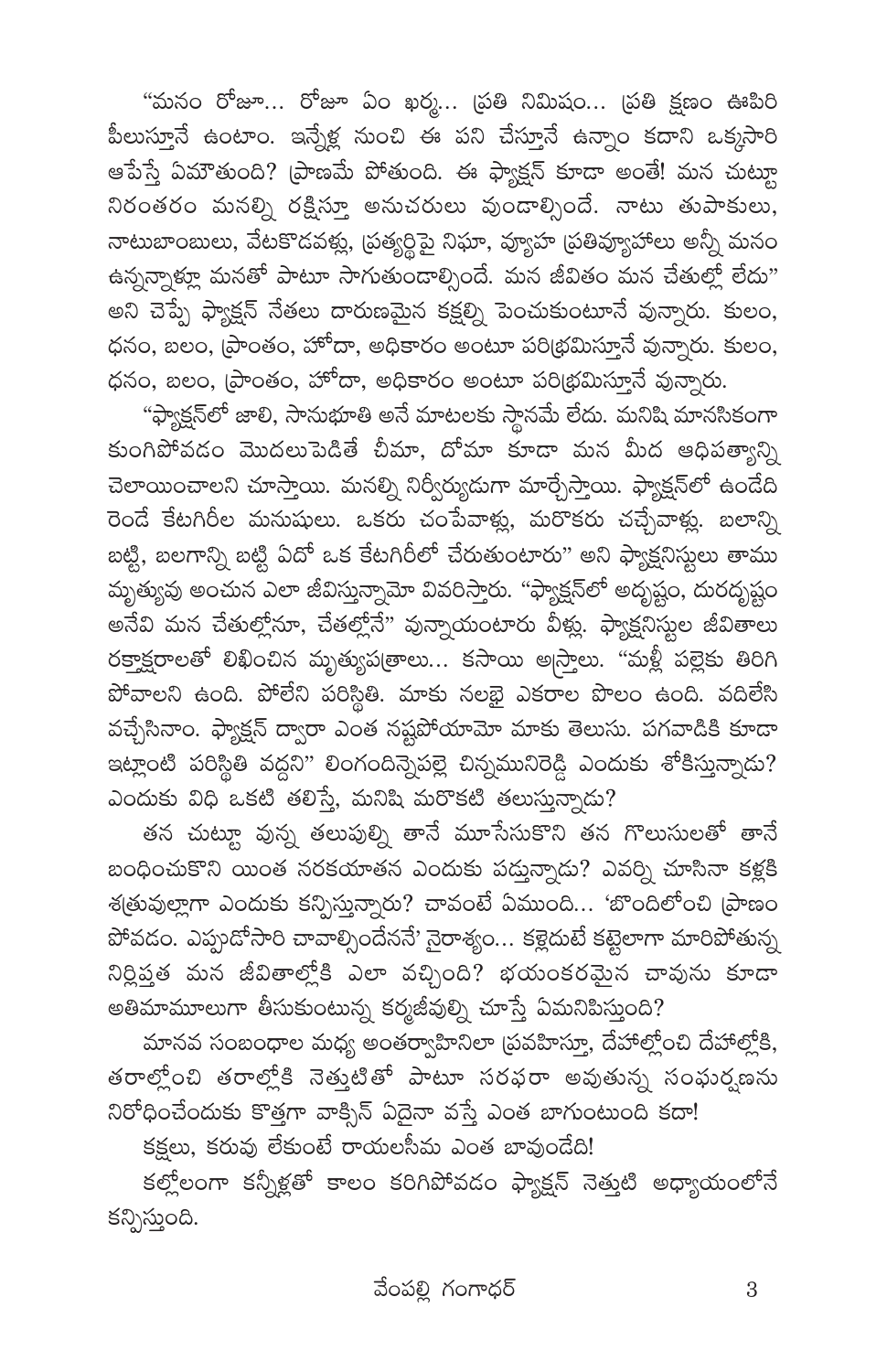"మనం రోజూ… రోజూ ఏం ఖర్మ… (పతి నిమిషం… (పతి క్షణం ఊపిరి .<br>పీలుస్తూనే ఉంటాం. ఇన్నేళ్ల నుంచి ఈ పని చేస్తూనే ఉన్నాం కదాని ఒక్కసారి ఆపేస్తే ఏమౌతుంది? [పాణమే పోతుంది. ఈ ఫ్యాక్షన్ కూడా అంతే! మన చుట్టూ నిరంతరం మనల్ని రక్షిస్తూ అనుచరులు వుండాల్సిందే. నాటు తుపాకులు, నాటుబాంబులు, వేటకొడవళ్లు, (పత్యర్థిపై నిఘా, వ్యూహ (పతివ్యూహాలు అన్నీ మనం ఉన్నన్నాళ్లూ మనతో పాటూ సాగుతుందాల్సిందే. మన జీవితం మన చేతుల్లో లేదు" అని చెప్పే ఫ్యాక్షన్ నేతలు దారుణమైన కక్షల్ని పెంచుకుంటూనే వున్నారు. కులం, ధనం, బలం, ప్రాంతం, హోదా, అధికారం అంటూ పరి(భమిస్తూనే వున్నారు. కులం, ధనం, బలం, [పాంతం, హోదా, అధికారం అంటూ పరి(్రమిస్తూనే వున్నారు.

"ఫ్యాక్షన్లో జాలి, సానుభూతి అనే మాటలకు స్థానమే లేదు. మనిషి మానసికంగా .<br>కుంగిపోవడం మొదలుపెడితే చీమా, దోమా కూడా మన మీద ఆధిపత్యాన్ని చెలాయించాలని చూస్తాయి. మనల్ని నిర్వీర్యుడుగా మార్చేస్తాయి. ఫ్యాక్షన్లో ఉండేది రెండే కేటగిరీల మనుషులు. ఒకరు చంపేవాళ్లు, మరొకరు చచ్చేవాళ్లు. బలాన్ని బట్టి, బలగాన్ని బట్టి ఏదో ఒక కేటగిరీలో చేరుతుంటారు" అని ఫ్యాక్షనిస్తులు తాము మృత్యవు అంచున ఎలా జీవిస్తున్నామో వివరిస్తారు. "ఫ్యాక్షన్లో అదృష్టం, దురదృష్టం అనేవి మన చేతుల్లోనూ, చేతల్లోనే" వున్నాయంటారు వీళ్లు. ఫ్యాక్షనిస్టుల జీవితాలు రక్తాక్షరాలతో లిఖించిన మృత్యప(తాలు... కసాయి అన్త్రాలు. "మళ్లీ పల్లెకు తిరిగి పోవాలని ఉంది. పోలేని పరిస్థితి. మాకు నలభై ఎకరాల పొలం ఉంది. వదిలేసి వచ్చేసినాం. ఫ్యాక్షన్ ద్వారా ఎంత నష్టపోయామో మాకు తెలుసు. పగవాడికి కూడా ఇట్లాంటి పరిస్థితి వద్దని" లింగందిన్నెపల్లె చిన్నమునిరెడ్డి ఎందుకు శోకిస్తున్నాడు? ఎందుకు విధి ఒకటి తలిస్తే, మనిషి మరొకటి తలుస్తున్నాడు?

తన చుట్టూ వున్న తలుపుల్ని తానే మూసేసుకొని తన గొలుసులతో తానే బంధించుకొని యింత నరకయాతన ఎందుకు పద్తున్నాదు? ఎవర్ని చూసినా కళ్లకి శ(తువుల్లాగా ఎందుకు కన్పిస్తున్నారు? చావంటే ఏముంది... 'బొందిలోంచి [పాణం పోవడం. ఎప్పుడోసారి చావాల్సిందేననే' నైరాశ్యం... కళ్లెదుటే కట్టెలాగా మారిపోతున్న నిర్లిప్తత మన జీవితాల్లోకి ఎలా వచ్చింది? భయంకరమైన చావును కూడా అతిమామూలుగా తీసుకుంటున్న కర్మజీవుల్ని చూస్తే ఏమనిపిస్తుంది?

మానవ సంబంధాల మధ్య అంతర్వాహినిలా ప్రవహిస్తూ, దేహాల్లోంచి దేహాల్లోకి, తరాల్లోంచి తరాల్లోకి నెత్తుటితో పాటూ సరఫరా అవుతున్న సంఘర్షణను నిరోధించేందుకు కొత్తగా వాక్సిన్ ఏదైనా వస్తే ఎంత బాగుంటుంది కదా!

కక్షలు, కరువు లేకుంటే రాయలసీమ ఎంత బావుందేది!

కల్లోలంగా కన్నీళ్లతో కాలం కరిగిపోవడం ఫ్యాక్షన్ నెత్తుటి అధ్యాయంలోనే కన్పిస్తుంది.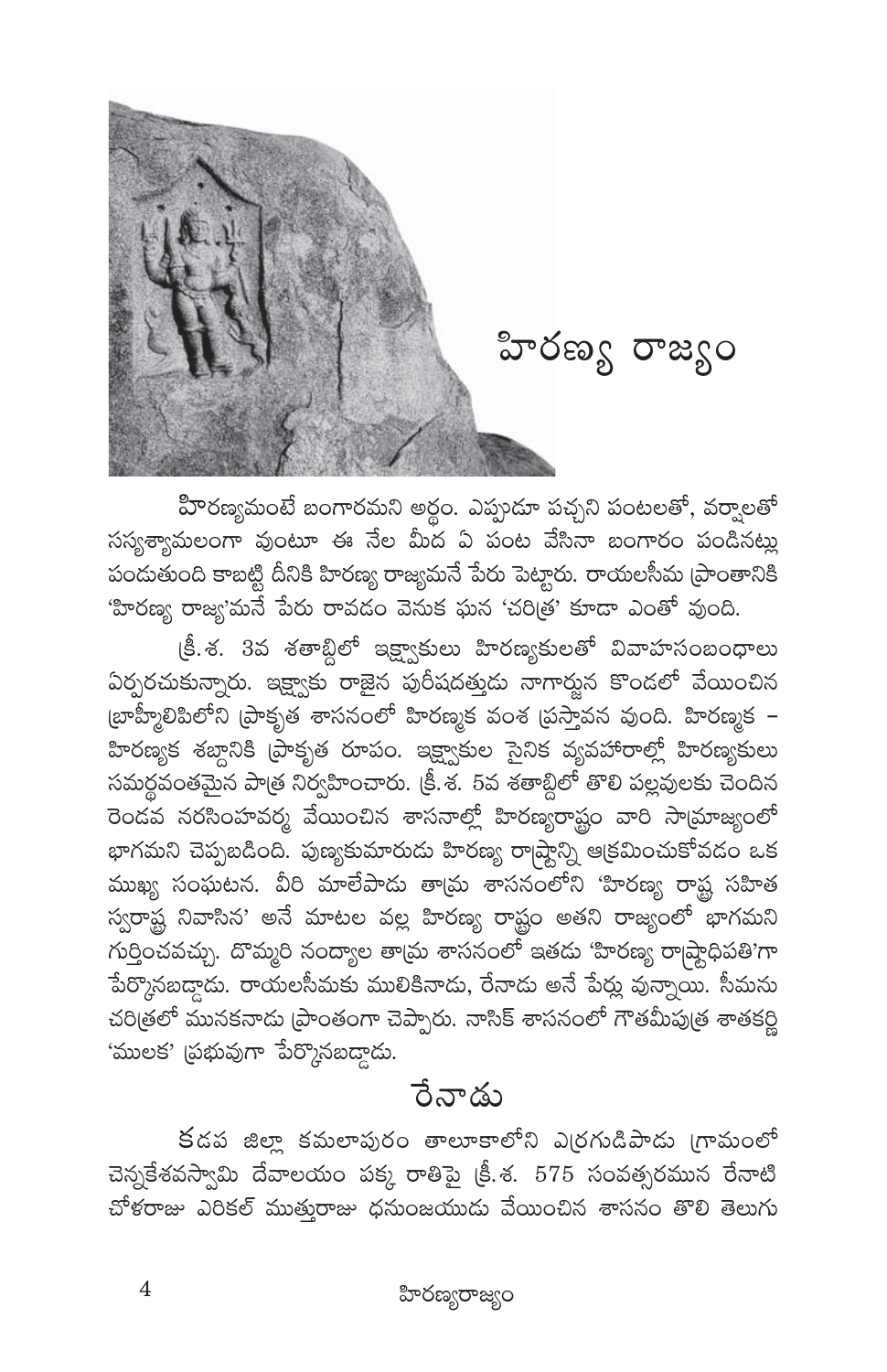

హిరణ్యమంటే బంగారమని అర్థం. ఎప్పుడూ పచ్చని పంటలతో, వర్వాలతో సస్యశ్యామలంగా వుంటూ ఈ నేల మీద ఏ పంట వేసినా బంగారం పండినటు పందుతుంది కాబట్టి దీనికి హిరణ్య రాజ్యమనే పేరు పెట్టారు. రాయలసీమ [పాంతానికి 'హిరణ్య రాజ్య'మనే పేరు రావడం వెనుక ఘన 'చరిత్రు' కూడా ఎంతో వుంది.

క్రీ.శ. 3వ శతాబ్దిలో ఇక్ష్వాకులు హిరణ్యకులతో వివాహసంబంధాలు ఏర్పరచుకున్నారు. ఇక్ష్వాకు రాజైన పురీషదత్తుడు నాగార్జున కొండలో వేయించిన |బాహ్మీలిపిలోని [పాకృత శాసనంలో హిరణ్మక వంశ (పస్తావన వుంది. హిరణ్మక – హిరణ్యక శబ్దానికి (పాకృత రూపం. ఇక్ష్వాకుల సైనిక వ్యవహారాల్లో హిరణ్యకులు సమర్థవంతమైన పాత్ర నిర్వహించారు. క్రీ. శ. 5వ శతాబ్దిలో తొలి పల్లవులకు చెందిన ాలు<br>రెండవ నరసింహవర్మ వేయించిన శాసనాల్లో హిరణ్యరాష్ట్రం వారి సామ్రాజ్యంలో భాగమని చెప్పబడింది. పుణ్యకుమారుడు హిరణ్య రా[ష్టాన్ని ఆ[కమించుకోవడం ఒక ముఖ్య సంఘటన. వీరి మాలేపాడు తామ శాసనంలోని 'హిరణ్య రాష్ట్ర సహిత స్వరాష్ట్ర నివాసిన' అనే మాటల వల్ల హిరణ్య రాష్ట్రం అతని రాజ్యంలో భాగమని గుర్తించవచ్చు. దొమ్మరి నంద్యాల తా[మ శాసనంలో ఇతడు 'హిరణ్య రా|ఫ్లాధిపతి'గా పేర్కానబడ్డాదు. రాయలసీమకు ములికినాడు, రేనాడు అనే పేర్లు వున్నాయి. సీమను చరిత్రలో మునకనాడు [పాంతంగా చెప్పారు. నాసిక్ శాసనంలో గౌతమీపు[త శాతకర్ణి 'ములక' (పభువుగా పేర్మొనబద్దాడు.

#### <u>రేనాడు</u>

కడప జిల్లా కమలాపురం తాలూకాలోని ఎర్రగుడిపాడు గ్రామంలో .<br>చెన్నకేశవస్వామి దేవాలయం పక్క రాతిపై క్రీ.శ. 575 సంవత్సరమున రేనాటి చోళరాజు ఎరికల్ ముత్తురాజు ధనుంజయుడు వేయించిన శాసనం తొలి తెలుగు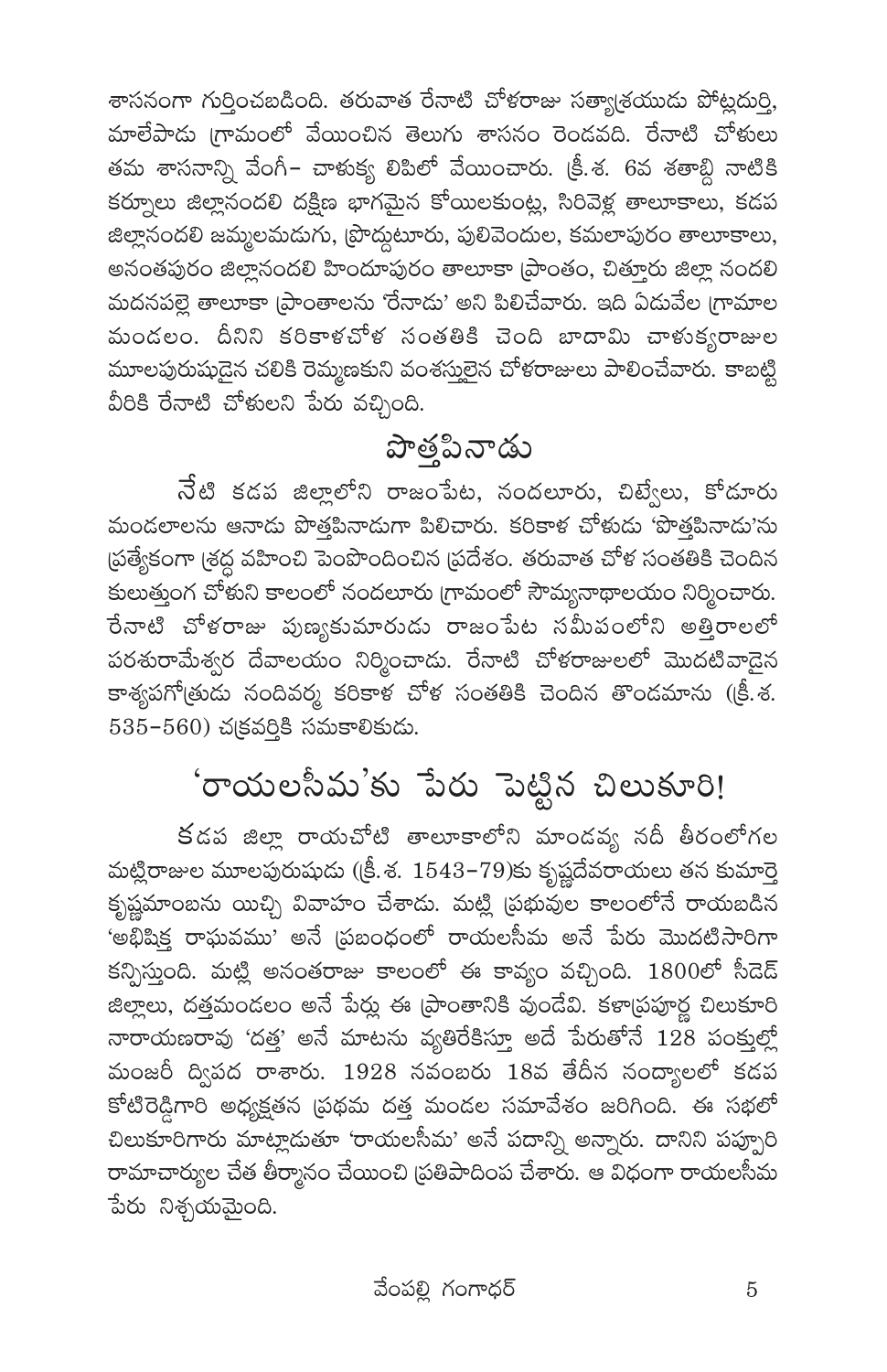శాసనంగా గుర్తించబడింది. తరువాత రేనాటి చోళరాజు సత్యాశ్రయుడు పోట్లదుర్తి, మాలేపాడు గ్రామంలో వేయించిన తెలుగు శాసనం రెండవది. రేనాటి చోళులు తమ శాసనాన్ని వేంగీ– చా<mark>ళుక్య లిపిలో వేయించారు. (కీ.శ. 6వ శతా</mark>బ్లి నాటికి .<br>కర్నూలు జిల్లానందలి దక్షిణ భాగమైన కోయిలకుంట్ల, సిరివెళ్ల తాలూకాలు, కడప జిల్హానందలి జమ్మలమడుగు, (పొద్దుటూరు, పులివెందుల, కమలాపురం తాలూకాలు, అనంతపురం జిల్లానందలి హిందూపురం తాలూకా (పాంతం, చిత్తూరు జిల్లా నందలి మదనపల్లె తాలూకా [పాంతాలను 'రేనాడు' అని పిలిచేవారు. ఇది ఏడువేల (గామాల మండలం. దీనిని కరికాళచోళ సంతతికి చెంది బాదామి చాళుక్యరాజుల మూలపురుషుడైన చలికి రెమ్మణకుని వంశసులైన చోళరాజులు పాలించేవారు. కాబట్టి వీరికి రేనాటి చోళులని పేరు వచ్చింది.

### పొత్తపినాడు

నేటి కడప జిల్లాలోని రాజంపేట, నందలూరు, చిట్వేలు, కోడూరు మండలాలను ఆనాడు పొత్తపినాదుగా పిలిచారు. కరికాళ చోళుడు 'పొత్తపినాడు'ను ప్రత్యేకంగా (శద్ధ వహించి పెంపొందించిన ప్రదేశం. తరువాత చోళ సంతతికి చెందిన .<br>కులుతుంగ చోళుని కాలంలో నందలూరు (గామంలో సౌమ్యనాథాలయం నిర్మించారు. రేనాటి చోళరాజు పుణ్యకుమారుడు రాజంపేట సమీపంలోని అత్తిరాలలో పరశురామేశ్వర దేవాలయం నిర్మించాడు. రేనాటి చోళరాజులలో మొదటివాడైన కాశ్యపగోత్రుడు నందివర్మ కరికాళ చోళ సంతతికి చెందిన తొండమాను (క్రీ.శ.  $535 - 560$ ) చ(కవర్తికి సమకాలికుడు.

## 'రాయలసీమ'కు పేరు పెట్టిన చిలుకూరి!

కడప జిల్లా రాయచోటి తాలూకాలోని మాండవ్య నదీ తీరంలోగల మట్లిరాజుల మూలపురుషుడు (క్రీ.శ. 1543–79)కు కృష్ణదేవరాయలు తన కుమార్తె కృష్ణమాంబను యిచ్చి వివాహం చేశాడు. మట్లి ప్రభువుల కాలంలోనే రాయబడిన 'అభిషిక్త రాఘవము' అనే (పబంధంలో రాయలసీమ అనే పేరు మొదటిసారిగా కన్నిస్తుంది. మట్లి అనంతరాజు కాలంలో ఈ కావ్యం వచ్చింది. 1800లో సీదెద్ జిల్లాలు, దత్తమండలం అనే పేర్లు ఈ ప్రాంతానికి వుండేవి. కళాప్రపూర్ణ చిలుకూరి నారాయణరావు 'దత్త' అనే మాటను వ్యతిరేకిస్తూ అదే పేరుతోనే  $128$  పంక్తుల్లో మంజరీ ద్విపద రాశారు. 1928 నవంబరు 18వ తేదీన నంద్యాలలో కడప కోటిరెడ్డిగారి అధ్యక్షతన (పథమ దత్త మండల సమావేశం జరిగింది. ఈ సభలో చిలుకూరిగారు మాట్లాదుతూ 'రాయలసీమ' అనే పదాన్ని అన్నారు. దానిని పప్పూరి రామాచార్యుల చేత తీర్మానం చేయించి (పతిపాదింప చేశారు. ఆ విధంగా రాయలసీమ పేరు నిశ్చయమైంది.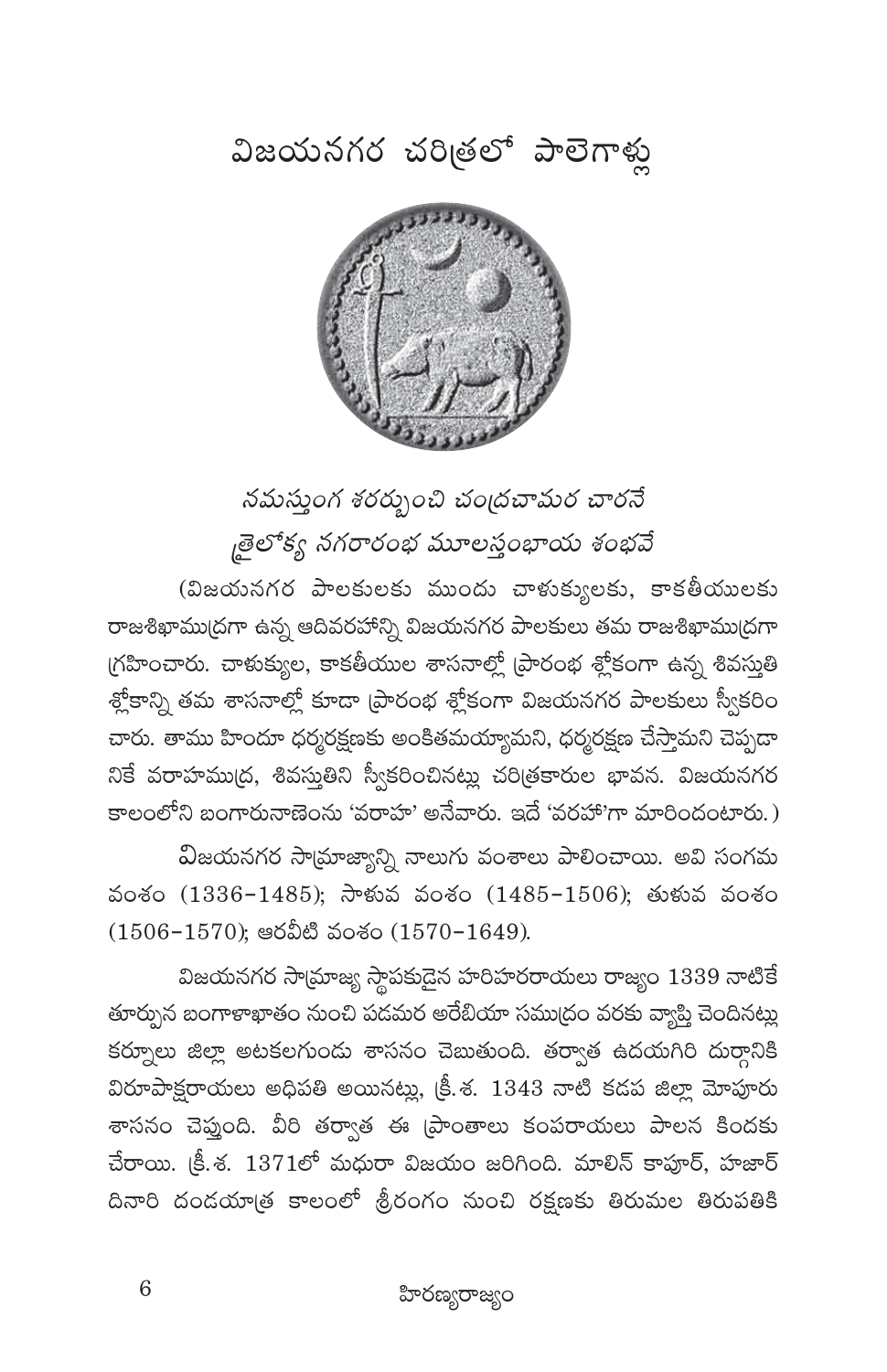



#### నమస్తుంగ శరర్భుంచి చంద్రచామర చారనే తైలోక్య నగరారంభ మూలస్తంభాయ శంభవే

(విజయనగర పాలకులకు ముందు చాళుక్యులకు, కాకతీయులకు రాజశిఖాముద్రగా ఉన్న ఆదివరహాన్ని విజయనగర పాలకులు తమ రాజశిఖాముద్రగా గ్రహించారు. చాళుక్యుల, కాకతీయుల శాసనాల్లో (పారంభ శ్లోకంగా ఉన్న శివస్తుతి శ్లోకాన్ని తమ శాసనాల్లో కూడా [పారంభ శ్లోకంగా విజయనగర పాలకులు స్వీకరిం చారు. తాము హిందూ ధర్మరక్షణకు అంకితమయ్యామని, ధర్మరక్షణ చేస్తామని చెప్పదా నికే వరాహముద్ర, శివస్తుతిని స్వీకరించినట్లు చరిత్రకారుల భావన. విజయనగర కాలంలోని బంగారునాణెంను 'వరాహ' అనేవారు. ఇదే 'వరహా'గా మారిందంటారు.)

విజయనగర సామ్రాజ్యాన్ని నాలుగు వంశాలు పాలించాయి. అవి సంగమ వంశం (1336-1485); సాళువ వంశం (1485-1506); తుళువ వంశం  $(1506 - 1570)$ : ఆరవీటి వంశం  $(1570 - 1649)$ .

విజయనగర సామ్రాజ్య స్థాపకుడైన హరిహరరాయలు రాజ్యం 1339 నాటికే తూర్పున బంగాళాఖాతం నుంచి పడమర అరేబియా సముద్రం వరకు వ్యాప్తి చెందినట్లు కర్నూలు జిల్లా అటకలగుండు శాసనం చెబుతుంది. తర్వాత ఉదయగిరి దుర్గానికి విరూపాక్షరాయలు అధిపతి అయినట్లు, క్రీ.శ. 1343 నాటి కడప జిల్లా మోపూరు శాసనం చెప్తుంది. వీరి తర్వాత ఈ ప్రాంతాలు కంపరాయలు పాలన కిందకు చేరాయి. (కీ.శ. 1371లో మధురా విజయం జరిగింది. మాలిన్ కాపూర్, హజార్ దినారి దండయా(త కాలంలో శ్రీరంగం నుంచి రక్షణకు తిరుమల తిరుపతికి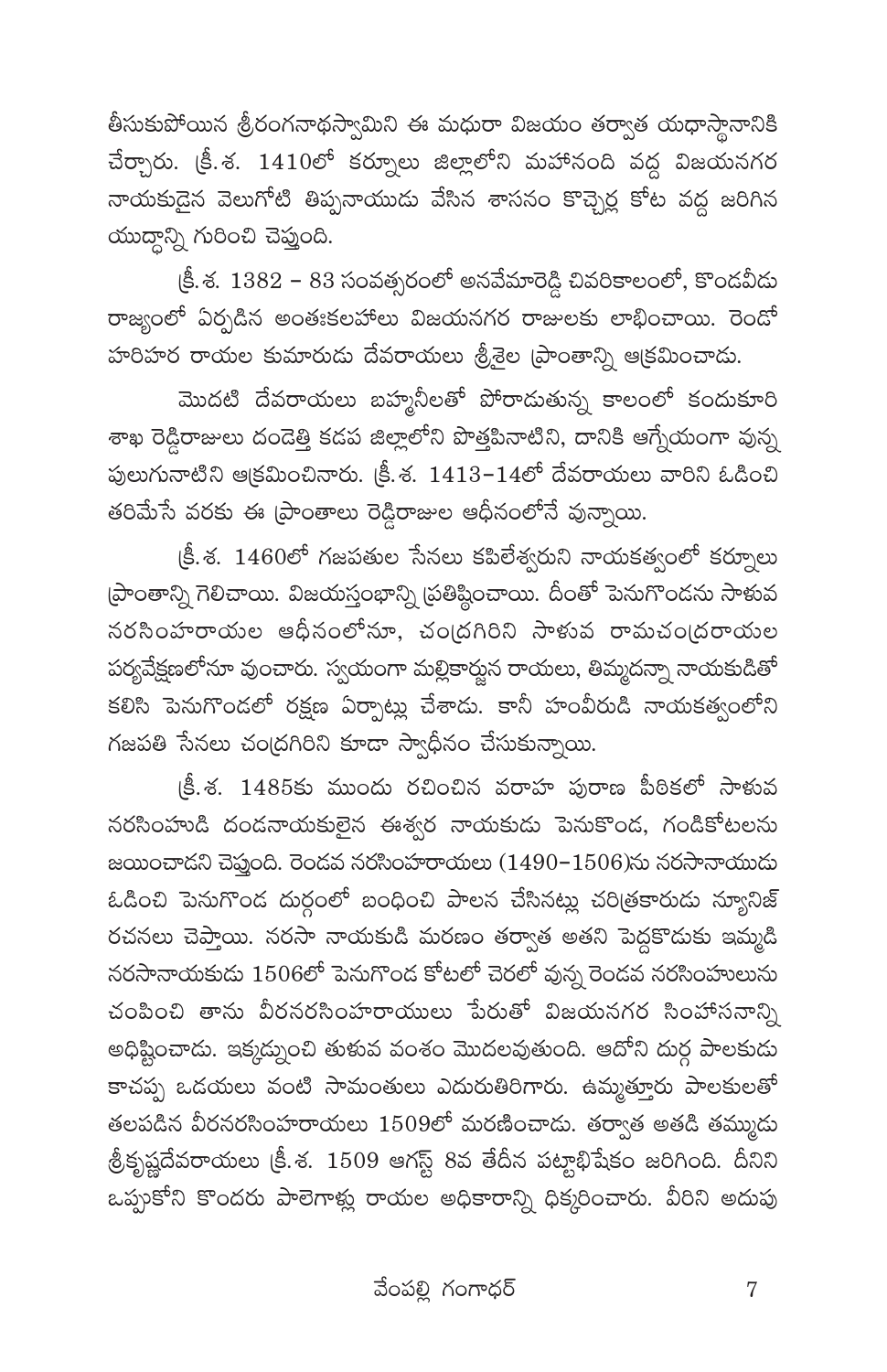తీసుకుపోయిన శ్రీరంగనాథస్వామిని ఈ మధురా విజయం తర్వాత యధాస్థానానికి చేర్చారు. క్రీ.శ. 1410లో కర్నూలు జిల్లాలోని మహానంది వద్ద విజయనగర నాయకుడైన వెలుగోటి తిప్పనాయుడు వేసిన శాసనం కొచ్చెర్ల కోట వద్ద జరిగిన యుద్దాన్ని గురించి చెప్తుంది.

క్రీ.శ. 1382 – 83 సంవత్సరంలో అనవేమారెడ్డి చివరికాలంలో, కొండవీడు రాజ్యంలో ఏర్పడిన అంతఃకలహాలు విజయనగర రాజులకు లాభించాయి. రెండో హరిహర రాయల కుమారుడు దేవరాయలు శ్రీశైల (పాంతాన్ని ఆక్రమించాడు.

మొదటి దేవరాయలు బహ్మనీలతో పోరాడుతున్న కాలంలో కందుకూరి శాఖ రెడ్డిరాజులు దండెత్తి కడప జిల్లాలోని పొత్తపినాటిని, దానికి ఆగ్నేయంగా వున్న ఫులుగునాటిని ఆక్రమించినారు. క్రీ.శ.  $1413-14$ లో దేవరాయలు వారిని ఓడించి తరిమేసే వరకు ఈ [పాంతాలు రెడ్డిరాజుల ఆధీనంలోనే వున్నాయి.

క్రీ.శ. 1460లో గజపతుల సేనలు కపిలేశ్వరుని నాయకత్వంలో కర్నూలు ప్రాంతాన్ని గెలిచాయి. విజయస్తంభాన్ని ప్రతిష్ఠించాయి. దీంతో పెనుగొండను సాళువ నరసింహరాయల అధీనంలోనూ, చం(దగిరిని సాళువ రామచం(దరాయల పర్యవేక్షణలోనూ వుంచారు. స్వయంగా మల్లికార్జున రాయలు, తిమ్మదన్నా నాయకుడితో కలిసి పెనుగొండలో రక్షణ ఏర్పాట్లు చేశాడు. కానీ హంవీరుడి నాయకత్వంలోని గజపతి సేనలు చంద్రగిరిని కూడా స్వాధీనం చేసుకున్నాయి.

క్రీ.శ. 1485కు ముందు రచించిన వరాహ పురాణ పీఠికలో సాళువ నరసింహుడి దండనాయకులైన ఈశ్వర నాయకుడు పెనుకొండ, గండికోటలను జయించాడని చెప్తుంది. రెండవ నరసింహరాయలు (1490-1506)ను నరసానాయుడు ఓడించి పెనుగొండ దుర్గంలో బంధించి పాలన చేసినట్లు చరిత్రకారుడు న్యూనిజ్ రచనలు చెప్తాయి. నరసా నాయకుడి మరణం తర్వాత అతని పెద్దకొడుకు ఇమ్మడి నరసానాయకుడు 1506లో పెనుగొంద కోటలో చెరలో వున్న రెండవ నరసింహులును చంపించి తాను వీరనరసింహరాయులు పేరుతో విజయనగర సింహాసనాన్ని అధిష్టించాదు. ఇక్కద్నుంచి తుళువ వంశం మొదలవుతుంది. ఆదోని దుర్గ పాలకుడు కాచప్ప ఒడయలు వంటి సామంతులు ఎదురుతిరిగారు. ఉమ్మత్తూరు పాలకులతో తలపడిన వీరనరసింహరాయలు 1509లో మరణించాడు. తర్వాత అతడి తమ్ముడు త్రీకృష్ణదేవరాయలు క్రీ.శ. 1509 ఆగస్ట్ 8వ తేదీన పట్టాభిషేకం జరిగింది. దీనిని ఒప్పుకోని కొందరు పాలెగాళ్లు రాయల అధికారాన్ని ధిక్కరించారు. వీరిని అదుపు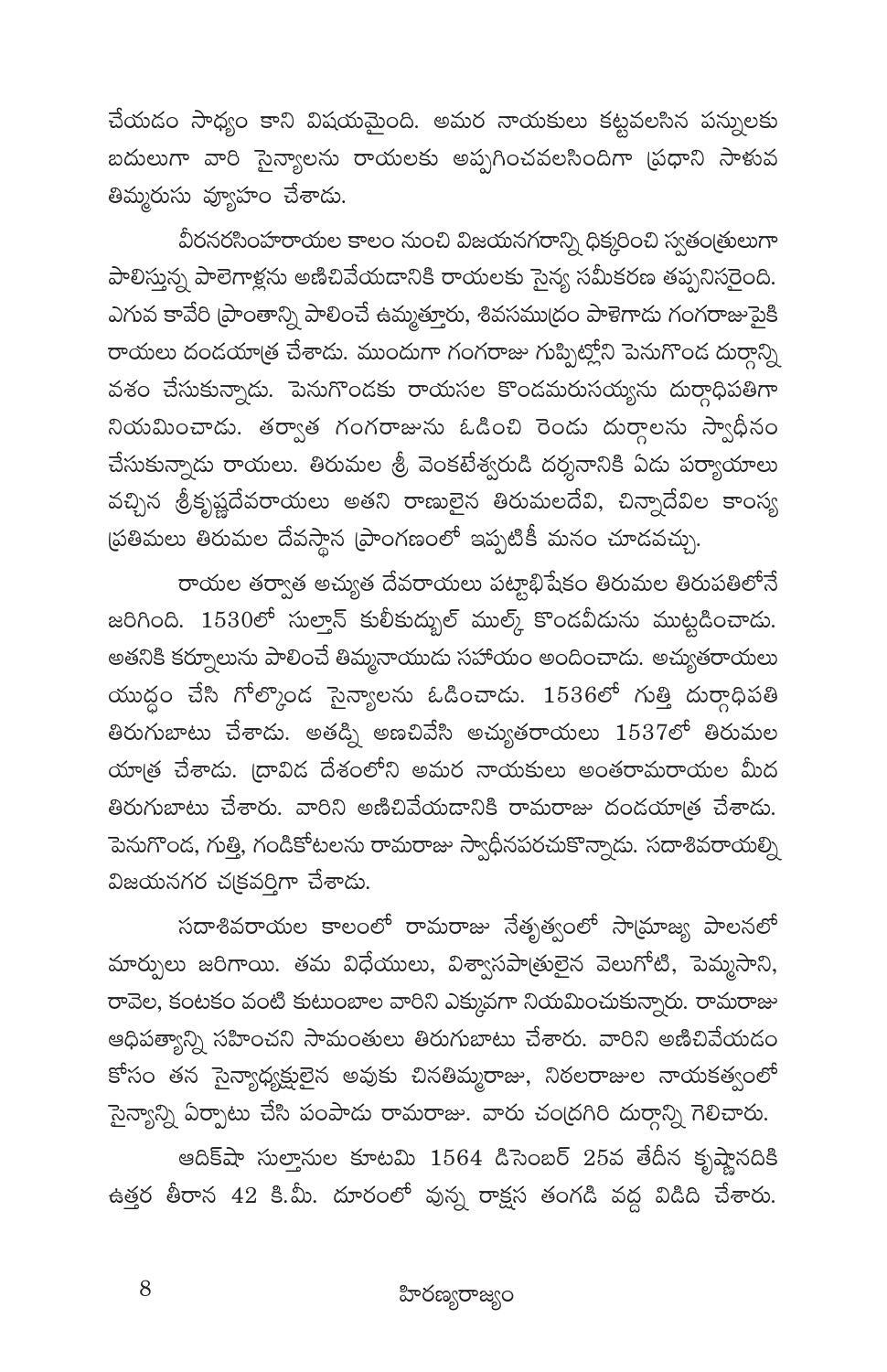చేయడం సాధ్యం కాని విషయమైంది. అమర నాయకులు కట్టవలసిన పన్నులకు బదులుగా వారి సైన్యాలను రాయలకు అప్పగించవలసిందిగా <mark>(పధాని సా</mark>ళువ తిమ్మరుసు వ్యూహం చేశాదు.

వీరనరసింహరాయల కాలం నుంచి విజయనగరాన్ని ధిక్కరించి స్వతం[తులుగా పాలిస్తున్న పాలెగాళ్లను అణిచివేయడానికి రాయలకు సైన్య సమీకరణ తప్పనిసరైంది. ఎగువ కావేరి [పాంతాన్ని పాలించే ఉమ్మత్తూరు, శివసము[దం పాకెగాడు గంగరాజుపైకి రాయలు దండయాత్ర చేశాడు. ముందుగా గంగరాజు గుప్పిట్లోని పెనుగొండ దుర్గాన్ని వశం చేసుకున్నాడు. పెనుగొండకు రాయసల కొండమరుసయ్యను దుర్గాధిపతిగా నియమించాడు. తర్వాత గంగరాజును ఓడించి రెండు దుర్గాలను స్వాధీనం .<br>చేసుకున్నాడు రాయలు. తిరుమల శ్రీ వెంకటేశ్వరుడి దర్శనానికి ఏడు పర్యాయాలు వచ్చిన త్రీకృష్ణదేవరాయలు అతని రాణులైన తిరుమలదేవి, చిన్నాదేవిల కాంస్య థ్రతిమలు తిరుమల దేవస్థాన (పాంగణంలో ఇప్పటికీ మనం చూడవచ్చు.

రాయల తర్వాత అచ్యుత దేవరాయలు పట్టాభిషేకం తిరుమల తిరుపతిలోనే జరిగింది. 1530లో సుల్తాన్ కులీకుద్బుల్ ముల్క్ కొండవీదును ముట్టడించాదు. అతనికి కర్నూలును పాలించే తిమ్మనాయుదు సహాయం అందించాదు. అచ్యుతరాయలు యుద్ధం చేసి గోల్కొండ సైన్యాలను ఓడించాడు. 1536లో గుత్తి దుర్గాధిపతి తిరుగుబాటు చేశాదు. అతద్ని అణచివేసి అచ్యుతరాయలు  $1537లో తిరుమల$ యాత్ర చేశాడు. ద్రావిడ దేశంలోని అమర నాయకులు అంతరామరాయల మీద తిరుగుబాటు చేశారు. వారిని అణిచివేయదానికి రామరాజు దండయా[త చేశాదు. పెనుగొండ, గుత్తి, గండికోటలను రామరాజు స్వాధీనపరచుకొన్నాడు. సదాశివరాయల్ని విజయనగర చక్రవర్తిగా చేశాడు.

సదాశివరాయల కాలంలో రామరాజు నేతృత్వంలో సామ్రాజ్య పాలనలో మార్పులు జరిగాయి. తమ విధేయులు, విశ్వాసపా(తులైన వెలుగోటి, పెమ్మసాని, రావెల, కంటకం వంటి కుటుంబాల వారిని ఎక్కువగా నియమించుకున్నారు. రామరాజు ఆధిపత్యాన్ని సహించని సామంతులు తిరుగుబాటు చేశారు. వారిని అణిచివేయడం కోసం తన సైన్యాధ్యక్షులైన అవుకు చినతిమ్మరాజు, నిఠలరాజుల నాయకత్వంలో సైన్యాన్ని ఏర్పాటు చేసి పంపాడు రామరాజు. వారు చం(దగిరి దుర్గాన్ని గెలిచారు.

ఆదిక్షేషా సులానుల కూటమి 1564 డిసెంబర్ 25వ తేదీన కృష్ణానదికి ఉత్తర తీరాన 42 కి.మీ. దూరంలో వున్న రాక్షస తంగడి వద్ద విడిది చేశారు.

8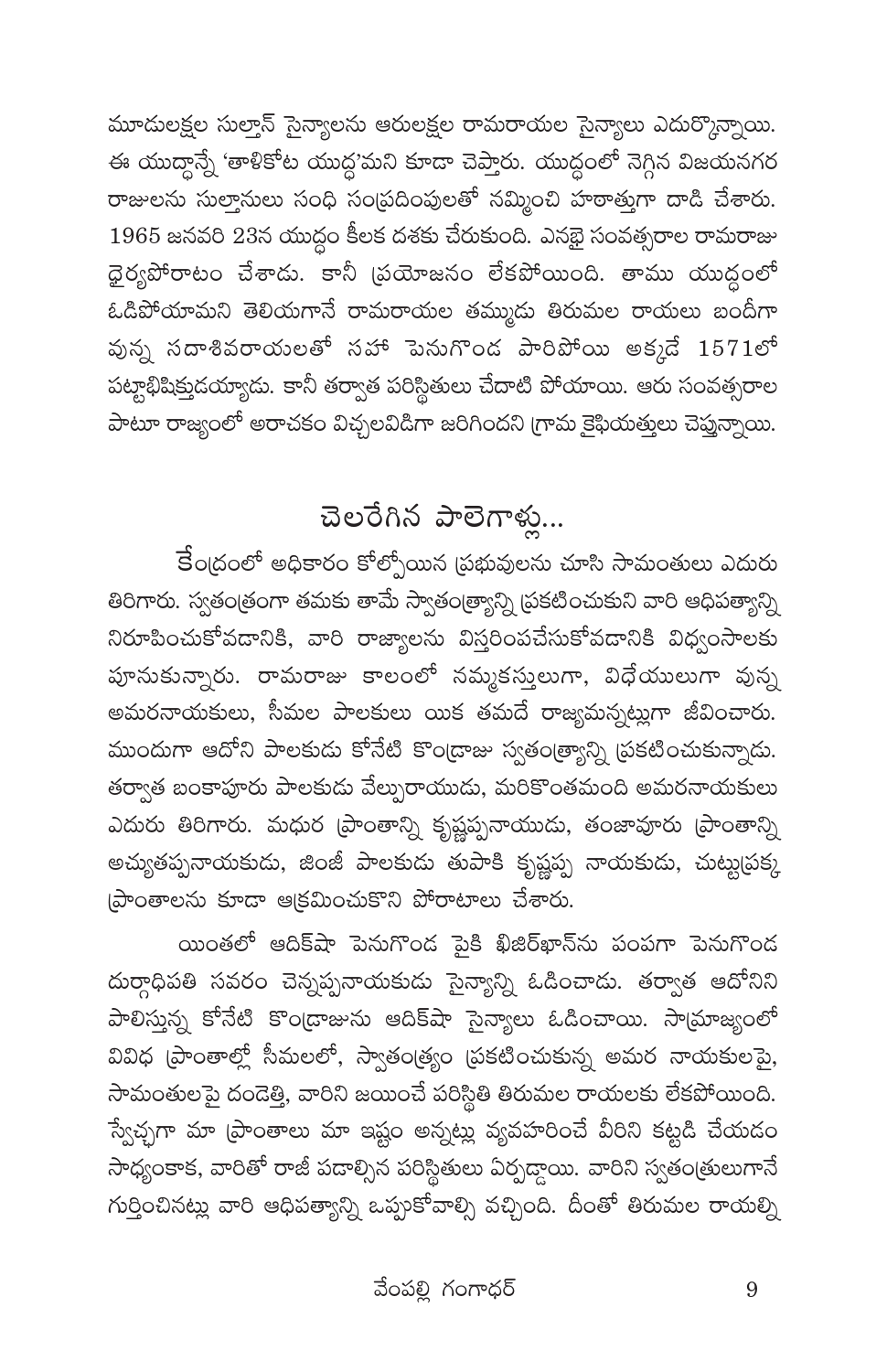మూడులక్షల సుల్తాన్ సైన్యాలను ఆరులక్షల రామరాయల సైన్యాలు ఎదుర్కొన్నాయి. ఈ యుద్దాన్నే 'తాళికోట యుద్ద'మని కూడా చెప్తారు. యుద్ధంలో నెగ్గిన విజయనగర ాలు<br>రాజులను సుల్తానులు సంధి సంప్రదింపులతో నమ్మించి హఠాత్తుగా దాడి చేశారు. 1965 జనవరి 23న యుద్ధం కీలక దశకు చేరుకుంది. ఎనభై సంవత్సరాల రామరాజు  $\vec{\varrho}$ ర్యపోరాటం చేశాడు. కానీ (పయోజనం లేకపోయింది. తాము యుద్దంలో ఓడిపోయామని తెలియగానే రామరాయల తమ్ముడు తిరుమల రాయలు బందీగా వున్న సదాశివరాయలతో సహా పెనుగొండ పారిపోయి అక్కడే  $1571$ లో పట్టాభిషిక్తుడయ్యాడు. కానీ తర్వాత పరిస్థితులు చేదాటి పోయాయి. ఆరు సంవత్సరాల పాటూ రాజ్యంలో అరాచకం విచ్చలవిడిగా జరిగిందని (గామ కైఫియత్తులు చెప్తున్నాయి.

#### చెలరేగిన పాలెగాళ్తు...

కేంద్రంలో అధికారం కోల్పోయిన ప్రభువులను చూసి సామంతులు ఎదురు తిరిగారు. స్వతం(తంగా తమకు తామే స్వాతం(త్యాన్ని (పకటించుకుని వారి ఆధిపత్యాన్ని నిరూపించుకోవడానికి, వారి రాజ్యాలను విస్తరింపచేసుకోవడానికి విధ్వంసాలకు పూనుకున్నారు. రామరాజు కాలంలో నమ్మకస్తులుగా, విధేయులుగా వున్న అమరనాయకులు, సీమల పాలకులు యిక తమదే రాజ్యమన్నట్లుగా జీవించారు. ముందుగా ఆదోని పాలకుడు కోనేటి కొం[డాజు స్వతం[త్యాన్ని [పకటించుకున్నాడు. తర్వాత బంకాపూరు పాలకుడు వేల్పురాయుడు, మరికొంతమంది అమరనాయకులు ఎదురు తిరిగారు. మధుర (పాంతాన్ని కృష్ణప్పనాయుడు, తంజావూరు (పాంతాన్ని అచ్యుతప్పనాయకుడు, జింజీ పాలకుడు తుపాకి కృష్ణప్ప నాయకుడు, చుట్టుప్రక్క  $\vec{a}$ ంతాలను కూడా అ(కమించుకొని పోరాటాలు చేశారు.

యింతలో ఆదిక్షేషా పెనుగొండ పైకి ఖిజిర్ఖాన్ను పంపగా పెనుగొండ దుర్గాధిపతి సవరం చెన్నప్పనాయకుడు సైన్యాన్ని ఓడించాడు. తర్వాత ఆదోనిని పాలిస్తున్న కోనేటి కొం[డాజును ఆదిక్*షా* సైన్యాలు ఓడించాయి. సా[మాజ్యంలో వివిధ (పాంతాల్లో సీమలలో, స్వాతం(త్యం (పకటించుకున్న అమర నాయకులపై, సామంతులపై దండెత్తి, వారిని జయించే పరిస్థితి తిరుమల రాయలకు లేకపోయింది. స్వేచ్ఛగా మా (పాంతాలు మా ఇష్టం అన్నట్లు వ్యవహరించే వీరిని కట్టడి చేయడం సాధ్యంకాక, వారితో రాజీ పడాల్సిన పరిస్థితులు ఏర్పడ్దాయి. వారిని స్వతంట్రులుగానే గుర్తించినట్లు వారి ఆధిపత్యాన్ని ఒప్పుకోవాల్సి వచ్చింది. దీంతో తిరుమల రాయల్ని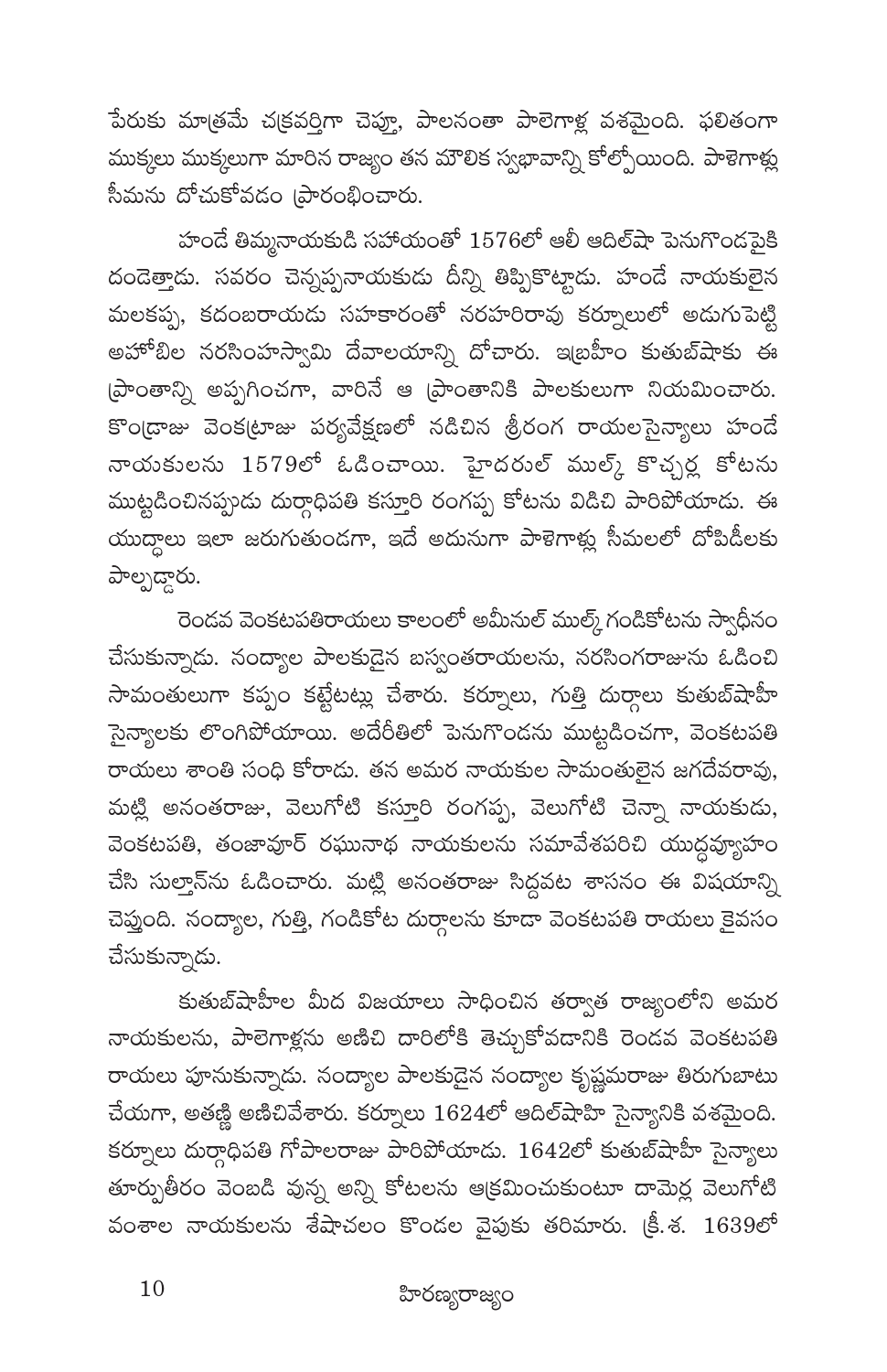పేరుకు మాత్రమే చక్రవర్తిగా చెప్త్తూ, పాలనంతా పాలెగాళ్ల వశమైంది. ఫలితంగా ముక్కలు ముక్కలుగా మారిన రాజ్యం తన మౌలిక స్వభావాన్ని కోల్పోయింది. పాకెగాళ్లు సీమను దోచుకోవడం (పారంభించారు.

హందే తిమ్మనాయకుడి సహాయంతో 1576లో ఆలీ ఆదిల్షే పెనుగొండపైకి దండెత్తాడు. సవరం చెన్నప్పనాయకుడు దీన్ని తిప్పికొట్టాడు. హండే నాయకులైన మలకప్ప, కదంబరాయడు సహకారంతో నరహరిరావు కర్నూలులో అడుగుపెట్టి అహోబిల నరసింహస్వామి దేవాలయాన్ని దోచారు. ఇబ్రహీం కుతుబ్షాకు ఈ ప్రాంతాన్ని అప్పగించగా, వారినే ఆ ప్రాంతానికి పాలకులుగా నియమించారు. కొం[డాజు వెంక(టాజు పర్యవేక్షణలో నడిచిన శ్రీరంగ రాయలసైన్యాలు హందే నాయకులను 1579లో ఓడించాయి. హైదరుల్ ముల్క్ కొచ్చర్ల కోటను ముట్టడించినప్పుడు దుర్గాధిపతి కస్తూరి రంగప్ప కోటను విడిచి పారిపోయాడు. ఈ యుద్దాలు ఇలా జరుగుతుండగా, ఇదే అదునుగా పాళెగాళ్లు సీమలలో దోపిడీలకు పాల్పడ్డారు.

రెండవ వెంకటపతిరాయలు కాలంలో అమీసుల్ ముల్క్ గండికోటను స్వాధీనం చేసుకున్నాడు. నంద్యాల పాలకుడైన బస్వంతరాయలను, నరసింగరాజును ఓడించి సామంతులుగా కప్పం కట్టేటట్లు చేశారు. కర్నూలు, గుత్తి దుర్గాలు కుతుబ్ఏాహీ సైన్యాలకు లొంగిపోయాయి. అదేరీతిలో పెనుగొండను ముట్టడించగా, వెంకటపతి రాయలు శాంతి సంధి కోరాడు. తన అమర నాయకుల సామంతులైన జగదేవరావు, మట్లి అనంతరాజు, వెలుగోటి కస్తూరి రంగప్ప, వెలుగోటి చెన్నా నాయకుడు, వెంకటపతి, తంజావూర్ రఘునాథ నాయకులను సమావేశపరిచి యుద్ధవ్యూహం చేసి సుల్తాన్ను ఓడించారు. మట్లి అనంతరాజు సిద్దవట శాసనం ఈ విషయాన్ని చెప్తుంది. నంద్యాల, గుత్తి, గండికోట దుర్గాలను కూడా వెంకటపతి రాయలు కైవసం చేసుకున్నాడు.

కుతుబ్షాహీల మీద విజయాలు సాధించిన తర్వాత రాజ్యంలోని అమర నాయకులను, పాలెగాళ్లను అణిచి దారిలోకి తెచ్చుకోవదానికి రెండవ వెంకటపతి రాయలు పూనుకున్నాడు. నంద్యాల పాలకుడైన నంద్యాల కృష్ణమరాజు తిరుగుబాటు చేయగా, అతణ్ణి అణిచివేశారు. కర్నూలు  $1624$ లో ఆదిల్షాహి సైన్యానికి వశమైంది. కర్నూలు దుర్గాధిపతి గోపాలరాజు పారిపోయాడు. 1642లో కుతుబ్షేషాహీ సైన్యాలు తూర్పుతీరం వెంబడి వున్న అన్ని కోటలను ఆక్రమించుకుంటూ దామెర్ల వెలుగోటి వంశాల నాయకులను శేషాచలం కొండల వైపుకు తరిమారు. (కీ.శ. 1639లో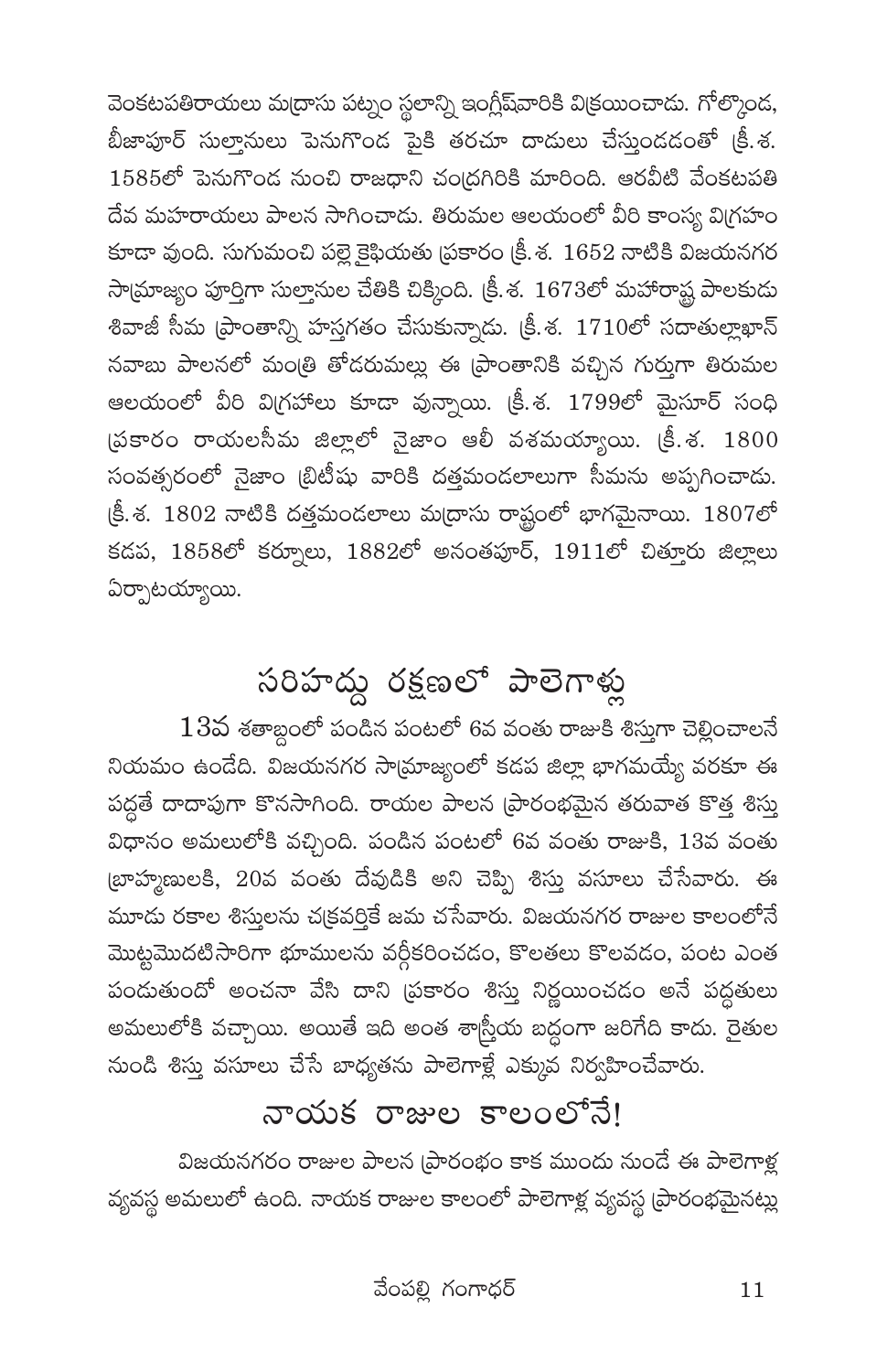వెంకటపతిరాయలు మαాసు పట్నం స్థలాన్ని ఇంగ్లీష్వారికి విక్రయించాడు. గోల్కొండ, బీజాపూర్ సుల్తానులు పెనుగొండ పైకి తరచూ దాదులు చేస్తుండడంతో (కీ.శ. 1585లో పెనుగొండ నుంచి రాజధాని చంద్రగిరికి మారింది. ఆరవీటి వేంకటపతి దేవ మహరాయలు పాలన సాగించాడు. తిరుమల ఆలయంలో వీరి కాంస్య విగ్రహం కూడా వుంది. సుగుమంచి పల్లె కైఫియతు (పకారం క్రీ.శ. 1652 నాటికి విజయనగర సాయ్రాజ్యం పూర్తిగా సుల్తానుల చేతికి చిక్కింది. (కీ.శ. 1673లో మహారాష్ట్ర పాలకుడు శివాజీ సీమ (ఫాంతాన్ని హస్తగతం చేసుకున్నాడు. (కీ.శ. 1710లో సదాతుల్లాఖాన్ నవాబు పాలనలో మంత్రి తోడరుమల్లు ఈ ప్రాంతానికి వచ్చిన గుర్తుగా తిరుమల ఆలయంలో వీరి విగ్రహాలు కూడా వున్నాయి. క్రీ.శ. 1799లో మైసూర్ సంధి  $\tilde{\omega}$ కారం రాయలసీమ జిల్లాలో నైజాం ఆలీ వశమయ్యాయి. (కీ.శ. 1800 సంవత్సరంలో నైజాం (బిటీషు వారికి దత్తమండలాలుగా సీమను అప్పగించాడు. క్రీ. శ. 1802 నాటికి దత్తమండలాలు మద్ాసు రాష్టంలో భాగమైనాయి. 1807లో కడప, 1858లో కర్నూలు, 1882లో అనంతపూర్, 1911లో చిత్తూరు జిల్లాలు ఏర్పాటయ్యాయి.

## సరిహద్దు రక్షణలో పాలెగాళ్లు

 $13$ వ శతాబ్దంలో పండిన పంటలో 6వ వంతు రాజుకి శిస్తుగా చెల్లించాలనే నియమం ఉందేది. విజయనగర సామ్రాజ్యంలో కడప జిల్లా భాగమయ్యే వరకూ ఈ పద్ధతే దాదాపుగా కొనసాగింది. రాయల పాలన [పారంభమైన తరువాత కొత్త శిస్తు విధానం అమలులోకి వచ్చింది. పండిన పంటలో 6వ వంతు రాజుకి, 13వ వంతు (బాహ్మణులకి, 20వ వంతు దేవుడికి అని చెప్పి శిస్తు వసూలు చేసేవారు. ఈ మూడు రకాల శిస్తులను చ(కవర్తికే జమ చసేవారు. విజయనగర రాజుల కాలంలోనే మొట్టమొదటిసారిగా భూములను వర్ధీకరించడం, కొలతలు కొలవడం, పంట ఎంత పందుతుందో అంచనా వేసి దాని (పకారం శిస్తు నిర్ణయించడం అనే పద్ధతులు అమలులోకి వచ్చాయి. అయితే ఇది అంత శాస్త్రీయ బద్ధంగా జరిగేది కాదు. రైతుల నుండి శిస్తు వసూలు చేసే బాధ్యతను పాలెగాళ్లే ఎక్కువ నిర్వహించేవారు.

#### నాయక రాజుల కాలంలోనే!

విజయనగరం రాజుల పాలన (పారంభం కాక ముందు నుండే ఈ పాలెగాళ్ల వ్యవస్థ అమలులో ఉంది. నాయక రాజుల కాలంలో పాలెగాళ్ల వ్యవస్థ (పారంభమైనట్లు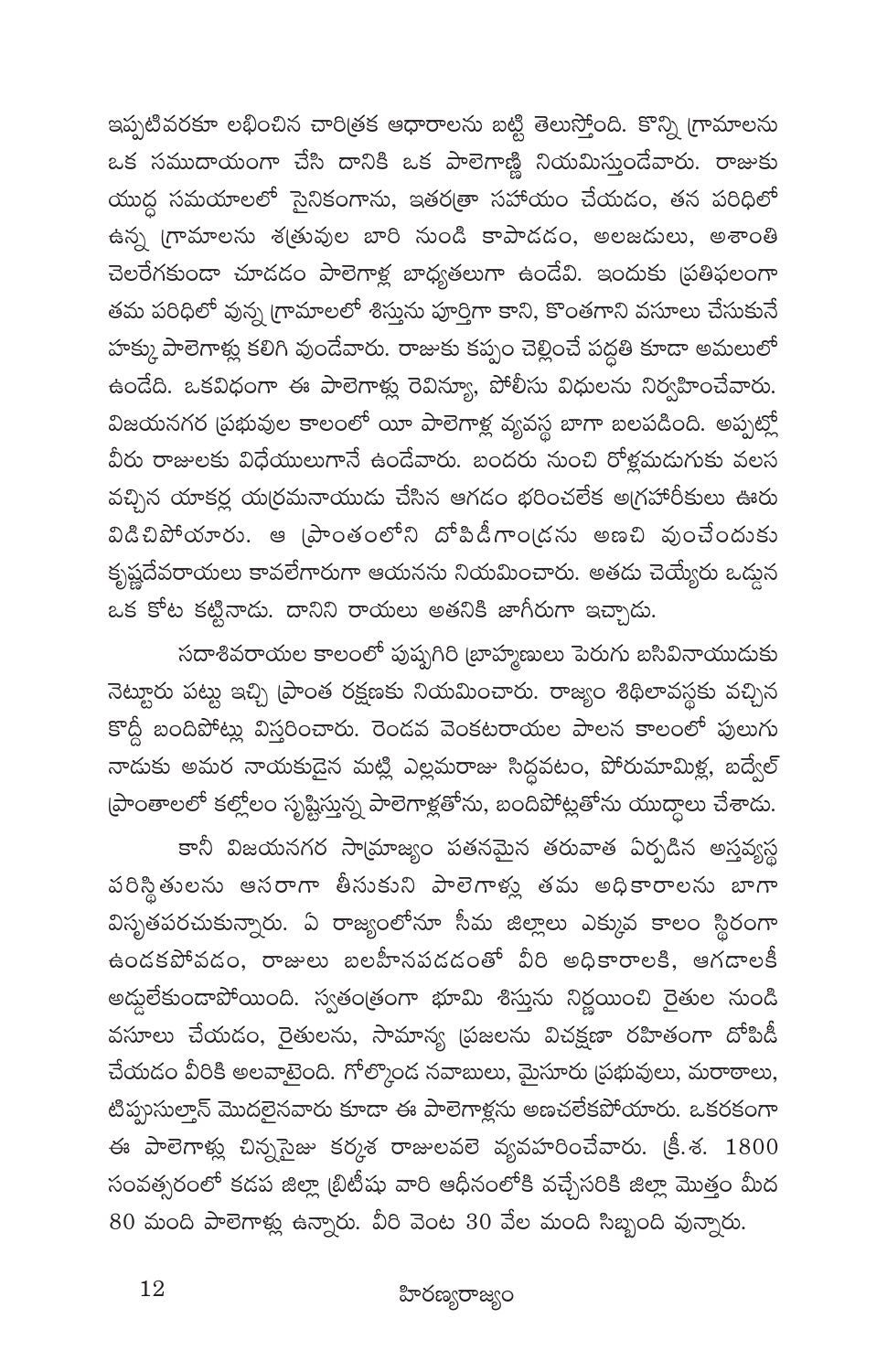ఇప్పటివరకూ లభించిన చారిత్రక ఆధారాలను బట్టి తెలుస్తోంది. కొన్ని గ్రామాలను ఒక సముదాయంగా చేసి దానికి ఒక పాలెగాణ్ణి నియమిస్తుండేవారు. రాజుకు యుద్ధ సమయాలలో సైనికంగాను, ఇతర<mark>త్రా</mark> సహాయం చేయడం, తన పరిధిలో ఉన్న గ్రామాలను శ(తువుల బారి నుండి కాపాడడం, అలజడులు, అశాంతి చెలరేగకుండా చూడడం పాలెగాళ్ల బాధ్యతలుగా ఉండేవి. ఇందుకు (పతిఫలంగా తమ పరిధిలో వున్న గ్రామాలలో శిస్తును పూర్తిగా కాని, కొంతగాని వసూలు చేసుకునే హక్కు పాలెగాళ్లు కలిగి వుండేవారు. రాజుకు కప్పం చెల్లించే పద్దతి కూడా అమలులో ఉండేది. ఒకవిధంగా ఈ పాలెగాళ్లు రెవిన్యూ, పోలీసు విధులను నిర్వహించేవారు. విజయనగర (పభువుల కాలంలో యీ పాలెగాళ్ల వ్యవస్థ బాగా బలపడింది. అప్పట్లో వీరు రాజులకు విధేయులుగానే ఉండేవారు. బందరు నుంచి రోళ్లమడుగుకు వలస వచ్చిన యాకర్ల య(రమనాయుడు చేసిన ఆగడం భరించలేక అ(గహారీకులు ఊరు విడిచిపోయారు. ఆ [పాంతంలోని దోపిడీగాం[డను అణచి వుంచేందుకు కృష్ణదేవరాయలు కావలేగారుగా ఆయనను నియమించారు. అతడు చెయ్యేరు ఒద్దున ఒక కోట కట్టినాడు. దానిని రాయలు అతనికి జాగీరుగా ఇచ్చాడు.

సదాశివరాయల కాలంలో పుష్పగిరి (బాహ్మణులు పెరుగు బసివినాయుడుకు నెట్టూరు పట్టు ఇచ్చి (పాంత రక్షణకు నియమించారు. రాజ్యం శిథిలావస్థకు వచ్చిన కొద్దీ బందిపోట్లు విస్తరించారు. రెండవ వెంకటరాయల పాలన కాలంలో పులుగు నాదుకు అమర నాయకుడైన మట్లి ఎల్లమరాజు సిద్దవటం, పోరుమామిళ్ల, బద్వేల్ ప్రాంతాలలో కల్లోలం సృష్టిస్తున్న పాలెగాళ్లతోను, బందిపోట్లతోను యుద్ధాలు చేశాదు.

కానీ విజయనగర సాయ్రాజ్యం పతనమైన తరువాత ఏర్పడిన అస్తవ్యస్థ పరిస్థితులను ఆసరాగా తీసుకుని పాలెగాళ్లు తమ అధికారాలను బాగా విసృతపరచుకున్నారు. ఏ రాజ్యంలోనూ సీమ జిల్లాలు ఎక్కువ కాలం స్థిరంగా ఉండకపోవడం, రాజులు బలహీనపడడంతో వీరి అధికారాలకి, ఆగడాలకీ అద్దులేకుండాపోయింది. స్వతం(తంగా భూమి శిస్తును నిర్ణయించి రైతుల నుండి వసూలు చేయడం, రైతులను, సామాన్య (పజలను విచక్షణా రహితంగా దోపిడీ చేయడం వీరికి అలవాటైంది. గోల్కొండ నవాబులు, మైసూరు (పభువులు, మరాఠాలు, టిప్పుసుల్తాన్ మొదలైనవారు కూడా ఈ పాలెగాళ్లను అణచలేకపోయారు. ఒకరకంగా ఈ పాలెగాళ్లు చిన్నసైజు కర్మశ రాజులవలె వ్యవహరించేవారు. క్రీ.శ. 1800 సంవత్సరంలో కడప జిల్లా (బీటీషు వారి ఆధీనంలోకి వచ్చేసరికి జిల్లా మొత్తం మీద 80 మంది పాలెగాళ్లు ఉన్నారు. వీరి వెంట 30 వేల మంది సిబ్బంది వున్నారు.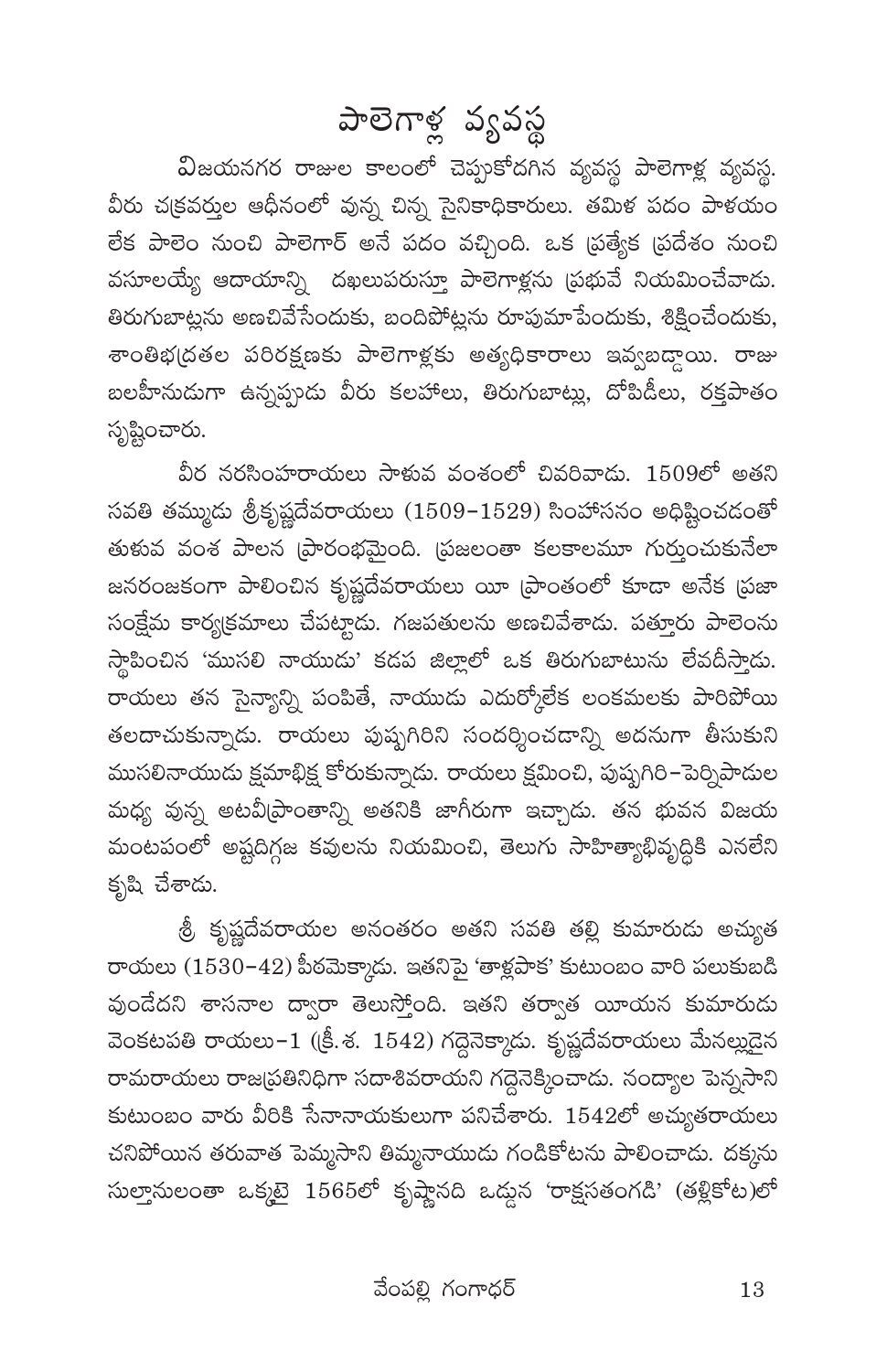## పాలెగాళ్ల వ్యవస్థ

విజయనగర రాజుల కాలంలో చెప్పుకోదగిన వ్యవస్థ పాలెగాళ్ల వ్యవస్థ. వీరు చ(కవర్తుల ఆధీనంలో వున్న చిన్న సైనికాధికారులు. తమిళ పదం పాళయం లేక పాలెం నుంచి పాలెగార్ అనే పదం వచ్చింది. ఒక (ప్రత్యేక (పదేశం నుంచి వసూలయ్యే ఆదాయాన్ని దఖలుపరుస్తూ పాలెగాళ్లను ప్రభువే నియమించేవాడు. తిరుగుబాట్లను అణచివేసేందుకు, బందిపోట్లను రూపుమాపేందుకు, శిక్షించేందుకు, శాంతిభ(దతల పరిరక్షణకు పాలెగాళ్లకు అత్యధికారాలు ఇవ్వబద్దాయి. రాజు బలహీనుడుగా ఉన్నప్పుడు వీరు కలహాలు, తిరుగుబాట్లు, దోపిడీలు, రక్తపాతం సృష్టించారు.

వీర నరసింహరాయలు సాళువ వంశంలో చివరివాడు. 1509లో అతని సవతి తమ్ముడు శ్రీకృష్ణదేవరాయలు (1509–1529) సింహాసనం అధిష్టించడంతో తుళువ వంశ పాలన (పారంభమైంది. (పజలంతా కలకాలమూ గుర్తుంచుకునేలా జనరంజకంగా పాలించిన కృష్ణదేవరాయలు యీ (పాంతంలో కూడా అనేక (పజా సంక్షేమ కార్యక్రమాలు చేపట్టాడు. గజపతులను అణచివేశాడు. పత్తూరు పాలెంను స్థాపించిన 'ముసలి నాయుడు' కడప జిల్లాలో ఒక తిరుగుబాటును లేవదీసా్లు. రాయలు తన సైన్యాన్ని పంపితే, నాయుడు ఎదుర్కోలేక లంకమలకు పారిపోయి తలదాచుకున్నాడు. రాయలు పుష్పగిరిని సందర్శించడాన్ని అదనుగా తీసుకుని ముసలినాయుడు క్షమాభిక్ష కోరుకున్నాడు. రాయలు క్షమించి, పుష్పగిరి–పెర్నిపాడుల మధ్య వున్న అటవీ[ఫాంతాన్ని అతనికి జాగీరుగా ఇచ్చాడు. తన భువన విజయ మంటపంలో అష్టదిగ్గజ కవులను నియమించి, తెలుగు సాహిత్యాభివృద్ధికి ఎనలేని కృషి చేశాదు.

<mark>శ్రీ కృష్ణదేవరాయల అనంతరం అతని సవతి తల్లి కుమారుడు అచ్యుత</mark> రాయలు  $(1530-42)$  పీఠమెక్కాడు. ఇతనిపై 'తాళ్లపాక' కుటుంబం వారి పలుకుబడి వుండేదని శాసనాల ద్వారా తెలుస్తోంది. ఇతని తర్వాత యీయన కుమారుడు వెంకటపతి రాయలు−1 (క్రీ.శ. 1542) గద్దెనెక్కాడు. కృష్ణదేవరాయలు మేనల్లుడైన రామరాయలు రాజ్మపతినిధిగా సదాశివరాయని గద్దెనెక్కించాడు. నంద్యాల పెన్నసాని కుటుంబం వారు వీరికి సేనానాయకులుగా పనిచేశారు.  $1542$ లో అచ్యుతరాయలు చనిపోయిన తరువాత పెమ్మసాని తిమ్మనాయుడు గండికోటను పాలించాడు. దక్కను సుల్తానులంతా ఒక్కటై 1565లో కృష్ణానది ఒద్దున 'రాక్షసతంగడి' (తళ్లికోట)లో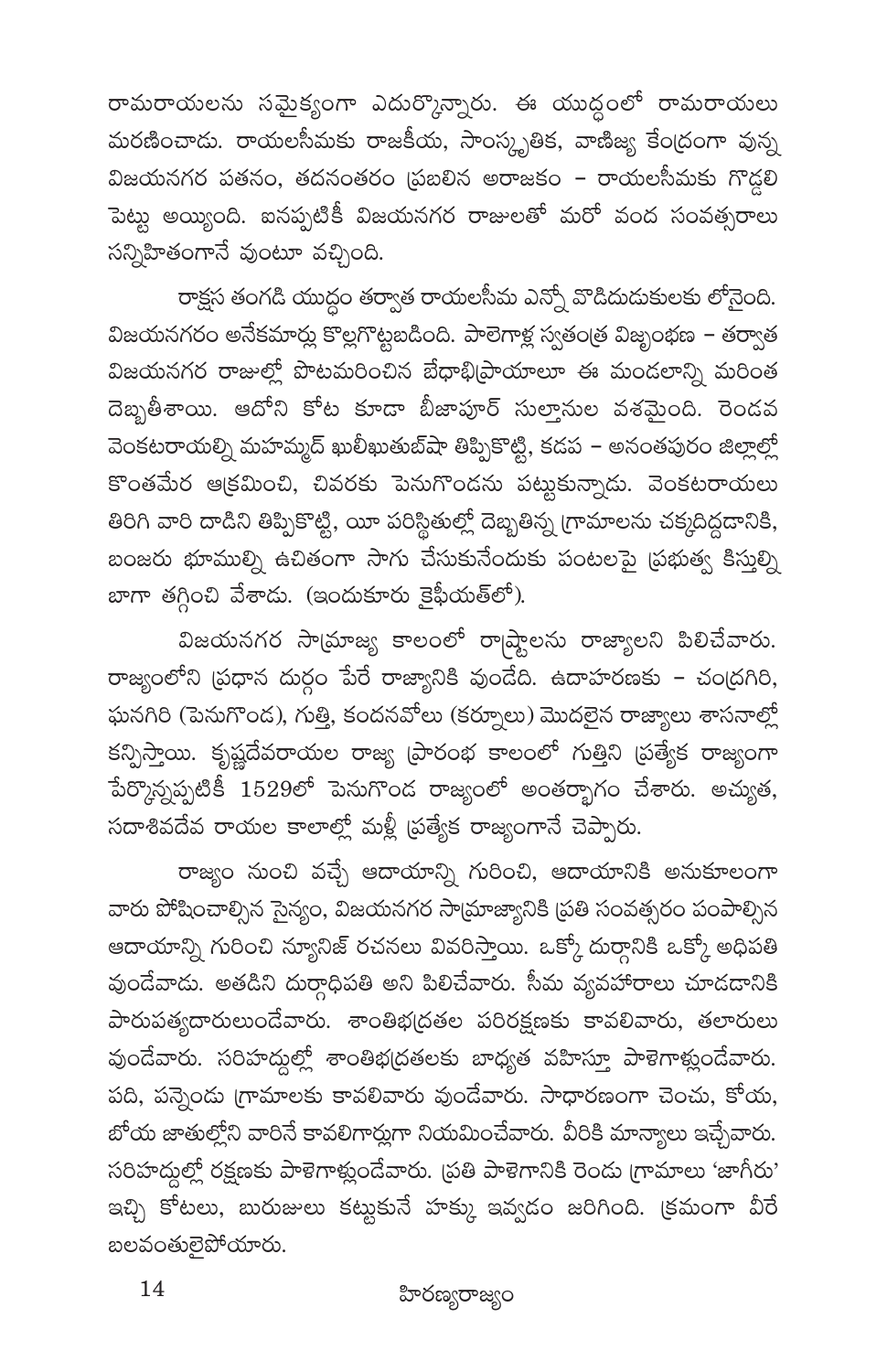రామరాయలను సమైక్యంగా ఎదుర్కొన్నారు. ఈ యుద్ధంలో రామరాయలు మరణించాదు. రాయలసీమకు రాజకీయ, సాంస్కృతిక, వాణిజ్య కేంద్రంగా వున్న విజయనగర పతనం, తదనంతరం (పబలిన అరాజకం – రాయలసీమకు గొడ్డలి పెట్టు అయ్యింది. ఐనప్పటికీ విజయనగర రాజులతో మరో వంద సంవత్సరాలు సన్నిహితంగానే వుంటూ వచ్చింది.

రాక్షస తంగడి యుద్ధం తర్వాత రాయలసీమ ఎన్నో వొడిదుడుకులకు లోనైంది. విజయనగరం అనేకమార్లు కొల్లగొట్టబడింది. పాలెగాళ్ల స్వతం[త విజృంభణ – తర్వాత విజయనగర రాజుల్లో పొటమరించిన బేధాభి[ప్రాయాలూ ఈ మండలాన్ని మరింత దెబ్బతీశాయి. ఆదోని కోట కూడా బీజాపూర్ సులానుల వశమైంది. రెండవ .<br>వెంకటరాయల్ని మహమ్మద్ ఖులీఖుతుబ్**షా** తిప్పికొట్టి, కడప – అనంతపురం జిల్లాల్లో కొంతమేర ఆక్రమించి, చివరకు పెనుగొండను పట్టుకున్నాడు. వెంకటరాయలు తిరిగి వారి దాడిని తిప్పికొట్టి, యీ పరిస్థితుల్లో దెబ్బతిన్న (గామాలను చక్కదిద్దదానికి, బంజరు భూముల్ని ఉచితంగా సాగు చేసుకునేందుకు పంటలపై (పభుత్వ కిస్తుల్ని బాగా తగ్గించి వేశాడు. (ఇందుకూరు కైఫీయత్లో).

విజయనగర సామ్రాజ్య కాలంలో రాయ్ధిలను రాజ్యాలని పిలిచేవారు. రాజ్యంలోని (పథాన దుర్గం పేరే రాజ్యానికి వుండేది. ఉదాహరణకు – చం(దగిరి, ఘనగిరి (పెనుగొండ), గుత్తి, కందనవోలు (కర్నూలు) మొదలైన రాజ్యాలు శాసనాల్లో కన్పిస్తాయి. కృష్ణదేవరాయల రాజ్య (పారంభ కాలంలో గుత్తిని (పత్యేక రాజ్యంగా పేర్కొన్నప్పటికీ 1529లో పెనుగొండ రాజ్యంలో అంతర్భాగం చేశారు. అచ్యత, . . . . . .<br>సదాశివదేవ రాయల కాలాల్లో మళ్లీ [పత్యేక రాజ్యంగానే చెప్పారు.

రాజ్యం నుంచి వచ్చే ఆదాయాన్ని గురించి, ఆదాయానికి అనుకూలంగా వారు పోషించాల్సిన సైన్యం, విజయనగర సామ్రాజ్యానికి (పతి సంవత్సరం పంపాల్సిన ఆదాయాన్ని గురించి న్యూనిజ్ రచనలు వివరిస్తాయి. ఒక్కో దుర్గానికి ఒక్కో అధిపతి వుండేవాదు. అతడిని దుర్గాధిపతి అని పిలిచేవారు. సీమ వ్యవహారాలు చూడడానికి పారుపత్యదారులుండేవారు. శాంతిభ(దతల పరిరక్షణకు కావలివారు, తలారులు వుండేవారు. సరిహద్దుల్లో శాంతిభ(దతలకు బాధ్యత వహిస్తూ పాళెగాళ్లుండేవారు. పది, పన్నెండు (గామాలకు కావలివారు వుండేవారు. సాధారణంగా చెంచు, కోయ, బోయ జాతుల్లోని వారినే కావలిగార్లుగా నియమించేవారు. వీరికి మాన్యాలు ఇచ్చేవారు. సరిహద్దుల్లో రక్షణకు పాళెగాళ్లుండేవారు. (పతి పాళెగానికి రెండు గ్రామాలు 'జాగీరు' ఇచ్చి కోటలు, బురుజులు కట్టుకునే హక్కు ఇవ్వడం జరిగింది. (కమంగా వీరే బలవంతులైపోయారు.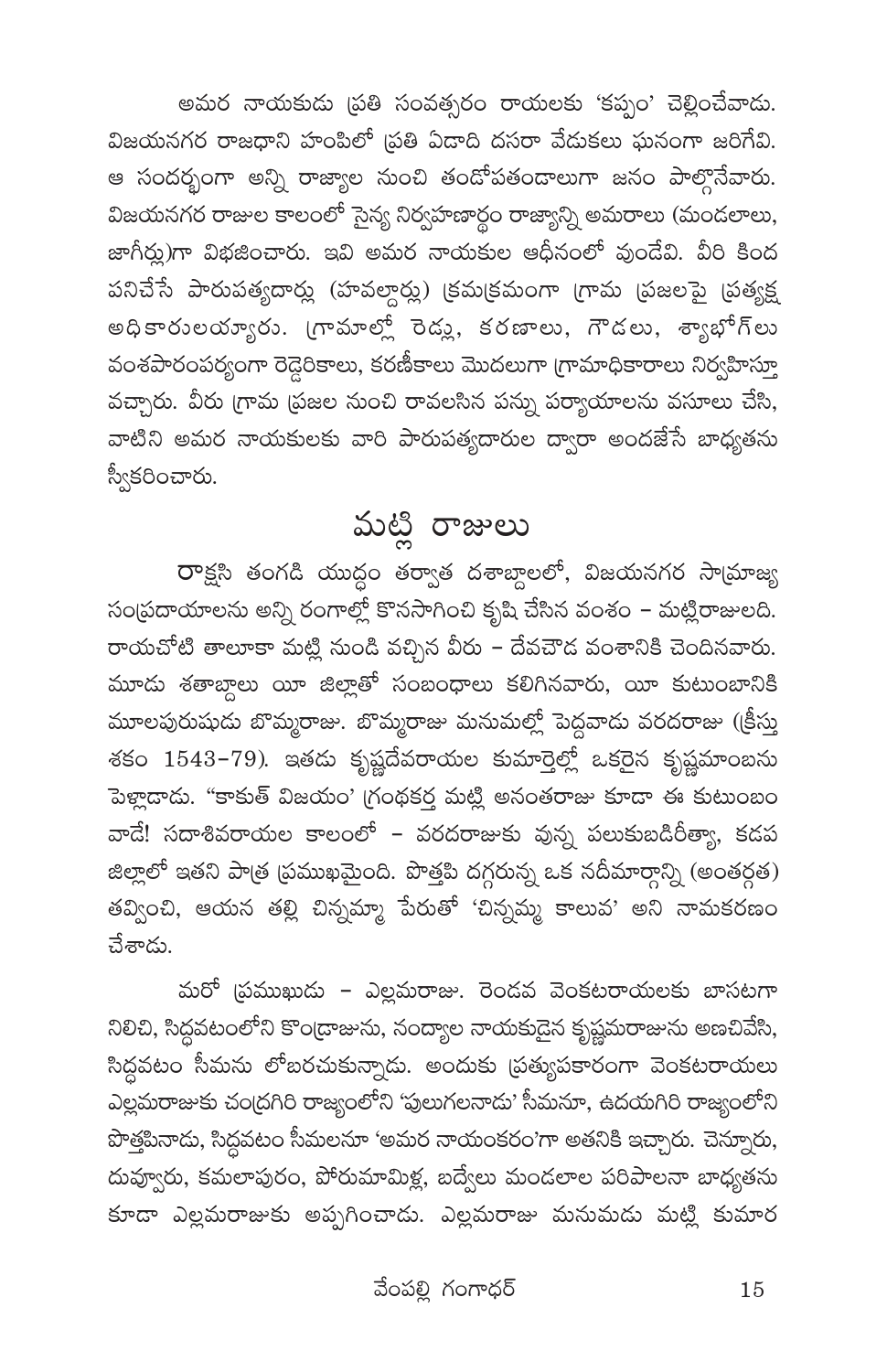అమర నాయకుడు <mark>ప్రతి సంవత్సరం రాయలకు 'కప్పం' చెల్లించేవా</mark>డు. విజయనగర రాజధాని హంపిలో (పతి ఏదాది దసరా వేడుకలు ఘనంగా జరిగేవి. ఆ సందర్భంగా అన్ని రాజ్యాల నుంచి తండోపతండాలుగా జనం పాల్గొనేవారు. విజయనగర రాజుల కాలంలో సైన్య నిర్వహణార్థం రాజ్యాన్ని అమరాలు (మండలాలు, జాగీర్లు)గా విభజించారు. ఇవి అమర నాయకుల ఆధీనంలో వుండేవి. వీరి కింద పనిచేసే పారుపత్యదార్లు (హవల్దార్లు) క్రమక్రమంగా గ్రామ (పజలపై (పత్యక్ష అధికారులయ్యారు. (గామాల్లో రెడ్లు, కరణాలు, గౌడలు, శ్యాభోగ్లు వంశపారంపర్యంగా రెడ్డెరికాలు, కరణీకాలు మొదలుగా (గామాధికారాలు నిర్వహిస్తూ వచ్చారు. వీరు (గామ (పజల నుంచి రావలసిన పన్ను పర్యాయాలను వసూలు చేసి, వాటిని అమర నాయకులకు వారి పారుపత్యదారుల ద్వారా అందజేసే బాధ్యతను స్వీకరించారు.

#### మట్తి రాజులు

రాక్షసి తంగడి యుద్ధం తర్వాత దశాబ్దాలలో, విజయనగర సామ్రాజ్య సం[పదాయాలను అన్ని రంగాల్లో కొనసాగించి కృషి చేసిన వంశం – మట్లిరాజులది. రాయచోటి తాలూకా మట్లి నుండి వచ్చిన వీరు – దేవచౌద వంశానికి చెందినవారు. మూడు శతాబ్దాలు యీ జిల్లాతో సంబంధాలు కలిగినవారు, యీ కుటుంబానికి మూలపురుషుడు బొమ్మరాజు. బొమ్మరాజు మనుమల్లో పెద్దవాడు వరదరాజు (క్రీస్తు శకం 1543–79). ఇతడు కృష్ణదేవరాయల కుమార్తెల్లో ఒకరైన కృష్ణమాంబను పెళ్లాదాదు. "కాకుత్ విజయం' (గంథకర్త మట్లి అనంతరాజు కూడా ఈ కుటుంబం వాడే! సదాశివరాయల కాలంలో – వరదరాజుకు వున్న పలుకుబడిరీత్యా, కడప జిల్లాలో ఇతని పాత్ర ప్రముఖమైంది. పొత్తపి దగ్గరున్న ఒక నదీమార్గాన్ని (అంతర్గత) తవ్వించి, ఆయన తల్లి చిన్నమ్మా పేరుతో 'చిన్నమ్మ కాలువ' అని నామకరణం చేశాదు.

మరో (పముఖుడు - ఎల్లమరాజు. రెండవ వెంకటరాయలకు బాసటగా నిలిచి, సిద్ధవటంలోని కొం[డాజును, నంద్యాల నాయకుడైన కృష్ణమరాజును అణచివేసి, సిద్ధవటం సీమను లోబరచుకున్నాడు. అందుకు (పత్యుపకారంగా వెంకటరాయలు ఎల్లమరాజుకు చంద్రగిరి రాజ్యంలోని 'పులుగలనాడు' సీమనూ, ఉదయగిరి రాజ్యంలోని పొత్తపినాదు, సిద్ధవటం సీమలనూ 'అమర నాయంకరం'గా అతనికి ఇచ్చారు. చెన్నూరు, దువ్వూరు, కమలాపురం, పోరుమామిళ్ల, బద్వేలు మండలాల పరిపాలనా బాధ్యతను కూడా ఎల్లమరాజుకు అప్పగించాడు. ఎల్లమరాజు మనుమడు మట్లి కుమార

వేంపల్లి గంగాధర్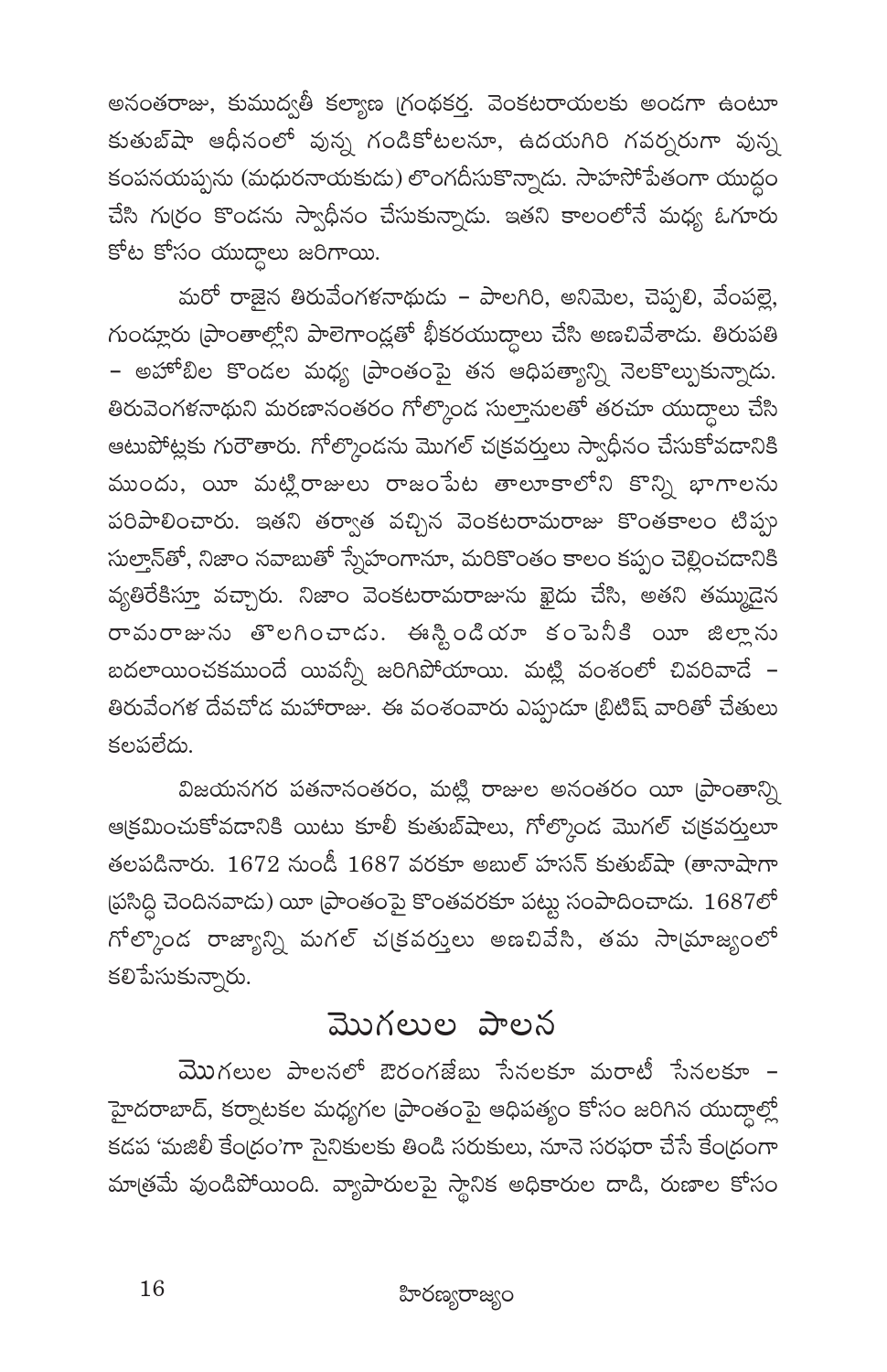అనంతరాజు, కుముద్వతీ కల్యాణ (గంథకర్త. వెంకటరాయలకు అండగా ఉంటూ కుతుబ్<mark>షా</mark> ఆధీనంలో వున్న గండికోటలనూ, ఉదయగిరి గవర్నరుగా వున్న కంపనయప్పను (మధురనాయకుడు) లొంగదీసుకొన్నాడు. సాహసోపేతంగా యుద్ధం చేసి గుర్రం కొండను స్వాధీనం చేసుకున్నాదు. ఇతని కాలంలోనే మధ్య ఓగూరు కోట కోసం యుద్దాలు జరిగాయి.

మరో రాజైన తిరువేంగళనాథుడు – పాలగిరి, అనిమెల, చెప్పలి, వేంపల్లె, ,<br>గుంద్లూరు [పాంతాల్లోని పాలెగాంద్లతో భీకరయుద్ధాలు చేసి అణచివేశాదు. తిరుపతి – అహోబిల కొందల మధ్య (పాంతంపై తన ఆధిపత్యాన్ని నెలకొల్పుకున్నాడు. తిరువెంగళనాథుని మరణానంతరం గోల్కొండ సుల్తానులతో తరచూ యుద్దాలు చేసి ఆటుపోట్లకు గురౌతారు. గోల్కొండను మొగల్ చక్రవర్తులు స్వాధీనం చేసుకోవడానికి ముందు, యీ మట్లిరాజులు రాజంపేట తాలూకాలోని కొన్ని భాగాలను పరిపాలించారు. ఇతని తర్వాత వచ్చిన వెంకటరామరాజు కొంతకాలం టిప్సు సుల్తాన్5ో, నిజాం నవాబుతో స్నేహంగానూ, మరికొంతం కాలం కప్పం చెల్లించడానికి వ్యతిరేకిస్తూ వచ్చారు. నిజాం వెంకటరామరాజును ఖైదు చేసి, అతని తమ్ము<u>డ</u>ెన రావురాజును తొలగించాడు. ఈస్టిండియా కంపెనీకి యూ జిల్లాను బదలాయించకముందే యివన్నీ జరిగిపోయాయి. మట్లి వంశంలో చివరివాదే – తిరువేంగళ దేవచోడ మహారాజు. ఈ వంశంవారు ఎప్పుడూ (బిటిష్ వారితో చేతులు కలపలేదు.

విజయనగర పతనానంతరం, మట్లి రాజుల అనంతరం యీ (పాంతాన్ని అ(కమించుకోవదానికి యిటు కూలీ కుతుబ్షేమలు, గోల్కొంద మొగల్ చ(కవర్తులూ తలపడినారు. 1672 నుండీ 1687 వరకూ అబుల్ హసన్ కుతుబ్షే (తానాషాగా (ప్రసిద్ధి చెందినవాడు) యీ (పాంతంపై కొంతవరకూ పట్లు సంపాదించాడు. 1687లో గోల్కొండ రాజ్యాన్ని మగల్ చ(కవర్తులు అణచివేసి, తమ సా(మాజ్యంలో కలిపేసుకున్నారు.

#### మొగలుల పాలన

 $\overline{3}$ మిగలుల పాలనలో ఔరంగజేబు సేనలకూ మరాటీ సేనలకూ – హైదరాబాద్, కర్నాటకల మధ్యగల [పాంతంపై ఆధిపత్యం కోసం జరిగిన యుద్దాల్లో కడప 'మజిలీ కేంద్రం'గా సైనికులకు తిండి సరుకులు, నూనె సరఫరా చేసే కేంద్రంగా మాత్రమే వుండిపోయింది. వ్యాపారులపై స్థానిక అధికారుల దాడి, రుణాల కోసం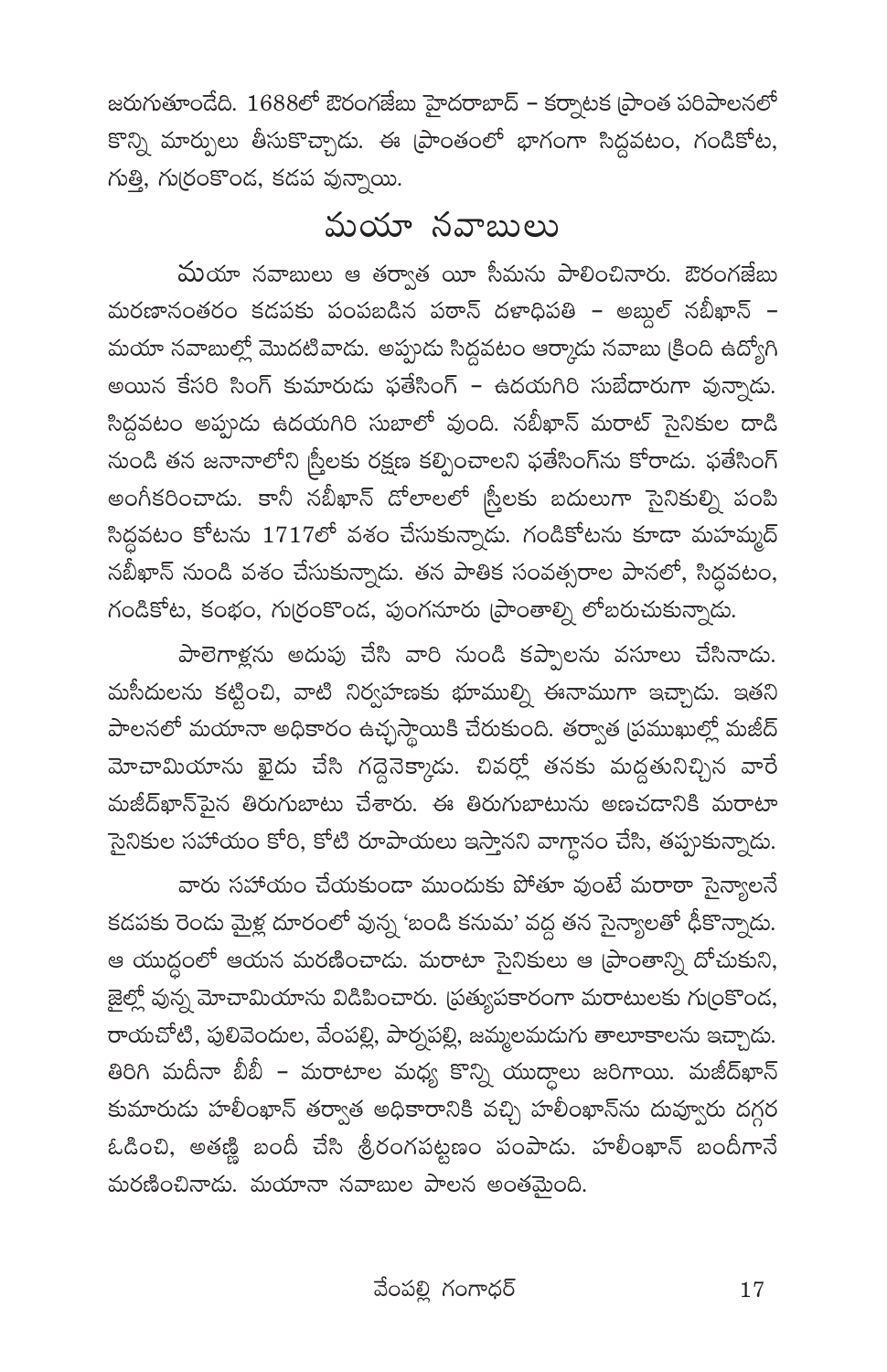జరుగుతూండేది. 1688లో ఔరంగజేబు హైదరాబాద్ – కర్నాటక [పాంత పరిపాలనలో కొన్ని మార్పులు తీసుకొచ్చాడు. ఈ [పాంతంలో భాగంగా సిద్ధవటం, గండికోట, గుత్తి, గుర్రంకొండ, కడప వున్నాయి.

#### మయా నవాబులు

మయా నవాబులు ఆ తర్వాత యీ సీమను పాలించినారు. ఔరంగజేబు మరణానంతరం కడపకు పంపబడిన పఠాన్ దళాధిపతి - అబ్దల్ నబీఖాన్ -మయా నవాబుల్లో మొదటివాడు. అప్పుడు సిద్దవటం ఆర్కాడు నవాబు క్రింది ఉద్యోగి అయిన కేసరి సింగ్ కుమారుడు ఫతేసింగ్ – ఉదయగిరి సుబేదారుగా వున్నాడు. సిద్ధవటం అప్పుడు ఉదయగిరి సుబాలో వుంది. నబీఖాన్ మరాట్ సైనికుల దాడి నుండి తన జనానాలోని స్త్రీలకు రక్షణ కల్పించాలని ఫతేసింగ్ను కోరాడు. ఫతేసింగ్ అంగీకరించాడు. కానీ నబీఖాన్ డోలాలలో స్త్రీలకు బదులుగా సైనికుల్ని పంపి సిద్ధవటం కోటను 1717లో వశం చేసుకున్నాడు. గండికోటను కూడా మహమ్మద్ నబీఖాన్ నుండి వశం చేసుకున్నాడు. తన పాతిక సంవత్సరాల పానలో, సిద్ధవటం, గండికోట, కంభం, గుర్రంకొండ, పుంగనూరు (పాంతాల్ని లోబరుచుకున్నాడు.

పాలెగాళ్లను అదుపు చేసి వారి నుండి కప్పాలను వసూలు చేసినాడు. మసీదులను కట్టించి, వాటి నిర్వహణకు భూముల్ని ఈనాముగా ఇచ్చాడు. ఇతని పాలనలో మయానా అధికారం ఉచ్ఛస్థాయికి చేరుకుంది. తర్వాత (పముఖుల్లో మజీద్ మోచామియాను ఖైదు చేసి గద్దెనెక్కాడు. చివర్లో తనకు మద్దతునిచ్చిన వారే మజీద్ఖాన్ ైన తిరుగుబాటు చేశారు. ఈ తిరుగుబాటును అణచదానికి మరాటా సైనికుల సహాయం కోరి, కోటి రూపాయలు ఇస్తానని వాగ్దానం చేసి, తప్పుకున్నాడు.

వారు సహాయం చేయకుండా ముందుకు పోతూ వుంటే మరాఠా సైన్యాలనే కడపకు రెండు మైళ్ల దూరంలో వున్న 'బండి కనుమ' వద్ద తన సైన్యాలతో ఢీకొన్నాడు. ఆ యుద్ధంలో ఆయన మరణించాదు. మరాటా సైనికులు ఆ [పాంతాన్ని దోచుకుని, జైల్లో వున్న మోచామియాను విడిపించారు. (పత్యపకారంగా మరాటులకు గు(ంకొండ, రాయచోటి, పులివెందుల, వేంపల్లి, పార్నపల్లి, జమ్మలమదుగు తాలూకాలను ఇచ్చాదు. తిరిగి మదీనా బీబీ – మరాటాల మధ్య కొన్ని యుద్దాలు జరిగాయి. మజీద్ఖాన్ కుమారుడు హలీంఖాన్ తర్వాత అధికారానికి వచ్చి హలీంఖాన్ను దువ్వూరు దగ్గర ఓడించి, అతజ్జీ బందీ చేసి శ్రీరంగపట్టణం పంపాడు. హలీంఖాన్ బందీగానే మరణించినాడు. మయానా నవాబుల పాలన అంతమైంది.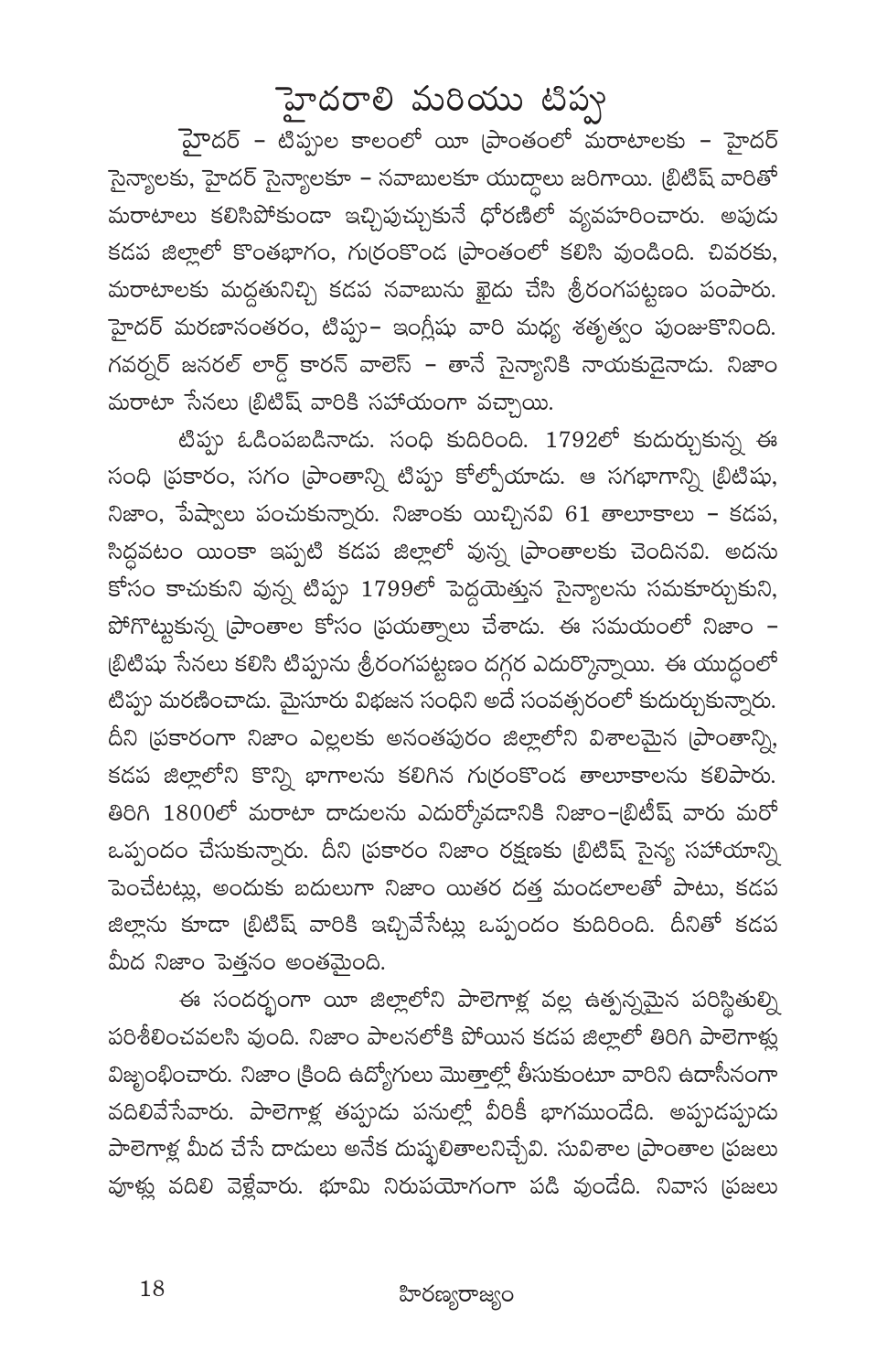#### ైవాదరాలి మరియు టిప్ప

ెవ్రాదర్ – టిప్పల కాలంలో యీ [పాంతంలో మరాటాలకు – హైదర్ సైన్యాలకు, హైదర్ సైన్యాలకూ – నవాబులకూ యుద్దాలు జరిగాయి. (బీటిష్ వారితో మరాటాలు కలిసిపోకుండా ఇచ్చిపుచ్చుకునే ధోరణిలో వ్యవహరించారు. అపుడు కడప జిల్లాలో కొంతభాగం, గుర్రంకొండ (పాంతంలో కలిసి వుండింది. చివరకు, మరాటాలకు మద్దతునిచ్చి కడప నవాబును ఖైదు చేసి శ్రీరంగపట్టణం పంపారు. హైదర్ మరణానంతరం, టిప్పు– ఇంగ్లీషు వారి మధ్య శతృత్వం పుంజుకొనింది. గవర్నర్ జనరల్ లార్డ్ కారన్ వాలెస్ – తానే సైన్యానికి నాయకుడైనాదు. నిజా<mark>ం</mark> మరాటా సేనలు ట్రిటిష్ వారికి సహాయంగా వచ్చాయి.

టిప్పు ఓడింపబడినాదు. సంధి కుదిరింది. 1792లో కుదుర్చుకున్న ఈ సంధి (పకారం, సగం (పాంతాన్ని టిప్పు కోల్పోయాడు. ఆ సగభాగాన్ని (బిటిషు, నిజాం, పేష్వాలు పంచుకున్నారు. నిజాంకు యిచ్చినవి 61 తాలూకాలు - కడప, సిద్ధవటం యింకా ఇప్పటి కడప జిల్లాలో వున్న [పాంతాలకు చెందినవి. అదను కోసం కాచుకుని వున్న టిప్పు 1799లో పెద్దయెత్తున సైన్యాలను సమకూర్చుకుని, పోగొట్టుకున్న (పాంతాల కోసం (పయత్నాలు చేశాదు. ఈ సమయంలో నిజాం – (బీటిషు సేనలు కలిసి టిప్పును శ్రీరంగపట్టణం దగ్గర ఎదుర్కొన్నాయి. ఈ యుద్ధంలో టిప్పు మరణించాడు. మైసూరు విభజన సంధిని అదే సంవత్సరంలో కుదుర్చుకున్నారు. దీని (పకారంగా నిజాం ఎల్లలకు అనంతపురం జిల్లాలోని విశాలమైన (పాంతాన్ని, కడప జిల్లలోని కొన్ని భాగాలను కలిగిన గుర్రంకొండ తాలూకాలను కలిపారు. తిరిగి 1800లో మరాటా దాడులను ఎదుర్కోవడానికి నిజాం–ట్రిటీష్ వారు మరో ఒప్పందం చేసుకున్నారు. దీని ప్రకారం నిజాం రక్షణకు (బిటిష్ సైన్య సహాయాన్ని పెంచేటట్లు, అందుకు బదులుగా నిజాం యితర దత్త మండలాలతో పాటు, కడప జిల్లాను కూడా (బిటిష్ వారికి ఇచ్చివేసేట్లు ఒప్పందం కుదిరింది. దీనితో కడప మీద నిజాం పెత్తనం అంతమైంది.

ఈ సందర్భంగా యీ జిల్లాలోని పాలెగాళ్ల వల్ల ఉత్పన్నమైన పరిస్థితుల్ని పరిశీలించవలసి వుంది. నిజాం పాలనలోకి పోయిన కడప జిల్లాలో తిరిగి పాలెగాళ్లు విజృంభించారు. నిజాం క్రింది ఉద్యోగులు మొత్తాల్లో తీసుకుంటూ వారిని ఉదాసీనంగా వదిలివేసేవారు. పాలెగాళ్ల తప్పుడు పనుల్లో వీరికీ భాగముండేది. అప్పుడప్పుడు పాలెగాళ్ల మీద చేసే దాదులు అనేక దుష్పలితాలనిచ్చేవి. సువిశాల [పాంతాల [పజలు వూళ్లు వదిలి వెళ్లేవారు. భూమి నిరుపయోగంగా పడి వుండేది. నివాస (పజలు

18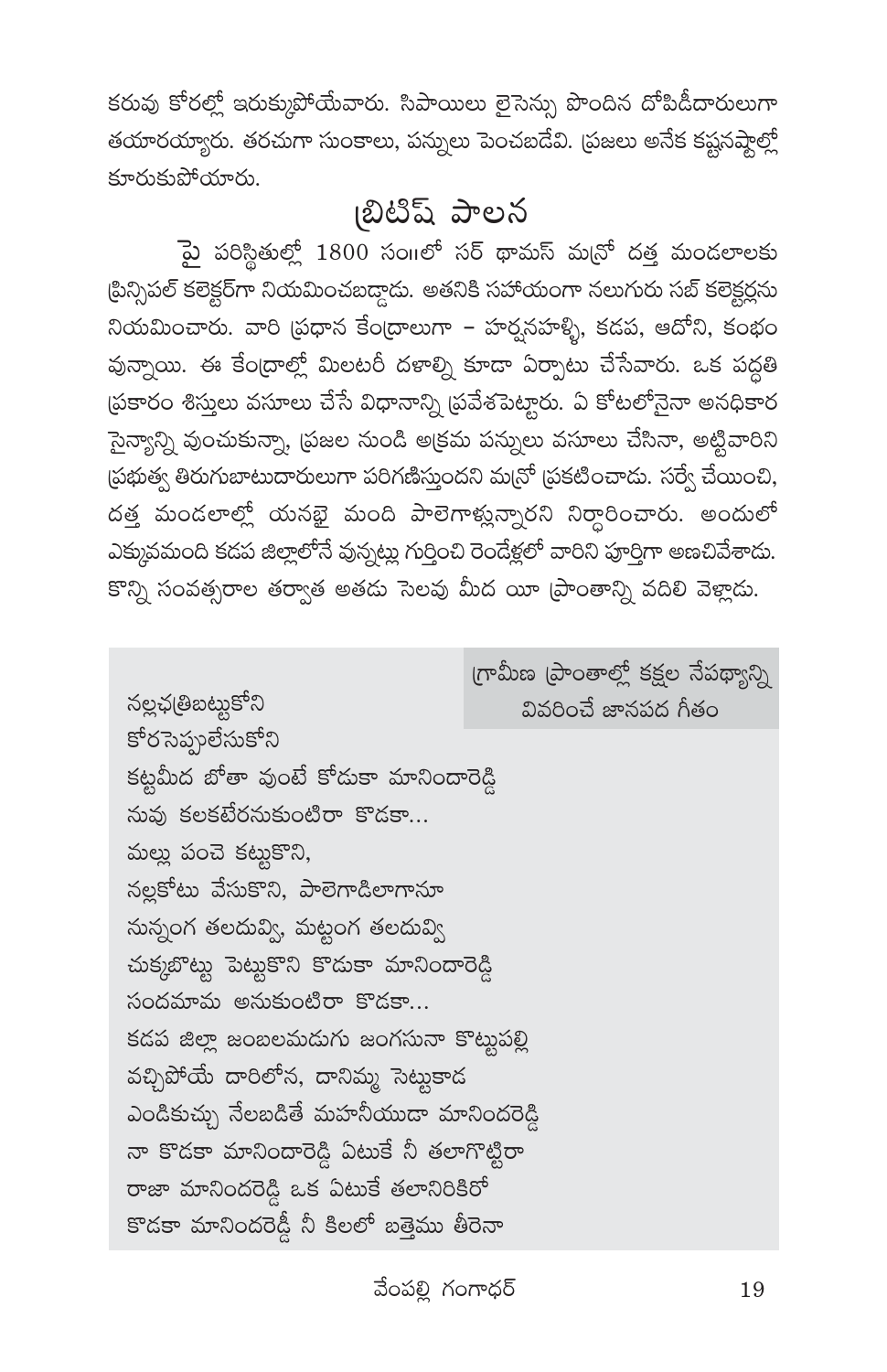కరువు కోరల్లో ఇరుక్కుపోయేవారు. సిపాయిలు లైసెన్సు పొందిన దోపిడీదారులుగా తయారయ్యారు. తరచుగా సుంకాలు, పన్నులు పెంచబడేవి. (పజలు అనేక కష్టనష్ఠాల్లో కూరుకుపోయారు.

### (బిటిష్ పాలన

ైపై పరిస్థితుల్లో 1800 సంగలో సర్ థామస్ మన్రో దత్త మండలాలకు టిన్సిపల్ కలెక్టర్గా నియమించబడ్డాదు. అతనికి సహాయంగా నలుగురు సబ్ కలెక్టర్లను నియమించారు. వారి (పథాన కేం(దాలుగా – హర్షనహళ్ళి, కడప, ఆదోని, కంభం వున్నాయి. ఈ కేంద్రాల్లో మిలటరీ దళాల్ని కూడా ఏర్పాటు చేసేవారు. ఒక పద్ధతి ద్రుకారం శిస్తులు వసూలు చేసే విధానాన్ని ద్రవేశపెట్టారు. ఏ కోటలోనైనా అనధికార సైన్యాన్ని వుంచుకున్నా, (పజల నుండి అ(కమ పన్నులు వసూలు చేసినా, అట్టివారిని ప్రభుత్వ తిరుగుబాటుదారులుగా పరిగణిస్తుందని మన్రో ప్రకటించాడు. సర్వే చేయించి, దత్త మండలాల్లో యనభై మంది పాలెగాళ్లున్నారని నిర్ధారించారు. అందులో ఎక్కువమంది కడప జిల్లాలోనే వున్నట్లు గుర్తించి రెండేళ్లలో వారిని పూర్తిగా అణచివేశాదు. కొన్ని సంవత్సరాల తర్వాత అతడు సెలవు మీద యీ [పాంతాన్ని వదిలి వెళ్లాడు.

నల్లఛత్రిబట్టుకోని కోరసెప్తులేసుకోని కట్టమీద బోతా వుంటే కోడుకా మానిందారెడ్డి నువు కలకటేరనుకుంటిరా కొడకా... మల్లు పంచె కట్టుకొని, నల్లకోటు వేసుకొని, పాలెగాడిలాగానూ నున్నంగ తలదువ్వి, మట్టంగ తలదువ్వి చుక్కబొట్టు పెట్టుకొని కొడుకా మానిందారెడ్డి సందమామ అనుకుంటిరా కొడకా... కడప జిల్లా జంబలమడుగు జంగసునా కొట్టుపల్లి వచ్చిపోయే దారిలోన, దానిమ్మ సెట్టుకాడ ఎండికుచ్చు నేలబడితే మహనీయుడా మానిందరెడ్డి నా కొడకా మానిందారెడ్డి ఏటుకే నీ తలాగొట్టిరా రాజా మానిందరెడ్డి ఒక ఏటుకే తలానిరికిరో కొడకా మానిందరెడ్డీ నీ కిలలో బత్తెము తీరెనా

గ్రామీణ [పాంతాల్లో కక్షల నేపథ్యాన్ని వివరించే జానపద గీతం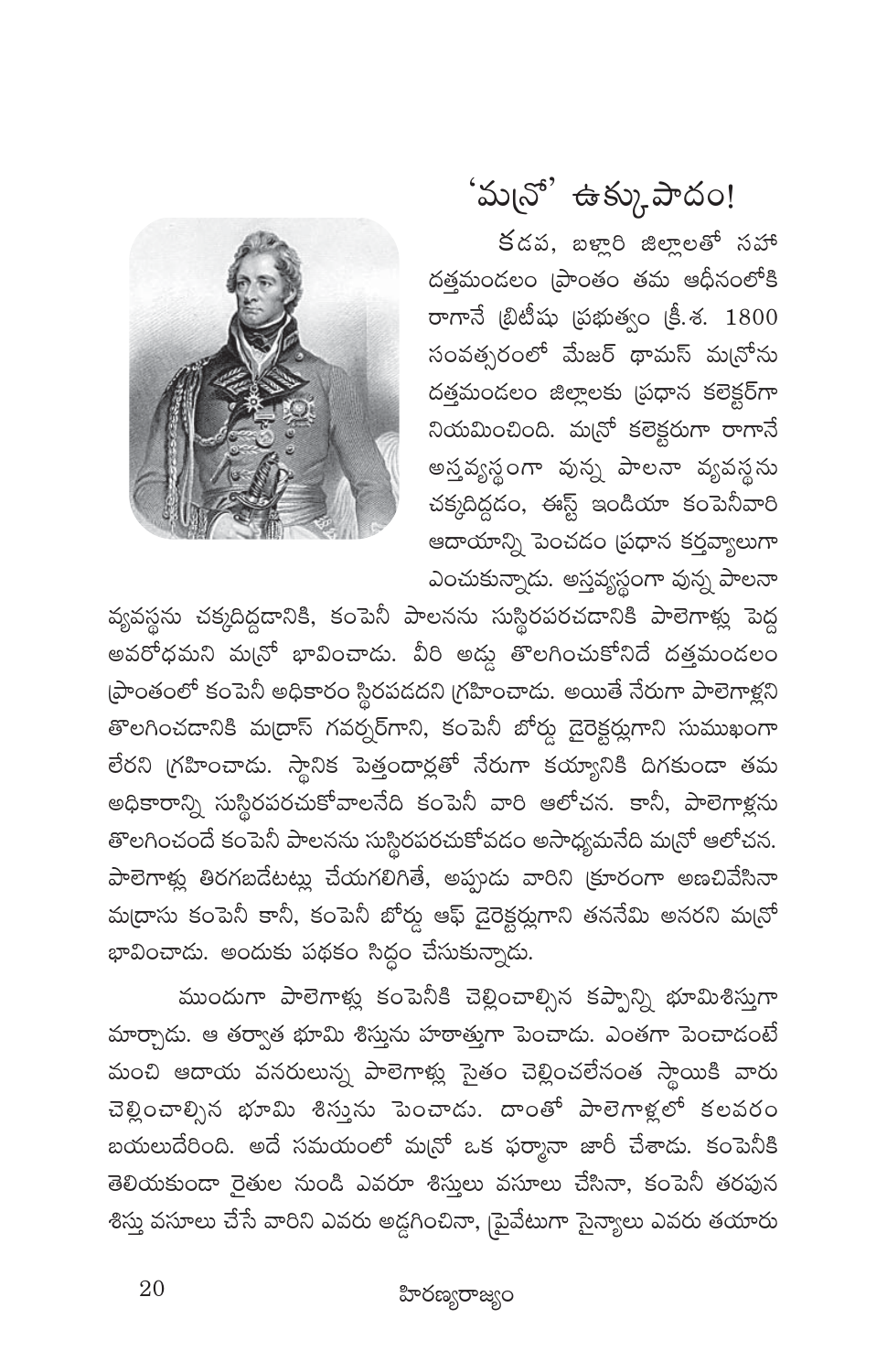

'మనో' ఉక్కుపాదం!

కడప, బళ్లారి జిల్లాలతో సహా దత్తమండలం (పాంతం తమ ఆధీనంలోకి တကာ သင်္လီ ဖိုးဆံုး မြို့ဆံုး (ဗြိ. ဗ $6.46$ .  $1800$ సంవత్సరంలో మేజర్ థామస్ మ(నోను దత్తమండలం జిల్లాలకు (పధాన కలెక్టర్గా నియమించింది. మన్రో కలెక్టరుగా రాగానే అస్తవ్యస్థంగా వున్న పాలనా వ్యవస్థను చక్కదిద్దడం, ఈస్ట్ ఇండియా కంపెనీవారి ఆదాయాన్ని పెంచడం (పధాన కర్తవ్యాలుగా ఎంచుకున్నాడు. అస్తవ్యస్థంగా వున్న పాలనా

వ్యవస్థను చక్కదిద్దదానికి, కంపెనీ పాలనను సుస్థిరపరచడానికి పాలెగాళ్లు పెద్ద .<br>అవరోధమని మ<sub>ట</sub>సో భావించాడు. వీరి అడ్డు తొలగించుకోనిదే దత్తమండలం ప్రాంతంలో కంపెనీ అధికారం స్థిరపడదని గ్రహించాడు. అయితే నేరుగా పాలెగాళ్లని .<br>తొలగించడానికి మα్రాస్ గవర్నర్గాని, కంపెనీ బోర్డు డైరెక్టర్లుగాని సుముఖంగా .<br>లేరని గ్రహించాదు. స్తానిక పెత్తందార్లతో నేరుగా కయ్యానికి దిగకుండా తమ .<br>అధికారాన్ని సుస్థిరపరచుకోవాలనేది కంపెనీ వారి ఆలోచన. కానీ, పాలెగాళ్లను తొలగించందే కంపెనీ పాలనను సుస్థిరపరచుకోవడం అసాధ్యమనేది మన్రో ఆలోచన. .<br>పాలెగాళ్లు తిరగబడేటట్లు చేయగలిగితే, అప్పుడు వారిని క్రూరంగా అణచివేసినా మద్ాసు కంపెనీ కానీ, కంపెనీ బోర్డు ఆఫ్ డైరెక్టర్లుగాని తననేమి అనరని మ(నో భావించాడు. అందుకు పథకం సిద్ధం చేసుకున్నాడు.

ముందుగా పాలెగాళ్లు కంపెనీకి చెల్లించాల్సిన కప్పాన్ని భూమిశిస్తుగా మార్చాడు. ఆ తర్వాత భూమి శిస్తును హఠాత్మగా పెంచాడు. ఎంతగా పెంచాడంటే మంచి ఆదాయ వనరులున్న పాలెగాళ్లు సైతం చెల్లించలేనంత స్థాయికి వారు .<br>చెల్లించాల్సిన భూమి శిస్తును పెంచాడు. దాంతో పాలెగాళ్లలో కలవరం బయలుదేరింది. అదే సమయంలో మ[నో ఒక ఫర్మానా జారీ చేశాడు. కంపెనీకి .<br>తెలియకుండా రైతుల నుండి ఎవరూ శిస్తులు వసూలు చేసినా, కంపెనీ తరపున శిస్తు వసూలు చేసే వారిని ఎవరు అడ్డగించినా, [పైవేటుగా సైన్యాలు ఎవరు తయారు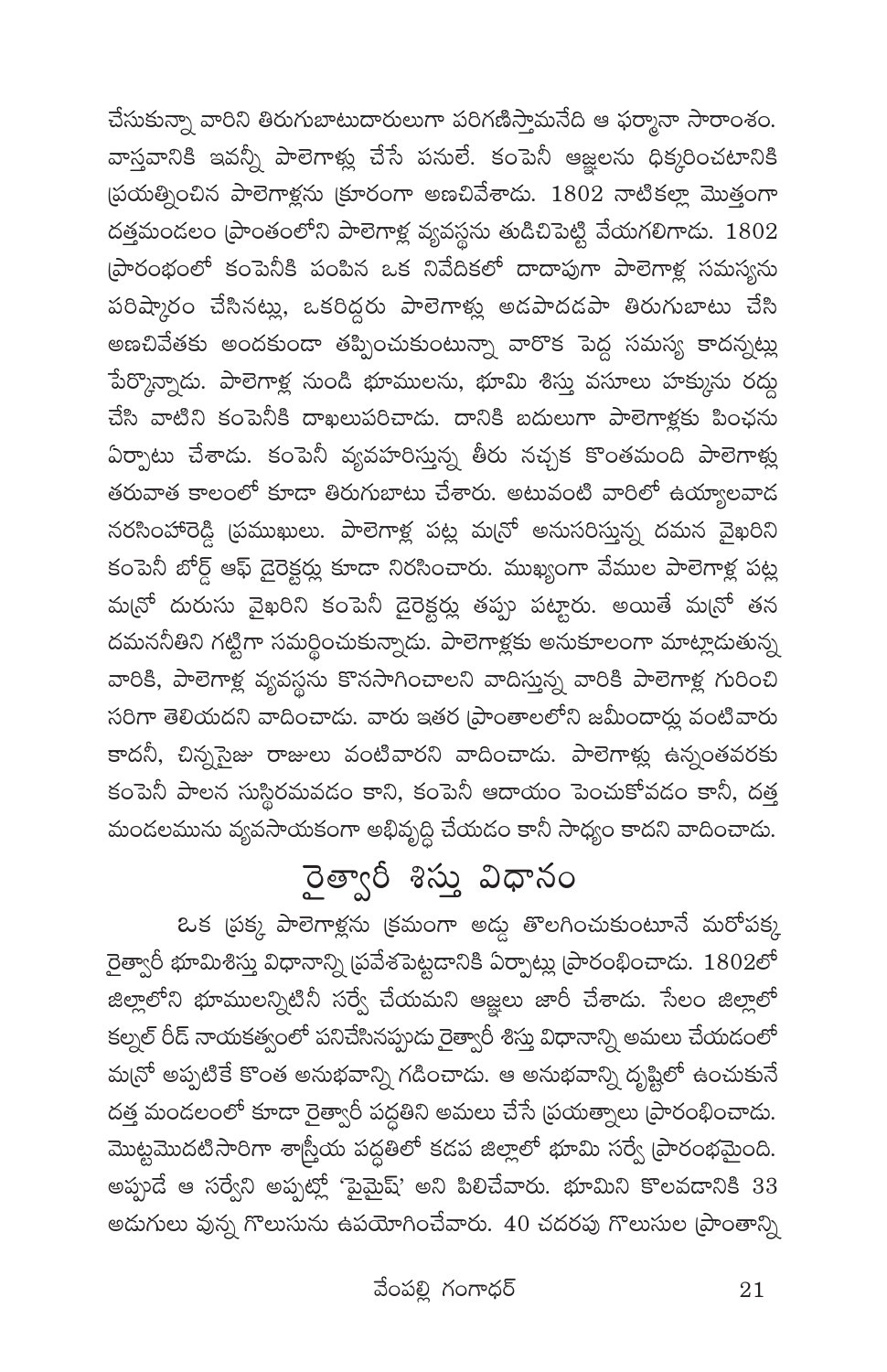చేసుకున్నా వారిని తిరుగుబాటుదారులుగా పరిగణిస్తామనేది ఆ ఫర్మానా సారాంశం. వాస్తవానికి ఇవన్నీ పాలెగాళ్లు చేసే పనులే. కంపెనీ ఆజ్ఞలను ధిక్కరించటానికి ప్రయత్నించిన పాలెగాళ్లను క్రూరంగా అణచివేశాడు. 1802 నాటికల్లా మొత్తంగా దత్తమండలం (పాంతంలోని పాలెగాళ్ల వ్యవస్థను తుడిచిపెట్టి వేయగలిగాడు. 1802 (పారంభంలో కంపెనీకి పంపిన ఒక నివేదికలో దాదాపుగా పాలెగాళ్ల సమస్యను పరిష్కారం చేసినట్లు, ఒకరిద్దరు పాలెగాళ్లు అడపాదడపా తిరుగుబాటు చేసి అణచివేతకు అందకుండా తప్పించుకుంటున్నా వారొక పెద్ద సమస్య కాదన్నట్లు పేర్కొన్నాదు. పాలెగాళ్ల నుండి భూములను, భూమి శిస్తు వసూలు హక్కును రద్దు చేసి వాటిని కంపెనీకి దాఖలుపరిచాడు. దానికి బదులుగా పాలెగాళ్లకు పింఛను ఏర్పాటు చేశాడు. కంపెనీ వ్యవహరిస్తున్న తీరు నచ్చక కొంతమంది పాలెగాళ్లు తరువాత కాలంలో కూడా తిరుగుబాటు చేశారు. అటువంటి వారిలో ఉయ్యాలవాడ నరసింహారెడ్డి (పముఖులు. పాలెగాళ్ల పట్ల మ(నో అనుసరిస్తున్న దమన వైఖరిని కంపెనీ బోర్డ్ ఆఫ్ డైరెక్టర్లు కూడా నిరసించారు. ముఖ్యంగా వేముల పాలెగాళ్ల పట్ల మ(నో దురుసు వైఖరిని కంపెనీ డైరెక్టర్లు తప్పు పట్టారు. అయితే మ(నో తన దమననీతిని గట్టిగా సమర్థించుకున్నాడు. పాలెగాళ్లకు అనుకూలంగా మాట్లాడుతున్న వారికి, పాలెగాళ్ల వ్యవస్థను కొనసాగించాలని వాదిస్తున్న వారికి పాలెగాళ్ల గురించి సరిగా తెలియదని వాదించాడు. వారు ఇతర [ప్రాంతాలలోని జమీందార్లు వంటివారు కాదనీ, చిన్నసైజు రాజులు వంటివారని వాదించాడు. పాలెగాళ్లు ఉన్నంతవరకు కంపెనీ పాలన సుస్థిరమవడం కాని, కంపెనీ ఆదాయం పెంచుకోవడం కానీ, దత మండలమును వ్యవసాయకంగా అభివృద్ధి చేయడం కానీ సాధ్యం కాదని వాదించాడు.

## రైత్వారీ శిస్తు విధానం

ఒక (పక్క పాలెగాళ్లను (కమంగా అడ్డు తొలగించుకుంటూనే మరోపక్క రైత్వారీ భూమిశిస్తు విధానాన్ని (పవేశపెట్టడానికి ఏర్పాట్లు (పారంభించాడు. 1802లో జిల్లాలోని భూములన్నిటినీ సర్వే చేయమని ఆజ్ఞలు జారీ చేశాడు. సేలం జిల్లాలో కల్నల్ రీడ్ నాయకత్వంలో పనిచేసినప్పుడు రైత్వారీ శిస్తు విధానాన్ని అమలు చేయడంలో మ్మనో అప్పటికే కొంత అనుభవాన్ని గడించాడు. ఆ అనుభవాన్ని దృష్టిలో ఉంచుకునే దత్త మండలంలో కూడా రైత్వారీ పద్ధతిని అమలు చేసే (పయత్నాలు (పారంభించాడు. మొట్టమొదటిసారిగా శాస్త్రీయ పద్ధతిలో కడప జిల్లాలో భూమి సర్వే [పారంభమైంది. అప్పుడే ఆ సర్వేని అప్పట్లో 'పైమైష్' అని పిలిచేవారు. భూమిని కొలవడానికి 33 అడుగులు వున్న గొలుసును ఉపయోగించేవారు. 40 చదరపు గొలుసుల [పాంతాన్ని

వేంపల్లి గంగాధర్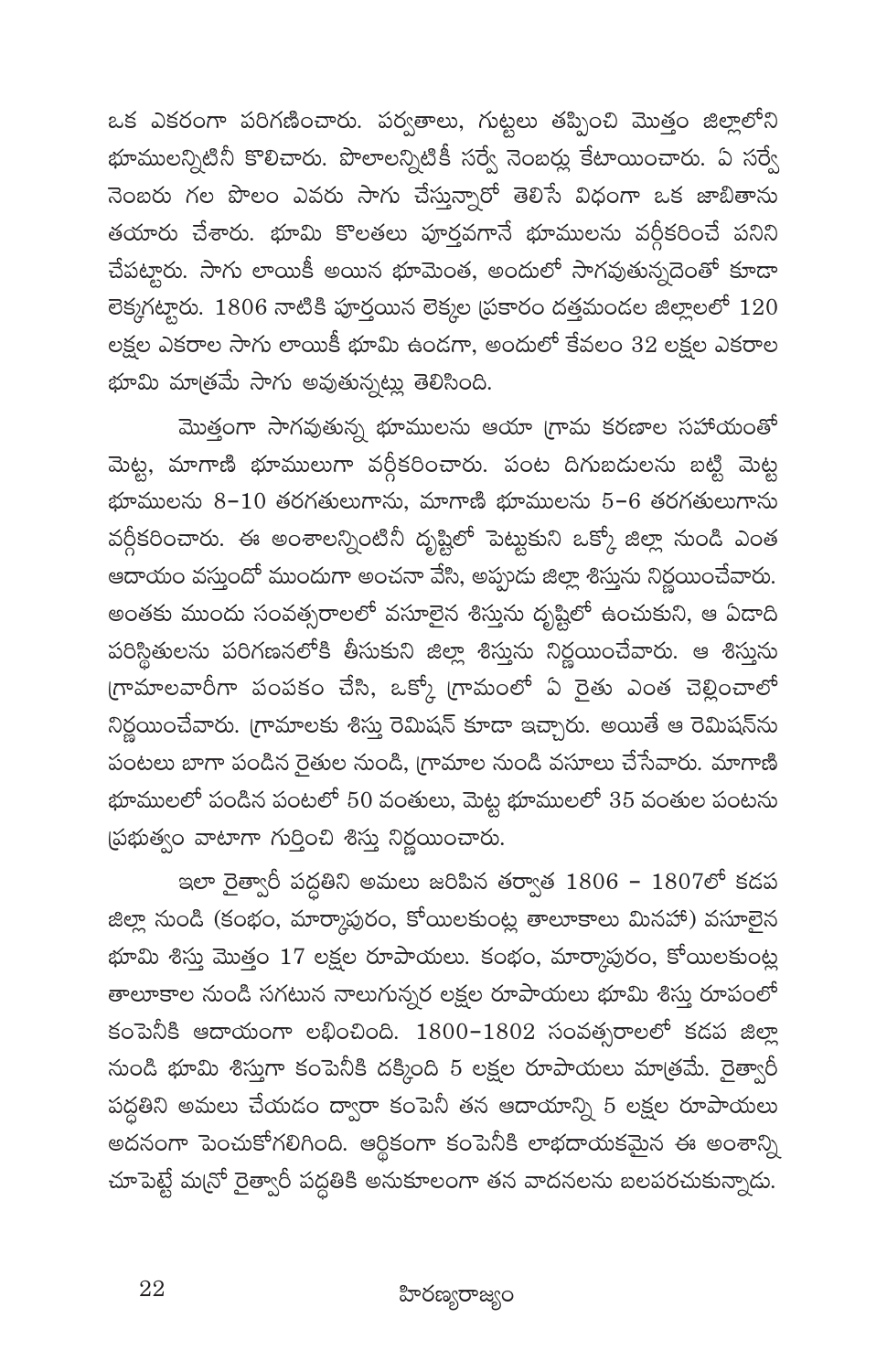ఒక ఎకరంగా పరిగణించారు. పర్వతాలు, గుట్టలు తప్పించి మొత్తం జిల్లాలోని భూములన్నిటినీ కొలిచారు. పొలాలన్నిటికీ సర్వే నెంబర్లు కేటాయించారు. ఏ సర్వే నెంబరు గల పొలం ఎవరు సాగు చేస్తున్నారో తెలిసే విధంగా ఒక జాబితాను తయారు చేశారు. భూమి కొలతలు పూర్తవగానే భూములను వర్గీకరించే పనిని చేపట్తారు. సాగు లాయికీ అయిన భూమెంత, అందులో సాగవుతున్నదెంతో కూడా లెక్కగట్టారు. 1806 నాటికి పూర్తయిన లెక్కల (పకారం దత్తమండల జిల్లాలలో 120 లక్షల ఎకరాల సాగు లాయికీ భూమి ఉండగా, అందులో కేవలం 32 లక్షల ఎకరాల భూమి మాత్రమే సాగు అవుతున్నట్లు తెలిసింది.

మొత్తంగా సాగవుతున్న భూములను ఆయా గ్రామ కరణాల సహాయంతో మెట్ట, మాగాణి భూములుగా వర్గీకరించారు. పంట దిగుబడులను బట్టి మెట్ట భూములను 8–10 తరగతులుగాను, మాగాణి భూములను 5–6 తరగతులుగాను వర్గీకరించారు. ఈ అంశాలన్నింటినీ దృష్టిలో పెట్టుకుని ఒక్కో జిల్లా నుండి ఎంత ఆదాయం వస్తుందో ముందుగా అంచనా వేసి, అప్పుడు జిల్లా శిస్తును నిర్ణయించేవారు. అంతకు ముందు సంవత్సరాలలో వసూలైన శిస్తును దృష్టిలో ఉంచుకుని, ఆ ఏడాది పరిస్థితులను పరిగణనలోకి తీసుకుని జిల్లా శిస్తును నిర్ణయించేవారు. ఆ శిస్తును గ్రామాలవారీగా పంపకం చేసి, ఒక్కో గ్రామంలో ఏ రైతు ఎంత చెల్లించాలో నిర్ణయించేవారు. గ్రామాలకు శిస్తు రెమిషన్ కూడా ఇచ్చారు. అయితే ఆ రెమిషన్ను పంటలు బాగా పండిన రైతుల నుండి, (గామాల నుండి వసూలు చేసేవారు. మాగాణి భూములలో పండిన పంటలో 50 వంతులు, మెట్ట భూములలో 35 వంతుల పంటను ప్రభుత్వం వాటాగా గుర్తించి శిస్తు నిర్ణయించారు.

ఇలా రైత్వారీ పద్దతిని అమలు జరిపిన తర్వాత  $1806$  -  $1807$ లో కడప జిల్లా నుండి (కంభం, మార్కాపురం, కోయిలకుంట్ల తాలూకాలు మినహా) వసూలైన భూమి శిస్తు మొత్తం 17 లక్షల రూపాయలు. కంభం, మార్కాపురం, కోయిలకుంట్ల తాలూకాల నుండి సగటున నాలుగున్నర లక్షల రూపాయలు భూమి శిస్తు రూపంలో కంపెనీకి ఆదాయంగా లభించింది. 1800-1802 సంవత్సరాలలో కడప జిల్లా నుండి భూమి శిస్తుగా కంపెనీకి దక్కింది 5 లక్షల రూపాయలు మాత్రమే. రైత్వారీ పద్ధతిని అమలు చేయడం ద్వారా కంపెనీ తన ఆదాయాన్ని 5 లక్షల రూపాయలు అదనంగా పెంచుకోగలిగింది. ఆర్థికంగా కంపెనీకి లాభదాయకమైన ఈ అంశాన్న<mark>ి</mark> చూపెట్టే మ్మనో రైత్వారీ పద్ధతికి అనుకూలంగా తన వాదనలను బలపరచుకున్నాడు.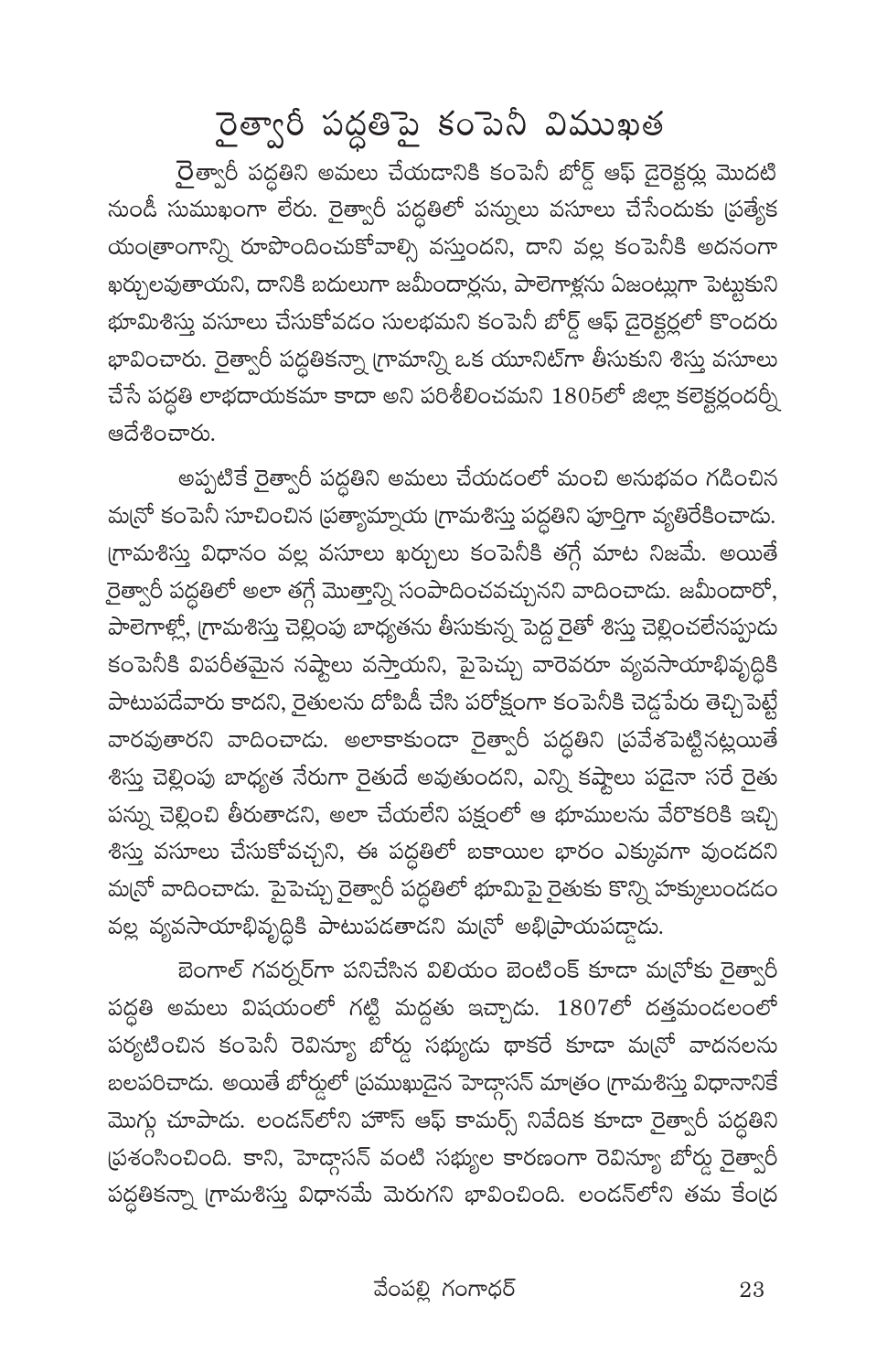## రైత్వారీ పద్దతిపై కంపెనీ విముఖత

రైత్వారీ పద్ధతిని అమలు చేయదానికి కంపెనీ బోర్డ్ ఆఫ్ డైరెక్టర్లు మొదటి నుండీ సుముఖంగా లేరు. రైత్వారీ పద్ధతిలో పన్నులు వసూలు చేసేందుకు (పత్యేక యం[తాంగాన్ని రూపొందించుకోవాల్సి వస్తుందని, దాని వల్ల కంపెనీకి అదనంగా ఖర్చులవుతాయని, దానికి బదులుగా జమీందార్లను, పాలెగాళ్లను ఏజంట్లుగా పెట్టుకుని భూమిశిస్తు వసూలు చేసుకోవడం సులభమని కంపెనీ బోర్డ్ ఆఫ్ డైరెక్టర్లలో కొందరు భావించారు. రైత్వారీ పద్ధతికన్నా (గామాన్ని ఒక యూనిట్గా తీసుకుని శిస్తు వసూలు చేసే పద్ధతి లాభదాయకమా కాదా అని పరిశీలించమని 1805లో జిల్లా కలెక్టర్లందర్నీ ఆదేశించారు.

అప్పటికే రైత్వారీ పద్ధతిని అమలు చేయడంలో మంచి అనుభవం గడించిన మ్మనో కంపెనీ సూచించిన (పత్యామ్నాయ గ్రామశిస్తు పద్ధతిని పూర్తిగా వ్యతిరేకించాడు. గ్రామశిస్తు విధానం వల్ల వసూలు ఖర్చులు కంపెనీకి తగ్గే మాట నిజమే. అయితే రైత్వారీ పద్ధతిలో అలా తగ్గే మొత్తాన్ని సంపాదించవచ్చునని వాదించాడు. జమీందారో, పాలెగాళ్లో, (గామశిస్తు చెల్లింపు బాధృతను తీసుకున్న పెద్ద రైతో శిస్తు చెల్లించలేనప్పుడు కంపెనీకి విపరీతమైన నష్టాలు వస్తాయని, పైపెచ్చు వారెవరూ వ్యవసాయాభివృద్ధికి .<br>పాటుపడేవారు కాదని, రైతులను దోపిడీ చేసి పరోక్షంగా కంపెనీకి చెడ్డపేరు తెచ్చిపెట్టే వారవుతారని వాదించాడు. అలాకాకుండా రైత్వారీ పద్దతిని <mark>(</mark>పవేశపెట్టినట్లయితే శిస్తు చెల్లింపు బాధ్యత నేరుగా రైతుదే అవుతుందని, ఎన్ని కష్టాలు పడైనా సరే రైతు పన్ను చెల్లించి తీరుతాడని, అలా చేయలేని పక్షంలో ఆ భూములను వేరొకరికి ఇచ్చి శిస్తు వసూలు చేసుకోవచ్చని, ఈ పద్ధతిలో బకాయిల భారం ఎక్కువగా వుండదని మ(నో వాదించాడు. పైపెచ్చు రైత్వారీ పద్ధతిలో భూమిపై రైతుకు కొన్ని హక్కులుండడం వల్ల వ్యవసాయాభివృద్ధికి పాటుపడతాడని మన్రో అభి[పాయపద్దాడు.

బెంగాల్ గవర్నర్గా పనిచేసిన విలియం బెంటింక్ కూడా మ్మనోకు రైత్వారీ పద్ధతి అమలు విషయంలో గట్టి మద్దతు ఇచ్చాడు. 1807లో దత్తమండలంలో పర్యటించిన కంపెనీ రెవిన్యూ బోర్డు సభ్యుడు థాకరే కూడా మ(నో వాదనలను బలపరిచాదు. అయితే బోర్డులో (పముఖుడైన హెద్దాసన్ మా(తం (గామశిస్తు విధానానికే మొగ్గు చూపాడు. లండన్లోని హౌస్ ఆఫ్ కామర్స్ నివేదిక కూడా రైత్వారీ పద్ధతిని ధ్రశంసించింది. కాని, హెద్గాసన్ వంటి సభ్యుల కారణంగా రెవిన్యూ బోర్డు రైత్వారీ పద్ధతికన్నా (గామశిస్తు విధానమే మెరుగని భావించింది. లండన్లోని తమ కేంద్ర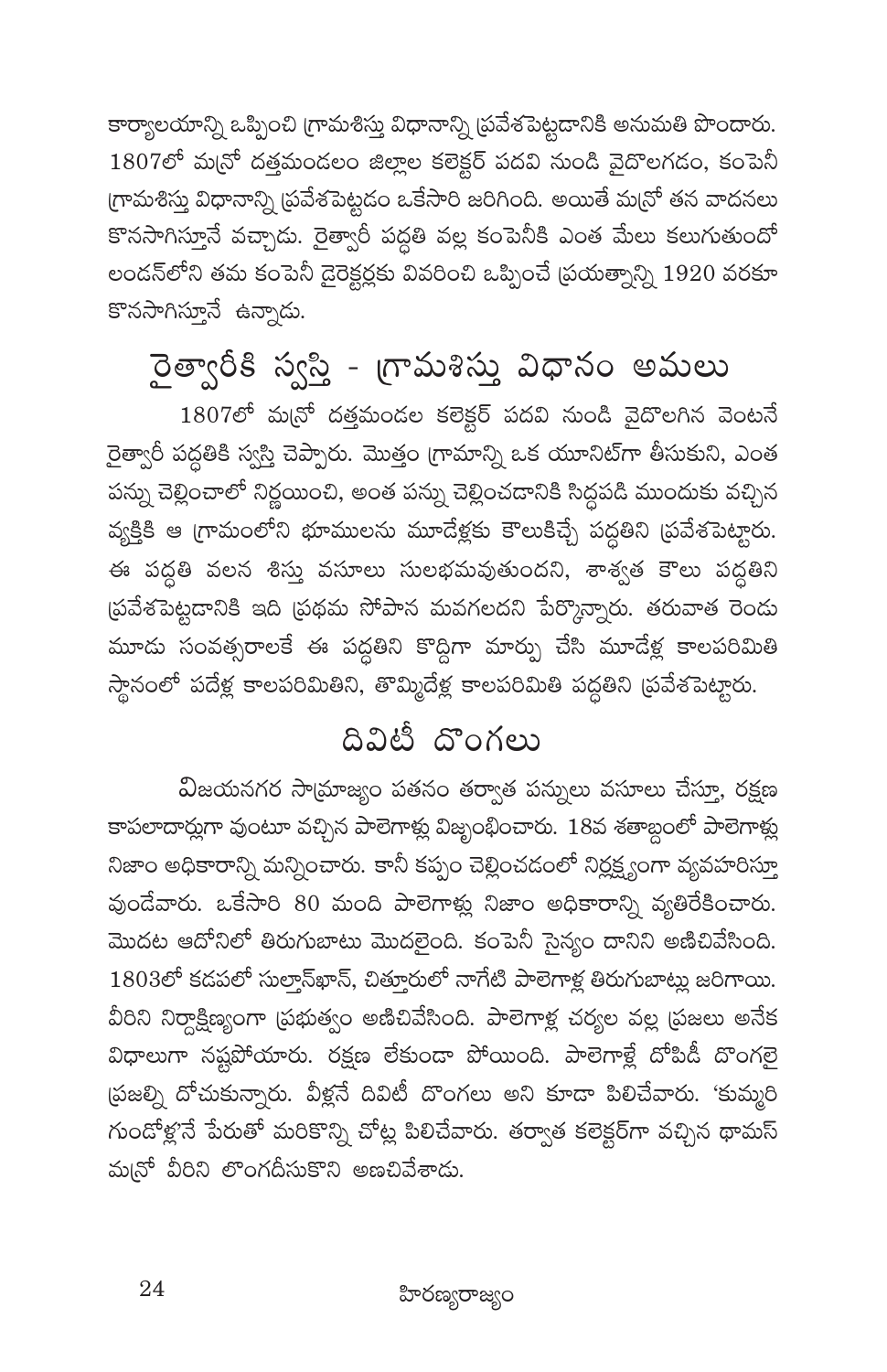కార్యాలయాన్ని ఒప్పించి (గామశిస్తు విధానాన్ని (పవేశపెట్టడానికి అనుమతి పొందారు.  $1807$ లో మ(నో దత్తమండలం జిల్లాల కలెక్టర్ పదవి నుండి వైదొలగడం, కంపెనీ గ్రామశిస్తు విధానాన్ని (పవేశపెట్టడం ఒకేసారి జరిగింది. అయితే మ(నో తన వాదనలు కొనసాగిస్తూనే వచ్చాడు. రైత్వారీ పద్ధతి వల్ల కంపెనీకి ఎంత మేలు కలుగుతుందో లండన్లోని తమ కంపెనీ డైరెక్టర్లకు వివరించి ఒప్పించే (పయత్నాన్ని 1920 వరకూ కొనసాగిస్తూనే ఉన్నాడు.

# రైత్వారీకి స్వస్తి - గ్రామశిస్తు విధానం అమలు

 $1807$ లో మ(నో దత్తమండల కలెక్టర్ పదవి నుండి వైదొలగిన వెంటనే రైత్వారీ పద్ధతికి స్వస్తి చెప్పారు. మొత్తం (గామాన్ని ఒక యూనిట్గా తీసుకుని, ఎంత పన్ను చెల్లించాలో నిర్ణయించి, అంత పన్ను చెల్లించడానికి సిద్దపడి ముందుకు వచ్చిన వ్యక్తికి ఆ గ్రామంలోని భూములను మూదేళ్లకు కౌలుకిచ్చే పద్ధతిని (పవేశపెట్టారు. ఈ పద్ధతి వలన శిస్తు వసూలు సులభమవుతుందని, శాశ్వత కౌలు పద్ధతిని .<br>[ప్రవేశపెట్టడానికి ఇది (పథమ సోపాన మవగలదని పేర్కొన్నారు. తరువాత రెండు మూడు సంవత్సరాలకే ఈ పద్ధతిని కొద్దిగా మార్పు చేసి మూడేళ్ల కాలపరిమితి స్థానంలో పదేళ్ల కాలపరిమితిని, తొమ్మిదేళ్ల కాలపరిమితి పద్దతిని [పవేశపెట్టారు.

#### దివిటీ దొంగలు

విజయనగర సామ్రాజ్యం పతనం తర్వాత పన్నులు వసూలు చేస్తూ, రక్షణ కాపలాదార్లుగా వుంటూ వచ్చిన పాలెగాళ్లు విజృంభించారు. 18వ శతాబ్దంలో పాలెగాళ్లు నిజాం అధికారాన్ని మన్నించారు. కానీ కప్పం చెల్లించడంలో నిర్లక్ష్యంగా వ్యవహరిస్తూ వుండేవారు. ఒకేసారి 80 మంది పాలెగాళ్లు నిజాం అధికారాన్ని వ్యతిరేకించారు. మొదట ఆదోనిలో తిరుగుబాటు మొదలైంది. కంపెనీ సైన్యం దానిని అణిచివేసింది.  $1803$ లో కడపలో సుల్తాన్ఖాన్, చిత్తూరులో నాగేటి పాలెగాళ్ల తిరుగుబాట్లు జరిగాయి. వీరిని నిర్ధాక్షిణ్యంగా (పభుత్వం అణిచివేసింది. పాలెగాళ్ల చర్యల వల్ల (పజలు అనేక విధాలుగా నష్టపోయారు. రక్షణ లేకుండా పోయింది. పాలెగాళ్లే దోపిడీ దొంగలై (పజల్ని దోచుకున్నారు. వీళ్లనే దివిటీ దొంగలు అని కూడా పిలిచేవారు. 'కుమ్మరి గుండోళ్లనే పేరుతో మరికొన్ని చోట్ల పిలిచేవారు. తర్వాత కలెక్టర్గా వచ్చిన థామస్ మ్మనో వీరిని లొంగదీసుకొని అణచివేశాడు.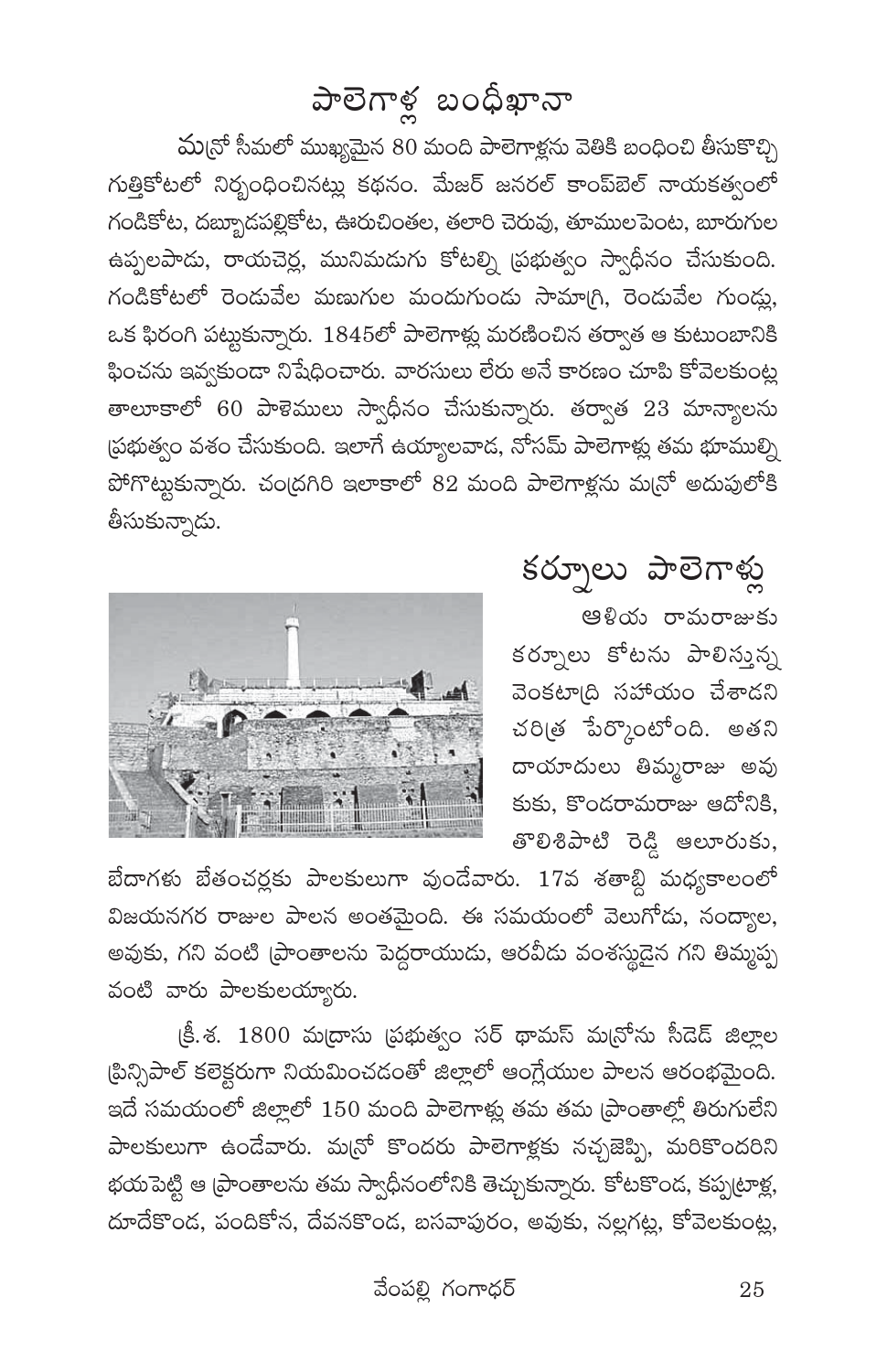#### పాలెగాళ్ల బంధీఖానా

మ్మనో సీమలో ముఖ్యమైన 80 మంది పాలెగాళ్లను వెతికి బంధించి తీసుకొచ్చి గుత్తికోటలో నిర్బంధించినట్లు కథనం. మేజర్ జనరల్ కాంప్ఐెల్ నాయకత్వంలో గండికోట, దబ్బూడపల్లికోట, ఊరుచింతల, తలారి చెరువు, తూములపెంట, బూరుగుల ఉప్పలపాడు, రాయచెర్ల, మునిమడుగు కోటల్ని (పభుత్వం స్వాధీనం చేసుకుంది. గండికోటలో రెండువేల మణుగుల మందుగుండు సామాగ్రి, రెండువేల గుండ్లు, ఒక ఫిరంగి పట్టుకున్నారు. 1845లో పాలెగాళ్లు మరణించిన తర్వాత ఆ కుటుంబానికి ఫించను ఇవ్వకుండా నిషేధించారు. వారసులు లేరు అనే కారణం చూపి కోవెలకుంట తాలూకాలో 60 పాళెములు స్వాధీనం చేసుకున్నారు. తర్వాత 23 మాన్యాలను ప్రభుత్వం వశం చేసుకుంది. ఇలాగే ఉయ్యాలవాడ, నోసమ్ పాలెగాళ్లు తమ భూముల్ని పోగొట్టుకున్నారు. చంద్రగిరి ఇలాకాలో 82 మంది పాలెగాళ్లను మన్లో అదుపులోకి తీసుకున్నాడు.



#### కర్నూలు పాలెగాళ్లు

ఆళియ రామరాజుకు కర్నూలు కోటను పాలిసున్న వెంకటా(ది సహాయం చేశాడని చరిత్ర పేర్కొంటోంది. అతని దాయాదులు తిమ్మరాజు అవు కుకు, కొందరామరాజు ఆదోనికి. తొలిశిపాటి రెడ్డి ఆలూరుకు,

బేదాగళు బేతంచర్లకు పాలకులుగా వుండేవారు. 17వ శతాబ్ది మధ్యకాలంలో విజయనగర రాజుల పాలన అంతమైంది. ఈ సమయంలో వెలుగోదు, నంద్యాల, అవుకు, గని వంటి [పాంతాలను పెద్దరాయుడు, ఆరవీడు వంశస్త్రదైన గని తిమ్మప్ప వంటి వారు పాలకులయ్యారు.

క్రీ.శ. 1800 మద్రాసు (పభుత్వం సర్ థామస్ మ(నోను సీదెద్ జిల్లాల స్టిన్సిపాల్ కలెక్టరుగా నియమించడంతో జిల్లాలో ఆంగ్లేయుల పాలన ఆరంభమైంది. ఇదే సమయంలో జిల్లాలో 150 మంది పాలెగాళ్లు తమ తమ [పాంతాల్లో తిరుగులేని .<br>పాలకులుగా ఉండేవారు. మ<sub>ు</sub>నో కొందరు పాలెగాళ్లకు నచ్చజెప్పి, మరికొందరిని భయపెట్టి ఆ [పాంతాలను తమ స్వాధీనంలోనికి తెచ్చుకున్నారు. కోటకొండ, కప్పట్రాళ్ల, దూదేకొండ, పందికోన, దేవనకొండ, బసవాపురం, అవుకు, నల్లగట్ల, కోవెలకుంట్ల,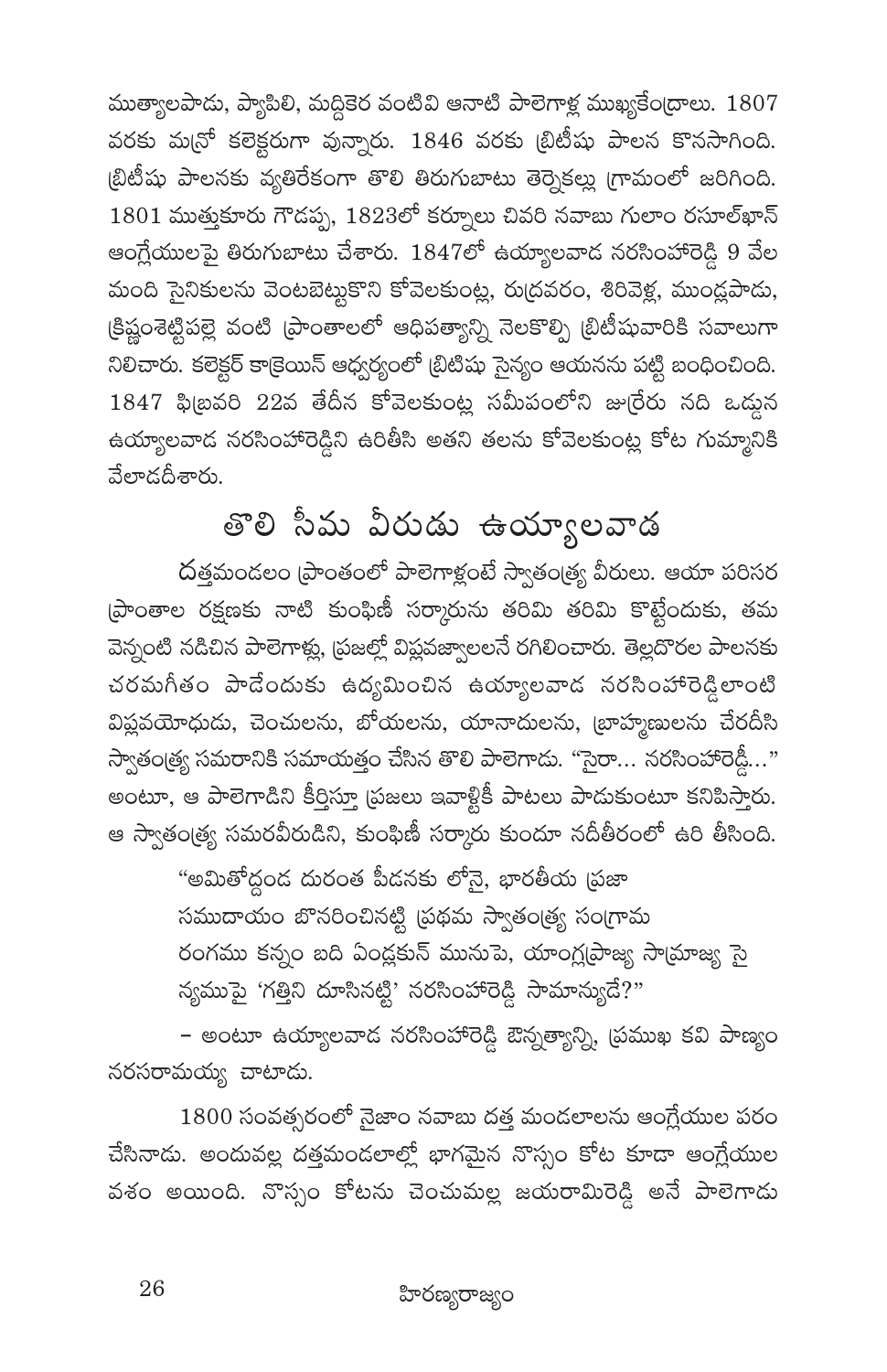ముత్యాలపాడు, ప్యాపిలి, మద్దికెర వంటివి ఆనాటి పాలెగాళ్ల ముఖ్యకేం[దాలు. 1807 వరకు మ(నో కలెక్టరుగా వున్నారు. 1846 వరకు (బిటీషు పాలన కొనసాగింది. బ్రిటీషు పాలనకు వ్యతిరేకంగా తొలి తిరుగుబాటు తెర్నెకల్లు (గామంలో జరిగింది.  $1801$  ముత్తుకూరు గౌడప్ప,  $1823$ లో కర్నూలు చివరి నవాబు గులాం రసూల్ఖాన్ ఆంగ్లేయులపై తిరుగుబాటు చేశారు. 1847లో ఉయ్యాలవాడ నరసింహారెడ్డి 9 వేల మంది సైనికులను వెంటబెట్టుకొని కోవెలకుంట్ల, రుద్రవరం, శిరివెళ్ల, ముండ్లపాడు, క్రిష్ణంశెట్టిపల్లె వంటి [పాంతాలలో ఆధిపత్యాన్ని నెలకొల్పి [బిటీషువారికి సవాలుగా నిలిచారు. కలెక్టర్ కాక్రెయిన్ ఆధ్వర్యంలో (బీటిషు సైన్యం ఆయనను పట్టి బంధించింది.  $1847$  ఫి(బైవరి  $22$ వ తేదీన కోవెలకుంట్ల సమీపంలోని జురైరు నది ఒడ్డున ఉయ్యాలవాడ నరసింహారెడ్డిని ఉరితీసి అతని తలను కోవెలకుంట్ల కోట గుమ్మానికి వేలాడదీశారు.

# తొలి సీమ వీరుడు <del>ఉ</del>య్యాలవాడ

దత్తమండలం (పాంతంలో పాలెగాళ్లంటే స్వాతం(త్య వీరులు. ఆయా పరిసర ప్రాంతాల రక్షణకు నాటి కుంఫిణీ సర్కారును తరిమి తరిమి కొట్టేందుకు, తమ వెన్నంటి నడిచిన పాలెగాళ్లు, (పజల్లో విప్లవజ్వాలలనే రగిలించారు. తెల్లదొరల పాలనకు చరమగీతం పాడేందుకు ఉద్యమించిన ఉయ్యాలవాడ నరసింహారెడ్డిలాంటి విప్లవయోధుడు, చెంచులను, బోయలను, యానాదులను, ట్రాహ్మణులను చేరదీసి .<br>స్వాతం(త్య సమరానికి సమాయత్తం చేసిన తొలి పాలెగాదు. "సైరా... నరసింహారెడ్డీ..." అంటూ, ఆ పాలెగాడిని కీర్తిస్తూ (పజలు ఇవాళ్టికీ పాటలు పాడుకుంటూ కనిపిస్తారు. ఆ స్వాతం(త్య సమరవీరుడిని, కుంఫిణీ సర్కారు కుందూ నదీతీరంలో ఉరి తీసింది.

> "అమితోద్దండ దురంత పీడనకు లోనై, భారతీయ (పజా సముదాయం బొనరించినట్టి ద్రథమ స్వాతం(త్య సంగ్రామ రంగము కన్నం బది ఏండ్లకున్ మునుపె, యాంగ్ల(పాజ్య సామ్రాజ్య సై న్యముపై 'గత్తిని దూసినట్టి' నరసింహారెడ్డి సామాన్యుడే?"

– అంటూ ఉయ్యాలవాడ నరసింహారెడ్డి ఔన్నత్యాన్ని, (పముఖ కవి పాణ్యం నరసరామయ్య చాటాడు.

 $1800$  సంవత్సరంలో నైజాం నవాబు దత్త మండలాలను ఆంగ్లేయుల పరం చేసినాదు. అందువల్ల దత్తమండలాల్లో భాగమైన నొస్సం కోట కూడా ఆంగ్లేయుల వశం అయింది. నొస్సం కోటను చెంచుమల్ల జయరామిరెడ్డి అనే పాలెగాడు

26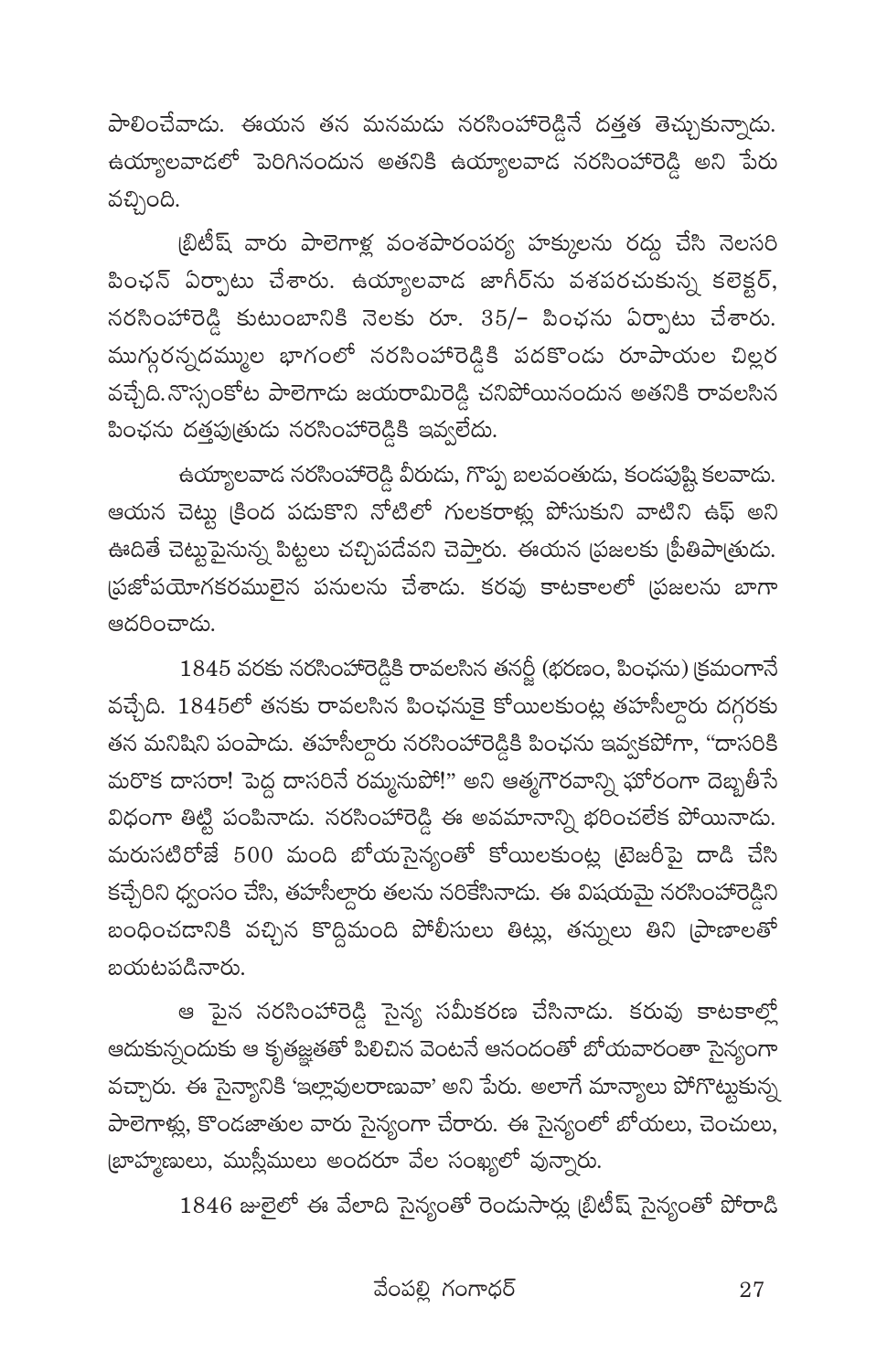పాలించేవాడు. ఈయన తన మనమడు నరసింహారెడ్డినే దత్తత తెచ్చుకున్నాడు. ఉయ్యాలవాడలో పెరిగినందున అతనికి ఉయ్యాలవాడ నరసింహారెడ్డి అని పేరు వచ్చింది.

ట్రిటీష్ వారు పాలెగాళ్ల వంశపారంపర్య హక్కులను రద్దు చేసి నెలసరి పింఛన్ ఏర్పాటు చేశారు. ఉయ్యాలవాడ జాగీర్ను వశపరచుకున్న కలెక్టర్, నరసింహారెడ్డి కుటుంబానికి నెలకు రూ. 35/- పింఛను ఏర్పాటు చేశారు. ముగ్గురన్నదమ్ముల భాగంలో నరసింహారెడ్డికి పదకొండు రూపాయల చిల్లర వచ్చేది.నొస్సంకోట పాలెగాడు జయరామిరెడ్డి చనిపోయినందున అతనికి రావలసిన పింఛను దత్తపుత్రుడు నరసింహారెడ్డికి ఇవ్వలేదు.

ఉయ్యాలవాడ నరసింహారెడ్డి వీరుడు, గొప్ప బలవంతుడు, కండపుష్టి కలవాడు. ఆయన చెట్లు క్రింద పదుకొని నోటిలో గులకరాళ్లు పోసుకుని వాటిని ఉఫ్ అని ఊదితే చెట్టుపైనున్న పిట్టలు చచ్చిపదేవని చెప్తారు. ఈయన (పజలకు (పీతిపా(తుడు. స్రజోపయోగకరములైన పనులను చేశాడు. కరవు కాటకాలలో స్రజలను బాగా ఆదరించాడు.

 $1845$  వరకు నరసింహారెడ్డికి రావలసిన తనర్జీ (భరణం, పింఛను) క్రమంగానే వచ్చేది. 1845లో తనకు రావలసిన పింఛనుకై కోయిలకుంట్ల తహసీల్దారు దగ్గరకు తన మనిషిని పంపాడు. తహసీల్దారు నరసింహారెడ్డికి పింఛను ఇవ్వకపోగా, "దాసరికి మరొక దాసరా! పెద్ద దాసరినే రమ్మనుపో!" అని ఆత్మగౌరవాన్ని ఘోరంగా దెబ్బతీసే విధంగా తిట్టి పంపినాడు. నరసింహారెడ్డి ఈ అవమానాన్ని భరించలేక పోయినాడు. మరుసటిరోజే 500 మంది బోయసైన్యంతో కోయిలకుంట్ల టైజరీపై దాడి చేసి కచ్చేరిని ధ్వంసం చేసి, తహసీల్దారు తలను నరికేసినాడు. ఈ విషయమై నరసింహారెడ్డిని బంధించడానికి వచ్చిన కొద్దిమంది పోలీసులు తిట్లు, తన్నులు తిని (పాణాలతో బయటపడినారు.

ఆ పైన నరసింహారెడ్డి సైన్య సమీకరణ చేసినాడు. కరువు కాటకాల్లో ఆదుకున్నందుకు ఆ కృతజ్ఞతతో పిలిచిన వెంటనే ఆనందంతో బోయవారంతా సైన్యంగా వచ్చారు. ఈ సైన్యానికి 'ఇల్లావులరాణువా' అని పేరు. అలాగే మాన్యాలు పోగొట్టుకున్న పాలెగాళ్లు, కొండజాతుల వారు సైన్యంగా చేరారు. ఈ సైన్యంలో బోయలు, చెంచులు, (బాహ్మణులు, ముస్లీములు అందరూ వేల సంఖ్యలో వున్నారు.

1846 జులైలో ఈ వేలాది సైన్యంతో రెందుసార్లు (బిటీష్ సైన్యంతో పోరాడి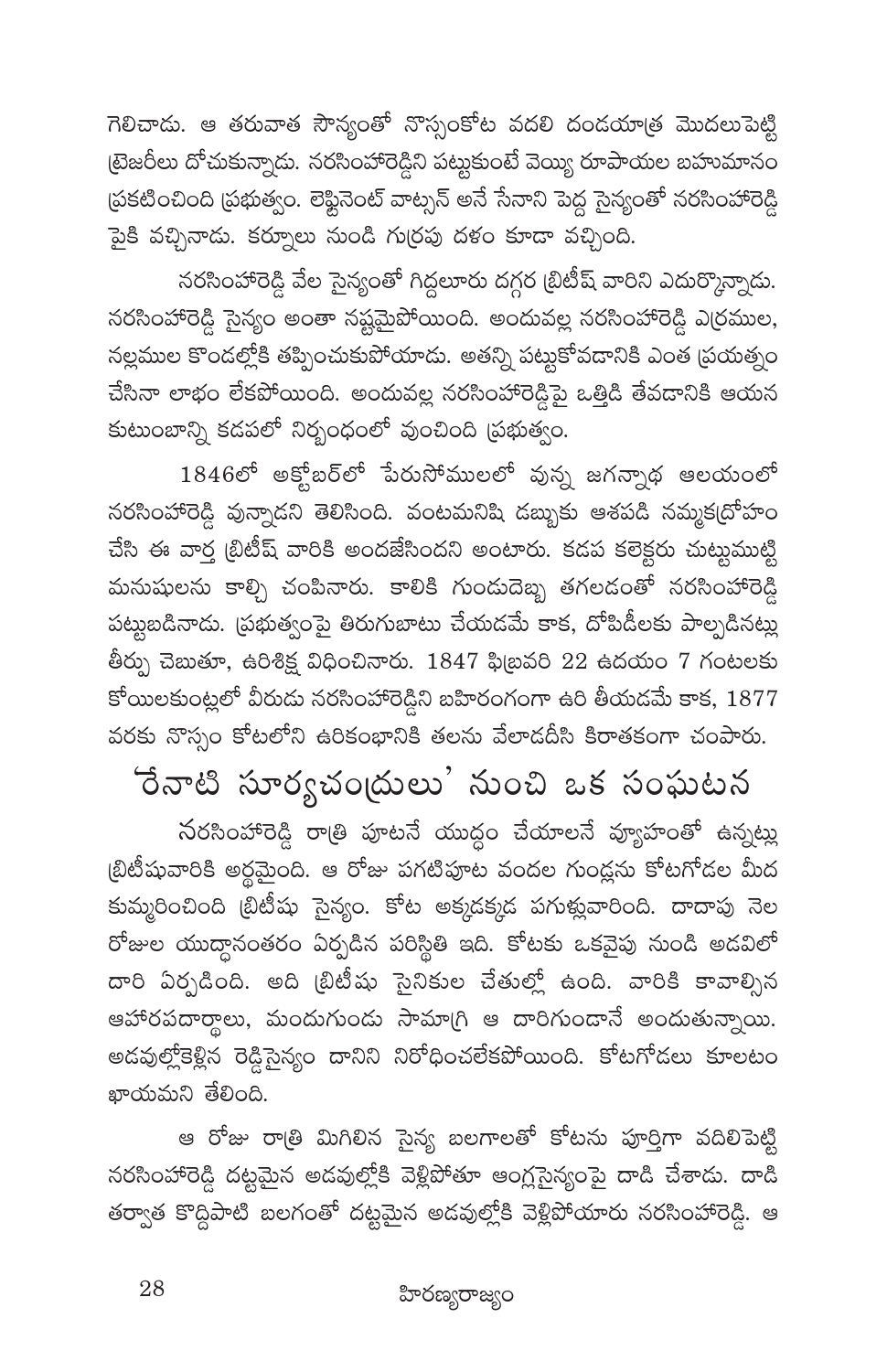గెలిచాడు. ఆ తరువాత సౌన్యంతో నొస్సంకోట వదలి దండయాత్ర మొదలుపెట్టి టైజరీలు దోచుకున్నాడు. నరసింహారెడ్డిని పట్టుకుంటే వెయ్యి రూపాయల బహుమానం భ్రకటించింది ప్రభుత్వం. లెఫ్లినెంట్ వాట్సన్ అనే సేనాని పెద్ద సైన్యంతో నరసింహారెడ్డి పైకి వచ్చినాడు. కర్నూలు నుండి గుర్రపు దళం కూడా వచ్చింది.

నరసింహారెడ్డి వేల సైన్యంతో గిద్దలూరు దగ్గర ట్రిటీష్ వారిని ఎదుర్కొన్నాడు. నరసింహారెడ్డి సైన్యం అంతా నష్టమైపోయింది. అందువల్ల నరసింహారెడ్డి ఎర్రముల, నల్లముల కొండల్లోకి తప్పించుకుపోయాడు. అతన్ని పట్టుకోవదానికి ఎంత ప్రయత్నం చేసినా లాభం లేకపోయింది. అందువల్ల నరసింహారెడ్డిపై ఒత్తిడి తేవదానికి ఆయన కుటుంబాన్ని కడపలో నిర్బంధంలో వుంచింది (పభుత్వం.

 $1846$ లో అక్టోబర్లో పేరుసోములలో వున్న జగన్నాథ ఆలయంలో నరసింహారెడ్డి వున్నాడని తెలిసింది. వంటమనిషి డబ్బుకు ఆశపడి నమ్మక(దోహం చేసి ఈ వార్త బ్రిటీష్ వారికి అందజేసిందని అంటారు. కడప కలెక్టరు చుట్టుముట్టి మనుషులను కాల్చి చంపినారు. కాలికి గుండుదెబ్బ తగలడంతో నరసింహారెడ్డి పట్టుబడినాడు. (పభుత్వంపై తిరుగుబాటు చేయడమే కాక, దోపిడీలకు పాల్పడినట్లు తీర్పు చెబుతూ, ఉరిశిక్ష విధించినారు.  $1847$  ఫి|బవరి  $22$  ఉదయం  $7$  గంటలకు కోయిలకుంట్లలో వీరుడు నరసింహారెడ్డిని బహిరంగంగా ఉరి తీయడమే కాక, 1877 వరకు నొస్సం కోటలోని ఉరికంభానికి తలను వేలాడదీసి కిరాతకంగా చంపారు.

'రేనాటి సూర్యచం<sub>(</sub>దులు' నుంచి ఒక సంఘటన

<mark>స</mark>రసింహారెడ్డి రాత్రి పూటనే యుద్ధం చేయాలనే వ్యూహంతో ఉన్నట్లు (బిటీషువారికి అర్థమైంది. ఆ రోజు పగటిపూట వందల గుంద్లను కోటగోడల మీద కుమ్మరించింది (బీటీషు సైన్యం. కోట అక్కడక్కడ పగుళ్లువారింది. దాదాపు నెల రోజుల యుద్దానంతరం ఏర్పడిన పరిస్థితి ఇది. కోటకు ఒకవైపు నుండి అడవిలో దారి ఏర్పడింది. అది ట్రిటీషు సైనికుల చేతుల్లో ఉంది. వారికి కావాల్సిన ఆహారపదార్థాలు, మందుగుండు సామాగ్రి ఆ దారిగుండానే అందుతున్నాయి. .<br>అడవుల్లోకెళ్లిన రెడ్డిసైన్యం దానిని నిరోధించలేకపోయింది. కోటగోడలు కూలటం ఖాయమని తేలింది.

ఆ రోజు రాత్రి మిగిలిన సైన్య బలగాలతో కోటను పూర్తిగా వదిలిపెట్టి నరసింహారెడ్డి దట్టమైన అడవుల్లోకి వెళ్లిపోతూ ఆంగ్లసైన్యంపై దాడి చేశాదు. దాడి తర్వాత కొద్దిపాటి బలగంతో దట్టమైన అడవుల్లోకి వెళ్లిపోయారు నరసింహారెడ్డి. ఆ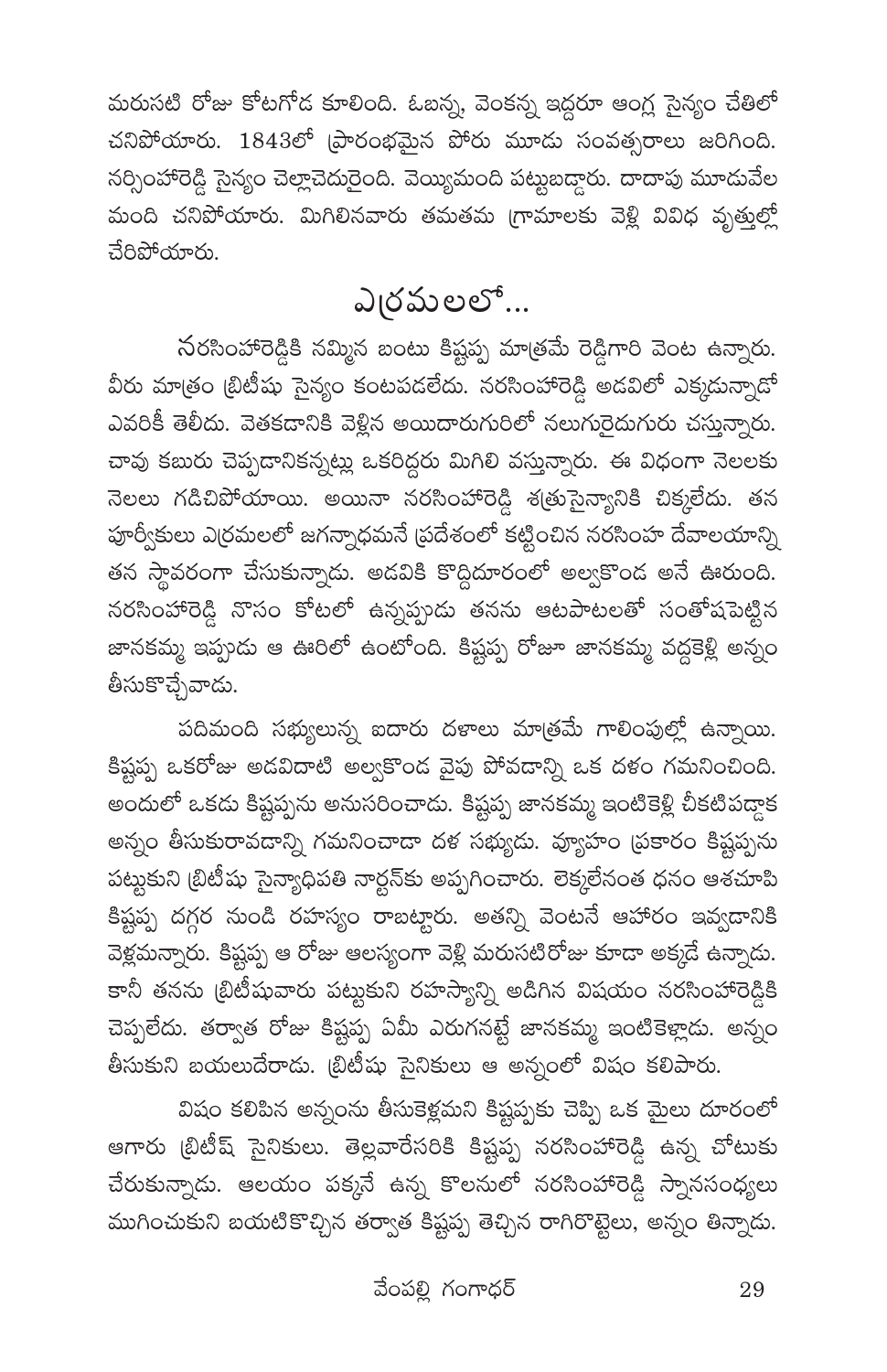మరుసటి రోజు కోటగోద కూలింది. ఓబన్న, వెంకన్న ఇద్దరూ ఆంగ్ల సైన్యం చేతిలో చనిపోయారు. 1843లో (పారంభమైన పోరు మూడు సంవత్సరాలు జరిగింది. నర్సింహారెడ్డి సైన్యం చెల్లాచెదురైంది. వెయ్యిమంది పట్టబడ్దారు. దాదాపు మూడువేల మంది చనిపోయారు. మిగిలినవారు తమతమ గ్రామాలకు వెళ్లి వివిధ వృత్తుల్లో చేరిపోయారు.

#### ఎౖరమలలో...

నరసింహారెడ్డికి నమ్మిన బంటు కిష్టప్ప మాత్రమే రెడ్డిగారి వెంట ఉన్నారు. వీరు మాత్రం (బీటీషు సైన్యం కంటపడలేదు. నరసింహారెడ్డి అడవిలో ఎక్కడున్నాడో ఎవరికీ తెలీదు. వెతకడానికి వెళ్లిన అయిదారుగురిలో నలుగురైదుగురు చస్తున్నారు. చావు కబురు చెప్పడానికన్నట్లు ఒకరిద్దరు మిగిలి వస్తున్నారు. ఈ విధంగా నెలలకు నెలలు గడిచిపోయాయి. అయినా నరసింహారెడ్డి శుతుసైన్యానికి చిక్కలేదు. తన పూర్వీకులు ఎ(రమలలో జగన్నాధమనే (పదేశంలో కట్టించిన నరసింహ దేవాలయాన్ని తన స్థావరంగా చేసుకున్నాడు. అడవికి కొద్దిదూరంలో అల్వకొండ అనే ఊరుంది. నరసింహారెడ్డి నొసం కోటలో ఉన్నప్పుడు తనను ఆటపాటలతో సంతోషపెట్టిన జానకమ్మ ఇప్పుడు ఆ ఊరిలో ఉంటోంది. కిష్టప్ప రోజూ జానకమ్మ వద్దకెళ్లి అన్నం తీసుకొచ్చేవాడు.

పదిమంది సభ్యులున్న ఐదారు దళాలు మాత్రమే గాలింపుల్లో ఉన్నాయి. కిష్టప్ప ఒకరోజు అడవిదాటి అల్వకొండ వైపు పోవదాన్ని ఒక దళం గమనించింది. అందులో ఒకదు కిష్టప్పను అనుసరించాదు. కిష్టప్ప జానకమ్మ ఇంటికెళ్లి చీకటిపడ్దాక అన్నం తీసుకురావడాన్ని గమనించాడా దళ సభ్యుడు. వ్యూహం (పకారం కిష్టప్పను పట్టుకుని (బిటీషు సైన్యాధిపతి నార్టన్కు అప్పగించారు. లెక్కలేనంత ధనం ఆశచూపి కిష్టప్ప దగ్గర నుండి రహస్యం రాబట్టారు. అతన్ని వెంటనే ఆహారం ఇవ్వడానికి వెళ్లమన్నారు. కిష్టప్ప ఆ రోజు ఆలస్యంగా వెళ్లి మరుసటిరోజు కూడా అక్కడే ఉన్నాడు. కానీ తనను (బిటీషువారు పట్టుకుని రహస్యాన్ని అడిగిన విషయం నరసింహారెడ్డికి చెప్పలేదు. తర్వాత రోజు కిష్టప్ప ఏమీ ఎరుగనట్టే జానకమ్మ ఇంటికెళ్లాదు. అన్నం తీసుకుని బయలుదేరాదు. (బిటీషు సైనికులు ఆ అన్నంలో విషం కలిపారు.

విషం కలిపిన అన్నంను తీసుకెళ్లమని కిష్టప్పకు చెప్పి ఒక మైలు దూరంలో ఆగారు (బిటీష్ సైనికులు. తెల్లవారేసరికి కిష్టప్ప నరసింహారెడ్డి ఉన్న చోటుకు చేరుకున్నాడు. ఆలయం పక్కనే ఉన్న కొలనులో నరసింహారెడ్డి స్నానసంధ్యలు ముగించుకుని బయటికొచ్చిన తర్వాత కిష్టప్ప తెచ్చిన రాగిరొట్టెలు, అన్నం తిన్నాడు.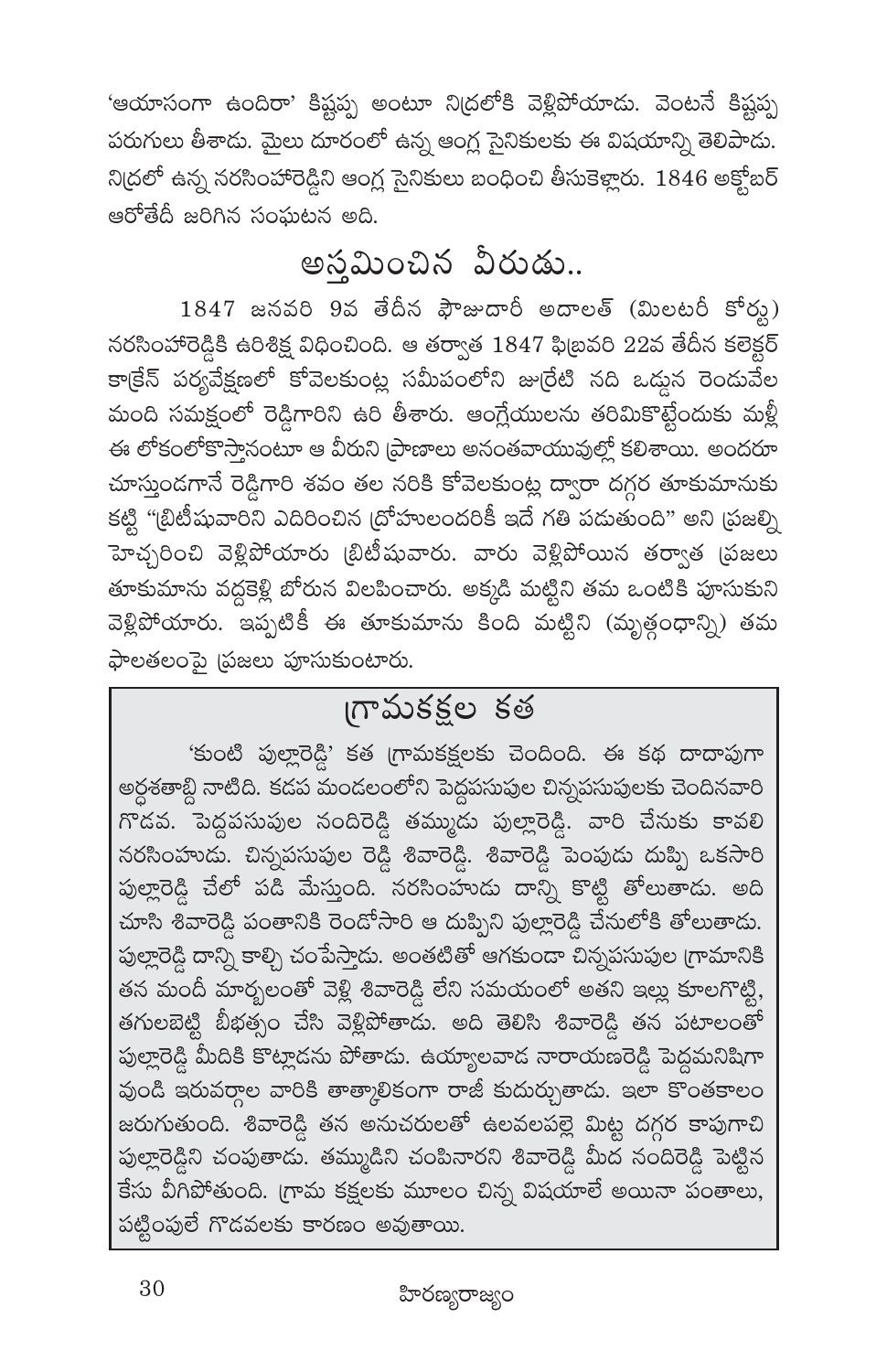'ఆయాసంగా ఉందిరా' కిష్టప్ప అంటూ ని(దలోకి వెళ్లిపోయాడు. వెంటనే కిష్టప్ప పరుగులు తీశాదు. మైలు దూరంలో ఉన్న ఆంగ్ల సైనికులకు ఈ విషయాన్ని తెలిపాదు. నిద్రలో ఉన్న నరసింహారెడ్డిని ఆంగ్ల సైనికులు బంధించి తీసుకెళ్లారు. 1846 అక్తోబర్ ఆరోతేదీ జరిగిన సంఘటన అది.

#### అసమించిన వీరుడు..

 $1847$  జనవరి 9వ తేదీన ఫౌజుదారీ అదాలత్ (మిలటరీ కోర్మ) నరసింహారెడ్డికి ఉరిశిక్ష విధించింది. ఆ తర్వాత 1847 ఫి(బవరి  $22$ వ తేదీన కలెక్టర్ కా(కేన్ పర్యవేక్షణలో కోవెలకుంట్ల సమీపంలోని జు(్రేటి నది ఒద్దున రెందువేల మంది సమక్షంలో రెడ్డిగారిని ఉరి తీశారు. ఆంగ్లేయులను తరిమికొట్టేందుకు మళ్లీ ఈ లోకంలోకొస్తానంటూ ఆ వీరుని [ఫాణాలు అనంతవాయువుల్లో కలిశాయి. అందరూ చూస్తుండగానే రెడ్డిగారి శవం తల నరికి కోవెలకుంట్ల ద్వారా దగ్గర తూకుమానుకు .<br>కట్టి "[బిటీషువారిని ఎదిరించిన [దోహులందరికీ ఇదే గతి పడుతుంది" అని [పజల్ని .<br>హెచ్చరించి వెళ్లిపోయారు (బిటీషువారు. వారు వెళ్లిపోయిన తర్వాత (పజలు తూకుమాను వద్దకెళ్లి బోరున విలపించారు. అక్కడి మట్టిని తమ ఒంటికి పూసుకుని వెళ్లిపోయారు. ఇప్పటికీ ఈ తూకుమాను కింది మట్టిని (మృత్గంధాన్ని) తమ ఫాలతలంపై (ప్రజలు పూసుకుంటారు.

### గామకక్షల కత

'కుంటి పుల్లారెడ్డి' కత గ్రామకక్షలకు చెందింది. ఈ కథ దాదాపుగా అర్ధశతాబ్ది నాటిది. కడప మండలంలోని పెద్దపసుపుల చిన్నపసుపులకు చెందినవారి గొడవ. పెద్దపసుపుల నందిరెడ్డి తమ్ముడు పుల్లారెడ్డి. వారి చేనుకు కావలి నరసింహుడు. చిన్నపసుపుల రెడ్డి శివారెడ్డి. శివారెడ్డి పెంపుడు దుప్పి ఒకసారి పుల్లారెడ్డి చేలో పడి మేస్తుంది. నరసింహుడు దాన్ని కొట్టి తోలుతాడు. అది చూసి శివారెడ్డి పంతానికి రెండోసారి ఆ దుప్పిని పుల్లారెడ్డి చేసులోకి తోలుతాడు. పుల్లారెడ్డి దాన్ని కాల్చి చంపేస్తాడు. అంతటితో ఆగకుండా చిన్నపసుపుల (గామానికి తన మందీ మార్బలంతో వెళ్లి శివారెడ్డి లేని సమయంలో అతని ఇల్లు కూలగొట్టి, తగులబెట్టి బీభత్సం చేసి వెళ్లిపోతాదు. అది తెలిసి శివారెడ్డి తన పటాలంతో పుల్లారెడ్డి మీదికి కొట్లాదను పోతాదు. ఉయ్యాలవాద నారాయణరెడ్డి పెద్దమనిషిగా వుండి ఇరువర్గాల వారికి తాత్కాలికంగా రాజీ కుదుర్చుతాడు. ఇలా కొంతకాలం జరుగుతుంది. శివారెడ్డి తన అనుచరులతో ఉలవలపల్లె మిట్ట దగ్గర కాపుగాచి పుల్లారెడ్డిని చంపుతాడు. తమ్ముడిని చంపినారని శివారెడ్డి మీద నందిరెడ్డి పెట్టిన కేసు వీగిపోతుంది. గ్రామ కక్షలకు మూలం చిన్న విషయాలే అయినా పంతాలు, పట్టింపులే గొడవలకు కారణం అవుతాయి.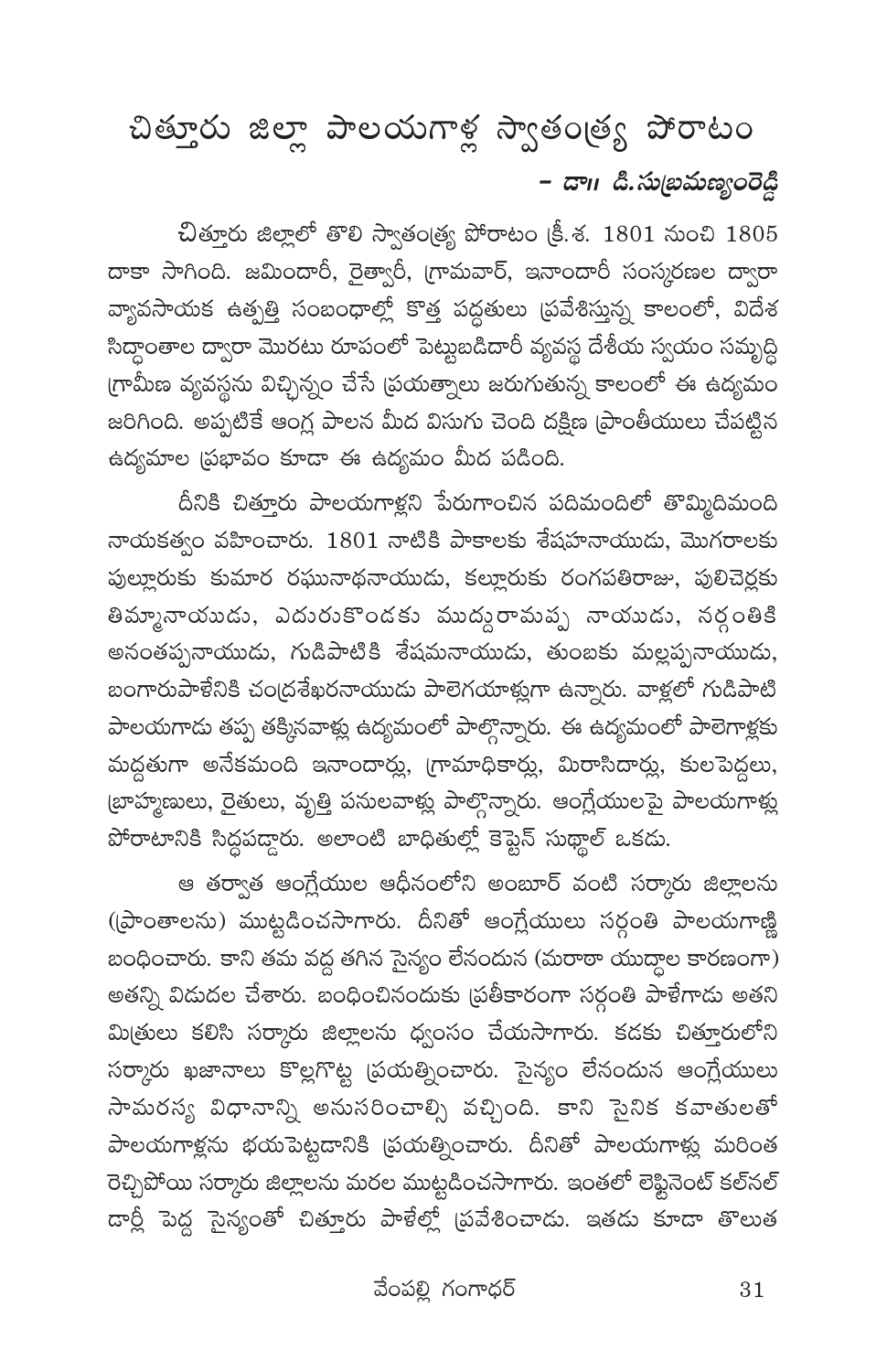# చిత్తూరు జిల్లా పాలయగాళ్ల స్వాతంత్ర్య పోరాటం – డాగి డి.సుబ్రమణ్యంరెడ్డి

చిత్తూరు జిల్లాలో తొలి స్వాతండ్య పోరాటం (కీ. శ. 1801 నుంచి 1805 దాకా సాగింది. జమిందారీ, రైత్వారీ, గ్రామవార్, ఇనాందారీ సంస్కరణల ద్వారా వ్యావసాయక ఉత్పత్తి సంబంధాల్లో కొత్త పద్ధతులు (పవేశిస్తున్న కాలంలో, విదేశ .<br>సిద్ధాంతాల ద్వారా మొరటు రూపంలో పెట్టుబడిదారీ వ్యవస్థ దేశీయ స్వయం సమృద్ధి గ్రామీణ వ్యవస్థను విచ్ఛిన్నం చేసే (పయత్నాలు జరుగుతున్న కాలంలో ఈ ఉద్యమం జరిగింది. అప్పటికే ఆంగ్ల పాలన మీద విసుగు చెంది దక్షిణ [పాంతీయులు చేపట్టిన ఉద్యమాల (పభావం కూడా ఈ ఉద్యమం మీద పడింది.

దీనికి చిత్తూరు పాలయగాళ్లని పేరుగాంచిన పదిమందిలో తొమ్మిదిమంది నాయకత్వం వహించారు. 1801 నాటికి పాకాలకు శేషహనాయుడు, మొగరాలకు పుల్లూరుకు కుమార రఘునాథనాయుడు, కల్లూరుకు రంగపతిరాజు, పులిచెర్లకు తిమ్మానాయుడు, ఎదురుకొండకు ముద్దరామప్ప నాయుడు, నర్గంతికి అనంతప్పనాయుడు, గుడిపాటికి శేషమనాయుడు, తుంబకు మల్లప్పనాయుడు, బంగారుపాళేనికి చంద్రశేఖరనాయుడు పాలెగయాళ్లుగా ఉన్నారు. వాళ్లలో గుడిపాటి పాలయగాదు తప్ప తక్కినవాళ్లు ఉద్యమంలో పాల్గొన్నారు. ఈ ఉద్యమంలో పాలెగాళ్లకు మద్దతుగా అనేకమంది ఇనాందార్లు, (గామాధికార్లు, మిరాసిదార్లు, కులపెద్దలు, (బాహ్మణులు, రైతులు, వృత్తి పనులవాళ్లు పాల్గొన్నారు. ఆంగ్లేయులపై పాలయగాళ్లు పోరాటానికి సిద్ధపద్దారు. అలాంటి బాధితుల్లో కెప్టెన్ సుథ్థాల్ ఒకదు.

ఆ తర్వాత ఆంగ్లేయుల ఆధీనంలోని అంబూర్ వంటి సర్మారు జిల్లాలను ([పాంతాలను) ముట్టడించసాగారు. దీనితో ఆంగ్లేయులు సర్ధంతి పాలయగాణ్ణి ...<br>బంధించారు. కాని తమ వద్ద తగిన సైన్యం లేనందున (మరాఠా యుద్దాల కారణంగా) అతన్ని విడుదల చేశారు. బంధించినందుకు <sub>(</sub>పతీకారంగా సర్గంతి పాళేగాదు అతని మిత్రులు కలిసి సర్కారు జిల్లాలను ధ్వంసం చేయసాగారు. కడకు చిత్తూరులోని సర్కారు ఖజానాలు కొల్లగొట్ట (పయత్నించారు. సైన్యం లేనందున ఆంగ్లేయులు సామరస్య విధానాన్ని అనుసరించాల్సి వచ్చింది. కాని సైనిక కవాతులతో పాలయగాళ్లను భయపెట్టడానికి ప్రయత్నించారు. దీనితో పాలయగాళ్లు మరింత రెచ్చిపోయి సర్కారు జిల్లాలను మరల ముట్టడించసాగారు. ఇంతలో లెఫ్టినెంట్ కల్నల్ దార్లీ పెద్ద సైన్యంతో చిత్తూరు పాళేల్లో (పవేశించాడు. ఇతడు కూడా తొలుత

వేంపల్లి గంగాధర్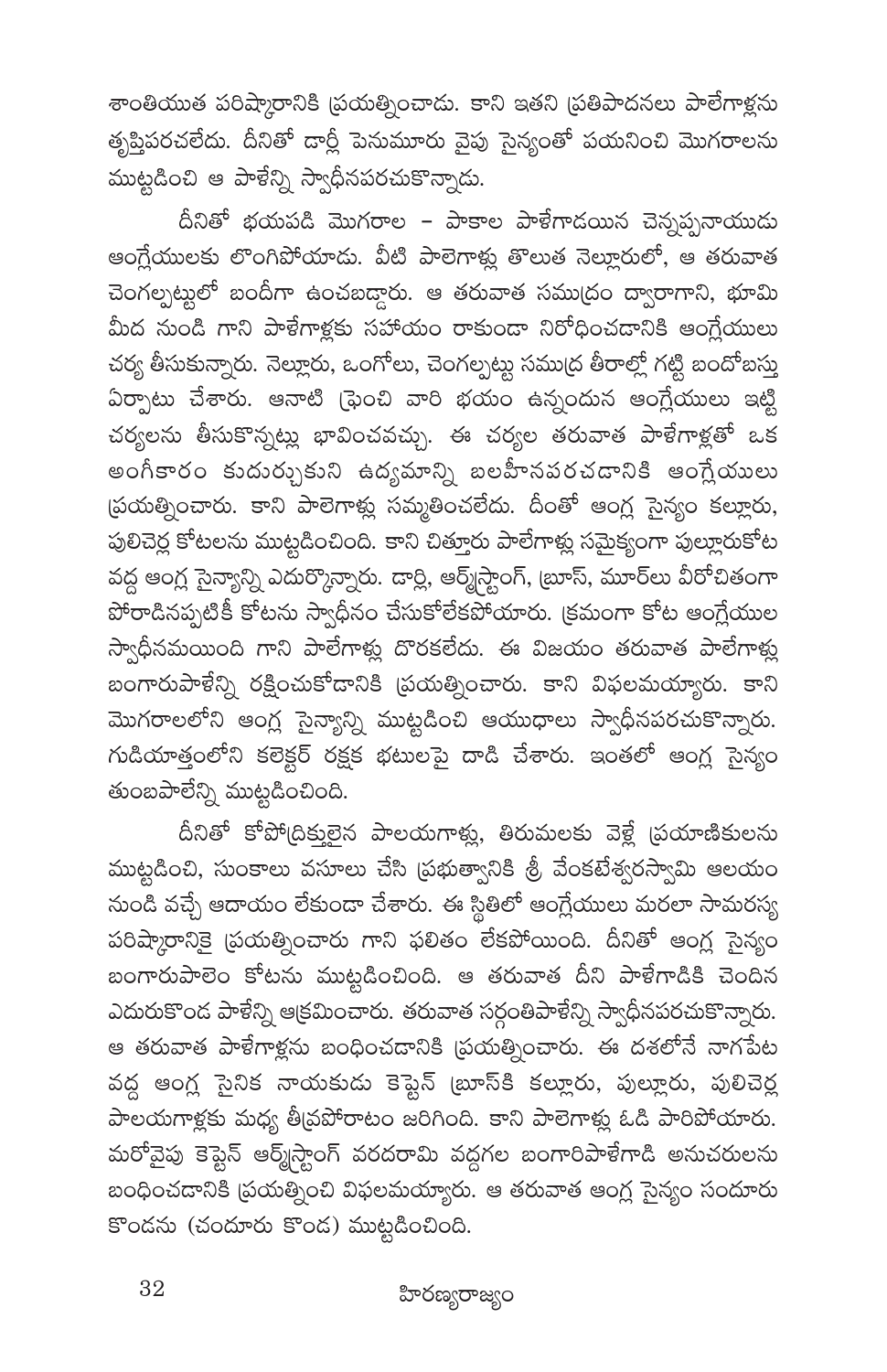శాంతియుత పరిష్కారానికి (పయత్నించాదు. కాని ఇతని (పతిపాదనలు పాలేగాళ్లను తృప్తిపరచలేదు. దీనితో దార్లీ పెనుమూరు వైపు సైన్యంతో పయనించి మొగరాలను ముట్టడించి ఆ పాళేన్ని స్వాధీనపరచుకొన్నాడు.

దీనితో భయపడి మొగరాల – పాకాల పాళేగాడయిన చెన్నప్పనాయుడు ఆంగ్లేయులకు లొంగిపోయాడు. వీటి పాలెగాళ్లు తొలుత నెల్లూరులో, ఆ తరువాత చెంగల్పట్టులో బందీగా ఉంచబడ్గారు. ఆ తరువాత సముద్రం ద్వారాగాని, భూమి .<br>మీద నుండి గాని పాళేగాళ్లకు సహాయం రాకుండా నిరోధించడానికి ఆంగ్లేయులు చర్య తీసుకున్నారు. నెల్లూరు, ఒంగోలు, చెంగల్పట్టు సముద్ర తీరాల్లో గట్టి బందోబస్తు ఏర్పాటు చేశారు. ఆనాటి (ఫెంచి వారి భయం ఉన్నందున ఆంగ్లేయులు ఇట్టి చర్యలను తీసుకొన్నట్లు భావించవచ్చు. ఈ చర్యల తరువాత పాళేగాళ్లతో ఒక అంగీకారం కుదుర్చుకుని ఉద్యమాన్ని బలహీనపరచడానికి ఆంగ్లేయులు <mark>భయత్నించారు. కాని పాలెగాళ్లు సమ్మతించలేదు. దీంతో ఆంగ్ల సైన్యం కల్లూరు,</mark> పులిచెర్ల కోటలను ముట్టడించింది. కాని చిత్తూరు పాలేగాళ్లు సమైక్యంగా పుల్లూరుకోట వద్ద ఆంగ్ల సైన్యాన్ని ఎదుర్కొన్నారు. డార్లి, ఆర్మ్మెస్టాంగ్, ట్రూస్, మూర్లు వీరోచితంగా పోరాడినప్పటికీ కోటను స్వాధీనం చేసుకోలేకపోయారు. (కమంగా కోట ఆంగ్లేయుల స్వాధీనమయింది గాని పాలేగాళ్లు దొరకలేదు. ఈ విజయం తరువాత పాలేగాళ్లు బంగారుపాళేన్ని రక్షించుకోడానికి (పయత్నించారు. కాని విఫలమయ్యారు. కాని మొగరాలలోని ఆంగ్ల సైన్యాన్ని ముట్టడించి ఆయుధాలు స్వాధీనపరచుకొన్నారు. గుడియాత్తంలోని కలెక్టర్ రక్షక భటులపై దాడి చేశారు. ఇంతలో ఆంగ్ల సైన్యం తుంబపాలేన్ని ముట్టడించింది.

దీనితో కోపో(దిక్తులైన పాలయగాళ్లు, తిరుమలకు వెళ్లే (పయాణికులను ముట్టడించి, సుంకాలు వసూలు చేసి (పభుత్వానికి శ్రీ వేంకటేశ్వరస్వామి ఆలయం నుండి వచ్చే ఆదాయం లేకుండా చేశారు. ఈ స్థితిలో ఆంగ్లేయులు మరలా సామరస్య పరిష్కారానికై ప్రయత్నించారు గాని ఫలితం లేకపోయింది. దీనితో ఆంగ్ల సైన్యం బంగారుపాలెం కోటను ముట్టడించింది. ఆ తరువాత దీని పాళేగాడికి చెందిన ఎదురుకొండ పాళేన్ని ఆక్రమించారు. తరువాత సర్గంతిపాళేన్ని స్వాధీనపరచుకొన్నారు. ఆ తరువాత పాళేగాళ్లను బంధించడానికి (పయత్నించారు. ఈ దశలోనే నాగపేట వద్ద ఆంగ్ల సైనిక నాయకుడు కెప్టెన్ <sub>(</sub>బూస్కి కల్లూరు, పుల్లూరు, పులిచెర్<mark>ల</mark> .<br>పాలయగాళ్లకు మధ్య తీవ్రపోరాటం జరిగింది. కాని పాలెగాళ్లు ఓడి పారిపోయారు. మరోవైపు కెప్టెన్ ఆర్మ్మిస్టాంగ్ వరదరామి వద్దగల బంగారిపాళేగాడి అనుచరులను బంధించడానికి (పయత్నించి విఫలమయ్యారు. ఆ తరువాత ఆంగ్ల సైన్యం సందూరు కొండను (చందూరు కొండ) ముట్టడించింది.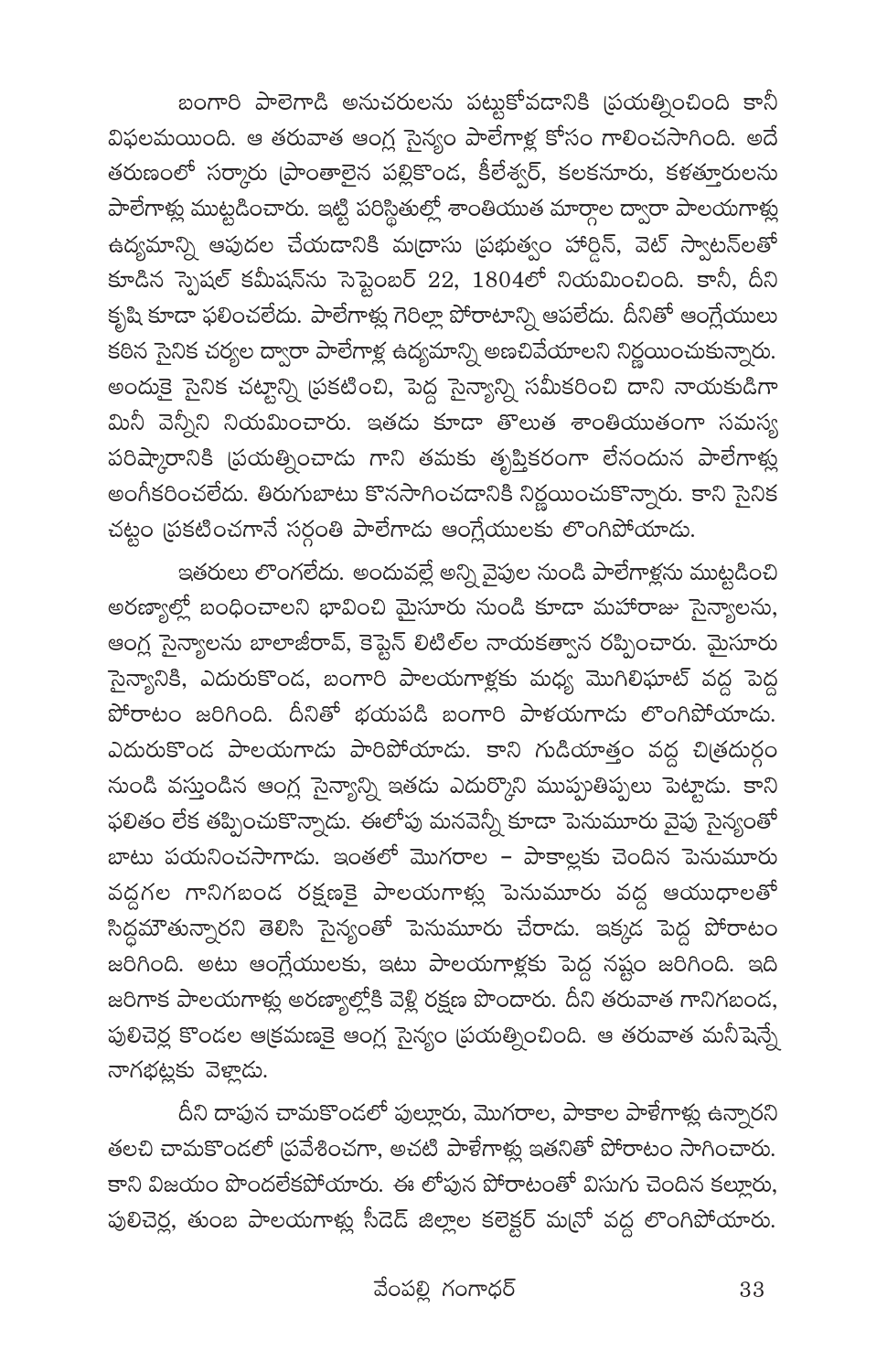బంగారి పాలెగాడి అనుచరులను పట్టుకోవడానికి (పయత్నించింది కానీ విఫలమయింది. ఆ తరువాత ఆంగ్ల సైన్యం పాలేగాళ్ల కోసం గాలించసాగింది. అదే తరుణంలో సర్కారు (పాంతాలైన పల్లికొండ, కీలేశ్వర్, కలకనూరు, కళత్తూరులను పాలేగాళ్లు ముట్టడించారు. ఇట్టి పరిస్థితుల్లో శాంతియుత మార్గాల ద్వారా పాలయగాళ్లు ఉద్యమాన్ని ఆపుదల చేయడానికి మద్ాసు (పభుత్వం హార్గిన్, వెట్ స్వాటన్లతో కూడిన స్పెషల్ కమీషన్ను సెప్టెంబర్ 22, 1804లో నియమించింది. కానీ, దీని కృషి కూడా ఫలించలేదు. పాలేగాళ్లు గెరిల్లా పోరాటాన్ని ఆపలేదు. దీనితో ఆంగ్లేయులు .<br>కఠిన సైనిక చర్యల ద్వారా పాలేగాళ్ల ఉద్యమాన్ని అణచివేయాలని నిర్ణయించుకున్నారు. అందుకై సైనిక చట్టాన్ని (పకటించి, పెద్ద సైన్యాన్ని సమీకరించి దాని నాయకుడిగా మినీ వెన్నీని నియమించారు. ఇతడు కూడా తొలుత శాంతియుతంగా సమస్య పరిష్కారానికి (పయత్నించాడు గాని తమకు తృప్తికరంగా లేనందున పాలేగాళ్లు అంగీకరించలేదు. తిరుగుబాటు కొనసాగించడానికి నిర్ణయించుకొన్నారు. కాని సైనిక చట్టం ప్రకటించగానే సర్గంతి పాలేగాడు ఆంగ్లేయులకు లొంగిపోయాడు.

ఇతరులు లొంగలేదు. అందువల్లే అన్ని వైపుల నుండి పాలేగాళ్లను ముట్టడించి అరణ్యాల్లో బంధించాలని భావించి మైసూరు నుండి కూడా మహారాజు సైన్యాలను, ఆంగ్ల సైన్యాలను బాలాజీరావ్, కెప్టెన్ లిటిల్ల నాయకత్వాన రప్పించారు. మైసూరు సైన్యానికి, ఎదురుకొండ, బంగారి పాలయగాళ్లకు మధ్య మొగిలిఘాట్ వద్ద పెద్ద పోరాటం జరిగింది. దీనితో భయపడి బంగారి పాళయగాడు లొంగిపోయాడు. ఎదురుకొండ పాలయగాడు పారిపోయాడు. కాని గుడియాత్తం వద్ద చిత్రదుర్గం నుండి వస్తుండిన ఆంగ్ల సైన్యాన్ని ఇతడు ఎదుర్కొని ముప్పుతిప్పలు పెట్టాడు. కాని ఫలితం లేక తప్పించుకొన్నాడు. ఈలోపు మనవెన్నీ కూడా పెనుమూరు వైపు సైన్యంతో బాటు పయనించసాగాడు. ఇంతలో మొగరాల – పాకాల్లకు చెందిన పెనుమూరు వద్దగల గానిగబండ రక్షణకై పాలయగాళ్లు పెనుమూరు వద్ద ఆయుధాలతో సిద్ధమౌతున్నారని తెలిసి సైన్యంతో పెనుమూరు చేరాడు. ఇక్కడ పెద్ద పోరాటం .<br>జరీగింది. అటు ఆంగ్లేయులకు, ఇటు పాలయగాళ్లకు పెద్ద నష్టం జరిగింది. ఇది జరిగాక పాలయగాళ్లు అరణ్యాల్లోకి వెళ్లి రక్షణ పొందారు. దీని తరువాత గానిగబండ, పులిచెర్ల కొండల ఆక్రమణకై ఆంగ్ల సైన్యం (పయత్నించింది. ఆ తరువాత మనీషెన్నే నాగభట్లకు వెళ్లాడు.

దీని దాపున చామకొందలో పుల్లూరు, మొగరాల, పాకాల పాళేగాళ్లు ఉన్నారని తలచి చామకొండలో (పవేశించగా, అచటి పాకేగాళ్లు ఇతనితో పోరాటం సాగించారు. కాని విజయం పొందలేకపోయారు. ఈ లోపున పోరాటంతో విసుగు చెందిన కల్లూరు, పులిచెర్ల, తుంబ పాలయగాళ్లు సీదెద్ జిల్లాల కలెక్టర్ మ(నో వద్ద లొంగిపోయారు.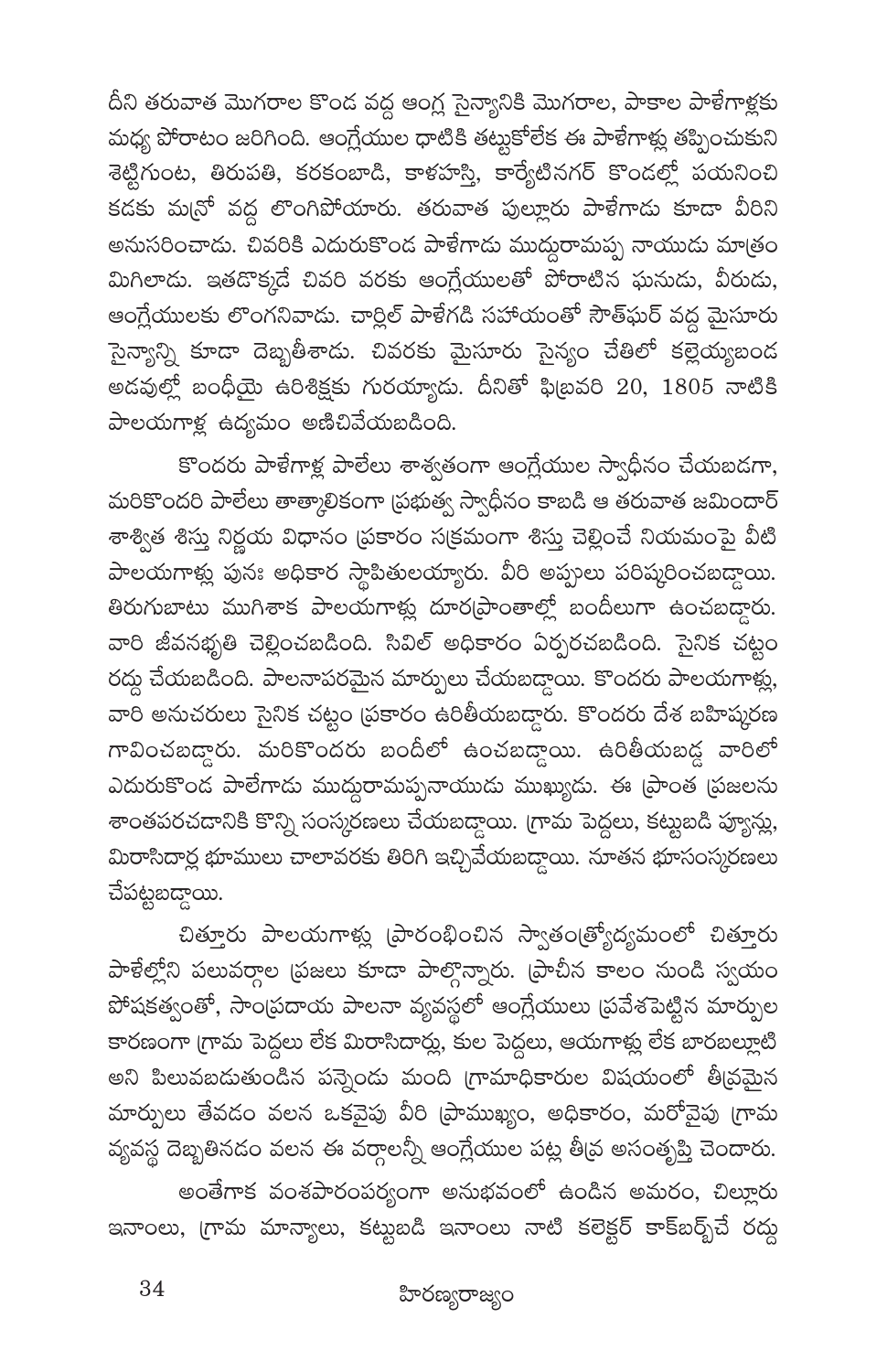దీని తరువాత మొగరాల కొండ వద్ద ఆంగ్ల సైన్యానికి మొగరాల, పాకాల పాళేగాళ్లకు మధ్య పోరాటం జరిగింది. ఆంగ్లేయుల ధాటికి తట్టుకోలేక ఈ పాకేగాళ్లు తప్పించుకుని శెట్టిగుంట, తిరుపతి, కరకంబాడి, కాళహస్తి, కార్యేటినగర్ కొండల్లో పయనించి కడకు మ[నో వద్ద లొంగిపోయారు. తరువాత పుల్లూరు పాళేగాడు కూడా వీరిని అనుసరించాడు. చివరికి ఎదురుకొంద పాళేగాడు ముద్దరామప్ప నాయుడు మాత్రం మిగిలాదు. ఇతదొక్కడే చివరి వరకు ఆంగ్లేయులతో పోరాటిన ఘనుదు, వీరుదు, ఆంగ్లేయులకు లొంగనివాడు. చార్లిల్ పాళేగడి సహాయంతో సౌత్ఘుర్ వద్ద మైసూరు సైన్యాన్ని కూడా దెబ్బతీశాడు. చివరకు మైసూరు సైన్యం చేతిలో కల్లెయ్యబండ అడవుల్లో బంధీయై ఉరిశిక్షకు గురయ్యాడు. దీనితో ఫిట్రవరి 20, 1805 నాటికి పాలయగాళ్ల ఉద్యమం అణిచివేయబడింది.

కొందరు పాళేగాళ్ల పాలేలు శాశ్వతంగా ఆంగ్లేయుల స్వాధీనం చేయబడగా, మరికొందరి పాలేలు తాత్కాలికంగా (పథుత్వ స్వాధీనం కాబడి ఆ తరువాత జమిందార్ శాశ్విత శిస్తు నిర్ణయ విధానం (పకారం స(కమంగా శిస్తు చెల్లించే నియమంపై వీటి పాలయగాళ్లు పునః అధికార స్థాపితులయ్యారు. వీరి అప్పులు పరిష్కరించబద్దాయి. తిరుగుబాటు ముగిశాక పాలయగాళ్లు దూర[పాంతాల్లో బందీలుగా ఉంచబడ్డారు. వారి జీవనభృతి చెల్లించబడింది. సివిల్ అధికారం ఏర్పరచబడింది. సైనిక చట్టం రద్ద చేయబడింది. పాలనాపరమైన మార్పులు చేయబడ్దాయి. కొందరు పాలయగాళ్లు, వారి అనుచరులు సైనిక చట్టం (పకారం ఉరితీయబద్దారు. కొందరు దేశ బహిష్కరణ గావించబడ్గారు. మరికొందరు బందీలో ఉంచబడ్డాయి. ఉరితీయబడ్డ వారిలో ఎదురుకొండ పాలేగాడు ముద్దరామప్పనాయుడు ముఖ్యుడు. ఈ [పాంత [పజలను శాంతపరచదానికి కొన్ని సంస్కరణలు చేయబద్దాయి. (గామ పెద్దలు, కట్టుబడి ప్యూన్లు, మిరాసిదార్ల భూములు చాలావరకు తిరిగి ఇచ్చివేయబద్దాయి. నూతన భూసంస్కరణలు చేపట్టబడ్డాయి.

చిత్తూరు పాలయగాళ్లు (పారంభించిన స్వాతం(త్యోద్యమంలో చిత్తూరు పాళేల్లోని పలువర్గాల (పజలు కూడా పాల్గొన్నారు. (పాచీన కాలం నుండి స్వయం పోషకత్వంతో, సాంప్రదాయ పాలనా వ్యవస్థలో ఆంగ్లేయులు ప్రవేశపెట్టిన మార్పుల కారణంగా గ్రామ పెద్దలు లేక మిరాసిదార్లు, కుల పెద్దలు, ఆయగాళ్లు లేక బారబల్లూటి అని పిలువబడుతుండిన పన్నెండు మంది గ్రామాధికారుల విషయంలో తీ[వమైన మార్పులు తేవడం వలన ఒకవైపు వీరి (పాముఖ్యం, అధికారం, మరోవైపు గ్రామ వ్యవస్థ దెబ్బతినడం వలన ఈ వర్గాలన్నీ ఆంగ్లేయుల పట్ల తీ(వ అసంతృప్తి చెందారు.

అంతేగాక వంశపారంపర్యంగా అనుభవంలో ఉండిన అమరం, చిల్లూరు ఇనాంలు, గ్రామ మాన్యాలు, కట్టుబడి ఇనాంలు నాటి కలెక్టర్ కాక్ఐర్బ్చే రద్ద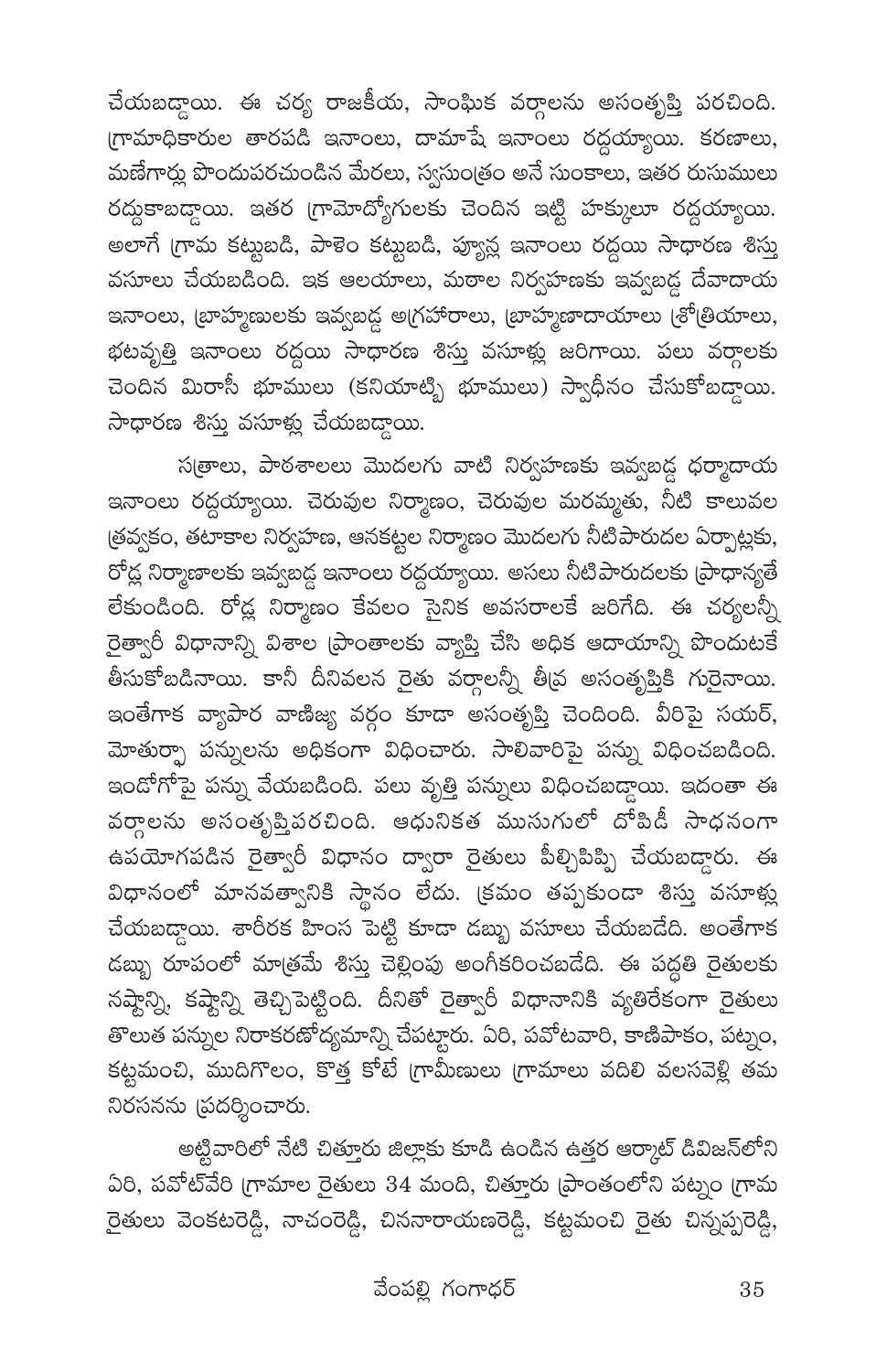చేయబద్దాయి. ఈ చర్య రాజకీయ, సాంఘిక వర్గాలను అసంతృప్తి పరచింది. గ్రామాధికారుల తారపడి ఇనాంలు, దామాషే ఇనాంలు రద్దయ్యాయి. కరణాలు, మణేగార్లు పొందుపరచుండిన మేరలు, స్వసుంత్రం అనే సుంకాలు, ఇతర రుసుములు రద్దకాబడ్దాయి. ఇతర (గామోద్యోగులకు చెందిన ఇట్టి హక్కులూ రద్దయ్యాయి. అలాగే గ్రామ కట్టుబడి, పాళెం కట్టుబడి, ప్యూన్ల ఇనాంలు రద్దయి సాధారణ శిస్తు వసూలు చేయబడింది. ఇక ఆలయాలు, మఠాల నిర్వహణకు ఇవ్వబడ్డ దేవాదాయ ఇనాంలు, బ్రాహ్మణులకు ఇవ్వబడ్డ అగ్రహారాలు, బ్రాహ్మణాదాయాలు (శోత్రియాలు, భటవృత్తి ఇనాంలు రద్దయి సాధారణ శిస్తు వసూళ్లు జరిగాయి. పలు వర్గాలకు చెందిన మిరాసీ భూములు (కనియాట్బి భూములు) స్వాధీనం చేసుకోబద్దాయి. సాధారణ శిస్తు వసూళ్లు చేయబద్దాయి.

సత్రాలు, పాఠశాలలు మొదలగు వాటి నిర్వహణకు ఇవ్వబడ్డ ధర్మాదాయ ఇనాంలు రద్దయ్యాయి. చెరువుల నిర్మాణం, చెరువుల మరమ్మతు, నీటి కాలువల త్రవ్వకం, తటాకాల నిర్వహణ, ఆనకట్టల నిర్మాణం మొదలగు నీటిపారుదల ఏర్పాట్లకు, రోడ్ల నిర్మాణాలకు ఇవ్వబడ్డ ఇనాంలు రద్దయ్యాయి. అసలు నీటిపారుదలకు [పాధాన్యతే లేకుండింది. రోడ్ల నిర్మాణం కేవలం సైనిక అవసరాలకే జరిగేది. ఈ చర్యలన్నీ రైత్వారీ విధానాన్ని విశాల (పాంతాలకు వ్యాప్తి చేసి అధిక ఆదాయాన్ని పొందుటకే తీసుకోబడినాయి. కానీ దీనివలన రైతు వర్గాలన్నీ తీథ అసంతృప్తికి గురైనాయి. ఇంతేగాక వ్యాపార వాణిజ్య వర్గం కూడా అసంతృప్తి చెందింది. వీరిపై సయర్, మోతుర్సా పన్నులను అధికంగా విధించారు. సాలివారిపై పన్ను విధించబడింది. ఇండోగోపై పన్ను వేయబడింది. పలు వృత్తి పన్నులు విధించబడ్దాయి. ఇదంతా ఈ వర్గాలను అసంతృప్తిపరచింది. ఆధునికత ముసుగులో దోపిడీ సాధనంగా ..<br>ఉపయోగపడిన రైత్వారీ విధానం ద్వారా రైతులు పీల్చిపిప్పి చేయబడ్డారు. ఈ విధానంలో మానవత్వానికి స్థానం లేదు. క్రమం తప్పకుండా శిస్తు వసూళ్లు చేయబద్దాయి. శారీరక హింస<sup>్</sup>పెట్టి కూడా డబ్బు వసూలు చేయబడేది. అంతేగాక డబ్బు రూపంలో మాత్రమే శిస్తు చెల్లింపు అంగీకరించబడేది. ఈ పద్ధతి రైతులకు నష్టాన్ని, కష్టాన్ని తెచ్చిపెట్టింది. దీనితో రైత్వారీ విధానానికి వ్యతిరేకంగా రైతులు తొలుత పన్నుల నిరాకరణోద్యమాన్ని చేపట్టారు. ఏరి, పవోటవారి, కాణిపాకం, పట్నం, కట్టమంచి, ముదిగొలం, కొత్త కోటే (గామీణులు (గామాలు వదిలి వలసవెళ్లి తమ నిరసనను ప్రదర్శించారు.

అట్టివారిలో నేటి చిత్తూరు జిల్లాకు కూడి ఉండిన ఉత్తర ఆర్కాట్ డివిజన్లోని ఏరి, పవోట్వేరి గ్రామాల రైతులు 34 మంది, చిత్తూరు (పాంతంలోని పట్నం గ్రామ రైతులు వెంకటరెడ్డి, నాచంరెడ్డి, చిననారాయణరెడ్డి, కట్టమంచి రైతు చిన్నప్పరెడ్డి,

వేంపల్లి గంగాధర్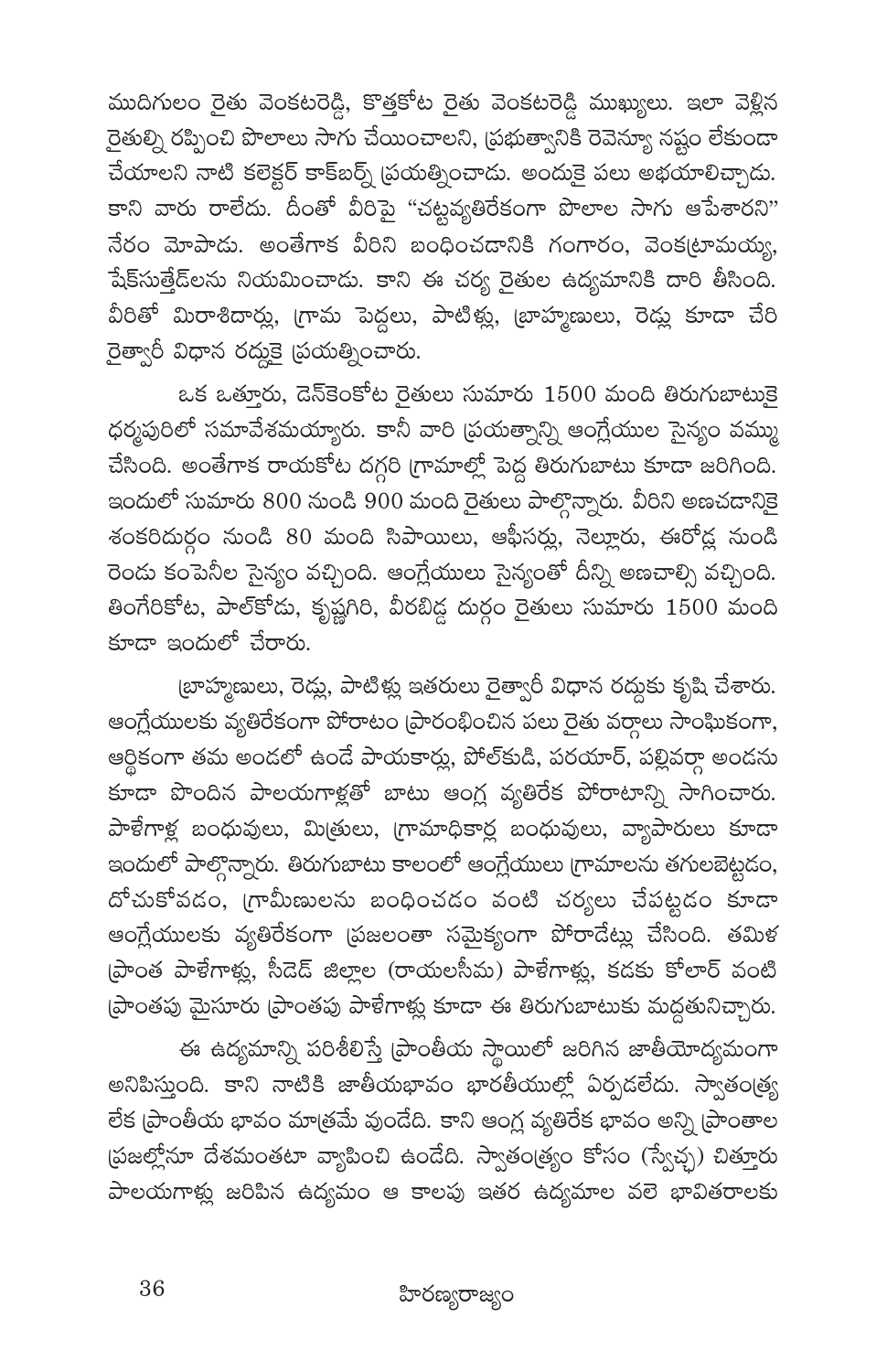ముదిగులం రైతు వెంకటరెడ్డి, కొత్తకోట రైతు వెంకటరెడ్డి ముఖ్యులు. ఇలా వెళ్లిన రైతుల్ని రప్పించి పొలాలు సాగు చేయించాలని, ప్రభుత్వానికి రెవెన్యూ నష్టం లేకుండా చేయాలని నాటి కలెక్టర్ కాక్ఐర్న్ (పయత్నించాడు. అందుకై పలు అభయాలిచ్చాడు. కాని వారు రాలేదు. దీంతో వీరిపై "చట్టవ్యతిరేకంగా పొలాల సాగు ఆపేశారని" నేరం మోపాడు. అంతేగాక వీరిని బంధించడానికి గంగారం, వెంకట్రామయ్య, షేక్సుత్తేడ్లను నియమించాడు. కాని ఈ చర్య రైతుల ఉద్యమానికి దారి తీసింది. వీరితో మిరాశిదార్లు, గ్రామ పెద్దలు, పాటిళ్లు, ట్రాహ్మణులు, రెడ్లు కూడా చేరి రైత్వారీ విధాన రద్దుకై (పయత్నించారు.

ఒక ఒతూరు, దెన్5ెంకోట రైతులు సుమారు 1500 మంది తిరుగుబాటుకై ధర్మపురిలో సమావేశమయ్యారు. కానీ వారి (పయత్నాన్ని ఆంగ్లేయుల సైన్యం వమ్ము చేసింది. అంతేగాక రాయకోట దగ్గరి గ్రామాల్లో పెద్ద తిరుగుబాటు కూడా జరిగింది. ఇందులో సుమారు 800 నుండి 900 మంది రైతులు పాల్గొన్నారు. వీరిని అణచదానికై శంకరిదుర్గం నుండి 80 మంది సిపాయిలు, ఆఫీసర్లు, నెల్లూరు, ఈరోద్ల నుండి రెండు కంపెనీల సైన్యం వచ్చింది. ఆంగ్లేయులు సైన్యంతో దీన్ని అణచాల్సి వచ్చింది. తింగేరికోట, పాల్కోడు, కృష్ణగిరి, వీరబిడ్డ దుర్గం రైతులు సుమారు 1500 మంది కూడా ఇందులో చేరారు.

(బాహ్మణులు, రెడ్లు, పాటిళ్లు ఇతరులు రైత్వారీ విధాన రద్దుకు కృషి చేశారు. ఆంగ్లేయులకు వ్యతిరేకంగా పోరాటం (పారంభించిన పలు రైతు వర్గాలు సాంఘికంగా, ఆర్థికంగా తమ అండలో ఉండే పాయకార్లు, పోల్**కుడి, పరయార్, ప**ల్లివర్గా అండను కూడా పొందిన పాలయగాళ్లతో బాటు ఆంగ్ల వ్యతిరేక పోరాటాన్ని సాగించారు. పాళేగాళ్ల బంధువులు, మిత్రులు, గ్రామాధికార్ల బంధువులు, వ్యాపారులు కూడా ఇందులో పాల్గొన్నారు. తిరుగుబాటు కాలంలో ఆంగ్లేయులు గ్రామాలను తగులబెట్టడం, దోచుకోవడం, గ్రామీణులను బంధించడం వంటి చర్యలు చేపట్టడం కూడా ఆంగ్లేయులకు వ్యతిరేకంగా (పజలంతా సమైక్యంగా పోరాదేట్లు చేసింది. తమిళ ప్రాంత పాకేగాళ్లు, సీదెద్ జిల్లాల (రాయలసీమ) పాకేగాళ్లు, కడకు కోలార్ వంటి ప్రాంతపు మైసూరు (ప్రాంతపు పాళేగాళ్లు కూడా ఈ తిరుగుబాటుకు మద్దతునిచ్చారు.

ఈ ఉద్యమాన్ని పరిశీలిస్తే [పాంతీయ స్థాయిలో జరిగిన జాతీయోద్యమంగా .<br>అనిపిస్తుంది. కాని నాటికి జాతీయభావం భారతీయుల్లో ఏర్పడలేదు. స్వాతం<u>(</u>త్య లేక [ఫాంతీయ భావం మా[తమే వుండేది. కాని ఆంగ్ల వ్యతిరేక భావం అన్ని [ఫాంతాల (పజల్లోనూ దేశమంతటా వ్యాపించి ఉండేది. స్వాతం(త్యం కోసం (స్వేచ్చ) చిత్తూరు పాలయగాళ్లు జరిపిన ఉద్యమం ఆ కాలపు ఇతర ఉద్యమాల వలె భావితరాలకు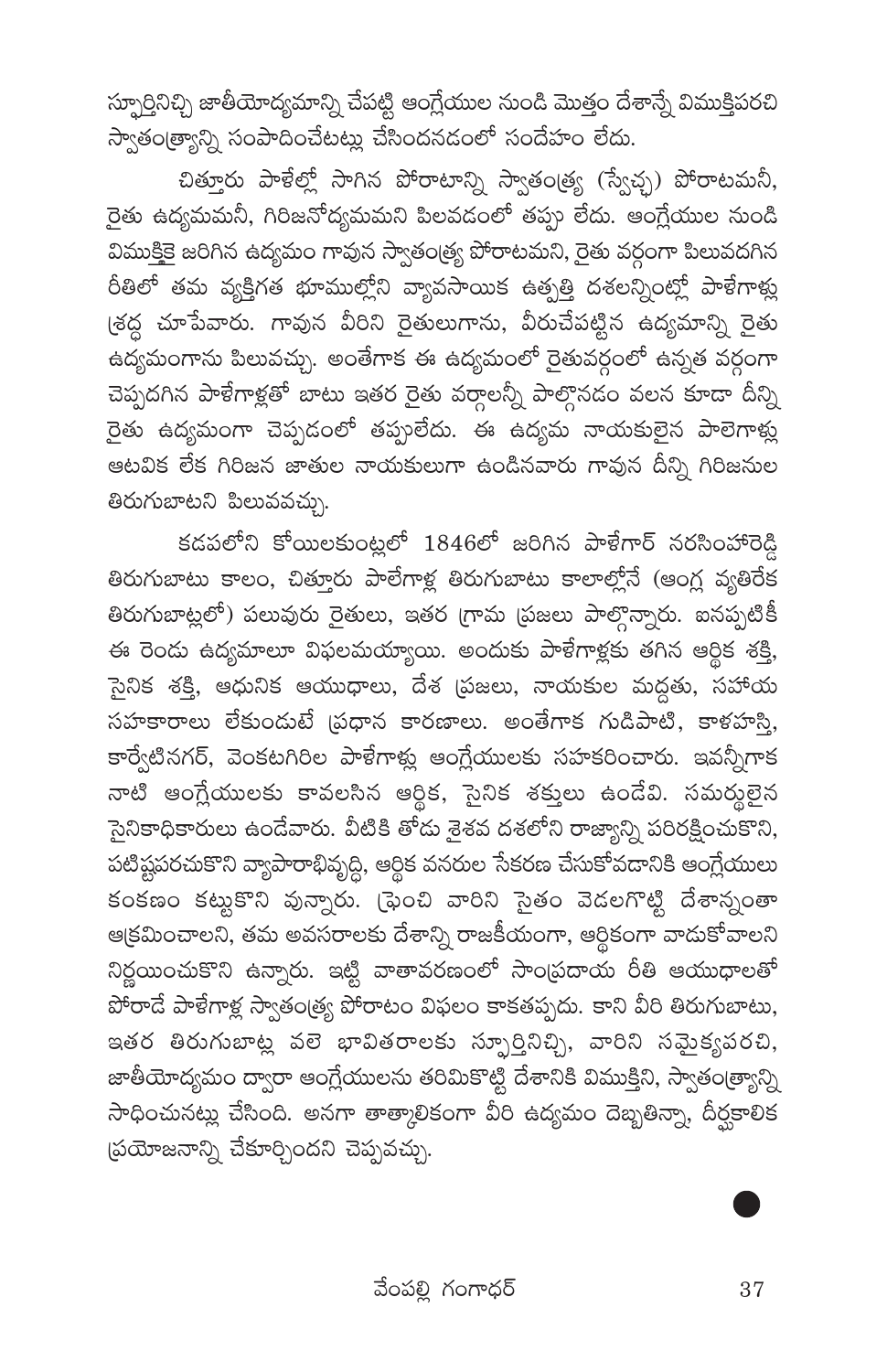స్పూర్తినిచ్చి జాతీయోద్యమాన్ని చేపట్టి ఆంగ్లేయుల నుండి మొత్తం దేశాన్నే విముక్తిపరచి స్వాతం(త్యాన్ని సంపాదించేటట్లు చేసిందనడంలో సందేహం లేదు.

చిత్తూరు పాళేల్లో సాగిన పోరాటాన్ని స్వాతం(త్య (స్వేచ్ఛ) పోరాటమనీ, రైతు ఉద్యమమనీ, గిరిజనోద్యమమని పిలవడంలో తప్పు లేదు. ఆంగ్లేయుల నుండి విముక్తికై జరిగిన ఉద్యమం గావున స్వాతం(త్య పోరాటమని, రైతు వర్గంగా పిలువదగిన రీతిలో తమ వ్యక్తిగత భూముల్లోని వ్యావసాయిక ఉత్పత్తి దశలన్నింట్లో పాకేగాళ్లు (శద్ధ చూపేవారు. గావున వీరిని రైతులుగాను, వీరుచేపట్టిన ఉద్యమాన్ని రైతు ఉద్యమంగాను పిలువచ్చు. అంతేగాక ఈ ఉద్యమంలో రైతువర్గంలో ఉన్నత వర్గంగా రైతు ఉద్యమంగా చెప్పడంలో తప్పులేదు. ఈ ఉద్యమ నాయకులైన పాలెగాళ్లు .<br>ఆటవిక లేక గిరిజన జాతుల నాయకులుగా ఉండినవారు గావున దీన్ని గిరిజనుల తిరుగుబాటని పిలువవచ్చు.

కడపలోని కోయిలకుంట్లలో 1846లో జరిగిన పాళేగార్ నరసింహారెడ్డి తిరుగుబాటు కాలం, చిత్తూరు పాలేగాళ్ల తిరుగుబాటు కాలాల్లోనే (ఆంగ్ల వ్యతిరేక తిరుగుబాట్లలో) పలువురు రైతులు, ఇతర గ్రామ (పజలు పాల్గొన్నారు. ఐనప్పటికీ ఈ రెందు ఉద్యమాలూ విఫలమయ్యాయి. అందుకు పాళేగాళ్లకు తగిన అర్థిక శక్తి, సైనిక శక్తి, ఆధునిక ఆయుధాలు, దేశ (పజలు, నాయకుల మద్దతు, సహా<mark>య</mark> సహకారాలు లేకుండుటే (పధాన కారణాలు. అంతేగాక గుడిపాటి, కాళహస్తి, కార్వేటినగర్, వెంకటగిరిల పాళేగాళ్లు ఆంగ్లేయులకు సహకరించారు. ఇవన్నీగాక నాటి ఆంగ్లేయులకు కావలసిన <mark>అర్థిక, సైనిక శక్తులు ఉండేవి. సమర్</mark>శలైన సైనికాధికారులు ఉందేవారు. వీటికి తోడు శైశవ దశలోని రాజ్యాన్ని పరిరక్షించుకొని, పటిష్టపరచుకొని వ్యాపారాభివృద్ధి, ఆర్థిక వనరుల సేకరణ చేసుకోవదానికి ఆంగ్లేయులు కంకణం కట్టుకొని వున్నారు. (ఫెంచి వారిని సైతం వెడలగొట్టి దేశాన్నంతా .<br>ఆక్రమించాలని, తమ అవసరాలకు దేశాన్ని రాజకీయంగా, ఆర్థికంగా వాదుకోవాలని నిర్ణయించుకొని ఉన్నారు. ఇట్టి వాతావరణంలో సాం<sub>ట్</sub>చాయ రీతి ఆయుధాలతో పోరాడే పాళేగాళ్ల స్వాతం(త్య పోరాటం విఫలం కాకతప్పదు. కాని వీరి తిరుగుబాటు, ఇతర తిరుగుబాట్ల వలె భావితరాలకు స్ఫూర్తినిచ్చి, వారిని సమైక్యపరచి<mark>,</mark> జాతీయోద్యమం ద్వారా ఆంగ్లేయులను తరిమికొట్టి దేశానికి విముక్తిని, స్వాతం(త్యాన్ని సాధించునట్లు చేసింది. అనగా తాత్కాలికంగా వీరి ఉద్యమం దెబ్బతిన్నా, దీర్ఘకాలిక స్రయోజనాన్ని చేకూర్చిందని చెప్పవచ్చు.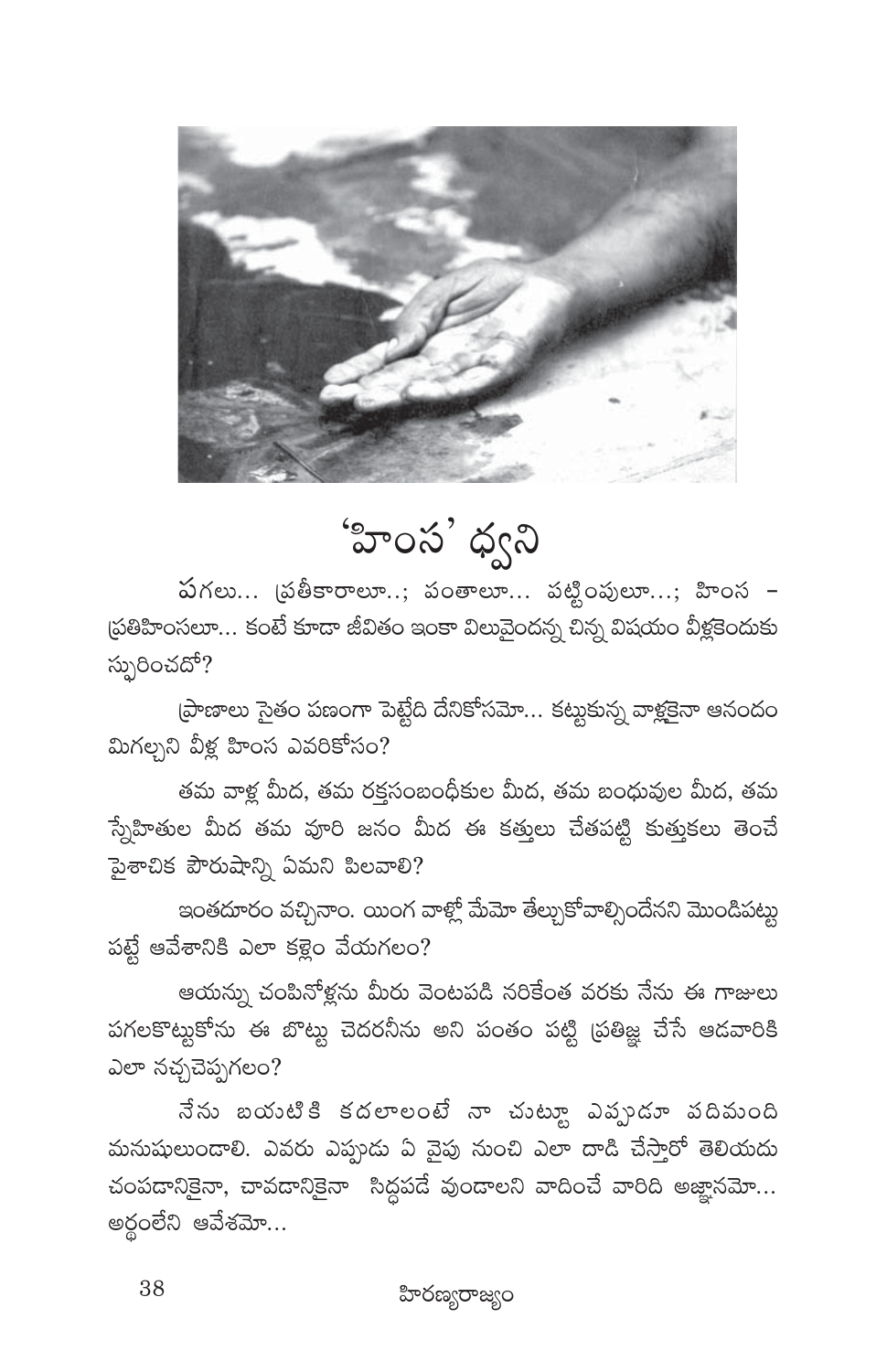

# 'హింస' ధ్వని

 $\delta$ గలు... (పతీకారాలూ..; పంతాలూ... పట్టింపులూ...; హింస – స్రతిహింసలూ... కంటే కూడా జీవితం ఇంకా విలువైందన్న చిన్న విషయం వీళ్లకెందుకు స్ఫురించదో?

ప్రాణాలు సైతం పణంగా పెట్టేది దేనికోసమో... కట్టుకున్న వాళ్లకైనా ఆనందం మిగల్చని వీళ్ల హింస ఎవరికోసం?

తమ వాళ్ల మీద, తమ రక్తసంబంధీకుల మీద, తమ బంధువుల మీద, తమ స్నేహితుల మీద తమ వూరి జనం మీద ఈ కత్తులు చేతపట్టి కుత్తుకలు తెంచే పైశాచిక పౌరుషాన్ని ఏమని పిలవాలి?

ఇంతదూరం వచ్చినాం. యింగ వాళ్లో మేమో తేల్చుకోవాల్సిందేనని మొండిపట్టు పట్టే ఆవేశానికి ఎలా కక్షైం వేయగలం?

ఆయన్ను చంపినోళ్లను మీరు వెంటపడి నరికేంత వరకు నేను ఈ గాజులు పగలకొట్టుకోను ఈ బొట్టు చెదరనీను అని పంతం పట్టి (పతిజ్ఞ చేసే ఆడవారికి ఎలా నచ్చచెప్పగలం?

నేను బయటికి కదలాలంటే నా చుట్యూ ఎప్పుడూ పదిమంది మనుషులుండాలి. ఎవరు ఎప్పుడు ఏ వైపు నుంచి ఎలా దాడి చేసా్లో తెలియదు చంపడానికైనా, చావడానికైనా సిద్ధపడే వుండాలని వాదించే వారిది అజ్జానమో... అర్థంలేని ఆవేశమో...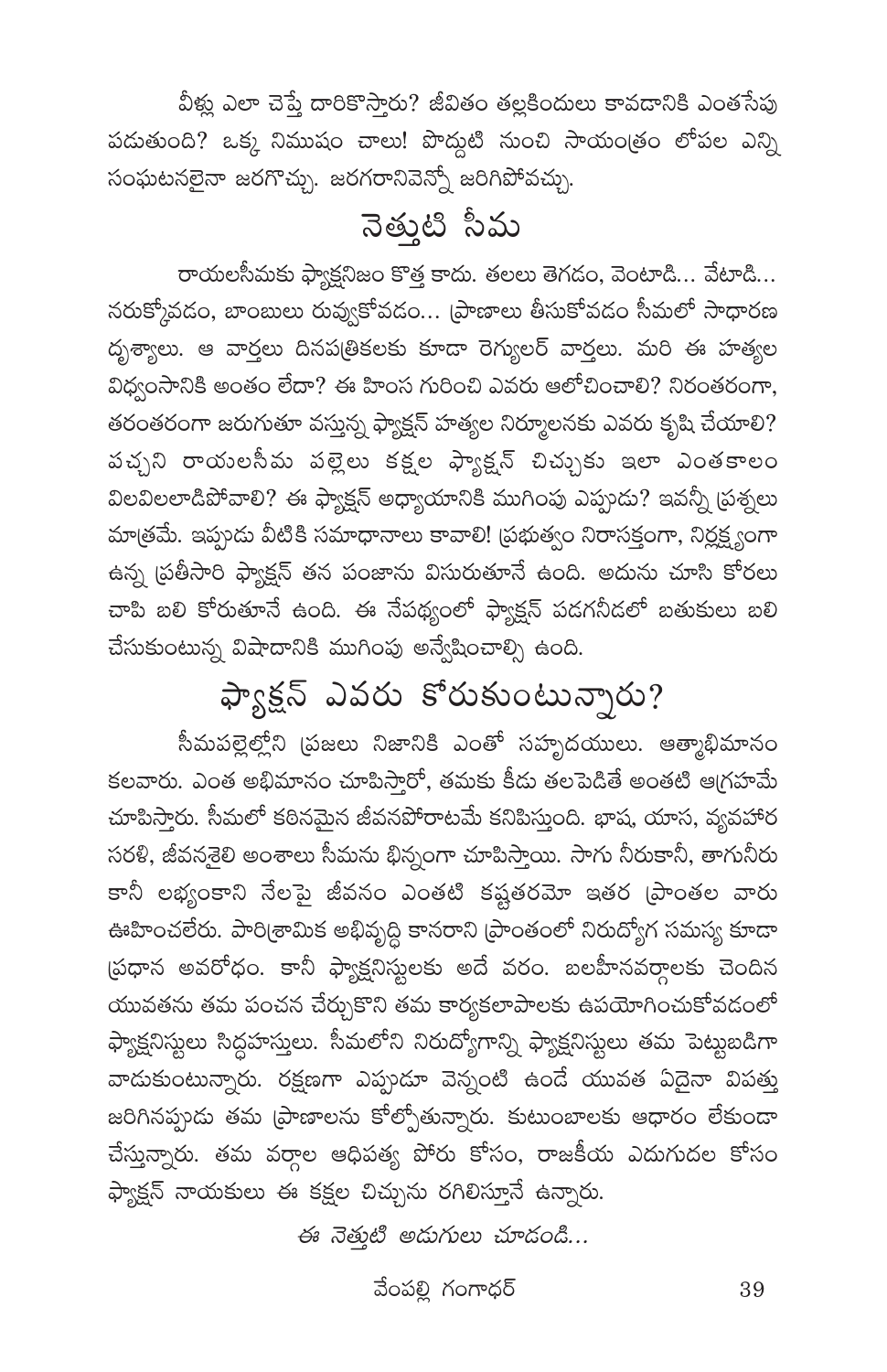వీళ్లు ఎలా చెప్తే దారికొస్తారు? జీవితం తల్లకిందులు కావడానికి ఎంతసేపు పడుతుంది? ఒక్క నిముషం చాలు! పొద్దుటి నుంచి సాయం(తం లోపల ఎన్ని సంఘటనలైనా జరగొచ్చు. జరగరానివెన్నో జరిగిపోవచ్చు.

## నెత్తుటి సీమ

రాయలసీమకు ఫ్యాక్షనిజం కొత్త కాదు. తలలు తెగడం, వెంటాడి... వేటాడి... నరుక్కోవడం, బాంబులు రువ్వుకోవడం... (పాణాలు తీసుకోవడం సీమలో సాధారణ దృశ్యాలు. ఆ వార్తలు దినపత్రికలకు కూడా రెగ్యులర్ వార్తలు. మరి ఈ హత్యల విధ్వంసానికి అంతం లేదా? ఈ హింస గురించి ఎవరు ఆలోచించాలి? నిరంతరంగా, తరంతరంగా జరుగుతూ వస్తున్న ఫ్యాక్షన్ హత్యల నిర్మూలనకు ఎవరు కృషి చేయాలి? పచ్చని రాయలసీమ పల్లెలు కక్షల ఫ్యాక్షన్ చిచ్చుకు ఇలా ఎంతకాలం విలవిలలాడిపోవాలి? ఈ ఫ్యాక్షన్ అధ్యాయానికి ముగింపు ఎప్పుడు? ఇవన్నీ ప్రశ్నలు మాత్రమే. ఇప్పుడు వీటికి సమాధానాలు కావాలి! (పభుత్వం నిరాసక్తంగా, నిర్లక్ష్యంగా ఉన్న <mark>ప్రతీసారి ఫ్యాక్షన్ తన పంజాను విసురుతూనే ఉం</mark>ది. అదును చూసి కోరలు చాపి బలి కోరుతూనే ఉంది. ఈ నేపథ్యంలో ఫ్యాక్షన్ పడగనీడలో బతుకులు బలి చేసుకుంటున్న విషాదానికి ముగింపు అన్వేషించాల్సి ఉంది.

### ఫ్యాక్షన్ ఎవరు కోరుకుంటున్నారు?

.<br>సీమపలైల్తోని (పజలు నిజానికి ఎంతో సహృదయులు. ఆత్మాభిమానం కలవారు. ఎంత అభిమానం చూపిస్తారో, తమకు కీడు తలపెడితే అంతటి ఆగ్రహమే చూపిస్తారు. సీమలో కఠినమైన జీవనపోరాటమే కనిపిస్తుంది. భాష, యాస, వ్యవహార సరళి, జీవనశైలి అంశాలు సీమను భిన్నంగా చూపిస్తాయి. సాగు నీరుకానీ, తాగునీరు కానీ లభ్యంకాని నేలపై జీవనం ఎంతటి కష్టతరమో ఇతర [పాంతల వారు .<br>ఊహించలేరు. పారి<sub>(</sub>శామిక అభివృద్ధి కానరాని (పాంతంలో నిరుద్యోగ సమస్య కూడా ప్రధాన అవరోధం. కానీ ఫ్యాక్షనిస్తులకు అదే వరం. బలహీనవర్గాలకు చెందిన యువతను తమ పంచన చేర్చుకొని తమ కార్యకలాపాలకు ఉపయోగించుకోవడంలో ఫ్యాక్షనిస్టులు సిద్దహస్తులు. సీమలోని నిరుద్యోగాన్ని ఫ్యాక్షనిస్టులు తమ పెట్టుబడిగా వాదుకుంటున్నారు. రక్షణగా ఎప్పుడూ వెన్నంటి ఉండే యువత ఏదైనా విపత్తు జరిగినప్పుడు తమ (పాణాలను కోల్పోతున్నారు. కుటుంబాలకు ఆధారం లేకుండా చేస్తున్నారు. తమ వర్గాల ఆధిపత్య పోరు కోసం, రాజకీయ ఎదుగుదల కోసం ఫ్యాక్షన్ నాయకులు ఈ కక్షల చిచ్చును రగిలిస్తూనే ఉన్నారు.

ఈ నెతుటి అదుగులు చూడండి...

వేంపల్లి గంగాధర్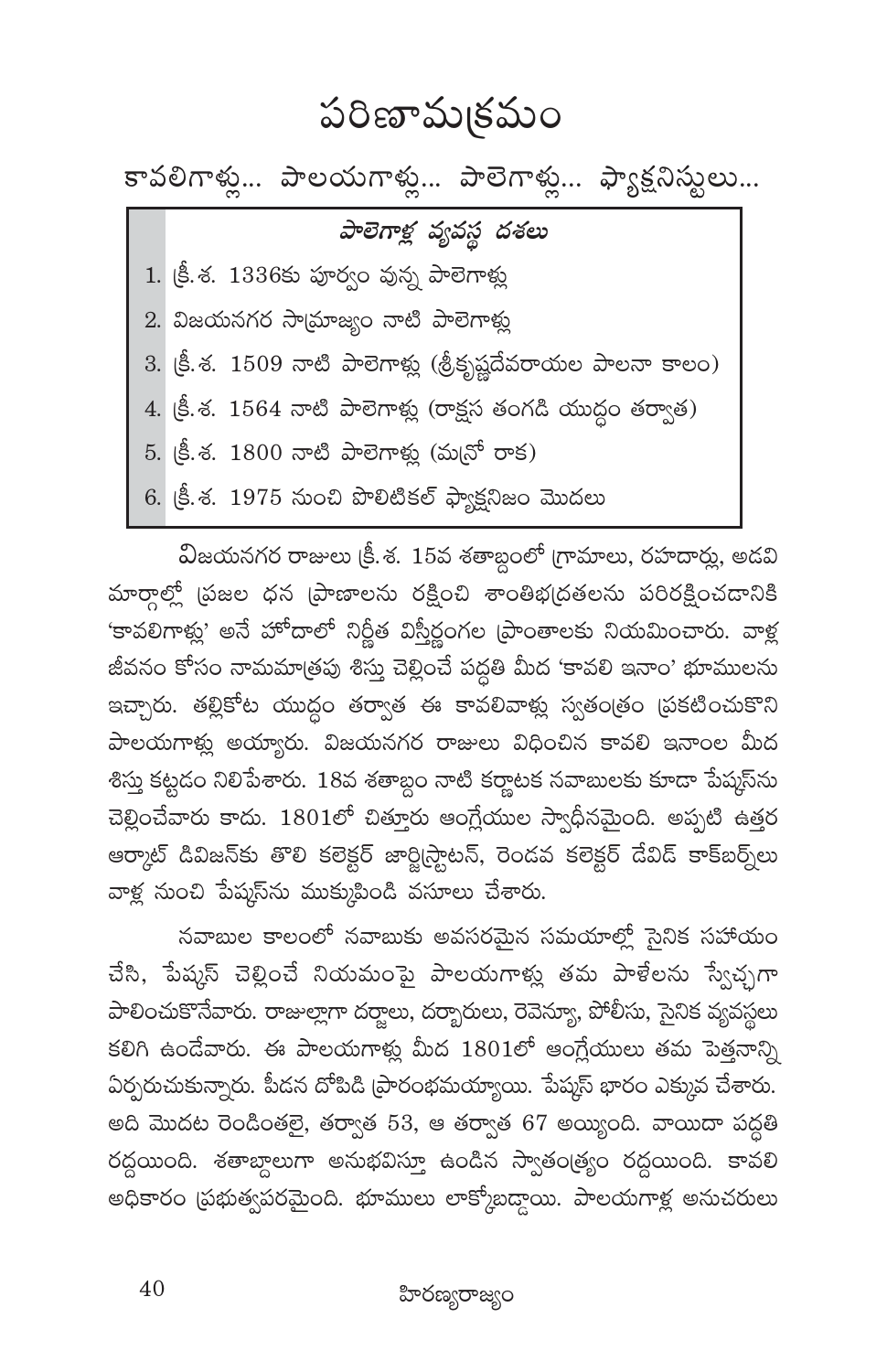## పరిణామ్మకమం

కావలిగాళ్లు... పాలయగాళ్లు... పాలెగాళ్లు... ఫ్యాక్షనిస్తులు...

| పాలెగాళ్ల వ్యవస్థ దశలు                                        |
|---------------------------------------------------------------|
| 1. క్రీ.శ. 1336కు పూర్వం వున్న పాలెగాళ్లు                     |
| 2. విజయనగర సామ్రాజ్యం నాటి పాలెగాళ్లు                         |
| 3. క్రీ.శ. 1509 నాటి పాలెగాళ్లు (శ్రీకృష్ణదేవరాయల పాలనా కాలం) |
| 4. క్రీ.శ. 1564 నాటి పాలెగాళ్లు (రాక్షస తంగడి యుద్ధం తర్వాత)  |
| 5. క్రీ.శ. 1800 నాటి పాలెగాళ్లు (మ్మనో రాక)                   |
| 6. క్రీ.శ. 1975 నుంచి పొలిటికల్ ఫ్యాక్షనిజం మొదలు             |

విజయనగర రాజులు (కీ.శ. 15వ శతాబ్దంలో గ్రామాలు, రహదార్లు, అడవి మార్గాల్లో (పజల ధన (పాణాలను రక్షించి శాంతిభ(దతలను పరిరక్షించదానికి 'కావలిగాళ్లు' అనే హోదాలో నిర్ణీత విస్తీర్ణంగల [పాంతాలకు నియమించారు. వాళ్ల .<br>జీవనం కోసం నామమాత్రపు శిస్తు చెల్లించే పద్ధతి మీద 'కావలి ఇనాం' భూములను ఇచ్చారు. తల్లికోట యుద్ధం తర్వాత ఈ కావలివాళ్లు స్వతం(తం (పకటించుకొని .<br>పాలయగాళ్లు అయ్యారు. విజయనగర రాజులు విధించిన కావలి ఇనాంల మీద శిస్తు కట్టడం నిలిపేశారు. 18వ శతాబ్దం నాటి కర్ణాటక నవాబులకు కూడా పేష్కస్<mark>న</mark>ు చెల్లించేవారు కాదు. 1801లో చిత్తూరు ఆంగ్లేయుల స్వాధీనమైంది. అప్పటి ఉత్తర ఆర్కాట్ డివిజన్కు తొలి కలెక్టర్ జార్టి(స్టాటన్, రెండవ కలెక్టర్ డేవిడ్ కాక్ఐర్న్ల్ వాళ్ల నుంచి పేష్కస్న ముక్కుపిండి వసూలు చేశారు.

నవాబుల కాలంలో నవాబుకు అవసరమైన సమయాల్లో సైనిక సహాయం చేసి, పేష్కస్ చెల్లించే నియమంపై పాలయగాళ్లు తమ పాళేలను స్వేచ్చగా పాలించుకొనేవారు. రాజుల్లాగా దర్శాలు, దర్భారులు, రెవెన్యూ, పోలీసు, సైనిక వ్యవస్థలు కలిగి ఉండేవారు. ఈ పాలయగాళ్లు మీద 1801లో ఆంగ్లేయులు తమ పెత్తనాన్ని ఏర్పరుచుకున్నారు. పీడన దోపిడి [పారంభమయ్యాయి. పేష్కస్ భారం ఎక్కువ చేశారు. అది మొదట రెండింతలై, తర్వాత 53, ఆ తర్వాత 67 అయ్యింది. వాయిదా పద్ధతి రద్దయింది. శతాబ్దాలుగా అనుభవిస్తూ ఉండిన స్వాతం(త్యం రద్దయింది. కావలి అధికారం ప్రభుత్వపరమైంది. భూములు లాక్కోబడ్గాయి. పాలయగాళ్ల అనుచరులు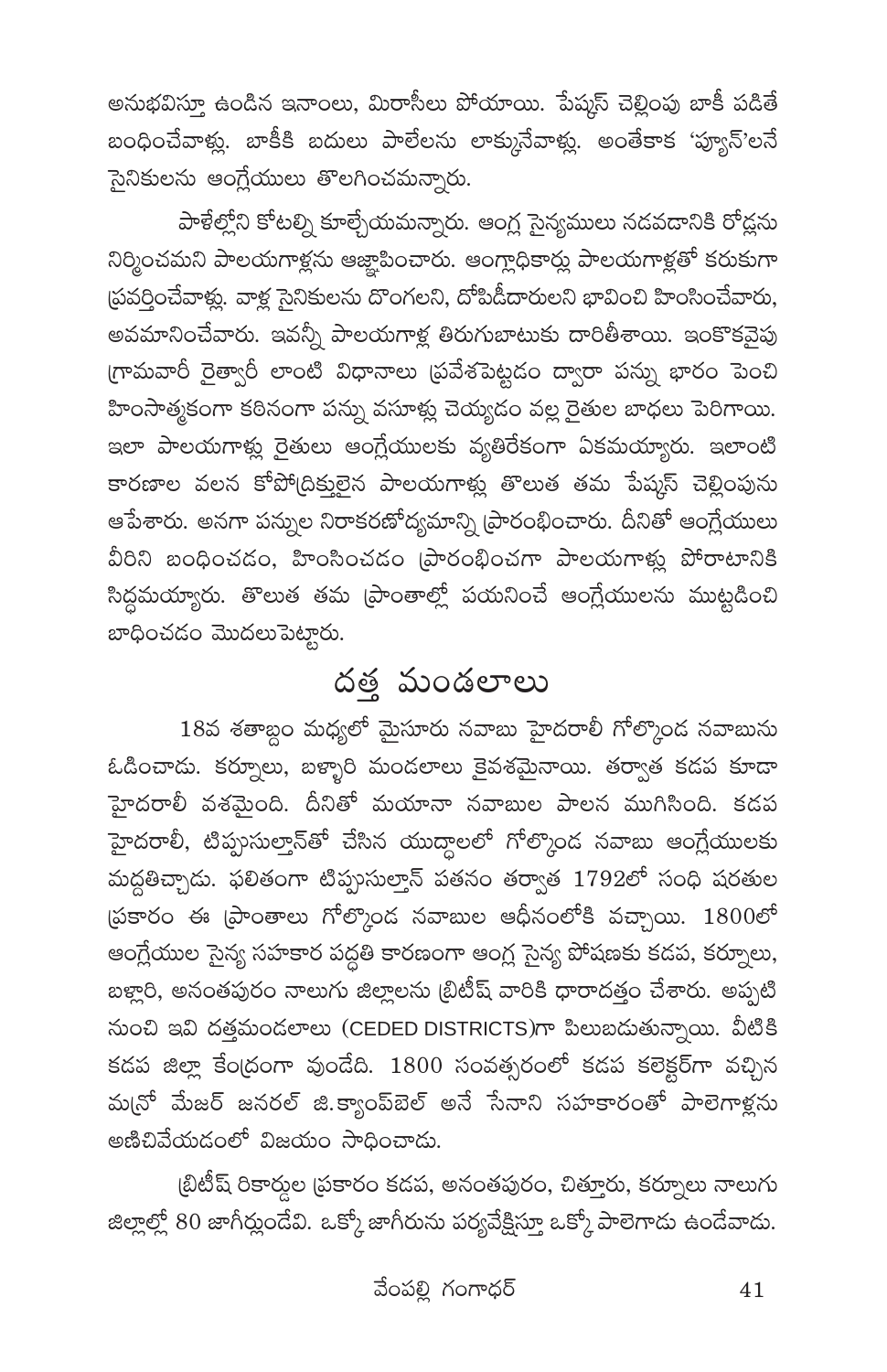అనుభవిస్తూ ఉండిన ఇనాంలు, మిరాసీలు పోయాయి. పేష్కస్ చెల్లింపు బాకీ పడితే బంధించేవాళ్లు. బాకీకి బదులు పాలేలను లాక్కునేవాళ్లు. అంతేకాక 'ప్యూన్'లనే సైనికులను ఆంగ్లేయులు తొలగించమన్నారు.

పాళేల్లోని కోటల్ని కూల్చేయమన్నారు. ఆంగ్ల సైన్యములు నడవడానికి రోడ్లను నిర్మించమని పాలయగాళ్లను ఆజ్హాపించారు. ఆంగ్లాధికార్లు పాలయగాళ్లతో కరుకుగా థువర్తించేవాళ్లు. వాళ్ల సైనికులను దొంగలని, దోపిడీదారులని భావించి హింసించేవారు, అవమానించేవారు. ఇవన్నీ పాలయగాళ్ల తిరుగుబాటుకు దారితీశాయి. ఇంకొకవైపు గ్రామవారీ రైత్వారీ లాంటి విధానాలు (పవేశపెట్టడం ద్వారా పన్ను భారం పెంచి హింసాత్మకంగా కఠినంగా పన్ను వసూళ్లు చెయ్యడం వల్ల రైతుల బాధలు పెరిగాయి. ఇలా పాలయగాళ్లు రైతులు ఆంగ్లేయులకు వ్యతిరేకంగా ఏకమయ్యారు. ఇలాంటి కారణాల వలన కోపో(దిక్తులైన పాలయగాళ్లు తొలుత తమ పేషుస్ చెల్లింపును ఆపేశారు. అనగా పన్నుల నిరాకరణోద్యమాన్ని <mark>(పారంభించారు. దీనితో ఆంగ్లేయులు</mark> వీరిని బంధించడం, హింసించడం (పారంభించగా పాలయగాళ్లు పోరాటానికి సిద్ధమయ్యారు. తొలుత తమ (పాంతాల్లో పయనించే ఆంగ్లేయులను ముట్టడించి బాధించడం మొదలు పెట్టారు.

#### దత్త మండలాలు

18వ శతాబ్దం మధ్యలో మైసూరు నవాబు హైదరాలీ గోల్కొండ నవాబును ఓడించాదు. కర్నూలు, బళ్ళారి మండలాలు కైవశమైనాయి. తర్వాత కడప కూడా హైదరాలీ వశమైంది. దీనితో మయానా నవాబుల పాలన ముగిసింది. కడప హైదరాలీ, టిప్పుసుల్తాన్**తో చేసిన యుద్దాలలో గోల్కొం**డ నవాబు ఆంగ్లేయులకు మద్దతిచ్చాదు. ఫలితంగా టిప్పుసుల్తాన్ పతనం తర్వాత 1792లో సంధి షరతుల  $\tilde{\omega}$ కారం ఈ (పాంతాలు గోల్కొండ నవాబుల ఆధీనంలోకి వచ్చాయి. 1800లో ఆంగ్లేయుల సైన్య సహకార పద్ధతి కారణంగా ఆంగ్ల సైన్య పోషణకు కడప, కర్నూలు, బళ్లారి, అనంతపురం నాలుగు జిల్లాలను ట్రిటీష్ వారికి ధారాదత్తం చేశారు. అప్పటి నుంచి ఇవి దత్తమండలాలు (CEDED DISTRICTS)గా పిలుబదుతున్నాయి. వీటికి కడప జిల్లా కేంద్రంగా వుండేది. 1800 సంవత్సరంలో కడప కలెక్టర్గా వచ్చిన మ్మనో మేజర్ జనరల్ జి.క్యాంప్ఐెల్ అనే సేనాని సహకారంతో పాలెగాళ్లను అణిచివేయడంలో విజయం సాధించాడు.

(బిటీష్ రికార్శల (పకారం కడప, అనంతపురం, చిత్తూరు, కర్నూలు నాలుగు జిల్లాల్లో 80 జాగీర్లుండేవి. ఒక్కో జాగీరును పర్యవేక్షిస్తూ ఒక్కో పాలెగాడు ఉండేవాదు.

వేంపల్లి గంగాధర్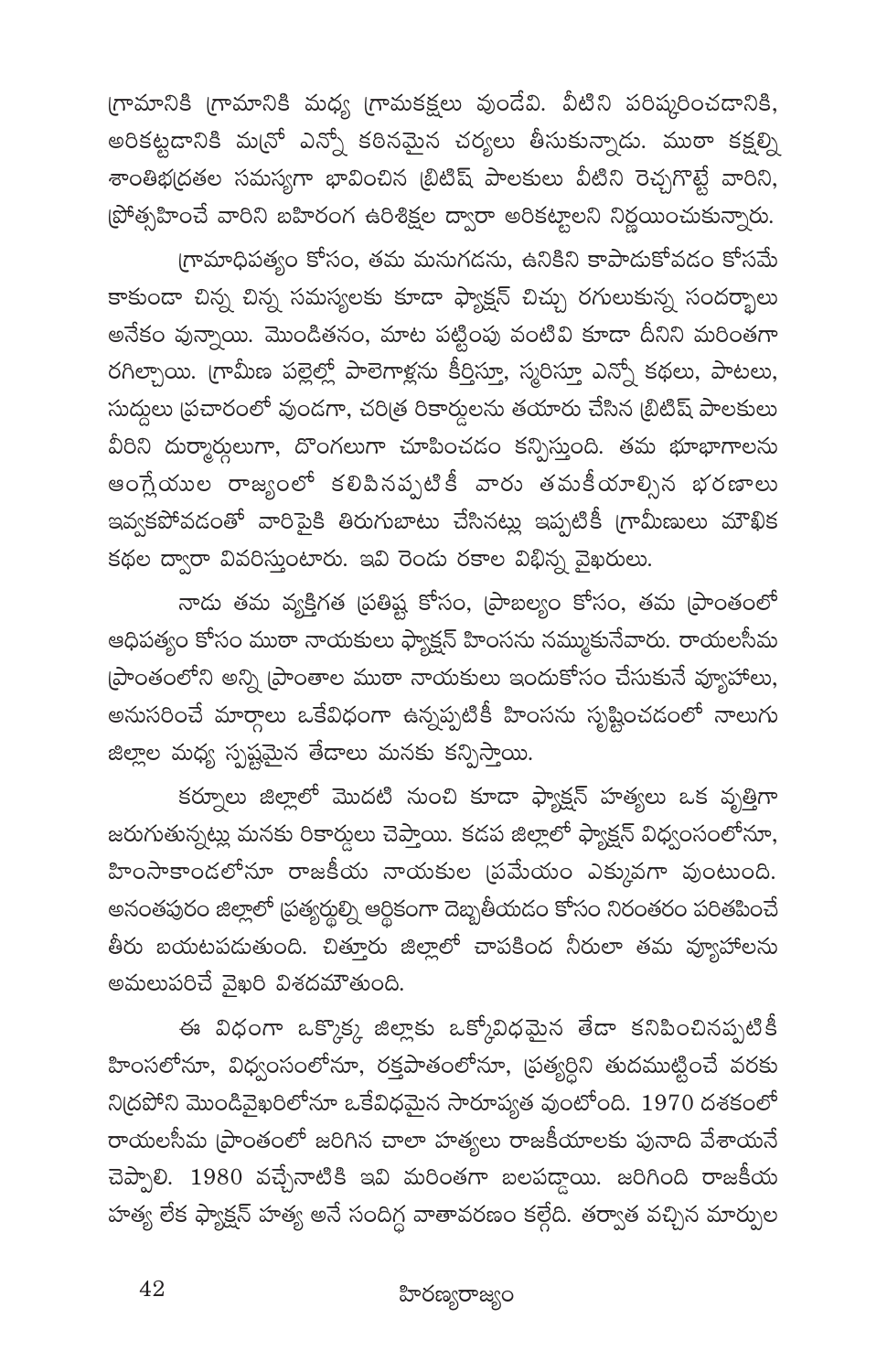గ్రామానికి గ్రామానికి మధ్య గ్రామకక్షలు వుండేవి. వీటిని పరిష్కరించడానికి, అరికట్టడానికి మ[నో ఎన్నో కఠినమైన చర్యలు తీసుకున్నాడు. ముఠా కక్షల్ని శాంతిభద్రతల సమస్యగా భావించిన (బిటిష్ పాలకులు వీటిని రెచ్చగొట్టే వారిని, (పోత్సహించే వారిని బహిరంగ ఉరిశిక్షల ద్వారా అరికట్టాలని నిర్ణయించుకున్నారు.

గ్రామాధిపత్యం కోసం, తమ మనుగడను, ఉనికిని కాపాడుకోవడం కోసమే కాకుండా చిన్న చిన్న సమస్యలకు కూడా ఫ్యాక్షన్ చిచ్చు రగులుకున్న సందర్భాలు అనేకం వున్నాయి. మొండితనం, మాట పట్టింపు వంటివి కూడా దీనిని మరింతగా రగిల్చాయి. (గామీణ పల్లెల్లో పాలెగాళ్లను కీర్తిస్తూ, స్మరిస్తూ ఎన్నో కథలు, పాటలు, సుద్దులు [పచారంలో వుండగా, చరిత్ర రికార్డులను తయారు చేసిన (బిటిష్ పాలకులు .<br>వీరిని దుర్మార్గులుగా, దొంగలుగా చూపించడం కన్పిస్తుంది. తమ భూభాగాలను .<br>ఆంగ్లేయుల రాజ్యంలో కలిపినప్పటికీ వారు తమకీయాల్సిన భరణాలు ఇవ్వకపోవడంతో వారిపైకి తిరుగుబాటు చేసినట్లు ఇప్పటికీ గ్రామీణులు మౌఖిక కథల ద్వారా వివరిస్తుంటారు. ఇవి రెండు రకాల విభిన్న వైఖరులు.

నాదు తమ వ్యక్తిగత (పతిష్ట కోసం, (పాబల్యం కోసం, తమ (పాంతంలో ఆధిపత్యం కోసం ముఠా నాయకులు ఫ్యాక్షన్ హింసను నమ్ముకునేవారు. రాయలసీమ ప్రాంతంలోని అన్ని [పాంతాల ముఠా నాయకులు ఇందుకోసం చేసుకునే వ్యూహాలు, అనుసరించే మార్గాలు ఒకేవిధంగా ఉన్నప్పటికీ హింసను సృష్టించడంలో నాలుగు జిల్లాల మధ్య స్పష్టమైన తే<mark>దాలు మనకు కన్పిస్తాయి.</mark>

కర్నూలు జిల్లాలో మొదటి నుంచి కూడా ఫ్యాక్షన్ హత్యలు ఒక వృత్తిగా జరుగుతున్నట్లు మనకు రికార్డులు చెప్తాయి. కడప జిల్లాలో ఫ్యాక్షన్ విధ్వంసంలోనూ, హింసాకాండలోనూ రాజకీయ నాయకుల (పమేయం ఎక్కువగా వుంటుంది. అనంతపురం జిల్లాలో (పత్యర్థుల్ని ఆర్థికంగా దెబ్బతీయడం కోసం నిరంతరం పరితపించే .<br>తీరు బయటపదుతుంది. చిత్తూరు జిల్లాలో చాపకింద నీరులా తమ వ్యూహాలను అమలుపరిచే వైఖరి విశదమౌతుంది.

ఈ విధంగా ఒక్కొక్క జిల్లాకు ఒక్కోవిధమైన తేడా కనిపించినప్పటికీ హింసలోనూ, విధ్వంసంలోనూ, రక్తపాతంలోనూ, ప్రత్యర్ధిని తుదముట్టించే వరకు నిద్రపోని మొండివైఖరిలోనూ ఒకేవిధమైన సారూప్యత వుంటోంది. 1970 దశకంలో రాయలసీమ [పాంతంలో జరిగిన చాలా హత్యలు రాజకీయాలకు పునాది వేశాయనే చెప్పాలి. 1980 వచ్చేనాటికి ఇవి మరింతగా బలపడ్డాయి. జరిగింది రాజకీయ హత్య లేక ఫ్యాక్షన్ హత్య అనే సందిగ్ద వాతావరణం కల్గేది. తర్వాత వచ్చిన మార్పుల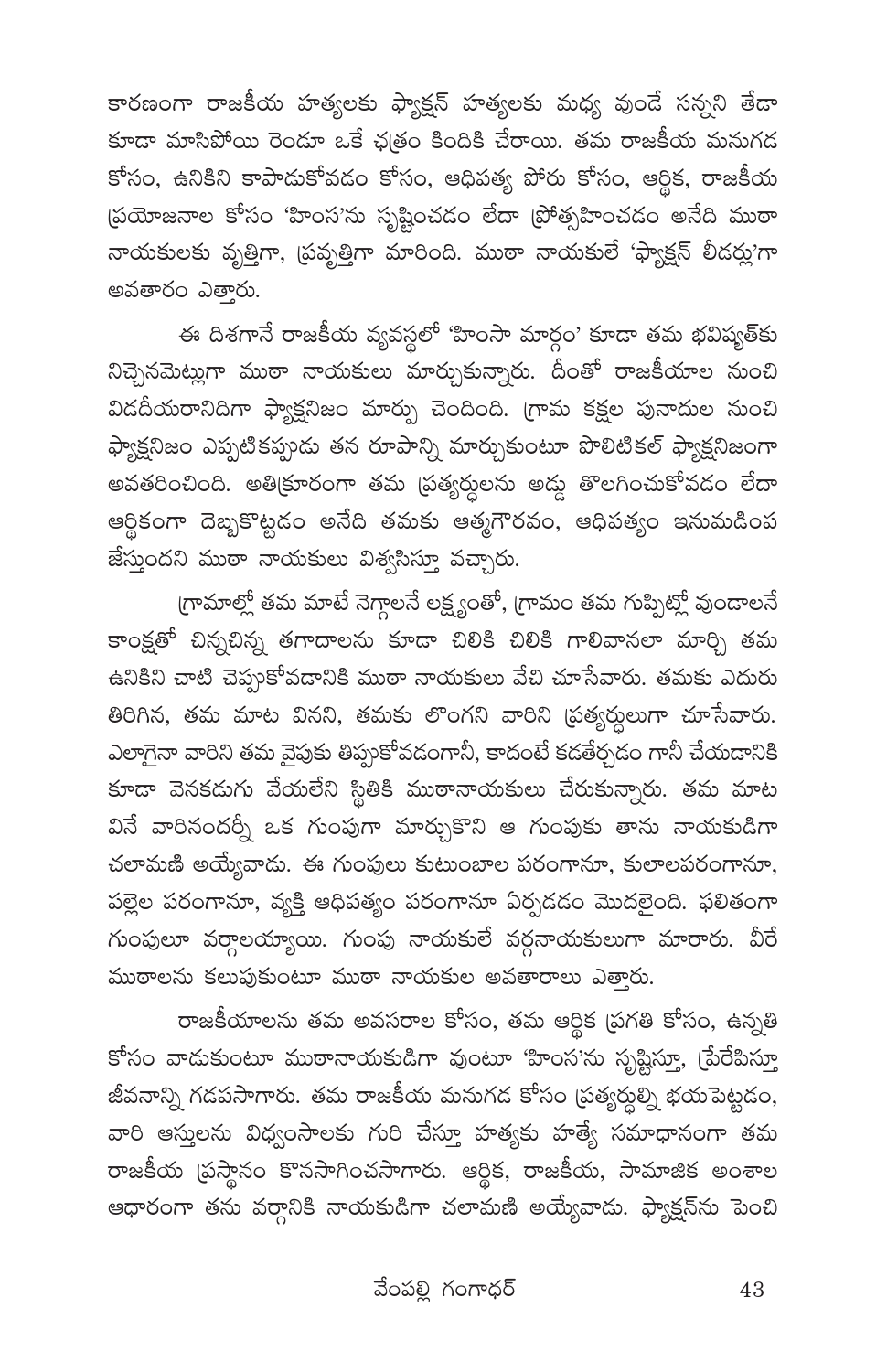కారణంగా రాజకీయ హత్యలకు ఫ్యాక్షన్ హత్యలకు మధ్య వుండే సన్నని తేడా కూడా మాసిపోయి రెండూ ఒకే ఛత్రం కిందికి చేరాయి. తమ రాజకీయ మనుగడ కోసం, ఉనికిని కాపాదుకోవడం కోసం, ఆధిపత్య పోరు కోసం, ఆర్థిక, రాజకీయ ద్రుయోజనాల కోసం 'హింస'ను సృష్టించడం లేదా [పోత్సహించడం అనేది ముఠా నాయకులకు వృత్తిగా, (పవృత్తిగా మారింది. ముఠా నాయకులే 'ఫ్యాక్షన్ లీదర్లు'గా అవతారం ఎత్తారు.

ఈ దిశగానే రాజకీయ వ్యవస్థలో 'హింసా మార్గం' కూడా తమ భవిష్యత్కు నిచ్చెనమెట్లుగా ముఠా నాయకులు మార్చుకున్నారు. దీంతో రాజకీయాల నుంచి విడదీయరానిదిగా ఫ్యాక్షనిజం మార్పు చెందింది. (గామ కక్షల పునాదుల నుంచి ఫ్యాక్షనిజం ఎప్పటికప్పుడు తన రూపాన్ని మార్చుకుంటూ పొలిటికల్ ఫ్యాక్షనిజంగా అవతరించింది. అతిక్రూరంగా తమ (పత్యర్ధులను అడ్డు తొలగించుకోవడం లేదా ఆర్థికంగా దెబ్బకొట్టడం అనేది తమకు ఆత్మగౌరవం, ఆధిపత్యం ఇనుమడింప జేస్తుందని ముఠా నాయకులు విశ్వసిస్తూ వచ్చారు.

గ్రామాల్లో తమ మాటే నెగ్గాలనే లక్ష్యంతో, గ్రామం తమ గుప్పిట్లో వుందాలనే కాంక్షతో చిన్నచిన్న తగాదాలను కూడా చిలికి చిలికి గాలివానలా మార్చి తమ ఉనికిని చాటి చెప్పుకోవదానికి ముఠా నాయకులు వేచి చూసేవారు. తమకు ఎదురు తిరిగిన, తమ మాట వినని, తమకు లొంగని వారిని (పత్యర్శలుగా చూసేవారు. ఎలాగైనా వారిని తమ వైపుకు తిప్పుకోవడంగానీ, కాదంటే కడతేర్చడం గానీ చేయడానికి కూడా వెనకడుగు వేయలేని స్థితికి ముఠానాయకులు చేరుకున్నారు. తమ మాట వినే వారినందర్నీ ఒక గుంపుగా మార్చుకొని ఆ గుంపుకు తాను నాయకుడిగా చలామణి అయ్యేవాడు. ఈ గుంపులు కుటుంబాల పరంగానూ, కులాలపరంగానూ, పల్లెల పరంగానూ, వ్యక్తి ఆధిపత్యం పరంగానూ ఏర్పడడం మొదలైంది. ఫలితంగా గుంపులూ వర్గాలయ్యాయి. గుంపు నాయకులే వర్గనాయకులుగా మారారు. వీరే ముఠాలను కలుపుకుంటూ ముఠా నాయకుల అవతారాలు ఎతారు.

రాజకీయాలను తమ అవసరాల కోసం, తమ ఆర్థిక (పగతి కోసం, ఉన్నతి కోసం వాదుకుంటూ ముఠానాయకుడిగా వుంటూ 'హింస'ను సృష్టిస్తూ, (పేరేపిస్తూ జీవనాన్ని గడపసాగారు. తమ రాజకీయ మనుగడ కోసం (పత్యర్ధల్ని భయపెట్టడం, వారి ఆస్తులను విధ్వంసాలకు గురి చేస్తూ హత్యకు హత్యే సమాధానంగా తమ రాజకీయ (పస్థానం కొనసాగించసాగారు. ఆర్థిక, రాజకీయ, సామాజిక అంశాల ఆధారంగా తను వర్గానికి నాయకుడిగా చలామణి అయ్యేవాడు. ఫ్యాక్షన్సు పెంచి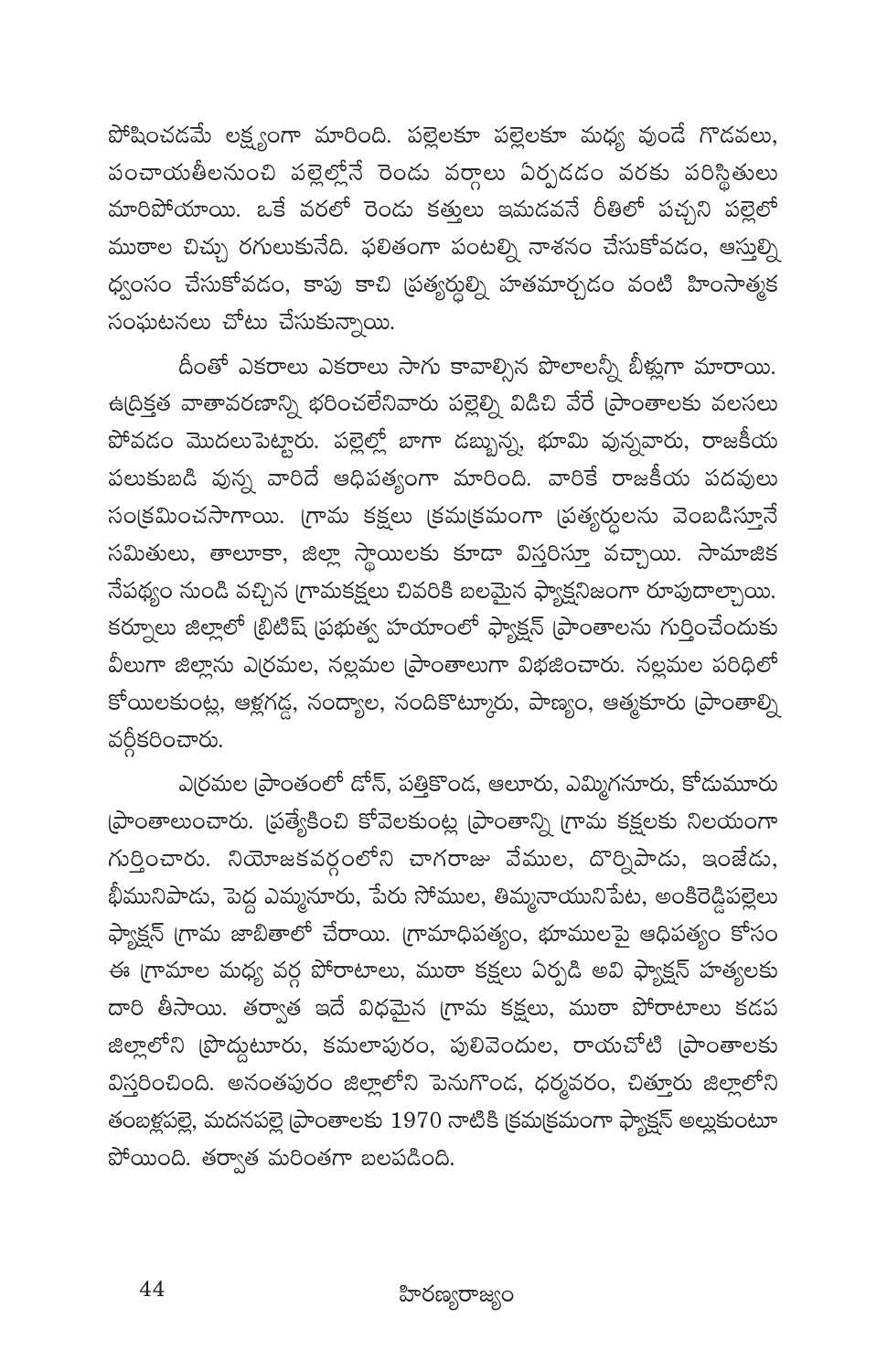పోషించడమే లక్ష్యంగా మారింది. పల్లెలకూ పల్లెలకూ మధ్య వుండే గొడవలు, పంచాయతీలనుంచి పల్లెల్లోనే రెండు వర్గాలు ఏర్పడడం వరకు పరిస్థితులు మారిపోయాయి. ఒకే వరలో రెండు కత్తులు ఇమడవనే రీతిలో పచ్చని పల్లెలో ముఠాల చిచ్చు రగులుకునేది. ఫలితంగా పంటల్ని నాశనం చేసుకోవడం, ఆస్తుల్ని ధ్వంసం చేసుకోవడం, కాపు కాచి (పత్యర్శల్ని హతమార్చడం వంటి హింసాత్మక సంఘటనలు చోటు చేసుకున్నాయి.

దీంతో ఎకరాలు ఎకరాలు సాగు కావాల్సిన పొలాలన్నీ బీళ్లుగా మారాయి. ఉద్రిక్తత వాతావరణాన్ని భరించలేనివారు పల్లెల్ని విడిచి వేరే [పాంతాలకు వలసలు పోవడం మొదలుపెట్టారు. పల్లెల్లో బాగా డబ్బున్న, భూమి వున్నవారు, రాజకీయ పలుకుబడి వున్న వారిదే ఆధిపత్యంగా మారింది. వారికే రాజకీయ పదవులు సంక్రమించసాగాయి. గ్రామ కక్షలు క్రమక్రమంగా చ్రత్యర్ధులను వెంబడిస్తూనే సమితులు, తాలూకా, జిల్లా స్థాయిలకు కూడా విస్తరిస్తూ వచ్చాయి. సామాజిక నేపథ్యం నుండి వచ్చిన (గామకక్షలు చివరికి బలమైన ఫ్యాక్షనిజంగా రూపుదాల్చాయి. కర్నూలు జిల్లాలో (బిటిష్ (పథుత్వ హయాంలో ఫ్యాక్షన్ (పాంతాలను గుర్తించేందుకు వీలుగా జిల్లాను ఎర్రమల, నల్లమల [పాంతాలుగా విభజించారు. నల్లమల పరిధిలో కోయిలకుంట్ల, ఆళ్లగడ్డ, నంద్యాల, నందికొట్కూరు, పాణ్యం, ఆత్మకూరు [పాంతాల్ని వర్గీకరించారు.

ఎర్రమల [పాంతంలో డోన్, పత్తికొండ, ఆలూరు, ఎమ్మిగనూరు, కోదుమూరు ప్రాంతాలుంచారు. (పత్యేకించి కోవెలకుంట్ల (పాంతాన్ని (గామ కక్షలకు నిలయంగా గుర్తించారు. నియోజకవర్గంలోని చాగరాజు వేముల, దొర్నిపాడు, ఇంజేడు, భీమునిపాడు, పెద్ద ఎమ్మనూరు, పేరు సోముల, తిమ్మనాయునిపేట, అంకిరెడ్డిపల్లెలు ఫ్యాక్షన్ గ్రామ జాబితాలో చేరాయి. గ్రామాధిపత్యం, భూములపై ఆధిపత్యం కోసం ఈ గ్రామాల మధ్య వర్గ పోరాటాలు, ముఠా కక్షలు ఏర్పడి అవి ఫ్యాక్షన్ హత్యలకు దారి తీసాయి. తర్వాత ఇదే విధమైన గ్రామ కక్షలు, ముఠా పోరాటాలు కడప జిల్లాలోని (పొద్దటూరు, కమలాపురం, పులివెందుల, రాయచోటి (పాంతాలకు విస్తరించింది. అనంతపురం జిల్లాలోని పెనుగొండ, ధర్మవరం, చిత్తూరు జిల్లాలోని తంబళ్లపల్లె, మదనపల్లె (పాంతాలకు 1970 నాటికి (కమ(క్రమంగా ఫ్యాక్షన్ అల్లుకుంటూ పోయింది. తర్వాత మరింతగా బలపడింది.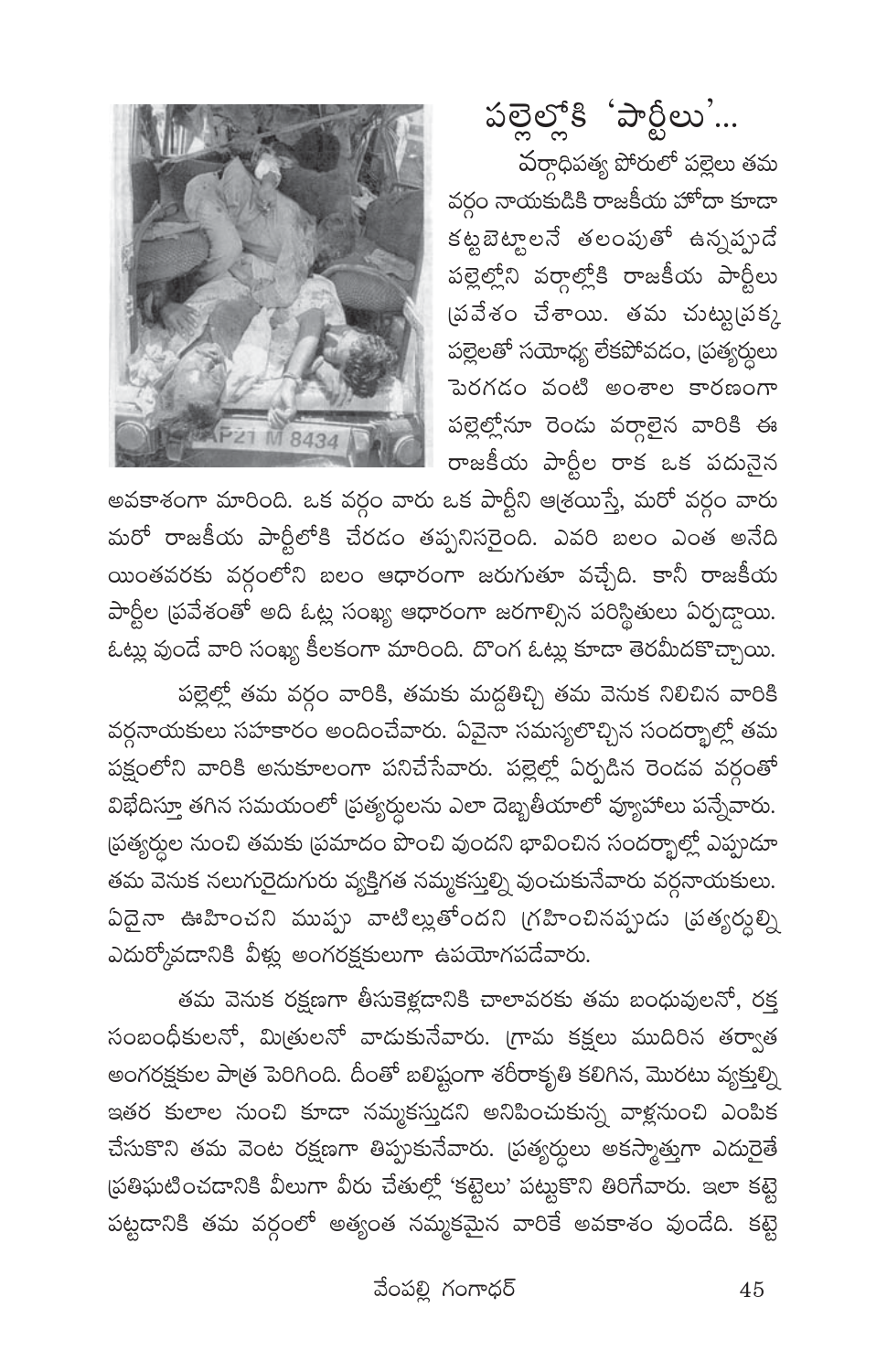

పల్లెల్లోకి 'పార్టీలు'...

వర్గాధిపత్య పోరులో పల్లెలు తమ వర్గం నాయకుడికి రాజకీయ హోదా కూడా కట్టబెట్టాలనే తలంపుతో ఉన్నప్పుడే పల్లెల్లోని వర్గాల్లోకి రాజకీయ పార్టీలు (పవేశం చేశాయి. తమ చుట్టు(పక్క పల్లెలతో సయోధ్య లేకపోవడం, ప్రత్యర్ధులు పెరగడం వంటి అంశాల కారణంగా పల్లెల్లోనూ రెండు వర్గాలైన వారికి ఈ రాజకీయ పార్టీల రాక ఒక పదునైన

అవకాశంగా మారింది. ఒక వర్గం వారు ఒక పార్టీని ఆ<sub>l</sub>శయిస్తే, మరో వర్గం వారు మరో రాజకీయ పార్టీలోకి చేరడం తప్పనిసరైంది. ఎవరి బలం ఎంత అనేది యింతవరకు వర్గంలోని బలం ఆధారంగా జరుగుతూ వచ్చేది. కానీ రాజకీయ పార్టీల (పవేశంతో అది ఓట్ల సంఖ్య ఆధారంగా జరగాల్సిన పరిస్థితులు ఏర్పద్దాయి. ఓట్లు వుండే వారి సంఖ్య కీలకంగా మారింది. దొంగ ఓట్లు కూడా తెరమీదకొచ్చాయి.

పల్లెల్లో తమ వర్గం వారికి, తమకు మద్దతిచ్చి తమ వెనుక నిలిచిన వారికి వర్గనాయకులు సహకారం అందించేవారు. ఏవైనా సమస్యలొచ్చిన సందర్భాల్లో తమ ..<br>పక్షంలోని వారికి అనుకూలంగా పనిచేసేవారు. పల్లెల్లో ఏర్పడిన రెండవ వర్గంతో విభేదిస్తూ తగిన సమయంలో (పత్యర్ధులను ఎలా దెబ్బతీయాలో వ్యూహాలు పన్నేవారు. ప్రత్యర్ధుల నుంచి తమకు (పమాదం పొంచి వుందని భావించిన సందర్భాల్లో ఎప్పండూ తమ వెనుక నలుగురైదుగురు వ్యక్తిగత నమ్మకస్తుల్ని వుంచుకునేవారు వర్గనాయకులు. ఏదైనా ఊహించని ముప్పు వాటిల్లుతోందని (గహించినప్పుడు (పత్యర్శల్ని ఎదుర్కోవదానికి వీళ్లు అంగరక్షకులుగా ఉపయోగపడేవారు.

తమ వెనుక రక్షణగా తీసుకెళ్లడానికి చాలావరకు తమ బంధువులనో, రక్త సంబంధీకులనో, మిత్రులనో వాడుకునేవారు. గ్రామ కక్షలు ముదిరిన తర్వాత అంగరక్షకుల పాత్ర పెరిగింది. దీంతో బలిష్టంగా శరీరాకృతి కలిగిన, మొరటు వ్యక్తుల్ని ఇతర కులాల నుంచి కూడా నమ్మకస్తుడని అనిపించుకున్న వాళ్లనుంచి ఎంపిక చేసుకొని తమ వెంట రక్షణగా తిప్పుకునేవారు. (పత్యర్ధులు అకస్మాత్తుగా ఎదురైతే (పతిఘటించడానికి వీలుగా వీరు చేతుల్లో 'కట్టెలు' పట్టుకొని తిరిగేవారు. ఇలా కట్టె పట్టడానికి తమ వర్గంలో అత్యంత నమ్మకమైన వారికే అవకాశం వుండేది. కట్టె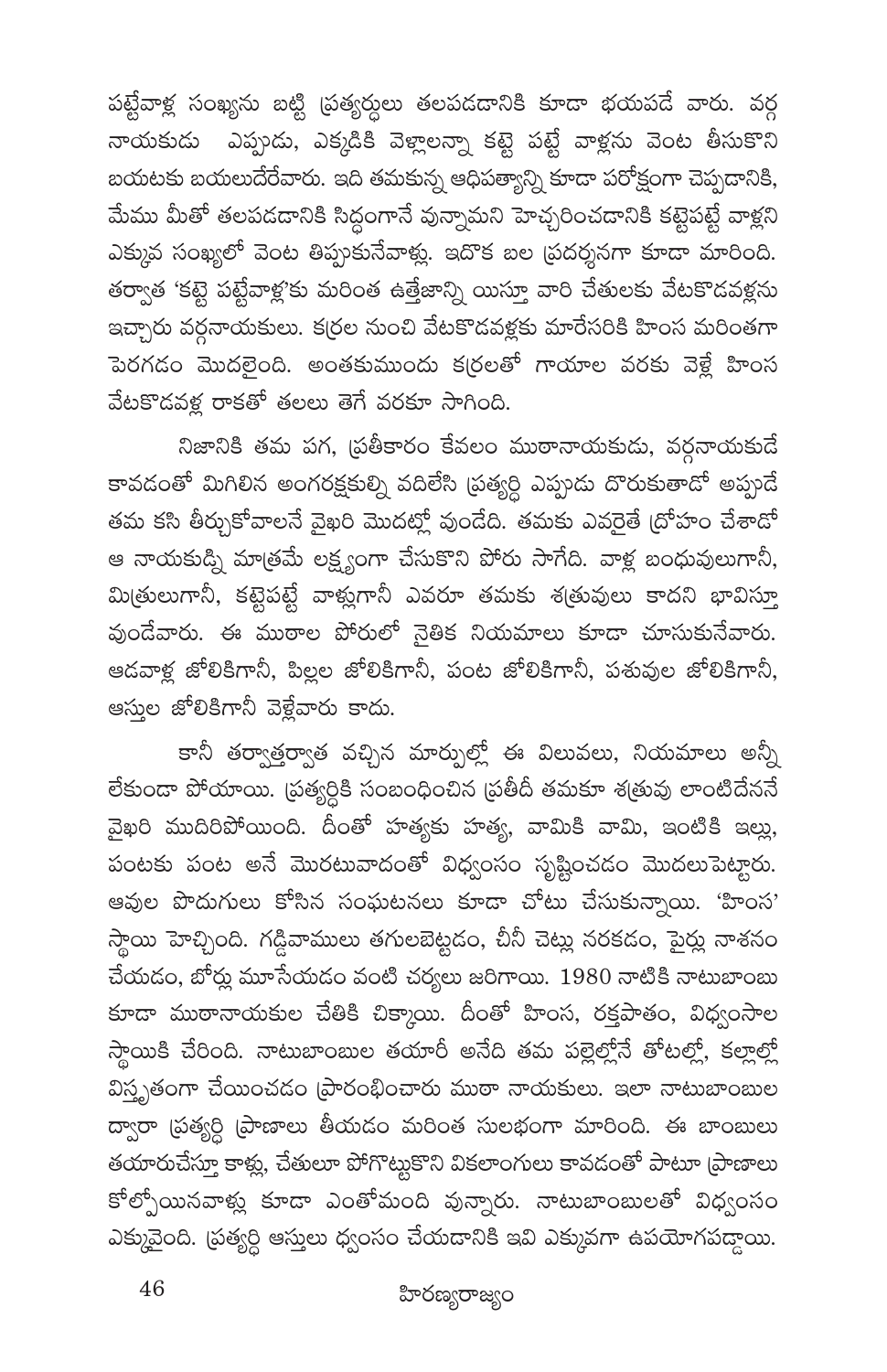పట్టేవాళ్ల సంఖ్యను బట్టి (పత్యర్ధులు తలపడదానికి కూడా భయపడే వారు. వర్గ నాయకుడు ఎప్పుడు, ఎక్కడికి వెళ్లాలన్నా కట్టె పట్టే వాళ్లను వెంట తీసుకొని బయటకు బయలుదేరేవారు. ఇది తమకున్న ఆధిపత్యాన్ని కూడా పరోక్షంగా చెప్పడానికి, మేము మీతో తలపడదానికి సిద్ద<mark>ం</mark>గానే వున్నామని హెచ్చరించడానికి కట్టెపట్టే వాళ్లని ఎక్కువ సంఖ్యలో వెంట తిప్పుకునేవాళ్లు. ఇదొక బల (పదర్శనగా కూడా మారింది. తర్వాత 'కట్టె పట్టేవాళ్ల'కు మరింత ఉత్తేజాన్ని యిస్తూ వారి చేతులకు వేటకొడవళ్లను ఇచ్చారు వర్గనాయకులు. క(రల నుంచి వేటకొడవళ్లకు మారేసరికి హింస మరింతగా పెరగడం మొదలైంది. అంతకుముందు క(రలతో గాయాల వరకు వెళ్లే హి<mark>ం</mark>స వేటకొడవళ్ల రాకతో తలలు తెగే వరకూ సాగింది.

నిజానికి తమ పగ, (పతీకారం కేవలం ముఠానాయకుడు, వర్గనాయకుదే కావడంతో మిగిలిన అంగరక్షకుల్ని వదిలేసి (పత్యర్ది ఎప్పుడు దొరుకుతాడో అప్పుడే తమ కసి తీర్చుకోవాలనే వైఖరి మొదట్లో వుండేది. తమకు ఎవరైతే (దోహం చేశాడో ఆ నాయకుడ్ని మాత్రమే లక్ష్యంగా చేసుకొని పోరు సాగేది. వాళ్ల బంధువులుగానీ, మిత్రులుగానీ, కట్టెపట్టే వాళ్లుగానీ ఎవరూ తమకు శ్రతువులు కాదని భావిస్తూ వుండేవారు. ఈ ముఠాల పోరులో నైతిక నియమాలు కూడా చూసుకునేవారు. ఆడవాళ్ల జోలికిగానీ, పిల్లల జోలికిగానీ, పంట జోలికిగానీ, పశువుల జోలికిగానీ, ఆస్మల జోలికిగానీ వెళ్లేవారు కాదు.

కానీ తర్వాత్తర్వాత వచ్చిన మార్పుల్లో ఈ విలువలు, నియమాలు అన్నీ లేకుండా పోయాయి. (పత్యర్ధికి సంబంధించిన (పతీదీ తమకూ శ(తువు లాంటిదేననే వైఖరి ముదిరిపోయింది. దీంతో హత్యకు హత్య, వామికి వామి, ఇంటికి ఇల్లు, పంటకు పంట అనే మొరటువాదంతో విధ్వంసం సృష్టించడం మొదలుపెట్టారు. ఆవుల పొదుగులు కోసిన సంఘటనలు కూడా చోటు చేసుకున్నాయి. 'హింస' స్థాయి హెచ్చింది. గడ్డివాములు తగులబెట్టడం, చీనీ చెట్లు నరకడం, ఫైర్లు నాశనం చేయడం, బోర్లు మూసేయడం వంటి చర్యలు జరిగాయి. 1980 నాటికి నాటుబాంబు కూడా ముఠానాయకుల చేతికి చిక్కాయి. దీంతో హింస, రక్తపాతం, విధ్వంసాల స్తాయికి చేరింది. నాటుబాంబుల తయారీ అనేది తమ పల్లెల్లోనే తోటల్లో, కల్లాల్లో విస్తృతంగా చేయించడం (పారంభించారు ముఠా నాయకులు. ఇలా నాటుబాంబుల ద్వారా (పత్యర్ధి (పాణాలు తీయడం మరింత సులభంగా మారింది. ఈ బాంబులు తయారుచేస్తూ కాళ్లు, చేతులూ పోగొట్టుకొని వికలాంగులు కావడంతో పాటూ [పాణాలు కోల్పోయినవాళ్లు కూడా ఎంతోమంది వున్నారు. నాటుబాంబులతో విధ్వంసం ఎక్కువైంది. (పత్యర్ధి ఆస్తులు ధ్వంసం చేయడానికి ఇవి ఎక్కువగా ఉపయోగపడ్గాయి.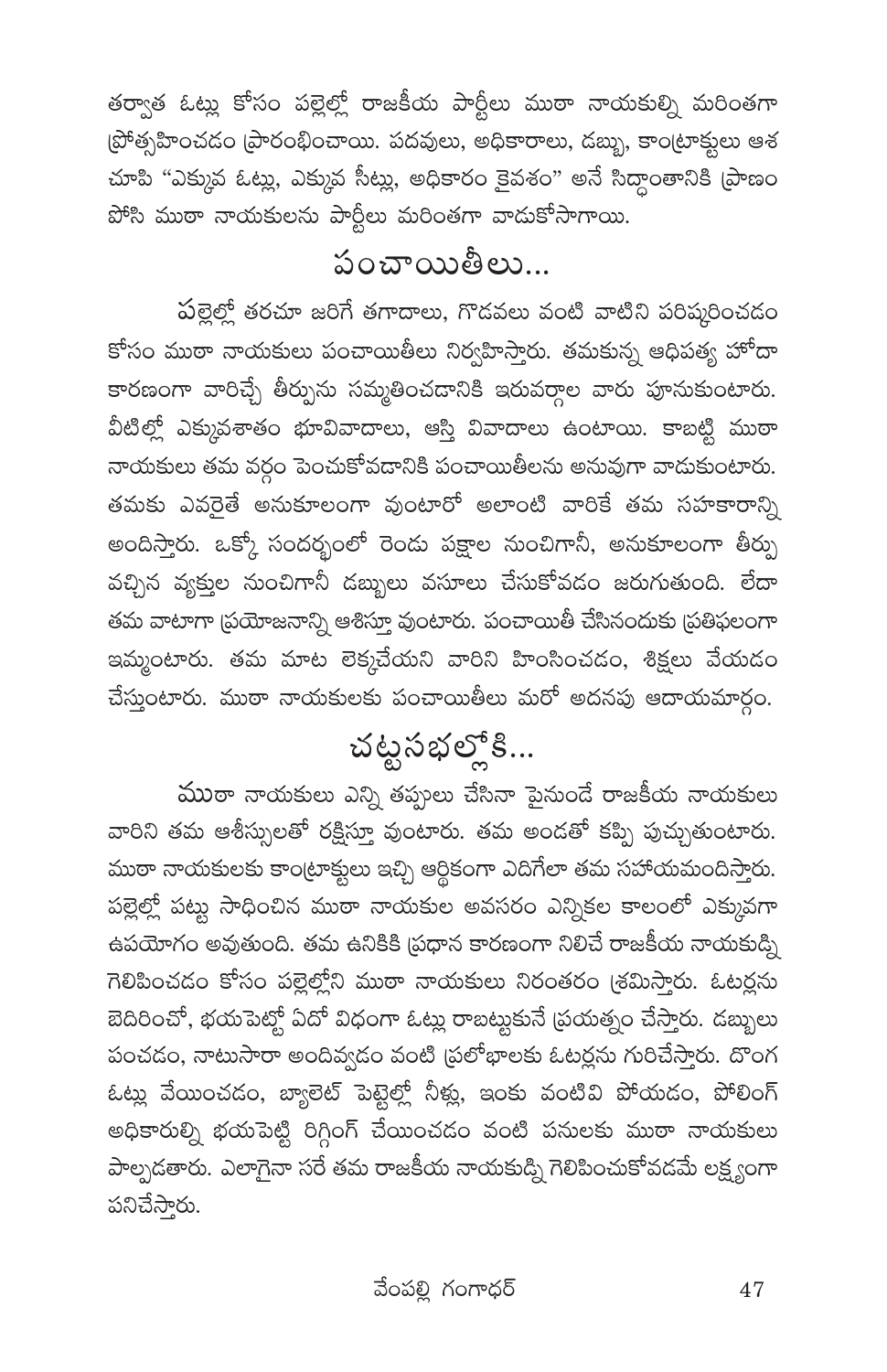తర్వాత ఓట్లు కోసం పల్లెల్లో రాజకీయ పార్టీలు ముఠా నాయకుల్ని మరింతగా (పోత్సహించడం (పారంభించాయి. పదవులు, అధికారాలు, డబ్బు, కాం(టాక్టులు ఆశ చూపి "ఎక్కువ ఓట్లు, ఎక్కువ సీట్లు, అధికారం కైవశం" అనే సిద్ధాంతానికి [పాణం పోసి ముఠా నాయకులను పార్టీలు మరింతగా వాడుకోసాగాయి.

#### పంచాయితీలు...

పల్లెల్లో తరచూ జరిగే తగాదాలు, గొడవలు వంటి వాటిని పరిష్కరించడం కోసం ముఠా నాయకులు పంచాయితీలు నిర్వహిస్తారు. తమకున్న ఆధిపత్య హోదా కారణంగా వారిచ్చే తీర్పును సమ్మతించడానికి ఇరువర్గాల వారు పూనుకుంటారు. వీటిల్లో ఎక్కువశాతం భూవివాదాలు, ఆస్తి వివాదాలు ఉంటాయి. కాబట్టి ముఠా నాయకులు తమ వర్గం పెంచుకోవడానికి పంచాయితీలను అనువుగా వాదుకుంటారు. తమకు ఎవరైతే అనుకూలంగా వుంటారో అలాంటి వారికే తమ సహకారాన్ని అందిస్తారు. ఒక్కో సందర్భంలో రెండు పక్షాల నుంచిగానీ, అనుకూలంగా తీర్పు వచ్చిన వ్యక్తుల నుంచిగానీ డబ్బులు వసూలు చేసుకోవడం జరుగుతుంది. లేదా తమ వాటాగా (పయోజనాన్ని ఆశిస్తూ వుంటారు. పంచాయితీ చేసినందుకు (పతిఫలంగా ఇమ్మంటారు. తమ మాట లెక్కచేయని వారిని హింసించడం, శిక్షలు వేయడం చేసుంటారు. ముఠా నాయకులకు పంచాయితీలు మరో అదనపు ఆదాయమార్గం.

# చట్టసభల్లోకి...

ముఠా నాయకులు ఎన్ని తప్పులు చేసినా పైనుండే రాజకీయ నాయకులు వారిని తమ ఆశీస్సులతో రక్షిస్తూ వుంటారు. తమ అండతో కప్పి పుచ్చుతుంటారు. ముఠా నాయకులకు కాం(టాక్టులు ఇచ్చి ఆర్థికంగా ఎదిగేలా తమ సహాయమందిస్తారు. పల్లెల్లో పట్టు సాధించిన ముఠా నాయకుల అవసరం ఎన్నికల కాలంలో ఎక్కువగా ఉపయోగం అవుతుంది. తమ ఉనికికి (ప్రధాన కారణంగా నిలిచే రాజకీయ నాయకుడ్ని గెలిపించడం కోసం పల్లెల్లోని ముఠా నాయకులు నిరంతరం (శమిస్తారు. ఓటర్లను బెదిరించో, భయపెట్టో ఏదో విధంగా ఓట్లు రాబట్టుకునే (పయత్నం చేస్తారు. డబ్బులు పంచడం, నాటుసారా అందివ్వడం వంటి (పలోభాలకు ఓటర్లను గురిచేస్తారు. దొంగ ఓట్లు వేయించడం, బ్యాలెట్ పెట్టెల్లో నీళ్లు, ఇంకు వంటివి పోయడం, పోలింగ్ అధికారుల్ని భయపెట్టి రిగ్గింగ్ చేయించడం వంటి పనులకు ముఠా నాయకులు పనిచేసా్టరు.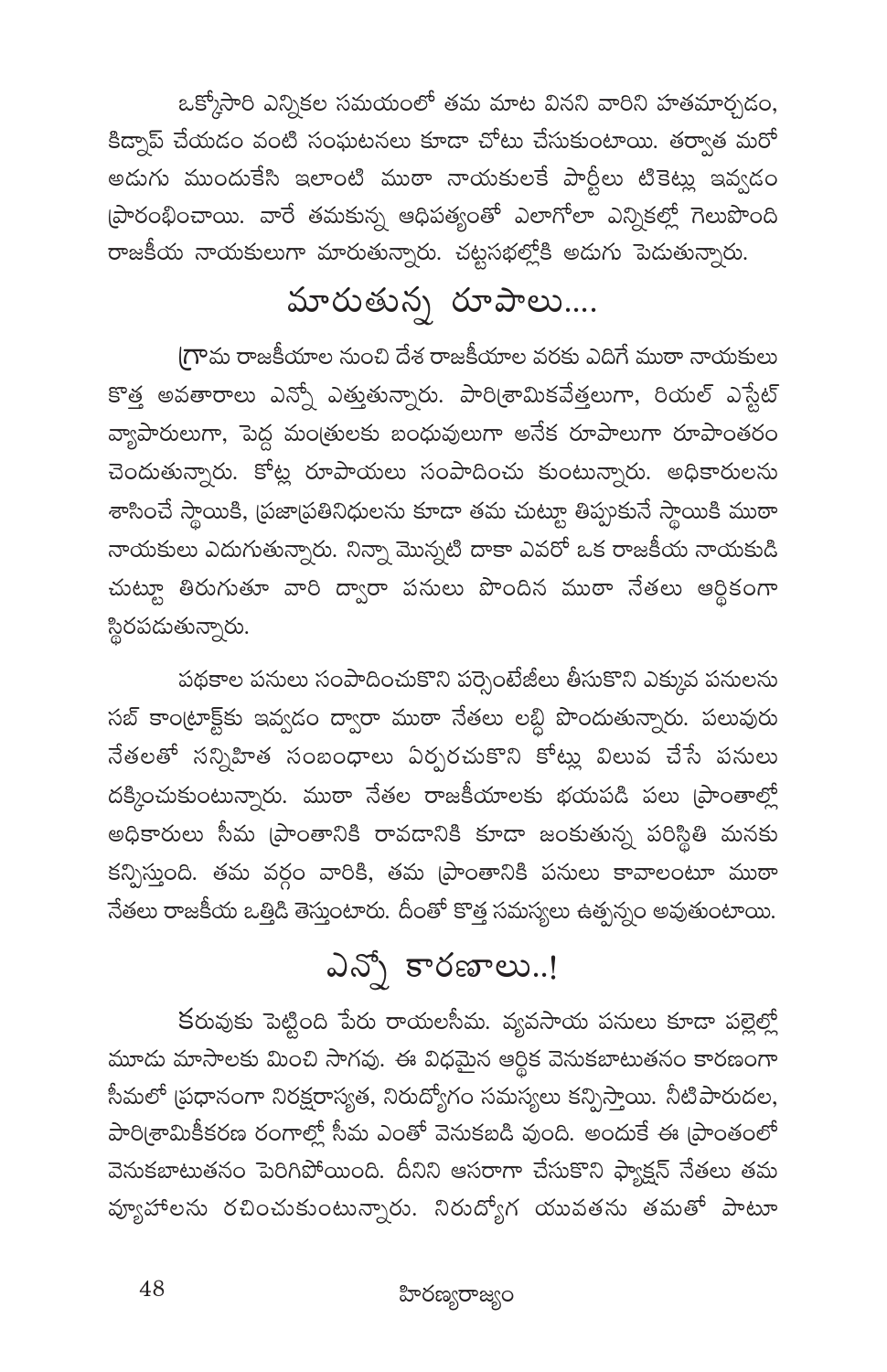ఒక్కోసారి ఎన్నికల సమయంలో తమ మాట వినని వారిని హతమార్చడం, కిద్నాప్ చేయడం వంటి సంఘటనలు కూడా చోటు చేసుకుంటాయి. తర్వాత మరో అడుగు ముందుకేసి ఇలాంటి ముఠా నాయకులకే పార్టీలు టికెట్లు ఇవ్వడం ప్రారంభించాయి. వారే తమకున్న ఆధిపత్యంతో ఎలాగోలా ఎన్నికల్లో గెలుపొంది రాజకీయ నాయకులుగా మారుతున్నారు. చట్టసభల్లోకి అడుగు పెడుతున్నారు.

### మారుతున్న రూపాలు....

(గామ రాజకీయాల నుంచి దేశ రాజకీయాల వరకు ఎదిగే ముఠా నాయకులు కొత్త అవతారాలు ఎన్నో ఎత్తుతున్నారు. పారి(శామికవేత్తలుగా, రియల్ ఎస్టేట్ వ్యాపారులుగా, పెద్ద మంత్రులకు బంధువులుగా అనేక రూపాలుగా రూపాంతరం చెందుతున్నారు. కోట్ల రూపాయలు సంపాదించు కుంటున్నారు. అధికారులను శాసించే స్థాయికి, (పజా[పతినిధులను కూడా తమ చుట్టూ తిప్పుకునే స్థాయికి ముఠా నాయకులు ఎదుగుతున్నారు. నిన్నా మొన్నటి దాకా ఎవరో ఒక రాజకీయ నాయకుడి చుట్యూ తిరుగుతూ వారి ద్వారా పనులు పొందిన ముఠా నేతలు అర్థికంగా స్థిరపడుతున్నారు.

పథకాల పనులు సంపాదించుకొని పర్సెంటేజీలు తీసుకొని ఎక్కువ పనులను సబ్ కాం(టాక్ట్ కు ఇవ్వడం ద్వారా ముఠా నేతలు లబ్ది పొందుతున్నారు. పలువురు నేతలతో సన్నిహిత సంబంధాలు ఏర్పరచుకొని కోట్లు విలువ చేసే పనులు దక్కించుకుంటున్నారు. ముఠా నేతల రాజకీయాలకు భయపడి పలు [పాంతాల్లో అధికారులు సీమ (పాంతానికి రావడానికి కూడా జంకుతున్న పరిస్థితి మనకు కన్పిస్తుంది. తమ వర్గం వారికి, తమ [పాంతానికి పనులు కావాలంటూ ముఠా నేతలు రాజకీయ ఒత్తిడి తెస్తుంటారు. దీంతో కొత్త సమస్యలు ఉత్పన్నం అవుతుంటాయి.

## ఎన్స్ కారణాలు..!

కరువుకు పెట్టింది పేరు రాయలసీమ. వ్యవసాయ పనులు కూడా పల్లెల్లో మూడు మాసాలకు మించి సాగవు. ఈ విధమైన ఆర్థిక వెనుకబాటుతనం కారణంగా సీమలో (పధానంగా నిరక్షరాస్యత, నిరుద్యోగం సమస్యలు కన్పిస్తాయి. నీటిపారుదల, పారి[శామికీకరణ రంగాల్లో సీమ ఎంతో వెనుకబడి వుంది. అందుకే ఈ [పాంతంలో వెనుకబాటుతనం పెరిగిపోయింది. దీనిని ఆసరాగా చేసుకొని ఫ్యాక్షన్ నేతలు తమ వ్యూహాలను రచించుకుంటున్నారు. నిరుద్యోగ యువతను తమతో పాటూ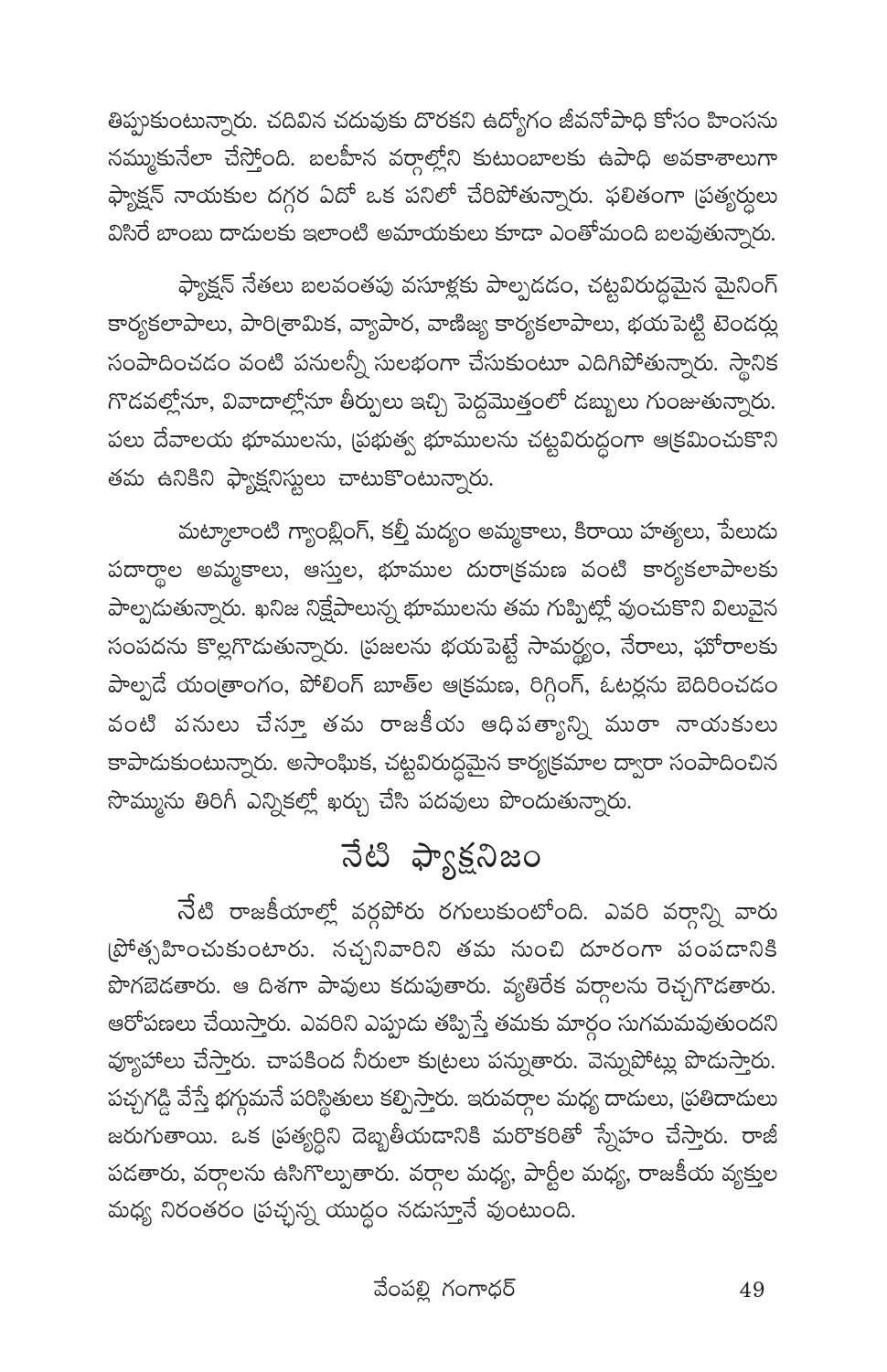తిప్పుకుంటున్నారు. చదివిన చదువుకు దొరకని ఉద్యోగం జీవనోపాధి కోసం హింసను నమ్ముకునేలా చేస్తోంది. బలహీన వర్గాల్లోని కుటుంబాలకు ఉపాధి అవకాశాలుగా ఫ్యాక్షన్ నాయకుల దగ్గర ఏదో ఒక పనిలో చేరిపోతున్నారు. ఫలితంగా ప్రత్యర్ధులు విసిరే బాంబు దాదులకు ఇలాంటి అమాయకులు కూడా ఎంతోమంది బలవుతున్నారు.

ఫ్యాక్షన్ నేతలు బలవంతపు వసూళ్లకు పాల్పడడం, చట్టవిరుద్ధమైన మైనింగ్ కార్యకలాపాలు, పారి(శామిక, వ్యాపార, వాణిజ్య కార్యకలాపాలు, భయపెట్టి టెందర్లు సంపాదించడం వంటి పనులన్నీ సులభంగా చేసుకుంటూ ఎదిగిపోతున్నారు. స్థానిక గొదవల్లోనూ, వివాదాల్లోనూ తీర్పులు ఇచ్చి పెద్దమొత్తంలో దబ్బులు గుంజుతున్నారు. పలు దేవాలయ భూములను, ప్రభుత్వ భూములను చట్టవిరుద్దంగా ఆక్రమించుకొని తమ ఉనికిని ఫ్యాక్షనిస్తులు చాటుకొంటున్నారు.

మట్కాలాంటి గ్యాంబ్లింగ్, కల్తీ మద్యం అమ్మకాలు, కిరాయి హత్యలు, పేలుదు పదార్థాల అమ్మకాలు, ఆస్తుల, భూముల దురా(కమణ వంటి కార్యకలాపాలకు పాల్పదుతున్నారు. ఖనిజ నిక్షేపాలున్న భూములను తమ గుప్పిట్లో వుంచుకొని విలువైన సంపదను కొల్లగొదుతున్నారు. (పజలను భయపెట్టే సామర్థ్యం, నేరాలు, ఘోరాలకు పాల్పడే యంత్రాంగం, పోలింగ్ బూత్ల ఆక్రమణ, రిగ్గింగ్, ఓటర్లను బెదిరించడం ...<br>వంటి వనులు చేస్తూ తమ రాజకీయ ఆధివత్యాన్ని ముఠా నాయకుులు కాపాడుకుంటున్నారు. అసాంఘిక, చట్టవిరుద్ధమైన కార్యక్రమాల ద్వారా సంపాదించిన సొమ్మును తిరిగీ ఎన్నికల్లో ఖర్చు చేసి పదవులు పొందుతున్నారు.

#### నేటి ఫ్యాక్షనిజం

నేటి రాజకీయాల్లో వర్గపోరు రగులుకుంటోంది. ఎవరి వర్గాన్ని వారు ్రపోత్సహించుకుంటారు. నచ్చనివారిని తమ నుంచి దూరంగా పంపడానిక<mark>ి</mark> పొగబెదతారు. ఆ దిశగా పావులు కదుపుతారు. వ్యతిరేక వర్గాలను రెచ్చగొదతారు. ఆరోపణలు చేయిస్తారు. ఎవరిని ఎప్పుడు తప్పిస్తే తమకు మార్గం సుగమమవుతుందని వ్యూహాలు చేస్తారు. చాపకింద నీరులా కుట్రలు పన్నుతారు. వెన్నుపోట్లు పొడుస్తారు. పచ్చగడ్డి వేస్తే భగ్గమనే పరిస్థితులు కల్పిస్తారు. ఇరువర్గాల మధ్య దాదులు, ప్రతిదాదులు జరుగుతాయి. ఒక (పత్యర్ధిని దెబ్బతీయడానికి మరొకరితో స్నేహం చేస్తారు. రాజీ పడతారు, వర్గాలను ఉసిగొల్పుతారు. వర్గాల మధ్య, పార్టీల మధ్య, రాజకీయ వ్యక్తుల మధ్య నిరంతరం (పచ్ఛన్న యుద్ధం నదుస్తూనే వుంటుంది.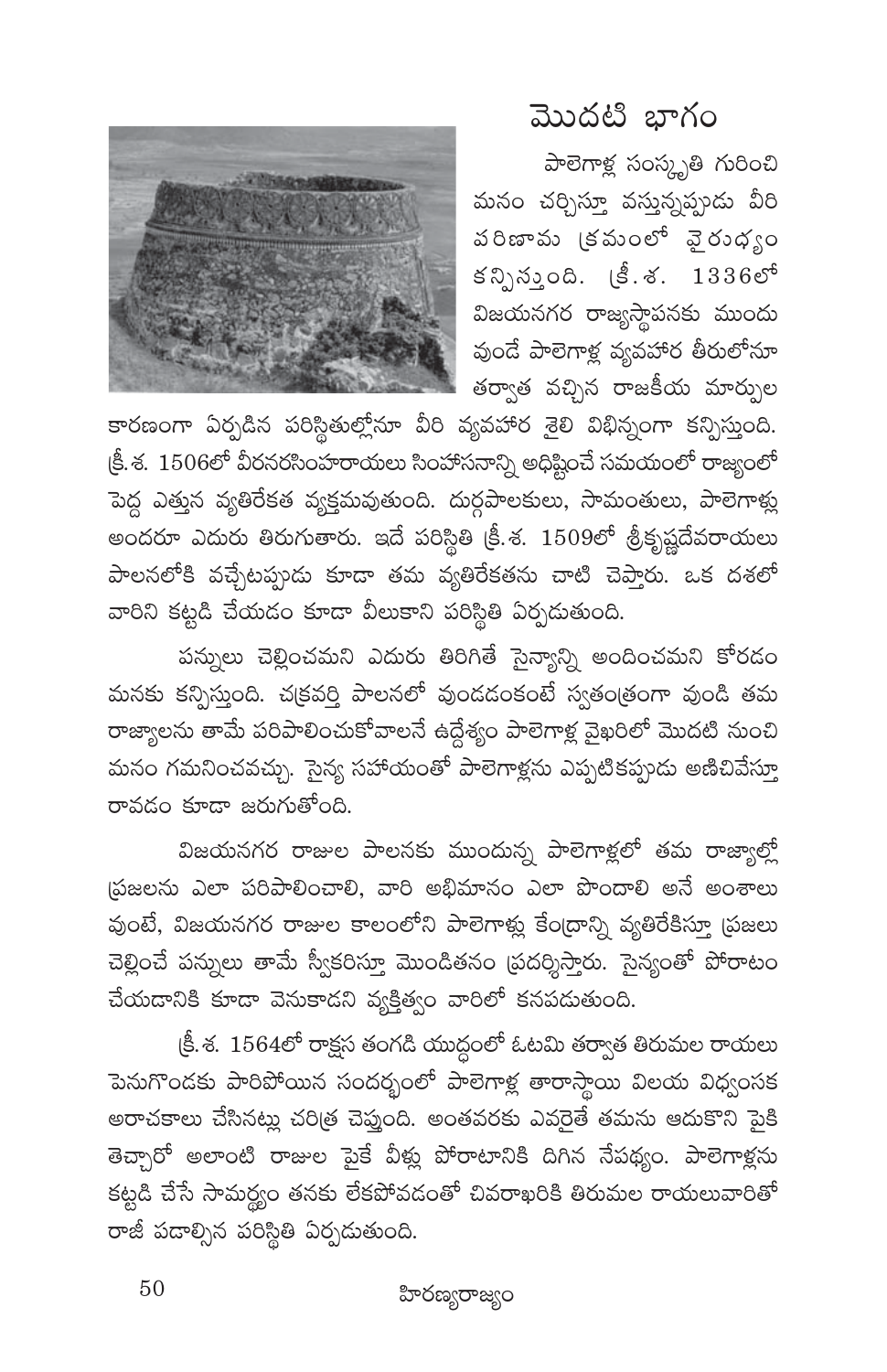#### మొదటి భాగం



పాలెగాళ్ల సంస్కృతి గురించి మనం చర్చిస్తూ వస్తున్నప్పుడు వీరి పరిణావు క్రమంలో వైరుధ్యం కన్పినుంది.  $\xi$ .శ. 1336లో విజయనగర రాజ్యస్థాపనకు ముందు వుండే పాలెగాళ్ల వ్యవహార తీరులోనూ తర్వాత వచ్చిన రాజకీయ మార్పుల

కారణంగా ఏర్పడిన పరిస్థితుల్లోనూ వీరి వ్యవహార శైలి విభిన్నంగా కన్పిస్తుంది. క్రీ.శ. 1506లో వీరనరసింహరాయలు సింహాసనాన్ని అధిష్టించే సమయంలో రాజ్యంలో పెద్ద ఎత్తున వ్యతిరేకత వ్యక్తమవుతుంది. దుర్గపాలకులు, సామంతులు, పాలెగాళ్<mark>ల</mark>ు అందరూ ఎదురు తిరుగుతారు. ఇదే పరిస్థితి క్రీ.శ. 1509లో శ్రీకృష్ణదేవరాయలు పాలనలోకి వచ్చేటప్పుడు కూడా తమ వ్యతిరేకతను చాటి చెప్తారు. ఒక దశలో వారిని కట్టడి చేయడం కూడా వీలుకాని పరిస్థితి ఏర్పడుతుంది.

పన్నులు చెల్లించమని ఎదురు తిరిగితే సైన్యాన్ని అందించమని కోరడం మనకు కన్పిస్తుంది. చక్రవర్తి పాలనలో వుండడంకంటే స్వతం[తంగా వుండి తమ రాజ్యాలను తామే పరిపాలించుకోవాలనే ఉద్దేశ్యం పాలెగాళ్ల వైఖరిలో మొదటి నుంచి మనం గమనించవచ్చు. సైన్య సహాయంతో పాలెగాళ్లను ఎప్పటికప్పుడు అణిచివేస్తూ రావడం కూడా జరుగుతోంది.

విజయనగర రాజుల పాలనకు ముందున్న పాలెగాళ్లలో తమ రాజ్యాల్లో ప్రజలను ఎలా పరిపాలించాలి, వారి అభిమానం ఎలా పొందాలి అనే అంశాలు వుంటే, విజయనగర రాజుల కాలంలోని పాలెగాళ్లు కేం[దాన్ని వ్యతిరేకిస్తూ [పజలు చెల్లించే పన్నులు తామే స్వీకరిస్తూ మొండితనం (పదర్శిస్తారు. సైన్యంతో పోరాటం చేయదానికి కూడా వెనుకాడని వ్యక్తిత్వం వారిలో కనపడుతుంది.

క్రీ. శ. 1564లో రాక్షస తంగడి యుద్ధంలో ఓటమి తర్వాత తిరుమల రాయలు పెనుగొండకు పారిపోయిన సందర్భంలో పాలెగాళ్ల తారాస్థాయి విలయ విధ్వంసక అరాచకాలు చేసినట్లు చరిత్ర చెప్తుంది. అంతవరకు ఎవరైతే తమను ఆదుకొని పైకి తెచ్చారో అలాంటి రాజుల పైకే వీళ్లు పోరాటానికి దిగిన నేపథ్యం. పాలెగాళ్లను కట్టడి చేసే సామర్థ్యం తనకు లేకపోవడంతో చివరాఖరికి తిరుమల రాయలువారితో రాజీ పడాల్సిన పరిస్థితి ఏర్పడుతుంది.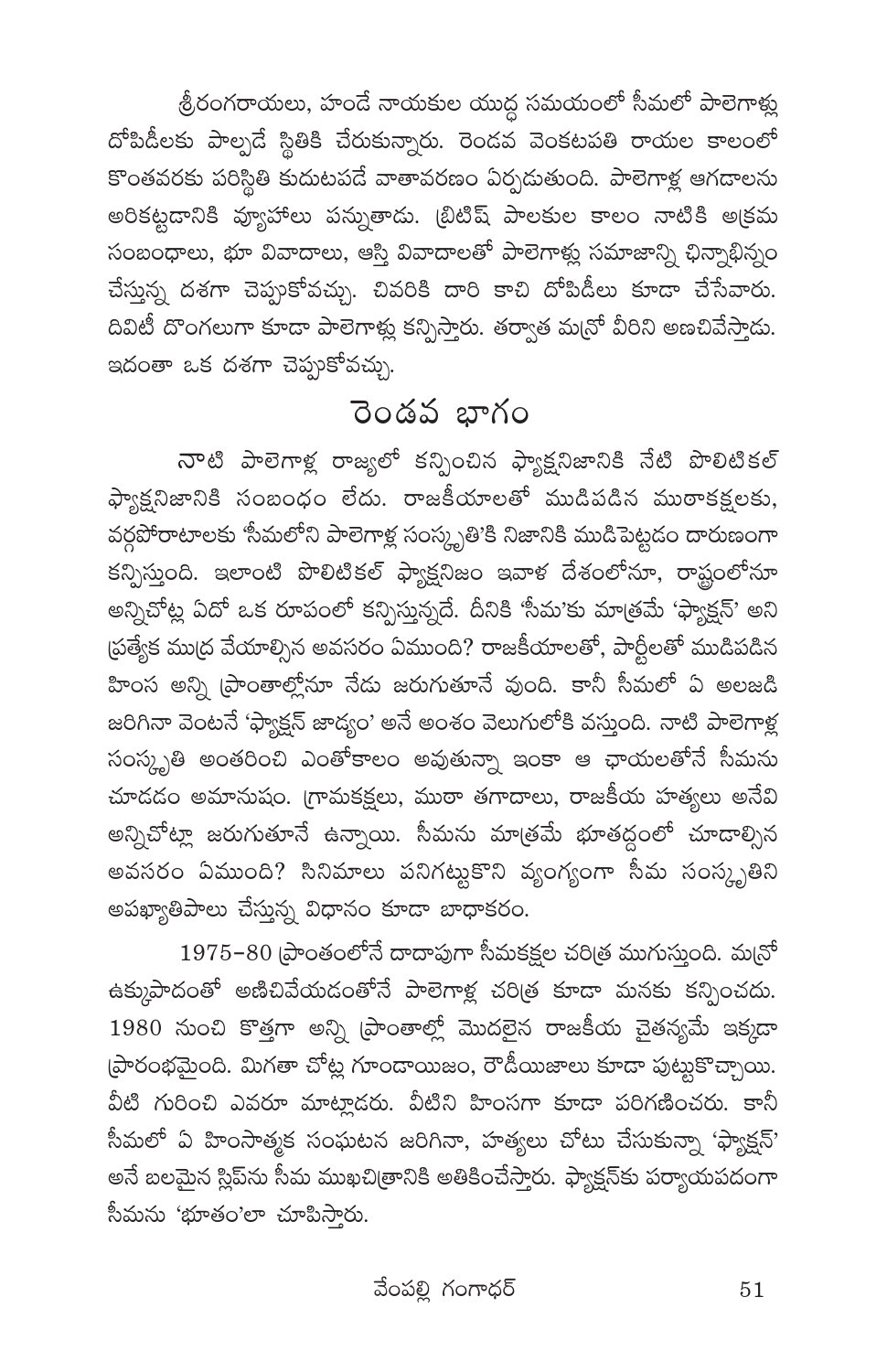శ్రీరంగరాయలు, హండే నాయకుల యుద్ధ సమయంలో సీమలో పాలెగాళ్లు దోపిడీలకు పాల్పడే స్థితికి చేరుకున్నారు. రెండవ వెంకటపతి రాయల కాలంలో కొంతవరకు పరిస్థితి కుదుటపడే వాతావరణం ఏర్పడుతుంది. పాలెగాళ్ల ఆగదాలను అరికట్టడానికి వ్యూహాలు పన్నుతాడు. (బిటిష్ పాలకుల కాలం నాటికి అ(కమ సంబంధాలు, భూ వివాదాలు, ఆస్తి వివాదాలతో పాలెగాళ్లు సమాజాన్ని ఛిన్నాభిన్నం చేస్తున్న దశగా చెప్పుకోవచ్చు. చివరికి దారి కాచి దోపిడీలు కూడా చేసేవారు. దివిటీ దొంగలుగా కూడా పాలెగాళ్లు కన్పిస్తారు. తర్వాత మ(నో వీరిని అణచివేస్తాదు. ఇదంతా ఒక దశగా చెప్పుకోవచ్చు.

#### రెండవ భాగం

నాటి పాలెగాళ్ల రాజ్యలో కన్పించిన ఫ్యాక్షనిజానికి నేటి పొలిటికల్ ఫ్యాక్షనిజానికి సంబంధం లేదు. రాజకీయాలతో ముడిపడిన ముఠాకక్షలకు, వర్గపోరాటాలకు 'సీమలోని పాలెగాళ్ల సంస్కృతి'కి నిజానికి ముడిపెట్టడం దారుణంగా కన్నిస్తుంది. ఇలాంటి పొలిటికల్ ఫ్యాక్షనిజం ఇవాళ దేశంలోనూ, రాష్టంలోనూ అన్నిచోట్ల ఏదో ఒక రూపంలో కన్పిస్తున్నదే. దీనికి 'సీమ'కు మా[తమే 'ఫ్యాక్షన్' అని ధ్రత్యేక ముద్ర వేయాల్సిన అవసరం ఏముంది? రాజకీయాలతో, పార్టీలతో ముడిపడిన హింస అన్ని (పాంతాల్లోనూ నేడు జరుగుతూనే వుంది. కానీ సీమలో ఏ అలజడి జరిగినా వెంటనే 'ఫ్యాక్షన్ జాడ్యం' అనే అంశం వెలుగులోకి వస్తుంది. నాటి పాలెగాళ్ల సంస్కృతి అంతరించి ఎంతోకాలం అవుతున్నా ఇంకా ఆ ఛాయలతోనే సీమను చూడడం అమానుషం. గ్రామకక్షలు, ముఠా తగాదాలు, రాజకీయ హత్యలు అనేవి అన్నిచోట్లా జరుగుతూనే ఉన్నాయి. సీమను మాత్రమే భూతద్<mark>గంలో చూ</mark>దాల్సిన అవసరం ఏముంది? సినిమాలు పనిగట్టుకొని వ్యంగ్యంగా సీమ సంస్కృతిని అపఖ్యాతిపాలు చేస్తున్న విధానం కూడా బాధాకరం.

 $1975-80$  (పాంతంలోనే దాదాపుగా సీమకక్షల చరి(త ముగుస్తుంది. మ(నో ఉక్కుపాదంతో అణిచివేయడంతోనే పాలెగాళ్ల చరిత్ర కూడా మనకు కన్పించదు.  $1980$  నుంచి కొత్తగా అన్ని (పాంతాల్లో మొదలైన రాజకీయ చైతన్యమే ఇక్కడా ప్రారంభమైంది. మిగతా చోట్ల గూందాయిజం, రౌడీయిజాలు కూడా పుట్టుకొచ్చాయి. .<br>వీటి గురించి ఎవరూ మాట్లాడరు. వీటిని హింసగా కూడా పరిగణించరు. కానీ సీమలో ఏ హింసాత్మక సంఘటన జరిగినా, హత్యలు చోటు చేసుకున్నా 'ఫ్యాక్షన్' అనే బలమైన స్లిప్సు సీమ ముఖచిత్రానికి అతికించేస్తారు. ఫ్యాక్షన్కు పర్యాయపదంగా సీమను 'భూతం'లా చూపిస్తారు.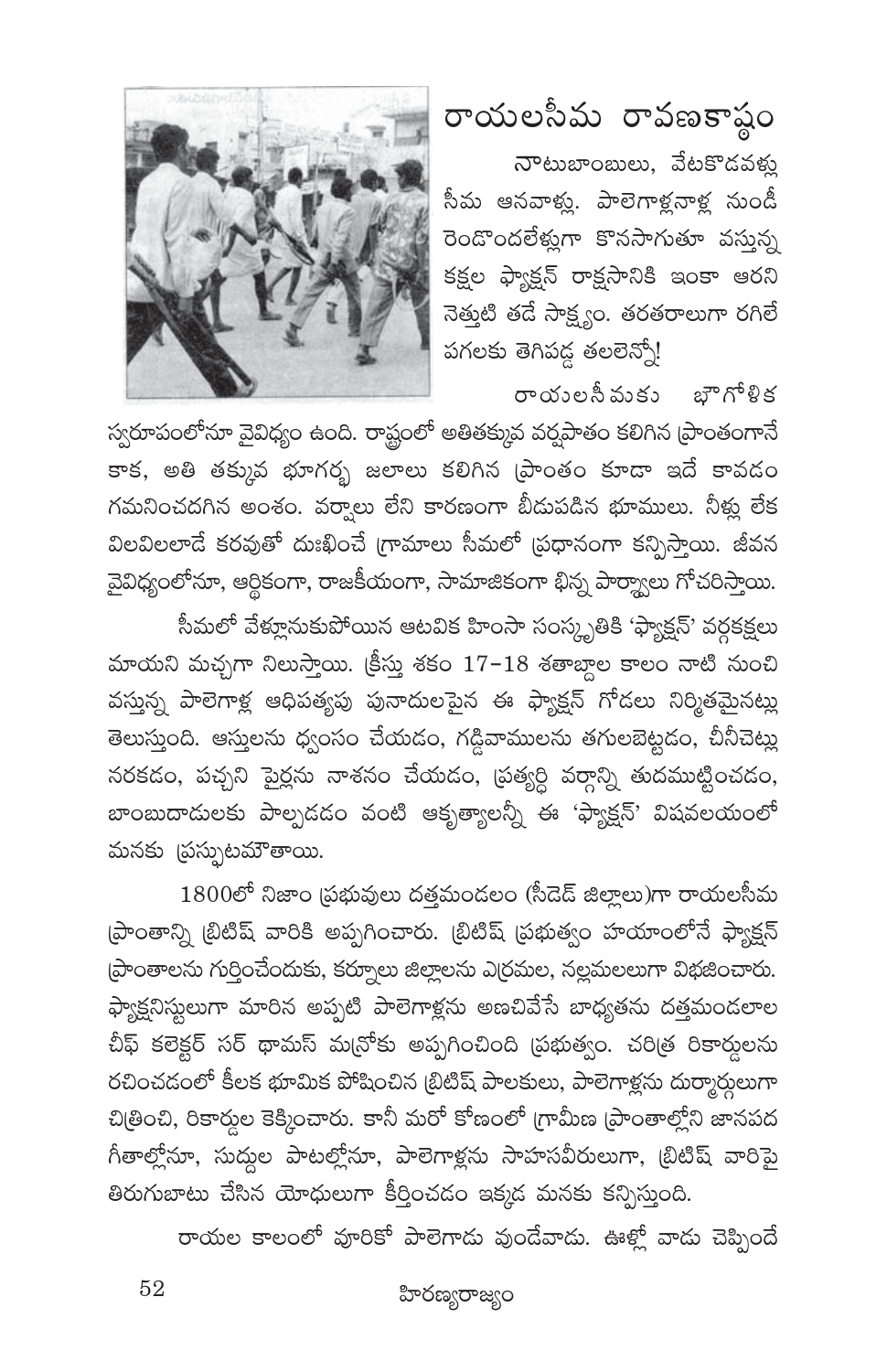## రాయలసీమ రావణకాష్టం

నాటుబాంబులు, వేటకొడవక్తు .<br>సీమ ఆనవాళ్లు. పాలెగాళ్లనాళ్ల నుండీ రెండొందలేళ్లుగా కొనసాగుతూ వస్తున్న .<br>కక్షల ఫ్యాక్షన్ రాక్షసానికి ఇంకా ఆరని నెత్తుటి తడే సాక్ష్యం. తరతరాలుగా రగిలే పగలకు తెగిపడ్డ తలలెన్నో!



రాయంలసీ మకుు బాగోళిక

స్వరూపంలోనూ వైవిధ్యం ఉంది. రాష్ట్రంలో అతితక్కువ వర్షపాతం కలిగిన [పాంతంగానే కాక, అతి తక్కువ భూగర్భ జలాలు కలిగిన <mark>(పాంతం కూడా ఇదే కావడం</mark> గమనించదగిన అంశం. వర్వాలు లేని కారణంగా బీదుపడిన భూములు. నీళ్లు లేక విలవిలలాదే కరవుతో దుఃఖించే గ్రామాలు సీమలో (పథానంగా కన్పిస్తాయి. జీవన వైవిధ్యంలోనూ, ఆర్ధికంగా, రాజకీయంగా, సామాజికంగా భిన్న పార్యాలు గోచరిస్తాయి.

సీమలో వేళ్లూనుకుపోయిన ఆటవిక హింసా సంస్కృతికి 'ఫ్యాక్షన్' వర్గకక్షలు మాయని మచ్చగా నిలుస్తాయి. క్రీస్తు శకం 17–18 శతాబ్దాల కాలం నాటి నుంచి వస్తున్న పాలెగాళ్ల ఆధిపత్యపు పునాదులపైన ఈ ఫ్యాక్షన్ గోడలు నిర్మితమైనట్లు తెలుస్తుంది. ఆస్తులను ధ్వంసం చేయడం, గడ్డివాములను తగులబెట్టడం, చీనీచెట్లు నరకడం, పచ్చని పైర్లను నాశనం చేయడం, (పత్యర్ధి వర్గాన్ని తుదముట్టించడం, బాంబుదాదులకు పాల్పదడం వంటి ఆకృత్యాలన్నీ ఈ 'ఫ్యాక్షన్' విషవలయంలో మనకు (పస్ఫుటమౌతాయి.

 $1800$ లో నిజాం (పభువులు దత్తమండలం (సీదెద్ జిల్లాలు)గా రాయలసీమ ప్రాంతాన్ని ట్రిటిష్ వారికి అప్పగించారు. ట్రిటిష్ ప్రభుత్వం హయాంలోనే ఫ్యాక్షన్ ప్రాంతాలను గుర్తించేందుకు, కర్నూలు జిల్లాలను ఎర్రమల, నల్లమలలుగా విభజించారు. ఫ్యాక్షనిస్టులుగా మారిన అప్పటి పాలెగాళ్లను అణచివేసే బాధ్యతను దత్తమండలాల చీఫ్ కలెక్టర్ సర్ థామస్ మన్రోకు అప్పగించింది (పభుత్వం. చరిత్ర రికార్నలను రచించడంలో కీలక భూమిక పోషించిన (బిటిష్ పాలకులు, పాలెగాళ్లను దుర్మార్గులుగా చిత్రించి, రికార్డుల కెక్కించారు. కానీ మరో కోణంలో (గామీణ (పాంతాల్లోని జానపద గీతాల్లోనూ, సుద్దుల పాటల్లోనూ, పాలెగాళ్లను సాహసవీరులుగా, బ్రిటిష్ వారిపై తిరుగుబాటు చేసిన యోధులుగా కీర్తించడం ఇక్కడ మనకు కన్పిస్తుంది.

రాయల కాలంలో వూరికో పాలెగాడు వుండేవాడు. ఊళ్లో వాడు చెప్పిందే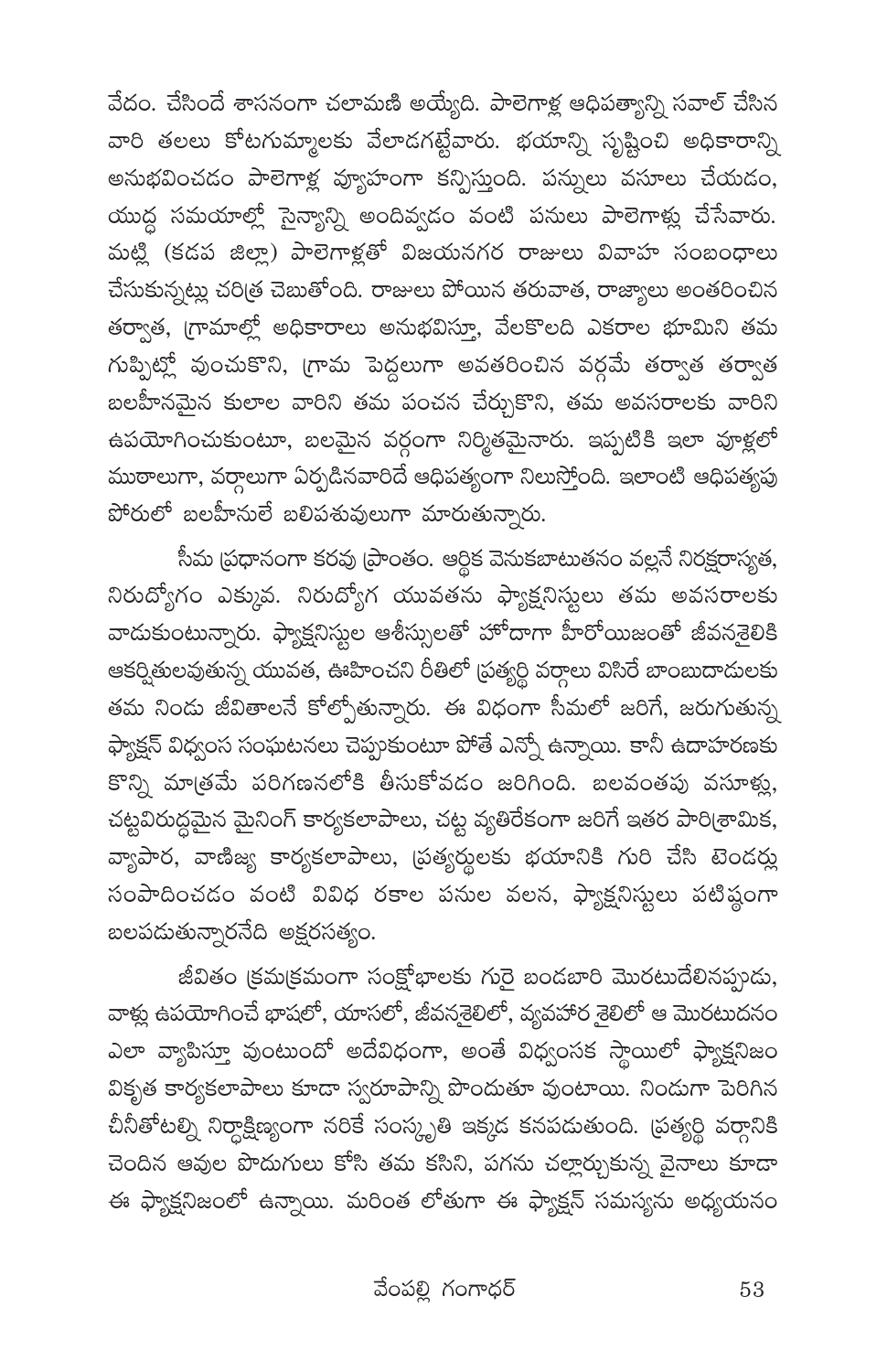వేదం. చేసిందే శాసనంగా చలామణి అయ్యేది. పాలెగాళ్ల ఆధిపత్యాన్ని సవాల్ చేసిన వారి తలలు కోటగుమ్మాలకు వేలాడగట్టేవారు. భయాన్ని సృష్టించి అధికారాన్ని అనుభవించడం పాలెగాళ్ల వ్యూహంగా కన్పిస్తుంది. పన్నులు వసూలు చేయడం, యుద్ద సమయాల్లో సైన్యాన్ని అందివ్వడం వంటి పనులు పాలెగాళ్లు చేసేవారు. మట్లి (కడప జిల్లా) పాలెగాళ్లతో విజయనగర రాజులు వివాహ సంబంధాలు చేసుకున్నట్లు చరిత్ర చెబుతోంది. రాజులు పోయిన తరువాత, రాజ్యాలు అంతరించిన తర్వాత, (గామాల్లో అధికారాలు అనుభవిస్తూ, వేలకొలది ఎకరాల భూమిని తమ గుప్పిట్లో వుంచుకొని, గ్రామ పెద్దలుగా అవతరించిన వర్గమే తర్వాత తర్వాత ఉపయోగించుకుంటూ, బలమైన వర్గంగా నిర్మితమైనారు. ఇప్పటికి ఇలా వూళ్లలో ముఠాలుగా, వర్గాలుగా ఏర్పడినవారిదే ఆధిపత్యంగా నిలుస్తోంది. ఇలాంటి ఆధిపత్యపు పోరులో బలహీనులే బలిపశువులుగా మారుతున్నారు.

సీమ ప్రధానంగా కరవు [పాంతం. ఆర్థిక వెనుకబాటుతనం వల్లనే నిరక్షరాస్యత, నిరుద్యోగం ఎక్కువ. నిరుద్యోగ యువతను ఫ్యాక్షనిస్టలు తమ అవసరాలకు వాదుకుంటున్నారు. ఫ్యాక్షనిస్టల ఆశీస్సులతో హోదాగా హీరోయిజంతో జీవనశైలికి ఆకర్షితులవుతున్న యువత, ఊహించని రీతిలో (పత్యర్థి వర్గాలు విసిరే బాంబుదాదులకు తమ నిందు జీవితాలనే కోల్పోతున్నారు. ఈ విధంగా సీమలో జరిగే, జరుగుతున్న ఫ్యాక్షన్ విధ్వంస సంఘటనలు చెప్పుకుంటూ పోతే ఎన్నో ఉన్నాయి. కానీ ఉదాహరణకు కొన్ని మాత్రమే పరిగణనలోకి తీసుకోవడం జరిగింది. బలవంతపు వసూళ్లు, చట్టవిరుద్ధమైన మైనింగ్ కార్యకలాపాలు, చట్ట వ్యతిరేకంగా జరిగే ఇతర పారి(శామిక, వ్యాపార, వాణిజ్య కార్యకలాపాలు, ప్రత్యర్శలకు భయానికి గురి చేసి టెందర్లు సంపాదించడం వంటి వివిధ రకాల పనుల వలన, ఫ్యాక్షనిస్తులు పటిష్ఠంగా బలపడుతున్నారనేది అక్షరసత్యం.

జీవితం (కమ(కమంగా సంక్షోభాలకు గురై బండబారి మొరటుదేలినప్పుడు, వాళ్లు ఉపయోగించే భాషలో, యాసలో, జీవనశైలిలో, వ్యవహార శైలిలో ఆ మొరటుదనం ఎలా వ్యాపిస్తూ వుంటుందో అదేవిధంగా, అంతే విధ్వంసక స్థాయిలో ఫ్యాక్షనిజం వికృత కార్యకలాపాలు కూడా స్వరూపాన్ని పొందుతూ వుంటాయి. నిందుగా పెరిగిన చీనీతోటల్ని నిర్దాక్షిణ్యంగా నరికే సంస్కృతి ఇక్కడ కనపడుతుంది. (పత్యర్థి వర్గానికి .<br>చెందిన ఆవుల పొదుగులు కోసి తమ కసిని, పగను చల్లార్చుకున్న వైనాలు కూడా ఈ ఫ్యాక్షనిజంలో ఉన్నాయి. మరింత లోతుగా ఈ ఫ్యాక్షన్ సమస్యను అధ్యయనం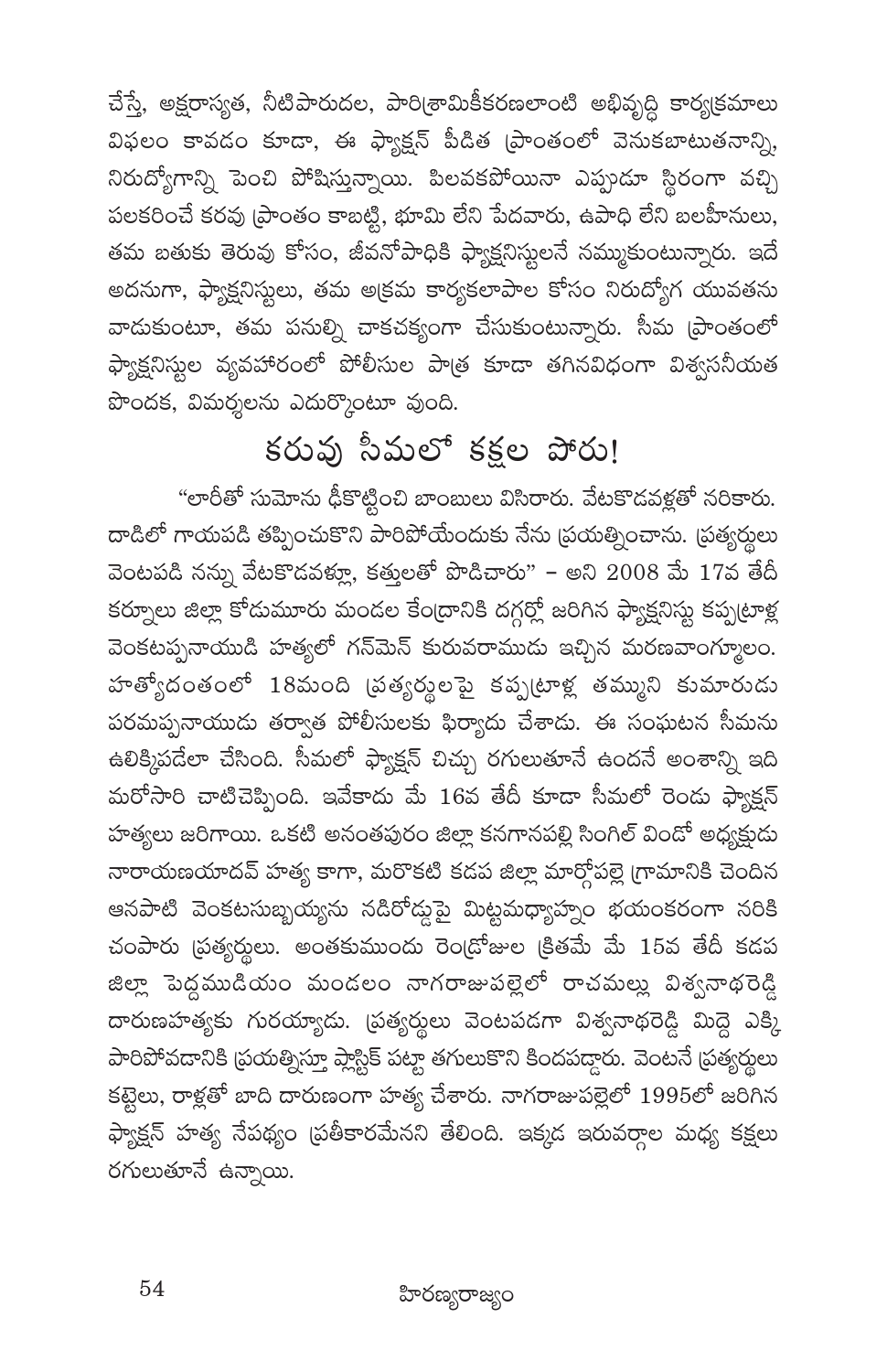చేస్తే, అక్షరాస్యత, నీటిపారుదల, పారి[శామికీకరణలాంటి అభివృద్ధి కార్య(కమాలు విఫలం కావడం కూడా, ఈ ఫ్యాక్షన్ పీడిత [పాంతంలో వెనుకబాటుతనాన్ని, నిరుద్యోగాన్ని పెంచి పోషిస్తున్నాయి. పిలవకపోయినా ఎప్పుడూ స్థిరంగా వచ్చి పలకరించే కరవు [పాంతం కాబట్టి, భూమి లేని పేదవారు, ఉపాధి లేని బలహీనులు, తమ బతుకు తెరువు కోసం, జీవనోపాధికి ఫ్యాక్షనిస్టులనే నమ్ముకుంటున్నారు. ఇదే అదనుగా, ఫ్యాక్షనిస్టులు, తమ అ(కమ కార్యకలాపాల కోసం నిరుద్యోగ యువతను వాదుకుంటూ, తమ పనుల్ని చాకచక్యంగా చేసుకుంటున్నారు. సీమ (పాంతంలో ఫ్యాక్షనిస్టుల వ్యవహారంలో పోలీసుల పాత్ర కూడా తగినవిధంగా విశ్వసనీయత పొందక, విమర్శలను ఎదుర్కొంటూ వుంది.

#### కరువు సీమలో కక్షల పోరు!

"లారీతో సుమోను ఢీకొట్టించి బాంబులు విసిరారు. వేటకొడవళ్లతో నరికారు. దాడిలో గాయపడి తప్పించుకొని పారిపోయేందుకు నేను ప్రయత్నించాను. ప్రత్యర్థులు వెంటపడి నన్ను వేటకొడవళ్లూ, కత్తులతో పొడిచారు" – అని  $2008$  మే  $17$ వ తేదీ కర్నూలు జిల్లా కోడుమూరు మండల కేం<mark>ద్రానికి దగ్గర్లో జరిగిన ఫ్యాక్షనిస్టు కప్ప</mark>టాళ్ల వెంకటప్పనాయుడి హత్యలో గన్మెన్ కురువరాముడు ఇచ్చిన మరణవాంగ్మూలం. హత్యోదంతంలో 18మంది (పత్యర్థులపై కప్పట్రాళ్ల తమ్ముని కుమారుడు పరమప్పనాయుడు తర్వాత పోలీసులకు ఫిర్యాదు చేశాదు. ఈ సంఘటన సీమను ఉలిక్కిపడేలా చేసింది. సీమలో ఫ్యాక్షన్ చిచ్చు రగులుతూనే ఉందనే అంశాన్ని ఇది మరోసారి చాటిచెప్పింది. ఇవేకాదు మే 16వ తేదీ కూడా సీమలో రెండు ఫ్యాక్షన్ హత్యలు జరిగాయి. ఒకటి అనంతపురం జిల్లా కనగానపల్లి సింగిల్ విండో అధ్యక్షుడు నారాయణయాదవ్ హత్య కాగా, మరొకటి కడప జిల్లా మార్గోపల్లె (గామానికి చెందిన ఆనపాటి వెంకటసుబ్బయ్యను నడిరోడ్డుపై మిట్టమధ్యాహ్నం భయంకరంగా నరికి చంపారు <sub>(</sub>పత్యర్థులు. అంతకుముందు రెం(దోజుల (కితమే మే 15వ తేదీ కడప .<br>జిల్లా పెద్దముడియం మండలం నాగరాజుపల్లెలో రాచమల్లు విశ్వనాథరెడ్డి దారుణహత్యకు గురయ్యాడు. (పత్యర్థులు వెంటపడగా విశ్వనాథరెడ్డి మిద్దె ఎక్కి పారిపోవదానికి (పయత్నిస్తూ ప్లాస్టిక్ పట్టా తగులుకొని కిందపద్దారు. వెంటనే (పత్యర్థులు కట్టెలు, రాళ్లతో బాది దారుణంగా హత్య చేశారు. నాగరాజుపల్లెలో 1995లో జరిగిన ఫ్యాక్షన్ హత్య నేపథ్యం (పతీకారమేనని తేలింది. ఇక్కడ ఇరువర్గాల మధ్య కక్షలు రగులుతూనే ఉన్నాయి.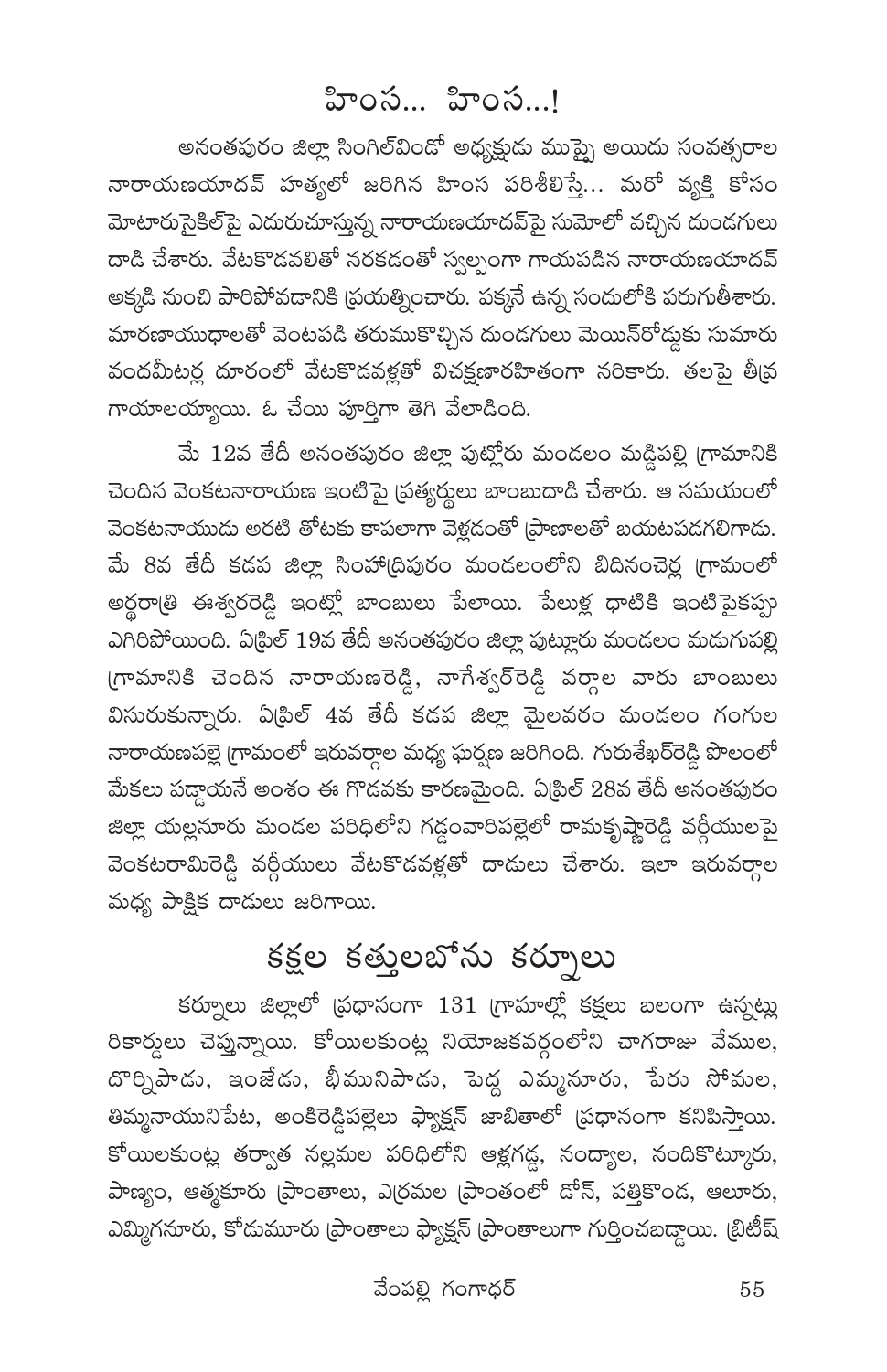#### హింస... హింస...!

అనంతపురం జిల్లా సింగిల్విండో అధ్యక్షుడు ముప్పై అయిదు సంవత్సరాల నారాయణయాదవ్ హత్యలో జరిగిన హింస పరిశీలిస్తే... మరో వ్యక్తి కోసం మోటారుసైకిల్పై ఎదురుచూస్తున్న నారాయణయాదవ్ప్లే సుమోలో వచ్చిన దుండగులు దాడి చేశారు. వేటకొడవలితో నరకడంతో స్వల్పంగా గాయపడిన నారాయణయాదవ్ అక్కడి నుంచి పారిపోవడానికి (పయత్నించారు. పక్కనే ఉన్న సందులోకి పరుగుతీశారు. మారణాయుధాలతో వెంటపడి తరుముకొచ్చిన దుండగులు మెయిన్రోద్దుకు సుమారు వందమీటర్ల దూరంలో వేటకొడవళ్లతో విచక్షణారహితంగా నరికారు. తలపై తీవ్ర గాయాలయ్యాయి. ఓ చేయి ఫూర్తిగా తెగి వేలాడింది.

మే 12వ తేదీ అనంతపురం జిల్లా పుట్లోరు మండలం మడ్డిపల్లి గ్రామానికి చెందిన వెంకటనారాయణ ఇంటిపై (పత్యర్శలు బాంబుదాడి చేశారు. ఆ సమయంలో వెంకటనాయుదు అరటి తోటకు కాపలాగా వెళ్లడంతో (పాణాలతో బయటపడగలిగాదు. మే 8వ తేదీ కడప జిల్లా సింహా(దిపురం మండలంలోని బిదినంచెర్ల (గామంలో అర్ధరాత్రి ఈశ్వరరెడ్డి ఇంట్లో బాంబులు పేలాయి. పేలుళ్ల ధాటికి ఇంటిపైకప్పు ఎగిరిపోయింది. ఏట్రిల్ 19వ తేదీ అనంతపురం జిల్లా పుట్లూరు మండలం మడుగుపల్లి గ్రామానికి చెందిన నారాయణరెడ్డి, నాగేశ్వర్5ెడ్డి వర్గాల వారు బాంబులు విసురుకున్నారు. ఏ[్రిల్ 4వ తేదీ కడప జిల్లా మైలవరం మండలం గంగుల నారాయణపల్లె గ్రామంలో ఇరువర్గాల మధ్య ఘర్షణ జరిగింది. గురుశేఖర్ెెడ్డి పొలంలో మేకలు పద్దాయనే అంశం ఈ గొడవకు కారణమైంది. ఏ[్రిల్ 28వ తేదీ అనంతపురం జిల్లా యల్లనూరు మండల పరిధిలోని గడ్డంవారిపల్లెలో రామకృష్ణారెడ్డి వర్గీయులపై .<br>వెంకటరామిరెడ్డి వర్గీయులు వేటకొడవళ్లతో దాడులు చేశారు. ఇలా ఇరువరాల మధ్య పాక్షిక దాడులు జరిగాయి.

### కక్షల కత్తులబోను కర్నూలు

కర్నూలు జిల్లాలో (పధానంగా 131 గ్రామాల్లో కక్షలు బలంగా ఉన్నట్లు రికార్శలు చెప్తున్నాయి. కోయిలకుంట్ల నియోజకవర్గంలోని చాగరాజు వేముల, దొర్నిపాడు, ఇంజేడు, భీమునిపాడు, పెద్ద ఎమ్మనూరు, పేరు సోమల, తిమ్మనాయునిపేట, అంకిరెడ్డిపల్లెలు ఫ్యాక్షన్ జాబితాలో (పధానంగా కనిపిస్తాయి. కోయిలకుంట్ల తర్వాత నల్లమల పరిధిలోని ఆళ్లగడ్డ, నంద్యాల, నందికొట్కూరు, పాణ్యం, ఆత్మకూరు (పాంతాలు, ఎర్రమల (పాంతంలో డోన్, పత్తికొండ, ఆలూరు, ఎమ్మిగనూరు, కోదుమూరు [పాంతాలు ఫ్యాక్షన్ [పాంతాలుగా గుర్తించబద్దాయి. [బిటీష్

వేంపలి గంగాధర్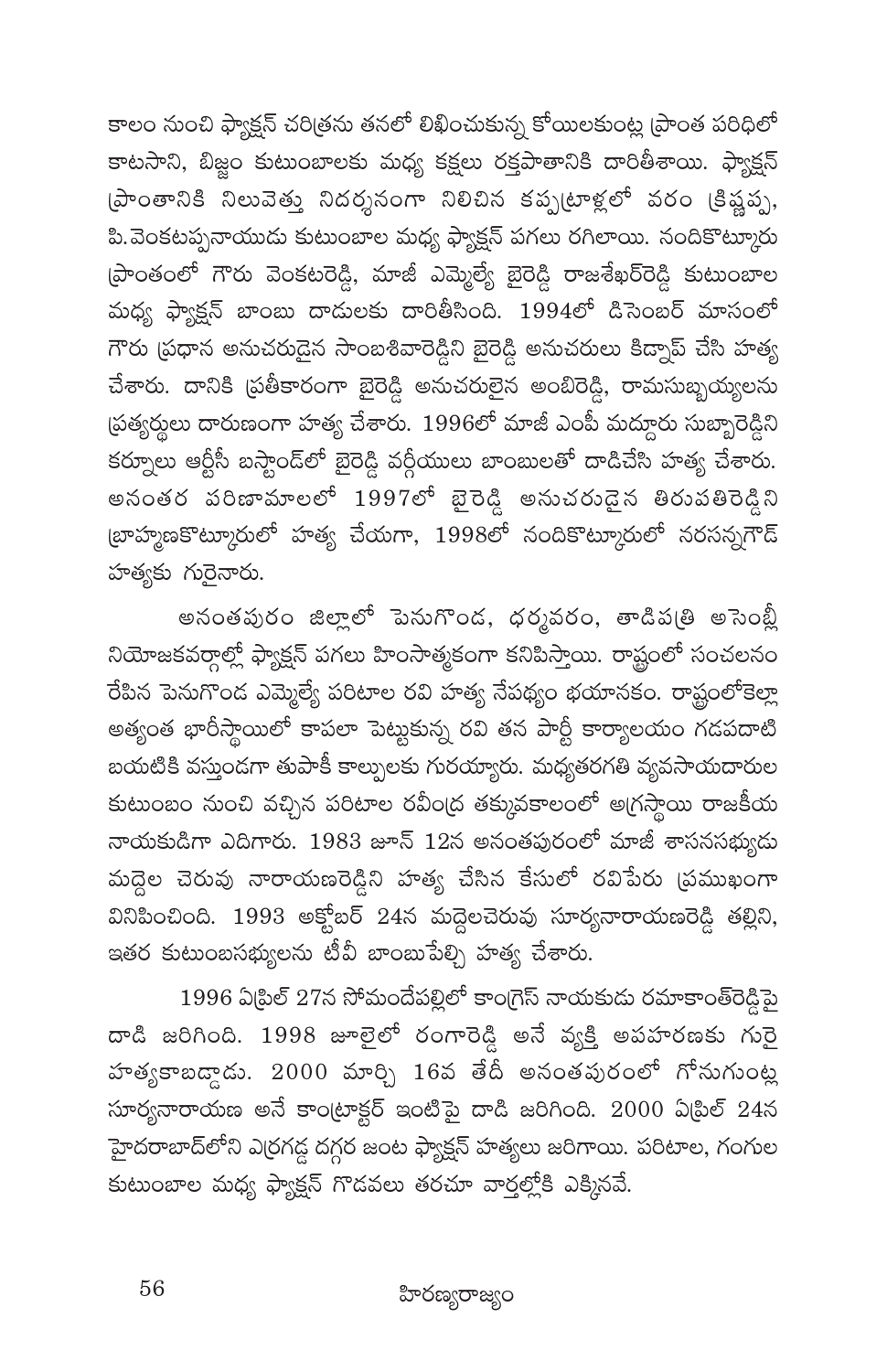కాలం నుంచి ఫ్యాక్షన్ చరిత్రను తనలో లిఖించుకున్న కోయిలకుంట్ల [పాంత పరిధిలో కాటసాని, బిజ్జం కుటుంబాలకు మధ్య కక్షలు రక్తపాతానికి దారితీశాయి. ఫ్యాక్షన్ (పాంతానికి నిలువెత్తు నిదర్శనంగా నిలిచిన కప్ప(టాళ్లలో వరం (కిష్ణప్ప, పి.వెంకటప్పనాయుడు కుటుంబాల మధ్య ఫ్యాక్షన్ పగలు రగిలాయి. నందికొట్కూరు ప్రాంతంలో గౌరు వెంకటరెడ్డి, మాజీ ఎమ్మెల్యే బైరెడ్డి రాజశేఖర్రెడ్డి కుటుంబాల .<br>మధ్య ఫ్యాక్షన్ బాంబు దాదులకు దారితీసింది. 1994లో డిసెంబర్ మాసంలో గౌరు (పధాన అనుచరుడైన సాంబశివారెడ్డిని బైరెడ్డి అనుచరులు కిద్నాప్ చేసి హత్య చేశారు. దానికి (పతీకారంగా బైరెడ్డి అనుచరులైన అంబిరెడ్డి, రామసుబ్బయ్యలను థ్రత్యర్థులు దారుణంగా హత్య చేశారు. 1996లో మాజీ ఎంపీ మద్దూరు సుబ్బారెడ్డిని కర్నూలు ఆర్టీసీ బస్టాండ్లో బైరెడ్డి వర్గీయులు బాంబులతో దాడిచేసి హత్య చేశారు. లాం - సంగాణం<br>అనంతర పరిణామాలలో 1997లో బైరెడ్డి అనుచరుడైన తిరుపతిరెడ్డిని (బాహ్మణకొట్కూరులో హత్య చేయగా, 1998లో సందికొట్కూరులో నరసన్నగౌడ్ హత్యకు గురైనారు.

అనంతపురం జిల్లాలో పెనుగొండ, ధర్మవరం, తాడిప(తి అసెంబ్లీ నియోజకవర్గాల్లో ఫ్యాక్షన్ పగలు హింసాత్మకంగా కనిపిస్తాయి. రాష్ట్రంలో సంచలనం రేపిన పెనుగొండ ఎమ్మెల్యే పరిటాల రవి హత్య నేపథ్యం భయానకం. రాష్ట్రంలోకెల్లా అత్యంత భారీస్తాయిలో కాపలా పెట్టుకున్న రవి తన పార్టీ కార్యాలయం గడపదాటి బయటికి వస్తుండగా తుపాకీ కాల్పులకు గురయ్యారు. మధ్యతరగతి వ్యవసాయదారుల కుటుంబం నుంచి వచ్చిన పరిటాల రవీంద్ర తక్కువకాలంలో అ(గస్థాయి రాజకీయ నాయకుడిగా ఎదిగారు. 1983 జూన్ 12న అనంతపురంలో మాజీ శాసనసభ్యుడు మద్దెల చెరువు నారాయణరెడ్దిని హత్య చేసిన కేసులో రవిపేరు <sub>(</sub>పముఖంగా వినిపించింది. 1993 అక్టోబర్ 24న మద్దెలచెరువు సూర్యనారాయణరెడ్డి తల్లిని, .<br>ఇతర కుటుంబసభ్యులను టీవీ బాంబుపేల్చి హత్య చేశారు.

1996 ఏ[్రిల్ 27న సోమందేపల్లిలో కాంగ్రెస్ నాయకుడు రమాకాంత్రెెడ్డిపై దాడి జరిగింది. 1998 జూలైలో రంగారెడ్డి అనే వ్యక్తి అపహరణకు గురై హత్యకాబద్దాడు. 2000 మార్చి 16వ తేదీ అనంతపురంలో గోనుగుంట్ల సూర్యనారాయణ అనే కాంట్రాక్టర్ ఇంటిపై దాడి జరిగింది.  $2000$  ఏ[పిల్  $24\%$ హైదరాబాద్లోని ఎర్రగడ్డ దగ్గర జంట ఫ్యాక్షన్ హత్యలు జరిగాయి. పరిటాల, గంగుల కుటుంబాల మధ్య ఫ్యాక్షన్ గొడవలు తరచూ వార్తల్లోకి ఎక్కినవే.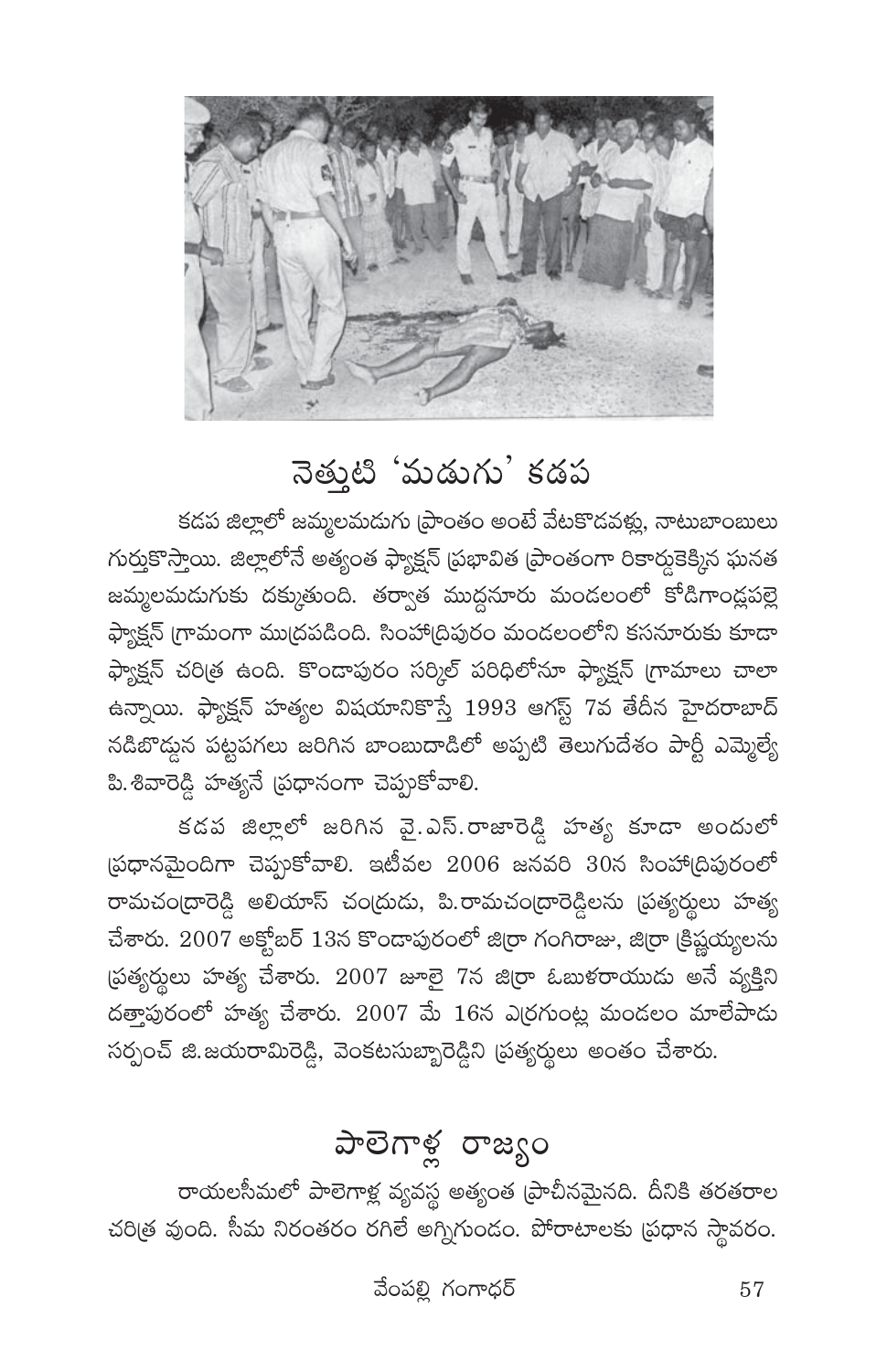

# నెత్తుటి 'మడుగు' కడప

కడప జిల్లాలో జమ్మలమడుగు [పాంతం అంటే వేటకొడవళ్లు, నాటుబాంబులు గుర్తుకొస్తాయి. జిల్లాలోనే అత్యంత ఫ్యాక్షన్ ప్రభావిత [పాంతంగా రికార్డుకెక్కిన ఘనత జమ్మలమదుగుకు దక్కుతుంది. తర్వాత ముద్దనూరు మండలంలో కోడిగాండ్లపల్లె ఫ్యాక్షన్ (గామంగా ము(్రపడింది. సింహా(దిపురం మండలంలోని కసనూరుకు కూడా .<br>ఫ్యాక్షన్ చరిత్ర ఉంది. కొండాపురం సర్కిల్ పరిధిలోనూ ఫ్యాక్షన్ గ్రామాలు చాలా ఉన్నాయి. ఫ్యాక్షన్ హత్యల విషయానికొస్తే 1993 ఆగస్ట్ 7వ తేదీన హైదరాబాద్ నడిబొద్దున పట్టపగలు జరిగిన బాంబుదాడిలో అప్పటి తెలుగుదేశం పార్టీ ఎమ్మెల్యే పి.శివారెడ్డి హత్యనే (పధానంగా చెప్పుకోవాలి.

కడప జిల్లాలో జరిగిన వై.ఎస్.రాజారెడ్డి హత్య కూడా అందులో స్రధానమైందిగా చెప్పుకోవాలి. ఇటీవల 2006 జనవరి 30న సింహా(దిపురంలో రామచం[దారెడ్డి అలియాస్ చం[దుడు, పి.రామచం[దారెడ్డిలను [పత్యర్థులు హత్య చేశారు.  $2007$  అక్తోబర్ 13న కొండాపురంలో జిర్రా గంగిరాజు, జిర్రా క్రిష్ణయ్యలను స్రత్యర్థులు హత్య చేశారు. 2007 జూలై 7న జిర్రా ఓబుకరాయుడు అనే వ్యక్తిని దత్తాపురంలో హత్య చేశారు.  $2007$  మే 16న ఎర్రగుంట్ల మండలం మాలేపాడు సర్పంచ్ జి.జయరామిరెడ్డి, వెంకటసుబ్బారెడ్డిని (పత్యర్శలు అంతం చేశారు.

#### పాలెగాళ్ల రాజ్యం

రాయలసీమలో పాలెగాళ్ల వ్యవస్థ అత్యంత (పాచీనమైనది. దీనికి తరతరాల చరిత్ర వుంది. సీమ నిరంతరం రగిలే అగ్నిగుండం. పోరాటాలకు [పధాన స్థావరం.

వేంపలి గంగాధర్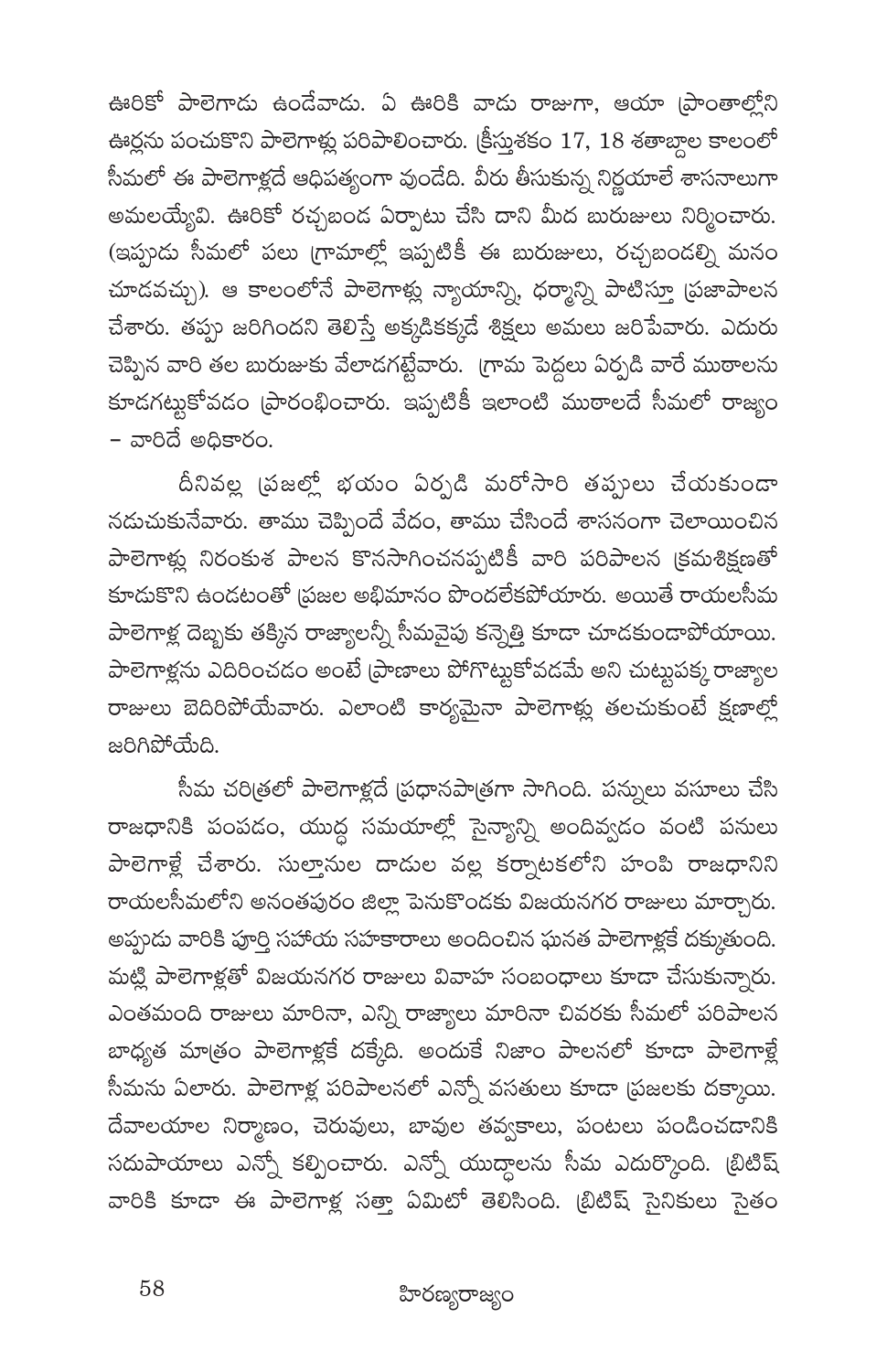ఊరికో పాలెగాడు ఉండేవాడు. ఏ ఊరికి వాడు రాజుగా, ఆయా [పాంతాల్లోని ఊర్లను పంచుకొని పాలెగాళ్లు పరిపాలించారు. క్రీస్తుశకం 17, 18 శతాబ్దాల కాలంలో సీమలో ఈ పాలెగాళ్లదే ఆధిపత్యంగా వుందేది. వీరు తీసుకున్న నిర్ణయాలే శాసనాలుగా అమలయ్యేవి. ఊరికో రచ్చబండ ఏర్పాటు చేసి దాని మీద బురుజులు నిర్మించారు. (ఇప్పుడు సీమలో పలు గ్రామాల్లో ఇప్పటికీ ఈ బురుజులు, రచ్చబందల్ని మనం చూడవచ్చు). ఆ కాలంలోనే పాలెగాళ్లు న్యాయాన్ని, ధర్మాన్ని పాటిస్తూ (పజాపాలన చేశారు. తప్పు జరిగిందని తెలిస్తే అక్కడికక్కడే శిక్షలు అమలు జరిపేవారు. ఎదురు చెప్పిన వారి తల బురుజుకు వేలాడగట్టేవారు. ్గామ పెద్దలు ఏర్పడి వారే ముఠాలను కూడగట్టకోవడం (పారంభించారు. ఇప్పటికీ ఇలాంటి ముఠాలదే సీమలో రాజ్యం – వారిదే అధికారం.

దీనివల్ల (పజల్లో భయం ఏర్పడి మరోసారి తప్పులు చేయకుండా నడుచుకునేవారు. తాము చెప్పిందే వేదం, తాము చేసిందే శాసనంగా చెలాయించిన పాలెగాళ్లు నిరంకుశ పాలన కొనసాగించనప్పటికీ వారి పరిపాలన క్<mark>ర</mark>మశిక్షణతో కూడుకొని ఉండటంతో (పజల అభిమానం పొందలేకపోయారు. అయితే రాయలసీమ పాలెగాళ్ల దెబ్బకు తక్కిన రాజ్యాలన్నీ సీమవైపు కన్నెత్తి కూడా చూడకుండాపోయాయి. .<br>పాలెగాళ్లను ఎదిరించడం అంటే [పాణాలు పోగొట్టుకోవడమే అని చుట్టుపక్క రాజ్యాల రాజులు బెదిరిపోయేవారు. ఎలాంటి కార్యమైనా పాలెగాళ్లు తలచుకుంటే క్షణాల్లో జరిగిపోయేది.

సీమ చరిత్రలో పాలెగాళ్లదే (పధానపాత్రగా సాగింది. పన్నులు వసూలు చేసి రాజధానికి పంపడం, యుద్ధ సమయాల్లో సైన్యాన్ని అందివ్వడం వంటి పనులు పాలెగాళ్లే చేశారు. సుల్తానుల దాడుల వల్ల కర్నాటకలోని హంపి రాజధానిని రాయలసీమలోని అనంతపురం జిల్లా పెనుకొందకు విజయనగర రాజులు మార్చారు. అప్పుడు వారికి పూర్తి సహాయ సహకారాలు అందించిన ఘనత పాలెగాళ్లకే దక్కుతుంది. మట్లి పాలెగాళ్లతో విజయనగర రాజులు వివాహ సంబంధాలు కూడా చేసుకున్నారు. ఎంతమంది రాజులు మారినా, ఎన్ని రాజ్యాలు మారినా చివరకు సీమలో పరిపాలన బాధ్యత మాత్రం పాలెగాళ్లకే దక్కేది. అందుకే నిజాం పాలనలో కూడా పాలెగాళ్లే సీమను ఏలారు. పాలెగాళ్ల పరిపాలనలో ఎన్నో వసతులు కూడా (పజలకు దక్కాయి. దేవాలయాల నిర్మాణం, చెరువులు, బావుల తవ్వకాలు, పంటలు పండించడానికి సదుపాయాలు ఎన్నో కల్పించారు. ఎన్నో యుద్ధాలను సీమ ఎదుర్కొంది. ట్రిటిష్ వారికి కూడా ఈ పాలెగాళ్ల సతా ఏమిటో తెలిసింది. (బిటిష్ సైనికులు సైతం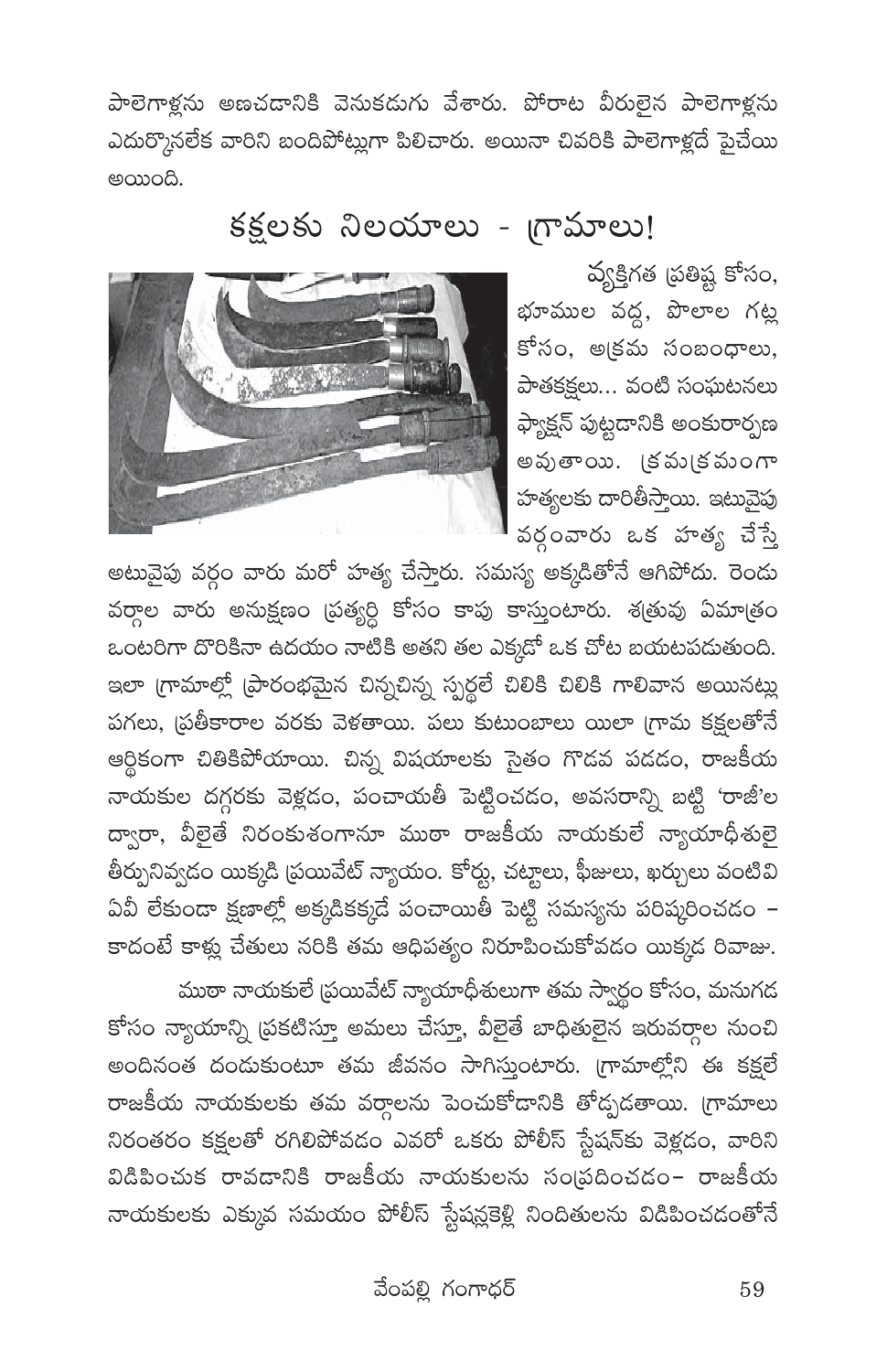పాలెగాళ్లను అణచదానికి వెనుకడుగు వేశారు. పోరాట వీరులైన పాలెగాళ్లను ఎదుర్కొనలేక వారిని బందిపోట్లుగా పిలిచారు. అయినా చివరికి పాలెగాళ్లదే పైచేయి ම**coo**o සි.

కకలకు నిలయాలు - గామాలు!



వ్యక్తిగత (పతిష్ట కోసం, భూముల వద్ద, పొలాల గట్ల కోసం, అక్రమ సంబంధాలు, పాతకక్షలు... వంటి సంఘటనలు ఫ్యాక్షన్ పుట్టడానికి అంకురార్పణ అవుతాయి. క్రమక్రమంగా హత్యలకు దారితీస్తాయి. ఇటువైపు వర్గంవారు ఒక హత్య చేస్తే

అటువైపు వర్గం వారు మరో హత్య చేస్తారు. సమస్య అక్కడితోనే ఆగిపోదు. రెండు వర్గాల వారు అనుక్షణం (పత్యర్ధి కోసం కాపు కాస్తుంటారు. శ(తువు ఏమా(తం ఒంటరిగా దొరికినా ఉదయం నాటికి అతని తల ఎక్కడో ఒక చోట బయటపడుతుంది. ఇలా (గామాల్లో (పారంభమైన చిన్నచిన్న స్పర్థలే చిలికి చిలికి గాలివాన అయినట్లు పగలు, (పతీకారాల వరకు వెళతాయి. పలు కుటుంబాలు యిలా గ్రామ కక్షలతోనే అర్థికంగా చితికిపోయాయి. చిన్న విషయాలకు సైతం గొడవ పడడం, రాజకీయ నాయకుల దగ్గరకు వెళ్లడం, పంచాయతీ పెట్టించడం, అవసరాన్ని బట్టి 'రాజీ'ల ద్వారా, వీలైతే నిరంకుశంగానూ ముఠా రాజకీయ నాయకులే న్యాయాధీశులై తీర్పునివ్వడం యిక్కడి (పయివేట్ న్యాయం. కోర్టు, చట్టాలు, ఫీజులు, ఖర్చులు వంటివి ఏవీ లేకుందా క్షణాల్లో అక్కడికక్కడే పంచాయితీ పెట్టి సమస్యను పరిష్కరించడం – కాదంటే కాళ్లు చేతులు నరికి తమ ఆధిపత్యం నిరూపించుకోవడం యిక్కడ రివాజు.

ముఠా నాయకులే (పయివేట్ న్యాయాధీశులుగా తమ స్వార్థం కోసం, మనుగడ కోసం న్యాయాన్ని ప్రకటిస్తూ అమలు చేస్తూ, వీలైతే బాధితులైన ఇరువర్గాల నుంచి అందినంత దండుకుంటూ తమ జీవనం సాగిస్తుంటారు. గ్రామాల్లోని ఈ కక్షలే రాజకీయ నాయకులకు తమ వర్గాలను పెంచుకోడానికి తోద్బడతాయి. (గామాలు నిరంతరం కక్షలతో రగిలిపోవడం ఎవరో ఒకరు పోలీస్ స్టేషన్కు వెళ్లడం, వారిని విడిపించుక రావడానికి రాజకీయ నాయకులను సం(పదించడం– రాజకీయ నాయకులకు ఎక్కువ సమయం పోలీస్ స్టేషన్లకెళ్లి నిందితులను విడిపించడంతోనే

వేంపలి గంగాధర్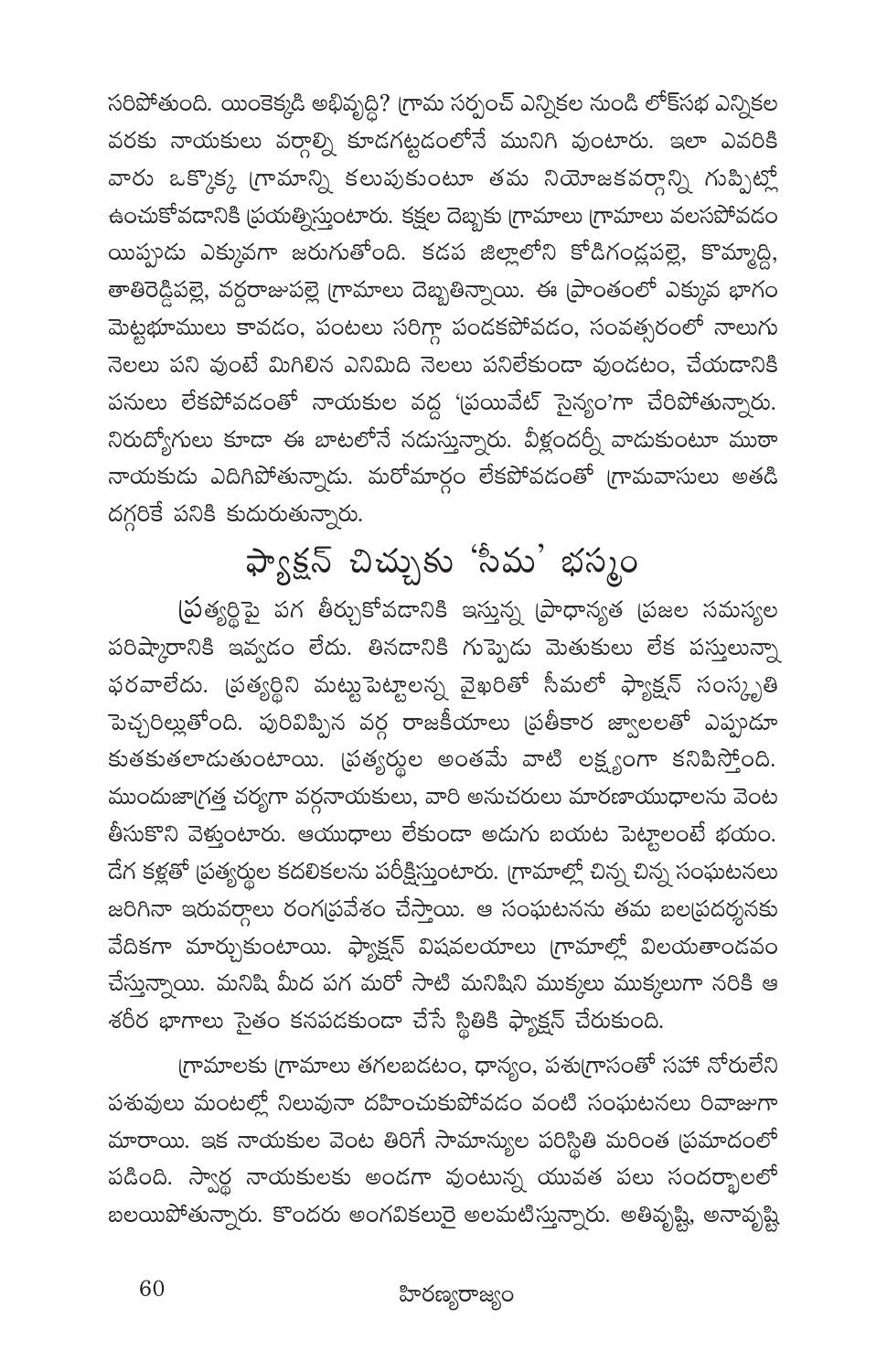సరిపోతుంది. యింకెక్కడి అభివృద్ధి? (గామ సర్పంచ్ ఎన్నికల నుండి లోక్సభ ఎన్నికల వరకు నాయకులు వర్గాల్ని కూడగట్టడంలోనే మునిగి వుంటారు. ఇలా ఎవరికి వారు ఒక్కొక్క (గామాన్ని కలుపుకుంటూ తమ నియోజకవర్గాన్ని గుప్పిట్లో ఉంచుకోవదానికి (పయత్నిస్తుంటారు. కక్షల దెబ్బకు (గామాలు (గామాలు వలసపోవడం యిప్పుడు ఎక్కువగా జరుగుతోంది. కడప జిల్లాలోని కోడిగండ్లపల్లె, కొమ్మాద్ది, తాతిరెడ్డిపల్లె, వర్దరాజుపల్లె (గామాలు దెబ్బతిన్నాయి. ఈ (పాంతంలో ఎక్కువ భాగం మెట్టభూములు కావడం, పంటలు సరిగ్గా పండకపోవడం, సంవత్సరంలో నాలుగు నెలలు పని వుంటే మిగిలిన ఎనిమిది నెలలు పనిలేకుండా వుండటం, చేయడానికి పనులు లేకపోవడంతో నాయకుల వద్ద 'ప్రయివేట్ సైన్యం'గా చేరిపోతున్నారు. నిరుద్యోగులు కూడా ఈ బాటలోనే నడుస్తున్నారు. వీళ్లందర్నీ వాడుకుంటూ ముఠా నాయకుడు ఎదిగిపోతున్నాడు. మరోమార్గం లేకపోవడంతో (గామవాసులు అతడి దగ్గరికే పనికి కుదురుతున్నారు.

## ఫ్యాక్షన్ చిచ్చుకు 'సీమ' భస్మం

(పత్యర్థిపై పగ తీర్చుకోవడానికి ఇస్తున్న (పాధాన్యత (పజల సమస్యల పరిష్కారానికి ఇవ్వడం లేదు. తినడానికి గుప్పెడు మెతుకులు లేక పస్తులున్నా ఫరవాలేదు. (పత్యర్థిని మట్టుపెట్టాలన్న వైఖరితో సీమలో ఫ్యాక్షన్ సంస్కృతి పెచ్చరిల్లుతోంది. పురివిప్పిన వర్గ రాజకీయాలు <mark>ప్రతీకార జ్వాలలతో ఎప్పు</mark>డూ కుతకుతలాడుతుంటాయి. (పత్యర్థుల అంతమే వాటి లక్ష్యంగా కనిపిస్తోంది. ముందుజాగ్రత్త చర్యగా వర్గనాయకులు, వారి అనుచరులు మారణాయుధాలను వెంట తీసుకొని వెళ్తుంటారు. ఆయుధాలు లేకుండా అడుగు బయట పెట్టాలంటే భయం. దేగ కళ్లతో (పత్యర్థుల కదలికలను పరీక్షిస్తుంటారు. (గామాల్లో చిన్న చిన్న సంఘటనలు జరిగినా ఇరువర్గాలు రంగ(ప్రవేశం చేస్తాయి. ఆ సంఘటనను తమ బల(పదర్శనకు వేదికగా మార్చుకుంటాయి. ఫ్యాక్షన్ విషవలయాలు గ్రామాల్లో విలయతాండవం చేస్తున్నాయి. మనిషి మీద పగ మరో సాటి మనిషిని ముక్కలు ముక్కలుగా నరికి ఆ శరీర భాగాలు సైతం కనపడకుండా చేసే స్థితికి ఫ్యాక్షన్ చేరుకుంది.

గ్రామాలకు గ్రామాలు తగలబడటం, ధాన్యం, పశుగ్రాసంతో సహా నోరులేని పశువులు మంటల్లో నిలువునా దహించుకుపోవడం వంటి సంఘటనలు రివాజుగా మారాయి. ఇక నాయకుల వెంట తిరిగే సామాన్యుల పరిస్థితి మరింత (ప్రమాదంలో పడింది. స్వార్థ నాయకులకు అండగా వుంటున్న యువత పలు సందర్భాలలో బలయిపోతున్నారు. కొందరు అంగవికలురై అలమటిస్తున్నారు. అతివృష్టి, అనావృష్టి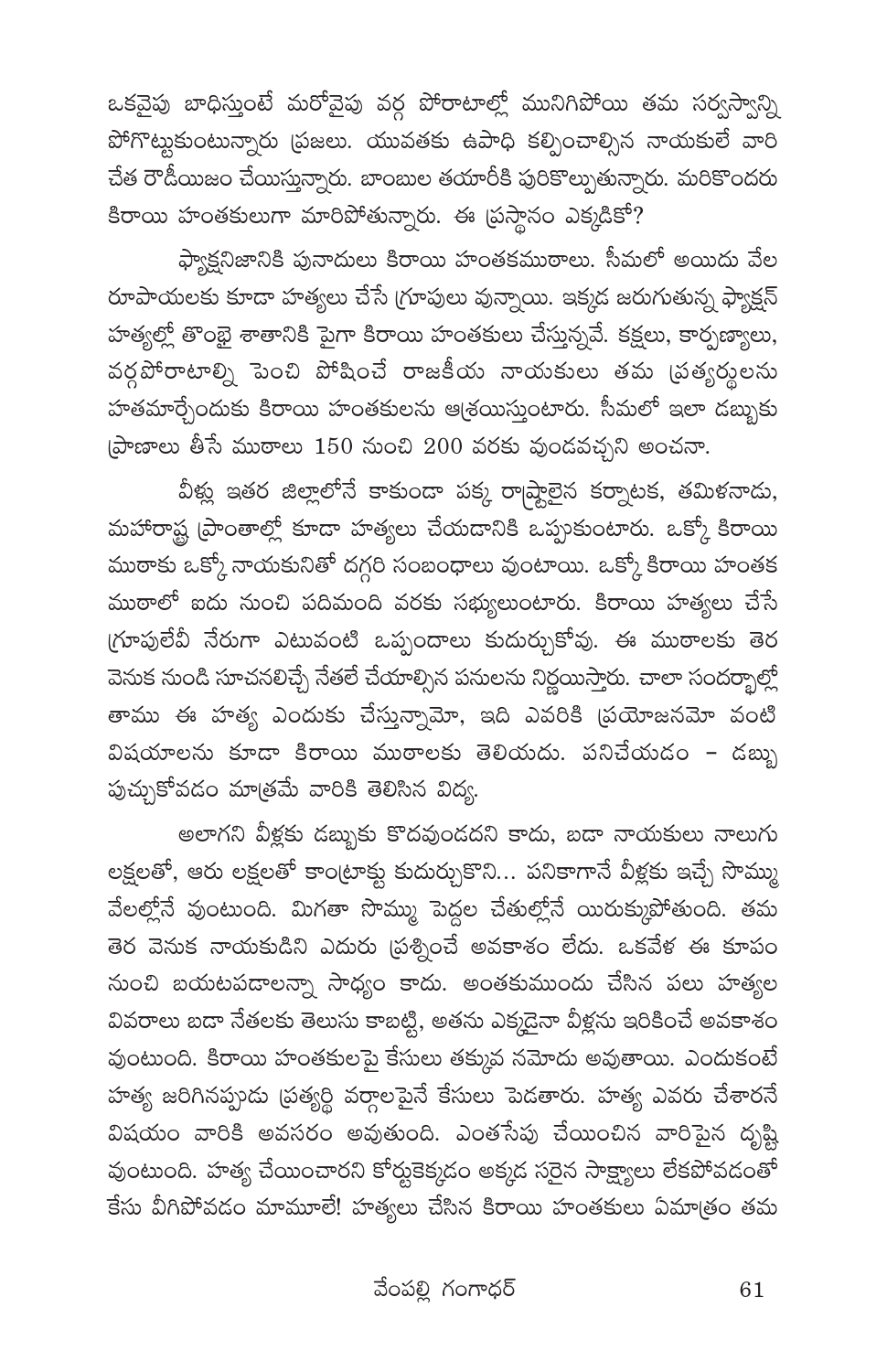ఒకవైపు బాధిస్తుంటే మరోవైపు వర్గ పోరాటాల్లో మునిగిపోయి తమ సర్వస్వాన్ని పోగొట్టుకుంటున్నారు (పజలు. యువతకు ఉపాధి కల్పించాల్సిన నాయకులే వారి చేత రౌడీయిజం చేయిస్తున్నారు. బాంబుల తయారీకి పురికొల్పుతున్నారు. మరికొందరు కిరాయి హంతకులుగా మారిపోతున్నారు. ఈ ప్రస్థానం ఎక్కడికో?

ఫ్యాక్టనిజానికి పునాదులు కిరాయి హంతకముఠాలు. సీమలో అయిదు వేల రూపాయలకు కూడా హత్యలు చేసే (గూపులు వున్నాయి. ఇక్కడ జరుగుతున్న ఫ్యాక్షన్ హత్యల్లో తొంభై శాతానికి పైగా కిరాయి హంతకులు చేస్తున్నవే. కక్షలు, కార్పణ్యాలు, వర్ధపోరాటాల్ని పెంచి పోషించే రాజకీయ నాయకులు తమ (పత్యర్శలను హతమార్చేందుకు కిరాయి హంతకులను ఆశ్రయిస్తుంటారు. సీమలో ఇలా డబ్బుకు  $\beta$ ణాలు తీసే ముఠాలు  $150$  నుంచి  $200$  వరకు వుండవచ్చని అంచనా.

వీళ్లు ఇతర జిల్లాలోనే కాకుండా పక్క రా|ఫ్హాలైన కర్నాటక, తమిళనాడు, మహారాష్ట్ర (పాంతాల్లో కూడా హత్యలు చేయడానికి ఒప్పకుంటారు. ఒక్కో కిరాయి ముఠాకు ఒక్కో నాయకునితో దగ్గరి సంబంధాలు వుంటాయి. ఒక్కో కిరాయి హంతక ముఠాలో ఐదు నుంచి పదిమంది వరకు సభ్యులుంటారు. కిరాయి హత్యలు చేసే గ్రూపులేవీ నేరుగా ఎటువంటి ఒప్పందాలు కుదుర్చుకోవు. ఈ ముఠాలకు తెర వెనుక నుండి సూచనలిచ్చే నేతలే చేయాల్సిన పనులను నిర్ణయిస్తారు. చాలా సందర్భాల్లో తాము ఈ హత్య ఎందుకు చేస్తున్నామో, ఇది ఎవరికి (పయోజనమో వంటి విషయాలను కూడా కిరాయి ముఠాలకు తెలియదు. పనిచేయడం – డబ్బు పుచ్చుకోవడం మాత్రమే వారికి తెలిసిన విద్య.

అలాగని వీళ్లకు డబ్బుకు కొదవుండదని కాదు, బడా నాయకులు నాలుగు లక్షలతో, ఆరు లక్షలతో కాంట్రాక్టు కుదుర్చుకొని... పనికాగానే వీళ్లకు ఇచ్చే సొమ్ము వేలల్లోనే వుంటుంది. మిగతా సొమ్ము పెద్దల చేతుల్లోనే యిరుక్కుపోతుంది. తమ తెర వెనుక నాయకుడిని ఎదురు (పర్నించే అవకాశం లేదు. ఒకవేళ ఈ కూపం నుంచి బయటపడాలన్నా సాధ్యం కాదు. అంతకుముందు చేసిన పలు హత్యల వివరాలు బదా నేతలకు తెలుసు కాబట్టి, అతను ఎక్కడైనా వీళ్లను ఇరికించే అవకాశం వుంటుంది. కిరాయి హంతకులపై కేసులు తక్కువ నమోదు అవుతాయి. ఎందుకంటే హత్య జరిగినప్పుడు (పత్యర్థి వర్గాలపైనే కేసులు పెడతారు. హత్య ఎవరు చేశారనే విషయం వారికి అవసరం అవుతుంది. ఎంతసేపు చేయించిన వారిపైన దృష్టి వుంటుంది. హత్య చేయించారని కోర్టుకెక్కడం అక్కడ సరైన సాక్ష్యాలు లేకపోవడంతో కేసు వీగిపోవడం మామూలే! హత్యలు చేసిన కిరాయి హంతకులు ఏమాత్రం తమ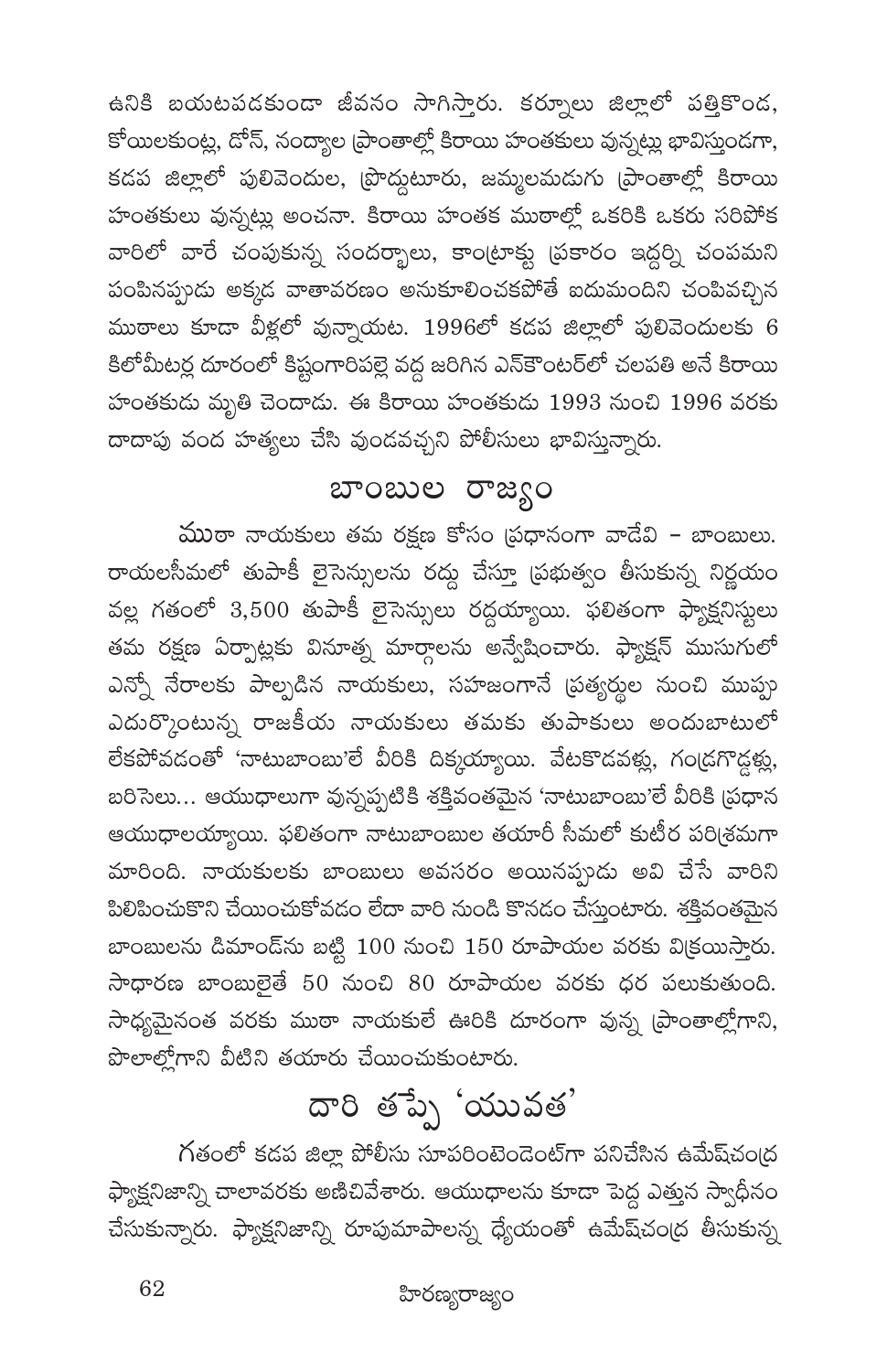ఉనికి బయటపడకుండా జీవనం సాగిస్తారు. కర్నూలు జిల్లాలో పత్తికొండ, .<br>కోయిలకుంట్ల, డోన్, నంద్యాల [పాంతాల్లో కిరాయి హంతకులు వున్నట్లు భావిస్తుండగా, కడప జిల్లాలో పులివెందుల, (పొద్దుటూరు, జమ్మలమడుగు (పాంతాల్లో కిరాయి హంతకులు వున్నట్లు అంచనా. కిరాయి హంతక ముఠాల్లో ఒకరికి ఒకరు సరిపోక వారిలో వారే చంపుకున్న సందర్భాలు, కాంట్రాక్టు (పకారం ఇద్దర్ని చంపమని పంపినప్పుడు అక్కడ వాతావరణం అనుకూలించకపోతే ఐదుమందిని చంపివచ్చిన ముఠాలు కూడా వీళ్లలో వున్నాయట. 1996లో కడప జిల్లలో పులివెందులకు 6 కిలోమీటర్ల దూరంలో కిష్టంగారిపల్లె వద్ద జరిగిన ఎన్కౌంటర్లో చలపతి అనే కిరాయి హంతకుడు మృతి చెందాడు. ఈ కిరాయి హంతకుడు 1993 నుంచి 1996 వరకు దాదాపు వంద హత్యలు చేసి వుండవచ్చని పోలీసులు భావిస్తున్నారు.

#### బాంబుల రాజ్యం

ముఠా నాయకులు తమ రక్షణ కోసం (పథానంగా వాడేవి - బాంబులు. రాయలసీమలో తుపాకీ లైసెన్సులను రద్దు చేస్తూ (పథుత్వం తీసుకున్న నిర్ణయం వల్ల గతంలో 3,500 తుపాకీ లైసెన్సులు రద్దయ్యాయి. ఫలితంగా ఫ్యాక్షనిస్టులు తమ రక్షణ ఏర్పాట్లకు వినూత్న మార్గాలను అన్వేషించారు. ఫ్యాక్షన్ ముసుగులో ఎన్నో నేరాలకు పాల్పడిన నాయకులు, సహజంగానే (పత్యర్శల నుంచి ముప్పు .<br>ఎదుర్కొంటున్న రాజకీయ నాయకులు తమకు తుపాకులు అందుబాటులో లేకపోవడంతో 'నాటుబాంబు'లే వీరికి దిక్కయ్యాయి. వేటకొడవళ్లు, గం(డగొడ్డళ్లు, బరిసెలు... ఆయుధాలుగా వున్నప్పటికి శక్తివంతమైన 'నాటుబాంబు'లే వీరికి [ప్రధాన ఆయుధాలయ్యాయి. ఫలితంగా నాటుబాంబుల తయారీ సీమలో కుటీర పరి[శమగా మారింది. నాయకులకు బాంబులు అవసరం అయినప్పుడు అవి చేసే వారిని పిలిపించుకొని చేయించుకోవడం లేదా వారి నుండి కొనడం చేస్తుంటారు. శక్తివంతమైన బాంబులను డిమాండ్సు బట్టి 100 నుంచి 150 రూపాయల వరకు విక్రయిస్తారు. సాధారణ బాంబులైతే 50 నుంచి 80 రూపాయల వరకు ధర పలుకుతుంది. సాధ్యమైనంత వరకు ముఠా నాయకులే ఊరికి దూరంగా వున్న <mark>(పాం</mark>తాల్లోగాని, పొలాల్హోగాని వీటిని తయారు చేయించుకుంటారు.

## దారి తేప్పే 'యువత'

గతంలో కడప జిల్లా పోలీసు సూపరింటెండెంట్గా పనిచేసిన ఉమేష్చంద్ర ఫ్యాక్షనిజాన్ని చాలావరకు అణిచివేశారు. ఆయుధాలను కూడా పెద్ద ఎత్తున స్వాధీనం చేసుకున్నారు. ఫ్యాక్షనిజాన్ని రూపుమాపాలన్న ధ్యేయంతో ఉమేష్చంద్ర తీసుకున్న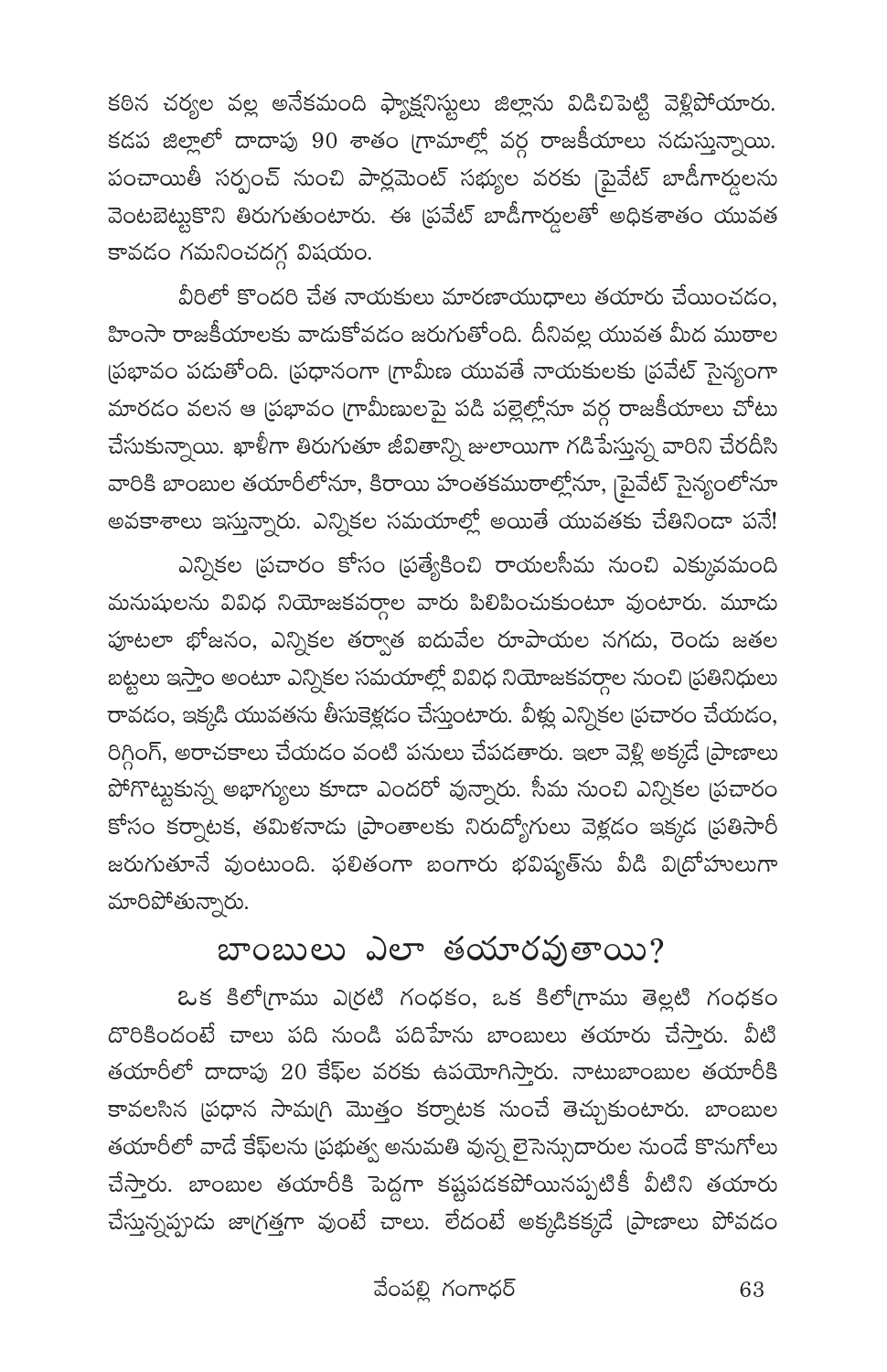కఠిన చర్యల వల్ల అనేకమంది ఫ్యాక్షనిస్టులు జిల్లాను విడిచిపెట్టి వెళ్లిపోయారు. కడప జిల్లాలో దాదాపు 90 శాతం గ్రామాల్లో వర్గ రాజకీయాలు నదుస్తున్నాయి. పంచాయితీ సర్పంచ్ నుంచి పార్లమెంట్ సభ్యుల వరకు [పైవేట్ బాడీగార్నలను వెంటబెట్టుకొని తిరుగుతుంటారు. ఈ ప్రవేట్ బాడీగార్శలతో అధికశాతం యువత కావడం గమనించదగ్గ విషయం.

వీరిలో కొందరి చేత నాయకులు మారణాయుధాలు తయారు చేయించడం, హింసా రాజకీయాలకు వాడుకోవడం జరుగుతోంది. దీనివల్ల యువత మీద ముఠాల ప్రభావం పడుతోంది. ప్రధానంగా గ్రామీణ యువతే నాయకులకు [ప్రవేట్ సైన్యంగా మారడం వలన ఆ (పభావం (గామీణులపై పడి పల్లెల్లోనూ వర్గ రాజకీయాలు చోటు చేసుకున్నాయి. ఖాళీగా తిరుగుతూ జీవితాన్ని జులాయిగా గడిపేస్తున్న వారిని చేరదీసి వారికి బాంబుల తయారీలోనూ, కిరాయి హంతకముఠాల్లోనూ, <sub>|</sub>పైవేట్ సైన్యంలోనూ అవకాశాలు ఇస్తున్నారు. ఎన్నికల సమయాల్లో అయితే యువతకు చేతినిండా పనే!

ఎన్నికల (పచారం కోసం (పత్యేకించి రాయలసీమ నుంచి ఎక్కువమంది మనుషులను వివిధ నియోజకవర్గాల వారు పిలిపించుకుంటూ వుంటారు. మూడు పూటలా భోజనం, ఎన్నికల తర్వాత ఐదువేల రూపాయల నగదు, రెండు జతల బట్టలు ఇస్తాం అంటూ ఎన్నికల సమయాల్లో వివిధ నియోజకవర్గాల నుంచి (పతినిధులు రావడం, ఇక్కడి యువతను తీసుకెళ్లడం చేస్తుంటారు. వీళ్లు ఎన్నికల (పచారం చేయడం, రిగ్జింగ్, అరాచకాలు చేయడం వంటి పనులు చేపడతారు. ఇలా వెళ్లి అక్కడే [ఫాణాలు పోగొట్టుకున్న అభాగ్యులు కూడా ఎందరో వున్నారు. సీమ నుంచి ఎన్నికల [పచారం కోసం కర్నాటక, తమిళనాడు (పాంతాలకు నిరుద్యోగులు వెళ్లడం ఇక్కడ (పతిసారీ జరుగుతూనే వుంటుంది. ఫలితంగా బంగారు భవిష్యత్సు వీడి వి(్రోహులుగా మారిపోతున్నారు.

#### బాంబులు ఎలా తయారవుతాయి?

ఒక కిలోగ్రాము ఎర్రటి గంధకం, ఒక కిలోగ్రాము తెల్లటి గంధకం దొరికిందంటే చాలు పది నుండి పదిహేను బాంబులు తయారు చేసారు. వీటి తయారీలో దాదాపు 20 కేఫ్ల వరకు ఉపయోగిస్తారు. నాటుబాంబుల తయారీకి కావలసిన (పధాన సామగ్రి మొత్తం కర్నాటక నుంచే తెచ్చుకుంటారు. బాంబుల తయారీలో వాడే కేఫ్లపు (పభుత్వ అనుమతి వున్న లైసెన్సుదారుల నుండే కొనుగోలు చేస్తారు. బాంబుల తయారీకి పెద్దగా కష్టపడకపోయినప్పటికీ వీటిని తయారు చేస్తున్నప్పుడు జాగ్రత్తగా వుంటే చాలు. లేదంటే అక్కడికక్కడే (పాణాలు పోవడం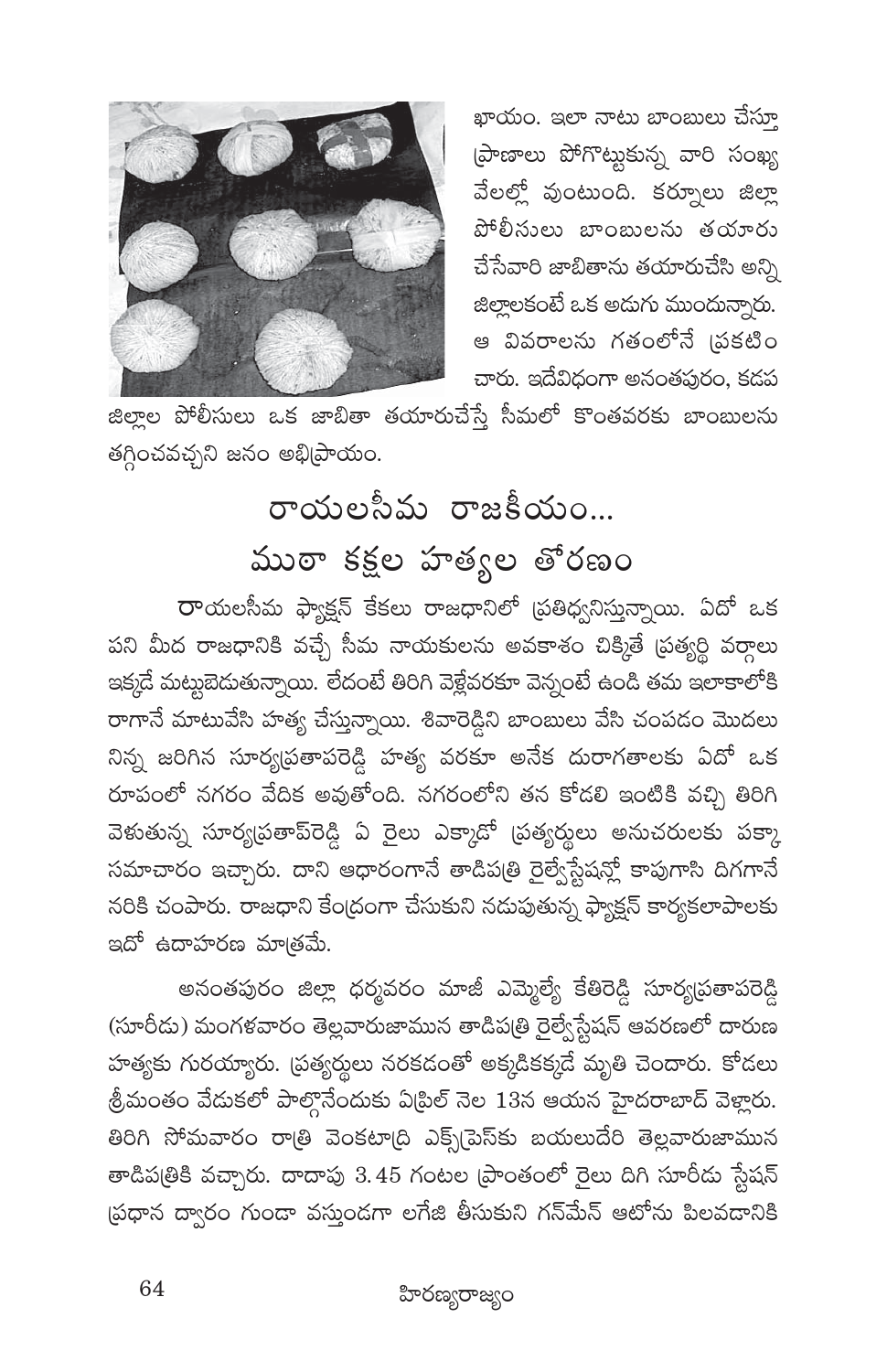

ఖాయం. ఇలా నాటు బాంబులు చేస్తూ (పాణాలు పోగొట్టుకున్న వారి సంఖ్య వేలల్లో వుంటుంది. కర్నూలు జిల్లా పోలీసులు బాంబులను తయారు చేసేవారి జాబితాను తయారుచేసి అన్ని జిల్లాలకంటే ఒక అడుగు ముందున్నారు. ఆ వివరాలను గతంలోనే (పకటిం చారు. ఇదేవిధంగా అనంతపురం, కడప

జిల్లాల పోలీసులు ఒక జాబితా తయారుచేస్తే సీమలో కొంతవరకు బాంబులను తగ్గించవచ్చని జనం అభి(పాయం.

## రాయలసీమ రాజకీయం... ముఠా కక్షల హత్యల తోరణం

రాయలసీమ ఫ్యాక్షన్ కేకలు రాజధానిలో (పతిధ్వనిస్తున్నాయి. ఏదో ఒక పని మీద రాజధానికి వచ్చే సీమ నాయకులను అవకాశం చిక్కితే (పత్యర్థి వర్గాలు ఇక్కడే మట్టబెదుతున్నాయి. లేదంటే తిరిగి వెళ్లేవరకూ వెన్నంటే ఉండి తమ ఇలాకాలోకి రాగానే మాటువేసి హత్య చేస్తున్నాయి. శివారెడ్డిని బాంబులు వేసి చంపడం మొదలు నిన్న జరిగిన సూర్యప్రతాపరెడ్డి హత్య వరకూ అనేక దురాగతాలకు ఏదో ఒక రూపంలో నగరం వేదిక అవుతోంది. నగరంలోని తన కోడలి ఇంటికి వచ్చి తిరిగి వెళుతున్న సూర్య<mark>ప్ర</mark>తాప్**రెడ్డి ఏ రైలు ఎక్కాడో (పత్యర్శలు అనుచరు**లకు పక్కా సమాచారం ఇచ్చారు. దాని ఆధారంగానే తాడిపత్రి రైల్వేస్టేషన్లో కాపుగాసి దిగగానే నరికి చంపారు. రాజధాని కేంద్రంగా చేసుకుని నదుపుతున్న ఫ్యాక్షన్ కార్యకలాపాలకు ఇదో ఉదాహరణ మాత్రమే.

అనంతపురం జిల్లా ధర్మవరం మాజీ ఎమ్మెల్యే కేతిరెడ్డి సూర్యపతాపరెడ్డి (సూరీడు) మంగళవారం తెల్లవారుజామున తాడిప(తి రైల్వేస్టేషన్ ఆవరణలో దారుణ హత్యకు గురయ్యారు. [పత్యర్థులు నరకడంతో అక్కడికక్కడే మృతి చెందారు. కోడలు శ్రీమంతం వేడుకలో పాల్గొనేందుకు ఏ[పిల్ నెల 13న ఆయన హైదరాబాద్ వెళ్లారు. తిరిగి సోమవారం రాత్రి వెంకటా[ది ఎక్స్[పెస్కు బయలుదేరి తెల్లవారుజామున తాడిప@ికి వచ్చారు. దాదాపు 3.45 గంటల [పాంతంలో రైలు దిగి సూరీడు స్టేషన్ ద్రుధాన ద్వారం గుండా వస్తుండగా లగేజి తీసుకుని గన్మేన్ ఆటోను పిలవడానికి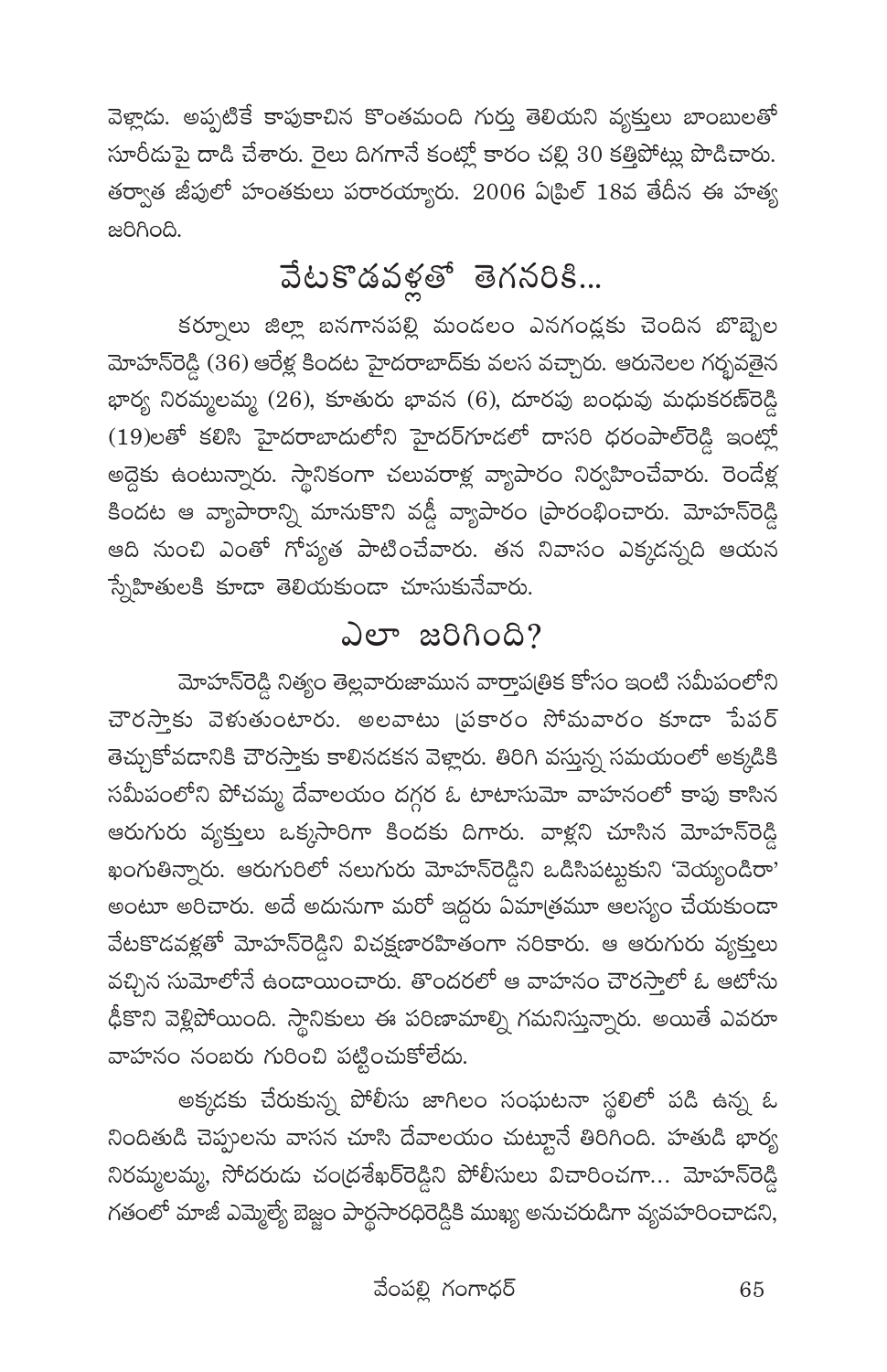వెళ్లాదు. అప్పటికే కాపుకాచిన కొంతమంది గుర్తు తెలియని వ్యక్తులు బాంబులతో సూరీదుపై దాడి చేశారు. రైలు దిగగానే కంట్లో కారం చల్లి 30 కత్తిపోట్లు పొడిచారు. తర్వాత జీపులో హంతకులు పరారయ్యారు. 2006 ఏట్రిల్ 18వ తేదీన ఈ హత్య ಜರಿಗಿಂದಿ.

## పేటకొడవళ్లతో తెగనరికి...

కర్నూలు జిల్లా బనగానపల్లి మండలం ఎనగండ్లకు చెందిన బొబ్బెల మోహన్రెడ్డి (36) ఆరేళ్ల కిందట హైదరాబాద్కు వలస వచ్చారు. ఆరునెలల గర్భవతైన భార్య నిరమ్మలమ్మ (26), కూతురు భావన (6), దూరపు బంధువు మధుకరణ్రోడ్డి (19)లతో కలిసి హైదరాబాదులోని హైదర్గూడలో దాసరి ధరంపాల్రెడ్డి ఇంట్లో అద్దెకు ఉంటున్నారు. స్థానికంగా చలువరాళ్ల వ్యాపారం నిర్వహించేవారు. రెండేళ్ల కిందట ఆ వ్యాపారాన్ని మానుకొని వడ్డీ వ్యాపారం (పారంభించారు. మోహన్రెడ్డి ఆది నుంచి ఎంతో గోప్యత పాటించేవారు. తన నివాసం ఎక్కడన్నది ఆయన స్నేహితులకి కూడా తెలియకుండా చూసుకునేవారు.

#### der addod?

మోహన్ెరడ్డి నిత్యం తెల్లవారుజామున వార్తాప(తిక కోసం ఇంటి సమీపంలోని చౌరస్తాకు వెళుతుంటారు. అలవాటు (పకారం సోమవారం కూడా పేపర్ తెచ్చుకోవదానికి చౌరస్తాకు కాలినడకన వెళ్లారు. తిరిగి వస్తున్న సమయంలో అక్కడికి సమీపంలోని పోచమ్మ దేవాలయం దగ్గర ఓ టాటాసుమో వాహనంలో కాపు కాసిన ఆరుగురు వ్యక్తులు ఒక్కసారిగా కిందకు దిగారు. వాళ్లని చూసిన మోహన్రెెడ్డి ఖంగుతిన్నారు. ఆరుగురిలో నలుగురు మోహన్ెరడ్దిని ఒడిసిపట్టుకుని 'వెయ్యండిరా' అంటూ అరిచారు. అదే అదుసుగా మరో ఇద్దరు ఏమా[తమూ ఆలస్యం చేయకుండా వేటకొడవళ్లతో మోహన్రెెడ్డిని విచక్షణారహితంగా నరికారు. ఆ ఆరుగురు వ్యక్తులు వచ్చిన సుమోలోనే ఉండాయించారు. తొందరలో ఆ వాహనం చౌరస్తాలో ఓ ఆటోను ఢీకొని వెళ్లిపోయింది. స్థానికులు ఈ పరిణామాల్ని గమనిస్తున్నారు. అయితే ఎవరూ వాహనం నంబరు గురించి పట్టించుకోలేదు.

అక్కడకు చేరుకున్న పోలీసు జాగిలం సంఘటనా స్థలిలో పడి ఉన్న ఓ నిందితుడి చెప్పలను వాసన చూసి దేవాలయం చుట్టూనే తిరిగింది. హతుడి భార్య నిరమ్మలమ్మ, సోదరుడు చంద్రశేఖర్రెెడ్డిని పోలీసులు విచారించగా... మోహన్రెెడ్డి గతంలో మాజీ ఎమ్మెల్యే బెజ్జం పార్థసారధిరెడ్డికి ముఖ్య అనుచరుడిగా వ్యవహరించాడని,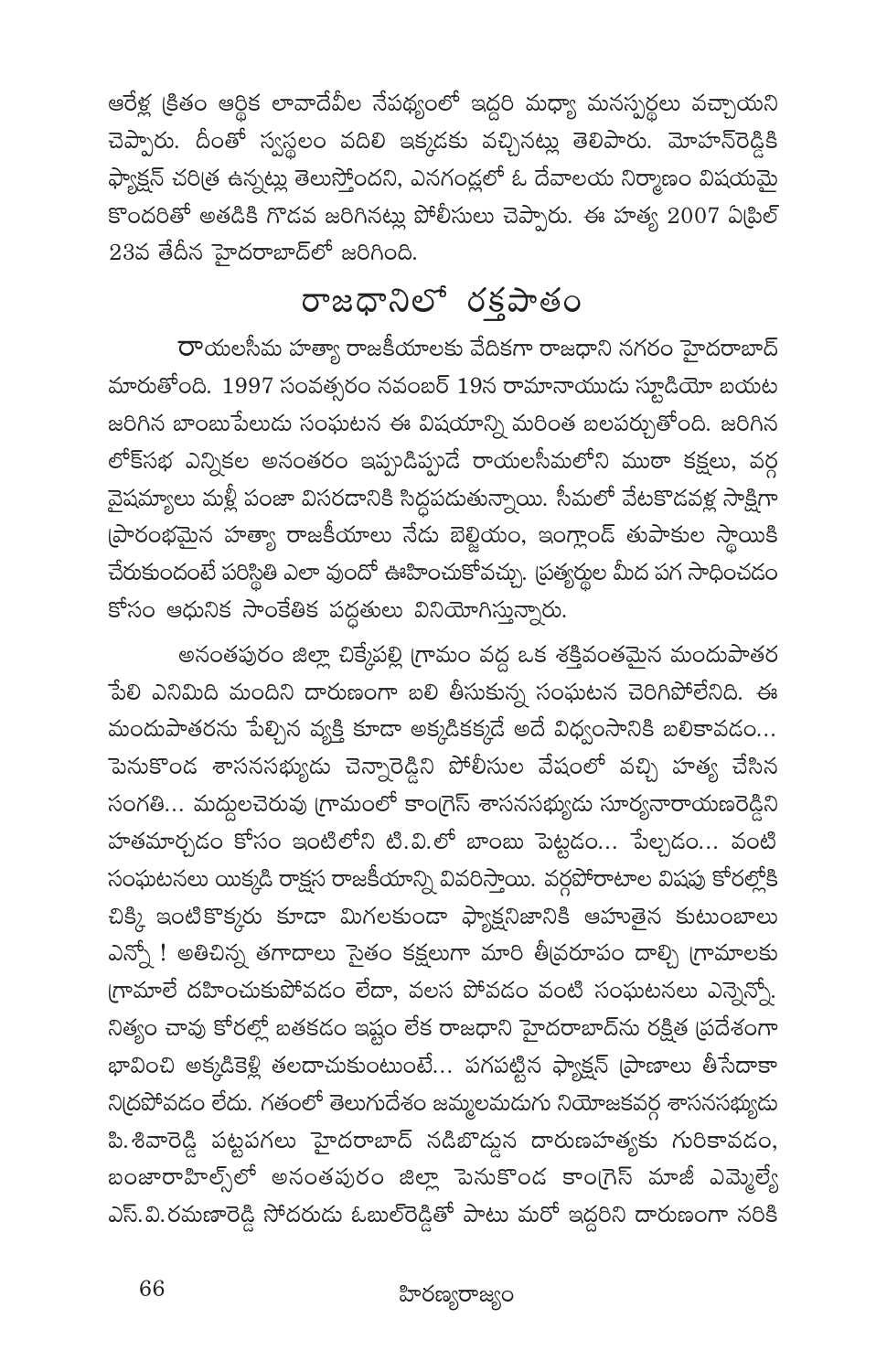ఆరేళ్ల (కితం ఆర్థిక లావాదేవీల నేపథ్యంలో ఇద్దరి మధ్యా మనస్పర్థలు వచ్చాయని చెప్పారు. దీంతో స్వస్థలం వదిలి ఇక్కడకు వచ్చినట్లు తెలిపారు. మోహన్రెడ్డికి ఫ్యాక్షన్ చరిత్ర ఉన్నట్లు తెలుస్తోందని, ఎనగంద్లలో ఓ దేవాలయ నిర్మాణం విషయమై .<br>కొందరితో అతడికి గొడవ జరిగినట్లు పోలీసులు చెప్పారు. ఈ హత్య 2007 ఏ[పిల్  $23$ వ తేదీన హైదరాబాద్లో జరిగింది.

#### రాజధానిలో రక్తపాతం

రాయలసీమ హత్యా రాజకీయాలకు వేదికగా రాజధాని నగరం హైదరాబాద్ మారుతోంది. 1997 సంవత్సరం నవంబర్ 19న రామానాయుడు స్వూడియో బయట జరిగిన బాంబుపేలుడు సంఘటన ఈ విషయాన్ని మరింత బలపర్చుతోంది. జరిగిన లోక్సభ ఎన్నికల అనంతరం ఇప్పుడిప్పుడే రాయలసీమలోని ముఠా కక్షలు, వర్గ వైషమ్యాలు మళ్లీ పంజా విసరదానికి సిద్ధపడుతున్నాయి. సీమలో వేటకొడవళ్ల సాక్షిగా ప్రారంభమైన హత్యా రాజకీయాలు నేడు బెల్జియం, ఇంగ్లాండ్ తుపాకుల స్థాయికి చేరుకుందంటే పరిస్థితి ఎలా వుందో ఊహించుకోవచ్చు. (పత్యర్థుల మీద పగ సాధించడం కోసం ఆధునిక సాంకేతిక పద్ధతులు వినియోగిస్తున్నారు.

అనంతపురం జిల్లా చిక్కేపల్లి గ్రామం వద్ద ఒక శక్తివంతమైన మందుపాతర .<br>పేలి ఎనిమిది మందిని దారుణంగా బలి తీసుకున్న సంఘటన చెరిగిపోలేనిది. ఈ మందుపాతరను పేల్చిన వ్యక్తి కూడా అక్కడికక్కడే అదే విధ్వంసానికి బలికావడం... పెనుకొండ శాసనసభ్యుడు చెన్నారెడ్డిని పోలీసుల వేషంలో వచ్చి హత్య చేసిన సంగతి... మద్దులచెరువు (గామంలో కాంగ్రెస్ శాసనసభ్యుడు సూర్యనారాయణరెడ్డిని హతమార్చడం కోసం ఇంటిలోని టి.వి.లో బాంబు పెట్టడం... పేల్చడం... వంటి సంఘటనలు యిక్కడి రాక్షస రాజకీయాన్ని వివరిస్తాయి. వర్గపోరాటాల విషపు కోరల్లోకి చిక్కి ఇంటికొక్కరు కూడా మిగలకుండా ఫ్యాక్షనిజానికి ఆహుతైన కుటుంబాలు ఎన్నో ! అతిచిన్న తగాదాలు సైతం కక్షలుగా మారి తీ<sub>l</sub>వరూపం దాళ్చి గ్రామాలకు గ్రామాలే దహించుకుపోవడం లేదా, వలస పోవడం వంటి సంఘటనలు ఎన్నెన్నో. నిత్యం చావు కోరల్లో బతకడం ఇష్టం లేక రాజధాని హైదరాబాద్ను రక్షిత (పదేశంగా భావించి అక్కడికెళ్లి తలదాచుకుంటుంటే... పగపట్టిన ఫ్యాక్షన్ [ఫాణాలు తీసేదాకా నిద్రపోవడం లేదు. గతంలో తెలుగుదేశం జమ్మలమదుగు నియోజకవర్గ శాసనసభ్యుడు పి.శివారెడ్డి పట్టపగలు హైదరాబాద్ నడిబొద్దన దారుణహత్యకు గురికావడం, బంజారాహిల్స్**లో అనంతపురం జిల్లా పెనుకొం**డ కాంగ్రెస్ మాజీ ఎమ్మెల్యే ఎస్.వి.రమణారెడ్డి సోదరుడు ఓబుల్రెెడ్డితో పాటు మరో ఇద్దరిని దారుణంగా నరికి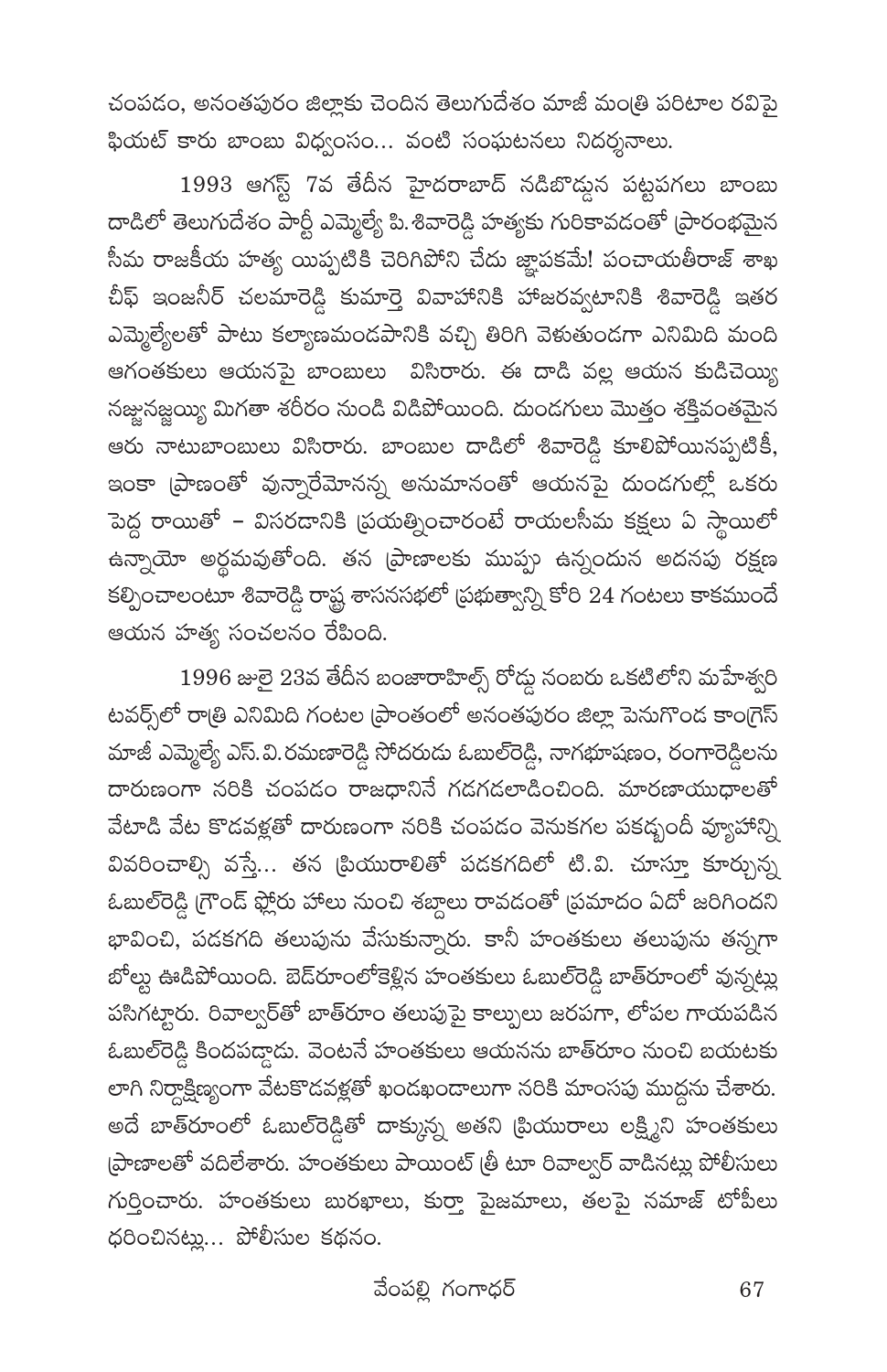చంపడం, అనంతపురం జిల్లాకు చెందిన తెలుగుదేశం మాజీ మంత్రి పరిటాల రవిపై ఫియట్ కారు బాంబు విధ్వంసం... వంటి సంఘటనలు నిదర్శనాలు.

1993 ఆగస్ట్ 7వ తేదీన హైదరాబాద్ నడిబొద్దున పట్టపగలు బాంబు దాడిలో తెలుగుదేశం పార్టీ ఎమ్మెల్యే పి.శివారెడ్డి హత్యకు గురికావడంతో (పారంభమైన .<br>సీమ రాజకీయ హత్య యిప్పటికి చెరిగిపోని చేదు జ్ఞాపకమే! పంచాయతీరాజ్ శాఖ చీఫ్ ఇంజనీర్ చలమారెడ్డి కుమార్తె వివాహానికి హాజరవ్వటానికి శివారెడ్డి ఇతర ఎమ్మెల్యేలతో పాటు కల్యాణమండపానికి వచ్చి తిరిగి వెళుతుండగా ఎనిమిది మంది ఆగంతకులు ఆయనపై బాంబులు విసిరారు. ఈ దాడి వల్ల ఆయన కుడిచెయ్యి నజ్జనజ్జయ్యి మిగతా శరీరం నుండి విడిపోయింది. దుండగులు మొత్తం శక్తివంతమైన ా.<br>ఆరు నాటుబాంబులు విసిరారు. బాంబుల దాడిలో శివారెడ్డి కూలిపోయినప్పటికీ, ఇంకా (పాణంతో వున్నారేమోనన్న అనుమానంతో ఆయనపై దుండగుల్లో ఒకరు పెద్ద రాయితో – విసరడానికి <mark>ప్రయత్నించారంటే రాయలసీమ కక్షలు ఏ స్థాయ</mark>ిలో ఉన్నాయో అర్థమవుతోంది. తన <mark>(పాణాలకు ముప్పు ఉన్నందున అదనపు రక్</mark>షణ కల్పించాలంటూ శివారెడ్డి రాష్ట్ర శాసనసభలో (పథుత్వాన్ని కోరి 24 గంటలు కాకముందే ఆయన హత్య సంచలనం రేపింది.

1996 జులై 23వ తేదీన బంజారాహిల్స్ రోడ్డు నంబరు ఒకటిలోని మహేశ్వరి టవర్స్లలో రాత్రి ఎనిమిది గంటల [పాంతంలో అనంతపురం జిల్లా పెనుగొండ కాం[గెస్ మాజీ ఎమ్మెల్యే ఎస్.వి.రమణారెడ్డి సోదరుడు ఓబుల్రెరెడ్డి, నాగభూషణం, రంగారెడ్డిలను దారుణంగా నరికి చంపడం రాజధానినే గడగడలాడించింది. మారణాయుధాలతో వేటాడి వేట కొడవళ్లతో దారుణంగా నరికి చంపడం వెనుకగల పకడ్బందీ వ్యూహాన్ని వివరించాల్సి వస్తే... తన (పియురాలితో పడకగదిలో టి.వి. చూస్తూ కూర్చున్న ఓబుల్ంెడ్డి గ్రౌండ్ ఫ్లోరు హాలు నుంచి శబ్దాలు రావడంతో (పమాదం ఏదో జరిగిందని భావించి, పడకగది తలుపును వేసుకున్నారు. కానీ హంతకులు తలుపును తన్నగా బోల్లు ఊడిపోయింది. బెడ్రయాంలోకెళ్లిన హంతకులు ఓబుల్ంెడ్డి బాత్రయాంలో వున్నట్లు పసిగట్తారు. రివాల్వర్తో బాత్రాం తలుపుపై కాల్పులు జరపగా, లోపల గాయపడిన ఓబుల్αెడ్డి కిందపడ్తాడు. వెంటనే హంతకులు ఆయనను బాత్రరూం నుంచి బయటకు లాగి నిర్దాక్షిణ్యంగా వేటకొడవళ్లతో ఖండఖందాలుగా నరికి మాంసపు ముద్దను చేశారు. అదే బాత్రాంలో ఓబుల్రెెడ్డితో దాక్కున్న అతని [పియురాలు లక్ష్మిని హంతకులు ప్రాణాలతో వదిలేశారు. హంతకులు పాయింట్ త్రీ టూ రివాల్వర్ వాడినట్లు పోలీసులు గుర్తించారు. హంతకులు బురఖాలు, కురా పైజమాలు, తలపై నమాజ్ టోపీలు ధరించినట్లు... పోలీసుల కథనం.

వేంపల్లి గంగాధర్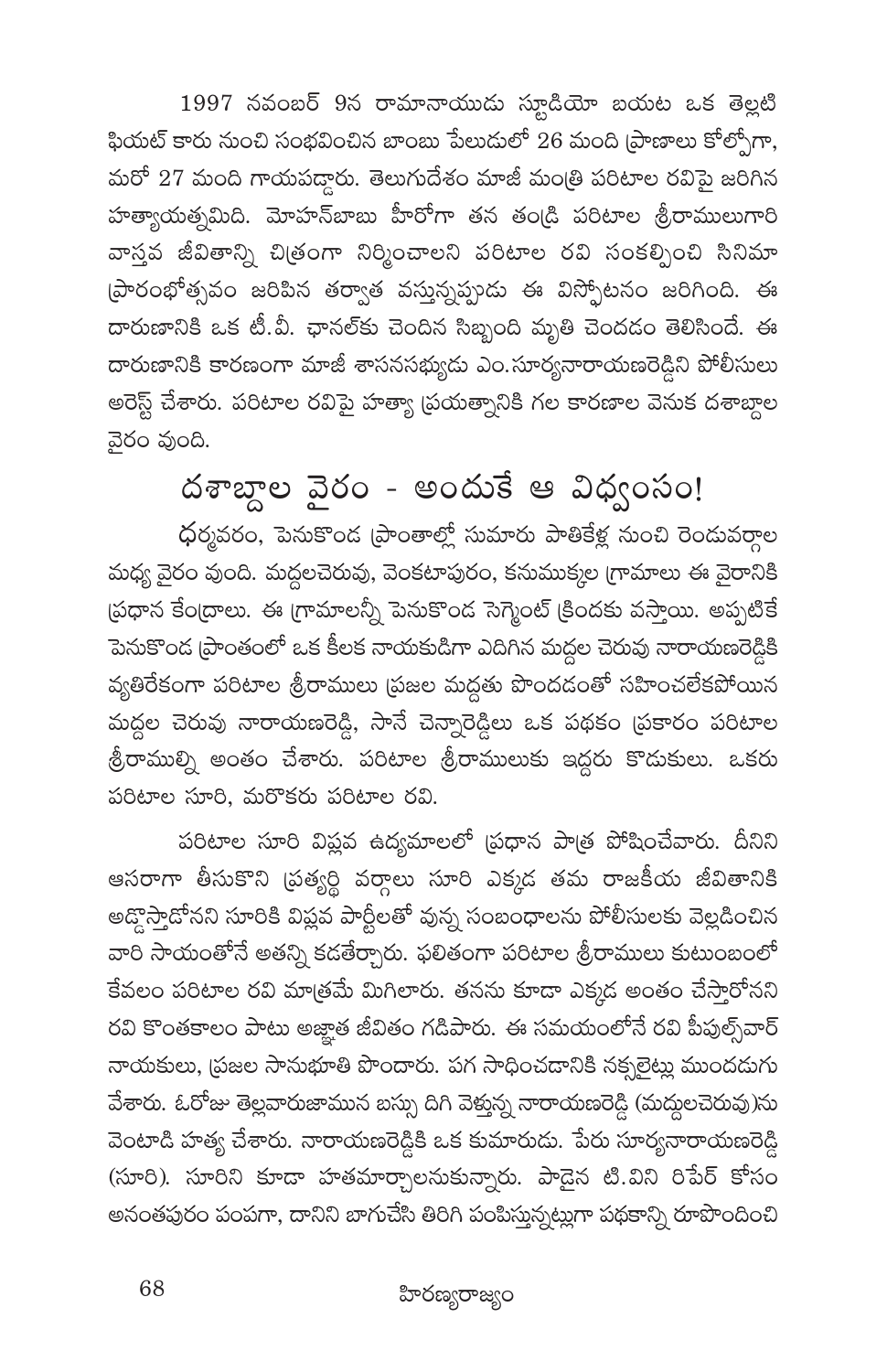1997 నవంబర్ 9న రామానాయుడు స్వూడియో బయట ఒక తెల్లటి ఫియట్ కారు నుంచి సంభవించిన బాంబు పేలుడులో 26 మంది (పాణాలు కోల్పోగా, మరో 27 మంది గాయపడ్డారు. తెలుగుదేశం మాజీ మంత్రి పరిటాల రవిపై జరిగిన హత్యాయత్నమిది. మోహన్ఐాబు హీరోగా తన తండ్రి పరిటాల శ్రీరాములుగారి వాస్తవ జీవితాన్ని చిత్రంగా నిర్మించాలని పరిటాల రవి సంకల్పించి సినిమా ప్రారంభోత్సవం జరిపిన తర్వాత వస్తున్నప్పుడు ఈ విస్పోటనం జరిగింది. ఈ దారుణానికి ఒక టీ.వీ. ఛానల్కు చెందిన సిబ్బంది మృతి చెందడం తెలిసిందే. ఈ దారుణానికి కారణంగా మాజీ శాసనసభ్యుడు ఎం.సూర్యనారాయణరెడ్డిని పోలీసులు అరెస్ట్ చేశారు. పరిటాల రవిపై హత్యా (పయత్నానికి గల కారణాల వెనుక దశాబ్దాల వైరం వుంది.

### దశాబ్దాల వైరం - అందుకే ఆ విధ్వంసం!

 $\acute{\varphi}$ ర్మవరం, పెనుకొండ [పాంతాల్లో సుమారు పాతికేళ్ల నుంచి రెండువర్తాల మధ్య వైరం వుంది. మద్దలచెరువు, వెంకటాపురం, కనుముక్కల (గామాలు ఈ వైరానికి థ్రధాన కేం[దాలు. ఈ [గామాలన్నీ పెనుకొండ సెగ్మెంట్ (కిందకు వస్తాయి. అప్పటికే పెనుకొండ [పాంతంలో ఒక కీలక నాయకుడిగా ఎదిగిన మద్దల చెరువు నారాయణరెడ్డికి వ్యతిరేకంగా పరిటాల శ్రీరాములు (పజల మద్దతు పొందడంతో సహించలేకపోయిన మద్దల చెరువు నారాయణరెడ్డి, సానే చెన్నారెడ్డిలు ఒక పథకం (పకారం పరిటాల .<br>శ్రీరాముల్ని అంతం చేశారు. పరిటాల శ్రీరాములుకు ఇద్దరు కొడుకులు. ఒకరు పరిటాల సూరి, మరొకరు పరిటాల రవి.

పరిటాల సూరి విప్లవ ఉద్యమాలలో (పధాన పాత్ర పోషించేవారు. దీనిని ఆసరాగా తీసుకొని (పత్యర్థి వర్గాలు సూరి ఎక్కడ తమ రాజకీయ జీవితానికి అద్దొస్తాదోనని సూరికి విప్లవ పార్టీలతో వున్న సంబంధాలను పోలీసులకు వెల్లడించిన వారి సాయంతోనే అతన్ని కడతేర్చారు. ఫలితంగా పరిటాల శ్రీరాములు కుటుంబంలో కేవలం పరిటాల రవి మాత్రమే మిగిలారు. తనను కూడా ఎక్కడ అంతం చేస్తారోనని రవి కొంతకాలం పాటు అజ్జాత జీవితం గడిపారు. ఈ సమయంలోనే రవి పీపుల్స్వార్ నాయకులు, ప్రజల సానుభూతి పొందారు. పగ సాధించడానికి నక్సలైట్లు ముందడుగు వేశారు. ఓరోజు తెల్లవారుజామున బస్సు దిగి వెళ్తున్న నారాయణరెడ్డి (మద్దలచెరువు)ను వెంటాడి హత్య చేశారు. నారాయణరెడ్డికి ఒక కుమారుడు. పేరు సూర్యనారాయణరెడ్డి (సూరి). సూరిని కూడా హతమార్చాలనుకున్నారు. పాడైన టి.విని రిపేర్ కోసం అనంతపురం పంపగా, దానిని బాగుచేసి తిరిగి పంపిస్తున్నట్లుగా పథకాన్ని రూపొందించి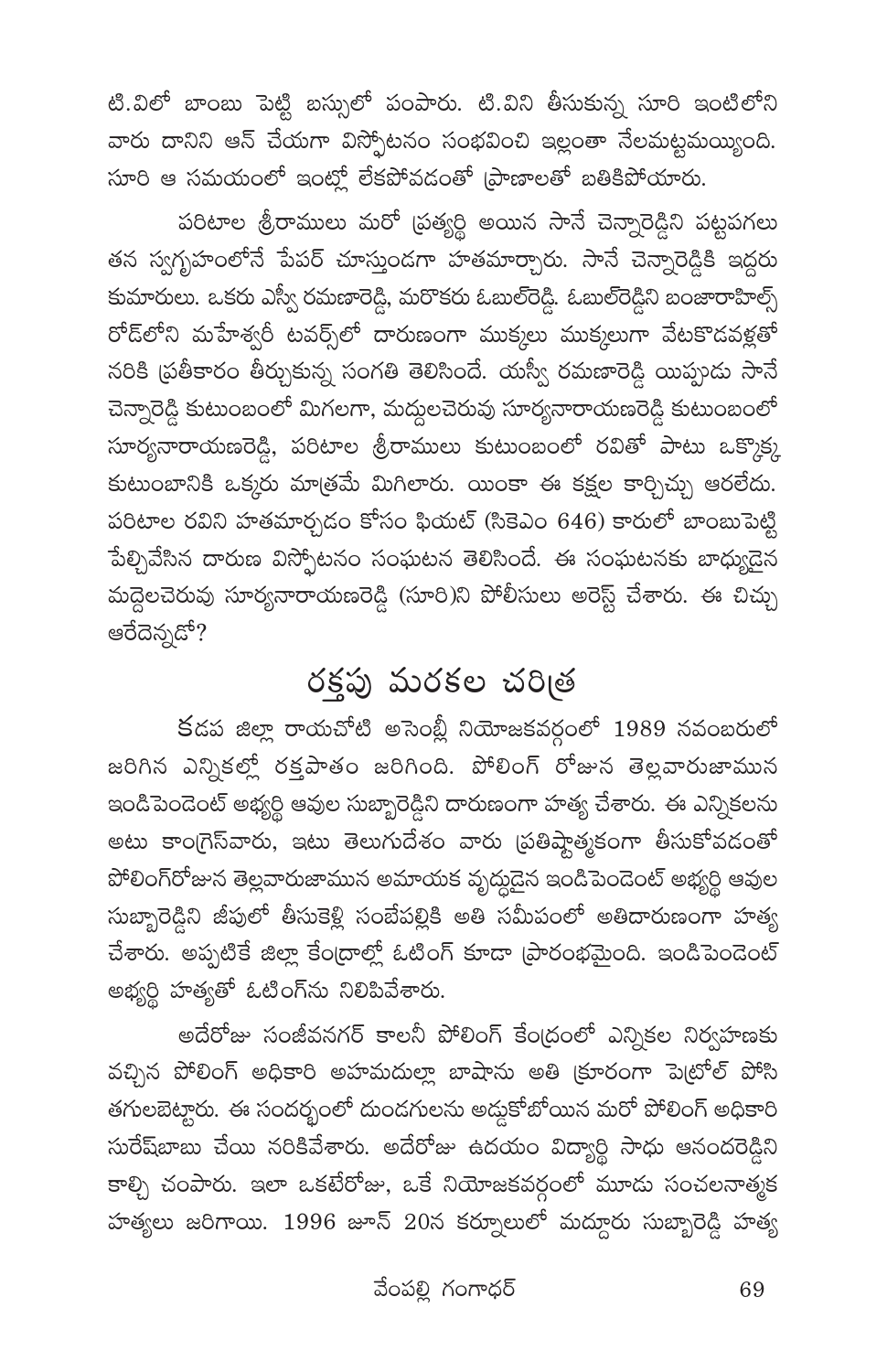టి.విలో బాంబు పెట్టి బస్సులో పంపారు. టి.విని తీసుకున్న సూరి ఇంటిలోని వారు దానిని ఆన్ చేయగా విస్ఫోటనం సంభవించి ఇల్లంతా నేలమట్టమయ్యింది. సూరి ఆ సమయంలో ఇంట్లో లేకపోవడంతో (పాణాలతో బతికిపోయారు.

పరిటాల శ్రీరాములు మరో (పత్యర్థి అయిన సానే చెన్నారెడ్డిని పట్టపగలు తన స్వగృహంలోనే పేపర్ చూస్తుండగా హతమార్చారు. సానే చెన్నారెడ్డికి ఇద్దరు కుమారులు. ఒకరు ఎస్వీ రమణారెడ్డి, మరొకరు ఓబుల్రెెడ్డి. ఓబుల్రెెడ్డిని బంజారాహిల్స్ రోడ్లలోని మహేశ్వరీ టవర్స్లలో దారుణంగా ముక్కలు ముక్కలుగా వేటకొడవళ్లతో నరికి (పతీకారం తీర్చుకున్న సంగతి తెలిసిందే. యస్వీ రమణారెడ్డి యిప్పుడు సానే చెన్నారెడ్డి కుటుంబంలో మిగలగా, మద్దలచెరువు సూర్యనారాయణరెడ్డి కుటుంబంలో సూర్యనారాయణరెడ్డి, పరిటాల శ్రీరాములు కుటుంబంలో రవితో పాటు ఒక్కొక్క కుటుంబానికి ఒక్కరు మాత్రమే మిగిలారు. యింకా ఈ కక్షల కార్చిచ్చు ఆరలేదు. పరిటాల రవిని హతమార్చడం కోసం ఫియట్ (సికెఎం 646) కారులో బాంబుపెట్టి .<br>పేల్చివేసిన దారుణ విస్సోటనం సంఘటన తెలిసిందే. ఈ సంఘటనకు బాధ్యుడైన మద్దెలచెరువు సూర్యనారాయణరెడ్డి (సూరి)ని పోలీసులు అరెస్ట్ చేశారు. ఈ చిచ్చు ఆరేదెన్నదో?

#### రక్షపు మరకల చరిౖత

కడప జిల్లా రాయచోటి అసెంబ్లీ నియోజకవర్గంలో 1989 నవంబరులో జరిగిన ఎన్నికల్లో రక్తపాతం జరిగింది. పోలింగ్ రోజున తెల్లవారుజామున ఇండిపెండెంట్ అభ్యర్థి ఆవుల సుబ్బారెడ్డిని దారుణంగా హత్య చేశారు. ఈ ఎన్నికలను అటు కాంగ్రెస్వారు, ఇటు తెలుగుదేశం వారు (పతిష్ఠాత్మకంగా తీసుకోవడంతో పోలింగ్రోజున తెల్లవారుజామున అమాయక వృద్ధదైన ఇండిపెండెంట్ అభ్యర్థి ఆవుల సుబ్బారెడ్డిని జీపులో తీసుకెళ్లి సంబేపల్లికి అతి సమీపంలో అతిదారుణంగా హత్య చేశారు. అప్పటికే జిల్లా కేం[దాల్లో ఓటింగ్ కూడా [పారంభమైంది. ఇండిపెండెంట్ అభ్యర్థి హత్యతో ఓటింగ్ను నిలిపివేశారు.

అదేరోజు సంజీవనగర్ కాలనీ పోలింగ్ కేంద్రంలో ఎన్నికల నిర్వహణకు వచ్చిన పోలింగ్ అధికారి అహమదుల్లా బాషాను అతి (కూరంగా పెట్రోల్ పోసి తగులబెట్టారు. ఈ సందర్భంలో దుండగులను అద్దుకోబోయిన మరో పోలింగ్ అధికారి సురేష్*బాబు* చేయి నరికివేశారు. అదేరోజు ఉదయం విద్యార్థి సాధు ఆనందరెడ్డిని కాళ్చి చంపారు. ఇలా ఒకటేరోజు, ఒకే నియోజకవర్గంలో మూడు సంచలనాత్మక హత్యలు జరిగాయి. 1996 జూన్ 20న కర్నూలులో మద్దూరు సుబ్బారెడ్డి హత్య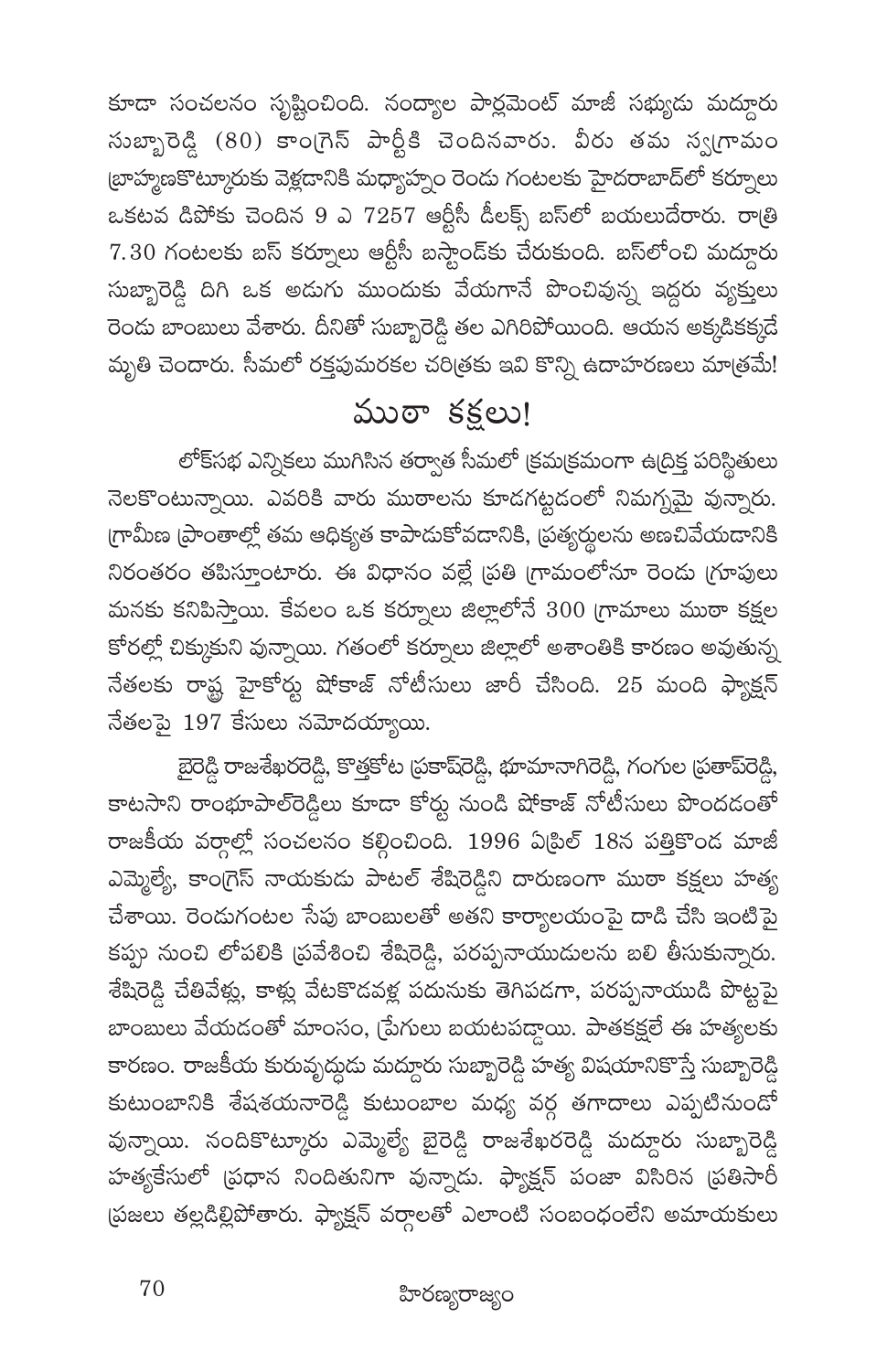కూడా సంచలనం సృష్టించింది. నంద్యాల పార్లమెంట్ మాజీ సభ్యుడు మద్<mark>గా</mark>రు సుబ్బారెడ్డి (80) కాంగ్రెస్ పార్టీకి చెందినవారు. వీరు తమ స్వగ్రామం (బాహ్మణకొట్కూరుకు వెళ్లదానికి మధ్యాహ్నం రెండు గంటలకు హైదరాబాద్లో కర్నూలు ఒకటవ డిపోకు చెందిన 9 ఎ 7257 ఆర్టీసీ డీలక్స్ బస్లో బయలుదేరారు. రాత్రి 7.30 గంటలకు బస్ కర్నూలు ఆర్టీసీ బస్టాండ్కు చేరుకుంది. బస్లోంచి మద్దూరు సుబ్బారెడ్డి దిగి ఒక అడుగు ముందుకు వేయగానే పొంచివున్న ఇద్దరు వ్యక్తులు రెండు బాంబులు వేశారు. దీనితో సుబ్బారెడ్డి తల ఎగిరిపోయింది. ఆయన అక్కడికక్కడే మృతి చెందారు. సీమలో రక్తపుమరకల చరిత్రకు ఇవి కొన్ని ఉదాహరణలు మాత్రమే!

### ముఠా కక్షలు!

లోక్సభ ఎన్నికలు ముగిసిన తర్వాత సీమలో క్రమక్రమంగా ఉద్రిక్త పరిస్థితులు నెలకొంటున్నాయి. ఎవరికి వారు ముఠాలను కూడగట్టడంలో నిమగ్నమై వున్నారు. గ్రామీణ (పాంతాల్లో తమ ఆధికృత కాపాదుకోవదానికి, (పత్యర్థులను అణచివేయదానికి నిరంతరం తపిస్తూంటారు. ఈ విధానం వల్లే (పతి (గామంలోనూ రెండు (గూపులు మనకు కనిపిస్తాయి. కేవలం ఒక కర్నూలు జిల్లాలోనే 300 గ్రామాలు ముఠా కక్షల కోరల్లో చిక్కుకుని వున్నాయి. గతంలో కర్నూలు జిల్లాలో అశాంతికి కారణం అవుతున్న నేతలకు రాష్ట్ర హైకోర్టు షోకాజ్ నోటీసులు జారీ చేసింది. 25 మంది ఫ్యాక్షన్ నేతలపై 197 కేసులు నమోదయ్యాయి.

బైరెడ్డి రాజశేఖరరెడ్డి, కొత్తకోట (పకాష్ెెడ్డి, భూమానాగిరెడ్డి, గంగుల (పతాప్ెెడ్డి, కాటసాని రాంభూపాల్రెెడ్డిలు కూడా కోర్టు నుండి షోకాజ్ నోటీసులు పొందడంతో రాజకీయ వర్గాల్లో సంచలనం కల్గించింది. 1996 ఏట్రిల్ 18న పత్తికొంద మాజీ ఎమ్మెల్యే, కాంగ్రెస్ నాయకుడు పాటల్ శేషిరెడ్డిని దారుణంగా ముఠా కక్షలు హత్య చేశాయి. రెండుగంటల సేపు బాంబులతో అతని కార్యాలయంపై దాడి చేసి ఇంటిపై కప్పు నుంచి లోపలికి (పవేశించి శేషిరెడ్డి, పరప్పనాయుదులను బలి తీసుకున్నారు. శేషిరెడ్డి చేతివేళ్లు, కాళ్లు వేటకొడవళ్ల పదునుకు తెగిపడగా, పరప్పనాయుడి పొట్టపై బాంబులు వేయడంతో మాంసం, (పేగులు బయటపద్దాయి. పాతకక్షలే ఈ హత్యలకు కారణం. రాజకీయ కురువృద్దుడు మద్దూరు సుబ్బారెడ్డి హత్య విషయానికొస్తే సుబ్బారెడ్డి కుటుంబానికి శేషశయనారెడ్డి కుటుంబాల మధ్య వర్గ తగాదాలు ఎప్పటినుండో వున్నాయి. నందికొట్కూరు ఎమ్మెల్యే బైరెడ్డి <mark>రా</mark>జశేఖరరెడ్డి మద్దూరు సుబ్బారెడ్డి హత్యకేసులో (పధాన నిందితునిగా వున్నాడు. ఫ్యాక్షన్ పంజా విసిరిన (పతిసారీ ప్రజలు తల్లడిల్లిపోతారు. ఫ్యాక్షన్ వర్గాలతో ఎలాంటి సంబంధంలేని అమాయకులు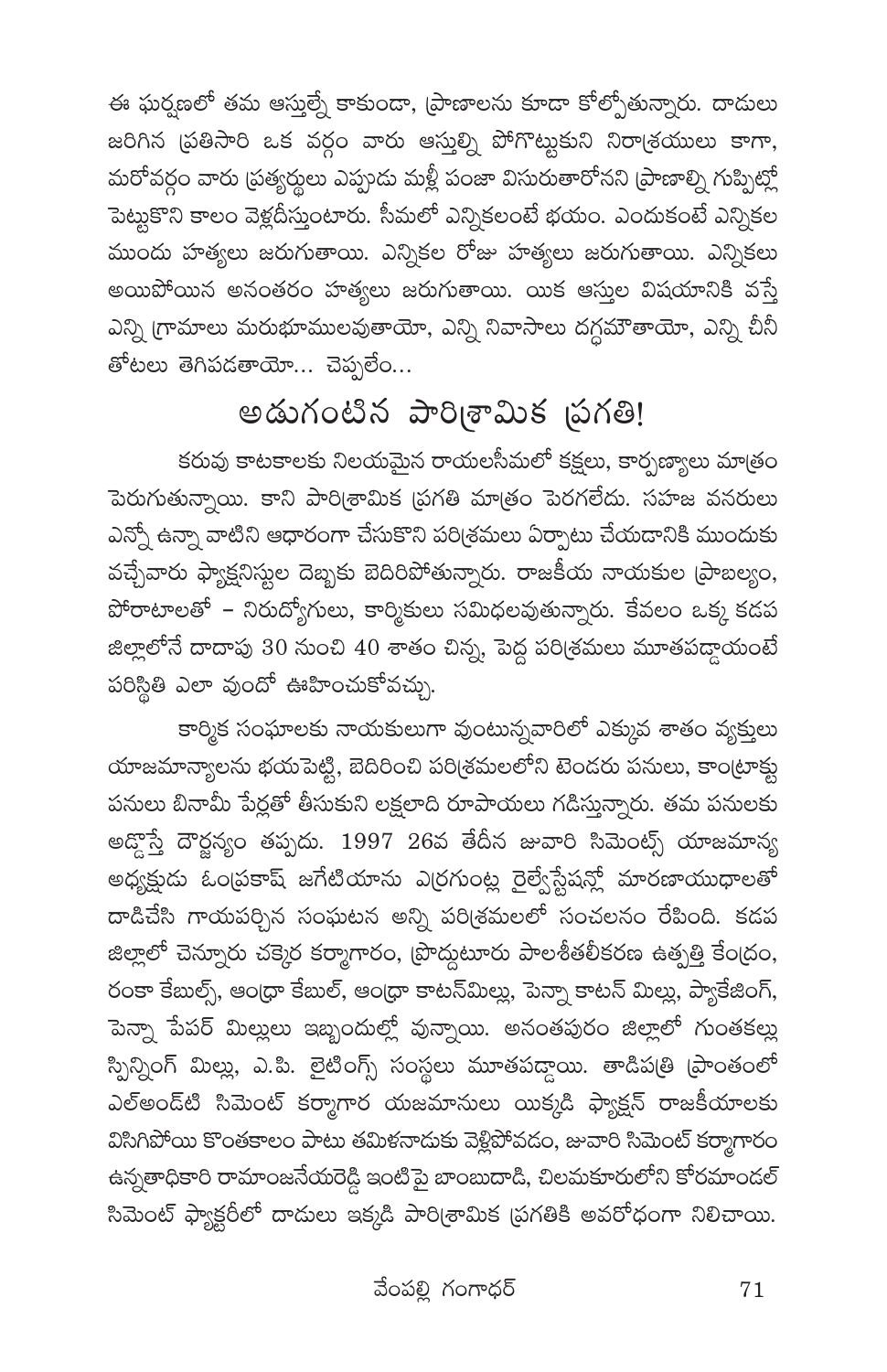ఈ ఘర్షణలో తమ ఆస్తుల్నే కాకుండా, (పాణాలను కూడా కోల్పోతున్నారు. దాడులు జరిగిన (పతిసారి ఒక వర్గం వారు ఆస్తుల్ని పోగొట్టుకుని నిరా(శయులు కాగా, మరోవర్గం వారు (పత్యర్థులు ఎప్పుడు మళ్లీ పంజా విసురుతారోనని (పాణాల్ని గుప్పిట్లో పెట్టుకొని కాలం వెళ్లదీస్తుంటారు. సీమలో ఎన్నికలంటే భయం. ఎందుకంటే ఎన్నికల ముందు హత్యలు జరుగుతాయి. ఎన్నికల రోజు హత్యలు జరుగుతాయి. ఎన్నికలు అయిపోయిన అనంతరం హత్యలు జరుగుతాయి. యిక ఆస్తుల విషయానికి వస్తే ఎన్ని (గామాలు మరుభూములవుతాయో, ఎన్ని నివాసాలు దగ్ధమౌతాయో, ఎన్ని చీనీ తోటలు తెగిపడతాయో... చెప్పలేం...

#### అడుగంటిన పారి(శామిక (పగతి!

కరువు కాటకాలకు నిలయమైన రాయలసీమలో కక్షలు, కార్పణ్యాలు మాత్రం పెరుగుతున్నాయి. కాని పారి<sub>(</sub>శామిక ప్రగతి మాత్రం పెరగలేదు. సహజ వనరులు ఎన్నో ఉన్నా వాటిని ఆధారంగా చేసుకొని పరిశ్రమలు ఏర్పాటు చేయడానికి ముందుకు వచ్చేవారు ఫ్యాక్షనిస్టుల దెబ్బకు బెదిరిపోతున్నారు. రాజకీయ నాయకుల (పాబల్యం, పోరాటాలతో – నిరుద్యోగులు, కార్మికులు సమిధలవుతున్నారు. కేవలం ఒక్క కడప జిల్లాలోనే దాదాపు 30 నుంచి 40 శాతం చిన్న, పెద్ద పరి[శమలు మూతపద్దాయంటే పరిస్థితి ఎలా వుందో ఊహించుకోవచ్చు.

కార్మిక సంఘాలకు నాయకులుగా వుంటున్నవారిలో ఎక్కువ శాతం వ్యక్తులు యాజమాన్యాలను భయపెట్టి, బెదిరించి పరి(శమలలోని టెండరు పనులు, కాం(టాక్టు పనులు బినామీ పేర్లతో తీసుకుని లక్షలాది రూపాయలు గడిస్తున్నారు. తమ పనులకు అడ్డొస్తే దౌర్జన్యం తప్పదు. 1997 26వ తేదీన జువారి సిమెంట్స్ యాజమాన్య అధ్యక్షుడు ఓం[పకాష్ జగేటియాను ఎ(రగుంట్ల రైల్వేస్టేషన్లో మారణాయుధాలతో దాడిచేసి గాయపర్చిన సంఘటన అన్ని పరి(శమలలో సంచలనం రేపింది. కడప జిల్లాలో చెన్నూరు చక్కెర కర్మాగారం, (పొద్దటూరు పాలశీతలీకరణ ఉత్పత్తి కేం[దం, రంకా కేబుల్స్, ఆంధ్రా కేబుల్, ఆంధ్రా కాటన్మిట్లు, పెన్నా కాటన్ మిల్లు, ప్యాకేజింగ్, పెన్నా పేపర్ మిల్లులు ఇబ్బందుల్లో వున్నాయి. అనంతపురం జిల్లాలో గుంతకల్లు స్పిన్నింగ్ మిల్లు, ఎ.పి. లైటింగ్స్ సంస్థలు మూతపద్దాయి. తాడిప(తి [పాంతంలో ఎల్అంద్టి సిమెంట్ కర్మాగార యజమానులు యిక్కడి ఫ్యాక్షన్ రాజకీయాలకు విసిగిపోయి కొంతకాలం పాటు తమిళనాదుకు వెళ్లిపోవడం, జువారి సిమెంట్ కర్మాగారం ఉన్నతాధికారి రామాంజనేయరెడ్డి ఇంటిపై బాంబుదాడి, చిలమకూరులోని కోరమాండల్ సిమెంట్ ఫ్యాక్టరీలో దాదులు ఇక్కడి పారి(శామిక (పగతికి అవరోధంగా నిలిచాయి.

వేంపల్లి గంగాధర్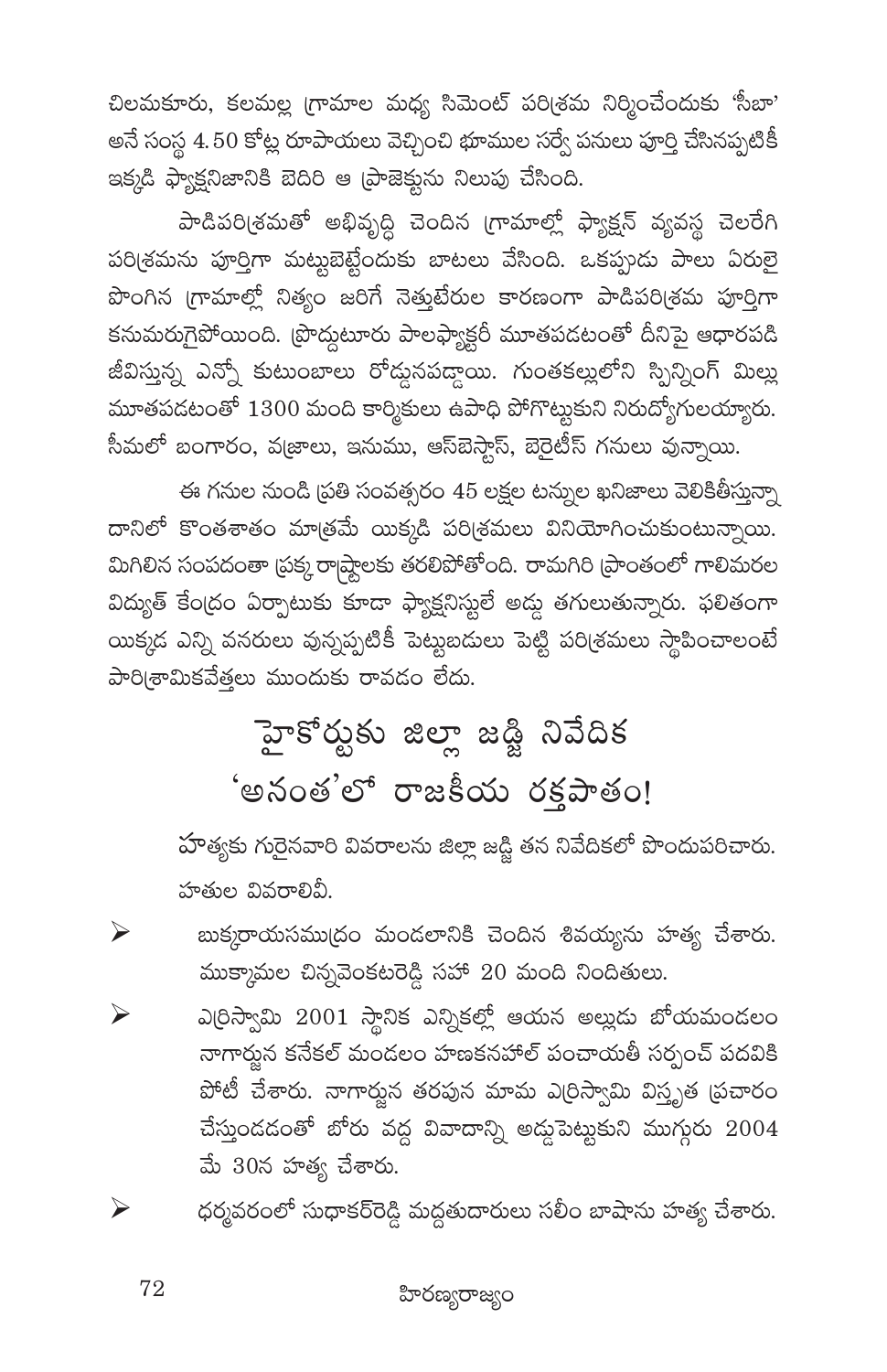చిలమకూరు, కలమల్ల (గామాల మధ్య సిమెంట్ పరి<sub>(</sub>శమ నిర్మించేందుకు 'సీబా' అనే సంస్థ 4.50 కోట్ల రూపాయలు వెచ్చించి భూముల సర్వే పనులు పూర్తి చేసినప్పటికీ ఇక్కడి ఫ్యాక్షనిజానికి బెదిరి ఆ (పాజెక్టును నిలుపు చేసింది.

పాడిపరి(శమతో అభివృద్ధి చెందిన (గామాల్లో ఫ్యాక్షన్ వ్యవస్థ చెలరేగి పరి<sub>(</sub>శమను పూర్తిగా మట్టబెట్టేందుకు బాటలు వేసింది. ఒకప్పుడు పాలు ఏరులై పొంగిన గ్రామాల్లో నిత్యం జరిగే నెత్తుటేరుల కారణంగా పాడిపరి(శమ పూర్తిగా ...<br>కనుమరుగైపోయింది. [పొద్దటూరు పాలఫ్యాక్టరీ మూతపడటంతో దీనిపై ఆధారపడి .<br>జీవిస్తున్న ఎన్నో కుటుంబాలు రోడ్డునపడ్తాయి. గుంతకల్లులోని స్పిన్నింగ్ మిల్లు మూతపడటంతో 1300 మంది కార్మికులు ఉపాధి పోగొట్టుకుని నిరుద్యోగులయ్యారు. సీమలో బంగారం, వ(జాలు, ఇనుము, ఆస్ఐెస్టాస్, బెరైటీస్ గనులు వున్నాయి.

ఈ గనుల నుండి ప్రతి సంవత్సరం 45 లక్షల టస్నుల ఖనిజాలు వెలికితీస్తున్నా దానిలో కొంతశాతం మాత్రమే యిక్కడి పరి(శమలు వినియోగించుకుంటున్నాయి. మిగిలిన సంపదంతా ప్రక్కరాాష్ట్రాలకు తరలిపోతోంది. రామగిరి [పాంతంలో గాలిమరల విద్యుత్ కేంద్రం ఏర్పాటుకు కూడా ఫ్యాక్షనిస్టులే అద్దు తగులుతున్నారు. ఫలితంగా యిక్కడ ఎన్ని వనరులు వున్నప్పటికీ పెట్టుబడులు పెట్టి పరి(శమలు స్థాపించాలంటే పారి(శామికవేత్తలు ముందుకు రావడం లేదు.

## ెవ్రాకోర్టుకు జిల్లా జడ్జి నివేదిక 'అనంత'లో రాజకీయ రక్తపాతం!

హత్యకు గురైనవారి వివరాలను జిల్లా జడ్జి తన నివేదికలో పొందుపరిచారు. హతుల వివరాలివీ.

- ➤ బుక్కరాయసముద్రం మండలానికి చెందిన శివయ్యను హత్య చేశారు. ముక్కామల చిన్నవెంకటరెడ్డి సహా 20 మంది నిందితులు.
- ఎ(రిస్వామి  $2001$  స్థానిక ఎన్నికల్లో ఆయన అల్లుడు బోయమండలం ⋗ నాగార్లున కనేకల్ మండలం హణకనహాల్ పంచాయతీ సర్పంచ్ పదవికి పోటీ చేశారు. నాగార్జున తరపున మామ ఎ(రిస్వామి విస్తృత (పచారం చేసుందడంతో బోరు వద్ద వివాదాన్ని అద్దుపెట్టుకుని ముగ్గురు  $2004$ మే 30న హత్య చేశారు.
- ధర్మవరంలో సుధాకర్ెెడ్డి మద్దతుదారులు సలీం బాషాను హత్య చేశారు. ➢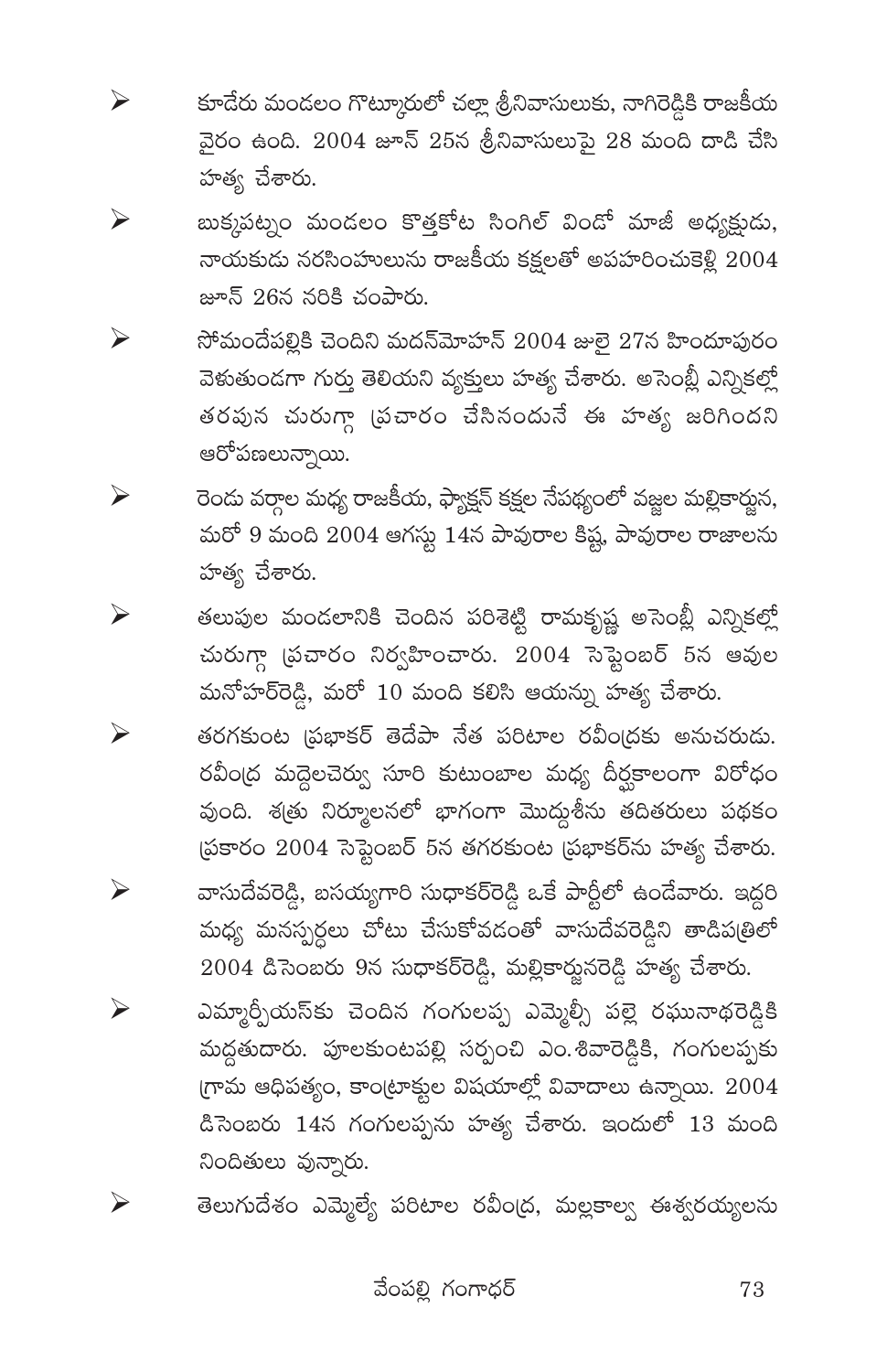- కూడేరు మండలం గొట్కూరులో చల్లా శ్రీనివాసులుకు, నాగిరెడ్డికి రాజకీయ ➤ వైరం ఉంది.  $2004$  జూన్  $25\check{a}$  శ్రీనివాసులుపై  $28$  మంది దాడి చేసి హత్య చేశారు.
- బుక్కపట్నం మండలం కొత్తకోట సింగిల్ విండో మాజీ అధ్యక్షుడు, ↘ నాయకుడు నరసింహులును రాజకీయ కక్షలతో అపహరించుకెళ్లి  $2004$ జూన్ 26న నరికి చంపారు.
- సోమందేపల్లికి చెందిని మదన్**మోహన్ 2004 జులై 27న హిందూపురం** వెళుతుండగా గుర్తు తెలియని వ్యక్తులు హత్య చేశారు. అసెంబ్లీ ఎన్నికల్లో తరపున చురుగా్త (పచారం చేసినందునే ఈ హత్య జరిగిందని ఆరోపణలున్నాయి.
- రెందు వర్గాల మధ్య రాజకీయ, ఫ్యాక్షన్ కక్షల నేపథ్యంలో వజ్జల మల్లికార్జున, ➤ మరో 9 మంది 2004 ఆగస్టు 14న పావురాల కిష్ట, పావురాల రాజాలను హత్య చేశారు.
- తలుపుల మండలానికి చెందిన పరిశెట్టి రామకృష్ణ అసెంబ్లీ ఎన్నికల్లో ➤ చురుగ్గా (ప్రచారం నిర్వహించారు. 2004 సెప్టెంబర్ 5న ఆవుల మనోహర్రెెడ్డి, మరో 10 మంది కలిసి ఆయన్ను హత్య చేశారు.
- తరగకుంట (పభాకర్ తెదేపా నేత పరిటాల రవీం(దకు అనుచరుడు. ⋗ రవీంద్ర మద్దెలచెర్వు సూరి కుటుంబాల మధ్య దీర్ఘకాలంగా విరోధం వుంది. శత్ు నిర్మూలనలో భాగంగా మొద్దశీను తదితరులు పథకం స్రకారం 2004 సెప్టెంబర్ 5న తగరకుంట స్రభాకర్ను హత్య చేశారు.
- వాసుదేవరెడ్డి, బసయ్యగారి సుధాకర్**రెడ్డి ఒకే పార్టీలో ఉండేవారు. ఇద్దరి** ➢ మధ్య మనస్పర్గలు చోటు చేసుకోవడంతో వాసుదేవరెడ్డిని తాడిపఱ్రిలో  $2004$  డిసెంబరు 9న సుధాకర్ెెండ్డి, మల్లికార్జునరెడ్డి హత్య చేశారు.
- ఎమ్మార్పీయస్కు చెందిన గంగులప్ప ఎమ్మెల్సీ పల్లె రఘునాథరెడ్డికి ➢ మద్దతుదారు. పూలకుంటపల్లి సర్పంచి ఎం.శివారెడ్డికి, గంగులప్పకు  $[$ గామ ఆధిపత్యం, కాం(టాక్లుల విషయాల్లో వివాదాలు ఉన్నాయి.  $2004$ డిసెంబరు 14న గంగులప్పను హత్య చేశారు. ఇందులో 13 మంది నిందితులు వున్నారు.
- తెలుగుదేశం ఎమ్మెల్యే పరిటాల రవీంద్ర, మల్లకాల్వ ఈశ్వరయ్యలను ⋗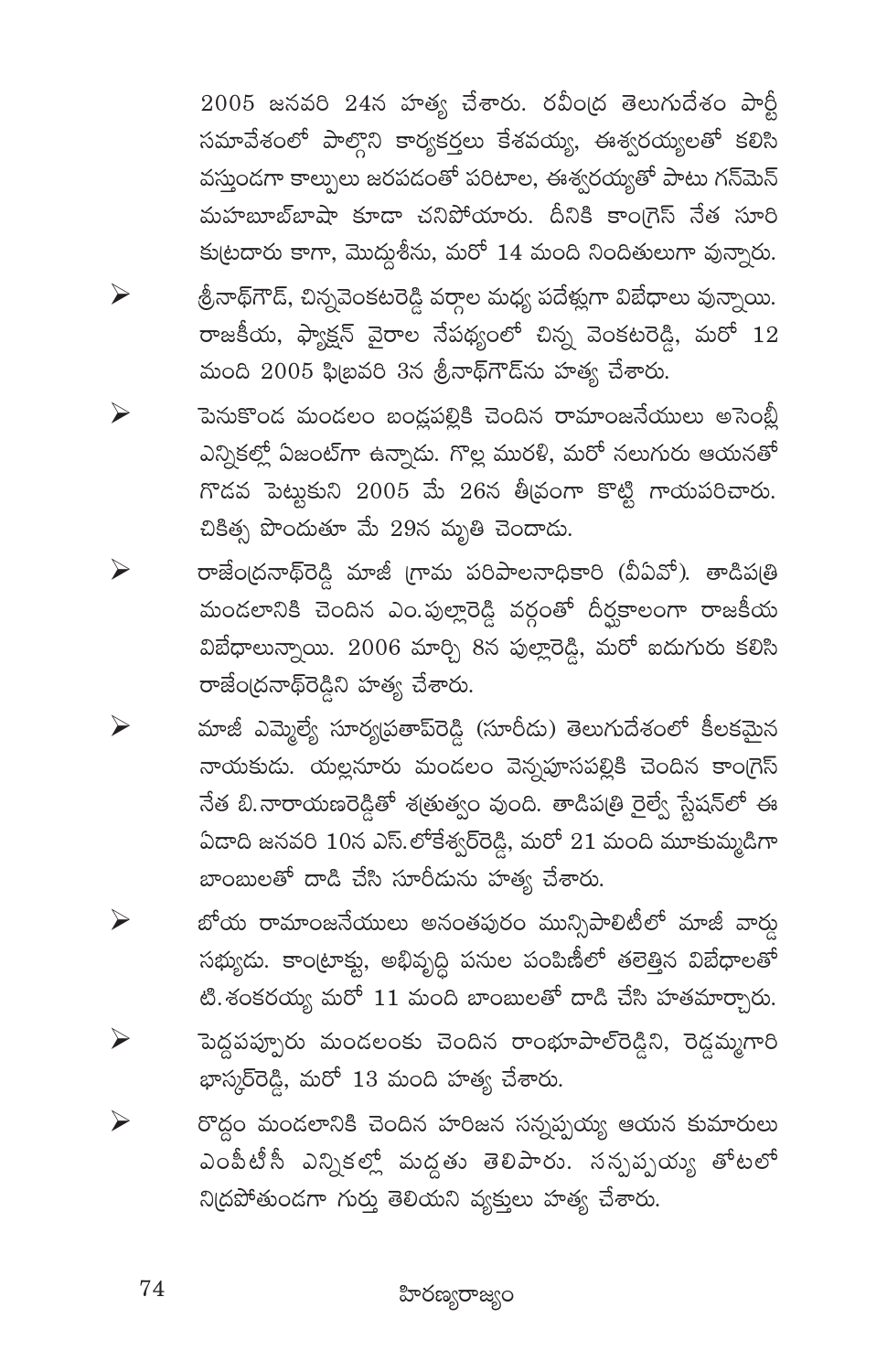$2005$  జనవరి  $24\%$  హత్య చేశారు. రవీం(ద తెలుగుదేశం పార్టీ సమావేశంలో పాల్గొని కార్యకర్తలు కేశవయ్య, ఈశ్వరయ్యలతో కలిసి వస్తుండగా కాల్పులు జరపడంతో పరిటాల, ఈశ్వరయ్యతో పాటు గన్మెన్ మహబూబ్బాషా కూడా చనిపోయారు. దీనికి కాంగ్రెస్ నేత సూరి కుట్రదారు కాగా, మొద్దశీను, మరో 14 మంది నిందితులుగా వున్నారు.

- .<br>త్రీనాథ్గౌ్డ్, చిన్నవెంకటరెడ్డి వర్గాల మధ్య పదేళ్లుగా విబేధాలు వున్నాయి. ➤ రాజకీయ, ఫ్యాక్షన్ వైరాల నేపథ్యంలో చిన్న వెంకటరెడ్డి, మరో  $12$ మంది 2005 ఫిట్రవరి 3న శ్రీనాథ్గౌద్ను హత్య చేశారు.
- పెనుకొండ మండలం బండ్లపల్లికి చెందిన రామాంజనేయులు అసెంబ్లీ ➤ ఎన్నికల్లో ఏజంట్గా ఉన్నాడు. గొల్ల మురళి, మరో నలుగురు ఆయనతో గొడవ పెట్టుకుని 2005 మే 26న తీమంగా కొట్టి గాయపరిచారు. చికిత్స పొందుతూ మే 29న మృతి చెందాడు.
- రాజేంద్రనాథ్రెెడ్డి మాజీ గ్రామ పరిపాలనాధికారి (వీఏవో). తాడిపత్రి ↘ మండలానికి చెందిన ఎం.పుల్లారెడ్డి వర్గంతో దీర్ఘకాలంగా రాజకీయ విబేధాలున్నాయి. 2006 మార్చి 8న పుల్లారెడ్డి, మరో ఐదుగురు కలిసి రాజేంద్రనాథ్రెెడ్డిని హత్య చేశారు.
- మాజీ ఎమ్మెల్యే సూర్యప్రతాప్౦ెడ్డి (సూరీడు) తెలుగుదేశంలో కీలకమైన ↘ నాయకుడు. యల్లనూరు మండలం వెన్నపూసపల్లికి చెందిన కాంగ్రెస్ నేత బి.నారాయణరెడ్డితో శ(తుత్వం వుంది. తాడిప(తి రైల్వే స్టేషన్లో ఈ ఏడాది జనవరి 10న ఎస్.లోకేశ్వర్ెెడ్డి, మరో 21 మంది మూకుమ్మడిగా బాంబులతో దాడి చేసి సూరీదును హత్య చేశారు.
- బోయ రామాంజనేయులు అనంతపురం మున్సిపాలిటీలో మాజీ వార్డు ➤ సభ్యుడు. కాం(టాక్టు, అభివృద్ధి పనుల పంపిణీలో తలె<u>త్తి</u>న విబేధాలతో టి.శంకరయ్య మరో 11 మంది బాంబులతో దాడి చేసి హతమార్చారు.
- పెద్దపప్పూరు మండలంకు చెందిన రాంభూపాల్5ెడ్డిని, రెడ్డమ్మగారి ⋗ భాస్కర్5ెడ్డి, మరో 13 మంది హత్య చేశారు.
- రొద్దం మండలానికి చెందిన హరిజన సన్నప్పయ్య ఆయన కుమారులు  $\blacktriangleright$ ఎంపీటీసీ ఎన్నికల్లో మద్దతు తెలిపారు. సన్నప్పయ్య తోటలో నిద్రపోతుండగా గుర్తు తెలియని వ్యక్తులు హత్య చేశారు.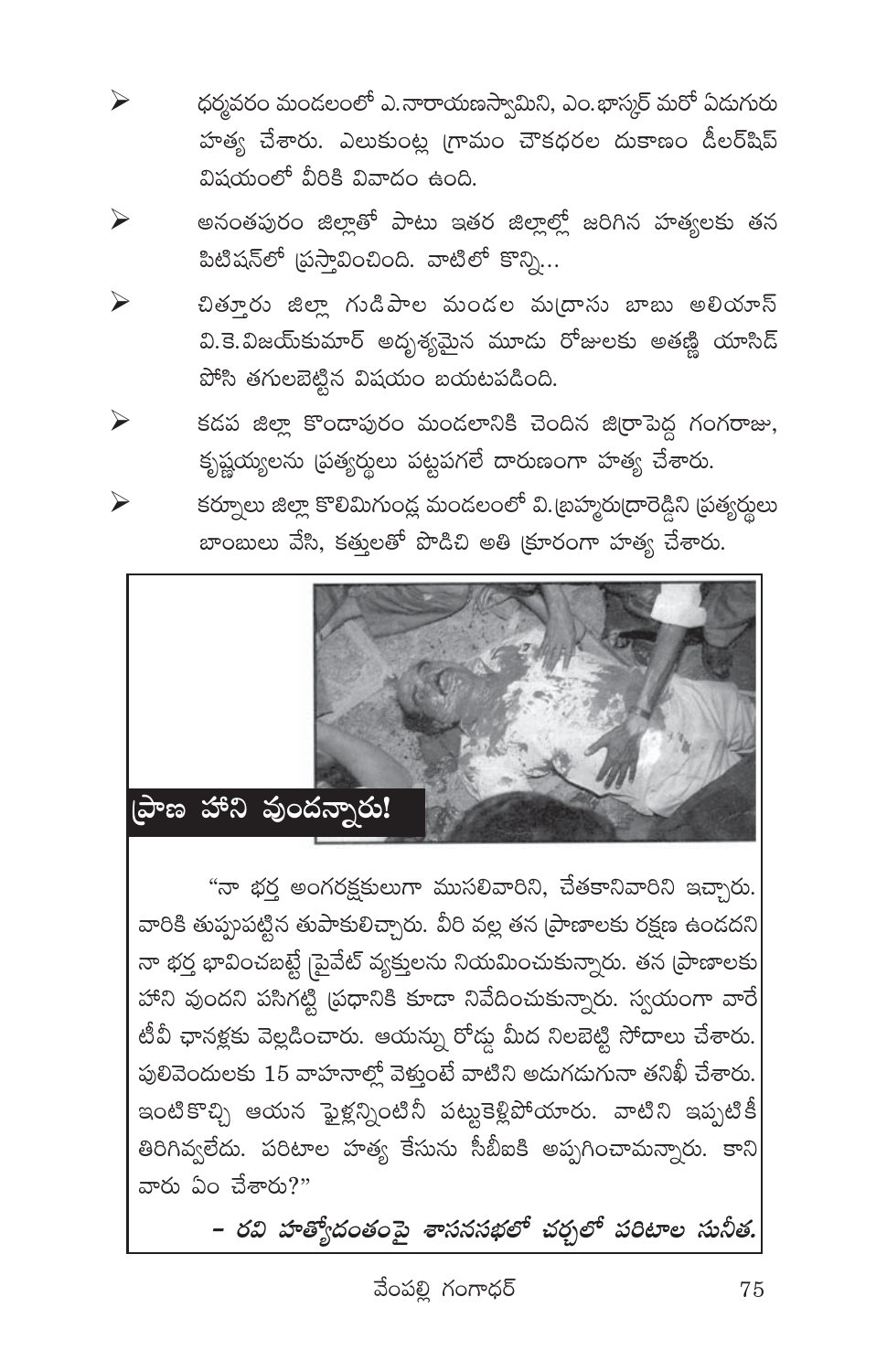- ➤ ధర్మవరం మండలంలో ఎ.నారాయణస్వామిని, ఎం.భాస్కర్ మరో ఏదుగురు హత్య చేశారు. ఎలుకుంట్ల గ్రామం చౌకధరల దుకాణం డీలర్ష్మిప్ విషయంలో వీరికి వివాదం ఉంది.
- అనంతపురం జిల్లాతో పాటు ఇతర జిల్లాల్లో జరిగిన హత్యలకు తన పిటిషన్లో (ప్రస్తావించింది. వాటిలో కొన్ని...
- చితూరు జిల్లా గుడిపాల మండల మ(దాసు బాబు అలియాస్ వి.కె.విజయ్కుమార్ అదృశ్యమైన మూడు రోజులకు అతణ్ణి యాసిద్ పోసి తగులబెట్టిన విషయం బయటపడింది.
- కడప జిల్లా కొండాపురం మండలానికి చెందిన జిర్రాపెద్ద గంగరాజు, కృష్ణయ్యలను (పత్యర్థులు పట్టపగలే దారుణంగా హత్య చేశారు.
- కర్నూలు జిల్లా కొలిమిగుండ్ల మండలంలో వి.బ్రహ్మరుద్రారెడ్డిని (పత్యర్థులు ⋗ బాంబులు వేసి, కత్తులతో పొడిచి అతి క్రూరంగా హత్య చేశారు.



"నా భర్త అంగరక్షకులుగా ముసలివారిని, చేతకానివారిని ఇచ్చారు. వారికి తుప్పుపట్టిన తుపాకులిచ్చారు. వీరి వల్ల తన (పాణాలకు రక్షణ ఉండదని నా భర్త భావించబట్టే [పైవేట్ వ్యక్తులను నియమించుకున్నారు. తన [పాణాలకు హాని వుందని పసిగట్టి (ప్రధానికి కూడా నివేదించుకున్నారు. స్వయంగా వారే టీవీ ఛానళ్లకు వెల్లడించారు. ఆయన్ను రోడ్డు మీద నిలబెట్టి సోదాలు చేశారు. పులివెందులకు 15 వాహనాల్తో వెక్తుంటే వాటిని అదుగదుగునా తనిఖీ చేశారు. ఇంటికొచ్చి ఆయన ఫైళ్లన్నింటినీ పట్లుకెళ్లిపోయారు. వాటిని ఇప్పటికీ $\mid$ .<br>తిరిగివ్వలేదు. పరిటాల హత్య కేసును సీబీఐకి అప్పగించామన్నారు. కాని వారు ఏం చేశారు?"

- రవి హత్యోదంతంపై శాసనసభలో చర్చలో పరిటాల సునీత.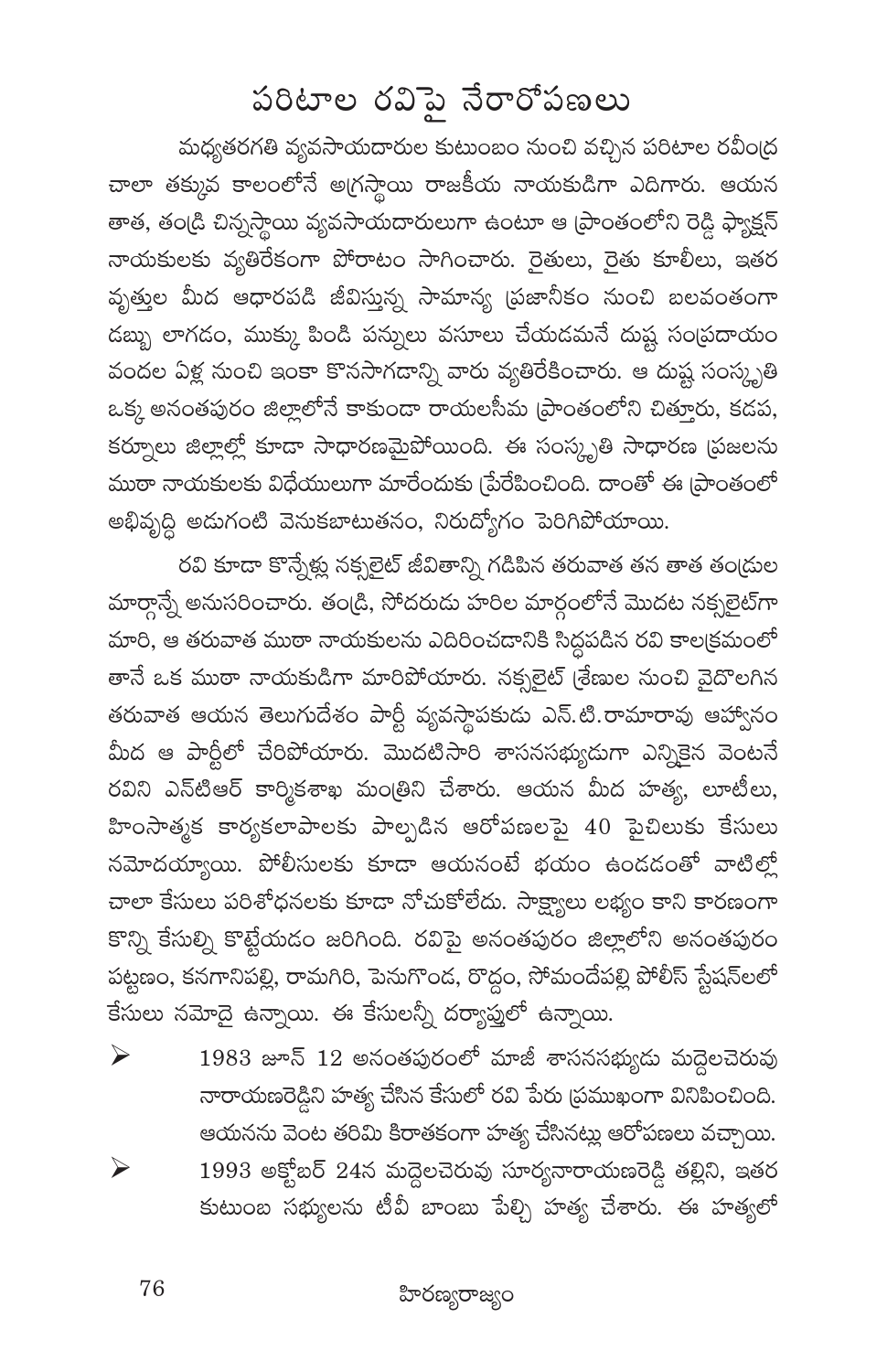#### పరిటాల రవిపై నేరారోపణలు

మధ్యతరగతి వ్యవసాయదారుల కుటుంబం నుంచి వచ్చిన పరిటాల రవీంద్ర తాత, తండ్రి చిన్నస్థాయి వ్యవసాయదారులుగా ఉంటూ ఆ <mark>ప్రాంతంలోని రెడ్డి ఫ్యాక్ష</mark>న్ నాయకులకు వ్యతిరేకంగా పోరాటం సాగించారు. రైతులు, రైతు కూలీలు, ఇతర వృత్తుల మీద ఆధారపడి జీవిస్తున్న సామాన్య (పజానీకం నుంచి బలవంతంగా డబ్బు లాగడం, ముక్కు పిండి పన్నులు వసూలు చేయడమనే దుష్ట సం[పదాయం వందల ఏళ్ల నుంచి ఇంకా కొనసాగదాన్ని వారు వ్యతిరేకించారు. ఆ దుష్ట సంస్కృతి ఒక్క అనంతపురం జిల్లాలోనే కాకుండా రాయలసీమ [పాంతంలోని చిత్తూరు, కడప, కర్నూలు జిల్లాల్లో కూడా సాధారణమైపోయింది. ఈ సంస్కృతి సాధారణ (పజలను ముఠా నాయకులకు విధేయులుగా మారేందుకు [పేరేపించింది. దాంతో ఈ [పాంతంలో అభివృద్ధి అదుగంటి వెనుకబాటుతనం, నిరుద్యోగం పెరిగిపోయాయి.

రవి కూడా కొన్నేళ్లు నక్సలైట్ జీవితాన్ని గడిపిన తరువాత తన తాత తం్డుల మార్గాన్నే అనుసరించారు. తండ్రి, సోదరుడు హరిల మార్గంలోనే మొదట నక్సలైట్గా మారి, ఆ తరువాత ముఠా నాయకులను ఎదిరించడానికి సిద్ధపడిన రవి కాల(కమంలో తానే ఒక ముఠా నాయకుడిగా మారిపోయారు. నక్సలైట్ (శేణుల నుంచి వైదొలగిన తరువాత ఆయన తెలుగుదేశం పార్టీ వ్యవస్థాపకుడు ఎస్.టి.రామారావు ఆహ్వానం మీద ఆ పార్టీలో చేరిపోయారు. మొదటిసారి శాసనసభ్యు<mark>డుగా ఎన్నికైన వెంటనే</mark> రవిని ఎన్టిఆర్ కార్మికశాఖ మంత్రిని చేశారు. ఆయన మీద హత్య, లూటీలు, హింసాత్మక కార్యకలాపాలకు పాల్పడిన ఆరోపణలపై 40 పైచిలుకు కేసులు నమోదయ్యాయి. పోలీసులకు కూడా ఆయనంటే భయం ఉందడంతో వాటిల్లో .<br>చాలా కేసులు పరిశోధనలకు కూడా నోచుకోలేదు. సాక్ష్యాలు లభ్యం కాని కారణంగా కొన్ని కేసుల్ని కొట్టేయడం జరిగింది. రవిపై అనంతపురం జిల్లాలోని అనంతపురం పట్టణం, కనగానిపల్లి, రామగిరి, పెనుగొండ, రొద్దం, సోమందేపల్లి పోలీస్ స్టేషన్లలో కేసులు నమోదై ఉన్నాయి. ఈ కేసులన్నీ దర్యాప్తులో ఉన్నాయి.

- $1983$  జూన్  $12$  అనంతపురంలో మాజీ శాసనసభ్యుడు మద్దెలచెరువు ➤ నారాయణరెడ్డిని హత్య చేసిన కేసులో రవి పేరు (ప్రముఖంగా వినిపించింది. ఆయనను వెంట తరిమి కిరాతకంగా హత్య చేసినట్లు ఆరోపణలు వచ్చాయి.
- 1993 అక్భోబర్ 24న మద్దెలచెరువు సూర్యనారాయణరెడ్డి తల్లిని, ఇతర ➤ కుటుంబ సభ్యులను టీవీ బాంబు పేల్చి హత్య చేశారు. ఈ హత్యలో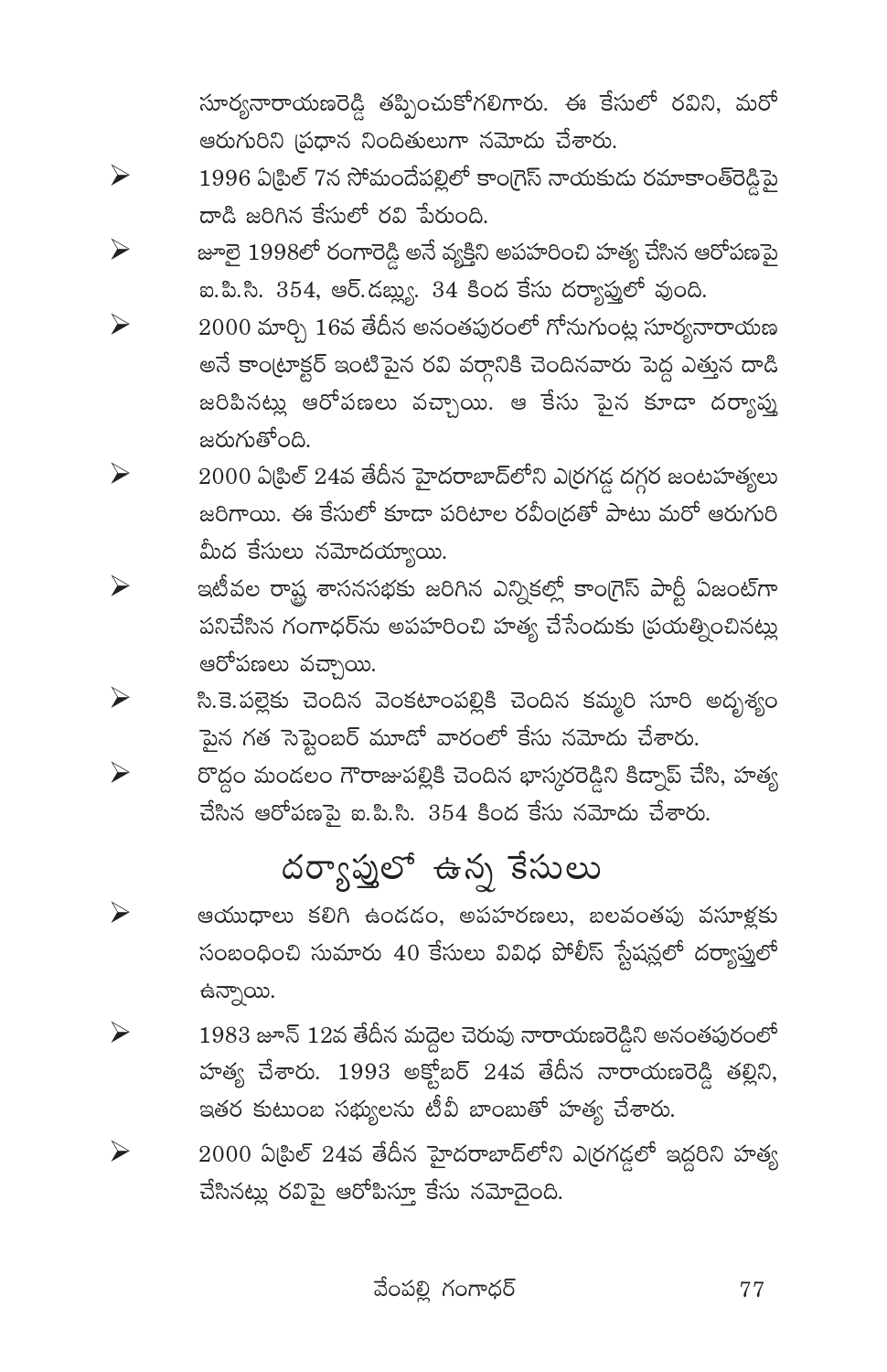సూర్యనారాయణరెడ్డి తప్పించుకోగలిగారు. ఈ కేసులో రవిని, మరో ఆరుగురిని ప్రధాన నిందితులుగా నమోదు చేశారు.

- 1996 ఏ[ిల్ 7న సోమందేపల్లిలో కాంగ్రెస్ నాయకుడు రమాకాంత్రెెడ్డిపై ➤ దాడి జరిగిన కేసులో రవి పేరుంది.
- జూలై 1998లో రంగారెడ్డి అనే వ్యక్తిని అపహరించి హత్య చేసిన ఆరోపణపై ⋗ ఐ.పి.సి. 354, ఆర్.దబ్ల్య. 34 కింద కేసు దర్యాప్తులో వుంది.
- $2000$  మార్చి  $16$ వ తేదీన అనంతపురంలో గోనుగుంట్ల సూర్యనారాయణ ⋗ అనే కాంట్రాక్టర్ ఇంటిపైన రవి వర్గానికి చెందినవారు పెద్ద ఎత్తున దాడి జరిపినట్లు ఆరోపణలు వచ్చాయి. ఆ కేసు పైన కూడా దర్యాప్తు జరుగుతోంది.
- 2000 ఏట్రిల్ 24వ తేదీన హైదరాబాద్లోని ఎర్రగడ్డ దగ్గర జంటహత్యలు ➤ జరిగాయి. ఈ కేసులో కూడా పరిటాల రవీం(దతో పాటు మరో ఆరుగురి మీద కేసులు నమోదయ్యాయి.
- ఇటీవల రాష్ట్ర శాసనసభకు జరిగిన ఎన్నికల్లో కాంగ్రెస్ పార్టీ ఏజంట్గా ➤ పనిచేసిన గంగాధర్ను అపహరించి హత్య చేసేందుకు (పయత్నించినట్లు ఆరోపణలు వచ్చాయి.
- సి.కె.పల్లెకు చెందిన వెంకటాంపల్లికి చెందిన కమ్మరి సూరి అదృశ్యం పైన గత సెప్టెంబర్ మూడో వారంలో కేసు నమోదు చేశారు.
- రొద్దం మండలం గౌరాజుపల్లికి చెందిన భాస్కరరెడ్డిని కిద్నాప్ చేసి, హత్య ➢ చేసిన ఆరోపణపై ఐ.పి.సి. 354 కింద కేసు నమోదు చేశారు.

## దర్యాప్తులో ఉన్న కేసులు

- ఆయుధాలు కలిగి ఉండడం, అపహరణలు, బలవంతపు వసూళ్లకు ➤ సంబంధించి సుమారు 40 కేసులు వివిధ పోలీస్ స్టేషన్లలో దర్యాప్తులో ఉన్నాయి.
- $1983$  జూన్  $12$ వ తేదీన మద్దెల చెరువు నారాయణరెడ్డిని అనంతపురంలో హత్య చేశారు. 1993 అక్టోబర్ 24వ తేదీన నారాయణరెడ్డి తల్లిని, ఇతర కుటుంబ సభ్యులను టీవీ బాంబుతో హత్య చేశారు.
- 2000 ఏటిల్ 24వ తేదీన హైదరాబాద్లోని ఎర్రగడ్డలో ఇద్దరిని హత్య ➤ చేసినట్లు రవిపై ఆరోపిస్తూ కేసు నమోదైంది.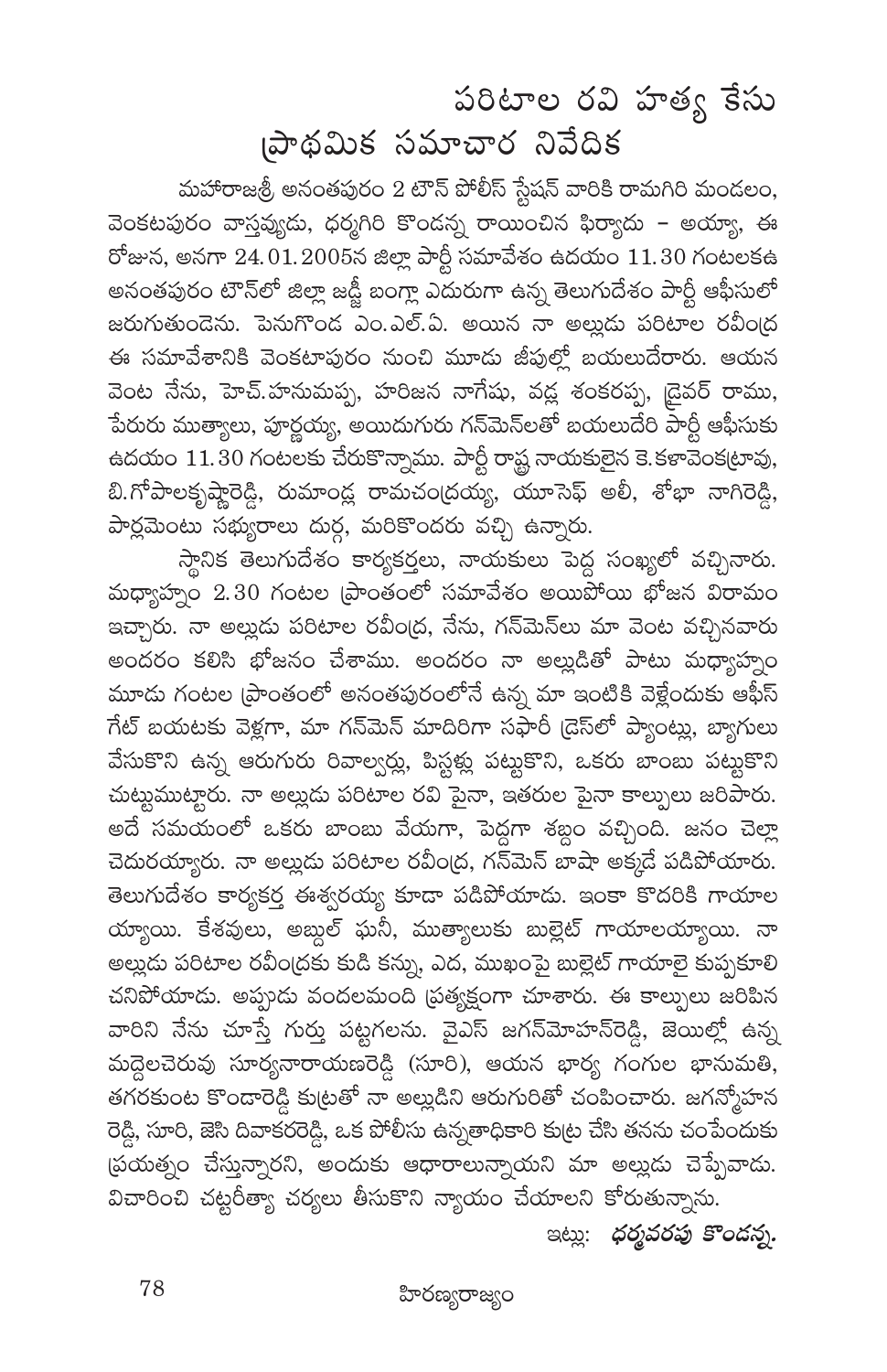#### పరిటాల రవి హత్య కేసు ।పాథమిక సమాచార నివేదిక

మహారాజశ్రీ అనంతపురం 2 టౌన్ పోలీస్ స్టేషన్ వారికి రామగిరి మండలం, వెంకటపురం వాస్తవ్యుడు, ధర్మగిరి కొండన్న రాయించిన ఫిర్యాదు – అయ్యా, ఈ రోజున, అనగా  $24.01.2005$ న జిల్లా పార్టీ సమావేశం ఉదయం  $11.30$  గంటలకఉ అనంతపురం టౌన్లో జిల్లా జడ్జీ బంగ్లా ఎదురుగా ఉన్న తెలుగుదేశం పార్టీ ఆఫీసులో జరుగుతుండెను. పెనుగొండ ఎం.ఎల్.ఏ. అయిన నా అల్లుడు పరిటాల రవీంద్ర ఈ సమావేశానికి వెంకటాపురం నుంచి మూడు జీపుల్లో బయలుదేరారు. ఆయన వెంట నేను, హెచ్.హనుమప్ప, హరిజన నాగేషు, వద్ల శంకరప్ప, <mark>డైవర్ రాము</mark>, పేరురు ముత్యాలు, పూర్ణయ్య, అయిదుగురు గన్మెన్లతో బయలుదేరి పార్టీ ఆఫీసుకు ఉదయం 11.30 గంటలకు చేరుకొన్నాము. పార్టీ రాష్ట్ర నాయకులైన కె.కళావేంకట్రావు, బి.గోపాలకృష్ణారెడ్డి, రుమాండ్ల రామచంద్రయ్య, యూసెఫ్ అలీ, శోభా నాగిరెడ్డి, పార్లమెంటు సభ్యురాలు దుర్గ, మరికొందరు వచ్చి ఉన్నారు.

స్థానిక తెలుగుదేశం కార్యకర్తలు, నాయకులు పెద్ద సంఖ్యలో వచ్చినారు. మధ్యాహ్నం 2.30 గంటల (పాంతంలో సమావేశం అయిపోయి భోజన విరామం ఇచ్చారు. నా అల్లుడు పరిటాల రవీం(ద, నేను, గన్మెన్లు మా వెంట వచ్చినవారు అందరం కలిసి భోజనం చేశాము. అందరం నా అల్లుడితో పాటు మధ్యాహ్నం మూడు గంటల [పాంతంలో అనంతపురంలోనే ఉన్న మా ఇంటికి వెళ్లేందుకు ఆఫీస్ గేట్ బయటకు వెళ్లగా, మా గన్మెన్ మాదిరిగా సఫారీ (డైస్లో ప్యాంట్లు, బ్యాగులు వేసుకొని ఉన్న ఆరుగురు రివాల్వర్లు, పిస్టళ్లు పట్టుకొని, ఒకరు బాంబు పట్టుకొని చుట్టుముట్తారు. నా అల్లుడు పరిటాల రవి పైనా, ఇతరుల పైనా కాల్పులు జరిపారు. అదే సమయంలో ఒకరు బాంబు వేయగా, పెద్దగా శబ్దం వచ్చింది. జనం చెల్లా చెదురయ్యారు. నా అల్లుడు పరిటాల రవీంద్ర, గన్మెన్ బాషా అక్కడే పడిపోయారు. తెలుగుదేశం కార్యకర్త ఈశ్వరయ్య కూడా పడిపోయాదు. ఇంకా కొదరికి గాయాల య్యాయి. కేశవులు, అబ్దల్ ఘనీ, ముత్యాలుకు బుల్లెట్ గాయాలయ్యాయి. నా అల్లుడు పరిటాల రవీంద్రకు కుడి కన్ను, ఎద, ముఖంపై బుల్లెట్ గాయాలై కుప్పకూలి చనిపోయాడు. అప్పుడు వందలమంది (పత్యక్షంగా చూశారు. ఈ కాల్పులు జరిపిన వారిని నేను చూస్తే గుర్తు పట్టగలను. వైఎస్ జగన్<mark>మో</mark>హన్**రెడ్డి, జెయిల్లో ఉన్న** మద్దెలచెరువు సూర్యనారాయణరెడ్డి (సూరి), ఆయన భార్య గంగుల భానుమతి, తగరకుంట కొండారెడ్డి కుట్రతో నా అల్లుడిని ఆరుగురితో చంపించారు. జగన్మోహన రెడ్డి, సూరి, జెసి దివాకంరెడ్డి, ఒక పోలీసు ఉన్నతాధికారి కుట్ర చేసి తనను చంపేందుకు స్రయత్నం చేస్తున్నారని, అందుకు ఆధారాలున్నాయని మా అల్లుడు చెప్పేవాడు. విచారించి చట్టరీత్యా చర్యలు తీసుకొని న్యాయం చేయాలని కోరుతున్నాను.

ఇట్లు: ధర్మవరపు కొందన్న.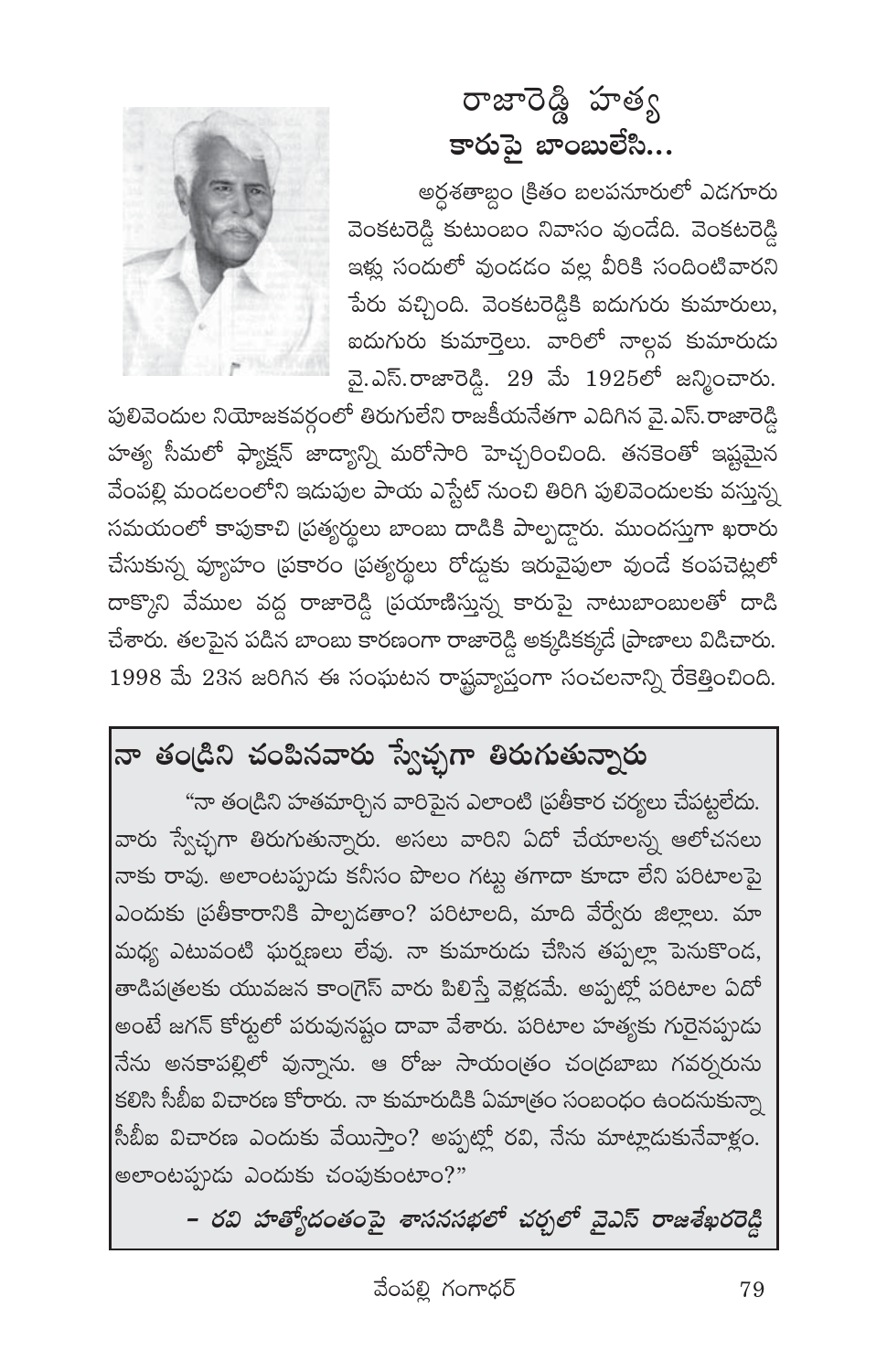

రాజారెడ్డి హత్య కారుపై బాంబులేసి...

అర్ధశతాబ్దం క్రితం బలపనూరులో ఎడగూరు వెంకటరెడ్డి కుటుంబం నివాసం వుండేది. వెంకటరెడ్డి ఇళ్లు సందులో వుండడం వల్ల వీరికి సందింటివారని పేరు వచ్చింది. వెంకటరెడ్డికి ఐదుగురు కుమారులు, ఐదుగురు కుమార్తెలు. వారిలో నాల్గవ కుమారుడు  $\bar{a}$ . ఎస్.రాజారెడ్డి. 29 మే 1925లో జన్మించారు.

పులివెందుల నియోజకవర్గంలో తిరుగులేని రాజకీయనేతగా ఎదిగిన వై.ఎస్.రాజారెడ్డి హత్య సీమలో ఫ్యాక్షన్ జాద్యాన్ని మరోసారి హెచ్చరించింది. తనకెంతో ఇష్టమైన వేంపల్లి మండలంలోని ఇడుపుల పాయ ఎస్టేట్ నుంచి తిరిగి పులివెందులకు వస్తున్న సమయంలో కాపుకాచి (పత్యర్శలు బాంబు దాడికి పాల్పడ్గారు. ముందస్తుగా ఖరారు చేసుకున్న వ్యూహం (పకారం (పత్యర్థులు రోడ్డుకు ఇరువైపులా వుండే కంపచెట్లలో దాక్కొని వేముల వద్ద రాజారెడ్డి (పయాణిస్తున్న కారుపై నాటుబాంబులతో దాడి చేశారు. తలపైన పడిన బాంబు కారణంగా రాజారెడ్డి అక్కడికక్కడే (పాణాలు విడిచారు. 1998 మే 23న జరిగిన ఈ సంఘటన రాష్ట్రవ్యాప్తంగా సంచలనాన్ని రేకెత్తించింది.

# నా తండ్రిని చంపినవారు స్వేచ్ఛగా తిరుగుతున్నారు

"నా తండ్రిని హతమార్చిన వారిపైన ఎలాంటి ప్రతీకార చర్యలు చేపట్టలేదు. వారు స్వేచ్ఛగా తిరుగుతున్నారు. అసలు వారిని ఏదో చేయాలన్న ఆలోచనలు నాకు రావు. అలాంటప్పుడు కనీసం పొలం గట్టు తగాదా కూడా లేని పరిటాలపై ఎందుకు (పతీకారానికి పాల్పడతాం? పరిటాలది, మాది వేర్వేరు జిల్లాలు. మా మధ్య ఎటువంటి ఘర్షణలు లేవు. నా కుమారుడు చేసిన తప్పల్లా పెనుకొంద, తాడిపత్రలకు యువజన కాంగ్రెస్ వారు పిలిస్తే వెళ్లడమే. అప్పట్లో పరిటాల ఏదో అంటే జగన్ కోర్బలో పరువునష్టం దావా వేశారు. పరిటాల హత్యకు గురైనప్పుడు నేను అనకాపల్లిలో వున్నాను. ఆ రోజు సాయంత్రం చంద్రబాబు గవర్నరును కలిసి సీబీఐ విచారణ కోరారు. నా కుమారుడికి ఏమాత్రం సంబంధం ఉందనుకున్నా సీబీఐ విచారణ ఎందుకు వేయిస్తాం? అప్పట్లో రవి, నేను మాట్లాడుకునేవాళ్లం. అలాంటప్పుడు ఎందుకు చంపుకుంటాం?"

– రవి హత్యోదంతంపై శాసనసభలో చర్చలో వైఎస్ రాజశేఖరరెడ్డి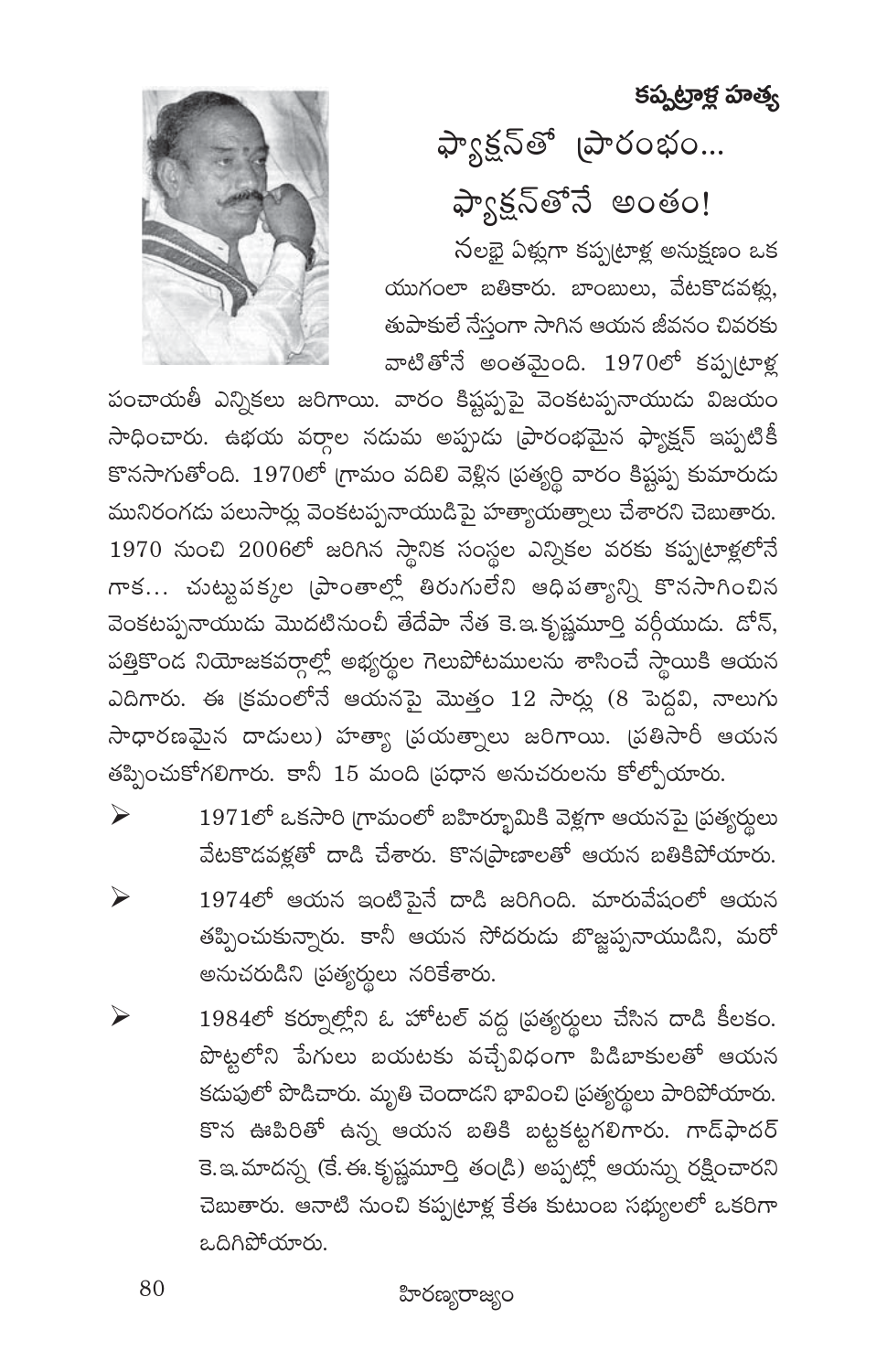కప్పట్రాళ్ల హత్వ



## ఫ్యాక్షన్తో (పారంభం...

#### ఫ్యాక్షన్తోనే అంతం!

నలభై ఏళ్లుగా కప్పటాళ్ల అనుక్షణం ఒక యుగంలా బతికారు. బాంబులు, వేటకొడవకు, తుపాకులే నేస్తంగా సాగిన ఆయన జీవనం చివరకు వాటితోనే అంతమైంది. 1970లో కప్పటాళ్ల

పంచాయతీ ఎన్నికలు జరిగాయి. వారం కిష్టప్పపై వెంకటప్పనాయుడు విజయం సాధించారు. ఉభయ వర్గాల నడుమ అప్పుడు (పారంభమైన ఫ్యాక్షన్ ఇప్పటికీ కొనసాగుతోంది. 1970లో గ్రామం వదిలి వెళ్లిన (పత్యర్థి వారం కిష్టప్ప కుమారుడు మునిరంగడు పలుసార్లు వెంకటప్పనాయుడిపై హత్యాయత్నాలు చేశారని చెబుతారు.  $1970$  నుంచి  $2006$ లో జరిగిన స్థానిక సంస్థల ఎన్నికల వరకు కప్పటాళ్లలోనే గాక... చుట్టుపక్కల [పాంతాల్లో తిరుగులేని ఆధిపత్యాన్ని కొనసాగించిన వెంకటప్పనాయుడు మొదటినుంచీ తేదేపా నేత కె.ఇ.కృష్ణమూర్తి వర్గీయుడు. డోన్, పత్తికొండ నియోజకవర్గాల్లో అభ్యర్థల గెలుపోటములను శాసించే స్థాయికి ఆయన ఎదిగారు. ఈ క్రమంలోనే ఆయనపై మొత్తం 12 సార్లు (8 పెద్దవి, నాలుగు సాధారణమైన దాడులు) హత్యా (పయత్నాలు జరిగాయి. (పతిసారీ ఆయన తప్పించుకోగలిగారు. కానీ 15 మంది ప్రధాన అనుచరులను కోల్పోయారు.

- 1971లో ఒకసారి గ్రామంలో బహిర్భూమికి వెళ్లగా ఆయనపై (పత్యర్థులు  $\blacktriangleright$ వేటకొడవళ్లతో దాడి చేశారు. కొన(పాణాలతో ఆయన బతికిపోయారు.
- $1974$ లో ఆయన ఇంటిపైనే దాడి జరిగింది. మారువేషంలో ఆయన తప్పించుకున్నారు. కానీ ఆయన సోదరుడు బొజ్జప్పనాయుడిని, మరో అనుచరుడిని (పత్యర్శలు నరికేశారు.
- $1984$ లో కర్నూల్లోని ఓ హోటల్ వద్ద (పత్యర్శలు చేసిన దాడి కీలకం. ⋗ పొట్టలోని పేగులు బయటకు వచ్చేవిధంగా పిడిబాకులతో ఆయన కదుపులో పొడిచారు. మృతి చెందాడని భావించి (పత్యర్థలు పారిపోయారు. కొన ఊపిరితో ఉన్న ఆయన బతికి బట్టకట్టగలిగారు. గాడ్ఫాదర్ కె.ఇ.మాదన్న (కే.ఈ.కృష్ణమూర్తి తండ్రి) అప్పట్లో ఆయన్ను రక్షించారని చెబుతారు. ఆనాటి నుంచి కప్పట్రాళ్ల కేఈ కుటుంబ సభ్యులలో ఒకరిగా ఒదిగిపోయారు.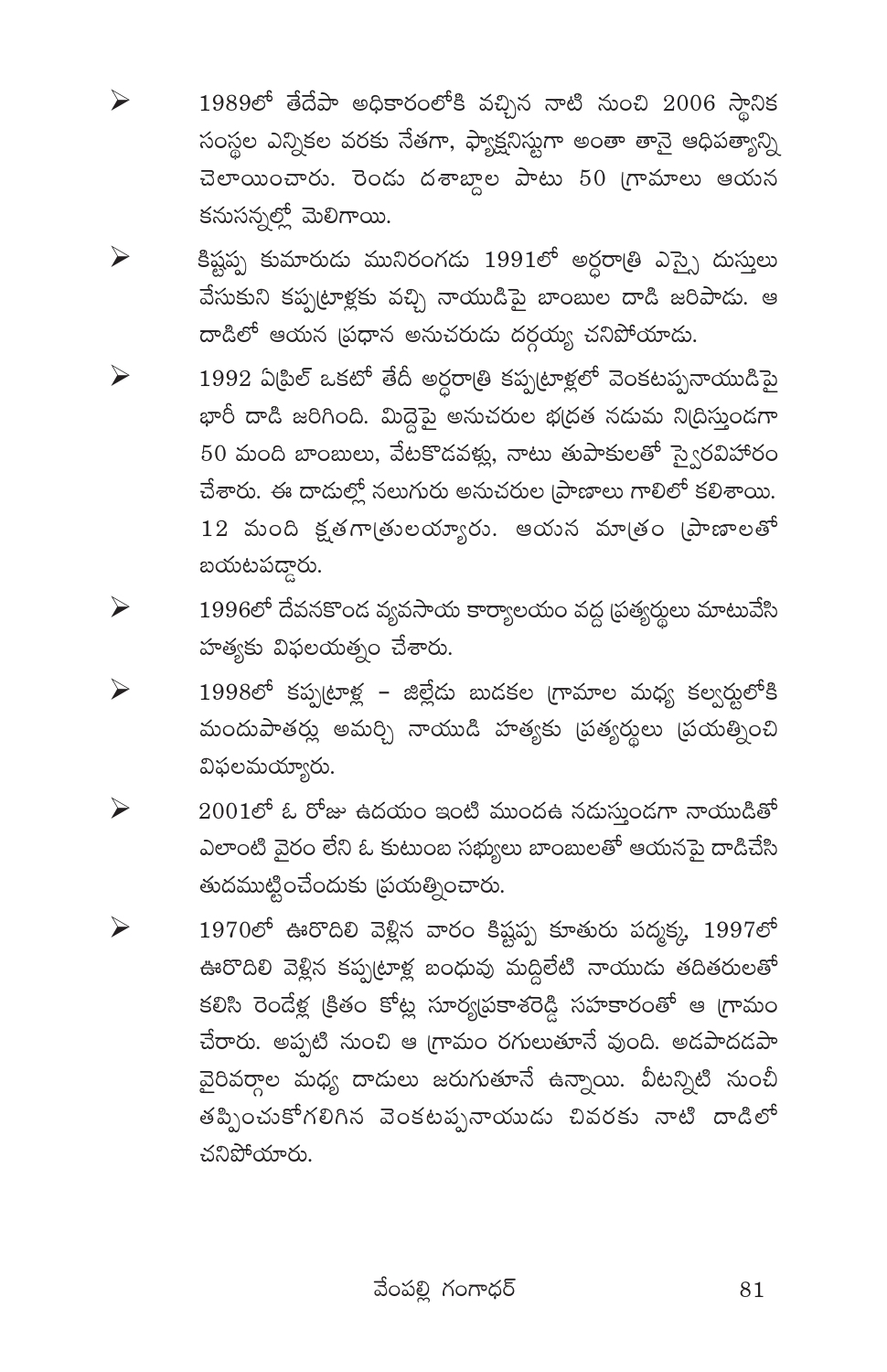- $1989$ లో తేదేపా అధికారంలోకి వచ్చిన నాటి నుంచి  $2006$  స్థానిక ➤ సంస్థల ఎన్నికల వరకు నేతగా, ఫ్యాక్షనిస్టగా అంతా తానై ఆధిపత్యాన్ని చెలాయించారు. రెండు దశాబ్దాల పాటు 50 (గామాలు ఆయన కనుసన్నల్లో మెలిగాయి.
- కిష్టప్ప కుమారుడు మునిరంగడు 1991లో అర్ధరాత్రి ఎస్సై దుస్తులు  $\blacktriangleright$ వేసుకుని కప్పట్రాళ్లకు వచ్చి నాయుడిపై బాంబుల దాడి జరిపాడు. ఆ దాడిలో ఆయన ప్రధాన అనుచరుడు దర్గయ్య చనిపోయాడు.
- 1992 ఏట్రిల్ ఒకటో తేదీ అర్ధరాత్రి కప్పట్రాళ్లలో వెంకటప్పనాయుడిపై ⋗ భారీ దాడి జరిగింది. మిద్దెపై అనుచరుల భ(దత నడుమ ని(ధిస్తుండగా  $50$  మంది బాంబులు, వేటకొడవట్ల, నాటు తుపాకులతో స్వైరవిహారం చేశారు. ఈ దాదుల్లో నలుగురు అనుచరుల (పాణాలు గాలిలో కలిశాయి. 12 మంది క్షతగా(తులయ్యారు. ఆయన మా(తం (పాణాలతో బయటపడాౖరు.
- 1996లో దేవనకొండ వ్యవసాయ కార్యాలయం వద్ద (పత్యర్థులు మాటువేసి  $\blacktriangleright$ హత్యకు విఫలయత్నం చేశారు.
- $1998$ లో కప్పట్రాళ్ల జిల్లేదు బుదకల గ్రామాల మధ్య కల్వర్హులోకి ➤ మందుపాతర్లు అమర్చి నాయుడి హత్యకు (పత్యర్శలు (పయత్నించి విఫలమయ్యారు.
- $2001$ లో ఓ రోజు ఉదయం ఇంటి ముందఉ నదుస్తుందగా నాయుడితో ⋗ ఎలాంటి వైరం లేని ఓ కుటుంబ సభ్యులు బాంబులతో ఆయనపై దాడిచేసి తుదముట్టించేందుకు (పయత్నించారు.
- $1970$ లో ఊరొదిలి వెళ్లిన వారం కిష్టప్ప కూతురు పద్మక్క, 1997లో ➢ ఊరొదిలి వెళ్లిన కప్పట్రాళ్ల బంధువు మద్దిలేటి నాయుడు తదితరులతో కలిసి రెండేళ్ల క్రితం కోట్ల సూర్యప్రకాశరెడ్డి సహకారంతో ఆ గ్రామం చేరారు. అప్పటి నుంచి ఆ గ్రామం రగులుతూనే వుంది. అడపాదడపా వైరివర్గాల మధ్య దాడులు జరుగుతూనే ఉన్నాయి. వీటన్నిటి నుంచీ తప్పించుకోగలిగిన వెంకటప్పనాయుడు చివరకు నాటి దాడిలో చనిపోయారు.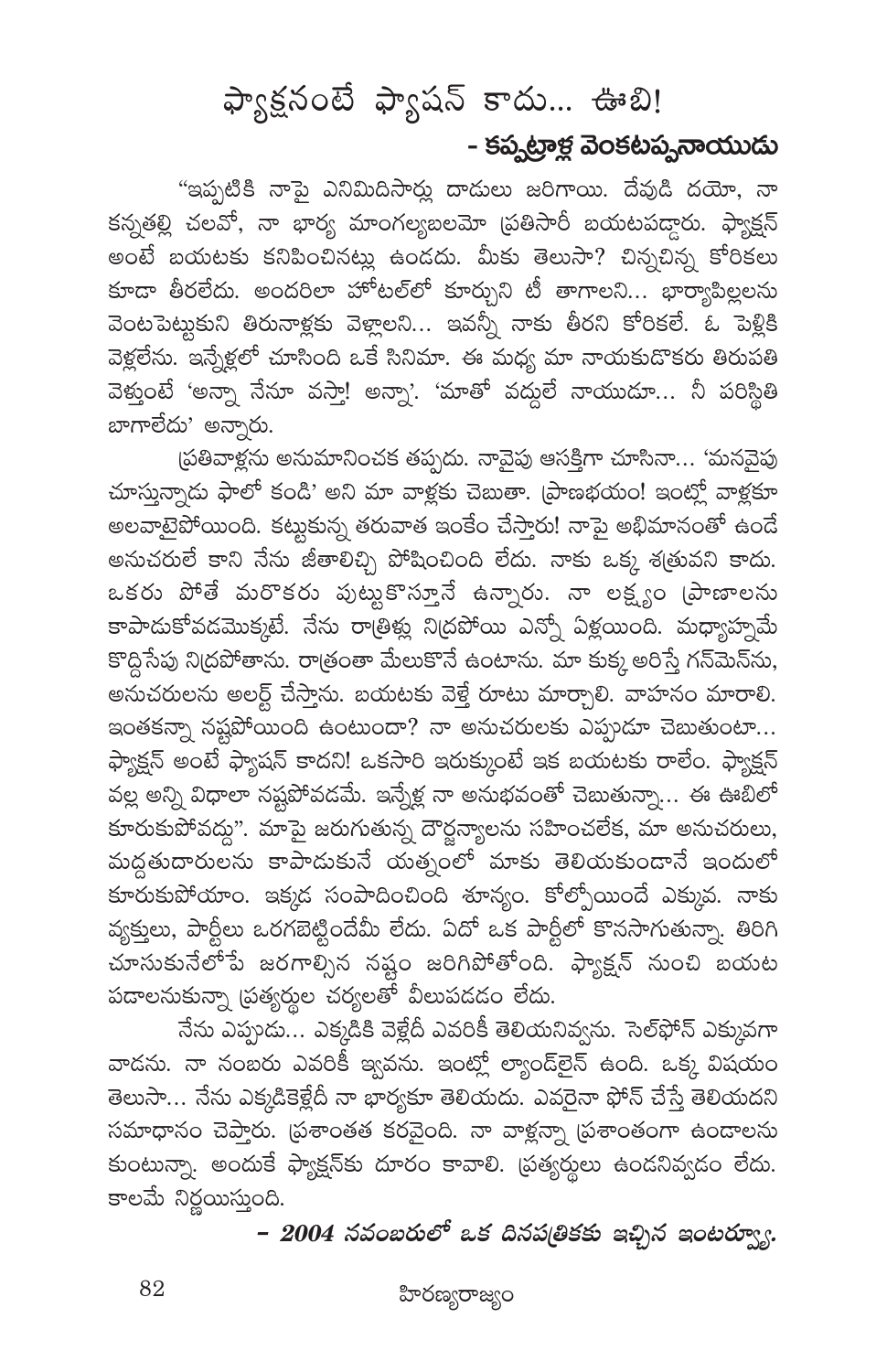#### ఫ్యాక్షనంటే ఫ్యాషన్ కాదు... ఊబి!

#### - కష్పట్రాళ్ల వెంకటప్పనాయుడు

"ఇప్పటికి నాపై ఎనిమిదిసార్లు దాడులు జరిగాయి. దేవుడి దయో, నా కన్నతల్లి చలవో, నా భార్య మాంగల్యబలమో (పతిసారీ బయటపడ్డారు. ఫ్యాక్షన్ అంటే బయటకు కనిపించినట్లు ఉండదు. మీకు తెలుసా? చిన్నచిన్న కోరికలు కూడా తీరలేదు. అందరిలా హోటల్లో కూర్చుని టీ తాగాలని... భార్యాపిల్లలను వెంటపెట్టుకుని తిరునాళ్లకు వెళ్లాలని... ఇవన్నీ నాకు తీరని కోరికలే. ఓ పెళ్లికి వెళ్లలేను. ఇన్నేళ్లలో చూసింది ఒకే సినిమా. ఈ మధ్య మా నాయకుదొకరు తిరుపతి వెళ్తుంటే 'అన్నా నేనూ వస్తా! అన్నా'. 'మాతో వద్దులే నాయుడూ... నీ పరిస్థితి బాగాలేదు' అన్నారు.

(పతివాళ్లను అనుమానించక తప్పదు. నావైపు ఆసక్తిగా చూసినా... 'మనవైపు చూస్తున్నాడు ఫాలో కండి' అని మా వాళ్లకు చెబుతా. (పాణభయం! ఇంట్లో వాళ్లకూ .<br>అలవాటైపోయింది. కట్టుకున్న తరువాత ఇంకేం చేస్తారు! నాపై అభిమానంతో ఉండే అనుచరులే కాని నేను జీతాలిచ్చి పోషించింది లేదు. నాకు ఒక్క శ[తువని కాదు. ఒకరు పోతే మరొకరు పుట్టుకొస్తూనే ఉన్నారు. నా లక్ష్యం (పాణాలను కాపాడుకోవడమొక్కటే. నేను రాత్రిళ్లు ని(దపోయి ఎన్నో ఏళ్లయింది. మధ్యాహ్నమే కొద్దిసేపు ని(్రపోతాను. రాత్రంతా మేలుకొనే ఉంటాను. మా కుక్క అరిస్తే గన్మెన్ను, అనుచరులను అలర్ట్ చేస్తాను. బయటకు వెళ్తే రూటు మార్చాలి. వాహనం మారాలి. ఇంతకన్నా నష్టపోయింది ఉంటుందా? నా అనుచరులకు ఎప్పుడూ చెబుతుంటా... ఫ్యాక్షన్ అంటే ఫ్యాషన్ కాదని! ఒకసారి ఇరుక్కుంటే ఇక బయటకు రాలేం. ఫ్యాక్షన్ వల్ల అన్ని విధాలా నష్టపోవడమే. ఇన్నేళ్ల నా అనుభవంతో చెబుతున్నా... ఈ ఊబీలో కూరుకుపోవద్ద". మాపై జరుగుతున్న దౌర్జన్యాలను సహించలేక, మా అనుచరులు, మద్దతుదారులను కాపాడుకునే యత్నంలో మాకు తెలియకుండానే ఇందులో కూరుకుపోయాం. ఇక్కడ సంపాదించింది శూన్యం. కోల్పోయిందే ఎక్కువ. నాకు వ్యక్తులు, పార్టీలు ఒరగబెట్టిందేమీ లేదు. ఏదో ఒక పార్టీలో కొనసాగుతున్నా. తిరిగి చూసుకునేలోపే జరగాల్సిన నష్టం జరిగిపోతోంది. ఫ్యాక్షన్ నుంచి బయట పడాలనుకున్నా (పత్యర్థుల చర్యలతో వీలుపడడం లేదు.

నేను ఎప్పుడు... ఎక్కడికి వెళ్లేదీ ఎవరికీ తెలియనివ్వను. సెల్ఫోన్ ఎక్కువగా వాదను. నా నంబరు ఎవరికీ ఇ్వవను. ఇంట్లో ల్యాండ్ెలైన్ ఉంది. ఒక్క విషయం తెలుసా... నేను ఎక్కడికెళ్లేదీ నా భార్యకూ తెలియదు. ఎవరైనా ఫోన్ చేస్తే తెలియదని సమాధానం చెప్తారు. (పశాంతత కరవైంది. నా వాళ్లన్నా (పశాంతంగా ఉండాలను కుంటున్నా. అందుకే ఫ్యాక్షన్కు దూరం కావాలి. (పత్యర్థులు ఉండనివ్వడం లేదు. కాలమే నిర్ణయిస్తుంది.

- 2004 నవంబరులో ఒక దినపత్రికకు ఇచ్చిన ఇంటర్వ్యూ.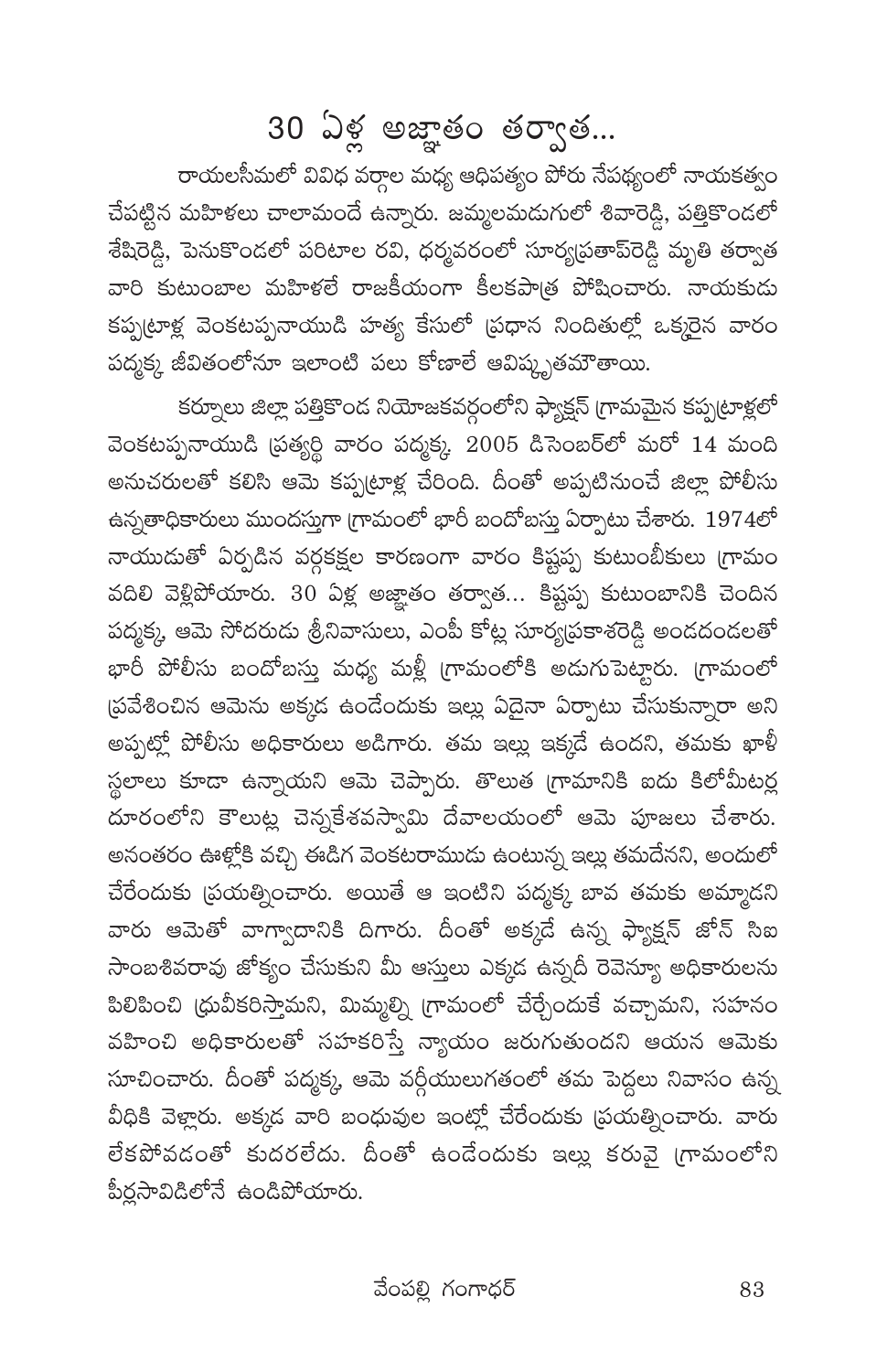### 30 ఏళ్ల అజ్ఞాతం తర్వాత...

రాయలసీమలో వివిధ వర్గాల మధ్య ఆధిపత్యం పోరు నేపథ్యంలో నాయకత్వం చేపట్టిన మహిళలు చాలామందే ఉన్నారు. జమ్మలమదుగులో శివారెడ్డి, పత్తికొండలో శేషిరెడ్డి, పెనుకొండలో పరిటాల రవి, ధర్మవరంలో సూర్యపతాప్**రెడ్డి మృతి తర్వా**త ాం<br>వారి కుటుంబాల మహిళలే రాజకీయంగా కీలకపాత్ర పోషించారు. నాయకుడు కప్పట్రాళ్ల వెంకటప్పనాయుడి హత్య కేసులో (పధాన నిందితుల్లో ఒక్కరైన వారం పద్మక్క జీవితంలోనూ ఇలాంటి పలు కోణాలే ఆవిష్కృతమౌతాయి.

కర్నూలు జిల్లా పత్తికొంద నియోజకవర్గంలోని ఫ్యాక్షన్ గ్రామమైన కప్పటాళ్లలో వెంకటప్పనాయుడి <sub>(</sub>పత్యర్థి వారం పద్మక్క 2005 డిసెంబర్**లో మరో 14 మం**ది అనుచరులతో కలిసి ఆమె కప్పట్రాళ్ల చేరింది. దీంతో అప్పటినుంచే జిల్లా పోలీసు ఉన్నతాధికారులు ముందస్తుగా గ్రామంలో భారీ బందోబస్తు ఏర్పాటు చేశారు. 1974లో నాయుడుతో ఏర్పడిన వర్గకక్షల కారణంగా వారం కిష్టప్ప కుటుంబీకులు గ్రామం వదిలి వెళ్లిపోయారు. 30 ఏళ్ల అజ్షాతం తర్వాత... కిష్టప్ప కుటుంబానికి చెందిన పద్మక్క, ఆమె సోదరుడు శ్రీనివాసులు, ఎంపీ కోట్ల సూర్యప్రకాశరెడ్డి అండదండలతో భారీ పోలీసు బందోబస్తు మధ్య మళ్లీ గ్రామంలోకి అడుగుపెట్టారు. గ్రామంలో ప్రవేశించిన ఆమెను అక్కడ ఉండేందుకు ఇల్లు ఏదైనా ఏర్పాటు చేసుకున్నారా అని అప్పట్లో పోలీసు అధికారులు అడిగారు. తమ ఇల్లు ఇక్కడే ఉందని, తమకు ఖాళీ స్థలాలు కూడా ఉన్నాయని ఆమె చెప్పారు. తొలుత గ్రామానికి ఐదు కిలోమీటర్ల .<br>దూరంలోని కౌలుట్ల చెన్నకేశవస్వామి దేవాలయంలో ఆమె పూజలు చేశారు. అనంతరం ఊళ్లోకి వచ్చి ఈడిగ వెంకటరాముడు ఉంటున్న ఇల్లు తమదేనని, అందులో .<br>చేరేందుకు (పయత్నించారు. అయితే ఆ ఇంటిని పద్మక్క బావ తమకు అమ్మాడని వారు ఆమెతో వాగ్వాదానికి దిగారు. దీంతో అక్కడే ఉన్న ఫ్యాక్షన్ జోన్ సిఐ సాంబశివరావు జోక్యం చేసుకుని మీ ఆస్తులు ఎక్కడ ఉన్నదీ రెవెన్యూ అధికారులను పిలిపించి (ధువీకరిస్తామని, మిమ్మల్ని (గామంలో చేర్చేందుకే వచ్చామని, సహనం వహించి అధికారులతో సహకరిస్తే న్యాయం జరుగుతుందని ఆయన ఆమెకు సూచించారు. దీంతో పద్మక్క, ఆమె వర్గీయులుగతంలో తమ పెద్దలు నివాసం ఉన్న వీధికి వెళ్లారు. అక్కడ వారి బంధువుల ఇంట్లో చేరేందుకు (పయత్నించారు. వారు లేకపోవడంతో కుదరలేదు. దీంతో ఉండేందుకు ఇల్లు కరువై గ్రామంలోని పీర్ణసావిడిలోనే ఉండిపోయారు.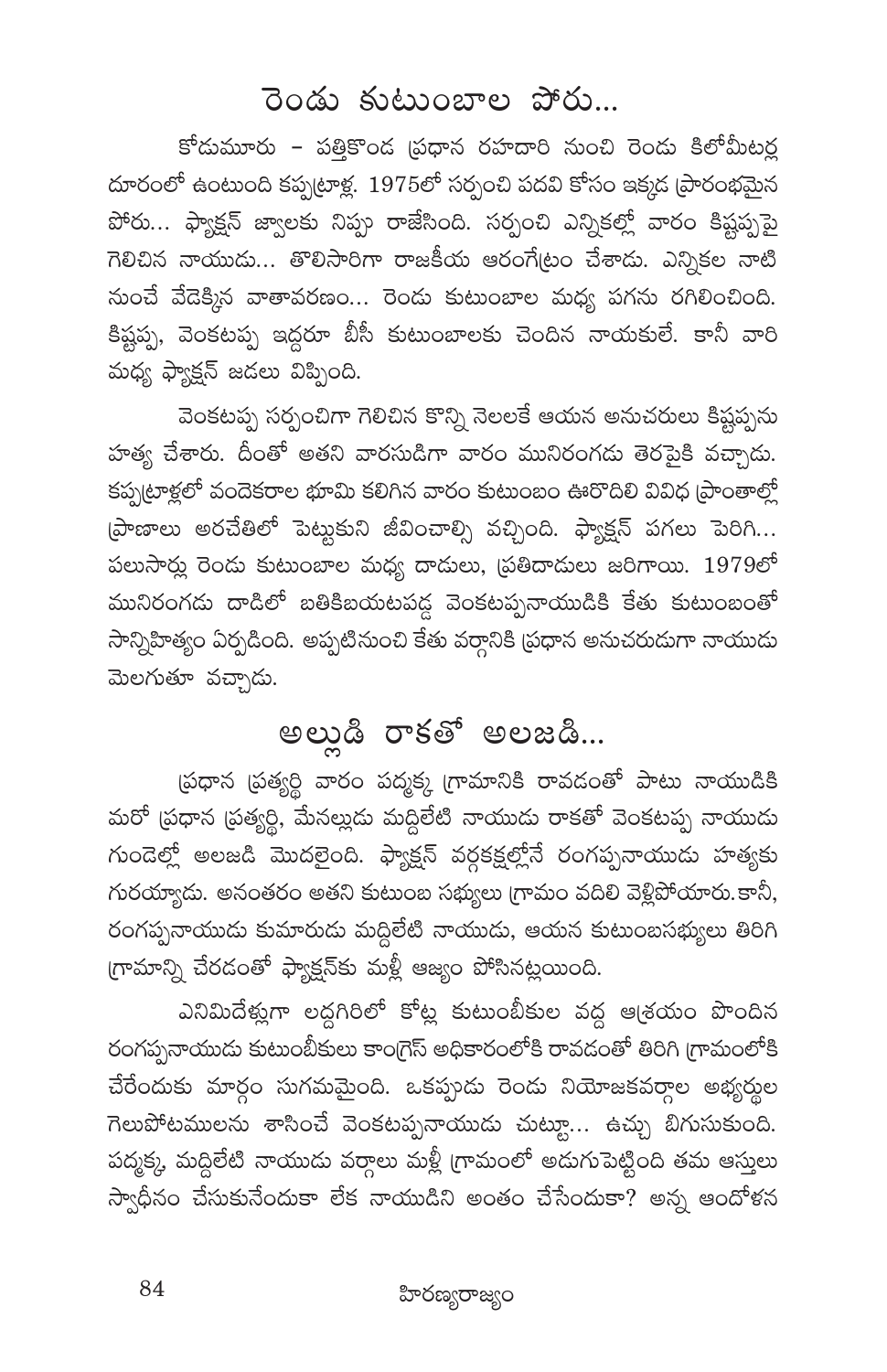#### రెండు కుటుంబాల పోరు...

కోడుమూరు – పత్తికొండ (పథాన రహదారి నుంచి రెండు కిలోమీటర్ల దూరంలో ఉంటుంది కప్పట్రాళ్ల. 1975లో సర్పంచి పదవి కోసం ఇక్కడ [పారంభమైన .<br>పోరు... ఫ్యాక్షన్ జ్వాలకు నిప్పు రాజేసింది. సర్పంచి ఎన్నికల్లో వారం కిష్ణప్పపై .<br>గెలిచిన నాయుడు... తొలిసారిగా రాజకీయ ఆరంగే(టం చేశాడు. ఎన్నికల నాటి నుంచే వేడెక్కిన వాతావరణం... రెండు కుటుంబాల మధ్య పగను రగిలించింది. .<br>కిష్టప్ప, వెంకటప్ప ఇద్దరూ బీసీ కుటుంబాలకు చెందిన నాయకులే. కానీ వారి మధ్య ఫ్యాక్షన్ జడలు విప్పింది.

వెంకటప్ప సర్పంచిగా గెలిచిన కొన్ని నెలలకే ఆయన అనుచరులు కిష్ణప్పను హత్య చేశారు. దీంతో అతని వారసుడిగా వారం మునిరంగడు తెరపైకి వచ్చాడు. కప్పట్రాళ్లలో వందెకరాల భూమి కలిగిన వారం కుటుంబం ఊరొదిలి వివిధ [పాంతాల్లో (పాణాలు అరచేతిలో పెట్టుకుని జీవించాల్సి వచ్చింది. ఫ్యాక్షన్ పగలు పెరిగి... పలుసార్లు రెండు కుటుంబాల మధ్య దాడులు, ప్రతిదాడులు జరిగాయి.  $1979$ లో మునిరంగడు దాడిలో బతికిబయటపడ్డ వెంకటప్పనాయుడికి కేతు కుటుంబంతో సాన్నిహిత్యం ఏర్పడింది. అప్పటినుంచి కేతు వర్గానికి ప్రధాన అనుచరుడుగా నాయుడు మెలగుతూ వచ్చాడు.

## అల్లుడి రాకతో అలజడి...

ప్రధాన ప్రత్యర్థి వారం పద్మక్క గ్రామానికి రావడంతో పాటు నాయుడికి మరో (పధాన (పత్యర్థి, మేనల్లుడు మద్దిలేటి నాయుడు రాకతో వెంకటప్ప నాయుడు గుండెల్లో అలజడి మొదలైంది. ఫ్యాక్షన్ వర్గకక్షల్లోనే రంగప్పనాయుడు హత్యకు గురయ్యాదు. అనంతరం అతని కుటుంబ సభ్యులు గ్రామం వదిలి వెళ్లిపోయారు.కానీ, రంగప్పనాయుడు కుమారుడు మద్దిలేటి నాయుడు, ఆయన కుటుంబసభ్యులు తిరిగి గ్రామాన్ని చేరడంతో ఫ్యాక్షన్కు మళ్లీ ఆజ్యం పోసినట్లయింది.

ఎనిమిదేళ్లుగా లద్దగిరిలో కోట్ల కుటుంబీకుల వద్ద ఆశ్రయం పొందిన రంగప్పనాయుడు కుటుంబీకులు కాంగ్రెస్ అధికారంలోకి రావడంతో తిరిగి (గామంలోకి చేరేందుకు మార్గం సుగమమైంది. ఒకప్పుడు రెండు నియోజకవర్గాల అభ్యర్శల గెలుపోటములను శాసించే వెంకటప్పనాయుడు చుట్టూ... ఉచ్చు బిగుసుకుంది. పద్మక్క మద్దిలేటి నాయుడు వర్గాలు మళ్లీ (గామంలో అడుగుపెట్టింది తమ ఆస్తులు స్వాధీనం చేసుకునేందుకా లేక నాయుడిని అంతం చేసేందుకా? అన్న ఆందోళన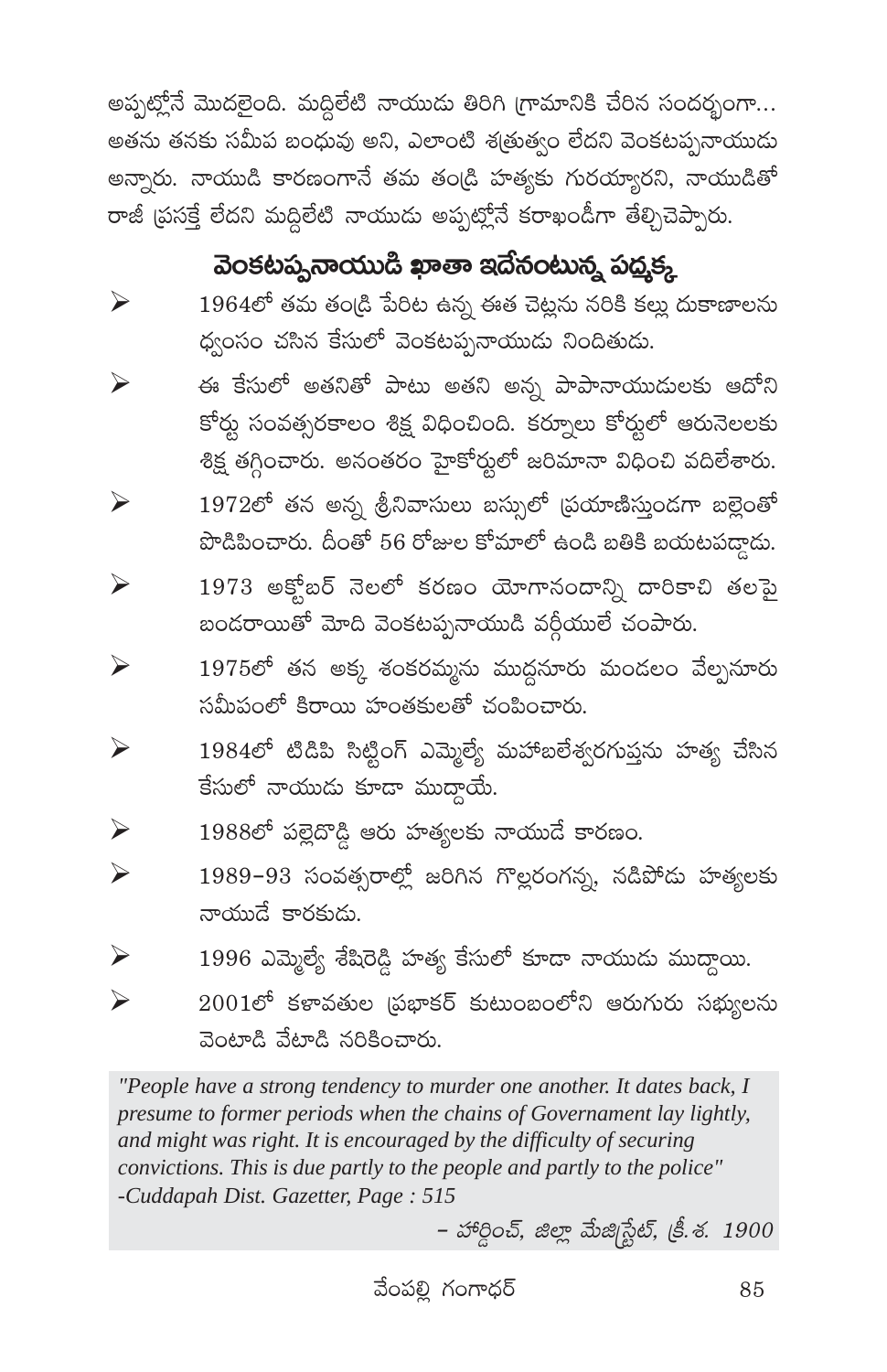అప్పట్లోనే మొదలైంది. మద్దిలేటి నాయుడు తిరిగి గ్రామానికి చేరిన సందర్భంగా... అతను తనకు సమీప బంధువు అని, ఎలాంటి శ(తుత్వం లేదని వెంకటప్పనాయుడు అన్నారు. నాయుడి కారణంగానే తమ తండ్రి హత్యకు గురయ్యారని, నాయుడితో రాజీ (పసక్తే లేదని మద్దిలేటి నాయుడు అప్పట్లోనే కరాఖండీగా తేల్చిచెప్పారు.

#### వెంకటప్త్రనాయుడి ఖాతా ఇదేనంటున్య పద్మక్క

- $1964$ లో తమ తండ్రి పేరిట ఉన్న ఈత చెట్లను నరికి కల్లు దుకాణాలను  $\blacktriangleright$ ధ్వంసం చసిన కేసులో వెంకటప్పనాయుడు నిందితుడు.
- ఈ కేసులో అతనితో పాటు అతని అన్న పాపానాయుదులకు ఆదోని  $\blacktriangleright$ కోర్టు సంవత్సరకాలం శిక్ష విధించింది. కర్నూలు కోర్టులో ఆరునెలలకు శిక్ష తగ్గించారు. అనంతరం హైకోర్తులో జరిమానా విధించి వదిలేశారు.
- $1972$ లో తన అన్న శ్రీనివాసులు బస్సులో (పయాణిస్తుండగా బల్లెంతో ➤ పొడిపించారు. దీంతో 56 రోజుల కోమాలో ఉండి బతికి బయటపడాడు.
- 1973 అక్హోబర్ నెలలో కరణం యోగానందాన్ని దారికాచి తలపై ⋗ బందరాయితో మోది వెంకటప్పనాయుడి వర్గీయులే చంపారు.
- $1975$ లో తన అక్క శంకరమ్మను ముద్దనూరు మండలం వేల్పనూరు ↘ సమీపంలో కిరాయి హంతకులతో చంపించారు.
- $1984$ లో టిడిపి సిట్టింగ్ ఎమ్మెల్యే మహాబలేశ్వరగుషను హత్య చేసిన ↘ కేసులో నాయుడు కూడా ముద్దాయే.
- $1988$ లో పల్లెదొడ్డి ఆరు హత్యలకు నాయుడే కారణం. ⋗
- $1989-93$  సంవత్సరాల్లో జరిగిన గొల్లరంగన్న, నడిపోడు హత్యలకు ➤ నాయుడే కారకుడు.
- $1996$  ఎమ్మెల్యే శేషిరెడ్డి హత్య కేసులో కూడా నాయుడు ముద్దాయి. ⋗
- $2001$ లో కళావతుల (పభాకర్ కుటుంబంలోని ఆరుగురు సభ్యులను ➤ వెంటాడి వేటాడి నరికించారు.

"People have a strong tendency to murder one another. It dates back, I presume to former periods when the chains of Governament lay lightly, and might was right. It is encouraged by the difficulty of securing convictions. This is due partly to the people and partly to the police" -Cuddapah Dist. Gazetter, Page: 515

- హార్గించ్, జిల్లా మేజ్మిస్టేట్, క్రీ. శ. 1900

వేంపలి గంగాధర్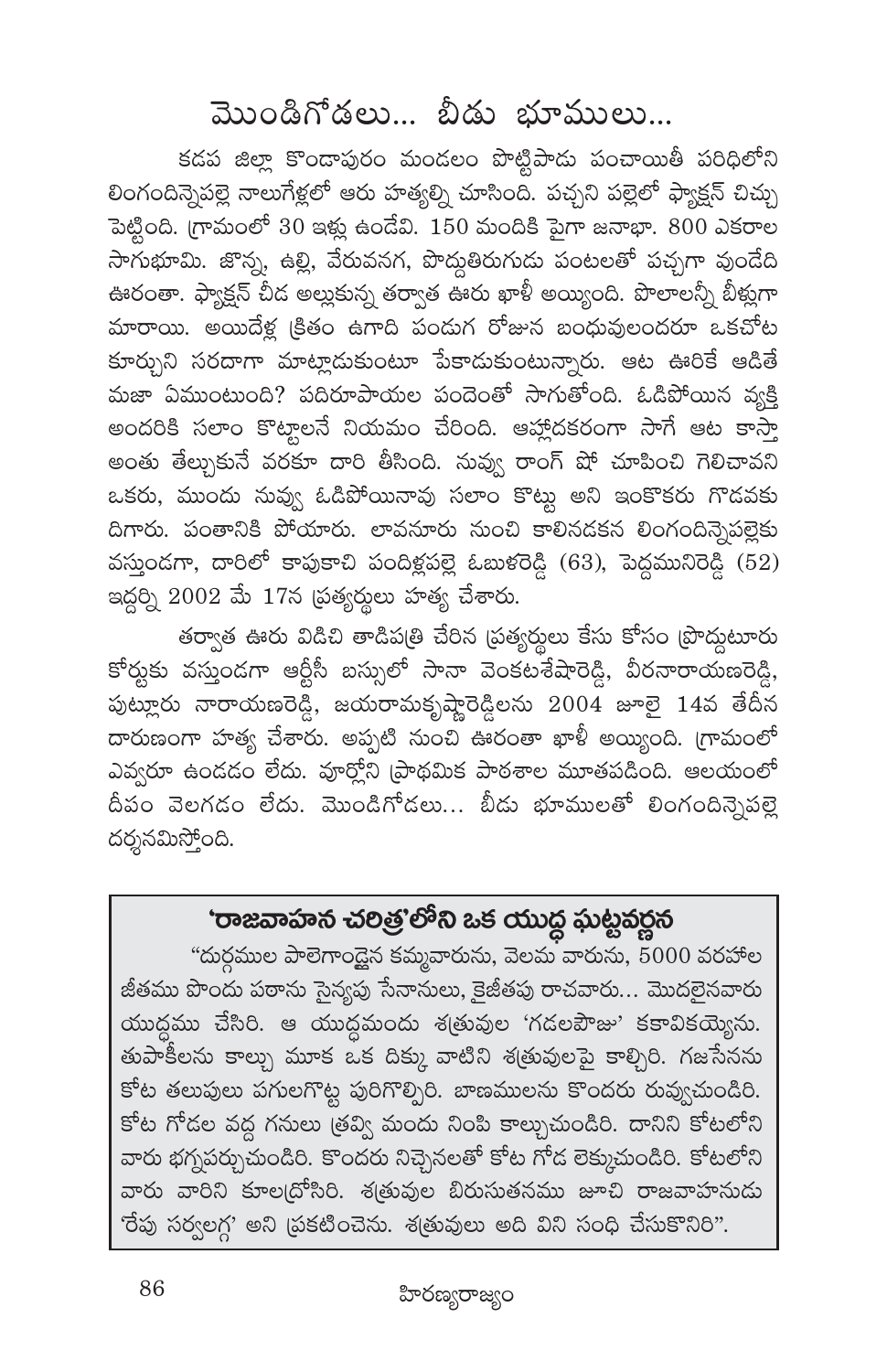#### మొండిగోడలు... బీడు భూములు...

కడప జిల్లా కొండాపురం మండలం పొట్టిపాడు పంచాయితీ పరిధిలోని లింగందిన్నెపల్లె నాలుగేళ్లలో ఆరు హత్యల్ని చూసింది. పచ్చని పల్లెలో ఫ్యాక్షన్ చిచ్చు పెట్టింది. గ్రామంలో  $30$  ఇళ్లు ఉండేవి.  $150$  మందికి పైగా జనాభా.  $800$  ఎకరాల సాగుభూమి. జొన్న, ఉల్లి, వేరువనగ, పొద్దతిరుగుడు పంటలతో పచ్చగా వుండేది ఊరంతా. ఫ్యాక్షన్ చీడ అల్లుకున్న తర్వాత ఊరు ఖాళీ అయ్యింది. పొలాలన్నీ బీళ్లుగా మారాయి. అయిదేళ్ల (క్రితం ఉగాది పండుగ రోజున బంధువులందరూ ఒకచోట కూర్చుని సరదాగా మాట్లాదుకుంటూ పేకాదుకుంటున్నారు. ఆట ఊరికే ఆడితే మజా ఏముంటుంది? పదిరూపాయల పందెంతో సాగుతోంది. ఓడిపోయిన వ్యక్తి అందరికి సలాం కొట్టాలనే నియమం చేరింది. ఆహ్లాదకరంగా సాగే ఆట కాస్తా అంతు తేల్చుకునే వరకూ దారి తీసింది. నువ్వు రాంగ్ షో చూపించి గెలిచావని ఒకరు, ముందు నువ్వు ఓడిపోయినావు సలాం కొట్ట అని ఇంకొకరు గొడవకు దిగారు. పంతానికి పోయారు. లావనూరు నుంచి కాలినడకన లింగందిన్నెపల్లెకు వస్తుండగా, దారిలో కాపుకాచి పందిళ్లపల్లె ఓబుళరెడ్డి (63), పెద్దమునిరెడ్డి (52) ఇద్దర్ని 2002 మే 17న (పత్యర్థులు హత్య చేశారు.

తర్వాత ఊరు విడిచి తాడిపత్రి చేరిన (పత్యర్శలు కేసు కోసం (పొద్దటూరు కోర్టుకు వస్తుండగా ఆర్టీసీ బస్సులో సానా వెంకటశేషారెడ్డి, వీరనారాయణరెడ్డి, పుట్కారు నారాయణరెడ్డి, జయరామకృష్ణారెడ్డిలను 2004 జూలై 14వ తేదీన దారుణంగా హత్య చేశారు. అప్పటి నుంచి ఊరంతా ఖాళీ అయ్యింది. (గామంలో ఎవ్వరూ ఉందడం లేదు. వూర్లోని [పాథమిక పాఠశాల మూతపడింది. ఆలయంలో .<br>దీపం వెలగడం లేదు. మొండిగోడలు... బీడు భూములతో లింగందిన్నెపల్లె దర్శనమిస్తోంది.

#### 'రాజవాహన చలిత్ర'లోని ఒక యుద్ధ ఘట్టవర్లన

"దుర్గముల పాలెగాండ్లైన కమ్మవారును, వెలమ వారును, 5000 వరహాల జీతము పొందు పఠాను సైన్యపు సేనానులు, కైజీతపు రాచవారు... మొదలైనవారు యుద్ధము చేసిరి. ఆ యుద్ధమందు శ(తువుల 'గడలపౌజు' కకావికయ్యెను. తుపాకీలను కాల్చు మూక ఒక దిక్కు వాటిని శ(తువులపై కాల్చిరి. గజసేనను కోట తలుపులు పగులగొట్ట పురిగొల్పిరి. బాణములను కొందరు రువ్వుచుండిరి. కోట గోడల వద్ద గనులు త్రవ్వి మందు నింపి కాల్చుచుండిరి. దానిని కోటలోని వారు భగ్నపర్చుచుండిరి. కొందరు నిచ్చెనలతో కోట గోడ లెక్కుచుండిరి. కోటలోని వారు వారిని కూల(దోసిరి. శ(తువుల బిరుసుతనము జూచి రాజవాహనుడు రేపు సర్వలగ్గ' అని ప్రకటించెను. శ(తువులు అది విని సంధి చేసుకొనిరి".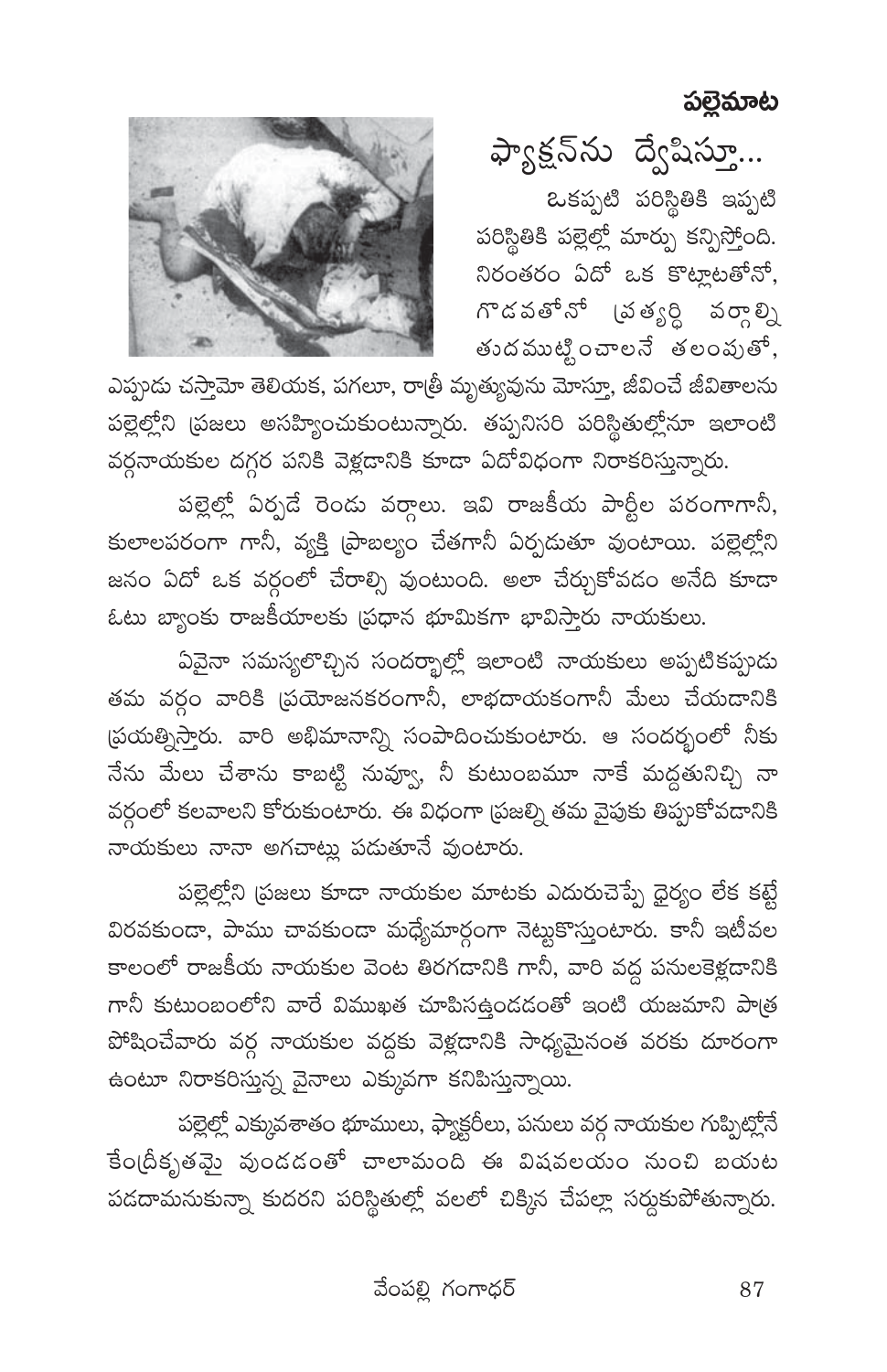#### పల్లెమాట



ఫ్యాక్షన్ను ద్వేషిస్తూ...

ఒకప్పటి పరిస్థితికి ఇప్పటి పరిస్థితికి పల్లెల్లో మార్పు కన్పిస్తోంది. నిరంతరం ఏదో ఒక కొట్టాటతోనో, గొడవతోనో (వత్యర్ది వర్గాల్ని తుదముట్టించాలనే తలంపుతో,

ఎప్పుడు చస్తామో తెలియక, పగలూ, రాత్రీ మృత్యవును మోస్తూ, జీవించే జీవితాలను పల్లెల్లోని (పజలు అసహ్యించుకుంటున్నారు. తప్పనిసరి పరిస్థితుల్లోనూ ఇలాంటి వర్గనాయకుల దగ్గర పనికి వెళ్లడానికి కూడా ఏదోవిధంగా నిరాకరిస్తున్నారు.

పల్లెల్లో ఏర్పడే రెండు వర్గాలు. ఇవి రాజకీయ పార్టీల పరంగాగానీ, కులాలపరంగా గానీ, వ్యక్తి (ఫాబల్యం చేతగానీ ఏర్పడుతూ వుంటాయి. పల్లెల్లోని జనం ఏదో ఒక వర్గంలో చేరాల్సి వుంటుంది. అలా చేర్చుకోవడం అనేది కూడా ఓటు బ్యాంకు రాజకీయాలకు (పథాన భూమికగా భావిస్తారు నాయకులు.

ఏవైనా సమస్యలొచ్చిన సందర్భాల్లో ఇలాంటి నాయకులు అప్పటికప్పుడు తమ వర్గం వారికి (పయోజనకరంగానీ, లాభదాయకంగానీ మేలు చేయడానికి స్రయత్నిస్తారు. వారి అభిమానాన్ని సంపాదించుకుంటారు. ఆ సందర్భంలో నీకు నేను మేలు చేశాను కాబట్టి నువ్వూ, నీ కుటుంబమూ నాకే మద్దతునిచ్చి నా వర్గంలో కలవాలని కోరుకుంటారు. ఈ విధంగా (పజల్ని తమ వైపుకు తిప్పుకోవడానికి నాయకులు నానా అగచాట్లు పడుతూనే వుంటారు.

పల్లెల్లోని (పజలు కూడా నాయకుల మాటకు ఎదురుచెప్పే ధైర్యం లేక కట్టే విరవకుండా, పాము చావకుండా మధ్యేమార్గంగా నెట్టుకొస్తుంటారు. కానీ ఇటీవల కాలంలో రాజకీయ నాయకుల వెంట తిరగడానికి గానీ, వారి వద్ద పనులకెళ్లడానికి గానీ కుటుంబంలోని వారే విముఖత చూపిసఉ్తందడంతో ఇంటి యజమాని పాత్ర పోషించేవారు వర్గ నాయకుల వద్దకు వెళ్లడానికి సాధ్యమైనంత వరకు దూరంగా ఉంటూ నిరాకరిస్తున్న వైనాలు ఎక్కువగా కనిపిస్తున్నాయి.

పల్లెల్లో ఎక్కువశాతం భూములు, ఫ్యాక్టరీలు, పనులు వర్గ నాయకుల గుప్పిట్లోనే .<br>కేం[దీకృతమై వుండడంతో చాలామంది ఈ విషవలయం నుంచి బయట పడదామనుకున్నా కుదరని పరిస్థితుల్లో వలలో చిక్కిన చేపల్లా సర్దకుపోతున్నారు.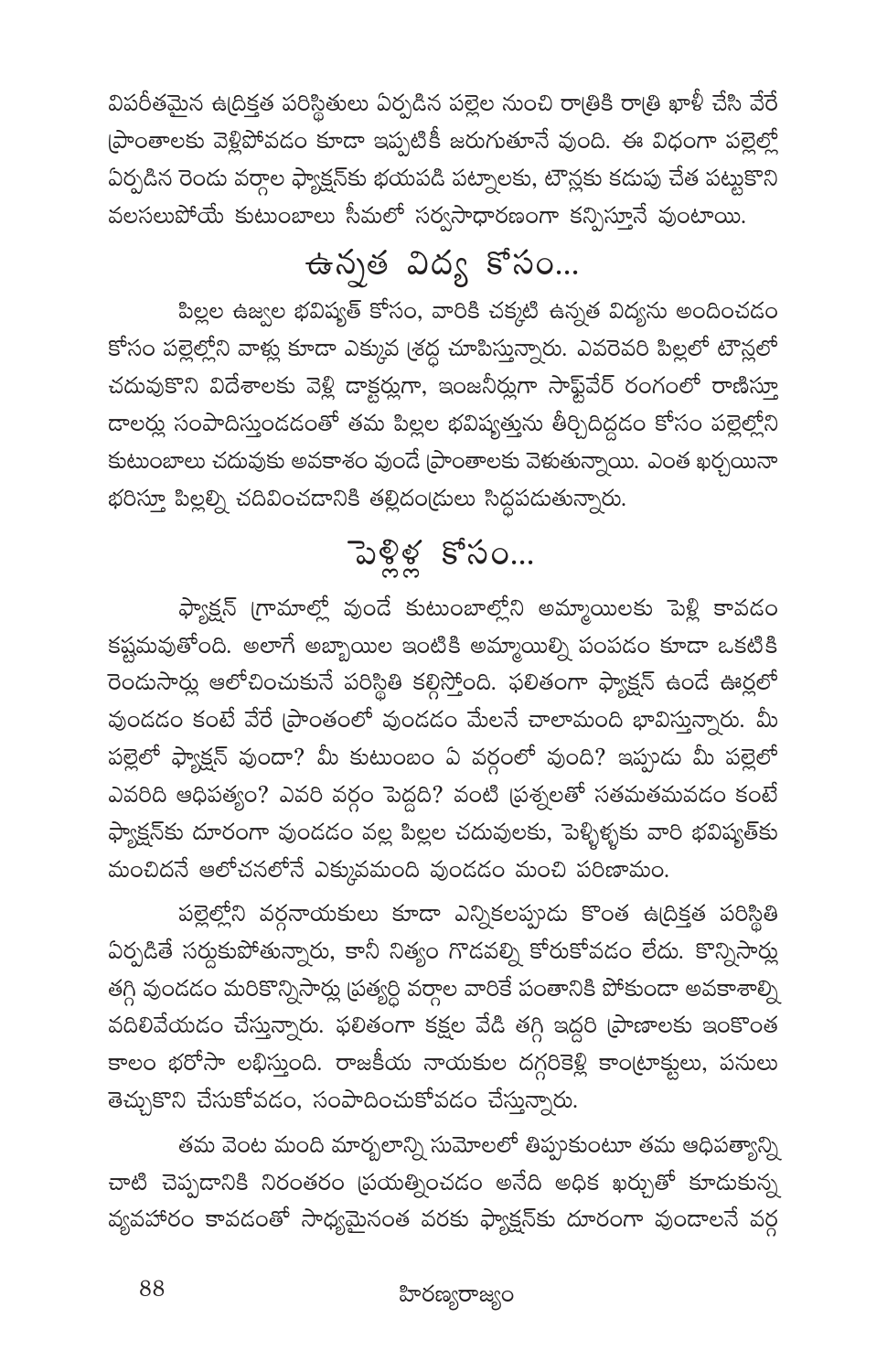విపరీతమైన ఉద్రిక్తత పరిస్థితులు ఏర్పడిన పల్లెల నుంచి రా(తికి రా(తి ఖాళీ చేసి వేరే |పాంతాలకు వెళ్లిపోవడం కూడా ఇప్పటికీ జరుగుతూనే వుంది. ఈ విధంగా పల్లెల్లో ఏర్పడిన రెండు వర్గాల ఫ్యాక్షన్<mark>కు భయపడి పట్నాలకు, టౌన్లకు కడుపు చేత పట్</mark>లుకొని 

### ఉన్నత విద్య కోసం...

పిల్లల ఉజ్వల భవిష్యత్ కోసం, వారికి చక్కటి ఉన్నత విద్యను అందించడం కోసం పల్లెల్లోని వాళ్లు కూడా ఎక్కువ (శద్ద చూపిస్తున్నారు. ఎవరెవరి పిల్లలో టౌన్లలో చదువుకొని విదేశాలకు వెళ్లి దాక్టర్లుగా, ఇంజనీర్లుగా సాఫ్ట్వేర్ రంగంలో రాణిస్తూ దాలర్లు సంపాదిస్తుండడంతో తమ పిల్లల భవిష్యత్తును తీర్చిదిద్దడం కోసం పల్లెల్లోని కుటుంబాలు చదువుకు అవకాశం వుండే [పాంతాలకు వెళుతున్నాయి. ఎంత ఖర్చయినా భరిస్తూ పిల్లల్ని చదివించడానికి తల్లిదండ్రులు సిద్ధపడుతున్నారు.

## పెళ్లిళ్ల కోసం...

ఫ్యాక్షన్ (గామాల్లో వుండే కుటుంబాల్లోని అమ్మాయిలకు పెళ్లి కావడం కష్టమవుతోంది. అలాగే అబ్బాయిల ఇంటికి అమ్మాయిల్ని పంపడం కూడా ఒకటికి రెండుసార్లు ఆలోచించుకునే పరిస్థితి కల్గిస్తోంది. ఫలితంగా ఫ్యాక్షన్ ఉండే ఊర్లలో వుండడం కంటే వేరే (పాంతంలో వుండడం మేలనే చాలామంది భావిస్తున్నారు. మీ పల్లెలో ఫ్యాక్షన్ వుందా? మీ కుటుంబం ఏ వర్గంలో వుంది? ఇప్పుడు మీ పల్లెలో ఎవరిది ఆధిపత్యం? ఎవరి వర్గం పెద్దది? వంటి <mark>ప్రశ్నలతో సతమతమవడం కంటే</mark> ఫ్యాక్షన్<mark>కు దూరంగా వుం</mark>డడం వల్ల పిల్లల చదువులకు, పెళ్ళిళ్ళకు వారి భవిష్యత్<sub>కు</sub> మంచిదనే ఆలోచనలోనే ఎక్కువమంది వుండడం మంచి పరిణామం.

పల్లెల్లోని వర్గనాయకులు కూడా ఎన్నికలప్పుడు కొంత ఉద్రిక్తత పరిస్థితి ఏర్పడితే సర్దకుపోతున్నారు, కానీ నిత్యం గొడవల్ని కోరుకోవడం లేదు. కొన్నిసార్లు తగ్గి వుండడం మరికొన్నిసార్లు ప్రత్యర్ధి వర్గాల వారికే పంతానికి పోకుండా అవకాశాల్ని వదిలివేయడం చేస్తున్నారు. ఫలితంగా కక్షల వేడి తగ్గి ఇద్దరి (పాణాలకు ఇంకొంత కాలం భరోసా లభిస్తుంది. రాజకీయ నాయకుల దగ్గరికెళ్లి కాంట్రాక్టులు, పనులు తెచ్చుకొని చేసుకోవడం, సంపాదించుకోవడం చేస్తున్నారు.

తమ వెంట మంది మార్బలాన్ని సుమోలలో తిప్<mark>చ</mark>ుకుంటూ తమ ఆధిపత్యాన్ని చాటి చెప్పడానికి నిరంతరం (పయత్నించడం అనేది అధిక ఖర్చుతో కూడుకున్న వ్యవహారం కావడంతో సాధ్యమైనంత వరకు ఫ్యాక్షన్కు దూరంగా వుందాలనే వర్గ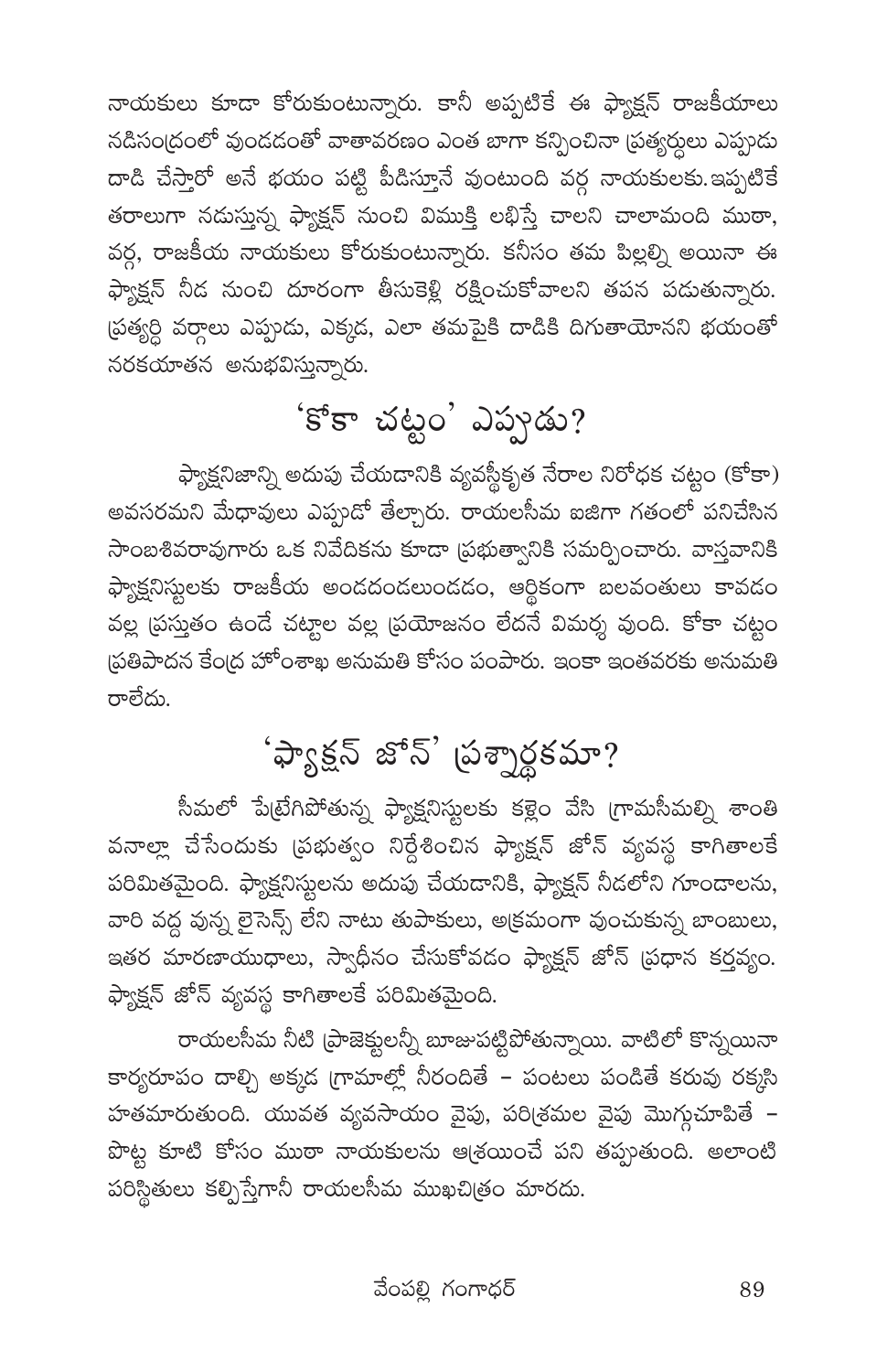నాయకులు కూడా కోరుకుంటున్నారు. కానీ అప్పటికే ఈ ఫ్యాక్షన్ రాజకీయాలు నడిసంద్రంలో వుందడంతో వాతావరణం ఎంత బాగా కన్పించినా (పత్యర్దులు ఎప్పుడు దాడి చేస్తారో అనే భయం పట్టి పీడిస్తూనే వుంటుంది వర్గ నాయకులకు.ఇప్పటికే తరాలుగా నదుస్తున్న ఫ్యాక్షన్ నుంచి విముక్తి లభిస్తే చాలని చాలామంది ముఠా, వర్గ, రాజకీయ నాయకులు కోరుకుంటున్నారు. కనీసం తమ పిల్లల్ని అయినా ఈ ఫ్యాక్షన్ నీడ నుంచి దూరంగా తీసుకెళ్లి రక్షించుకోవాలని తపన పడుతున్నారు. థ్రత్యర్ధి వర్గాలు ఎప్పదు, ఎక్కడ, ఎలా తమపైకి దాడికి దిగుతాయోనని భయంతో నరకయాతన అనుభవిస్తున్నారు.

## 'కోకా చట్టం' ఎప్పుడు?

ఫ్యాక్షనిజాన్ని అదుపు చేయడానికి వ్యవస్థీకృత నేరాల నిరోధక చట్టం (కోకా) అవసరమని మేధావులు ఎప్పుడో తేల్చారు. రాయలసీమ ఐజిగా గతంలో పనిచేసిన సాంబశివరావుగారు ఒక నివేదికను కూడా <mark>ప్రభుత్వానికి సమర్పించారు. వాస్తవానిక</mark>ి ఫ్యాక్షనిస్తులకు రాజకీయ అండదండలుండడం, అర్ధికంగా బలవంతులు కావడం వల్ల ప్రస్తుతం ఉండే చట్టాల వల్ల ప్రయోజనం లేదనే విమర్శ వుంది. కోకా చట్టం .<br>[పతిపాదన కేం[ద హోంశాఖ అనుమతి కోసం పంపారు. ఇంకా ఇంతవరకు అనుమతి రాలేదు.

# 'ఫ్యాక్షన్ జోన్' <mark>ప్రశ్నార్థకమా</mark>?

సీమలో పేట్రేగిపోతున్న ఫ్యాక్షనిస్తులకు కళ్లైం వేసి గ్రామసీమల్ని శాంతి వనాల్లా చేసేందుకు (పభుత్వం నిర్దేశించిన ఫ్యాక్షన్ జోన్ వ్యవస్థ కాగితాలకే పరిమితమైంది. ఫ్యాక్షనిస్తులను అదుపు చేయడానికి, ఫ్యాక్షన్ నీడలోని గూండాలను, వారి వద్ద వున్న లైసెన్స్ లేని నాటు తుపాకులు, అక్రమంగా వుంచుకున్న బాంబులు, ఇతర మారణాయుధాలు, స్వాధీనం చేసుకోవడం ఫ్యాక్షన్ జోన్ (పధాన కర్తవ్యం. ఫ్యాక్షన్ జోన్ వ్యవస్థ కాగితాలకే పరిమితమైంది.

రాయలసీమ నీటి [పాజెక్టులన్నీ బూజుపట్టిపోతున్నాయి. వాటిలో కొన్నయినా కార్యరూపం దాల్చి అక్కడ (గామాల్లో నీరందితే – పంటలు పండితే కరువు రక్కసి హతమారుతుంది. యువత వ్యవసాయం వైపు, పరి(శమల వైపు మొగ్గచూపితే – పొట్ట కూటి కోసం ముఠా నాయకులను ఆశ్రయించే పని తప్పుతుంది. అలాంటి పరిస్థితులు కల్పిస్తేగానీ రాయలసీమ ముఖచిత్రం మారదు.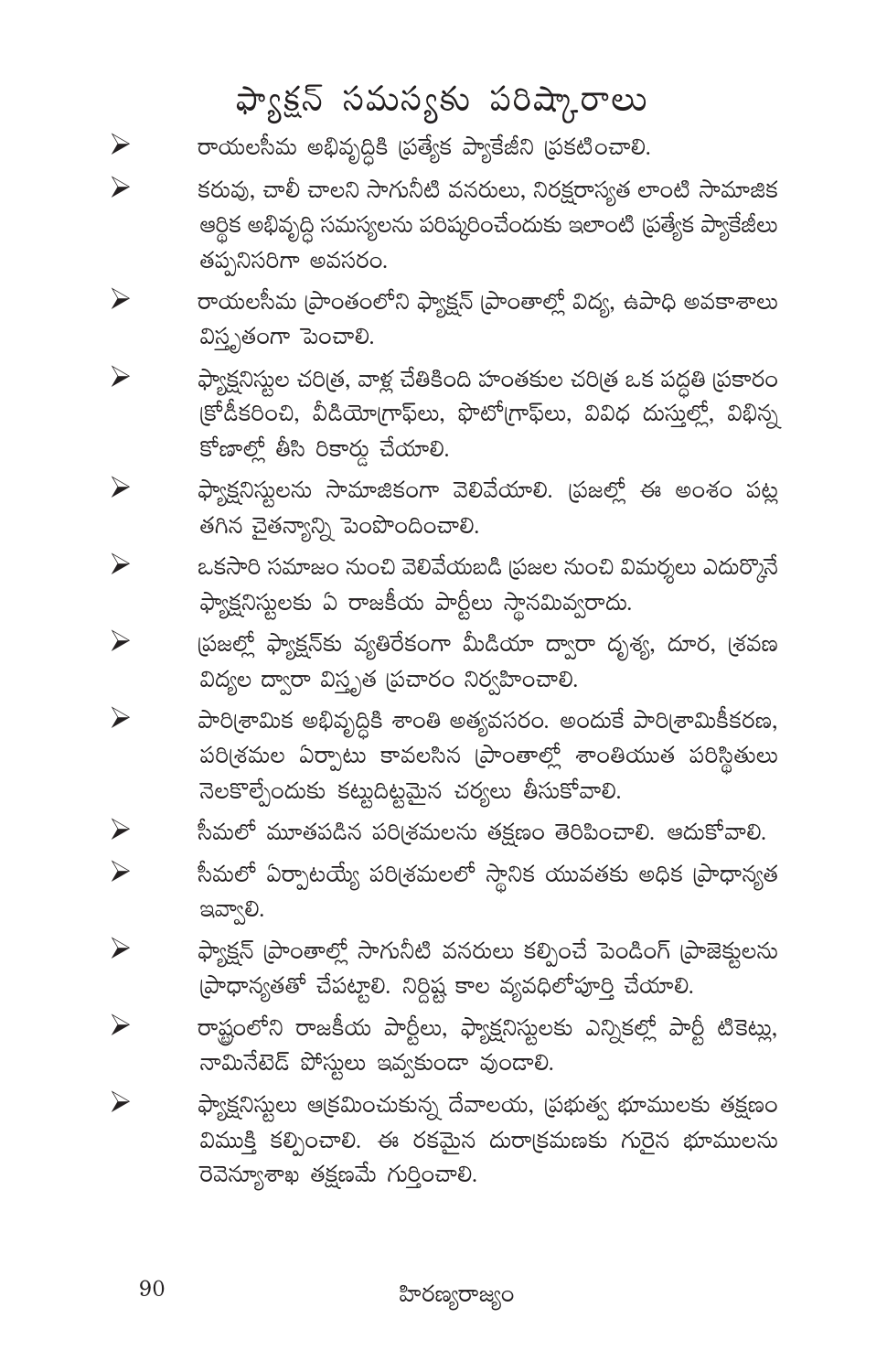## ఫ్యాక్షన్ సమస్యకు పరిష్కారాలు

- $\blacktriangleright$ రాయలసీమ అభివృద్ధికి (పత్యేక ప్యాకేజీని (పకటించాలి.
- కరువు, చాలీ చాలని సాగునీటి వనరులు, నిరక్షరాస్యత లాంటి సామాజిక  $\blacktriangleright$ ఆర్థిక అభివృద్ధి సమస్యలను పరిష్కరించేందుకు ఇలాంటి (ప్రత్యేక ప్యాకేజీలు తప్పనిసరిగా అవసరం.
- రాయలసీమ [పాంతంలోని ఫ్యాక్షన్ [పాంతాల్లో విద్య, ఉపాధి అవకాశాలు ↘ విస్తృతంగా పెంచాలి.
- ఫ్యాక్షనిస్తుల చరిత్ర, వాళ్ల చేతికింది హంతకుల చరిత్ర ఒక పద్ధతి (ప్రకారం ↘ క్రోడీకరించి, వీడియోగ్రాఫ్లేలు, ఫొటోగ్రాఫ్లేలు, వివిధ దుస్తుల్లో, విభిన్న కోణాల్లో తీసి రికార్డు చేయాలి.
- ఫ్యాక్షనిస్తులను సామాజికంగా వెలివేయాలి. ప్రజల్లో ఈ అంశం పట్ల ↘ తగిన చైతన్యాన్ని పెంపొందించాలి.
- ఒకసారి సమాజం నుంచి వెలివేయబడి (పజల నుంచి విమర్శలు ఎదుర్కొనే ↘ ఫ్యాక్షనిస్టులకు ఏ రాజకీయ పార్టీలు స్థానమివ్వరాదు.
- ప్రజల్లో ఫ్యాక్షన్కు వ్యతిరేకంగా మీడియా ద్వారా దృశ్య, దూర, (శవణ  $\blacktriangleright$ విద్యల ద్వారా విస్తృత (పచారం నిర్వహించాలి.
- $\blacktriangleright$ పారి[శామిక అభివృద్ధికి శాంతి అత్యవసరం. అందుకే పారి[శామికీకరణ, పరి<sub>(</sub>శమల ఏర్పాటు కావలసిన (పాంతాల్లో శాంతియుత పరిస్థితులు నెలకొల్పేందుకు కట్టుదిట్టమైన చర్యలు తీసుకోవాలి.
- .<br>సీమలో మూతపడిన పరి<sub>(</sub>శమలను తక్షణం తెరిపించాలి. ఆదుకోవాలి. ↘
- సీమలో ఏర్పాటయ్యే పరి<sub>(</sub>శమలలో స్థానిక యువతకు అధిక (పాధాన్యత ↘ ಇನ್ಫ್ರಾಲಿ.
- ఫ్యాక్షన్ (పాంతాల్లో సాగునీటి వనరులు కల్పించే పెండింగ్ (పాజెక్టులను ↘ ప్రాధాన్యతతో చేపట్టాలి. నిర్దిష్ట కాల వ్యవధిలోపూర్తి చేయాలి.
- రాష్ట్రంలోని రాజకీయ పార్టీలు, ఫ్యాక్షనిస్టులకు ఎన్నికల్లో పార్టీ టికెట్లు, ↘ నామినేటెడ్ పోస్టులు ఇవ్వకుండా వుండాలి.
- ఫ్యాక్షనిస్టులు ఆ(కమించుకున్న దేవాలయ, (పభుత్వ భూములకు తక్షణం ↘ విముక్తి కల్పించాలి. ఈ రకమైన దురా(కమణకు గురైన భూములను రెవెన్యూశాఖ తక్షణమే గుర్తించాలి.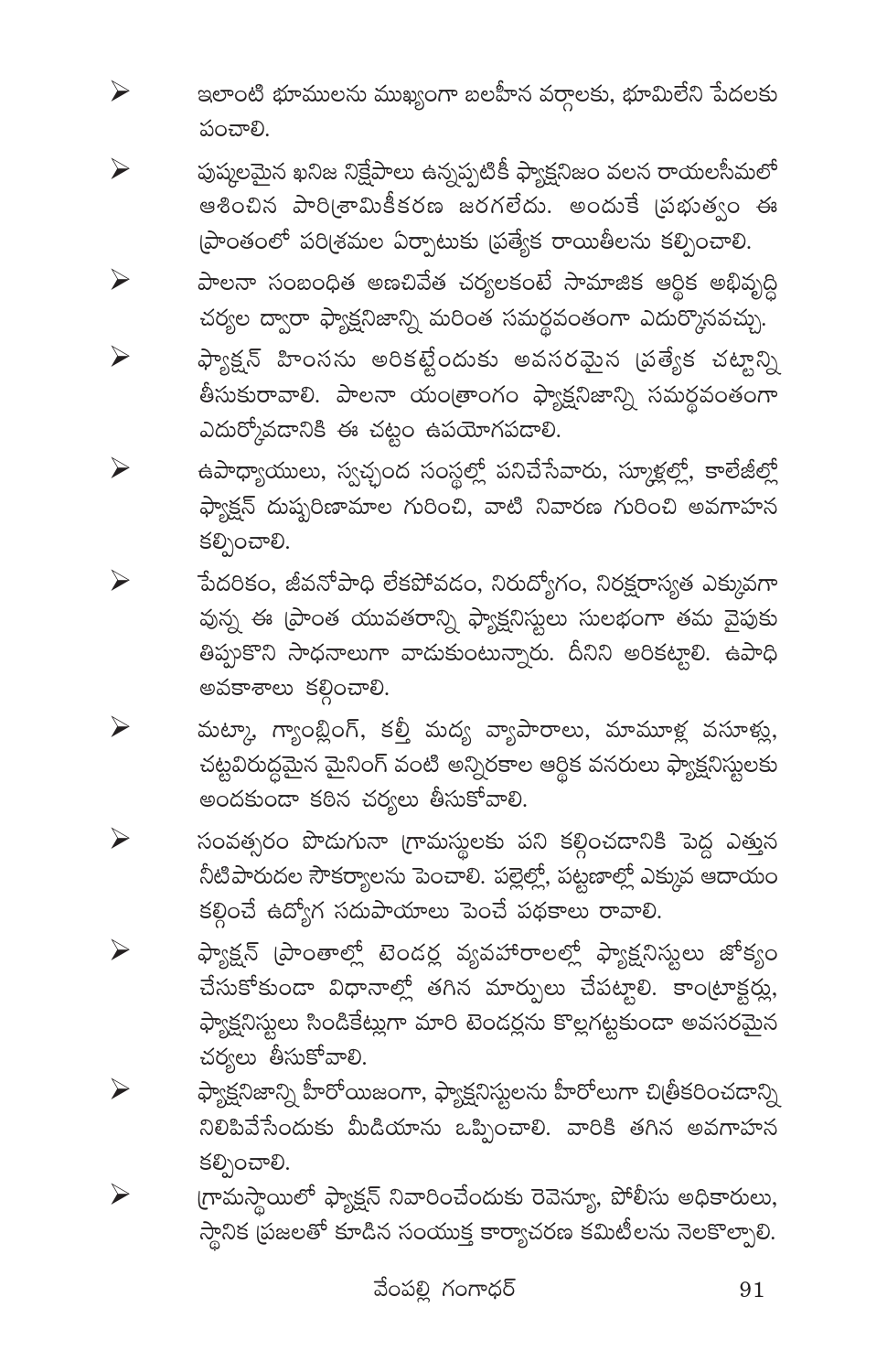- ఇలాంటి భూములను ముఖ్యంగా బలహీన వర్గాలకు, భూమిలేని పేదలకు  $\blacktriangleright$ పంచాలి.
- పుష్కలమైన ఖనిజ నిక్షేపాలు ఉన్నప్పటికీ ఫ్యాక్షనిజం వలన రాయలసీమలో ↘ ఆశించిన పారి<sub>(</sub>శామికీకరణ జరగలేదు. అందుకే (పభుత్వం ఈ (పాంతంలో పరి(శమల ఏర్పాటుకు (పత్యేక రాయితీలను కల్పించాలి.
- పాలనా సంబంధిత అణచివేత చర్యలకంటే సామాజిక ఆర్థిక అభివృద్ధి ⋗ చర్యల ద్వారా ఫ్యాక్షనిజాన్ని మరింత సమర్థవంతంగా ఎదుర్కొనవచ్చు.
- ఫ్యాక్షన్ హింసను అరికట్టేందుకు అవసరమైన (పత్యేక చట్తాన్ని ➤ తీసుకురావాలి. పాలనా యంత్రాంగం ఫ్యాక్షనిజాన్ని సమర్థవంతంగా ఎదుర్కోవడానికి ఈ చట్టం ఉపయోగపడాలి.
- ఉపాధ్యాయులు, స్వచ్చంద సంస్థల్లో పనిచేసేవారు, స్మూళ్లల్లో, కాలేజీల్లో ➤ ఫ్యాక్షన్ దుష్పరిణామాల గురించి, వాటి నివారణ గురించి అవగాహన కల్పించాలి.
- పేదరికం, జీవనోపాధి లేకపోవడం, నిరుద్యోగం, నిరక్షరాస్యత ఎక్కువగా ➤ వున్న ఈ ప్రాంత యువతరాన్ని ఫ్యాక్షనిస్తులు సులభంగా తమ వైపుకు తిప్పుకొని సాధనాలుగా వాడుకుంటున్నారు. దీనిని అరికట్టాలి. ఉపాధి అవకాశాలు కల్గించాలి.
- మట్కా, గ్యాంబ్లింగ్, కల్తీ మద్య వ్యాపారాలు, మామూళ్ల వసూళ్లు, ➢ చట్టవిరుద్దమైన మైనింగ్ వంటి అన్నిరకాల ఆర్ధిక వనరులు ఫ్యాక్షనిస్టులకు అందకుండా కఠిన చర్యలు తీసుకోవాలి.
- సంవత్సరం పొడుగునా (గామస్థులకు పని కల్గించడానికి పెద్ద ఎత్తున ⋗ నీటిపారుదల సౌకర్యాలను పెంచాలి. పల్లెల్లో, పట్టణాల్లో ఎక్కువ ఆదాయం కల్గించే ఉద్యోగ సదుపాయాలు పెంచే పథకాలు రావాలి.
- ↘ ఫ్యాక్షన్ (పాంతాల్లో టెండర్ల వ్యవహారాలల్లో ఫ్యాక్షనిస్టులు జోక్యం చేసుకోకుండా విధానాల్లో తగిన మార్పులు చేపట్టాలి. కాం(టాక్టర్లు, ఫ్యాక్షనిస్తులు సిండికేట్లుగా మారి టెండర్లను కొల్లగట్టకుండా అవసరమైన చర్యలు తీసుకోవాలి.
- ఫ్యాక్షనిజాన్ని హీరోయిజంగా, ఫ్యాక్షనిస్తులను హీరోలుగా చిత్రీకరించడాన్ని ➢ నిలిపివేసేందుకు మీడియాను ఒప్పించాలి. వారికి తగిన అవగాహన కల్పించాలి.
- గ్రామస్థాయిలో ఫ్యాక్షన్ నివారించేందుకు రెవెన్యూ, పోలీసు అధికారులు, ↘ స్థానిక (పజలతో కూడిన సంయుక్త కార్యాచరణ కమిటీలను నెలకొల్పాలి.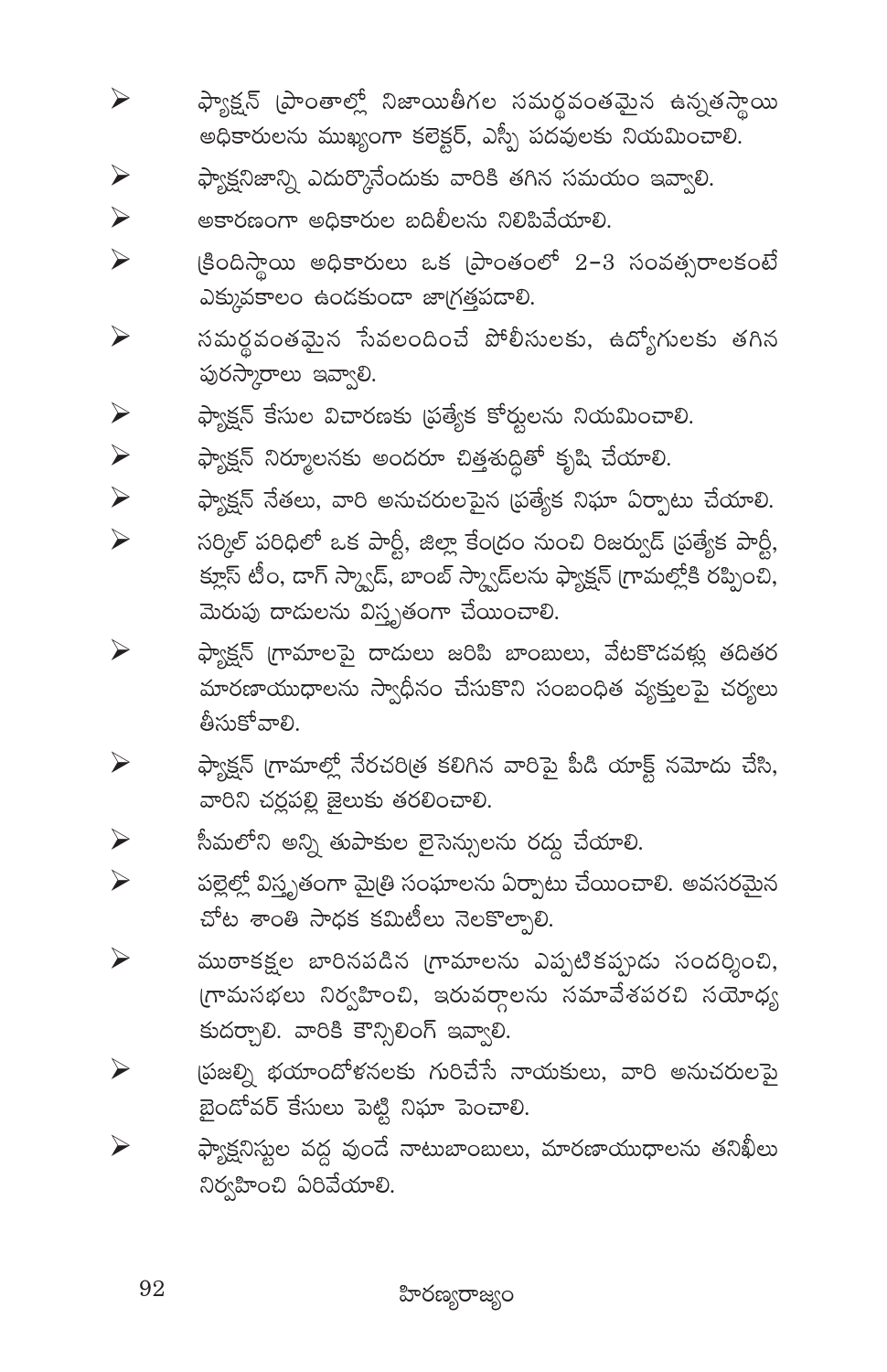- ఫ్యాక్షన్ (పాంతాల్లో నిజాయితీగల సమర్థవంతమైన ఉన్నతస్థాయి ➤ అధికారులను ముఖ్యంగా కలెక్టర్, ఎస్పీ పదవులకు నియమించాలి.
- ఫ్యాక్షనిజాన్ని ఎదుర్కొనేందుకు వారికి తగిన సమయం ఇవ్వాలి. ➤
- అకారణంగా అధికారుల బదిలీలను నిలిపివేయాలి.  $\blacktriangleright$
- $60$ రిదిస్థాయి అధికారులు ఒక బ్రాంతంలో 2-3 సంవత్సరాలకంటే ➤ ఎక్కువకాలం ఉండకుండా జాగ్రత్తపడాలి.
- సమర్థవంతమైన సేవలందించే పోలీసులకు, ఉద్యోగులకు తగిన  $\blacktriangleright$ పురస్కారాలు ఇవ్వాలి.
- ఫ్యాక్షన్ కేసుల విచారణకు (పత్యేక కోర్టులను నియమించాలి. ➤
- $\blacktriangleright$ ఫ్యాక్షన్ నిర్మూలనకు అందరూ చిత్తశుద్ధితో కృషి చేయాలి.
- $\blacktriangleright$ ఫ్యాక్షన్ నేతలు, వారి అనుచరులపైన (పత్యేక నిఘా ఏర్పాటు చేయాలి.
- సర్కిల్ పరిధిలో ఒక పార్టీ, జిల్లా కేంద్రం నుంచి రిజర్వుడ్ (పత్యేక పార్టీ,  $\blacktriangleright$ క్లూస్ టీం, డాగ్ స్మ్వాడ్, బాంబ్ స్మ్వాడ్లను ఫ్యాక్షన్ (గామల్లోకి రప్పించి, మెరుపు దాడులను విస్తృతంగా చేయించాలి.
- ఫ్యాక్షన్ గ్రామాలపై దాదులు జరిపి బాంబులు, వేటకొడవళ్లు తదితర ➤ మారణాయుధాలను స్వాధీనం చేసుకొని సంబంధిత వ్యక్తులపై చర్యలు తీసుకోవాలి.
- ↘ ఫ్యాక్షన్ గ్రామాల్లో నేరచరిత్ర కలిగిన వారిపై పీడి యాక్ట్ నమోదు చేసి, వారిని చర్లపల్లి జైలుకు తరలించాలి.
- సీమలోని అన్ని తుపాకుల లైసెన్సులను రద్దు చేయాలి. ↘
- పల్లెల్లో విస్తృతంగా మైత్రి సంఘాలను ఏర్పాటు చేయించాలి. అవసరమైన ➤ చోట శాంతి సాధక కమిటీలు నెలకొల్పాలి.
- ➤ ముఠాకక్షల బారినపడిన గ్రామాలను ఎప్పటికప్పుడు సందర్శించి,  $[$ గామసభలు నిర్వహించి, ఇరువర్గాలను సమావేశపరచి సయోధ్య కుదర్చాలి. వారికి కౌన్సిలింగ్ ఇవ్వాలి.
- ప్రజల్ని భయాందోళనలకు గురిచేసే నాయకులు, వారి అనుచరులపై ➤ బైండోవర్ కేసులు పెట్టి నిఘా పెంచాలి.
- ఫ్యాక్షనిస్టుల వద్ద వుండే నాటుబాంబులు, మారణాయుధాలను తనిఖీలు ➤ నిర్వహించి ఏరివేయాలి.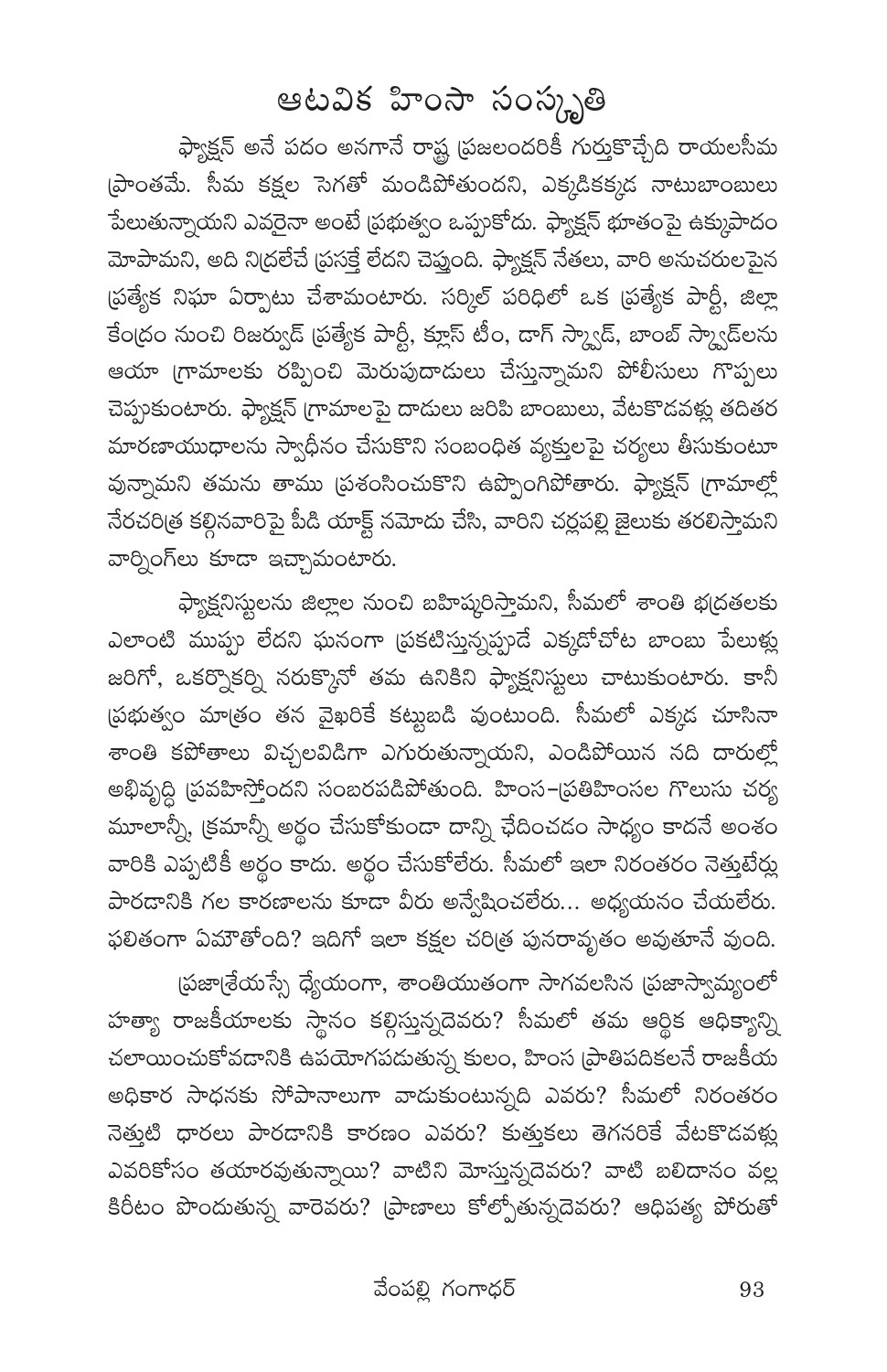# ఆటవిక హింసా సంస్కృతి

ఫ్యాక్షన్ అనే పదం అనగానే రాష్ట్ర ప్రజలందరికీ గుర్తుకొచ్చేది రాయలసీమ (పాంతమే. సీమ కక్షల సెగతో మండిపోతుందని, ఎక్కడికక్కడ నాటుబాంబులు పేలుతున్నాయని ఎవరైనా అంటే ప్రభుత్వం ఒప్పుకోదు. ఫ్యాక్షన్ భూతంపై ఉక్కుపాద<mark>ం</mark> మోపామని, అది నిద్రలేచే (పసక్తే లేదని చెప్త్రంది. ఫ్యాక్షన్ నేతలు, వారి అనుచరులపైన ధ్రత్యేక నిఘా ఏర్పాటు చేశామంటారు. సర్మిల్ పరిధిలో ఒక <mark>ద్రత్యేక పార్టీ,</mark> జిల్లా కేంద్రం నుంచి రిజర్వుడ్ [పత్యేక పార్టీ, క్లూస్ టీం, డాగ్ స్మ్వాడ్, బాంబ్ స్మ్వాడ్లను ఆయా (గామాలకు రప్పించి మెరుపుదాడులు చేస్తున్నామని పోలీసులు గొప్పలు చెప్తుకుంటారు. ఫ్యాక్షన్ (గామాలపై దాడులు జరిపి బాంబులు, వేటకొడవట్ల తదితర మారణాయుధాలను స్వాధీనం చేసుకొని సంబంధిత వ్యక్తులపై చర్యలు తీసుకుంటూ వున్నామని తమను తాము (పశంసించుకొని ఉప్పొంగిపోతారు. ఫ్యాక్షన్ (గామాల్లో నేరచరిత్ర కల్గినవారిపై పీడి యాక్ట్ నమోదు చేసి, వారిని చర్లపల్లి జైలుకు తరలిస్తామని వార్నింగ్లు కూడా ఇచ్చామంటారు.

ఫ్యాక్షనిస్టులను జిల్లాల నుంచి బహిష్కరిస్తామని, సీమలో శాంతి భ(దతలకు ఎలాంటి ముప్పు లేదని ఘనంగా ప్రకటిస్తున్నప్పుడే ఎక్కడోచోట బాంబు పేలుళ్లు జరిగో, ఒకర్నొకర్ని నరుక్కొనో తమ ఉనికిని ఫ్యాక్షనిస్టలు చాటుకుంటారు. కానీ (పభుత్వం మాత్రం తన వైఖరికే కట్టబడి వుంటుంది. సీమలో ఎక్కడ చూసినా శాంతి కపోతాలు విచ్చలవిడిగా ఎగురుతున్నాయని, ఎండిపోయిన నది దారుల్లో అభివృద్ధి (పవహిస్తోందని సంబరపడిపోతుంది. హింస–(పతిహింసల గొలుసు చర్య మూలాన్నీ, (కమాన్నీ అర్థం చేసుకోకుండా దాన్ని ఛేదించడం సాధ్యం కాదనే అంశం వారికి ఎప్పటికీ అర్థం కాదు. అర్థం చేసుకోలేరు. సీమలో ఇలా నిరంతరం నెత్తుటేర్లు పారడానికి గల కారణాలను కూడా వీరు అన్వేషించలేరు... అధ్యయనం చేయలేరు. ఫలితంగా ఏమౌతోంది? ఇదిగో ఇలా కక్షల చరిత్ర పునరావృతం అవుతూనే వుంది.

ప్రజా(శేయస్సే ధ్యేయంగా, శాంతియుతంగా సాగవలసిన (పజాస్వామ్యంలో హత్యా రాజకీయాలకు స్థానం కల్గిస్తున్నదెవరు? సీమలో తమ ఆర్థిక ఆధిక్యాన్ని చలాయించుకోవదానికి ఉపయోగపడుతున్న కులం, హింస (పాతిపదికలనే రాజకీయ అధికార సాధనకు సోపానాలుగా వాదుకుంటున్నది ఎవరు? సీమలో నిరంతరం నెత్తుటి ధారలు పారడానికి కారణం ఎవరు? కుత్తుకలు తెగనరికే వేటకొడవళ్<mark>ల</mark>ు ఎవరికోసం తయారవుతున్నాయి? వాటిని మోస్తున్నదెవరు? వాటి బలిదానం వల్ల కిరీటం పొందుతున్న వారెవరు? (పాణాలు కోల్పోతున్నదెవరు? ఆధిపత్య పోరుతో

వేంపల్లి గంగాధర్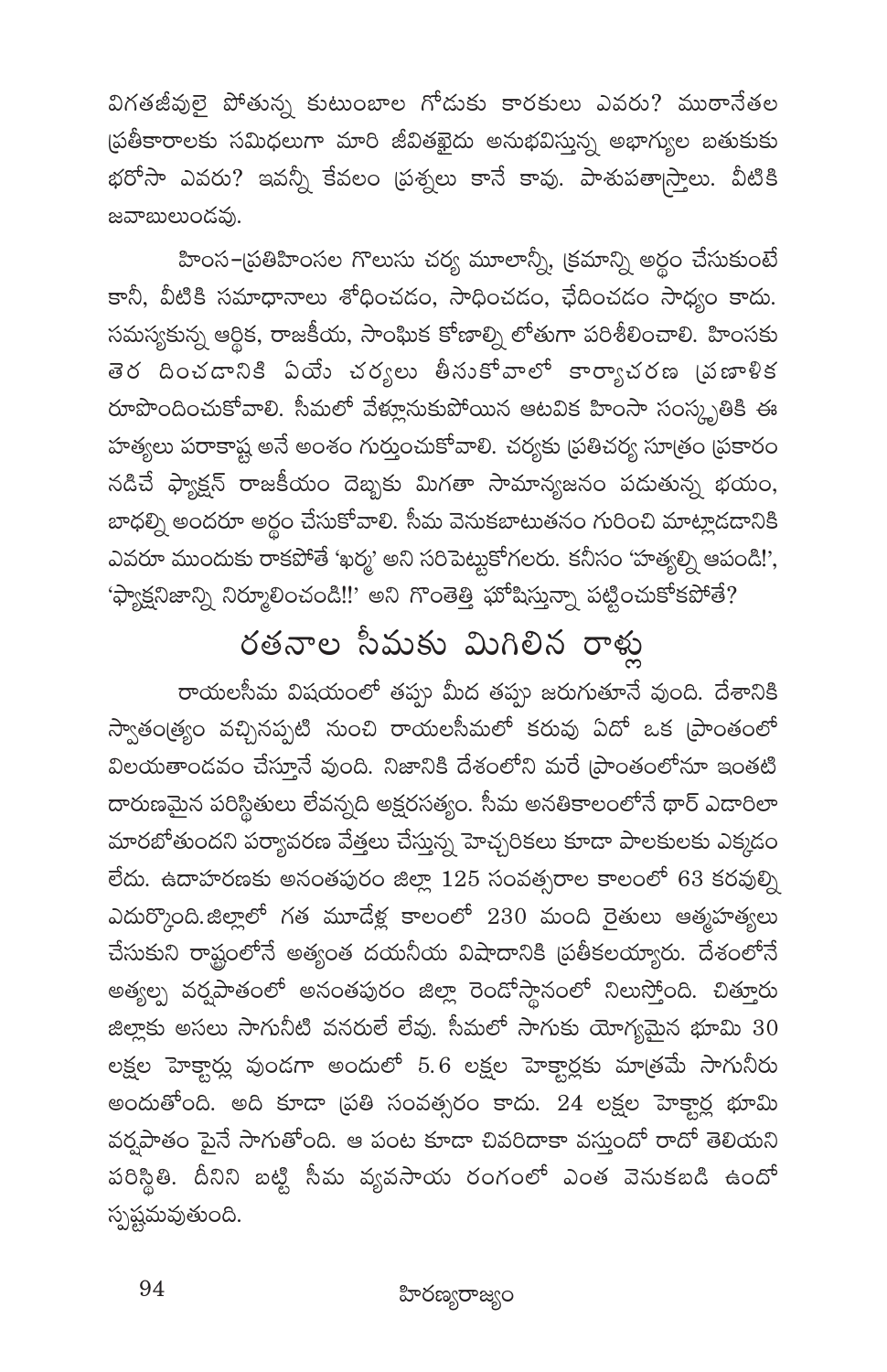విగతజీవులై పోతున్న కుటుంబాల గోడుకు కారకులు ఎవరు? ముఠానేతల ద్రతీకారాలకు సమిధలుగా మారి జీవితఖైదు అనుభవిస్తున్న అభాగ్యుల బతుకుకు భరోసా ఎవరు? ఇవన్నీ కేవలం <mark>థశ్నలు కానే కావు. పాశుపతాృస్తాలు.</mark> వీటికి జవాబులుందవు.

హింస–[ప్రతిహింసల గొలుసు చర్య మూలాన్నీ, (కమాన్ని అర్ధం చేసుకుంటే కానీ, వీటికి సమాధానాలు శోధించడం, సాధించడం, ఛేదించడం సాధ్యం కాదు. సమస్యకున్న ఆర్థిక, రాజకీయ, సాంఘిక కోణాల్ని లోతుగా పరిశీలించాలి. హింసకు .<br>తెర దించడానికి ఏయే చర్యలు తీసుకోవాలో కార్యాచరణ <sub>(</sub>పణాళిక రూపొందించుకోవాలి. సీమలో వేళ్లూనుకుపోయిన ఆటవిక హింసా సంస్కృతికి ఈ హత్యలు పరాకాష్ట అనే అంశం గుర్తుంచుకోవాలి. చర్యకు ప్రతిచర్య సూత్రం ప్రకారం నడిచే ఫ్యాక్షన్ రాజకీయం దెబ్బకు మిగతా సామాన్యజనం పదుతున్న భయం, .<br>బాధల్ని అందరూ అర్ధం చేసుకోవాలి. సీమ వెనుకబాటుతనం గురించి మాట్లాడడానికి ఎవరూ ముందుకు రాకపోతే 'ఖర్మ' అని సరిపెట్టుకోగలరు. కనీసం 'హత్యల్ని ఆపండి!', 'ఫ్యాక్షనిజాన్ని నిర్మూలించండి!!' అని గొంతెత్తి ఘోషిస్తున్నా పట్టించుకోకపోతే?

## రతనాల సీమకు మిగిలిన రాళ్లు

రాయలసీమ విషయంలో తప్పు మీద తప్పు జరుగుతూనే వుంది. దేశానికి స్వాతం(త్యం వచ్చినప్పటి నుంచి రాయలసీమలో కరువు ఏదో ఒక [పాంతంలో విలయతాండవం చేస్తూనే వుంది. నిజానికి దేశంలోని మరే [పాంతంలోనూ ఇంతటి దారుణమైన పరిస్థితులు లేవన్నది అక్షరసత్యం. సీమ అనతికాలంలోనే థార్ ఎదారిలా మారబోతుందని పర్యావరణ వేత్తలు చేస్తున్న హెచ్చరికలు కూడా పాలకులకు ఎక్కడం లేదు. ఉదాహరణకు అనంతపురం జిల్లా 125 సంవత్సరాల కాలంలో 63 కరవుల్ని ఎదుర్కొంది.జిల్లాలో గత మూడేళ్ల కాలంలో 230 మంది రైతులు ఆత్మహత్యలు చేసుకుని రాష్ట్రంలోనే అత్యంత దయనీయ విషాదానికి (పతీకలయ్యారు. దేశంలోనే అత్యల్ప వర్షపాతంలో అనంతపురం జిల్లా రెండోస్థానంలో నిలుస్తోంది. చిత్తూరు జిల్లాకు అసలు సాగునీటి వనరులే లేవు. సీమలో సాగుకు యోగ్యమైన భూమి  $30\,$ లక్షల హెక్తార్లు వుండగా అందులో 5.6 లక్షల హెక్టార్లకు మాత<mark>్</mark>రమే సాగునీరు అందుతోంది. అది కూడా (పతి సంవత్సరం కాదు. 24 లక్షల హెక్టార్ల భూమి వర్షపాతం పైనే సాగుతోంది. ఆ పంట కూడా చివరిదాకా వస్తుందో రాదో తెలియని పరిస్థితి. దీనిని బట్టి సీమ వ్యవసాయ రంగంలో ఎంత వెనుకబడి ఉందో స్పష్టమవుతుంది.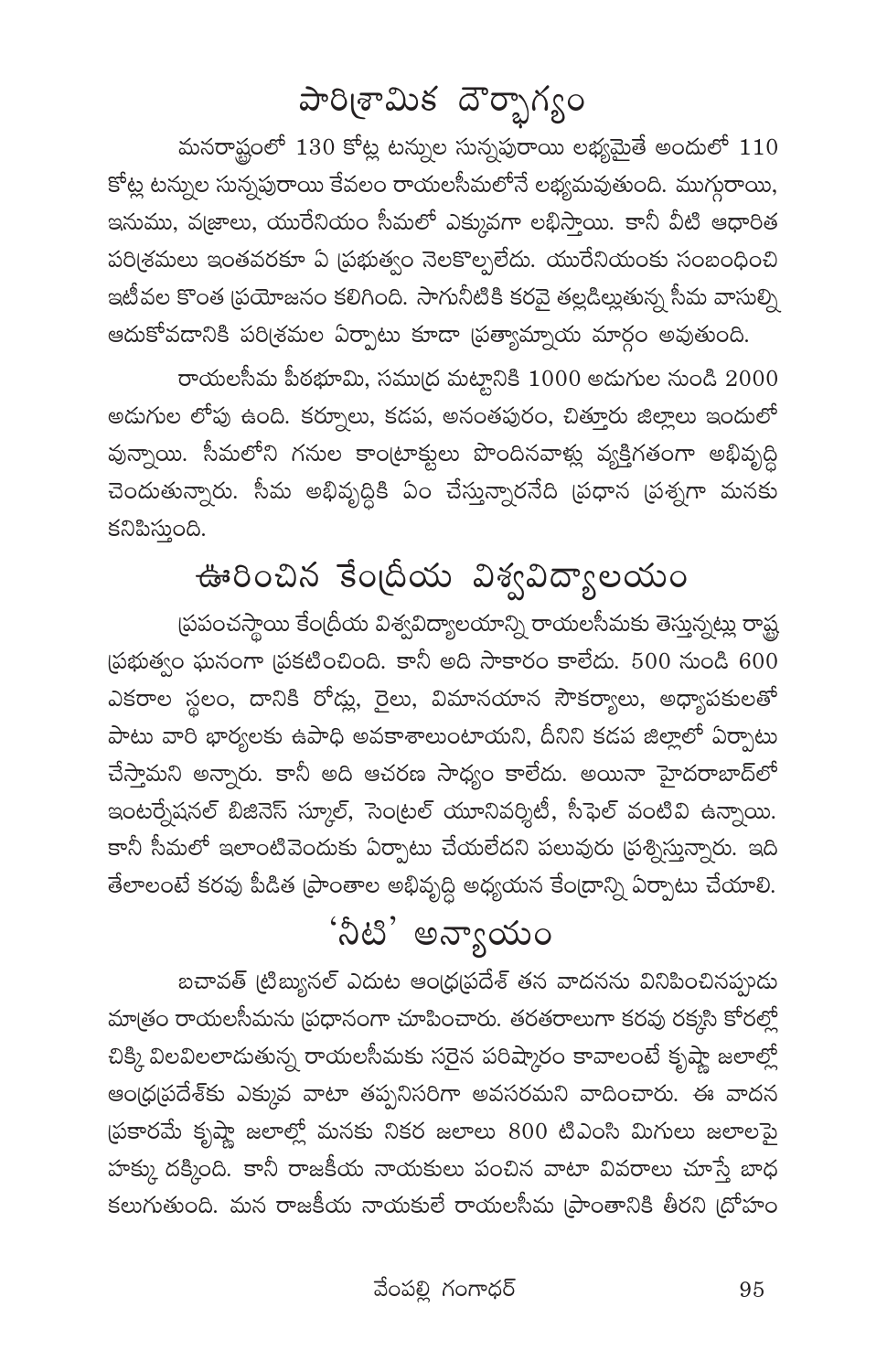# పారి(శామిక దౌర్భాగ్యం

మనరాష్టంలో  $130$  కోట్ల టన్నుల సున్నపురాయి లభ్యమైతే అందులో  $110$ కోట్ల టస్నుల సుస్నపురాయి కేవలం రాయలసీమలోనే లభ్యమవుతుంది. ముగ్గురాయి, ా.<br>ఇనుము, వ[జాలు, యురేనియం సీమలో ఎక్కువగా లభిస్తాయి. కానీ వీటి ఆధారిత పరి(శమలు ఇంతవరకూ ఏ (పభుత్వం నెలకొల్పలేదు. యురేనియంకు సంబంధించి ఇటీవల కొంత (పయోజనం కలిగింది. సాగునీటికి కరవై తల్లడిల్లుతున్న సీమ వాసుల్ని ఆదుకోవడానికి పరి[శమల ఏర్పాటు కూడా [పత్యామ్నాయ మార్గం అవుతుంది.

రాయలసీమ పీఠభూమి, సముద్ర మట్టానికి 1000 అడుగుల నుండి  $2000$ అదుగుల లోపు ఉంది. కర్నూలు, కడప, అనంతపురం, చిత్తూరు జిల్లాలు ఇందులో వున్నాయి. సీమలోని గనుల కాంట్రాక్టులు పొందినవాళ్లు వ్యక్తిగతంగా అభివృద్ధి చెందుతున్నారు. సీమ అభివృద్ధికి ఏం చేస్తున్నారనేది (పథాన (పశ్నగా మనకు కనిపిస్తుంది.

## ఊరించిన కేంద్రీయ విశ్వవిద్యాలయం

ప్రపంచస్థాయి కేంద్రీయ విశ్వవిద్యాలయాన్ని రాయలసీమకు తెస్తున్నట్లు రాష్ట్ర స్రభుత్వం ఘనంగా ప్రకటించింది. కానీ అది సాకారం కాలేదు. 500 నుండి 600 ఎకరాల స్థలం, దానికి రోడ్లు, రైలు, విమానయాన సౌకర్యాలు, అధ్యాపకులతో పాటు వారి భార్యలకు ఉపాధి అవకాశాలుంటాయని, దీనిని కడప జిల్లాలో ఏర్పాటు చేస్తామని అన్నారు. కానీ అది ఆచరణ సాధ్యం కాలేదు. అయినా హైదరాబాద్లో ఇంటర్నేషనల్ బిజినెస్ స్కూల్, సెంట్రల్ యూనివర్శిటీ, సీఫెల్ వంటివి ఉన్నాయి.<br>-కానీ సీమలో ఇలాంటివెందుకు ఏర్పాటు చేయలేదని పలువురు (పశ్నిస్తున్నారు. ఇది తేలాలంటే కరవు పీడిత (పాంతాల అభివృద్ధి అధ్యయన కేం[దాన్ని ఏర్పాటు చేయాలి.

# 'నీటి' అన్యాయం

బచావత్ (టిబ్యునల్ ఎదుట ఆం(ధ(పదేశ్ తన వాదనను వినిపించినప్పుడు మాత్రం రాయలసీమను ప్రధానంగా చూపించారు. తరతరాలుగా కరవు రక్కసి కోరల్లో చిక్కి విలవిలలాదుతున్న రాయలసీమకు సరైన పరిష్కారం కావాలంటే కృష్ణా జలాల్లో ఆంధ్రప్రదేశ్కు ఎక్కువ వాటా తప్పనిసరిగా అవసరమని వాదించారు. ఈ వాదన ప్రకారమే కృష్ణా జలాల్లో మనకు నికర జలాలు 800 టిఎంసి మిగులు జలాలపై హక్కు దక్కింది. కానీ రాజకీయ నాయకులు పంచిన వాటా వివరాలు చూస్తే బాధ కలుగుతుంది. మన రాజకీయ నాయకులే రాయలసీమ (పాంతానికి తీరని (దోహం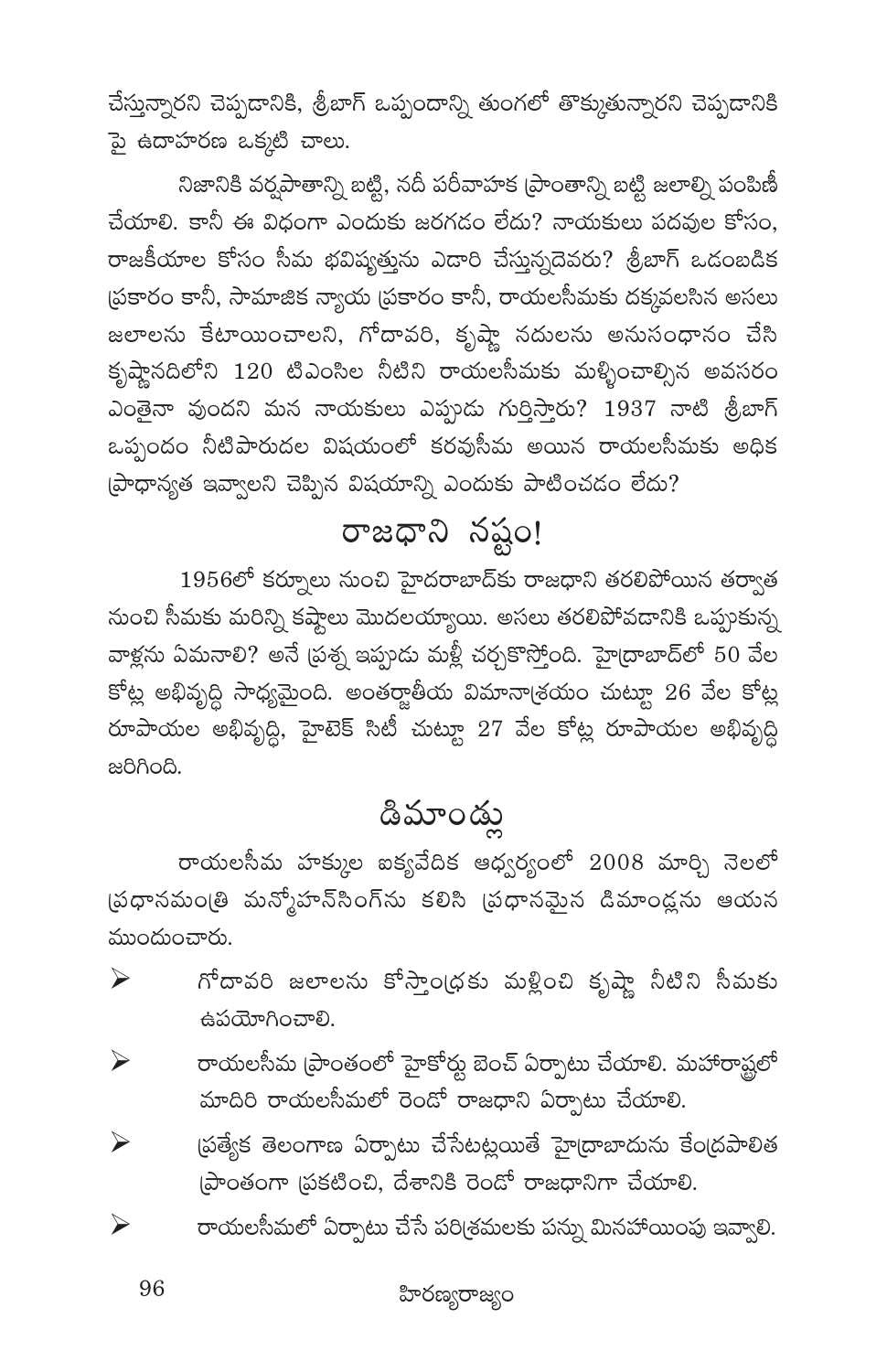చేస్తున్నారని చెప్పదానికి, శ్రీబాగ్ ఒప్పందాన్ని తుంగలో తొక్కుతున్నారని చెప్పడానికి పై ఉదాహరణ ఒక్కటి చాలు.

నిజానికి వర్తపాతాన్ని బట్టి, నదీ పరీవాహక (పాంతాన్ని బట్టి జలాల్ని పంపిణీ చేయాలి. కానీ ఈ విధంగా ఎందుకు జరగడం లేదు? నాయకులు పదవుల కోసం, రాజకీయాల కోసం సీమ భవిష్యత్తును ఎదారి చేస్తున్నదెవరు? శ్రీబాగ్ ఒడంబడిక <u>ద్ర</u>కారం కానీ, సామాజిక న్యాయ (ప్రకారం కానీ, రాయలసీమకు దక్కవలసిన అసలు జలాలను కేటాయించాలని, గోదావరి, కృష్ణా నదులను అనుసంధానం చేసి కృష్ణానదిలోని 120 టిఎంసిల నీటిని రాయలసీమకు మళ్ళించాల్సిన అవసరం ఎంతైనా వుందని మన నాయకులు ఎప్పుడు గుర్తిస్తారు? 1937 నాటి <mark>త్రీ</mark>బాగ్ ఒప్పందం నీటిపారుదల విషయంలో కరవుసీమ అయిన రాయలసీమకు అధిక ప్రాధాన్యత ఇవ్వాలని చెప్పిన విషయాన్ని ఎందుకు పాటించడం లేదు?

## రాజధాని నష్టం!

 $1956$ లో కర్నూలు నుంచి హైదరాబాద్కు రాజధాని తరలిపోయిన తర్వాత నుంచి సీమకు మరిన్ని కష్టాలు మొదలయ్యాయి. అసలు తరలిపోవదానికి ఒప్పుకున్న వాళ్లను ఏమనాలి? అనే ప్రశ్న ఇప్పుడు మళ్లీ చర్చకొస్తోంది. హై[దాబాద్లో 50 వేల .<br>కోట్ల అభివృద్ధి సాధ్యమైంది. అంతర్జాతీయ విమానా(శయం చుట్యూ 26 వేల కోట్ల రూపాయల అభివృద్ధి, హైటెక్ సిటీ చుట్టూ 27 వేల కోట్ల రూపాయల అభివృద్ధి ಜರಿಗಿಂದಿ.

## డిమాండు

రాయలసీమ హక్కుల ఐక్యవేదిక ఆధ్వర్యంలో 2008 మార్చి నెలలో స్రధానమంత్రి మన్మోహన్సింగ్ను కలిసి ప్రధానమైన డిమాండ్లను ఆయన ముందుంచారు.

- $\blacktriangleright$ గోదావరి జలాలను కోస్తాంద్రకు మళ్లించి కృష్ణా నీటిని సీమకు ఉపయోగించాలి.
- రాయలసీమ [పాంతంలో హైకోర్టు బెంచ్ ఏర్పాటు చేయాలి. మహారాష్ట్రలో ➤ మాదిరి రాయలసీమలో రెండో రాజధాని ఏర్పాటు చేయాలి.
- ప్రత్యేక తెలంగాణ ఏర్పాటు చేసేటట్లయితే హై[దాబాదును కేం[దపాలిత ⋗ ప్రాంతంగా ప్రకటించి, దేశానికి రెండో రాజధానిగా చేయాలి.
- రాయలసీమలో ఏర్పాటు చేసే పరి(శమలకు పన్ను మినహాయింపు ఇవ్వాలి. ➤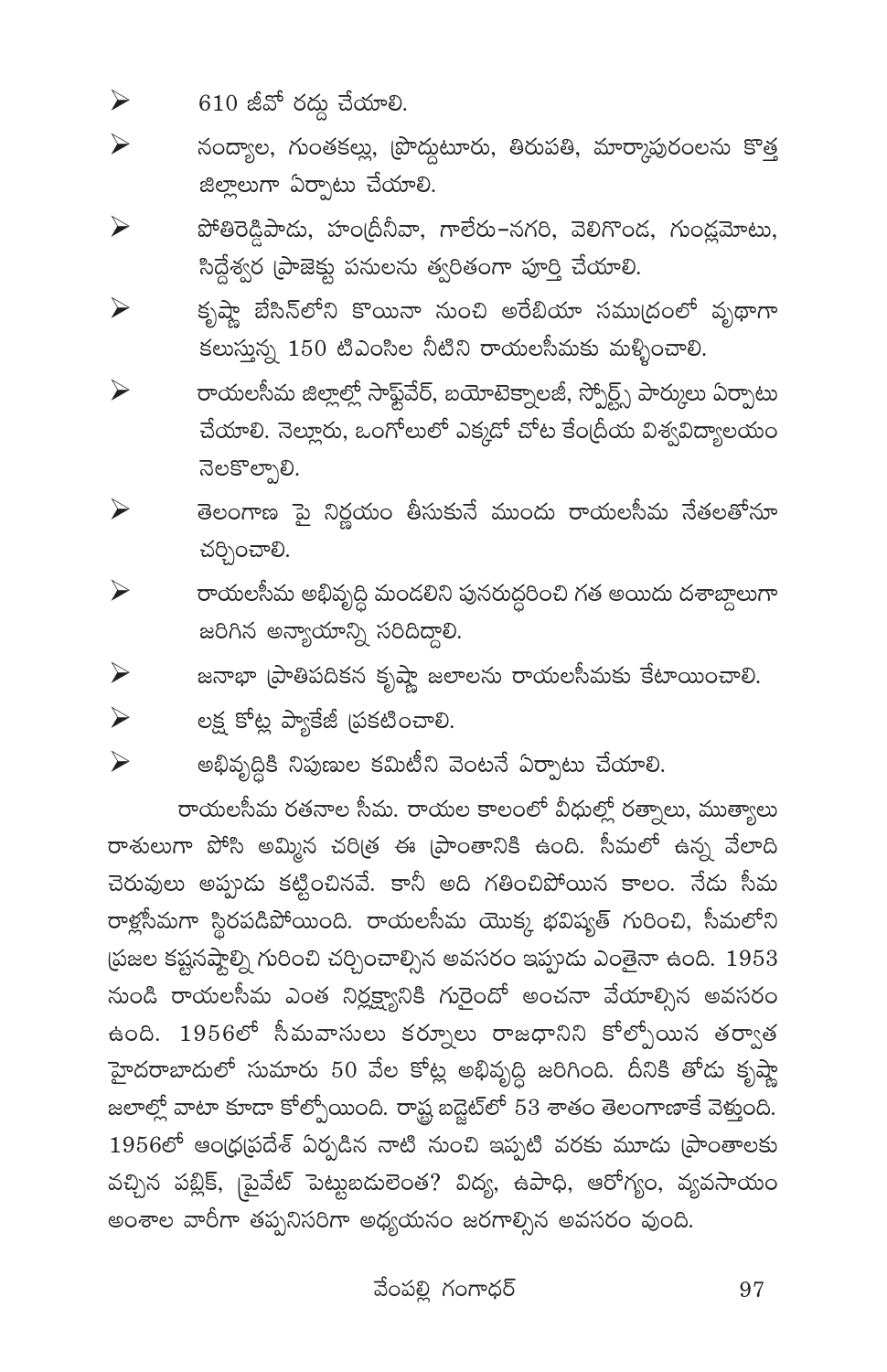$610$  జీవో రద్దు చేయాలి. ➤

- నంద్యాల, గుంతకల్లు, (పొద్దుటూరు, తిరుపతి, మార్మాపురంలను కొత్త  $\blacktriangleright$ జిల్లాలుగా ఏర్పాటు చేయాలి.
- పోతిరెడ్డిపాడు, హం[దీనీవా, గాలేరు-నగరి, వెలిగొండ, గుండ్లమోటు, ➤ సిద్దేశ్వర (పాజెక్టు పనులను త్వరితంగా పూర్తి చేయాలి.
- కృష్ణా బేసిన్లోని కొయినా నుంచి అరేబియా సముద్రంలో వృథాగా ➤ కలుస్తున్న 150 టిఎంసిల నీటిని రాయలసీమకు మళ్ళించాలి.
- రాయలసీమ జిల్లాల్లో సాఫ్టెవేర్, బయోటెక్నాలజీ, స్పోర్ట్స్ పార్కులు ఏర్పాటు ➤ చేయాలి. నెల్లూరు, ఒంగోలులో ఎక్కడో చోట కేం[దీయ విశ్వవిద్యాలయం నెలకొల్పాలి.
- తెలంగాణ పై నిర్ణయం తీసుకునే ముందు రాయలసీమ నేతలతోనూ ➤ చర్చించాలి.
- రాయలసీమ అభివృద్ధి మండలిని పునరుద్దరించి గత అయిదు దశాబ్దాలుగా ↘ జరిగిన అన్యాయాన్ని సరిదిద్దాలి.
- జనాభా (పాతిపదికన కృష్ణా జలాలను రాయలసీమకు కేటాయించాలి. ➤
- లక్ష కోట్ల ప్యాకేజీ (పకటించాలి.  $\blacktriangleright$
- అభివృద్ధికి నిపుణుల కమిటీని వెంటనే ఏర్పాటు చేయాలి.  $\blacktriangleright$

రాయలసీమ రతనాల సీమ. రాయల కాలంలో వీధుల్లో రత్నాలు, ముత్యాలు రాశులుగా పోసి అమ్మిన చరిత్ర ఈ [పాంతానికి ఉంది. సీమలో ఉన్న వేలాది చెరువులు అప్పుడు కట్టించినవే. కానీ అది గతించిపోయిన కాలం. నేడు సీమ రాళ్లసీమగా స్థిరపడిపోయింది. రాయలసీమ యొక్క భవిష్యత్ గురించి, సీమలోని (పజల కష్టనష్టాల్ని గురించి చర్చించాల్సిన అవసరం ఇప్పుడు ఎంతైనా ఉంది. 1953 నుండి రాయలసీమ ఎంత నిర్లక్ష్యానికి గురైందో అంచనా వేయాల్సిన అవసరం ఉంది. 1956లో సీమవాసులు కర్నూలు రాజధానిని కోల్పోయిన తర్వాత హైదరాబాదులో సుమారు 50 వేల కోట్ల అభివృద్ధి జరిగింది. దీనికి తోడు కృష్ణా జలాల్లో వాటా కూడా కోల్పోయింది. రాష్ట్ర బడ్జెట్లో 53 శాతం తెలంగాణాకే వెళ్తుంది.  $1956$ లో ఆం(ధ(పదేశ్ ఏర్పడిన నాటి నుంచి ఇప్పటి వరకు మూడు (పాంతాలకు వచ్చిన పబ్లిక్, (పైవేట్ పెట్టుబడులెంత? విద్య, ఉపాధి, ఆరోగ్యం, వ్యవసాయం అంశాల వారీగా తప్పనిసరిగా అధ్యయనం జరగాల్సిన అవసరం వుంది.

వేంపల్లి గంగాధర్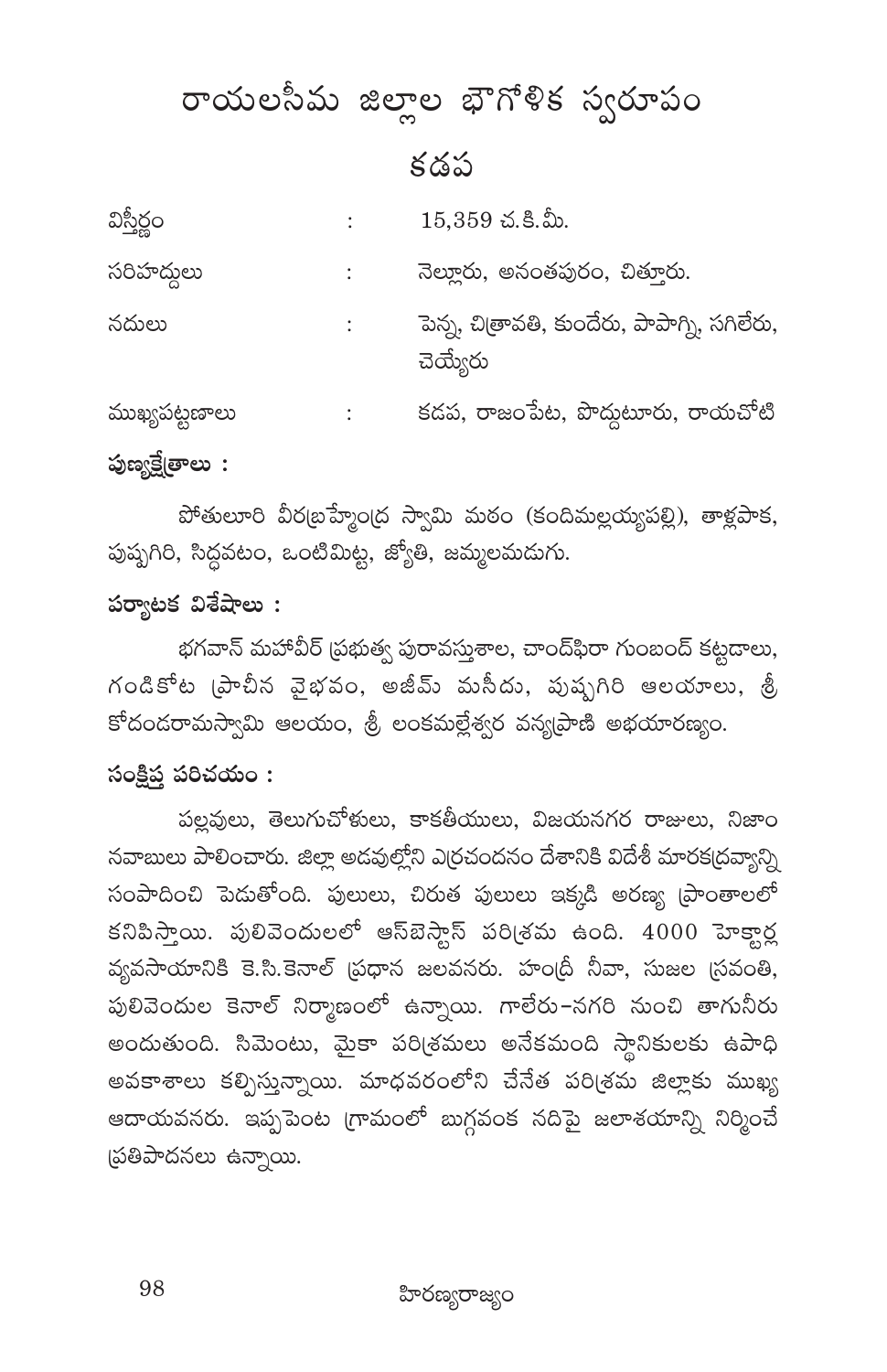## రాయలసీమ జిల్లాల భౌగోళిక స్వరూపం

### కడప

| విస్తీర్ణం    | $15,359$ చ.కి.మీ.                                         |
|---------------|-----------------------------------------------------------|
| సరిహద్దులు    | నెల్లూరు, అనంతపురం, చిత్తూరు.                             |
| నదులు         | పెన్న, చిత్రావతి, కుందేరు, పాపాగ్ని, సగిలేరు,<br>చెయ్యేరు |
| ముఖ్యపట్టణాలు | కడప, రాజంపేట, పొద్దటూరు, రాయచోటి                          |
|               |                                                           |

పుణ్యక్షే[తాలు :

పోతులూరి వీర(బహ్మేంద్ర స్వామి మఠం (కందిమల్లయ్యపల్లి), తాళ్లపాక, పుష్పగిరి, సిద్ధవటం, ఒంటిమిట్ట, జ్యోతి, జమ్మలమడుగు.

#### పర్యాటక విశేషాలు :

భగవాన్ మహావీర్ (పభుత్వ పురావస్తుశాల, చాంద్\$ిరా గుంబంద్ కట్టడాలు, గండికోట [పాచీన వైభవం, అజీవ్ు మసీదు, పుష్పగిరి ఆలయాలు, శ్రీ కోదండరామస్వామి ఆలయం, శ్రీ లంకమల్లేశ్వర వన్యపాణి అభయారణ్యం.

#### సంక్షిష పరిచయం:

పల్లవులు, తెలుగుచోళులు, కాకతీయులు, విజయనగర రాజులు, నిజాం నవాబులు పాలించారు. జిల్లా అడవుల్లోని ఎర్రచందనం దేశానికి విదేశీ మారక(దవ్యాన్ని సంపాదించి పెడుతోంది. పులులు, చిరుత పులులు ఇక్కడి అరణ్య (పాంతాలలో కనిపిస్తాయి. పులివెందులలో ఆస్టబెస్తాస్ పరి(శమ ఉంది. 4000 హెక్టార్ల వ్యవసాయానికి కె.సి.కెనాల్ (ప్రధాన జలవనరు. హం(దీ నీవా, సుజల (సవంతి, పులివెందుల కెనాల్ నిర్మాణంలో ఉన్నాయి. గాలేరు–నగరి నుంచి తాగునీరు అందుతుంది. సిమెంటు, మైకా పరి(శమలు అనేకమంది స్థానికులకు ఉపాధి అవకాశాలు కల్పిస్తున్నాయి. మాధవరంలోని చేనేత పరి(శమ జిల్లాకు ముఖ్య ఆదాయవనరు. ఇప్పపెంట గ్రామంలో బుగ్ధవంక నదిపై జలాశయాన్ని నిర్మించే సతిపాదనలు ఉన్నాయి.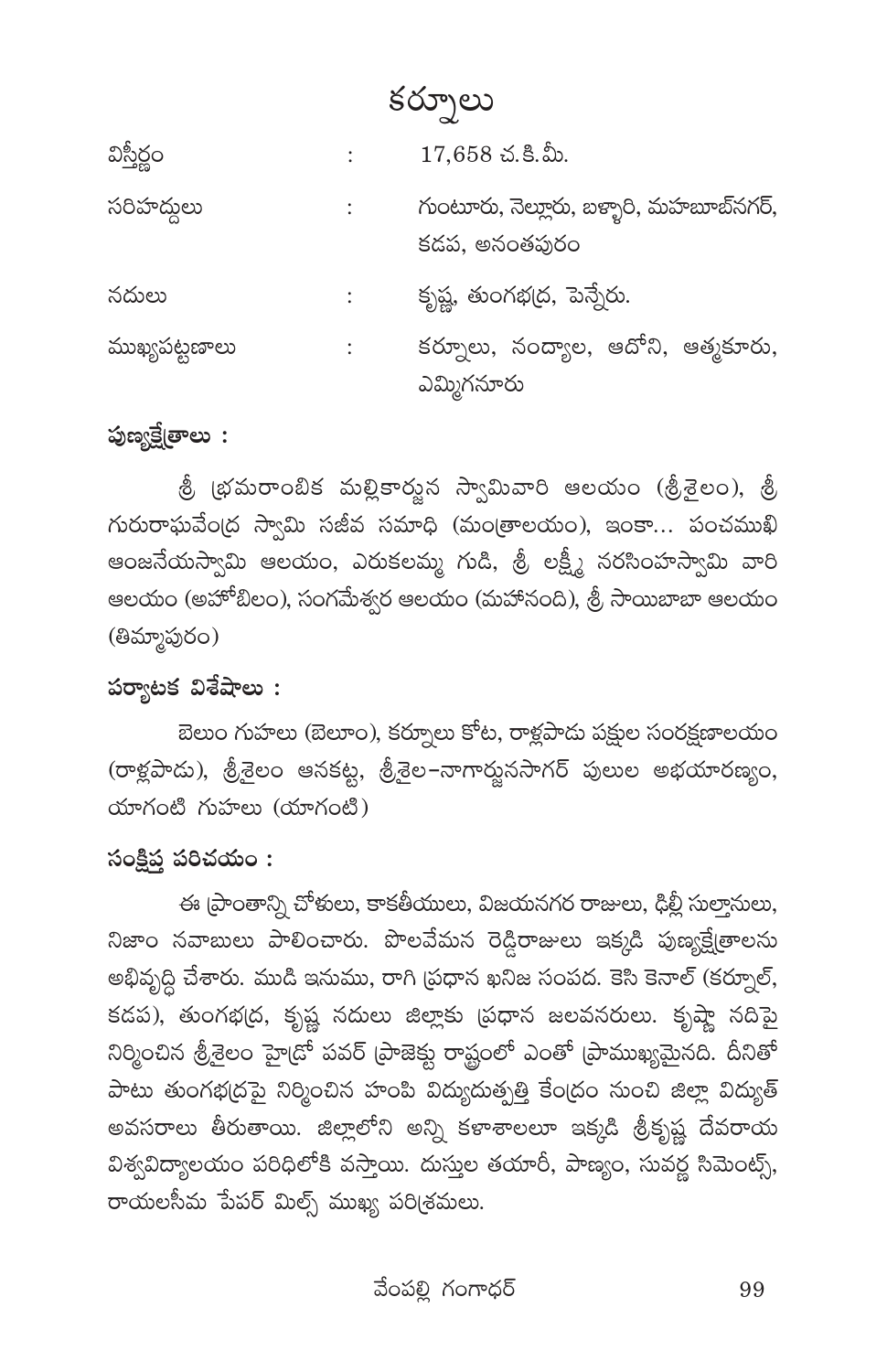కర్నూలు

| విస్తీర్ణం    | $17,658$ చ.కి.మీ.                                        |
|---------------|----------------------------------------------------------|
| సరిహద్దలు     | గుంటూరు, నెల్లూరు, బళ్ళారి, మహబూబ్నగర్,<br>కడప, అనంతపురం |
| నదులు         | కృష్ణ, తుంగభ(ద, పెన్నేరు.                                |
| ముఖ్యపట్టణాలు | కర్నూలు, నంద్యాల, ఆదోని, ఆత్మకూరు,<br>ఎమ్మిగనూరు         |

#### పుణ్యక్షే[తాలు :

శ్రీ (భమరాంబిక మల్లికార్మన స్వామివారి ఆలయం (శ్రీశైలం), శ్రీ గురురాఘవేంద్ర స్వామి సజీవ సమాధి (మంత్రాలయం), ఇంకా... పంచముఖి ఆంజనేయస్వామి ఆలయం, ఎరుకలమ్మ గుడి, త్రీ లక్ష్మీ నరసింహస్వామి వారి ఆలయం (అహోబిలం), సంగమేశ్వర ఆలయం (మహానంది), శ్రీ సాయిబాబా ఆలయం (తిమ్మాపురం)

#### పర్యాటక విశేషాలు:

బెలుం గుహలు (బెలూం), కర్నూలు కోట, రాళ్లపాడు పక్షుల సంరక్షణాలయం (రాళ్లపాడు), శ్రీశైలం ఆనకట్ట, శ్రీశైల-నాగార్జునసాగర్ పులుల అభయారణ్యం, యాగంటి గుహలు (యాగంటి)

#### సంక్షిప్త పరిచయం:

ఈ [పాంతాన్ని చోళులు, కాకతీయులు, విజయనగర రాజులు, ఢిల్లీ సులానులు, నిజాం నవాబులు పాలించారు. పొలవేమన రెడ్డిరాజులు ఇక్కడి పుణ్యక్షేత్రాలను అభివృద్ధి చేశారు. ముడి ఇనుము, రాగి (ప్రధాన ఖనిజ సంపద. కెసి కెనాల్ (కర్నూల్, కడప), తుంగభ(ద, కృష్ణ నదులు జిల్లాకు (ప్రధాన జలవనరులు. కృష్ణా నదిపై నిర్మించిన శ్రీశైలం హైడో పవర్ (పాజెక్టు రాష్ట్రంలో ఎంతో (పాముఖ్యమైనది. దీనితో పాటు తుంగభ(దపై నిర్మించిన హంపి విద్యుదుత్పత్తి కేం(దం నుంచి జిల్లా విద్యుత్ అవసరాలు తీరుతాయి. జిల్లాలోని అన్ని కళాశాలలూ ఇక్కడి శ్రీకృష్ణ దేవరాయ విశ్వవిద్యాలయం పరిధిలోకి వస్తాయి. దుస్తుల తయారీ, పాణ్యం, సువర్ణ సిమెంట్స్, రాయలసీమ పేపర్ మిల్స్ ముఖ్య పరి(శమలు.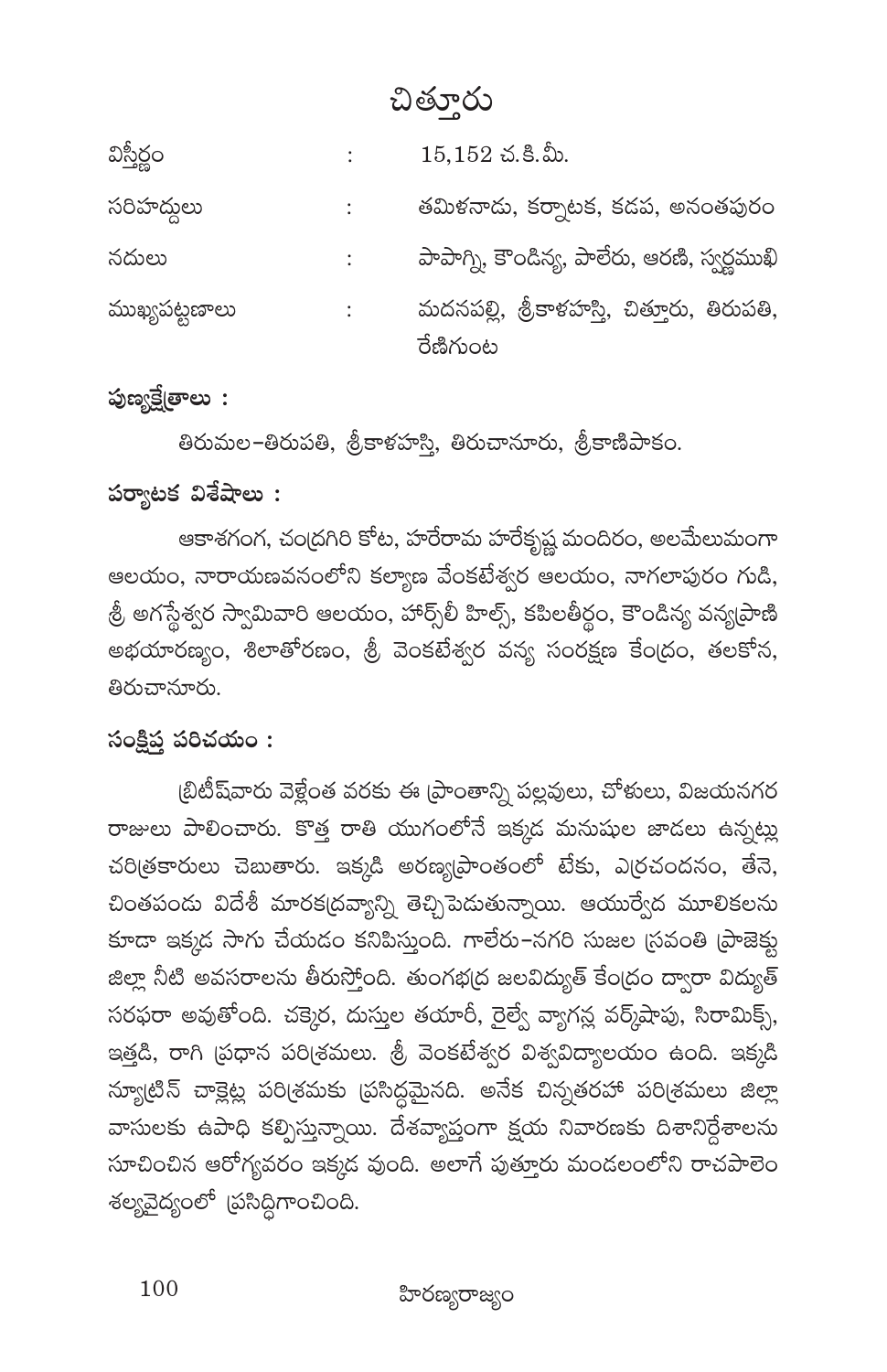## చిత్తూరు

| విస్తీర్ణం    |                      | $15,152$ చ.కి.మీ.                                      |
|---------------|----------------------|--------------------------------------------------------|
| సరిహద్దలు     |                      | తమిళనాడు, కర్నాటక, కడప, అనంతపురం                       |
| నదులు         |                      | పాపాగ్ని, కౌండిన్య, పాలేరు, ఆరణి, స్వర్ణముఖి           |
| ముఖ్యపట్టణాలు | $\ddot{\phantom{a}}$ | మదనపల్లి, శ్రీకాళహస్తి, చిత్తూరు, తిరుపతి,<br>రేణిగుంట |

పుణ్యక్షే[తాలు :

తిరుమల-తిరుపతి, శ్రీకాళహస్తి, తిరుచానూరు, శ్రీకాణిపాకం.

పర్యాటక విశేషాలు :

ఆకాశగంగ, చంద్రగిరి కోట, హరేరామ హరేకృష్ణ మందిరం, అలమేలుమంగా ఆలయం, నారాయణవనంలోని కల్యాణ వేంకటేశ్వర ఆలయం, నాగలాపురం గుడి, త్రీ అగస్టేశ్వర స్వామివారి ఆలయం, హార్స్<mark>లీ హిల్స్, కపిలతీర్థం, కౌండిన్య వన్య</mark>పాణి అభయారణ్యం, శిలాతోరణం, శ్రీ వెంకటేశ్వర వన్య సంరక్షణ కేంద్రం, తలకోన, తిరుచానూరు.

సంక్షిష పరిచయం:

(బిటీష్వారు వెళ్లేంత వరకు ఈ [పాంతాన్ని పల్లవులు, చోళులు, విజయనగర రాజులు పాలించారు. కొత్త రాతి యుగంలోనే ఇక్కడ మనుషుల జాడలు ఉన్నట్లు చరి[తకారులు చెబుతారు. ఇక్కడి అరణ్య[పాంతంలో టేకు, ఎ[రచందనం, తేనె, చింతపండు విదేశీ మారక(దవ్యాన్ని తెచ్చిపెడుతున్నాయి. ఆయుర్వేద మూలికలను కూడా ఇక్కడ సాగు చేయడం కనిపిస్తుంది. గాలేరు–నగరి సుజల (సవంతి (ఫాజెక్లు జిల్లా నీటి అవసరాలను తీరుస్తోంది. తుంగభ(్ర జలవిద్యుత్ కేం(దం ద్వారా విద్యుత్ సరఫరా అవుతోంది. చక్కెర, దుస్తుల తయారీ, రైల్వే వ్యాగన్ల వర్క్షేషాపు, సిరామిక్స్, ఇత్తడి, రాగి (పధాన పరి<sub>(</sub>శమలు. శ్రీ వెంకటేశ్వర విశ్వవిద్యాలయం ఉంది. ఇక్కడి న్యూట్రిన్ చాక్లెట్ల పరి<sub>(</sub>శమకు ప్రసిద్ధమైనది. అనేక చిన్నతరహా పరి<sub>(</sub>శమలు జిల్లా వాసులకు ఉపాధి కల్పిస్తున్నాయి. దేశవ్యాప్తంగా క్షయ నివారణకు దిశానిర్దేశాలను సూచించిన ఆరోగ్యవరం ఇక్కడ వుంది. అలాగే పుత్తూరు మండలంలోని రాచపాలెం శల్యవైద్యంలో (పసిద్ధిగాంచింది.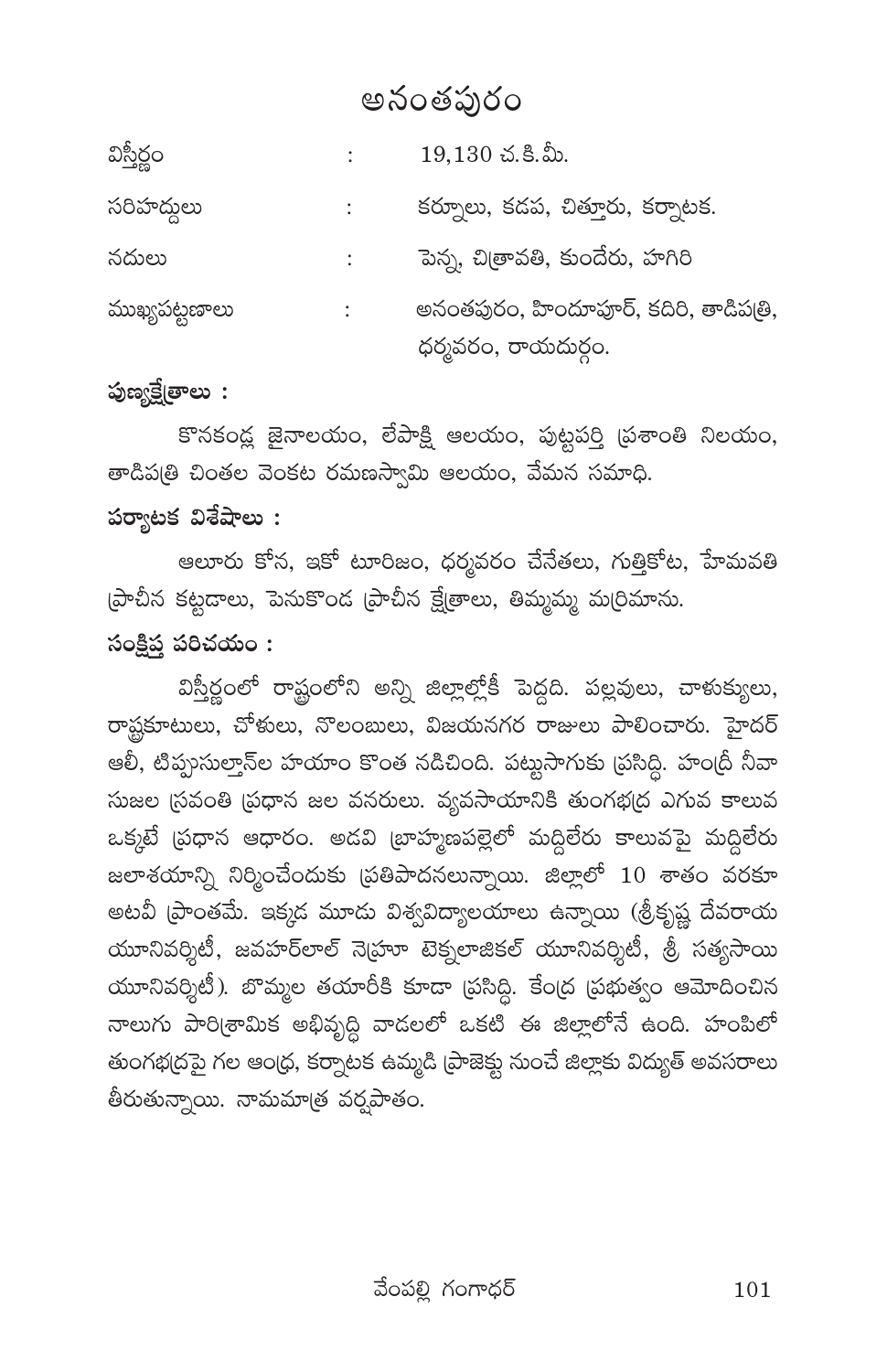### అనంతపురం

| విస్తీర్ణం    |   | $19,130$ చ.కి.మీ.                                             |
|---------------|---|---------------------------------------------------------------|
| సరిహద్దలు     | ÷ | కర్నూలు, కడప, చిత్తూరు, కర్నాటక.                              |
| నదులు         |   | పెన్న, చిత్రావతి, కుందేరు, హగిరి                              |
| ముఖ్యపట్టణాలు |   | అనంతపురం, హిందూపూర్, కదిరి, తాడిపత్రి,<br>ధర్మవరం, రాయదుర్గం. |

## పుణ్యక్షేత్రాలు :

కొనకండ్ల జైనాలయం, లేపాక్షి ఆలయం, పుట్టపర్తి (పశాంతి నిలయం, తాడిప@ి చింతల వెంకట రమణస్వామి ఆలయం, వేమన సమాధి.

### పర్యాటక విశేషాలు :

ఆలూరు కోన, ఇకో టూరిజం, ధర్మవరం చేనేతలు, గుత్తికోట, హేమవతి (పాచీన కట్టడాలు, పెనుకొండ (పాచీన క్షేత్రాలు, తిమ్మమ్మ మర్రిమాను.

#### సంక్షిప పరిచయం :

విస్తీర్ణంలో రాష్టంలోని అన్ని జిల్లాల్లోకీ పెద్దది. పల్లవులు, చాకుక్యులు, రాష్టకూటులు, చోళులు, నొలంబులు, విజయనగర రాజులు పాలించారు. హైదర్ ఆలీ, టిప్తుసుల్తాన్ల హయాం కొంత నడిచింది. పట్టుసాగుకు [పసిద్ధి. హం[దీ నీవా సుజల (సవంతి (పధాన జల వనరులు. వ్యవసాయానికి తుంగభ(ద<sup>్</sup>ఎగువ కాలువ ఒక్కటే (పధాన ఆధారం. అడవి ట్రాహ్మణపల్లెలో మద్దిలేరు కాలువపై మద్దిలేరు జలాశయాన్ని నిర్మించేందుకు ప్రతిపాదనలున్నాయి. జిల్లాలో 10 శాతం వరకూ అటవీ [పాంతమే. ఇక్కడ మూడు విశ్వవిద్యాలయాలు ఉన్నాయి (శ్రీకృష్ణ దేవరాయ యూనివర్శిటీ, జవహర్లాల్ నెహ్రూ టెక్నలాజికల్ యూనివర్శిటీ, శ్రీ సత్యసాయి యూనివర్శిటీ). బొమ్మల తయారీకి కూడా (పసిద్ధి. కేంద్ర (పభుత్వం ఆమోదించిన నాలుగు పారి<sub>(</sub>శామిక అభివృద్ధి వాడలలో ఒకటి ఈ జిల్లాలోనే ఉంది. హంపిలో తుంగభ(్రపై గల ఆం(ధ, కర్నాటక ఉమ్మడి [పాజెక్టు నుంచే జిల్లాకు విద్యుత్ అవసరాలు తీరుతున్నాయి. నామమాత్ర వర్షపాతం.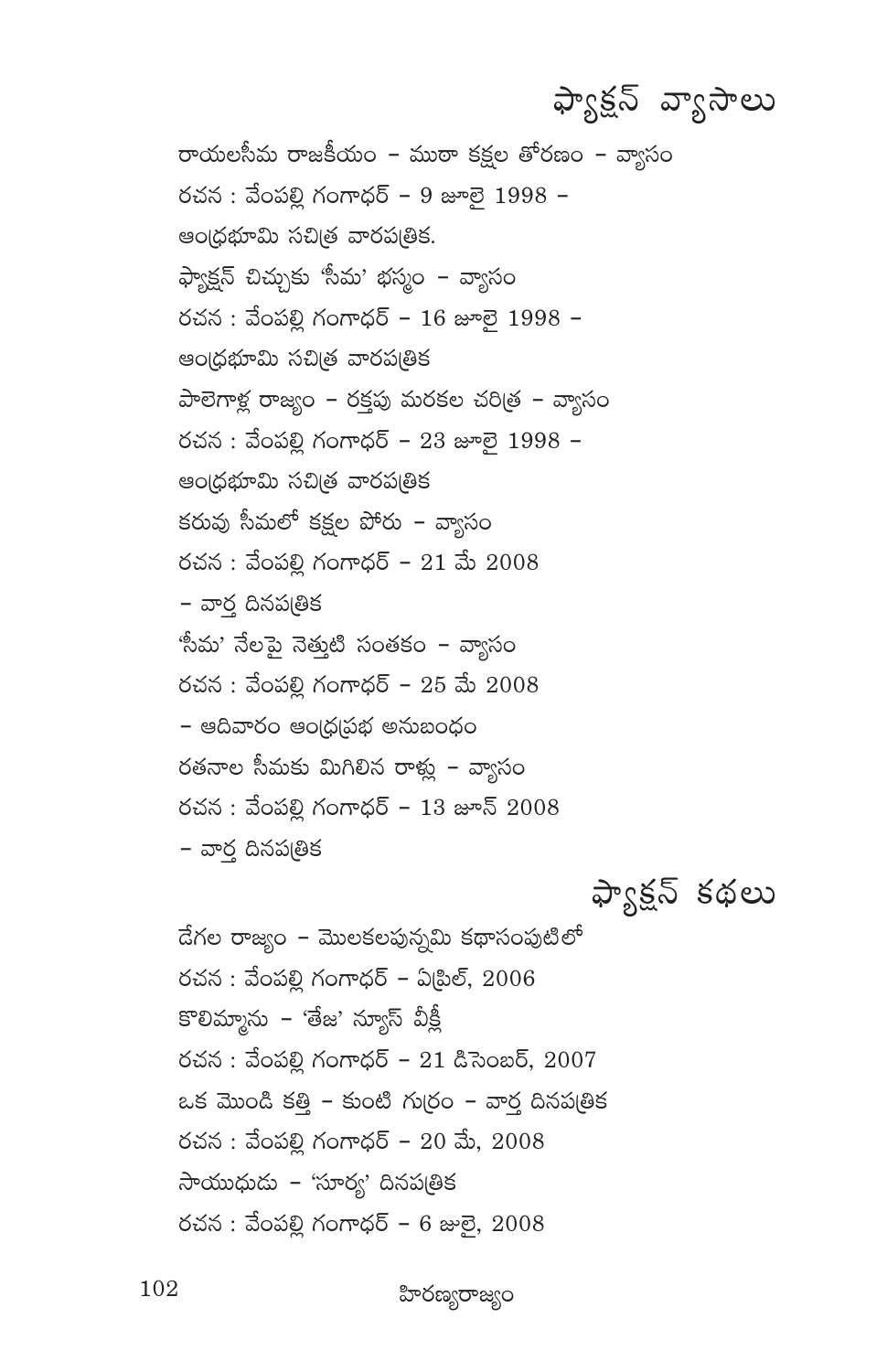## ఫ్యాక్షన్ వ్యాసాలు

రాయలసీమ రాజకీయం – ముఠా కక్షల తోరణం – వ్యాసం రచన: వేంపల్లి గంగాధర్ - 9 జూలై 1998 -ఆంధ్రభూమి సచిత్ర వారప(తిక. ఫ్యాక్షన్ చిచ్చుకు 'సీమ' భస్మం – వ్యాసం రచన: వేంపల్లి గంగాధర్ - 16 జూలై 1998 -అంద్రభూమి సచి(త వారప(తిక పాలెగాళ్ల రాజ్యం - రక్తపు మరకల చరిత్ర - వ్యాసం రచన: వేంపల్లి గంగాధర్ - 23 జూలై 1998 -ఆంధ్రభూమి సచిత్ర వారపత్రిక కరువు సీమలో కక్షల పోరు – వ్యాసం రచన : వేంపల్లి గంగాధర్ – 21 మే  $2008$ – వార్త దినప(తిక 'సీమ' నేలపై నెత్తుటి సంతకం – వ్యాసం రచన: వేంపల్లి గంగాధర్ – 25 మే  $2008$ – ఆదివారం ఆం(ధ(పభ అనుబంధం రతనాల సీమకు మిగిలిన రాళ్లు – వ్యాసం రచన: వేంపల్లి గంగాధర్ - 13 జూన్ 2008 – వార్త దినప(తిక

ఫ్యాక్షన్ కథలు

దేగల రాజ్యం – మొలకలపున్నమి కథాసంపుటిలో రచన: వేంపల్లి గంగాధర్ – ఏ(పిల్, 2006 కొలిమ్మాను – 'తేజ' న్యూస్ వీక్షీ రచన: వేంపల్లి గంగాధర్ - 21 డిసెంబర్, 2007 ఒక మొండి కత్తి - కుంటి గుర్రం - వార్త దినపత్రిక రచన: వేంపల్లి గంగాధర్ - 20 మే, 2008 సాయుధుడు – 'సూర్య' దినపత్రిక రచన: వేంపల్లి గంగాధర్ – 6 జులై, 2008